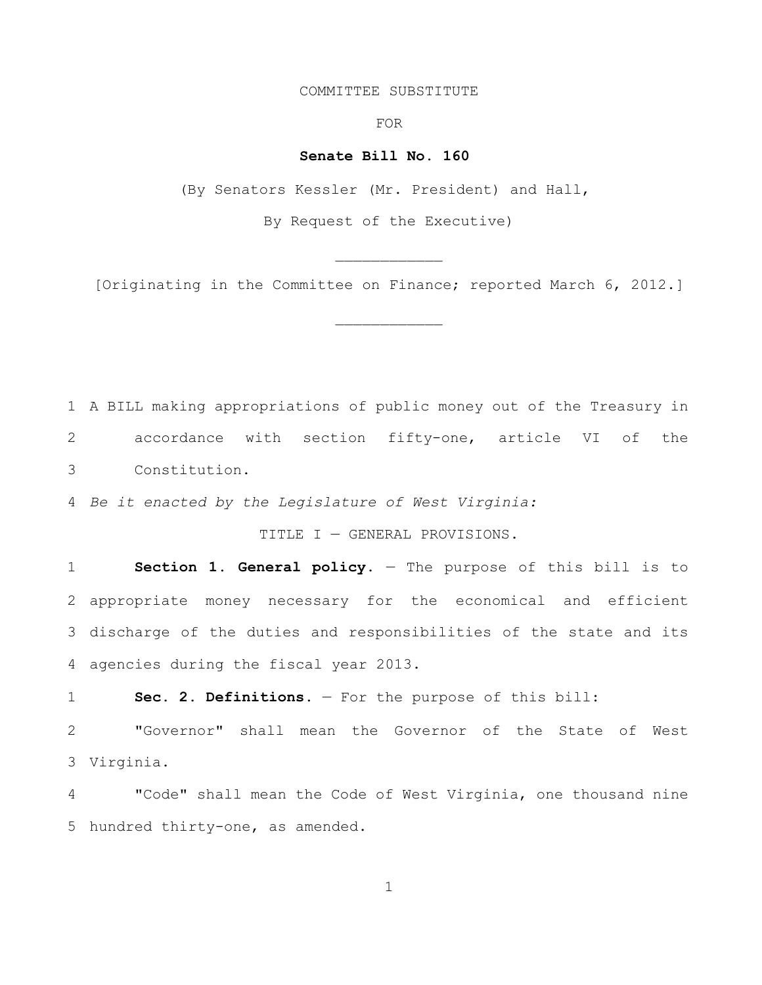#### COMMITTEE SUBSTITUTE

FOR

#### **Senate Bill No. 160**

(By Senators Kessler (Mr. President) and Hall,

By Request of the Executive)

[Originating in the Committee on Finance; reported March 6, 2012.]

 $\mathcal{L}_\text{max}$ 

 A BILL making appropriations of public money out of the Treasury in accordance with section fifty-one, article VI of the Constitution.

*Be it enacted by the Legislature of West Virginia:*

TITLE I — GENERAL PROVISIONS.

 **Section 1. General policy**. — The purpose of this bill is to appropriate money necessary for the economical and efficient discharge of the duties and responsibilities of the state and its agencies during the fiscal year 2013.

**Sec. 2. Definitions.** — For the purpose of this bill:

 "Governor" shall mean the Governor of the State of West Virginia.

 "Code" shall mean the Code of West Virginia, one thousand nine hundred thirty-one, as amended.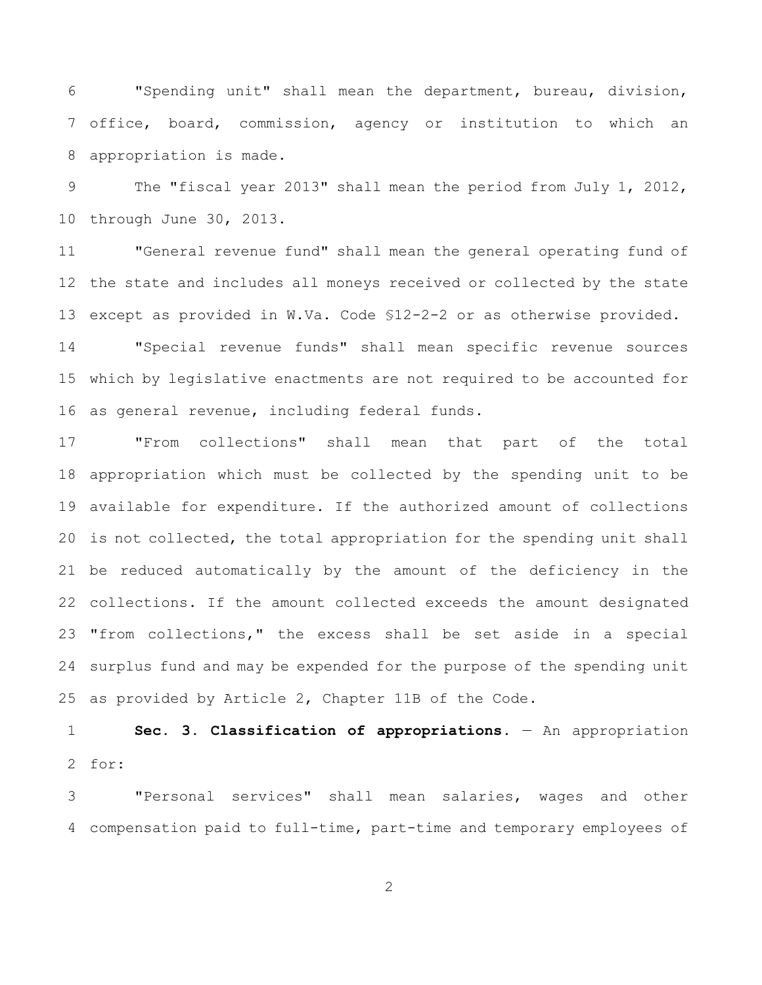"Spending unit" shall mean the department, bureau, division, office, board, commission, agency or institution to which an appropriation is made.

 The "fiscal year 2013" shall mean the period from July 1, 2012, through June 30, 2013.

 "General revenue fund" shall mean the general operating fund of the state and includes all moneys received or collected by the state except as provided in W.Va. Code §12-2-2 or as otherwise provided.

 "Special revenue funds" shall mean specific revenue sources which by legislative enactments are not required to be accounted for as general revenue, including federal funds.

 "From collections" shall mean that part of the total appropriation which must be collected by the spending unit to be available for expenditure. If the authorized amount of collections is not collected, the total appropriation for the spending unit shall be reduced automatically by the amount of the deficiency in the collections. If the amount collected exceeds the amount designated "from collections," the excess shall be set aside in a special surplus fund and may be expended for the purpose of the spending unit as provided by Article 2, Chapter 11B of the Code.

 **Sec. 3. Classification of appropriations.** — An appropriation for:

 "Personal services" shall mean salaries, wages and other compensation paid to full-time, part-time and temporary employees of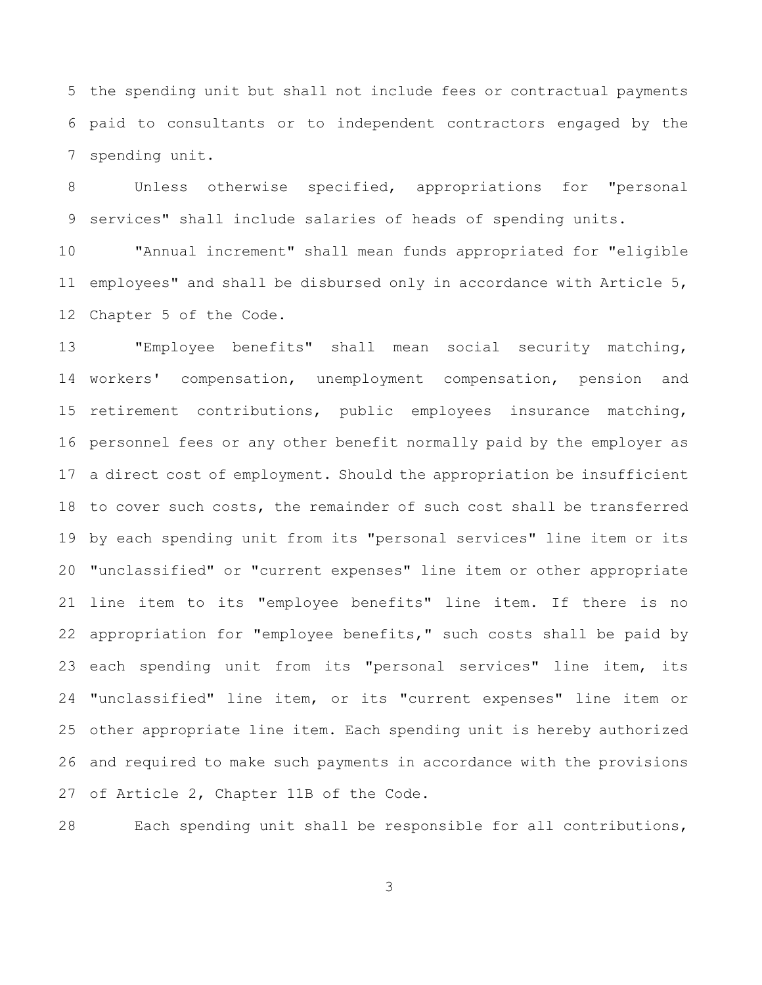the spending unit but shall not include fees or contractual payments paid to consultants or to independent contractors engaged by the spending unit.

 Unless otherwise specified, appropriations for "personal services" shall include salaries of heads of spending units.

 "Annual increment" shall mean funds appropriated for "eligible employees" and shall be disbursed only in accordance with Article 5, Chapter 5 of the Code.

 "Employee benefits" shall mean social security matching, workers' compensation, unemployment compensation, pension and retirement contributions, public employees insurance matching, personnel fees or any other benefit normally paid by the employer as a direct cost of employment. Should the appropriation be insufficient to cover such costs, the remainder of such cost shall be transferred by each spending unit from its "personal services" line item or its "unclassified" or "current expenses" line item or other appropriate line item to its "employee benefits" line item. If there is no appropriation for "employee benefits," such costs shall be paid by each spending unit from its "personal services" line item, its "unclassified" line item, or its "current expenses" line item or other appropriate line item. Each spending unit is hereby authorized and required to make such payments in accordance with the provisions of Article 2, Chapter 11B of the Code.

Each spending unit shall be responsible for all contributions,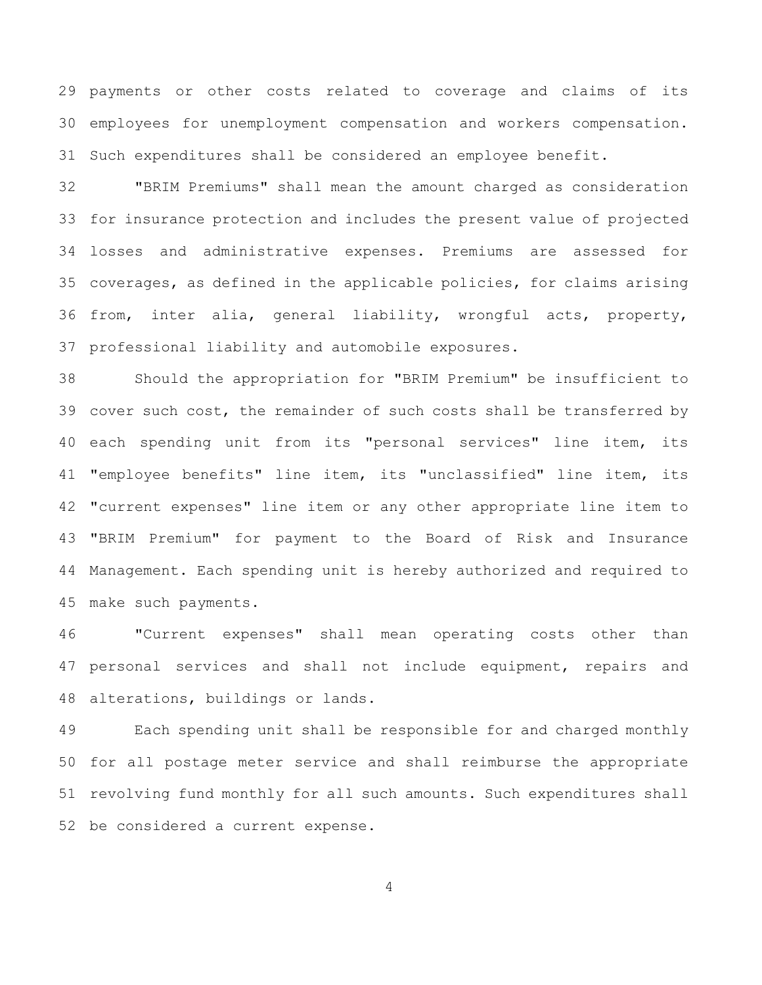payments or other costs related to coverage and claims of its employees for unemployment compensation and workers compensation. Such expenditures shall be considered an employee benefit.

 "BRIM Premiums" shall mean the amount charged as consideration for insurance protection and includes the present value of projected losses and administrative expenses. Premiums are assessed for coverages, as defined in the applicable policies, for claims arising from, inter alia, general liability, wrongful acts, property, professional liability and automobile exposures.

 Should the appropriation for "BRIM Premium" be insufficient to cover such cost, the remainder of such costs shall be transferred by each spending unit from its "personal services" line item, its "employee benefits" line item, its "unclassified" line item, its "current expenses" line item or any other appropriate line item to "BRIM Premium" for payment to the Board of Risk and Insurance Management. Each spending unit is hereby authorized and required to make such payments.

 "Current expenses" shall mean operating costs other than personal services and shall not include equipment, repairs and alterations, buildings or lands.

 Each spending unit shall be responsible for and charged monthly for all postage meter service and shall reimburse the appropriate revolving fund monthly for all such amounts. Such expenditures shall be considered a current expense.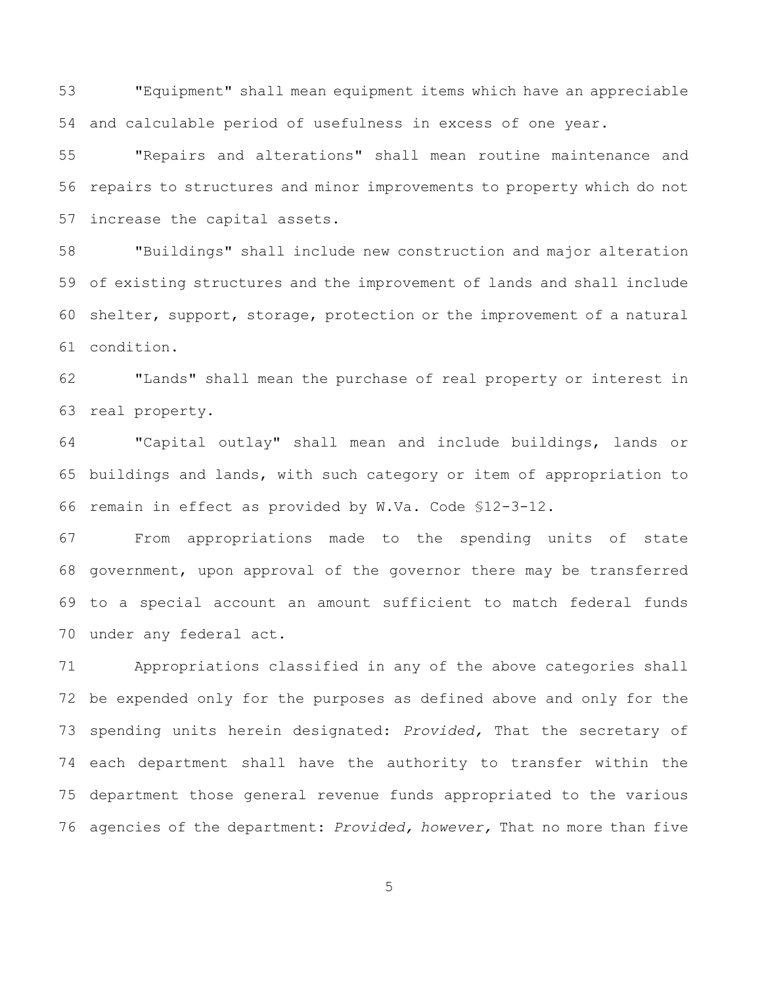"Equipment" shall mean equipment items which have an appreciable and calculable period of usefulness in excess of one year.

 "Repairs and alterations" shall mean routine maintenance and repairs to structures and minor improvements to property which do not increase the capital assets.

 "Buildings" shall include new construction and major alteration of existing structures and the improvement of lands and shall include shelter, support, storage, protection or the improvement of a natural condition.

 "Lands" shall mean the purchase of real property or interest in real property.

 "Capital outlay" shall mean and include buildings, lands or buildings and lands, with such category or item of appropriation to remain in effect as provided by W.Va. Code §12-3-12.

 From appropriations made to the spending units of state government, upon approval of the governor there may be transferred to a special account an amount sufficient to match federal funds under any federal act.

 Appropriations classified in any of the above categories shall be expended only for the purposes as defined above and only for the spending units herein designated: *Provided,* That the secretary of each department shall have the authority to transfer within the department those general revenue funds appropriated to the various agencies of the department: *Provided, however,* That no more than five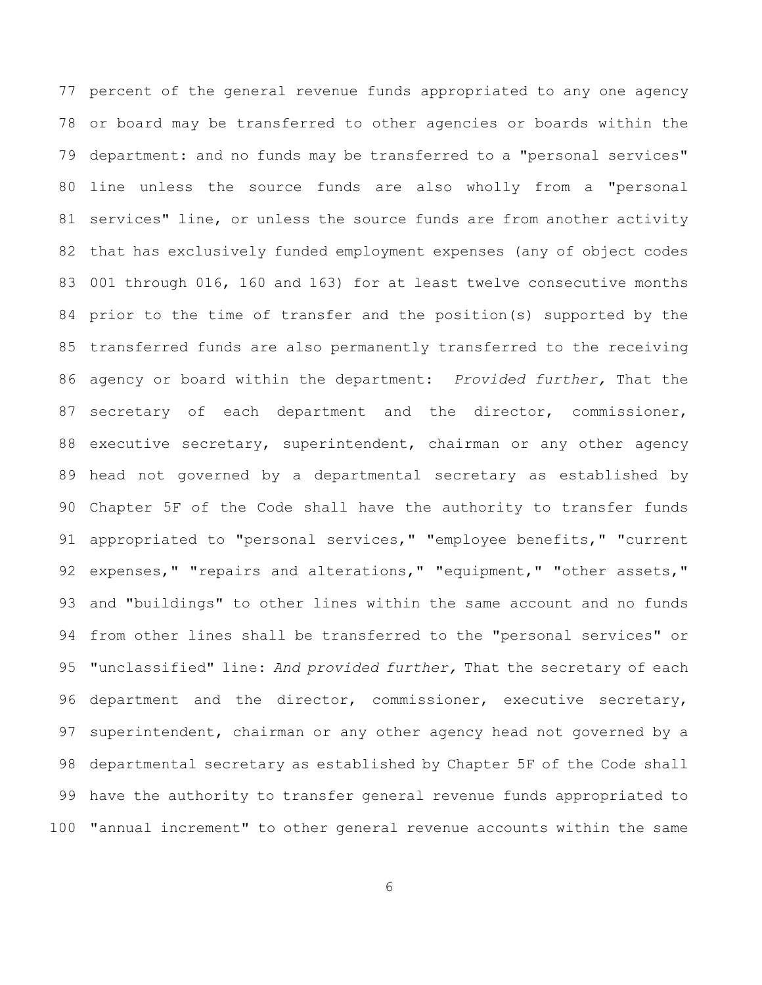percent of the general revenue funds appropriated to any one agency or board may be transferred to other agencies or boards within the department: and no funds may be transferred to a "personal services" line unless the source funds are also wholly from a "personal services" line, or unless the source funds are from another activity that has exclusively funded employment expenses (any of object codes 001 through 016, 160 and 163) for at least twelve consecutive months prior to the time of transfer and the position(s) supported by the transferred funds are also permanently transferred to the receiving agency or board within the department: *Provided further,* That the 87 secretary of each department and the director, commissioner, executive secretary, superintendent, chairman or any other agency head not governed by a departmental secretary as established by Chapter 5F of the Code shall have the authority to transfer funds appropriated to "personal services," "employee benefits," "current 92 expenses," "repairs and alterations," "equipment," "other assets," and "buildings" to other lines within the same account and no funds from other lines shall be transferred to the "personal services" or "unclassified" line: *And provided further,* That the secretary of each 96 department and the director, commissioner, executive secretary, superintendent, chairman or any other agency head not governed by a departmental secretary as established by Chapter 5F of the Code shall have the authority to transfer general revenue funds appropriated to "annual increment" to other general revenue accounts within the same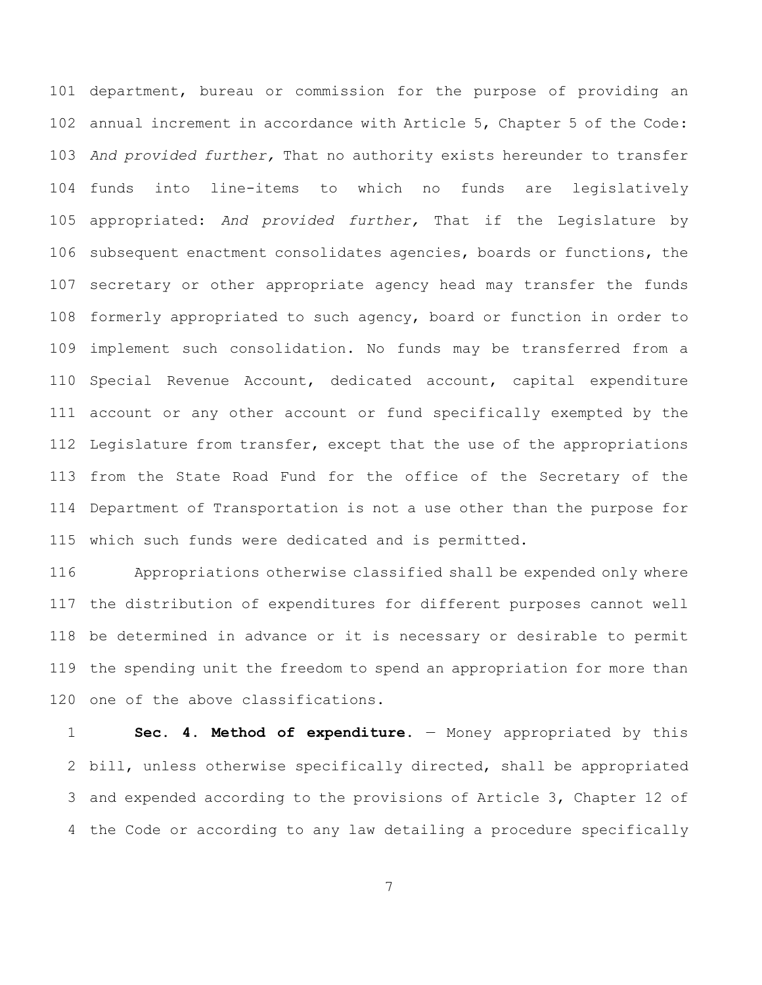department, bureau or commission for the purpose of providing an annual increment in accordance with Article 5, Chapter 5 of the Code: *And provided further,* That no authority exists hereunder to transfer funds into line-items to which no funds are legislatively appropriated: *And provided further,* That if the Legislature by subsequent enactment consolidates agencies, boards or functions, the secretary or other appropriate agency head may transfer the funds formerly appropriated to such agency, board or function in order to implement such consolidation. No funds may be transferred from a Special Revenue Account, dedicated account, capital expenditure account or any other account or fund specifically exempted by the Legislature from transfer, except that the use of the appropriations from the State Road Fund for the office of the Secretary of the Department of Transportation is not a use other than the purpose for which such funds were dedicated and is permitted.

 Appropriations otherwise classified shall be expended only where the distribution of expenditures for different purposes cannot well be determined in advance or it is necessary or desirable to permit the spending unit the freedom to spend an appropriation for more than one of the above classifications.

 **Sec. 4. Method of expenditure.** — Money appropriated by this bill, unless otherwise specifically directed, shall be appropriated and expended according to the provisions of Article 3, Chapter 12 of the Code or according to any law detailing a procedure specifically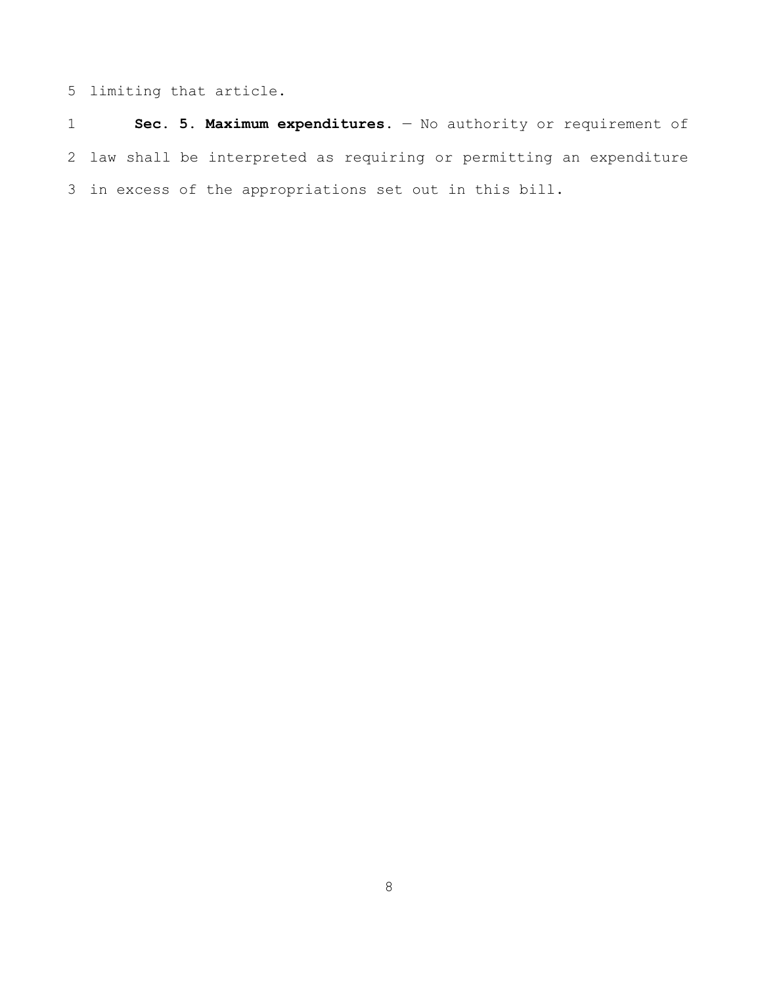limiting that article.

 **Sec. 5. Maximum expenditures.** — No authority or requirement of law shall be interpreted as requiring or permitting an expenditure in excess of the appropriations set out in this bill.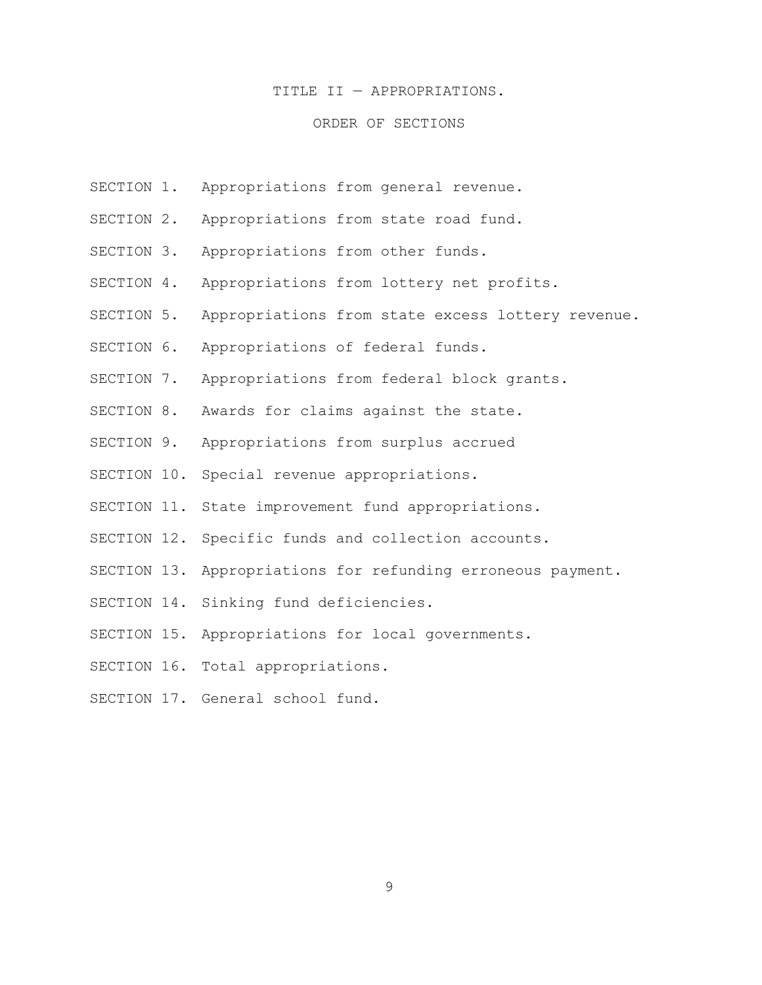#### TITLE II — APPROPRIATIONS.

### ORDER OF SECTIONS

- SECTION 1. Appropriations from general revenue.
- SECTION 2. Appropriations from state road fund.
- SECTION 3. Appropriations from other funds.
- SECTION 4. Appropriations from lottery net profits.
- SECTION 5. Appropriations from state excess lottery revenue.
- SECTION 6. Appropriations of federal funds.
- SECTION 7. Appropriations from federal block grants.
- SECTION 8. Awards for claims against the state.
- SECTION 9. Appropriations from surplus accrued
- SECTION 10. Special revenue appropriations.
- SECTION 11. State improvement fund appropriations.
- SECTION 12. Specific funds and collection accounts.
- SECTION 13. Appropriations for refunding erroneous payment.
- SECTION 14. Sinking fund deficiencies.
- SECTION 15. Appropriations for local governments.
- SECTION 16. Total appropriations.
- SECTION 17. General school fund.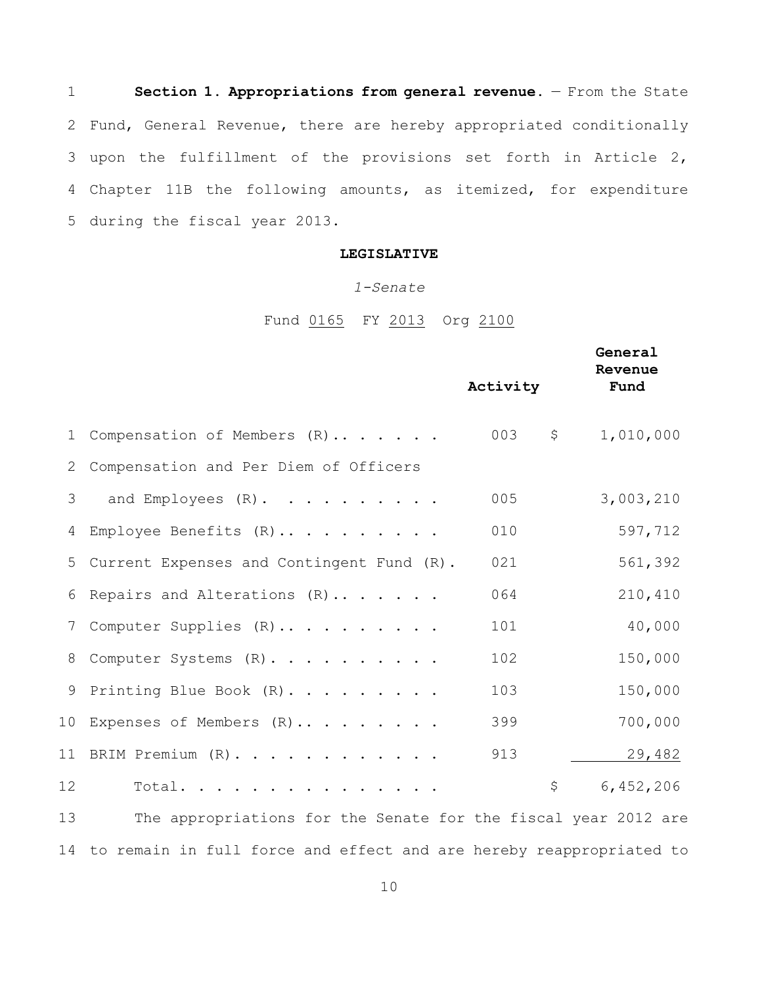**Section 1. Appropriations from general revenue.** - From the State Fund, General Revenue, there are hereby appropriated conditionally upon the fulfillment of the provisions set forth in Article 2, Chapter 11B the following amounts, as itemized, for expenditure during the fiscal year 2013.

## **LEGISLATIVE**

#### *1-Senate*

Fund 0165 FY 2013 Org 2100

|    |                                                                | Activity  | General<br>Revenue<br>Fund |
|----|----------------------------------------------------------------|-----------|----------------------------|
| 1  | Compensation of Members (R)                                    | 003<br>\$ | 1,010,000                  |
| 2  | Compensation and Per Diem of Officers                          |           |                            |
| 3  | and Employees $(R)$ .                                          | 005       | 3,003,210                  |
| 4  | Employee Benefits (R)                                          | 010       | 597,712                    |
| 5  | Current Expenses and Contingent Fund (R).                      | 021       | 561,392                    |
| 6  | Repairs and Alterations (R)                                    | 064       | 210,410                    |
| 7  | Computer Supplies (R)                                          | 101       | 40,000                     |
| 8  | Computer Systems (R).                                          | 102       | 150,000                    |
| 9  | Printing Blue Book (R).                                        | 103       | 150,000                    |
| 10 | Expenses of Members (R)                                        | 399       | 700,000                    |
|    | 11 BRIM Premium (R).                                           | 913       | 29,482                     |
| 12 | Total.                                                         | \$        | 6,452,206                  |
| 13 | The appropriations for the Senate for the fiscal year 2012 are |           |                            |
|    |                                                                |           |                            |

to remain in full force and effect and are hereby reappropriated to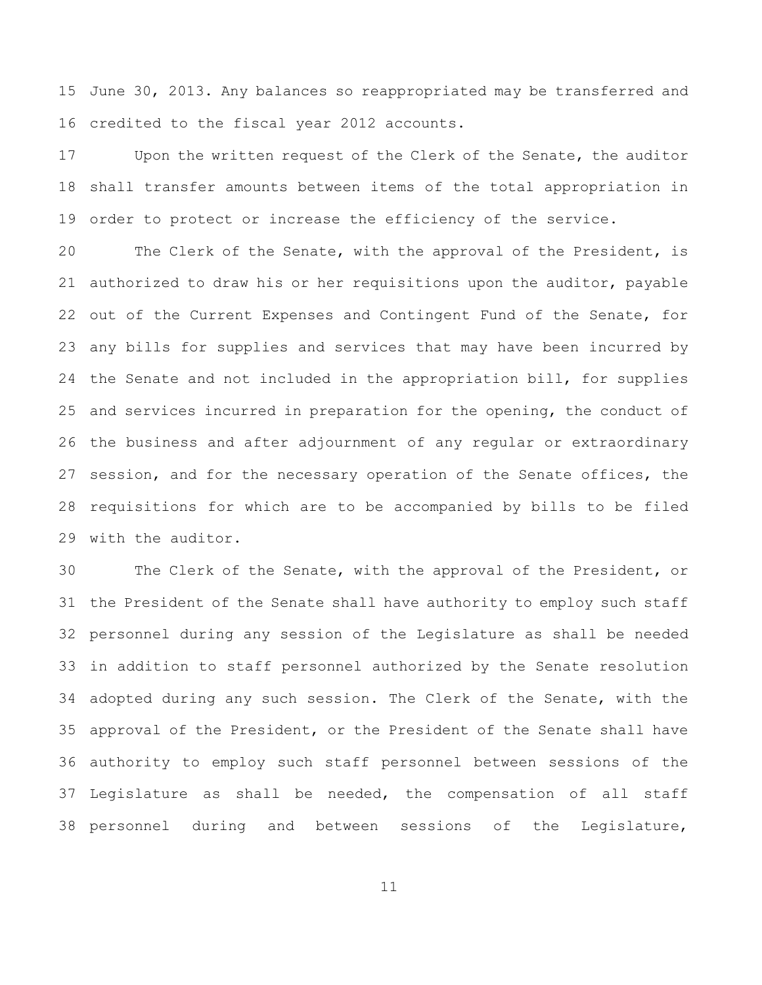June 30, 2013. Any balances so reappropriated may be transferred and credited to the fiscal year 2012 accounts.

 Upon the written request of the Clerk of the Senate, the auditor shall transfer amounts between items of the total appropriation in order to protect or increase the efficiency of the service.

 The Clerk of the Senate, with the approval of the President, is authorized to draw his or her requisitions upon the auditor, payable 22 out of the Current Expenses and Contingent Fund of the Senate, for any bills for supplies and services that may have been incurred by the Senate and not included in the appropriation bill, for supplies and services incurred in preparation for the opening, the conduct of the business and after adjournment of any regular or extraordinary session, and for the necessary operation of the Senate offices, the requisitions for which are to be accompanied by bills to be filed with the auditor.

 The Clerk of the Senate, with the approval of the President, or the President of the Senate shall have authority to employ such staff personnel during any session of the Legislature as shall be needed in addition to staff personnel authorized by the Senate resolution adopted during any such session. The Clerk of the Senate, with the approval of the President, or the President of the Senate shall have authority to employ such staff personnel between sessions of the Legislature as shall be needed, the compensation of all staff personnel during and between sessions of the Legislature,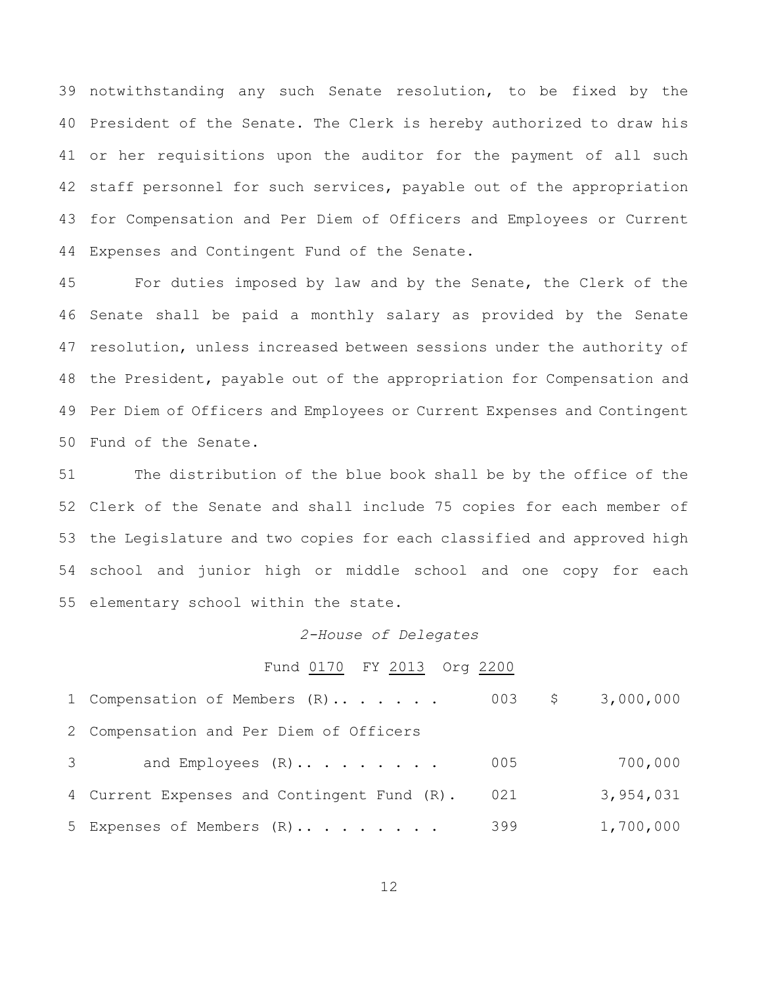notwithstanding any such Senate resolution, to be fixed by the President of the Senate. The Clerk is hereby authorized to draw his or her requisitions upon the auditor for the payment of all such staff personnel for such services, payable out of the appropriation for Compensation and Per Diem of Officers and Employees or Current Expenses and Contingent Fund of the Senate.

 For duties imposed by law and by the Senate, the Clerk of the Senate shall be paid a monthly salary as provided by the Senate resolution, unless increased between sessions under the authority of the President, payable out of the appropriation for Compensation and Per Diem of Officers and Employees or Current Expenses and Contingent Fund of the Senate.

 The distribution of the blue book shall be by the office of the Clerk of the Senate and shall include 75 copies for each member of the Legislature and two copies for each classified and approved high school and junior high or middle school and one copy for each elementary school within the state.

#### *2-House of Delegates*

#### Fund 0170 FY 2013 Org 2200

|                | 1 Compensation of Members (R)               |     |           |
|----------------|---------------------------------------------|-----|-----------|
|                | 2 Compensation and Per Diem of Officers     |     |           |
| 3 <sup>7</sup> | and Employees $(R) \ldots \ldots \ldots$    | 005 | 700,000   |
|                | 4 Current Expenses and Contingent Fund (R). | 021 | 3,954,031 |
|                | 5 Expenses of Members (R)                   | 399 | 1,700,000 |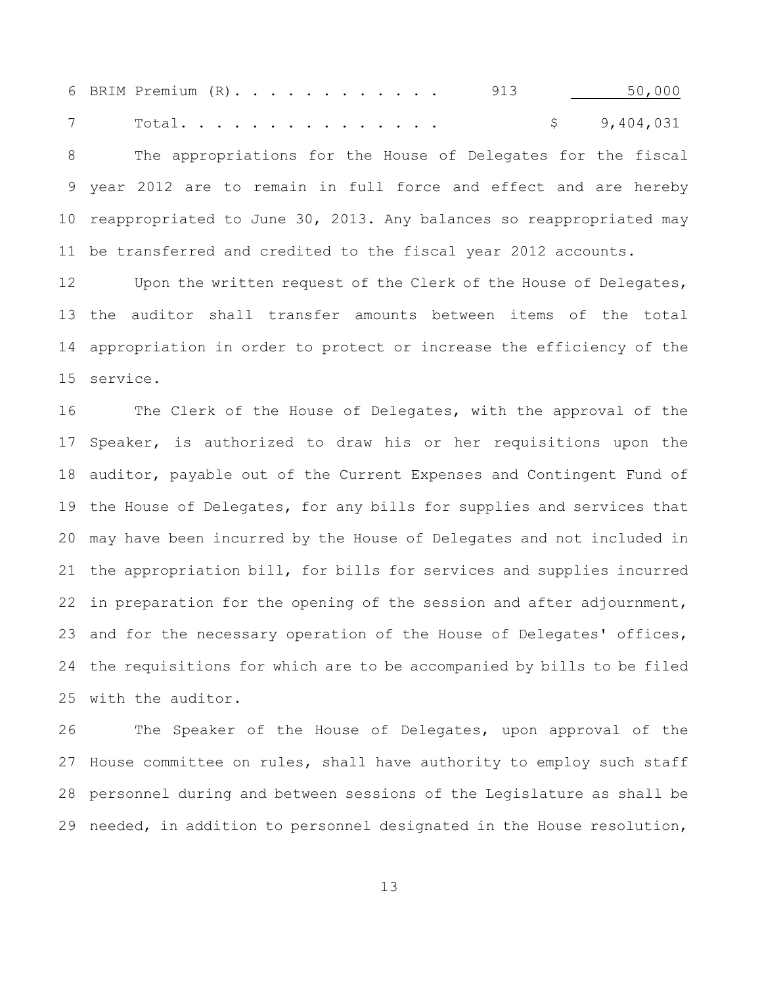6 BRIM Premium (R). . . . . . . . . . . 913 130,000 Total. . . . . . . . . . . . . . . \$ 9,404,031 The appropriations for the House of Delegates for the fiscal year 2012 are to remain in full force and effect and are hereby reappropriated to June 30, 2013. Any balances so reappropriated may be transferred and credited to the fiscal year 2012 accounts.

12 Upon the written request of the Clerk of the House of Delegates, the auditor shall transfer amounts between items of the total appropriation in order to protect or increase the efficiency of the service.

 The Clerk of the House of Delegates, with the approval of the Speaker, is authorized to draw his or her requisitions upon the auditor, payable out of the Current Expenses and Contingent Fund of the House of Delegates, for any bills for supplies and services that may have been incurred by the House of Delegates and not included in the appropriation bill, for bills for services and supplies incurred 22 in preparation for the opening of the session and after adjournment, 23 and for the necessary operation of the House of Delegates' offices, the requisitions for which are to be accompanied by bills to be filed with the auditor.

 The Speaker of the House of Delegates, upon approval of the House committee on rules, shall have authority to employ such staff personnel during and between sessions of the Legislature as shall be needed, in addition to personnel designated in the House resolution,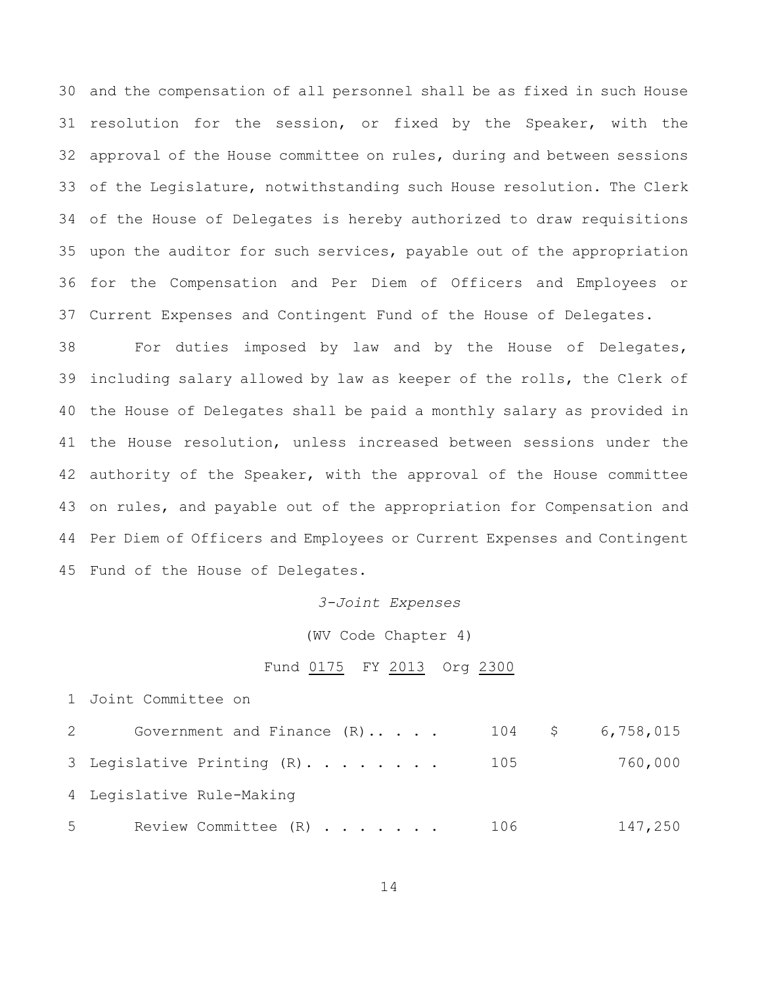and the compensation of all personnel shall be as fixed in such House resolution for the session, or fixed by the Speaker, with the approval of the House committee on rules, during and between sessions of the Legislature, notwithstanding such House resolution. The Clerk of the House of Delegates is hereby authorized to draw requisitions upon the auditor for such services, payable out of the appropriation for the Compensation and Per Diem of Officers and Employees or Current Expenses and Contingent Fund of the House of Delegates.

 For duties imposed by law and by the House of Delegates, including salary allowed by law as keeper of the rolls, the Clerk of the House of Delegates shall be paid a monthly salary as provided in the House resolution, unless increased between sessions under the 42 authority of the Speaker, with the approval of the House committee on rules, and payable out of the appropriation for Compensation and Per Diem of Officers and Employees or Current Expenses and Contingent Fund of the House of Delegates.

#### *3-Joint Expenses*

(WV Code Chapter 4)

#### Fund 0175 FY 2013 Org 2300

Joint Committee on

| Government and Finance $(R)$<br>$2 \left( \frac{1}{2} \right)$ |       |         |
|----------------------------------------------------------------|-------|---------|
| 3 Legislative Printing (R) 105                                 |       | 760,000 |
| 4 Legislative Rule-Making                                      |       |         |
| $5^{\circ}$<br>Review Committee (R)                            | - 106 | 147,250 |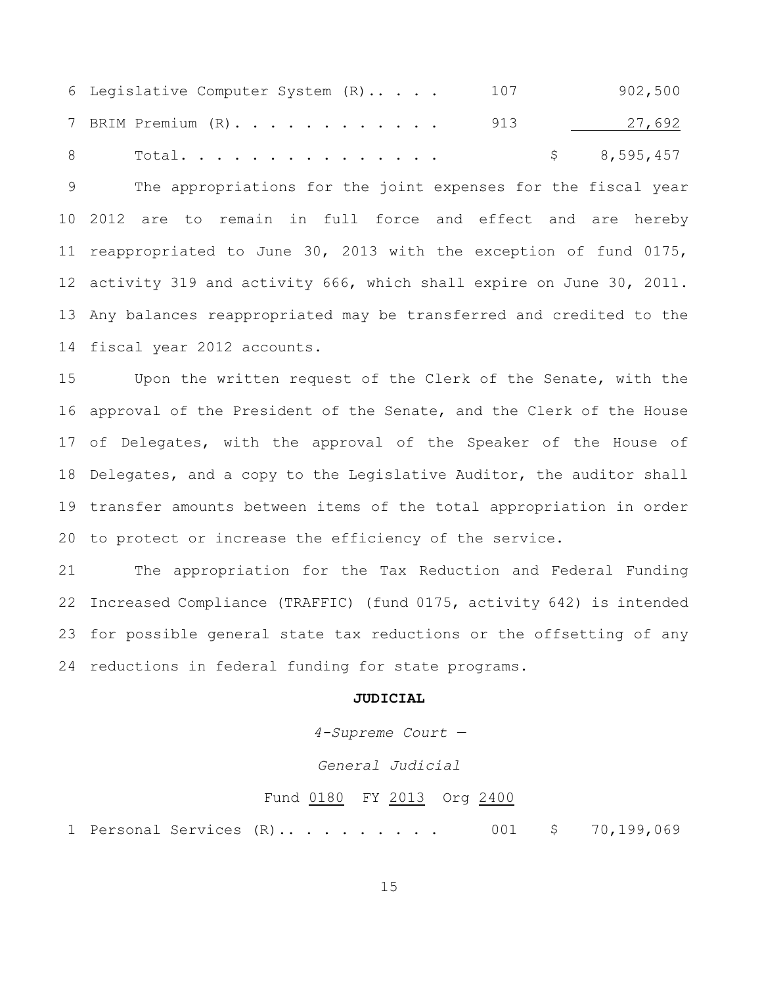Legislative Computer System (R).. . . . 107 902,500 7 BRIM Premium (R). . . . . . . . . . . 913 27,692 8 Total................ \$ 8,595,457

 The appropriations for the joint expenses for the fiscal year 2012 are to remain in full force and effect and are hereby reappropriated to June 30, 2013 with the exception of fund 0175, activity 319 and activity 666, which shall expire on June 30, 2011. Any balances reappropriated may be transferred and credited to the fiscal year 2012 accounts.

 Upon the written request of the Clerk of the Senate, with the approval of the President of the Senate, and the Clerk of the House of Delegates, with the approval of the Speaker of the House of Delegates, and a copy to the Legislative Auditor, the auditor shall transfer amounts between items of the total appropriation in order to protect or increase the efficiency of the service.

 The appropriation for the Tax Reduction and Federal Funding Increased Compliance (TRAFFIC) (fund 0175, activity 642) is intended for possible general state tax reductions or the offsetting of any reductions in federal funding for state programs.

#### **JUDICIAL**

*4-Supreme Court —*

### *General Judicial*

#### Fund 0180 FY 2013 Org 2400

Personal Services (R).. . . . . . . . . 001 \$ 70,199,069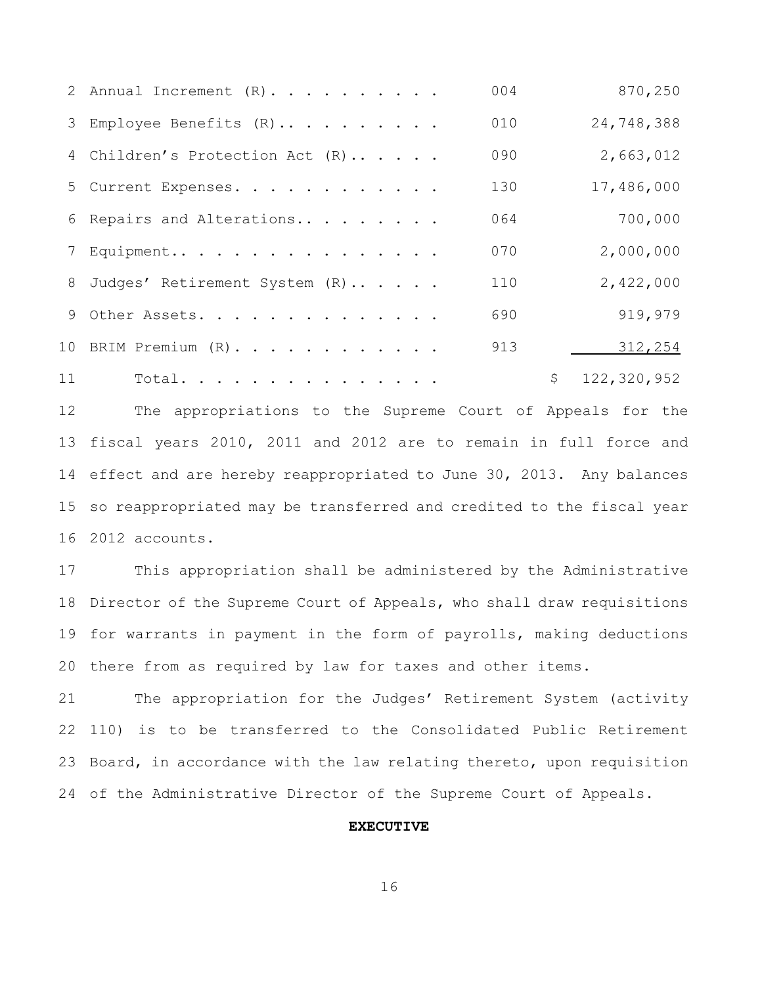|    | 2 Annual Increment $(R)$ .      | 004 | 870,250           |
|----|---------------------------------|-----|-------------------|
|    | 3 Employee Benefits (R)         | 010 | 24,748,388        |
|    | 4 Children's Protection Act (R) | 090 | 2,663,012         |
|    | 5 Current Expenses.             | 130 | 17,486,000        |
|    | 6 Repairs and Alterations       | 064 | 700,000           |
|    | 7 Equipment                     | 070 | 2,000,000         |
|    | 8 Judges' Retirement System (R) | 110 | 2,422,000         |
|    | 9 Other Assets.                 | 690 | 919,979           |
|    | 10 BRIM Premium (R).            | 913 | 312,254           |
| 11 | Total.                          |     | \$<br>122,320,952 |

 The appropriations to the Supreme Court of Appeals for the fiscal years 2010, 2011 and 2012 are to remain in full force and effect and are hereby reappropriated to June 30, 2013. Any balances so reappropriated may be transferred and credited to the fiscal year 2012 accounts.

 This appropriation shall be administered by the Administrative Director of the Supreme Court of Appeals, who shall draw requisitions for warrants in payment in the form of payrolls, making deductions there from as required by law for taxes and other items.

 The appropriation for the Judges' Retirement System (activity 110) is to be transferred to the Consolidated Public Retirement Board, in accordance with the law relating thereto, upon requisition of the Administrative Director of the Supreme Court of Appeals.

#### **EXECUTIVE**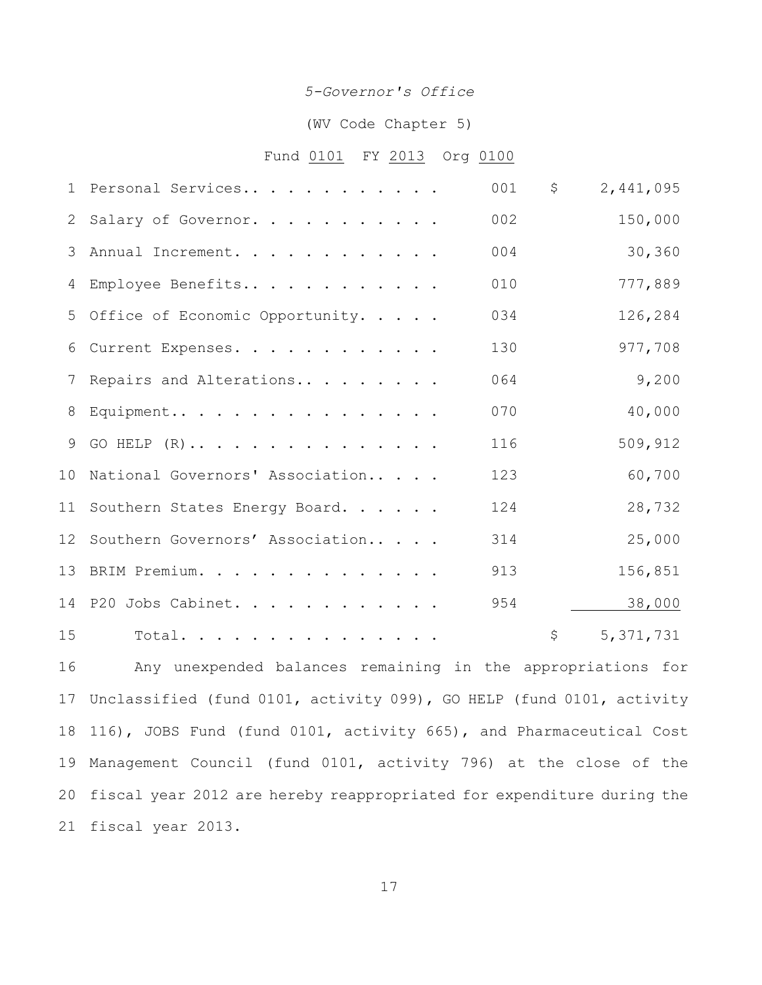#### *5-Governor's Office*

## (WV Code Chapter 5)

### Fund 0101 FY 2013 Org 0100

|    | 1 Personal Services                | 001 | \$<br>2,441,095   |
|----|------------------------------------|-----|-------------------|
| 2  | Salary of Governor.                | 002 | 150,000           |
| 3  | Annual Increment.                  | 004 | 30,360            |
|    | 4 Employee Benefits                | 010 | 777,889           |
|    | 5 Office of Economic Opportunity.  | 034 | 126,284           |
| 6  | Current Expenses.                  | 130 | 977,708           |
| 7  | Repairs and Alterations            | 064 | 9,200             |
| 8  | Equipment                          | 070 | 40,000            |
| 9  | GO HELP $(R)$                      | 116 | 509,912           |
|    | 10 National Governors' Association | 123 | 60,700            |
|    | 11 Southern States Energy Board.   | 124 | 28,732            |
|    | 12 Southern Governors' Association | 314 | 25,000            |
|    | 13 BRIM Premium.                   | 913 | 156,851           |
|    | 14 P20 Jobs Cabinet.               | 954 | 38,000            |
| 15 | Total.                             |     | \$<br>5, 371, 731 |

 Any unexpended balances remaining in the appropriations for Unclassified (fund 0101, activity 099), GO HELP (fund 0101, activity 116), JOBS Fund (fund 0101, activity 665), and Pharmaceutical Cost Management Council (fund 0101, activity 796) at the close of the fiscal year 2012 are hereby reappropriated for expenditure during the fiscal year 2013.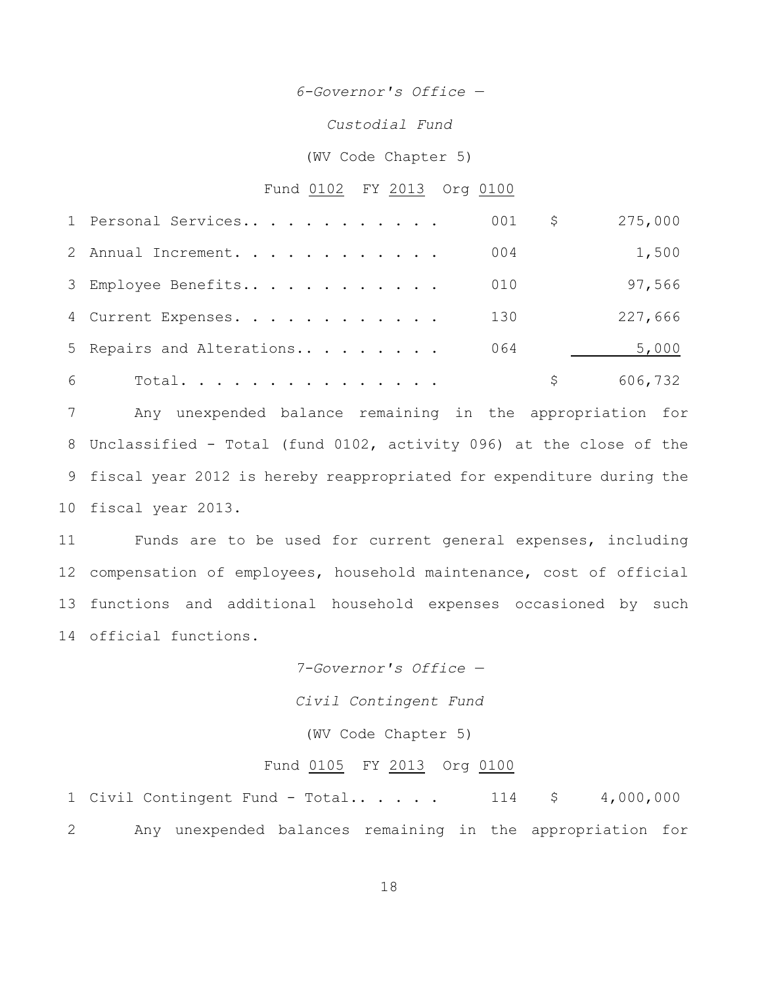*6-Governor's Office —*

*Custodial Fund*

(WV Code Chapter 5)

#### Fund 0102 FY 2013 Org 0100

|   | 1 Personal Services       | 001 | Ş. | 275,000 |
|---|---------------------------|-----|----|---------|
|   | 2 Annual Increment.       | 004 |    | 1,500   |
|   | 3 Employee Benefits       | 010 |    | 97,566  |
|   | 4 Current Expenses.       | 130 |    | 227,666 |
|   | 5 Repairs and Alterations | 064 |    | 5,000   |
| 6 | Total.                    |     |    | 606,732 |

 Any unexpended balance remaining in the appropriation for Unclassified - Total (fund 0102, activity 096) at the close of the fiscal year 2012 is hereby reappropriated for expenditure during the fiscal year 2013.

 Funds are to be used for current general expenses, including compensation of employees, household maintenance, cost of official functions and additional household expenses occasioned by such official functions.

> *7-Governor's Office — Civil Contingent Fund* (WV Code Chapter 5)

## Fund 0105 FY 2013 Org 0100

1 Civil Contingent Fund - Total.. . . . . 114 \$ 4,000,000 Any unexpended balances remaining in the appropriation for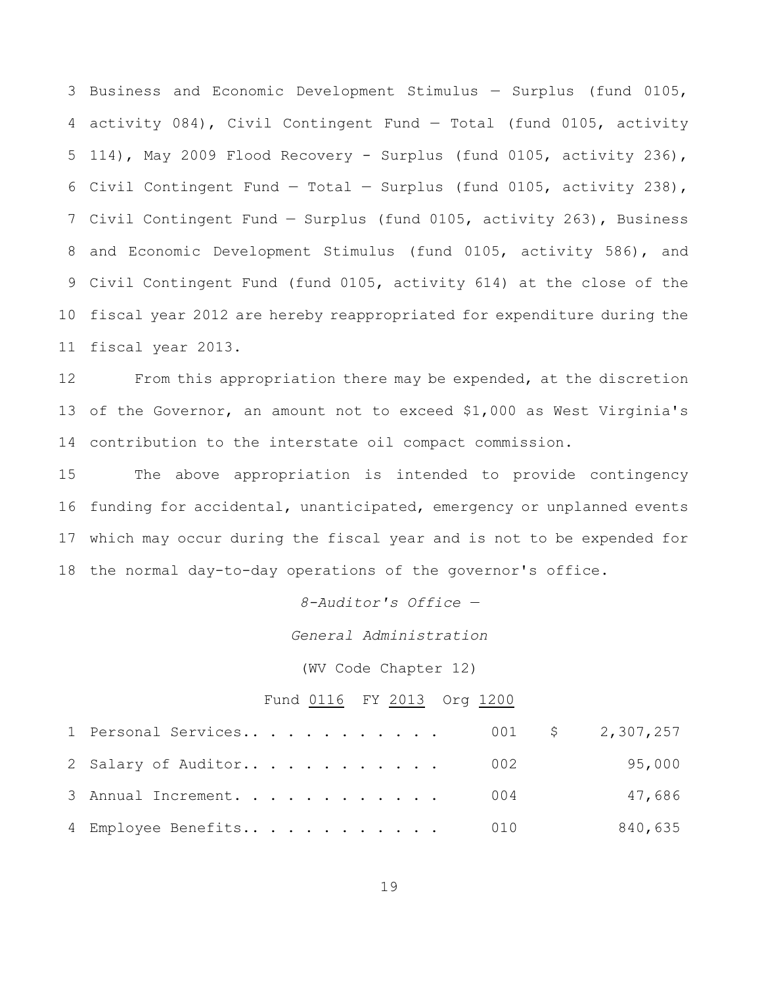Business and Economic Development Stimulus — Surplus (fund 0105, activity 084), Civil Contingent Fund — Total (fund 0105, activity 114), May 2009 Flood Recovery - Surplus (fund 0105, activity 236), 6 Civil Contingent Fund  $-$  Total  $-$  Surplus (fund 0105, activity 238), Civil Contingent Fund — Surplus (fund 0105, activity 263), Business and Economic Development Stimulus (fund 0105, activity 586), and Civil Contingent Fund (fund 0105, activity 614) at the close of the fiscal year 2012 are hereby reappropriated for expenditure during the fiscal year 2013.

 From this appropriation there may be expended, at the discretion of the Governor, an amount not to exceed \$1,000 as West Virginia's contribution to the interstate oil compact commission.

 The above appropriation is intended to provide contingency funding for accidental, unanticipated, emergency or unplanned events which may occur during the fiscal year and is not to be expended for the normal day-to-day operations of the governor's office.

*8-Auditor's Office —*

*General Administration*

(WV Code Chapter 12)

#### Fund 0116 FY 2013 Org 1200

| 1 Personal Services 001 \$ 2,307,257 |  |  |         |
|--------------------------------------|--|--|---------|
| 2 Salary of Auditor 002              |  |  | 95,000  |
| 3 Annual Increment. 004              |  |  | 47,686  |
| 4 Employee Benefits 010              |  |  | 840,635 |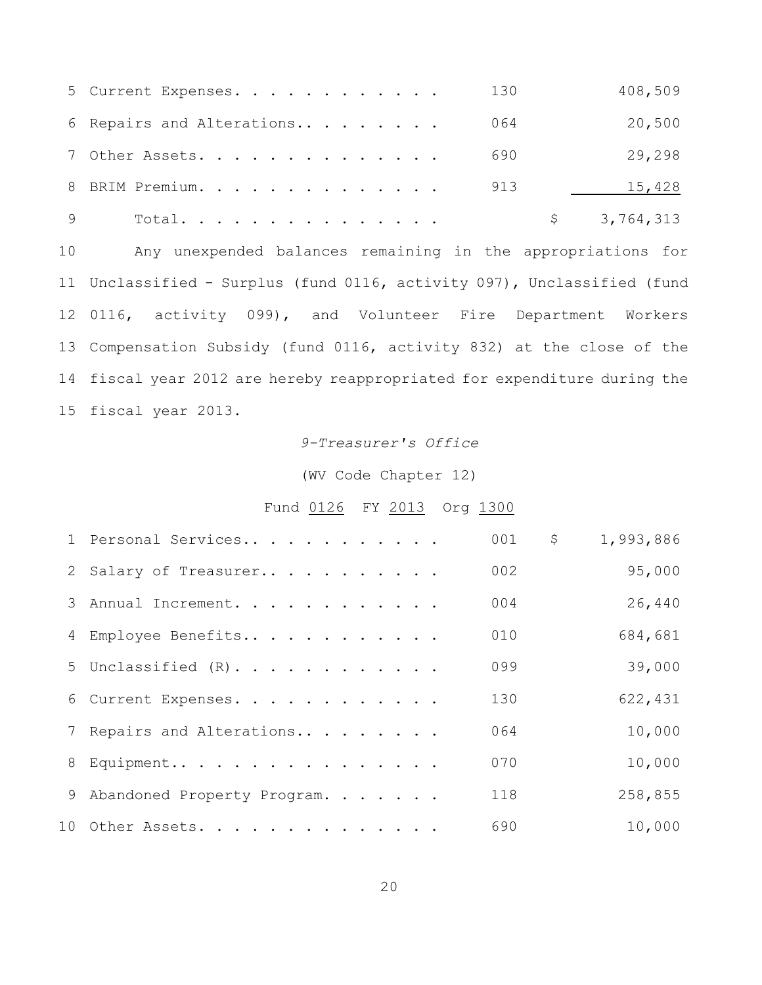|    | 130<br>5 Current Expenses.                                               | 408,509     |
|----|--------------------------------------------------------------------------|-------------|
|    | 064<br>6 Repairs and Alterations                                         | 20,500      |
|    | 7 Other Assets.<br>690                                                   | 29,298      |
|    | 8 BRIM Premium.<br>913                                                   | 15,428      |
| 9  | Total.                                                                   | \$3,764,313 |
| 10 | Any unexpended balances remaining in the appropriations for              |             |
|    | 11 Unclassified - Surplus (fund 0116, activity 097), Unclassified (fund  |             |
|    | 12 0116, activity 099), and Volunteer Fire Department Workers            |             |
|    | 13 Compensation Subsidy (fund 0116, activity 832) at the close of the    |             |
|    | 14 fiscal year 2012 are hereby reappropriated for expenditure during the |             |

fiscal year 2013.

# *9-Treasurer's Office*

(WV Code Chapter 12)

# Fund 0126 FY 2013 Org 1300

| 1 Personal Services           | 001 | \$<br>1,993,886 |
|-------------------------------|-----|-----------------|
| 2 Salary of Treasurer         | 002 | 95,000          |
| 3 Annual Increment.           | 004 | 26,440          |
| 4 Employee Benefits           | 010 | 684,681         |
| 5 Unclassified (R).           | 099 | 39,000          |
| 6 Current Expenses.           | 130 | 622,431         |
| 7 Repairs and Alterations     | 064 | 10,000          |
| 8 Equipment                   | 070 | 10,000          |
| 9 Abandoned Property Program. | 118 | 258,855         |
| 10 Other Assets.              | 690 | 10,000          |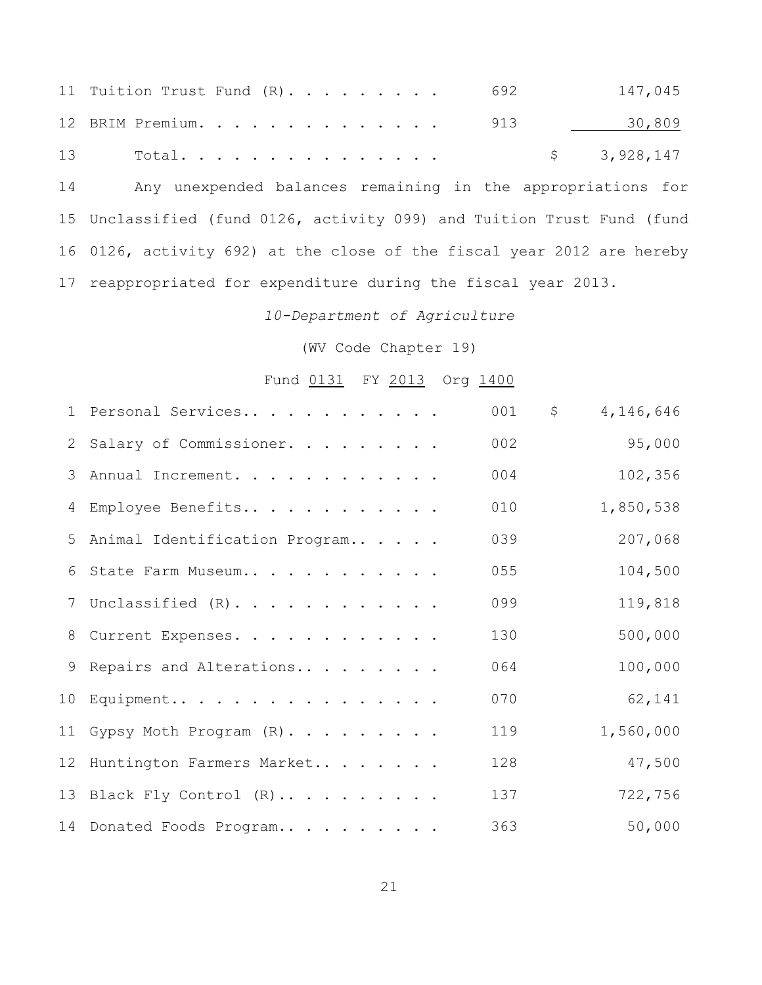|    | 11 Tuition Trust Fund $(R)$ 692                             |  |  |  |  | 147,045     |  |
|----|-------------------------------------------------------------|--|--|--|--|-------------|--|
|    | 12 BRIM Premium. 913                                        |  |  |  |  | 30,809      |  |
| 13 | Total. $\, \cdot \,$                                        |  |  |  |  | \$3,928,147 |  |
| 14 | Any unexpended balances remaining in the appropriations for |  |  |  |  |             |  |

 Unclassified (fund 0126, activity 099) and Tuition Trust Fund (fund 0126, activity 692) at the close of the fiscal year 2012 are hereby reappropriated for expenditure during the fiscal year 2013.

*10-Department of Agriculture*

(WV Code Chapter 19)

# Fund 0131 FY 2013 Org 1400

| 1 Personal Services             | 001 | $\mathsf{S}$<br>4,146,646 |
|---------------------------------|-----|---------------------------|
| 2 Salary of Commissioner.       | 002 | 95,000                    |
| 3 Annual Increment.             | 004 | 102,356                   |
| 4 Employee Benefits             | 010 | 1,850,538                 |
| 5 Animal Identification Program | 039 | 207,068                   |
| 6 State Farm Museum             | 055 | 104,500                   |
| 7 Unclassified (R).             | 099 | 119,818                   |
| 8 Current Expenses.             | 130 | 500,000                   |
| 9 Repairs and Alterations       | 064 | 100,000                   |
| 10 Equipment                    | 070 | 62,141                    |
| 11 Gypsy Moth Program (R).      | 119 | 1,560,000                 |
| 12 Huntington Farmers Market    | 128 | 47,500                    |
| 13 Black Fly Control (R)        | 137 | 722,756                   |
| 14 Donated Foods Program        | 363 | 50,000                    |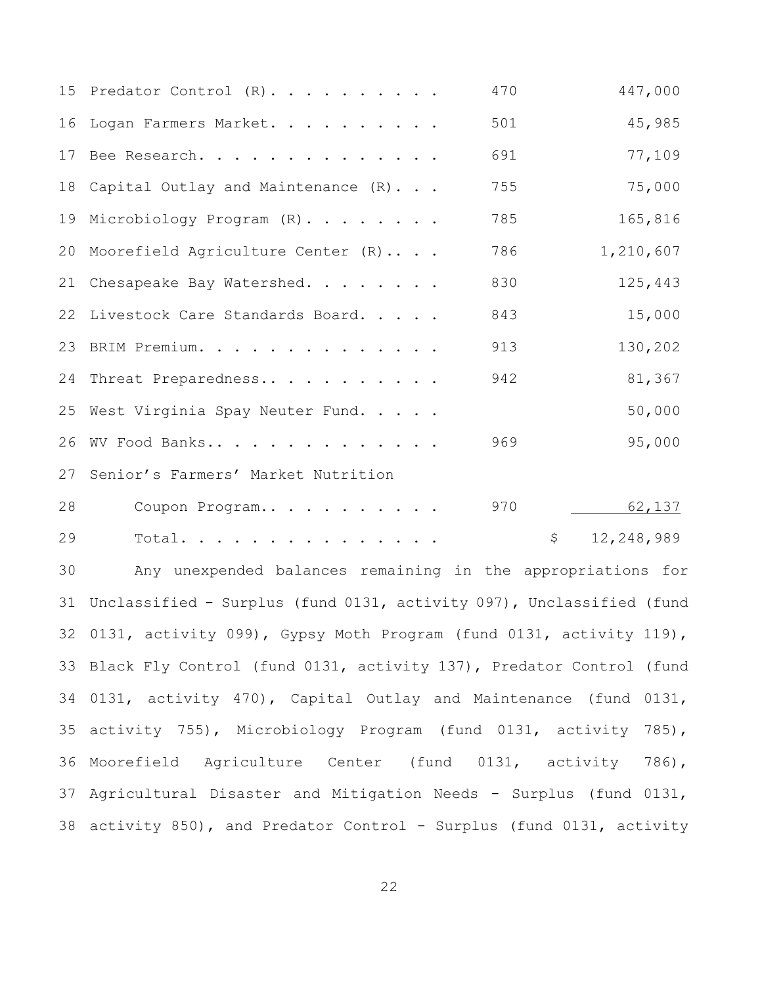|    | 447,000<br>470<br>15 Predator Control (R).                             |  |
|----|------------------------------------------------------------------------|--|
| 16 | 501<br>45,985<br>Logan Farmers Market.                                 |  |
|    | 77,109<br>691<br>17 Bee Research.                                      |  |
| 18 | 75,000<br>755<br>Capital Outlay and Maintenance (R)                    |  |
| 19 | 165,816<br>785<br>Microbiology Program (R).                            |  |
| 20 | 1,210,607<br>Moorefield Agriculture Center (R)<br>786                  |  |
| 21 | 830<br>125,443<br>Chesapeake Bay Watershed.                            |  |
| 22 | 15,000<br>Livestock Care Standards Board.<br>843                       |  |
| 23 | 913<br>130,202<br>BRIM Premium.                                        |  |
| 24 | 942<br>81,367<br>Threat Preparedness                                   |  |
|    | 50,000<br>25 West Virginia Spay Neuter Fund.                           |  |
| 26 | 95,000<br>969<br>WV Food Banks                                         |  |
| 27 | Senior's Farmers' Market Nutrition                                     |  |
| 28 | 970<br>62,137<br>Coupon Program                                        |  |
| 29 | \$<br>12,248,989<br>Total.                                             |  |
| 30 | Any unexpended balances remaining in the appropriations for            |  |
| 31 | Unclassified - Surplus (fund 0131, activity 097), Unclassified (fund   |  |
|    | 32 0131, activity 099), Gypsy Moth Program (fund 0131, activity 119),  |  |
|    | 33 Black Fly Control (fund 0131, activity 137), Predator Control (fund |  |
|    | 34 0131, activity 470), Capital Outlay and Maintenance (fund 0131,     |  |
|    | 35 activity 755), Microbiology Program (fund 0131, activity 785),      |  |
|    | 36 Moorefield Agriculture Center (fund 0131, activity 786),            |  |
|    | 37 Agricultural Disaster and Mitigation Needs - Surplus (fund 0131,    |  |
|    | 38 activity 850), and Predator Control - Surplus (fund 0131, activity  |  |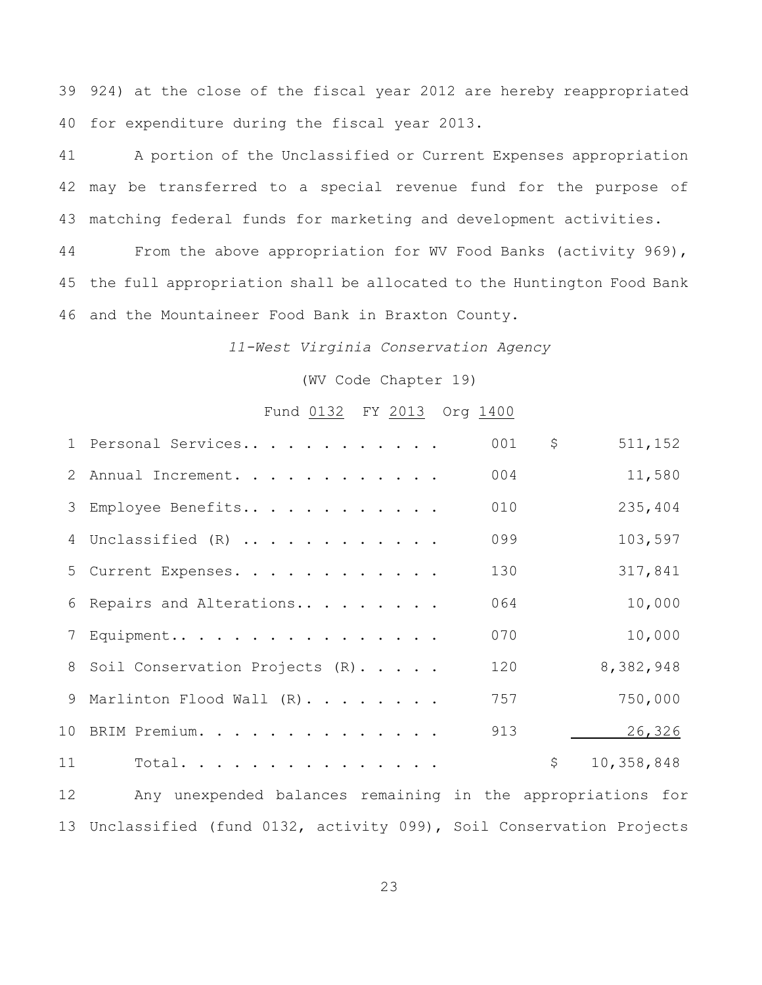924) at the close of the fiscal year 2012 are hereby reappropriated for expenditure during the fiscal year 2013.

 A portion of the Unclassified or Current Expenses appropriation may be transferred to a special revenue fund for the purpose of matching federal funds for marketing and development activities.

 From the above appropriation for WV Food Banks (activity 969), the full appropriation shall be allocated to the Huntington Food Bank and the Mountaineer Food Bank in Braxton County.

*11-West Virginia Conservation Agency*

(WV Code Chapter 19)

### Fund 0132 FY 2013 Org 1400

|    | 1 Personal Services                                         | 001 | \$<br>511,152    |
|----|-------------------------------------------------------------|-----|------------------|
|    | 2 Annual Increment.                                         | 004 | 11,580           |
|    | 3 Employee Benefits                                         | 010 | 235,404          |
|    | 4 Unclassified (R)                                          | 099 | 103,597          |
|    | 5 Current Expenses.                                         | 130 | 317,841          |
|    | 6 Repairs and Alterations                                   | 064 | 10,000           |
|    | 7 Equipment                                                 | 070 | 10,000           |
|    | 8 Soil Conservation Projects (R).                           | 120 | 8,382,948        |
|    | 9 Marlinton Flood Wall $(R)$                                | 757 | 750,000          |
|    | 10 BRIM Premium.                                            | 913 | 26,326           |
| 11 | Total.                                                      |     | \$<br>10,358,848 |
| 12 | Any unexpended balances remaining in the appropriations for |     |                  |

Unclassified (fund 0132, activity 099), Soil Conservation Projects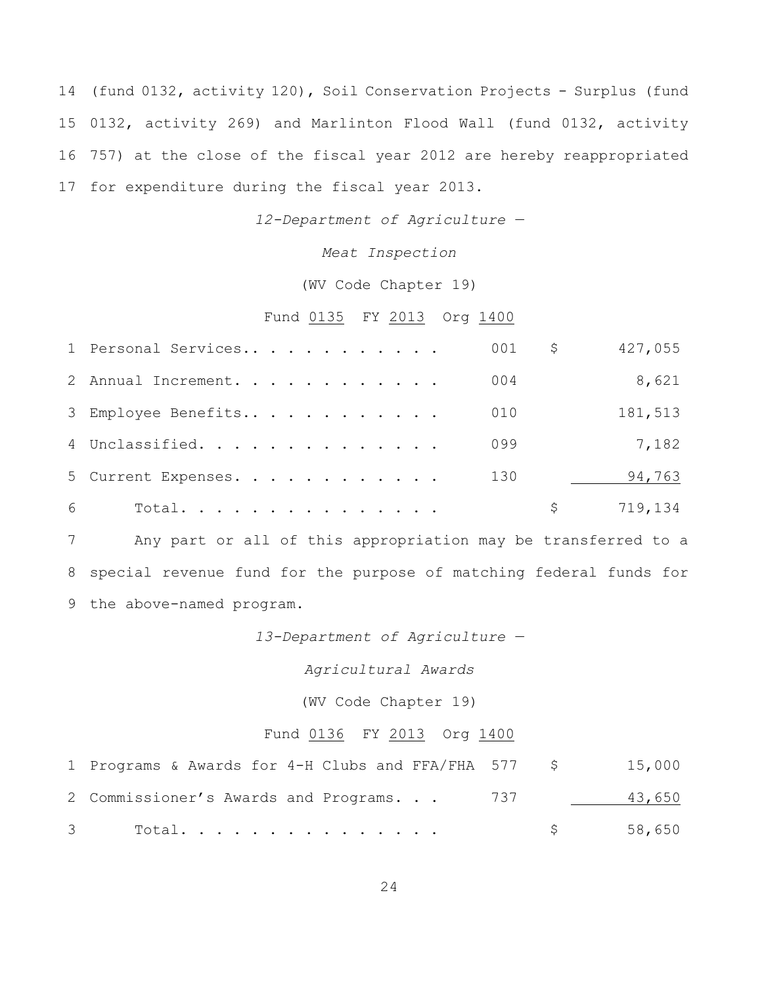(fund 0132, activity 120), Soil Conservation Projects - Surplus (fund 0132, activity 269) and Marlinton Flood Wall (fund 0132, activity 757) at the close of the fiscal year 2012 are hereby reappropriated for expenditure during the fiscal year 2013.

*12-Department of Agriculture —*

*Meat Inspection*

(WV Code Chapter 19)

## Fund 0135 FY 2013 Org 1400

|   | 1 Personal Services |  |  |  |  |  | 001 | \$. | 427,055 |
|---|---------------------|--|--|--|--|--|-----|-----|---------|
|   | 2 Annual Increment. |  |  |  |  |  | 004 |     | 8,621   |
|   | 3 Employee Benefits |  |  |  |  |  | 010 |     | 181,513 |
|   | 4 Unclassified.     |  |  |  |  |  | 099 |     | 7,182   |
|   | 5 Current Expenses. |  |  |  |  |  | 130 |     | 94,763  |
| 6 | Total.              |  |  |  |  |  |     |     | 719,134 |

 Any part or all of this appropriation may be transferred to a special revenue fund for the purpose of matching federal funds for the above-named program.

*13-Department of Agriculture —*

*Agricultural Awards*

(WV Code Chapter 19)

## Fund 0136 FY 2013 Org 1400

| 1 Programs & Awards for 4-H Clubs and FFA/FHA 577 \$ |                   | 15,000 |
|------------------------------------------------------|-------------------|--------|
| 2 Commissioner's Awards and Programs. 737            |                   | 43,650 |
| $\mathcal{S}$ and $\mathcal{S}$<br>Total.            | $S \qquad \qquad$ | 58,650 |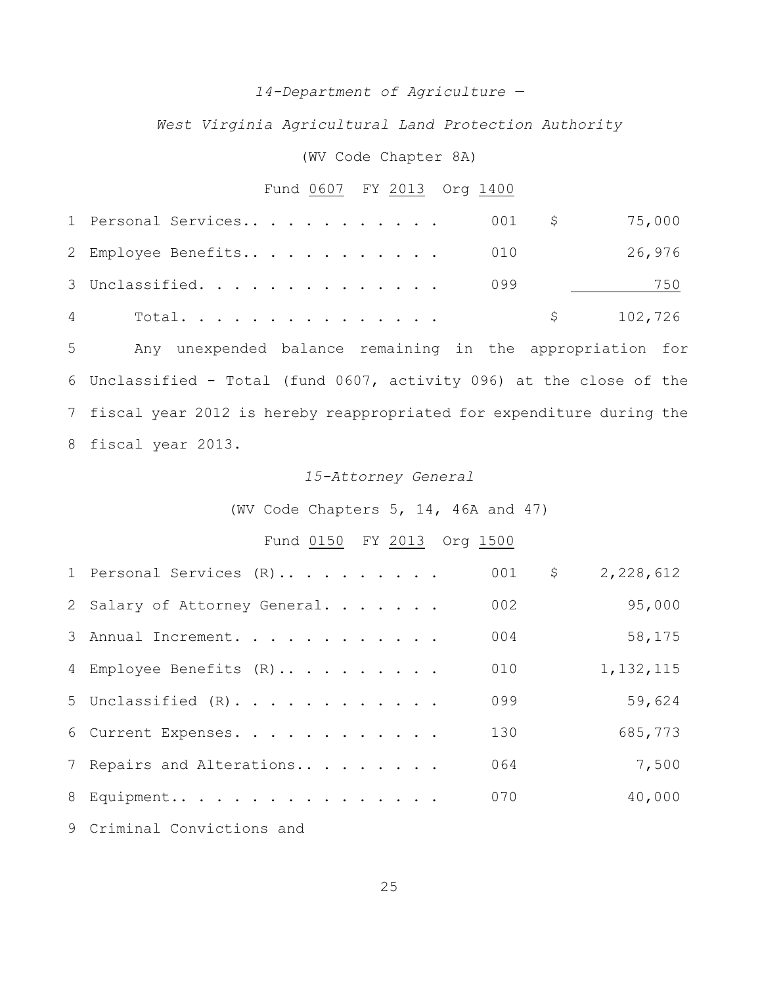### *14-Department of Agriculture —*

*West Virginia Agricultural Land Protection Authority*

### (WV Code Chapter 8A)

# Fund 0607 FY 2013 Org 1400

| 1 Personal Services 001 \$ 75,000 |  |  |  |  |  |  |                         |        |
|-----------------------------------|--|--|--|--|--|--|-------------------------|--------|
| 2 Employee Benefits 010           |  |  |  |  |  |  |                         | 26,976 |
| 3 Unclassified. 099               |  |  |  |  |  |  | <u> 1999 - Jan Jawa</u> | 750    |
|                                   |  |  |  |  |  |  | \$102,726               |        |

 Any unexpended balance remaining in the appropriation for Unclassified - Total (fund 0607, activity 096) at the close of the fiscal year 2012 is hereby reappropriated for expenditure during the fiscal year 2013.

### *15-Attorney General*

(WV Code Chapters 5, 14, 46A and 47)

## Fund 0150 FY 2013 Org 1500

| 1 Personal Services (R)       | 001 | \$<br>2,228,612 |  |
|-------------------------------|-----|-----------------|--|
| 2 Salary of Attorney General. | 002 | 95,000          |  |
| 3 Annual Increment.           | 004 | 58,175          |  |
| 4 Employee Benefits (R)       | 010 | 1, 132, 115     |  |
| 5 Unclassified $(R)$ .        | 099 | 59,624          |  |
| 6 Current Expenses.           | 130 | 685,773         |  |
| 7 Repairs and Alterations     | 064 | 7,500           |  |
| 8 Equipment                   | 070 | 40,000          |  |
|                               |     |                 |  |

Criminal Convictions and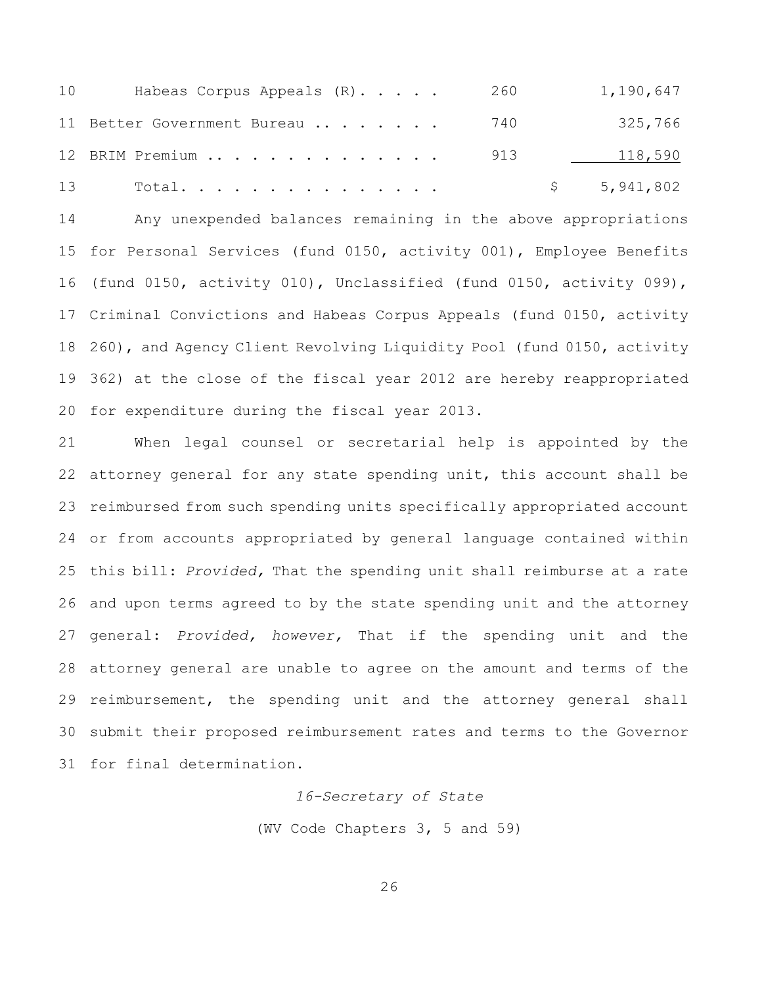| 10 | Habeas Corpus Appeals (R)        | 260 | 1,190,647   |
|----|----------------------------------|-----|-------------|
|    | 11 Better Government Bureau  740 |     | 325,766     |
|    | 12 BRIM Premium                  | 913 | 118,590     |
| 13 | Total.                           |     | \$5,941,802 |

 Any unexpended balances remaining in the above appropriations for Personal Services (fund 0150, activity 001), Employee Benefits (fund 0150, activity 010), Unclassified (fund 0150, activity 099), Criminal Convictions and Habeas Corpus Appeals (fund 0150, activity 260), and Agency Client Revolving Liquidity Pool (fund 0150, activity 362) at the close of the fiscal year 2012 are hereby reappropriated for expenditure during the fiscal year 2013.

 When legal counsel or secretarial help is appointed by the attorney general for any state spending unit, this account shall be reimbursed from such spending units specifically appropriated account or from accounts appropriated by general language contained within this bill: *Provided,* That the spending unit shall reimburse at a rate and upon terms agreed to by the state spending unit and the attorney general: *Provided, however,* That if the spending unit and the attorney general are unable to agree on the amount and terms of the reimbursement, the spending unit and the attorney general shall submit their proposed reimbursement rates and terms to the Governor for final determination.

*16-Secretary of State*

(WV Code Chapters 3, 5 and 59)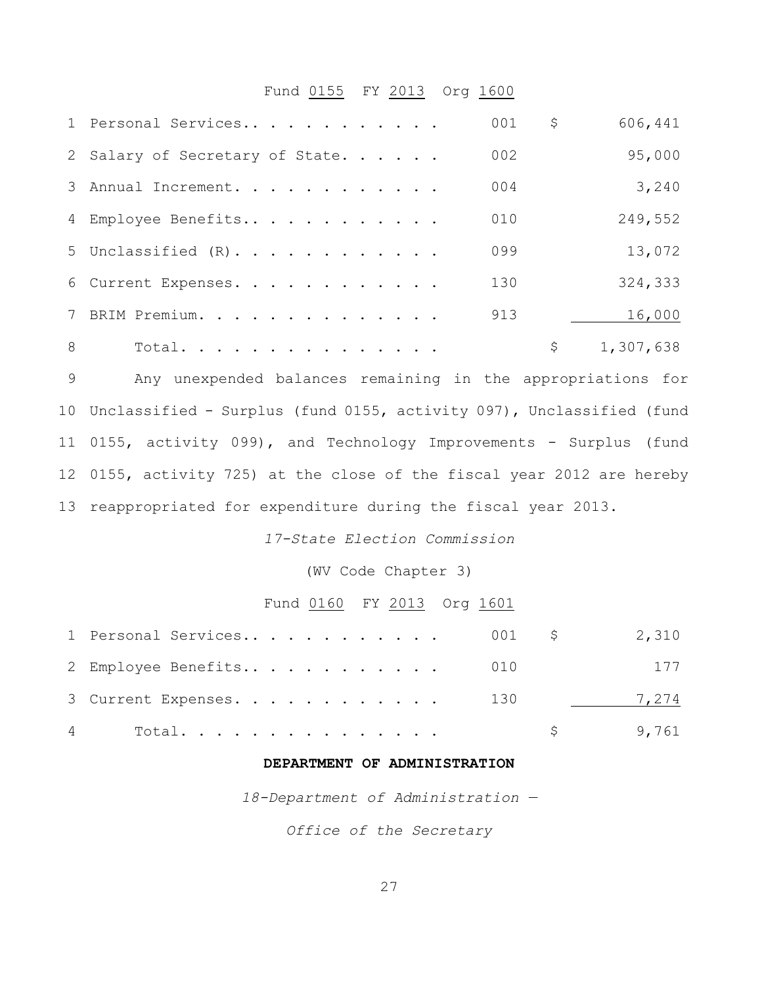## Fund 0155 FY 2013 Org 1600

|   | 1 Personal Services             | 001 | \$<br>606,441   |
|---|---------------------------------|-----|-----------------|
|   | 2 Salary of Secretary of State. | 002 | 95,000          |
|   | 3 Annual Increment.             | 004 | 3,240           |
|   | 4 Employee Benefits             | 010 | 249,552         |
|   | 5 Unclassified $(R)$ .          | 099 | 13,072          |
|   | 6 Current Expenses.             | 130 | 324,333         |
|   | 7 BRIM Premium.                 | 913 | 16,000          |
| 8 | Total.                          |     | \$<br>1,307,638 |

 Any unexpended balances remaining in the appropriations for Unclassified - Surplus (fund 0155, activity 097), Unclassified (fund 0155, activity 099), and Technology Improvements - Surplus (fund 0155, activity 725) at the close of the fiscal year 2012 are hereby reappropriated for expenditure during the fiscal year 2013.

*17-State Election Commission*

(WV Code Chapter 3)

## Fund 0160 FY 2013 Org 1601

| $4\degree$<br>Total.             | $\frac{1}{2}$ 9,761 |     |
|----------------------------------|---------------------|-----|
| 3 Current Expenses. 130          | 7,274               |     |
| 2 Employee Benefits 010          |                     | 177 |
| 1 Personal Services 001 \$ 2,310 |                     |     |

### **DEPARTMENT OF ADMINISTRATION**

*18-Department of Administration —*

*Office of the Secretary*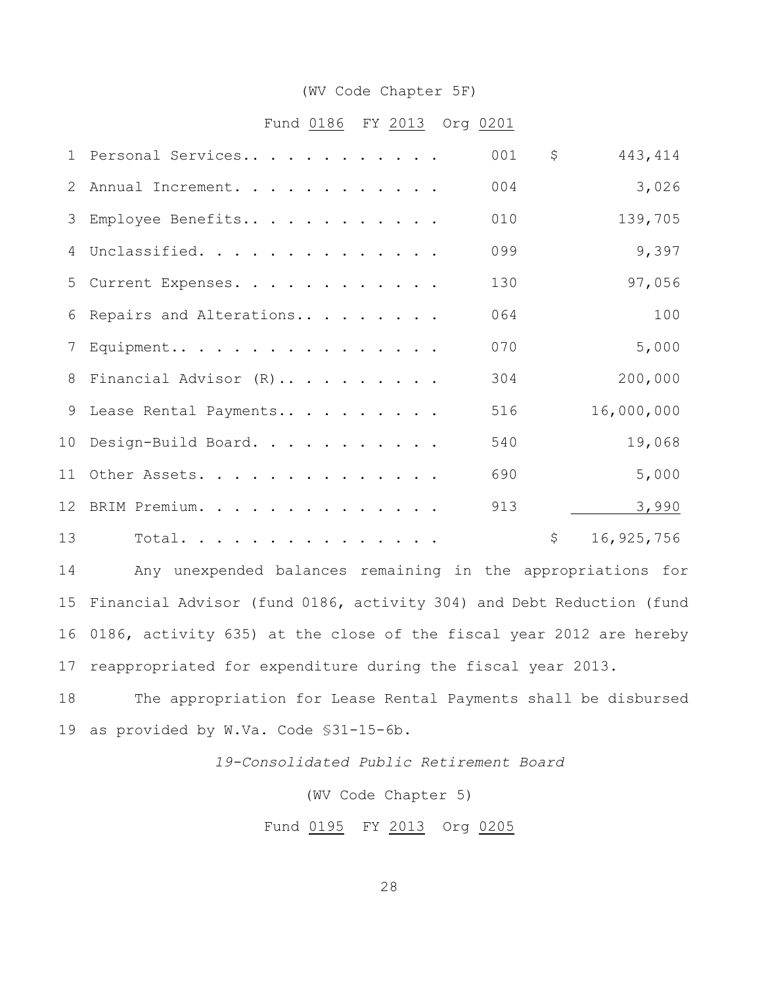#### (WV Code Chapter 5F)

## Fund 0186 FY 2013 Org 0201

|    | 1 Personal Services       | 001 | $\mathsf{S}$ | 443, 414   |
|----|---------------------------|-----|--------------|------------|
|    | 2 Annual Increment.       | 004 |              | 3,026      |
|    | 3 Employee Benefits       | 010 |              | 139,705    |
|    | 4 Unclassified.           | 099 |              | 9,397      |
|    | 5 Current Expenses.       | 130 |              | 97,056     |
|    | 6 Repairs and Alterations | 064 |              | 100        |
|    | 7 Equipment               | 070 |              | 5,000      |
|    | 8 Financial Advisor (R)   | 304 |              | 200,000    |
|    | 9 Lease Rental Payments   | 516 |              | 16,000,000 |
|    | 10 Design-Build Board.    | 540 |              | 19,068     |
|    | 11 Other Assets.          | 690 |              | 5,000      |
|    | 12 BRIM Premium.          | 913 |              | 3,990      |
| 13 | Total.                    |     | \$           | 16,925,756 |

 Any unexpended balances remaining in the appropriations for Financial Advisor (fund 0186, activity 304) and Debt Reduction (fund 0186, activity 635) at the close of the fiscal year 2012 are hereby reappropriated for expenditure during the fiscal year 2013.

 The appropriation for Lease Rental Payments shall be disbursed as provided by W.Va. Code §31-15-6b.

*19-Consolidated Public Retirement Board*

(WV Code Chapter 5)

Fund 0195 FY 2013 Org 0205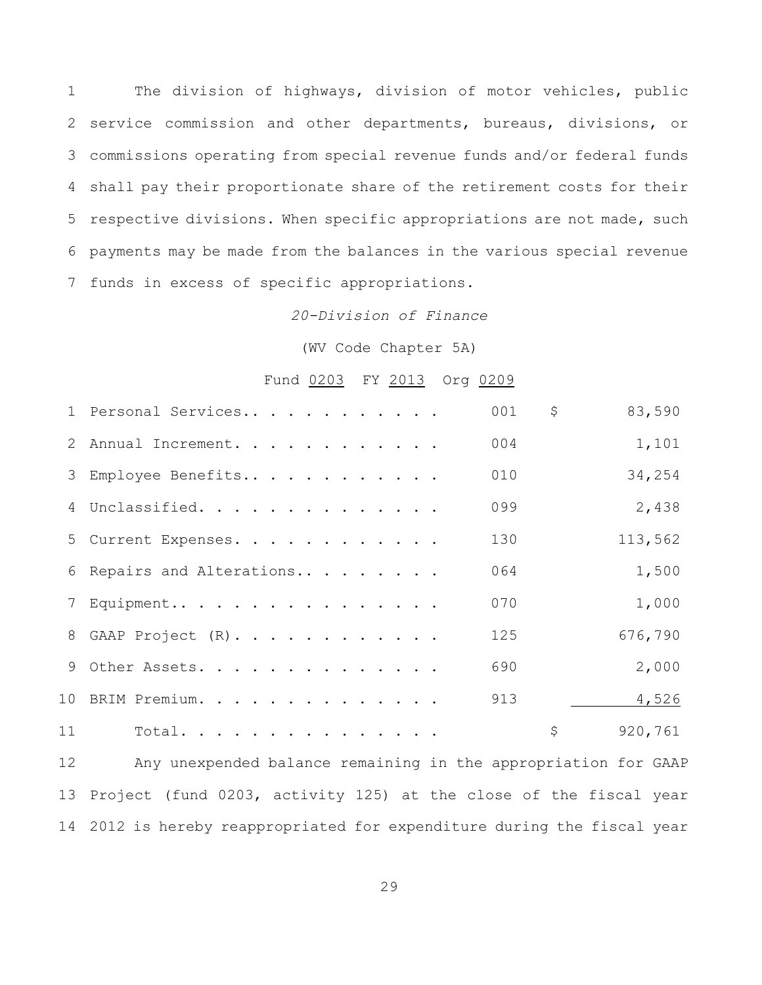The division of highways, division of motor vehicles, public service commission and other departments, bureaus, divisions, or commissions operating from special revenue funds and/or federal funds shall pay their proportionate share of the retirement costs for their respective divisions. When specific appropriations are not made, such payments may be made from the balances in the various special revenue funds in excess of specific appropriations.

## *20-Division of Finance*

(WV Code Chapter 5A)

## Fund 0203 FY 2013 Org 0209

|    | 1 Personal Services       | 001 | \$<br>83,590  |
|----|---------------------------|-----|---------------|
|    | 2 Annual Increment.       | 004 | 1,101         |
|    | 3 Employee Benefits       | 010 | 34,254        |
|    | 4 Unclassified.           | 099 | 2,438         |
|    | 5 Current Expenses.       | 130 | 113,562       |
|    | 6 Repairs and Alterations | 064 | 1,500         |
|    | 7 Equipment               | 070 | 1,000         |
|    | 8 GAAP Project (R).       | 125 | 676,790       |
|    | 9 Other Assets.           | 690 | 2,000         |
|    | 10 BRIM Premium.          | 913 | 4,526         |
| 11 | Total.                    |     | \$<br>920,761 |
|    |                           |     |               |

 Any unexpended balance remaining in the appropriation for GAAP Project (fund 0203, activity 125) at the close of the fiscal year 2012 is hereby reappropriated for expenditure during the fiscal year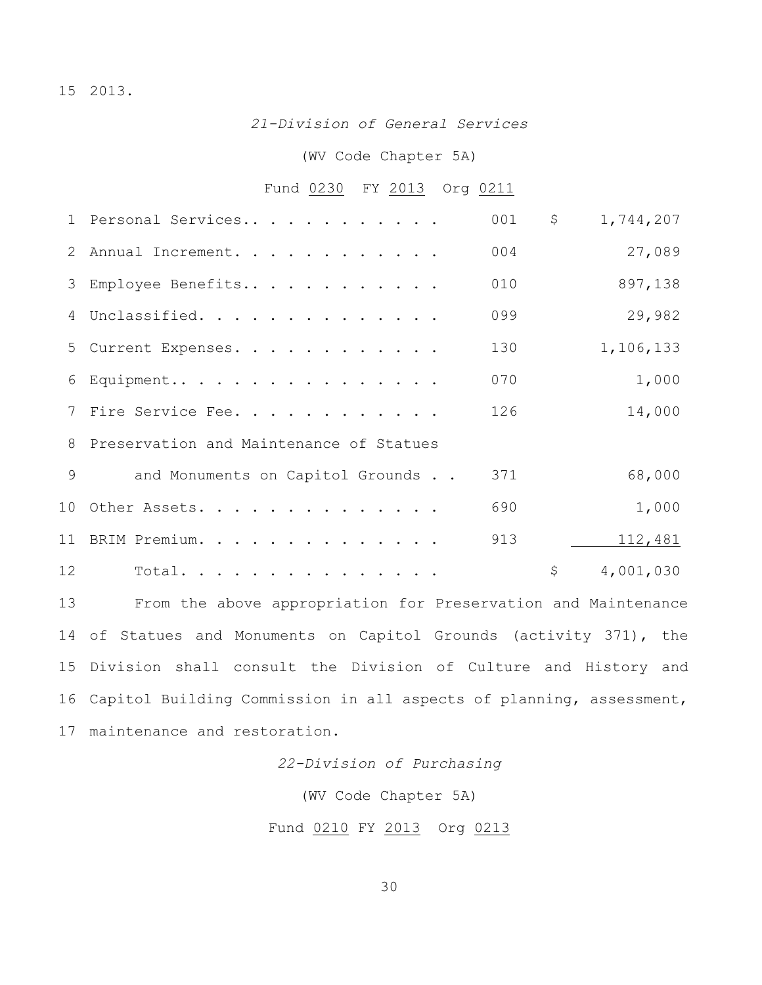## 2013.

*21-Division of General Services*

### (WV Code Chapter 5A)

# Fund 0230 FY 2013 Org 0211

|    | 1 Personal Services                                           | 001<br>\$ | 1,744,207 |
|----|---------------------------------------------------------------|-----------|-----------|
|    | 2 Annual Increment.                                           | 004       | 27,089    |
|    | 3 Employee Benefits                                           | 010       | 897,138   |
|    | 4 Unclassified.                                               | 099       | 29,982    |
|    | 5 Current Expenses.                                           | 130       | 1,106,133 |
|    | $6$ Equipment                                                 | 070       | 1,000     |
|    | 7 Fire Service Fee.                                           | 126       | 14,000    |
|    | 8 Preservation and Maintenance of Statues                     |           |           |
| 9  | and Monuments on Capitol Grounds                              | 371       | 68,000    |
|    | 10 Other Assets.                                              | 690       | 1,000     |
|    | 11 BRIM Premium.                                              | 913       | 112,481   |
| 12 | Total.                                                        | \$        | 4,001,030 |
| 13 | From the above appropriation for Preservation and Maintenance |           |           |
|    |                                                               |           |           |

 of Statues and Monuments on Capitol Grounds (activity 371), the Division shall consult the Division of Culture and History and Capitol Building Commission in all aspects of planning, assessment, maintenance and restoration.

*22-Division of Purchasing*

(WV Code Chapter 5A)

Fund 0210 FY 2013 Org 0213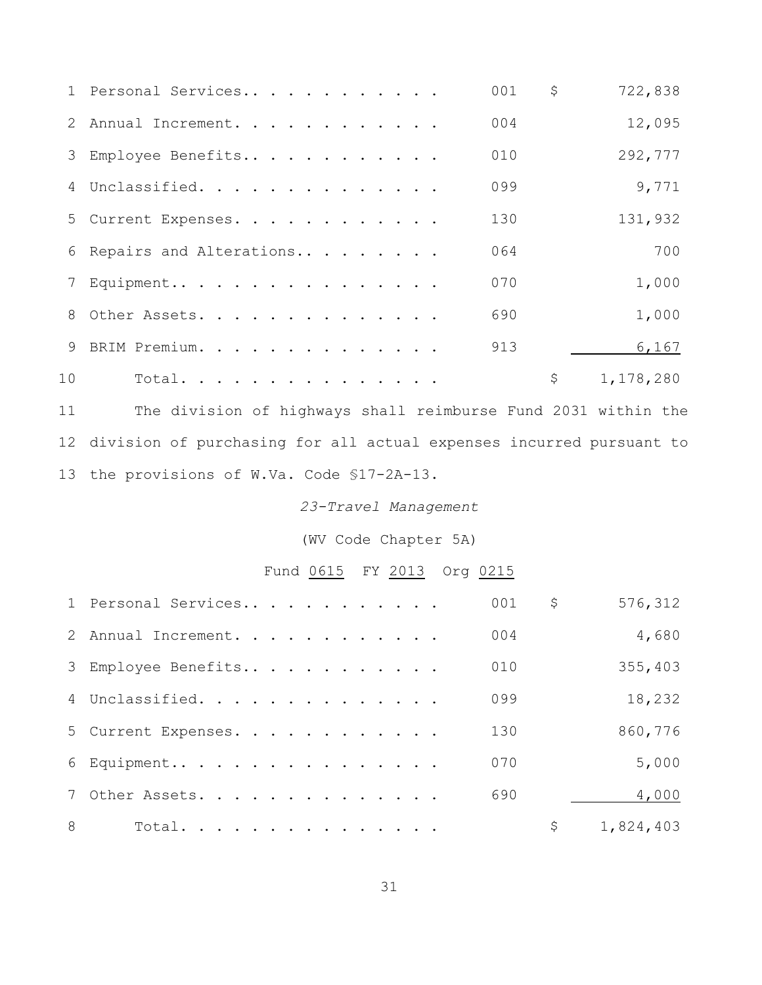|                 | 1 Personal Services       | 001 | \$<br>722,838   |
|-----------------|---------------------------|-----|-----------------|
|                 | 2 Annual Increment.       | 004 | 12,095          |
|                 | 3 Employee Benefits       | 010 | 292,777         |
|                 | 4 Unclassified.           | 099 | 9,771           |
|                 | 5 Current Expenses.       | 130 | 131,932         |
|                 | 6 Repairs and Alterations | 064 | 700             |
|                 | 7 Equipment               | 070 | 1,000           |
|                 | 8 Other Assets.           | 690 | 1,000           |
|                 | 9 BRIM Premium.           | 913 | 6,167           |
| 10 <sup>°</sup> | Total.                    |     | \$<br>1,178,280 |

 The division of highways shall reimburse Fund 2031 within the division of purchasing for all actual expenses incurred pursuant to the provisions of W.Va. Code §17-2A-13.

## *23-Travel Management*

(WV Code Chapter 5A)

Fund 0615 FY 2013 Org 0215

|   | 1 Personal Services | 001 | \$<br>576,312   |
|---|---------------------|-----|-----------------|
|   | 2 Annual Increment. | 004 | 4,680           |
|   | 3 Employee Benefits | 010 | 355,403         |
|   | 4 Unclassified.     | 099 | 18,232          |
|   | 5 Current Expenses. | 130 | 860,776         |
|   | 6 Equipment         | 070 | 5,000           |
|   | 7 Other Assets.     | 690 | 4,000           |
| 8 | Total.              |     | \$<br>1,824,403 |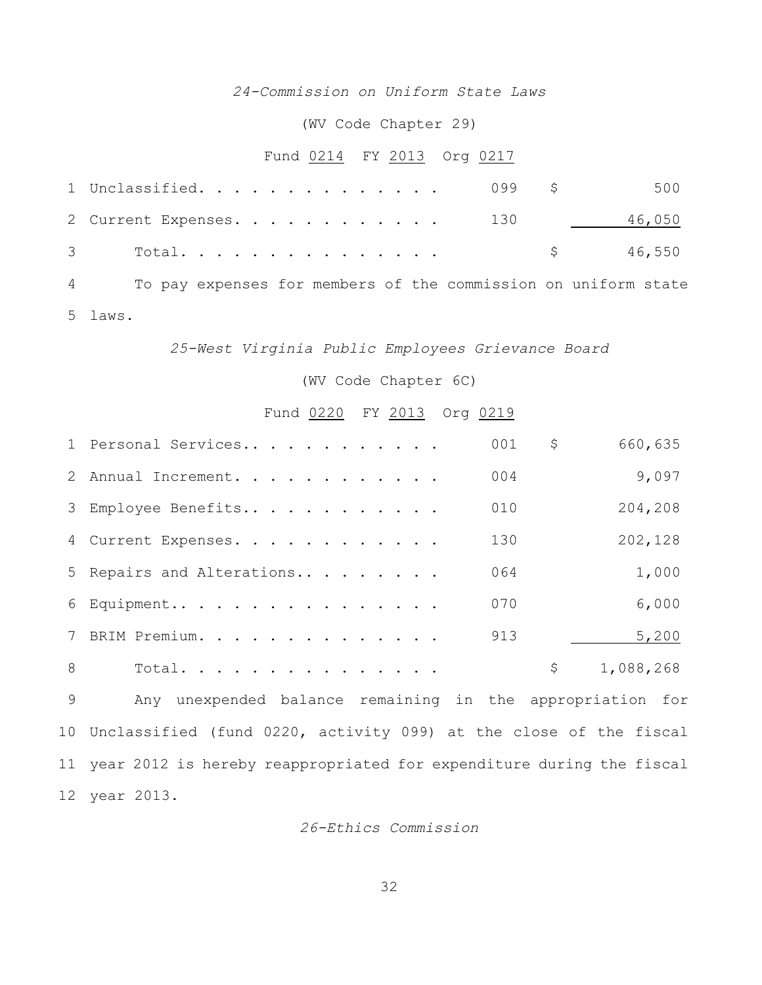## *24-Commission on Uniform State Laws*

(WV Code Chapter 29)

# Fund 0214 FY 2013 Org 0217

| 1 Unclassified.                |  |  |  |  |  |  | 099 \$500 |  |
|--------------------------------|--|--|--|--|--|--|-----------|--|
| 2 Current Expenses. 130 46,050 |  |  |  |  |  |  |           |  |
|                                |  |  |  |  |  |  | \$ 46,550 |  |

 To pay expenses for members of the commission on uniform state laws.

### *25-West Virginia Public Employees Grievance Board*

### (WV Code Chapter 6C)

### Fund 0220 FY 2013 Org 0219

|   | 1 Personal Services       | 001 | \$<br>660,635   |
|---|---------------------------|-----|-----------------|
|   | 2 Annual Increment.       | 004 | 9,097           |
|   | 3 Employee Benefits       | 010 | 204,208         |
|   | 4 Current Expenses.       | 130 | 202,128         |
|   | 5 Repairs and Alterations | 064 | 1,000           |
|   | 6 Equipment               | 070 | 6,000           |
|   | 7 BRIM Premium.           | 913 | 5,200           |
| 8 | Total.                    |     | \$<br>1,088,268 |

 Any unexpended balance remaining in the appropriation for Unclassified (fund 0220, activity 099) at the close of the fiscal year 2012 is hereby reappropriated for expenditure during the fiscal year 2013.

*26-Ethics Commission*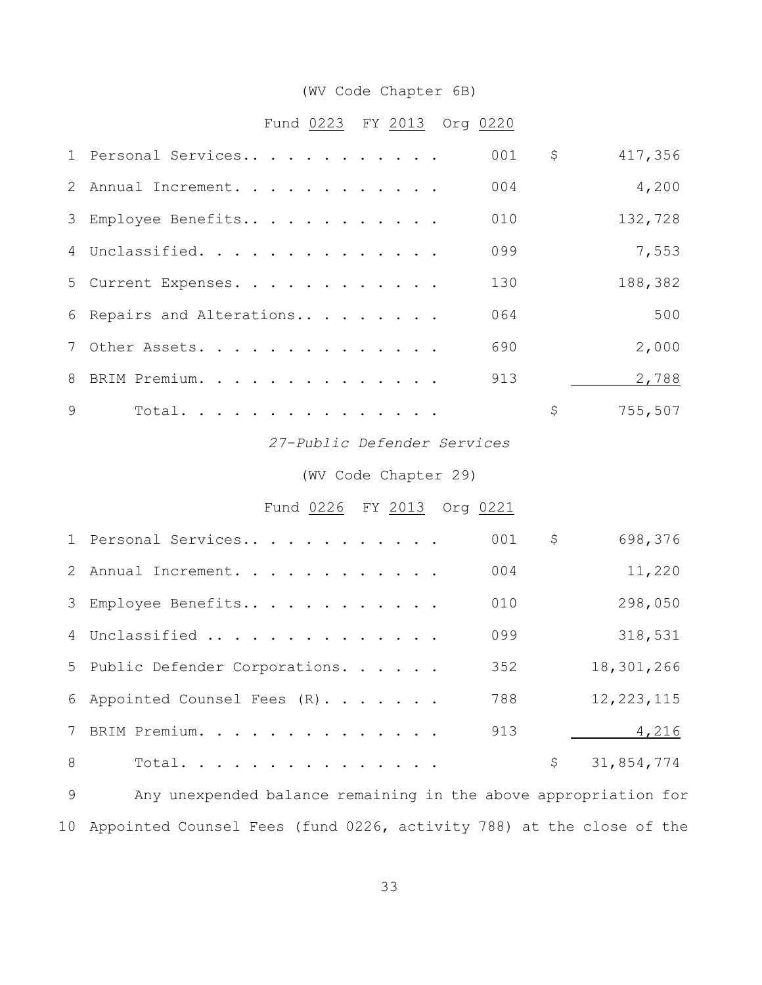# (WV Code Chapter 6B)

# Fund 0223 FY 2013 Org 0220

|   | 1 Personal Services         | 001 | $\mathsf{S}$ | 417,356 |
|---|-----------------------------|-----|--------------|---------|
|   | 2 Annual Increment.         | 004 |              | 4,200   |
|   | 3 Employee Benefits         | 010 |              | 132,728 |
|   | 4 Unclassified.             | 099 |              | 7,553   |
|   | 5 Current Expenses.         | 130 |              | 188,382 |
|   | 6 Repairs and Alterations   | 064 |              | 500     |
|   | 7 Other Assets.             | 690 |              | 2,000   |
|   | 8 BRIM Premium.             | 913 |              | 2,788   |
| 9 | Total.                      |     | \$           | 755,507 |
|   | 27-Public Defender Services |     |              |         |
|   | (WV Code Chapter 29)        |     |              |         |

# Fund 0226 FY 2013 Org 0221

|   | 1 Personal Services             | 001              | \$<br>698,376    |
|---|---------------------------------|------------------|------------------|
|   | 2 Annual Increment.             | 0 <sub>0</sub> 4 | 11,220           |
|   | 3 Employee Benefits             | 010              | 298,050          |
|   | 4 Unclassified                  | 099              | 318,531          |
|   | 5 Public Defender Corporations. | 352              | 18,301,266       |
|   | 6 Appointed Counsel Fees (R).   | 788              | 12, 223, 115     |
|   | 7 BRIM Premium.                 | 913              | 4,216            |
| 8 | Total.                          |                  | \$<br>31,854,774 |

 Any unexpended balance remaining in the above appropriation for Appointed Counsel Fees (fund 0226, activity 788) at the close of the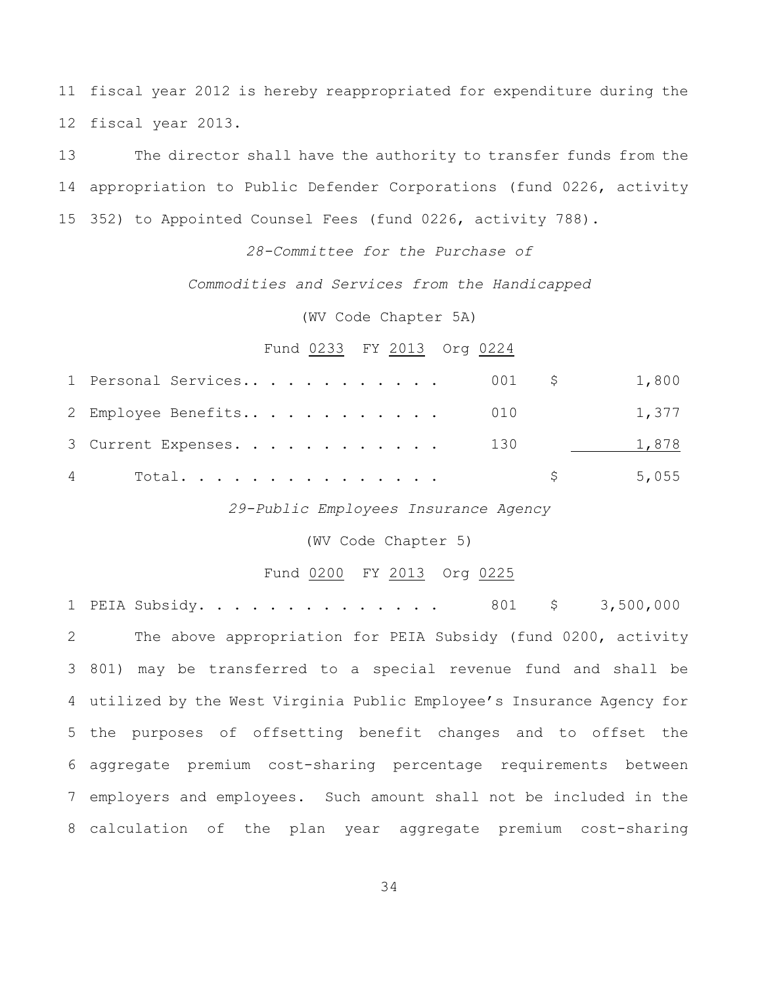fiscal year 2012 is hereby reappropriated for expenditure during the fiscal year 2013.

 The director shall have the authority to transfer funds from the appropriation to Public Defender Corporations (fund 0226, activity 352) to Appointed Counsel Fees (fund 0226, activity 788).

## *28-Committee for the Purchase of*

## *Commodities and Services from the Handicapped*

(WV Code Chapter 5A)

## Fund 0233 FY 2013 Org 0224

| 4 Total.                              |  |  |  |  |  |  | 5,055 |       |
|---------------------------------------|--|--|--|--|--|--|-------|-------|
| 3 Current Expenses. 130               |  |  |  |  |  |  | 1,878 |       |
| 2 Employee Benefits 010               |  |  |  |  |  |  |       | 1,377 |
| 1 Personal Services 001 $\,$ \$ 1,800 |  |  |  |  |  |  |       |       |

*29-Public Employees Insurance Agency*

(WV Code Chapter 5)

#### Fund 0200 FY 2013 Org 0225

1 PEIA Subsidy. . . . . . . . . . . . . 801 \$ 3,500,000 The above appropriation for PEIA Subsidy (fund 0200, activity 801) may be transferred to a special revenue fund and shall be utilized by the West Virginia Public Employee's Insurance Agency for the purposes of offsetting benefit changes and to offset the aggregate premium cost-sharing percentage requirements between employers and employees. Such amount shall not be included in the calculation of the plan year aggregate premium cost-sharing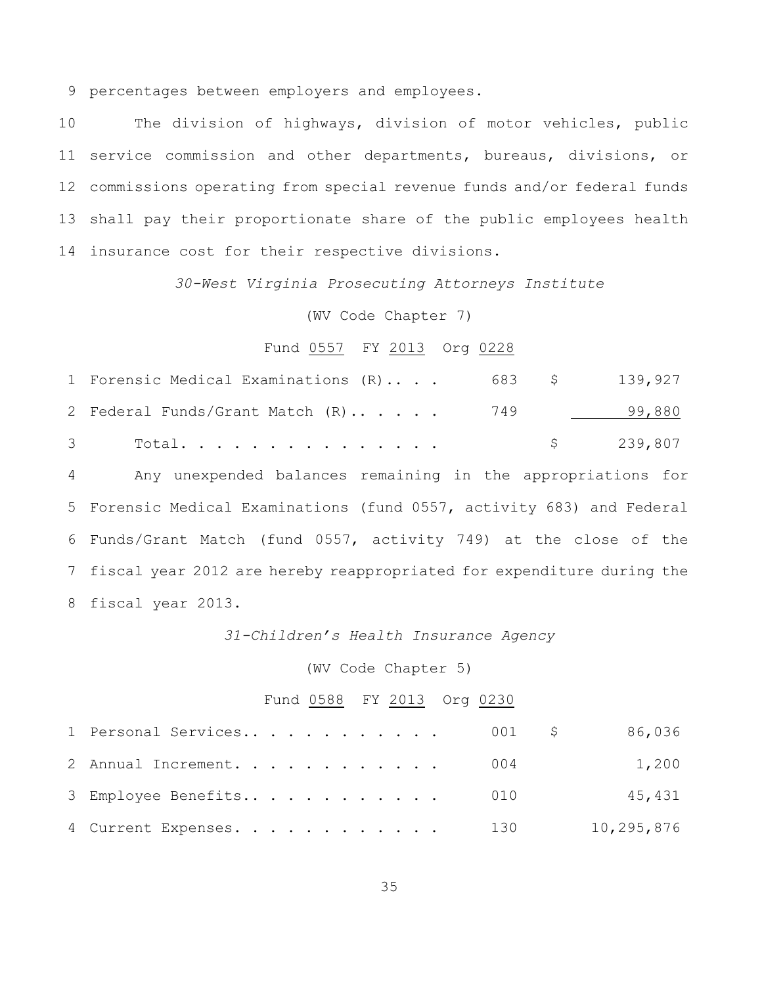percentages between employers and employees.

 The division of highways, division of motor vehicles, public service commission and other departments, bureaus, divisions, or commissions operating from special revenue funds and/or federal funds shall pay their proportionate share of the public employees health insurance cost for their respective divisions.

*30-West Virginia Prosecuting Attorneys Institute*

## (WV Code Chapter 7)

## Fund 0557 FY 2013 Org 0228

| 1 Forensic Medical Examinations (R) | 683 \$ | 139,927   |
|-------------------------------------|--------|-----------|
| 2 Federal Funds/Grant Match (R) 749 |        | 99,880    |
| 3 Total.                            |        | \$239,807 |

 Any unexpended balances remaining in the appropriations for Forensic Medical Examinations (fund 0557, activity 683) and Federal Funds/Grant Match (fund 0557, activity 749) at the close of the fiscal year 2012 are hereby reappropriated for expenditure during the fiscal year 2013.

### *31-Children's Health Insurance Agency*

## (WV Code Chapter 5)

#### Fund 0588 FY 2013 Org 0230

| 1 Personal Services 001 \$ |  | 86,036     |
|----------------------------|--|------------|
| 2 Annual Increment. 004    |  | 1,200      |
| 3 Employee Benefits 010    |  | 45,431     |
| 4 Current Expenses. 130    |  | 10,295,876 |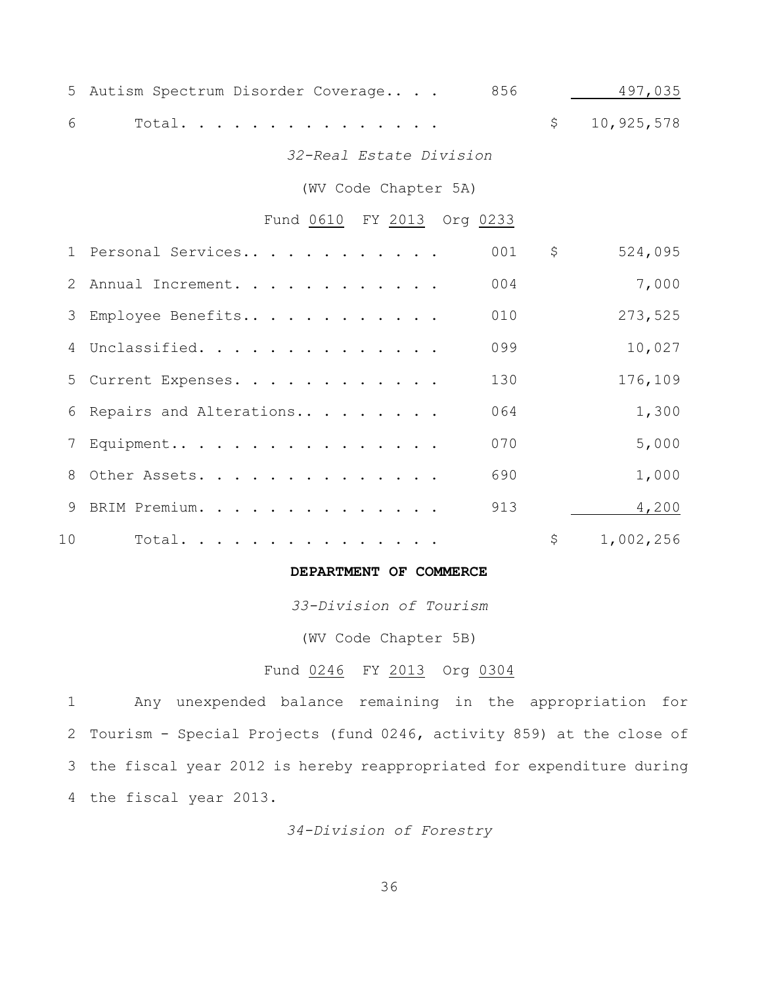| 5 Autism Spectrum Disorder Coverage |  |  | 856                     | 497,035      |
|-------------------------------------|--|--|-------------------------|--------------|
| 6 — 1<br>Total.                     |  |  |                         | \$10,925,578 |
|                                     |  |  | 32-Real Estate Division |              |

(WV Code Chapter 5A)

# Fund 0610 FY 2013 Org 0233

|    | 1 Personal Services       | 001 | \$<br>524,095   |
|----|---------------------------|-----|-----------------|
|    | 2 Annual Increment.       | 004 | 7,000           |
|    | 3 Employee Benefits       | 010 | 273,525         |
|    | 4 Unclassified.           | 099 | 10,027          |
|    | 5 Current Expenses.       | 130 | 176,109         |
|    | 6 Repairs and Alterations | 064 | 1,300           |
|    | 7 Equipment               | 070 | 5,000           |
|    | 8 Other Assets.           | 690 | 1,000           |
|    | 9 BRIM Premium.           | 913 | 4,200           |
| 10 | Total.                    |     | \$<br>1,002,256 |

## **DEPARTMENT OF COMMERCE**

*33-Division of Tourism*

(WV Code Chapter 5B)

## Fund 0246 FY 2013 Org 0304

 Any unexpended balance remaining in the appropriation for Tourism - Special Projects (fund 0246, activity 859) at the close of the fiscal year 2012 is hereby reappropriated for expenditure during the fiscal year 2013.

*34-Division of Forestry*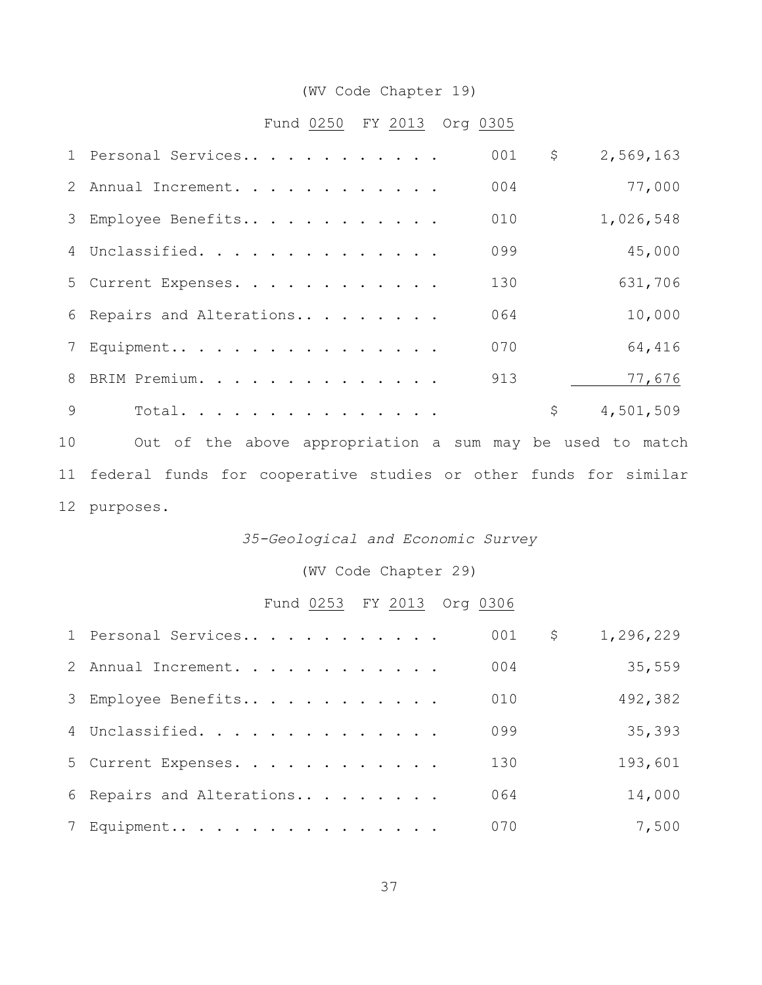# (WV Code Chapter 19)

# Fund 0250 FY 2013 Org 0305

|                | 001<br>1 Personal Services                                       | \$<br>2,569,163 |
|----------------|------------------------------------------------------------------|-----------------|
| 2              | 004<br>Annual Increment.                                         | 77,000          |
| 3              | 010<br>Employee Benefits                                         | 1,026,548       |
|                | 099<br>4 Unclassified.                                           | 45,000          |
| 5              | 130<br>Current Expenses.                                         | 631,706         |
| 6              | 064<br>Repairs and Alterations                                   | 10,000          |
| $7\phantom{.}$ | 070<br>Equipment                                                 | 64,416          |
| 8              | BRIM Premium.<br>913                                             | 77,676          |
| 9              | Total.                                                           | \$<br>4,501,509 |
| 10             | Out of the above appropriation a sum may be used to match        |                 |
| 11             | federal funds for cooperative studies or other funds for similar |                 |
|                | 12 purposes.                                                     |                 |

### *35-Geological and Economic Survey*

# (WV Code Chapter 29)

# Fund 0253 FY 2013 Org 0306

| 1 Personal Services       | 001 | \$<br>1,296,229 |
|---------------------------|-----|-----------------|
| 2 Annual Increment.       | 004 | 35,559          |
| 3 Employee Benefits       | 010 | 492,382         |
| 4 Unclassified.           | 099 | 35,393          |
| 5 Current Expenses.       | 130 | 193,601         |
| 6 Repairs and Alterations | 064 | 14,000          |
| 7 Equipment               | 070 | 7,500           |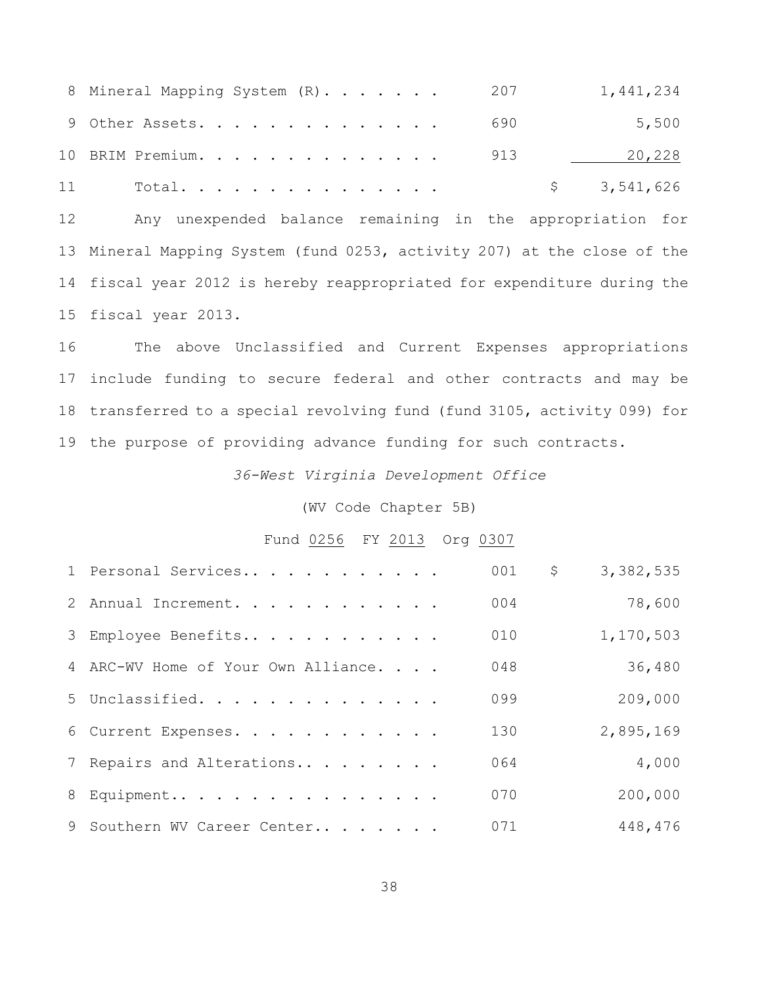| 8 Mineral Mapping System (R). 207 |  |  |  | 1,441,234   |
|-----------------------------------|--|--|--|-------------|
| 9 Other Assets. 690               |  |  |  | 5,500       |
| 10 BRIM Premium. 913              |  |  |  | 20,228      |
| 11 Total.                         |  |  |  | \$3,541,626 |

 Any unexpended balance remaining in the appropriation for Mineral Mapping System (fund 0253, activity 207) at the close of the fiscal year 2012 is hereby reappropriated for expenditure during the fiscal year 2013.

 The above Unclassified and Current Expenses appropriations include funding to secure federal and other contracts and may be transferred to a special revolving fund (fund 3105, activity 099) for the purpose of providing advance funding for such contracts.

*36-West Virginia Development Office*

(WV Code Chapter 5B)

#### Fund 0256 FY 2013 Org 0307

| 1 Personal Services                 | 001 | \$<br>3,382,535 |
|-------------------------------------|-----|-----------------|
| 2 Annual Increment.                 | 004 | 78,600          |
| 3 Employee Benefits                 | 010 | 1,170,503       |
| 4 ARC-WV Home of Your Own Alliance. | 048 | 36,480          |
| 5 Unclassified.                     | 099 | 209,000         |
| 6 Current Expenses.                 | 130 | 2,895,169       |
| 7 Repairs and Alterations           | 064 | 4,000           |
| 8 Equipment                         | 070 | 200,000         |
| 9 Southern WV Career Center         | 071 | 448,476         |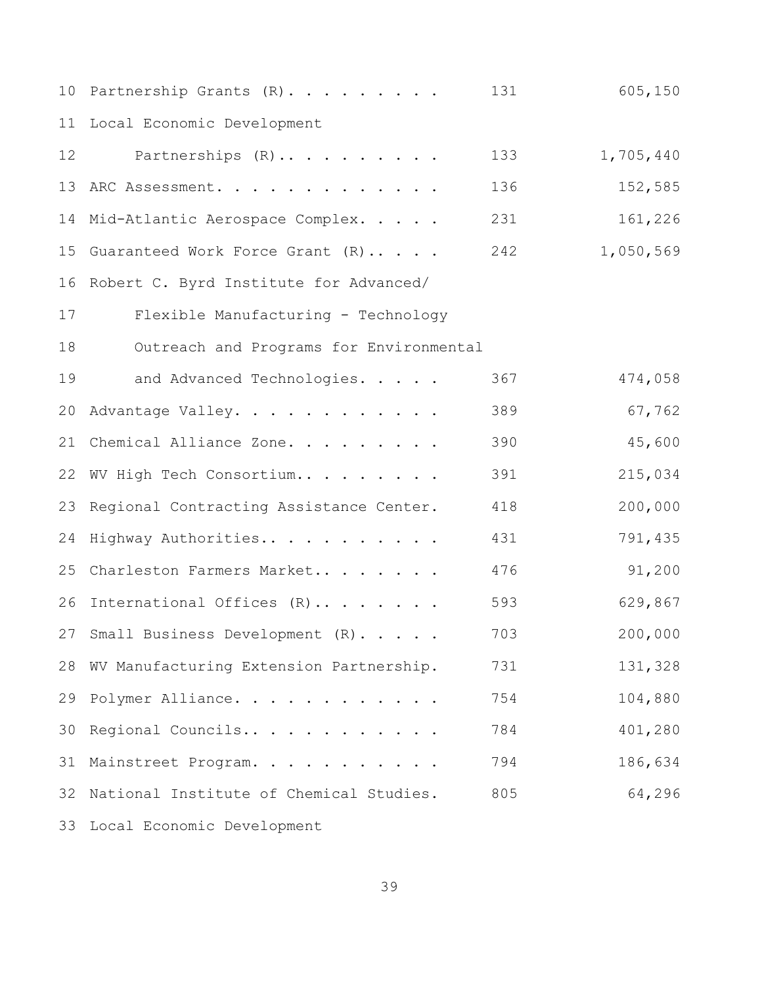| 10 | Partnership Grants (R).                 | 131 | 605,150   |
|----|-----------------------------------------|-----|-----------|
| 11 | Local Economic Development              |     |           |
| 12 | Partnerships (R)                        | 133 | 1,705,440 |
| 13 | ARC Assessment.                         | 136 | 152,585   |
| 14 | Mid-Atlantic Aerospace Complex.         | 231 | 161,226   |
| 15 | Guaranteed Work Force Grant (R)         | 242 | 1,050,569 |
| 16 | Robert C. Byrd Institute for Advanced/  |     |           |
| 17 | Flexible Manufacturing - Technology     |     |           |
| 18 | Outreach and Programs for Environmental |     |           |
| 19 | and Advanced Technologies.              | 367 | 474,058   |
| 20 | Advantage Valley.                       | 389 | 67,762    |
| 21 | Chemical Alliance Zone.                 | 390 | 45,600    |
| 22 | WV High Tech Consortium                 | 391 | 215,034   |
| 23 | Regional Contracting Assistance Center. | 418 | 200,000   |
| 24 | Highway Authorities                     | 431 | 791,435   |
| 25 | Charleston Farmers Market               | 476 | 91,200    |
| 26 | International Offices (R)               | 593 | 629,867   |
|    | 27 Small Business Development (R).      | 703 | 200,000   |
| 28 | WV Manufacturing Extension Partnership. | 731 | 131,328   |
| 29 | Polymer Alliance.                       | 754 | 104,880   |
| 30 | Regional Councils                       | 784 | 401,280   |
| 31 | Mainstreet Program.                     | 794 | 186,634   |
| 32 | National Institute of Chemical Studies. | 805 | 64,296    |
| 33 | Local Economic Development              |     |           |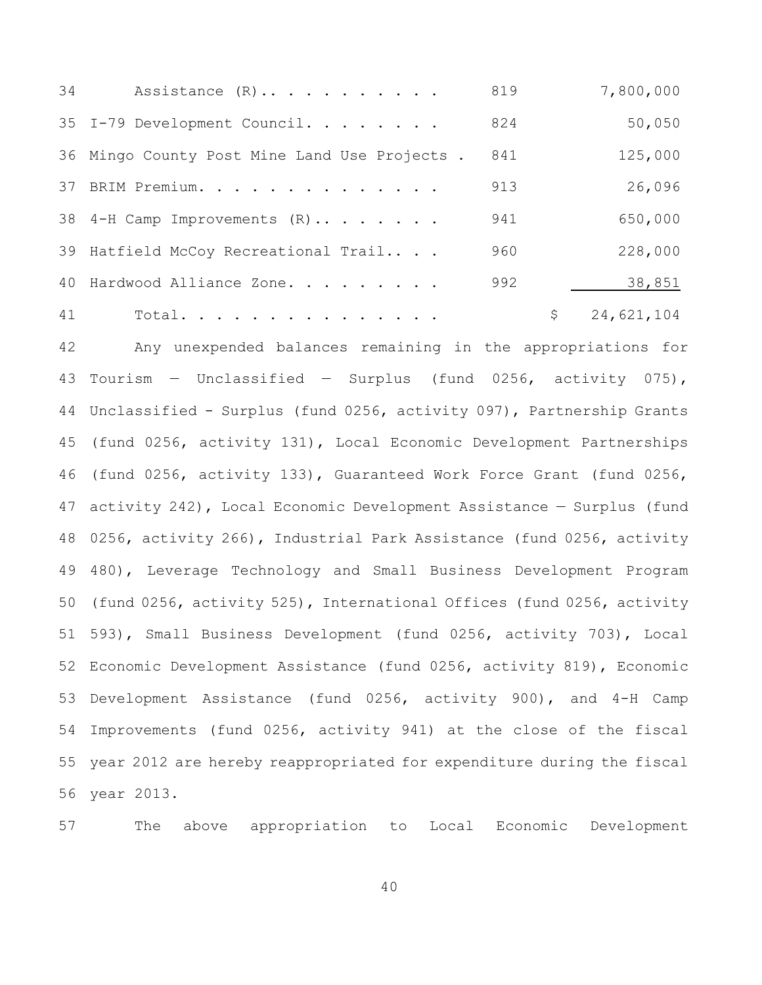| 34 | Assistance $(R)$                             | 819 | 7,800,000        |
|----|----------------------------------------------|-----|------------------|
|    | 35 I-79 Development Council.                 | 824 | 50,050           |
|    | 36 Mingo County Post Mine Land Use Projects. | 841 | 125,000          |
|    | 37 BRIM Premium.                             | 913 | 26,096           |
|    | 38 4-H Camp Improvements (R)                 | 941 | 650,000          |
|    | 39 Hatfield McCoy Recreational Trail         | 960 | 228,000          |
|    | 40 Hardwood Alliance Zone.                   | 992 | 38,851           |
| 41 | Total.                                       |     | \$<br>24,621,104 |

 Any unexpended balances remaining in the appropriations for Tourism — Unclassified — Surplus (fund 0256, activity 075), Unclassified - Surplus (fund 0256, activity 097), Partnership Grants (fund 0256, activity 131), Local Economic Development Partnerships (fund 0256, activity 133), Guaranteed Work Force Grant (fund 0256, activity 242), Local Economic Development Assistance — Surplus (fund 0256, activity 266), Industrial Park Assistance (fund 0256, activity 480), Leverage Technology and Small Business Development Program (fund 0256, activity 525), International Offices (fund 0256, activity 593), Small Business Development (fund 0256, activity 703), Local Economic Development Assistance (fund 0256, activity 819), Economic Development Assistance (fund 0256, activity 900), and 4-H Camp Improvements (fund 0256, activity 941) at the close of the fiscal year 2012 are hereby reappropriated for expenditure during the fiscal year 2013.

The above appropriation to Local Economic Development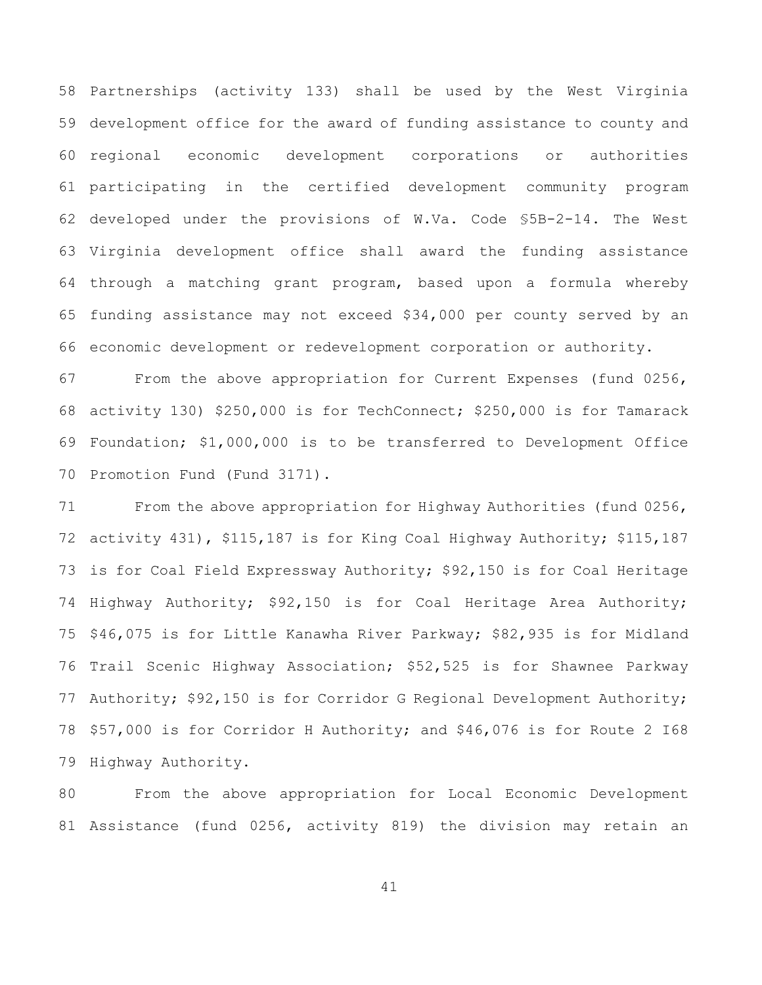Partnerships (activity 133) shall be used by the West Virginia development office for the award of funding assistance to county and regional economic development corporations or authorities participating in the certified development community program developed under the provisions of W.Va. Code §5B-2-14. The West Virginia development office shall award the funding assistance through a matching grant program, based upon a formula whereby funding assistance may not exceed \$34,000 per county served by an economic development or redevelopment corporation or authority.

 From the above appropriation for Current Expenses (fund 0256, activity 130) \$250,000 is for TechConnect; \$250,000 is for Tamarack Foundation; \$1,000,000 is to be transferred to Development Office Promotion Fund (Fund 3171).

71 From the above appropriation for Highway Authorities (fund 0256, activity 431), \$115,187 is for King Coal Highway Authority; \$115,187 is for Coal Field Expressway Authority; \$92,150 is for Coal Heritage Highway Authority; \$92,150 is for Coal Heritage Area Authority; \$46,075 is for Little Kanawha River Parkway; \$82,935 is for Midland Trail Scenic Highway Association; \$52,525 is for Shawnee Parkway Authority; \$92,150 is for Corridor G Regional Development Authority; \$57,000 is for Corridor H Authority; and \$46,076 is for Route 2 I68 Highway Authority.

 From the above appropriation for Local Economic Development Assistance (fund 0256, activity 819) the division may retain an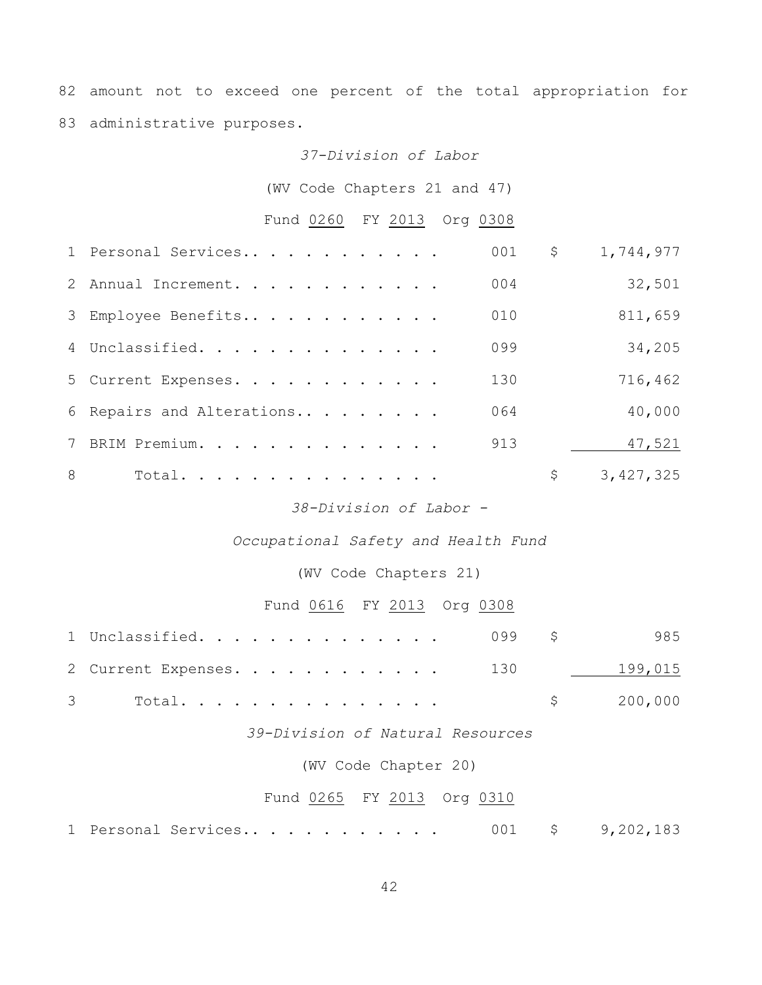82 amount not to exceed one percent of the total appropriation for 83 administrative purposes.

#### *37-Division of Labor*

(WV Code Chapters 21 and 47)

# Fund 0260 FY 2013 Org 0308

|   | 1 Personal Services       | 001 | \$<br>1,744,977 |
|---|---------------------------|-----|-----------------|
|   | 2 Annual Increment.       | 004 | 32,501          |
|   | 3 Employee Benefits       | 010 | 811,659         |
|   | 4 Unclassified.           | 099 | 34,205          |
|   | 5 Current Expenses.       | 130 | 716,462         |
|   | 6 Repairs and Alterations | 064 | 40,000          |
|   | 7 BRIM Premium.           | 913 | 47,521          |
| 8 | Total.                    |     | \$<br>3,427,325 |
|   |                           |     |                 |

### *38-Division of Labor -*

### *Occupational Safety and Health Fund*

### (WV Code Chapters 21)

### Fund 0616 FY 2013 Org 0308

| $1$ Unclassified. 099 $\,$ \$   |  | 985       |
|---------------------------------|--|-----------|
| 2 Current Expenses. 130 199,015 |  |           |
|                                 |  | \$200,000 |

### *39-Division of Natural Resources*

#### (WV Code Chapter 20)

## Fund 0265 FY 2013 Org 0310

|  |  | 1 Personal Services |  |  |  |  |  |  |  |  |  |  |  |  |  | 9,202,183 |
|--|--|---------------------|--|--|--|--|--|--|--|--|--|--|--|--|--|-----------|
|--|--|---------------------|--|--|--|--|--|--|--|--|--|--|--|--|--|-----------|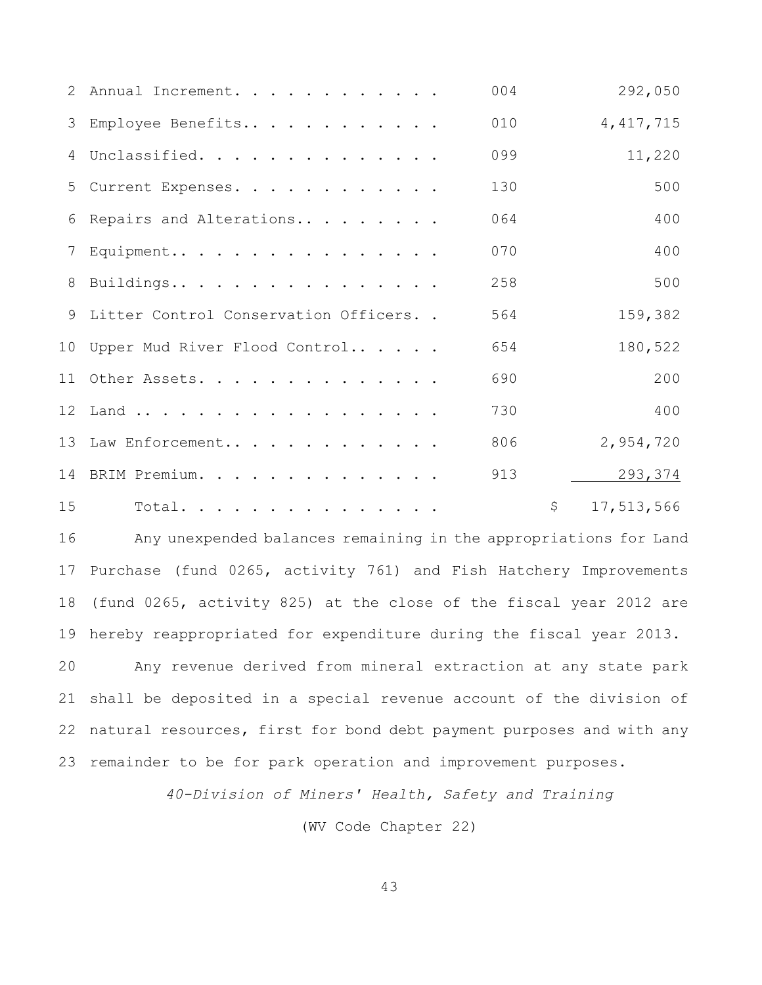|    | 2 Annual Increment.                    | 004 | 292,050          |
|----|----------------------------------------|-----|------------------|
|    | 3 Employee Benefits                    | 010 | 4, 417, 715      |
|    | 4 Unclassified.                        | 099 | 11,220           |
|    | 5 Current Expenses.                    | 130 | 500              |
|    | 6 Repairs and Alterations              | 064 | 400              |
|    | 7 Equipment                            | 070 | 400              |
|    | 8 Buildings                            | 258 | 500              |
|    | 9 Litter Control Conservation Officers | 564 | 159,382          |
|    | 10 Upper Mud River Flood Control       | 654 | 180,522          |
|    | 11 Other Assets.                       | 690 | 200              |
|    | 12 Land                                | 730 | 400              |
|    | 13 Law Enforcement                     | 806 | 2,954,720        |
|    | 14 BRIM Premium.                       | 913 | 293,374          |
| 15 | Total.                                 |     | \$<br>17,513,566 |

 Any unexpended balances remaining in the appropriations for Land Purchase (fund 0265, activity 761) and Fish Hatchery Improvements (fund 0265, activity 825) at the close of the fiscal year 2012 are hereby reappropriated for expenditure during the fiscal year 2013. Any revenue derived from mineral extraction at any state park shall be deposited in a special revenue account of the division of natural resources, first for bond debt payment purposes and with any remainder to be for park operation and improvement purposes.

*40-Division of Miners' Health, Safety and Training*

(WV Code Chapter 22)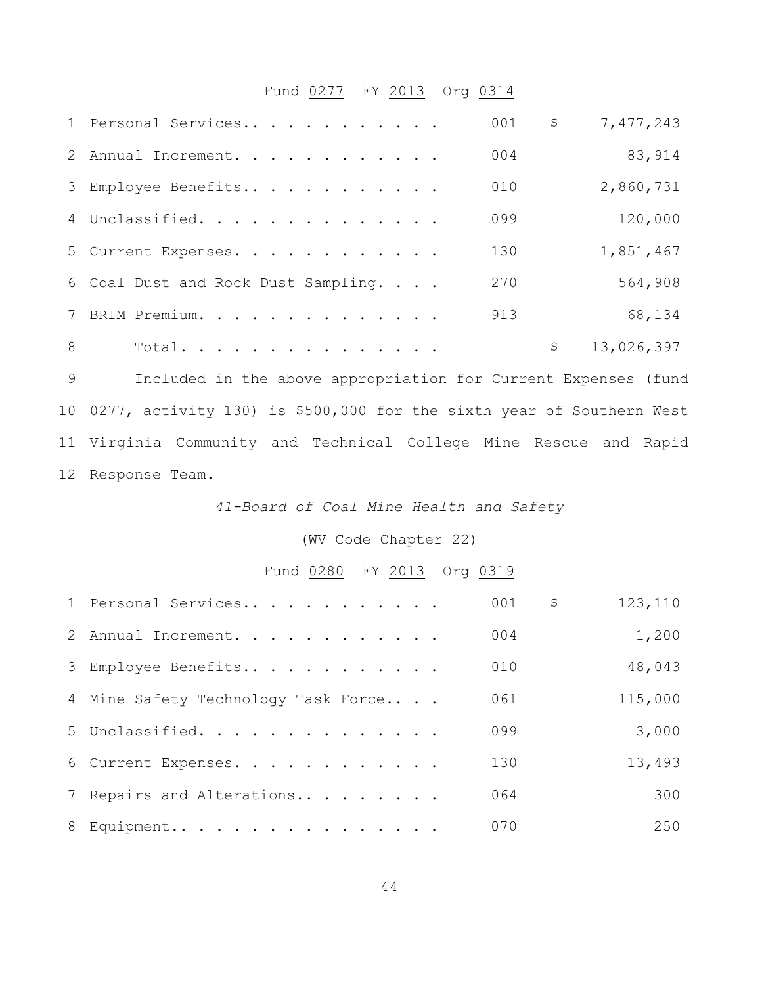# Fund 0277 FY 2013 Org 0314

|               | 1 Personal Services                 | 001 | \$<br>7,477,243  |
|---------------|-------------------------------------|-----|------------------|
|               | 2 Annual Increment.                 | 004 | 83,914           |
|               | 3 Employee Benefits                 | 010 | 2,860,731        |
|               | 4 Unclassified.                     | 099 | 120,000          |
|               | 5 Current Expenses.                 | 130 | 1,851,467        |
|               | 6 Coal Dust and Rock Dust Sampling. | 270 | 564,908          |
|               | 7 BRIM Premium.                     | 913 | 68,134           |
| $\mathcal{B}$ | Total.                              |     | \$<br>13,026,397 |

 Included in the above appropriation for Current Expenses (fund 0277, activity 130) is \$500,000 for the sixth year of Southern West Virginia Community and Technical College Mine Rescue and Rapid Response Team.

*41-Board of Coal Mine Health and Safety*

(WV Code Chapter 22)

Fund 0280 FY 2013 Org 0319

| 1 Personal Services                 | 001 | \$<br>123,110 |
|-------------------------------------|-----|---------------|
| 2 Annual Increment.                 | 004 | 1,200         |
| 3 Employee Benefits                 | 010 | 48,043        |
| 4 Mine Safety Technology Task Force | 061 | 115,000       |
| 5 Unclassified.                     | 099 | 3,000         |
| 6 Current Expenses.                 | 130 | 13,493        |
| 7 Repairs and Alterations           | 064 | 300           |
| 8 Equipment                         | 070 | 250           |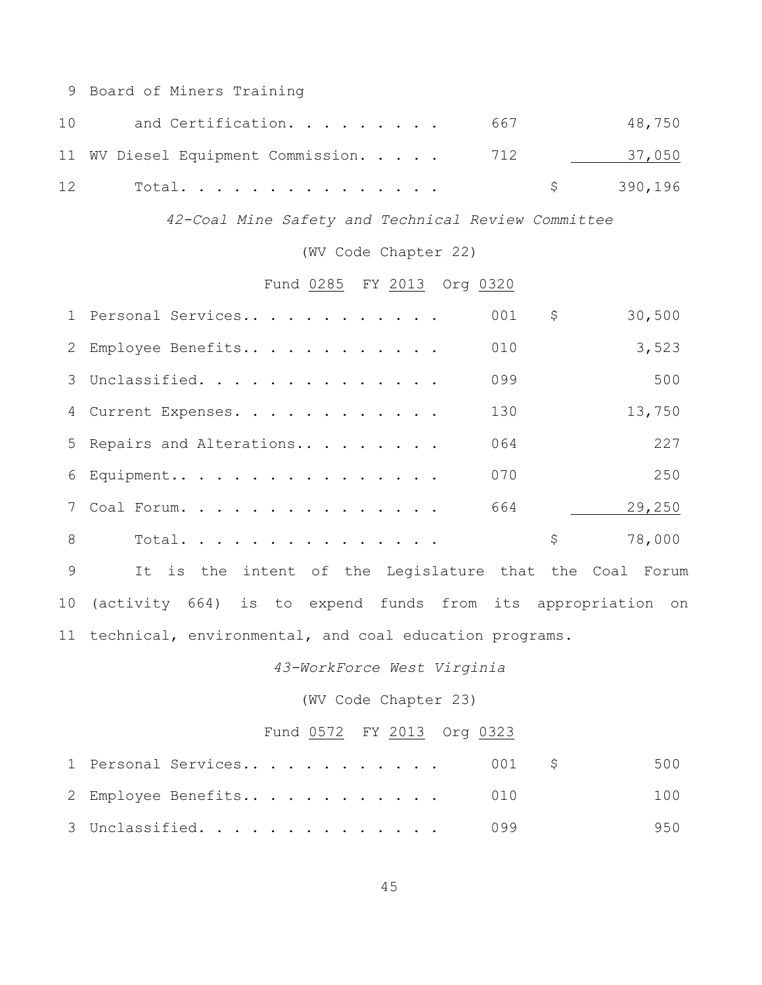Board of Miners Training

| 1 O | and Certification. 667                 | 48,750    |
|-----|----------------------------------------|-----------|
|     | 11 WV Diesel Equipment Commission. 712 | 37,050    |
| 12  | Total.                                 | \$390,196 |

*42-Coal Mine Safety and Technical Review Committee*

(WV Code Chapter 22)

Fund 0285 FY 2013 Org 0320

|   | 1 Personal Services       | 001<br>\$ | 30,500 |
|---|---------------------------|-----------|--------|
|   | 2 Employee Benefits       | 010       | 3,523  |
|   | 3 Unclassified.           | 099       | 500    |
|   | 4 Current Expenses.       | 130       | 13,750 |
|   | 5 Repairs and Alterations | 064       | 227    |
|   | 6 Equipment               | 070       | 250    |
|   | 7 Coal Forum.             | 664       | 29,250 |
| 8 | Total.                    | \$        | 78,000 |

 It is the intent of the Legislature that the Coal Forum (activity 664) is to expend funds from its appropriation on technical, environmental, and coal education programs.

*43-WorkForce West Virginia*

(WV Code Chapter 23)

# Fund 0572 FY 2013 Org 0323

| 1 Personal Services $001 \t$ |     | 500 |
|------------------------------|-----|-----|
| 2 Employee Benefits 010      |     | 100 |
| 3 Unclassified.              | 099 | 950 |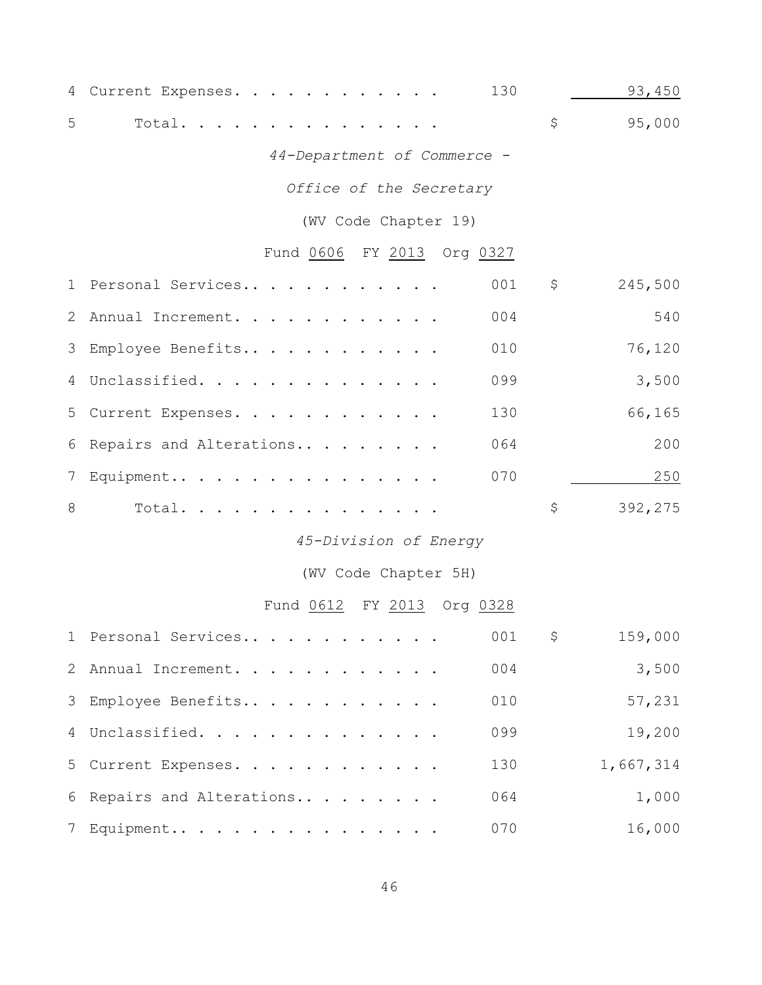|                | 130<br>4 Current Expenses.           |                           | 93,450    |
|----------------|--------------------------------------|---------------------------|-----------|
| 5              | Total.                               | \$                        | 95,000    |
|                | 44-Department of Commerce -          |                           |           |
|                | Office of the Secretary              |                           |           |
|                | (WV Code Chapter 19)                 |                           |           |
|                | Fund 0606 FY 2013 Org 0327           |                           |           |
|                | 001<br>1 Personal Services           | $\varsigma$               | 245,500   |
| 2              | 004<br>Annual Increment.             |                           | 540       |
| 3              | Employee Benefits<br>010             |                           | 76,120    |
| 4              | 099<br>Unclassified.                 |                           | 3,500     |
| 5              | 130<br>Current Expenses.             |                           | 66,165    |
| 6              | 064<br>Repairs and Alterations       |                           | 200       |
| $7\phantom{.}$ | 070<br>Equipment                     |                           | 250       |
| 8              | Total.                               | \$                        | 392,275   |
|                | 45-Division of Energy                |                           |           |
|                | (WV Code Chapter 5H)                 |                           |           |
|                | Fund <u>0612</u> FY 2013<br>Org 0328 |                           |           |
|                | 1 Personal Services                  | 001<br>$\ddot{\varsigma}$ | 159,000   |
| 2              | 004<br>Annual Increment.             |                           | 3,500     |
| 3              | Employee Benefits<br>010             |                           | 57,231    |
| 4              | 099<br>Unclassified.                 |                           | 19,200    |
| 5              | 130<br>Current Expenses.             |                           | 1,667,314 |
| 6              | 064<br>Repairs and Alterations       |                           | 1,000     |
| 7              | 070<br>Equipment                     |                           | 16,000    |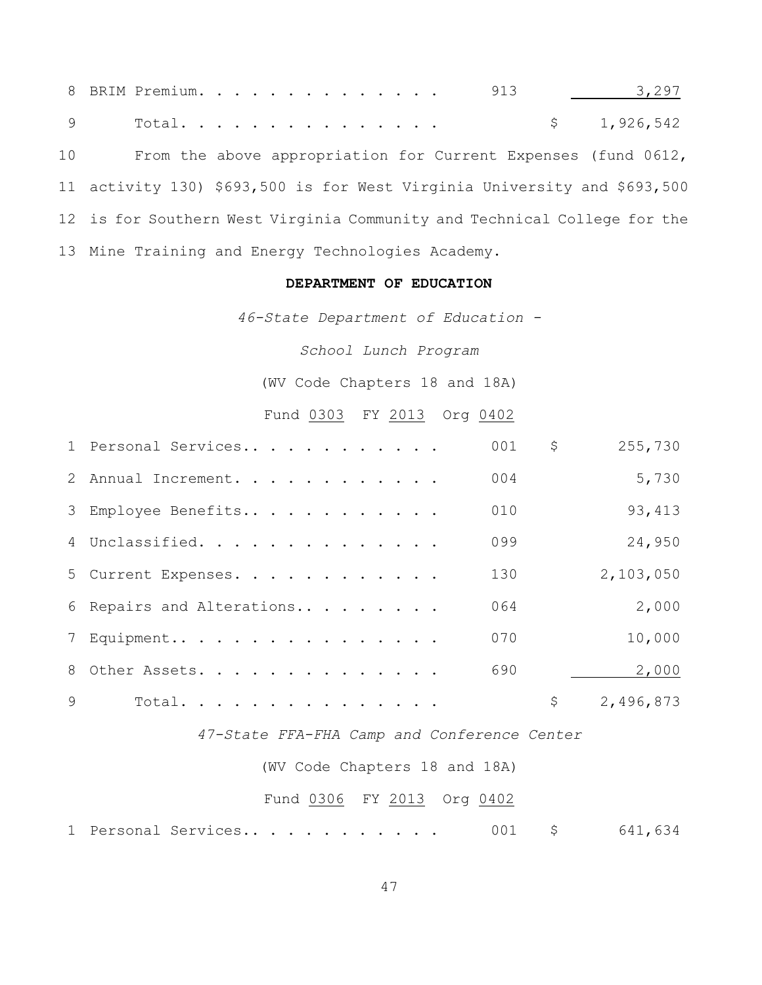8 BRIM Premium. . . . . . . . . . . . . 913 18.297 Total. . . . . . . . . . . . . . . \$ 1,926,542 From the above appropriation for Current Expenses (fund 0612, activity 130) \$693,500 is for West Virginia University and \$693,500 is for Southern West Virginia Community and Technical College for the Mine Training and Energy Technologies Academy.

#### **DEPARTMENT OF EDUCATION**

*46-State Department of Education -*

*School Lunch Program*

(WV Code Chapters 18 and 18A)

Fund 0303 FY 2013 Org 0402

|   | 1 Personal Services       | 001 | \$<br>255,730   |
|---|---------------------------|-----|-----------------|
|   | 2 Annual Increment.       | 004 | 5,730           |
|   | 3 Employee Benefits       | 010 | 93, 413         |
|   | 4 Unclassified.           | 099 | 24,950          |
|   | 5 Current Expenses.       | 130 | 2,103,050       |
|   | 6 Repairs and Alterations | 064 | 2,000           |
|   | 7 Equipment               | 070 | 10,000          |
|   | 8 Other Assets.           | 690 | 2,000           |
| 9 | Total.                    |     | \$<br>2,496,873 |

*47-State FFA-FHA Camp and Conference Center*

(WV Code Chapters 18 and 18A)

#### Fund 0306 FY 2013 Org 0402

1 Personal Services.. . . . . . . . . . 001 \$ 641,634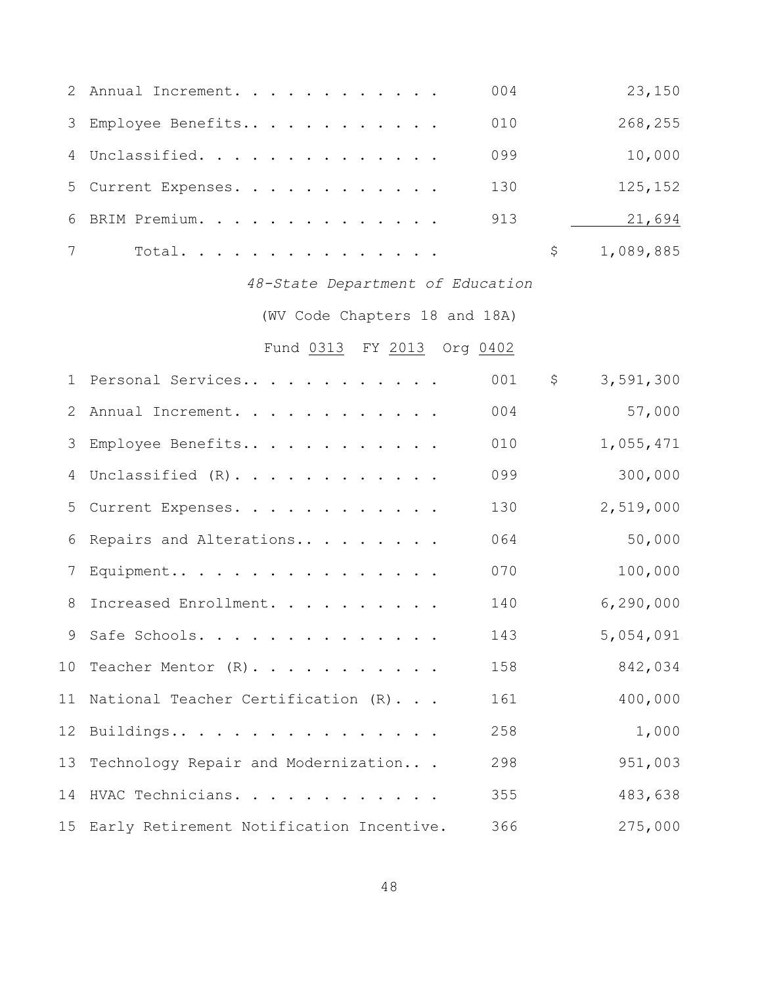|                | 2 Annual Increment.                         | 004 | 23,150          |
|----------------|---------------------------------------------|-----|-----------------|
| 3              | Employee Benefits                           | 010 | 268,255         |
| $\overline{4}$ | Unclassified.                               | 099 | 10,000          |
| 5              | Current Expenses.                           | 130 | 125,152         |
| 6              | BRIM Premium.                               | 913 | 21,694          |
| 7              | Total.                                      |     | \$<br>1,089,885 |
|                | 48-State Department of Education            |     |                 |
|                | (WV Code Chapters 18 and 18A)               |     |                 |
|                | Fund 0313 FY 2013 Org 0402                  |     |                 |
| $\mathbf 1$    | Personal Services                           | 001 | \$<br>3,591,300 |
| 2              | Annual Increment.                           | 004 | 57,000          |
| 3              | Employee Benefits                           | 010 | 1,055,471       |
| 4              | Unclassified (R).                           | 099 | 300,000         |
| 5              | Current Expenses.                           | 130 | 2,519,000       |
| 6              | Repairs and Alterations                     | 064 | 50,000          |
| 7              | Equipment                                   | 070 | 100,000         |
| 8              | Increased Enrollment.                       | 140 | 6, 290, 000     |
|                | 9 Safe Schools.                             | 143 | 5,054,091       |
|                | 10 Teacher Mentor (R)                       | 158 | 842,034         |
|                | 11 National Teacher Certification (R)       | 161 | 400,000         |
| 12             | Buildings                                   | 258 | 1,000           |
| 13             | Technology Repair and Modernization         | 298 | 951,003         |
|                | 14 HVAC Technicians.                        | 355 | 483,638         |
|                | 15 Early Retirement Notification Incentive. | 366 | 275,000         |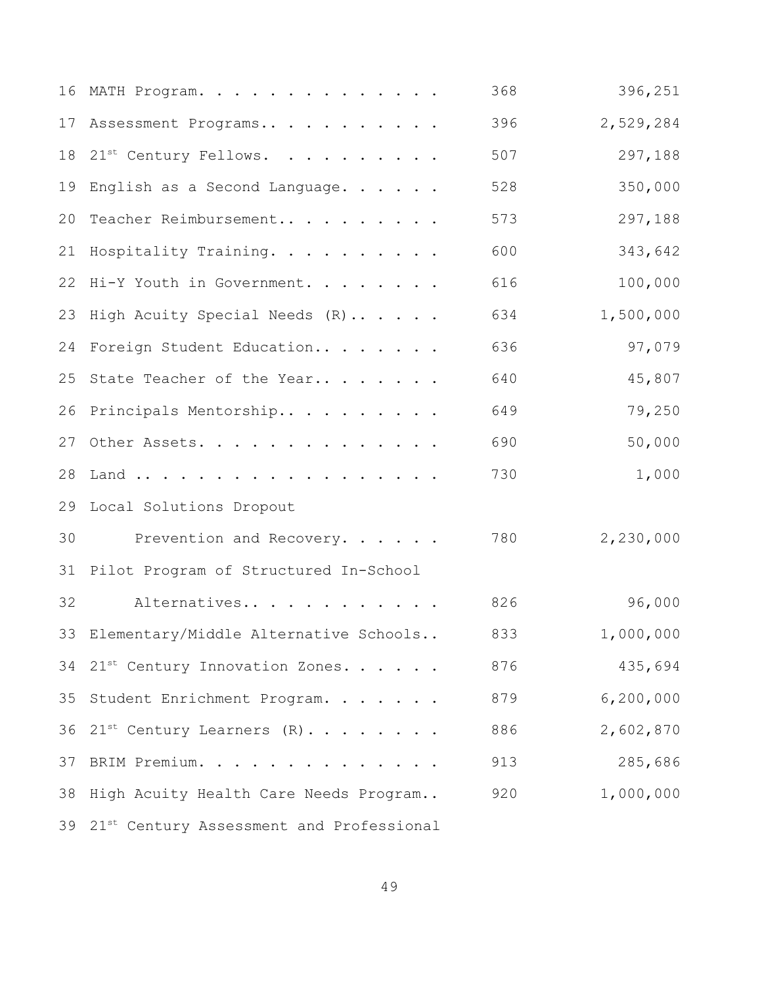|    | 16 MATH Program.                            | 368 | 396,251     |
|----|---------------------------------------------|-----|-------------|
| 17 | Assessment Programs                         | 396 | 2,529,284   |
|    | 18 21st Century Fellows.                    | 507 | 297,188     |
| 19 | English as a Second Language.               | 528 | 350,000     |
| 20 | Teacher Reimbursement                       | 573 | 297,188     |
| 21 | Hospitality Training.                       | 600 | 343,642     |
|    | 22 Hi-Y Youth in Government.                | 616 | 100,000     |
| 23 | High Acuity Special Needs (R)               | 634 | 1,500,000   |
|    | 24 Foreign Student Education                | 636 | 97,079      |
| 25 | State Teacher of the Year                   | 640 | 45,807      |
|    | 26 Principals Mentorship                    | 649 | 79,250      |
| 27 | Other Assets.                               | 690 | 50,000      |
| 28 | Land                                        | 730 | 1,000       |
|    | 29 Local Solutions Dropout                  |     |             |
| 30 | Prevention and Recovery.                    | 780 | 2,230,000   |
|    | 31 Pilot Program of Structured In-School    |     |             |
| 32 | Alternatives                                | 826 | 96,000      |
| 33 | Elementary/Middle Alternative Schools       | 833 | 1,000,000   |
|    | 34 21st Century Innovation Zones.           | 876 | 435,694     |
|    | 35 Student Enrichment Program.              | 879 | 6, 200, 000 |
|    | 36 21st Century Learners (R)                | 886 | 2,602,870   |
| 37 | BRIM Premium.                               | 913 | 285,686     |
| 38 | High Acuity Health Care Needs Program       | 920 | 1,000,000   |
|    | 39 21st Century Assessment and Professional |     |             |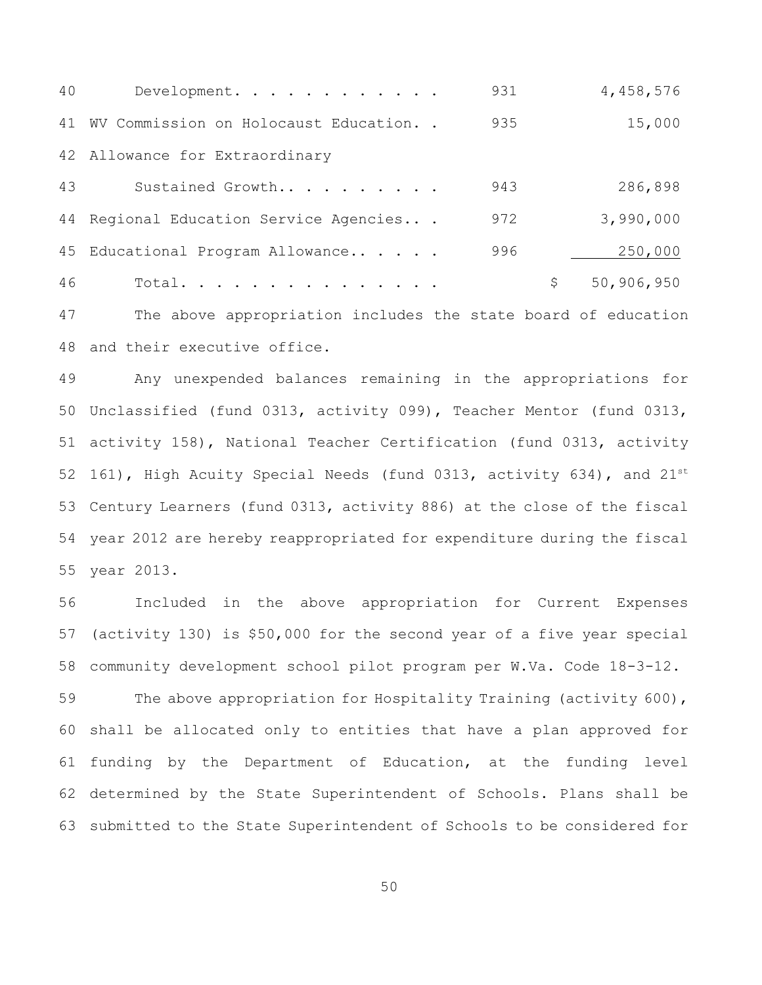| 40 | Development.                            | 931 |   | 4,458,576  |
|----|-----------------------------------------|-----|---|------------|
| 41 | WV Commission on Holocaust Education. . | 935 |   | 15,000     |
|    | 42 Allowance for Extraordinary          |     |   |            |
| 43 | Sustained Growth                        | 943 |   | 286,898    |
|    | 44 Regional Education Service Agencies  | 972 |   | 3,990,000  |
|    | 45 Educational Program Allowance        | 996 |   | 250,000    |
| 46 | Total.                                  |     | S | 50,906,950 |

 The above appropriation includes the state board of education and their executive office.

 Any unexpended balances remaining in the appropriations for Unclassified (fund 0313, activity 099), Teacher Mentor (fund 0313, activity 158), National Teacher Certification (fund 0313, activity 52 161), High Acuity Special Needs (fund 0313, activity 634), and  $21^{st}$  Century Learners (fund 0313, activity 886) at the close of the fiscal year 2012 are hereby reappropriated for expenditure during the fiscal year 2013.

 Included in the above appropriation for Current Expenses (activity 130) is \$50,000 for the second year of a five year special community development school pilot program per W.Va. Code 18-3-12.

59 The above appropriation for Hospitality Training (activity 600), shall be allocated only to entities that have a plan approved for funding by the Department of Education, at the funding level determined by the State Superintendent of Schools. Plans shall be submitted to the State Superintendent of Schools to be considered for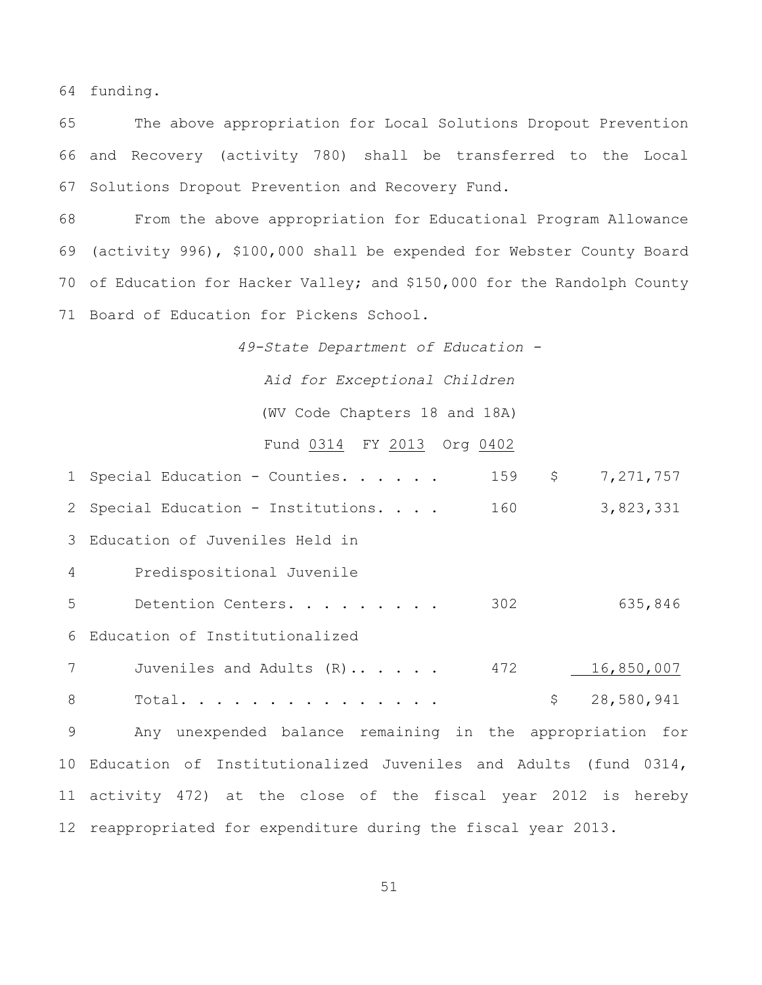funding.

 The above appropriation for Local Solutions Dropout Prevention and Recovery (activity 780) shall be transferred to the Local Solutions Dropout Prevention and Recovery Fund.

 From the above appropriation for Educational Program Allowance (activity 996), \$100,000 shall be expended for Webster County Board of Education for Hacker Valley; and \$150,000 for the Randolph County Board of Education for Pickens School.

*49-State Department of Education -*

*Aid for Exceptional Children*

(WV Code Chapters 18 and 18A)

### Fund 0314 FY 2013 Org 0402

|                | \$<br>159<br>7, 271, 757<br>1 Special Education - Counties.        |
|----------------|--------------------------------------------------------------------|
|                | 160<br>3,823,331<br>2 Special Education - Institutions.            |
|                | 3 Education of Juveniles Held in                                   |
| $\overline{4}$ | Predispositional Juvenile                                          |
| 5              | 302<br>635,846<br>Detention Centers.                               |
|                | 6 Education of Institutionalized                                   |
| 7              | 472<br>16,850,007<br>Juveniles and Adults (R)                      |
| 8              | $\zeta$<br>28,580,941<br>Total.                                    |
| 9              | Any unexpended balance remaining in the appropriation for          |
|                | 10 Education of Institutionalized Juveniles and Adults (fund 0314, |
|                | 11 activity 472) at the close of the fiscal year 2012 is hereby    |
|                | 12 reappropriated for expenditure during the fiscal year 2013.     |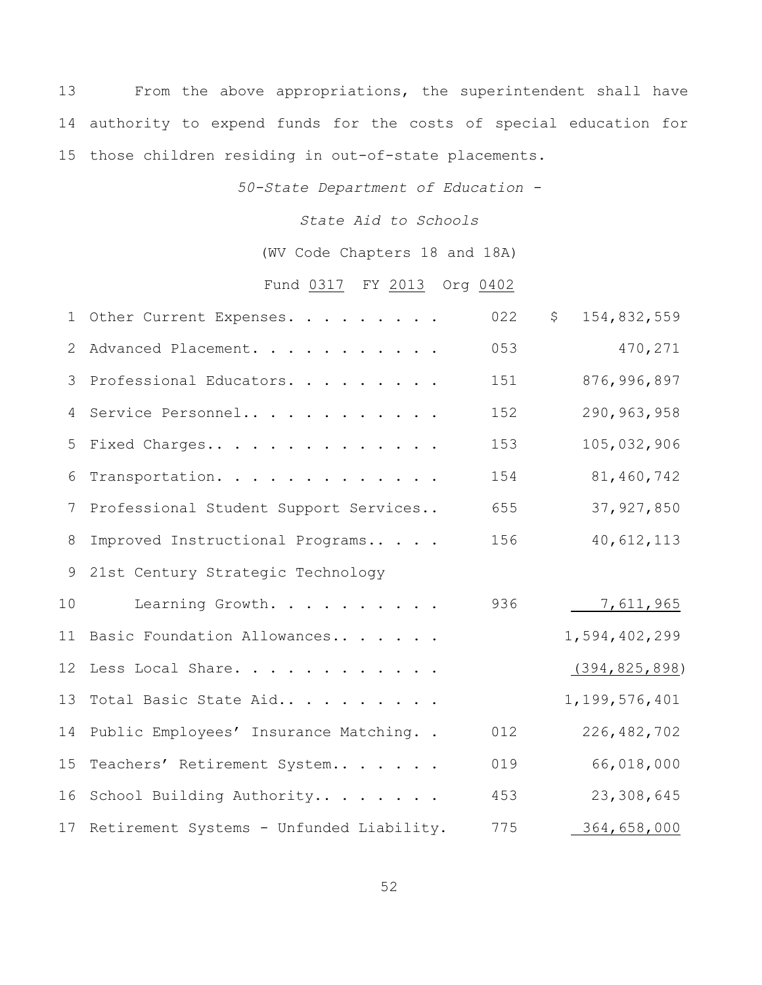From the above appropriations, the superintendent shall have authority to expend funds for the costs of special education for those children residing in out-of-state placements.

*50-State Department of Education -*

*State Aid to Schools*

(WV Code Chapters 18 and 18A)

# Fund 0317 FY 2013 Org 0402

|    | 1 Other Current Expenses.                   | 022 | $\mathsf{S}$<br>154,832,559 |
|----|---------------------------------------------|-----|-----------------------------|
| 2  | Advanced Placement.                         | 053 | 470,271                     |
| 3  | Professional Educators.                     | 151 | 876,996,897                 |
| 4  | Service Personnel                           | 152 | 290,963,958                 |
| 5  | Fixed Charges                               | 153 | 105,032,906                 |
| 6  | Transportation.                             | 154 | 81,460,742                  |
| 7  | Professional Student Support Services       | 655 | 37, 927, 850                |
| 8  | Improved Instructional Programs             | 156 | 40,612,113                  |
| 9  | 21st Century Strategic Technology           |     |                             |
| 10 | Learning Growth.                            | 936 | 7,611,965                   |
| 11 | Basic Foundation Allowances                 |     | 1,594,402,299               |
|    | 12 Less Local Share.                        |     | (394, 825, 898)             |
| 13 | Total Basic State Aid                       |     | 1, 199, 576, 401            |
|    | 14 Public Employees' Insurance Matching     | 012 | 226, 482, 702               |
| 15 | Teachers' Retirement System                 | 019 | 66,018,000                  |
| 16 | School Building Authority                   | 453 | 23,308,645                  |
|    | 17 Retirement Systems - Unfunded Liability. | 775 | 364,658,000                 |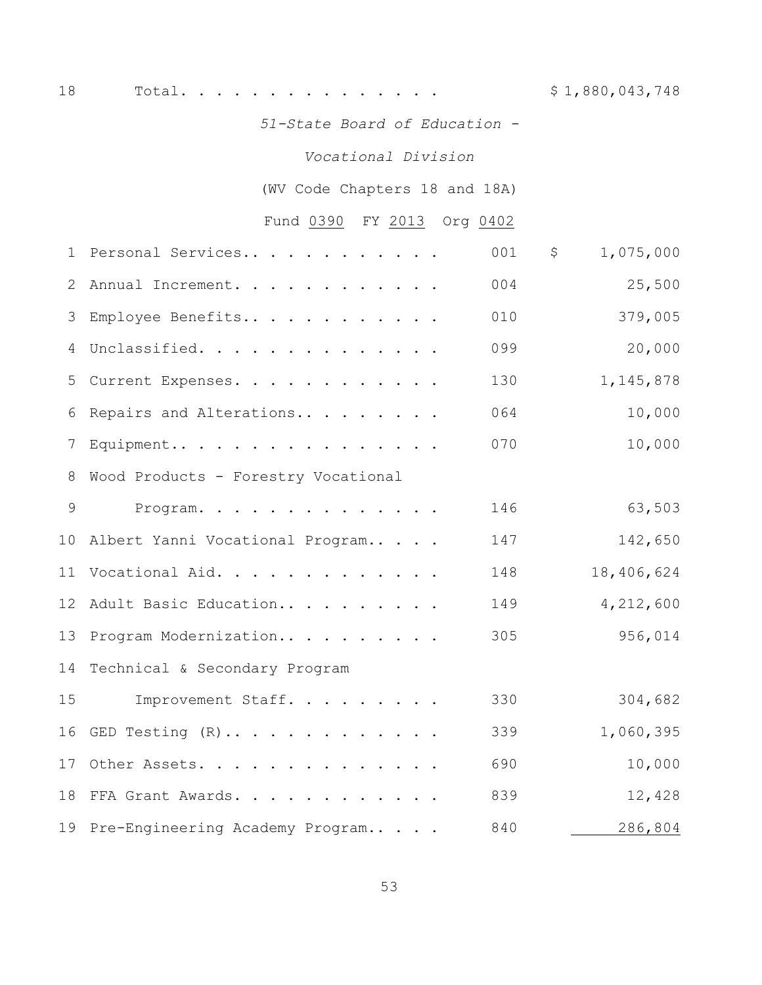18 Total. . . . . . . . . . . . . . . . \$ 1,880,043,748

*51-State Board of Education -*

### *Vocational Division*

(WV Code Chapters 18 and 18A)

# Fund 0390 FY 2013 Org 0402

| $\mathbf 1$    | Personal Services                   | 001 | 1,075,000<br>\$ |
|----------------|-------------------------------------|-----|-----------------|
| $\overline{2}$ | Annual Increment.                   | 004 | 25,500          |
| 3              | Employee Benefits                   | 010 | 379,005         |
| $\overline{4}$ | Unclassified.                       | 099 | 20,000          |
| 5              | Current Expenses.                   | 130 | 1, 145, 878     |
| 6              | Repairs and Alterations             | 064 | 10,000          |
|                | Equipment                           | 070 | 10,000          |
| 8              | Wood Products - Forestry Vocational |     |                 |
| 9              | Program.                            | 146 | 63,503          |
|                | 10 Albert Yanni Vocational Program  | 147 | 142,650         |
|                | 11 Vocational Aid.                  | 148 | 18,406,624      |
|                | 12 Adult Basic Education            | 149 | 4,212,600       |
|                | 13 Program Modernization            | 305 | 956,014         |
| 14             | Technical & Secondary Program       |     |                 |
| 15             | Improvement Staff.                  | 330 | 304,682         |
|                | 16 GED Testing $(R)$                | 339 | 1,060,395       |
|                | 17 Other Assets.                    | 690 | 10,000          |
|                | 18 FFA Grant Awards.                | 839 | 12,428          |
|                | 19 Pre-Engineering Academy Program  | 840 | 286,804         |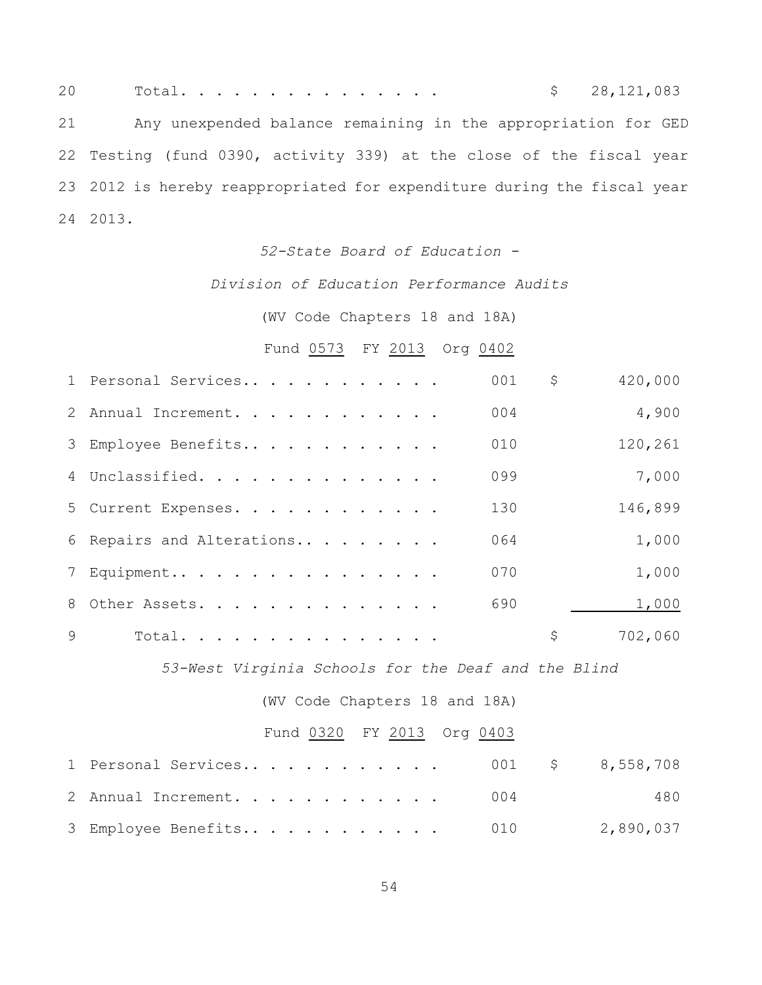20 Total............... \$ 28,121,083 Any unexpended balance remaining in the appropriation for GED Testing (fund 0390, activity 339) at the close of the fiscal year 2012 is hereby reappropriated for expenditure during the fiscal year 2013.

#### *52-State Board of Education -*

### *Division of Education Performance Audits*

### (WV Code Chapters 18 and 18A)

## Fund 0573 FY 2013 Org 0402

|   | 1 Personal Services       | 001 | \$<br>420,000 |
|---|---------------------------|-----|---------------|
|   | 2 Annual Increment.       | 004 | 4,900         |
|   | 3 Employee Benefits       | 010 | 120,261       |
|   | 4 Unclassified.           | 099 | 7,000         |
|   | 5 Current Expenses.       | 130 | 146,899       |
|   | 6 Repairs and Alterations | 064 | 1,000         |
|   | 7 Equipment               | 070 | 1,000         |
|   | 8 Other Assets.           | 690 | 1,000         |
| 9 | Total.                    |     | \$<br>702,060 |

*53-West Virginia Schools for the Deaf and the Blind*

(WV Code Chapters 18 and 18A)

### Fund 0320 FY 2013 Org 0403

| 1 Personal Services 001 \$ 8,558,708 |  |     |
|--------------------------------------|--|-----|
| 2 Annual Increment. 004              |  | 480 |
|                                      |  |     |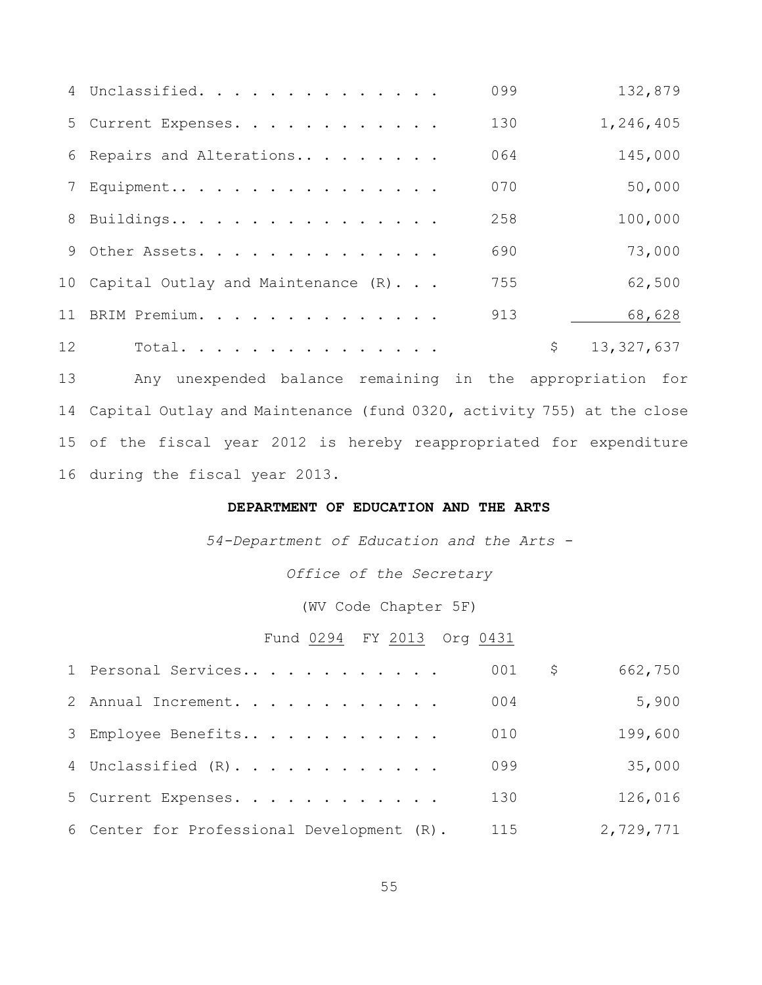|    | 4 Unclassified.                       | 099 | 132,879          |
|----|---------------------------------------|-----|------------------|
|    | 5 Current Expenses.                   | 130 | 1,246,405        |
|    | 6 Repairs and Alterations             | 064 | 145,000          |
|    | 7 Equipment                           | 070 | 50,000           |
|    | 8 Buildings                           | 258 | 100,000          |
|    | 9 Other Assets.                       | 690 | 73,000           |
|    | 10 Capital Outlay and Maintenance (R) | 755 | 62,500           |
|    | 11 BRIM Premium.                      | 913 | 68,628           |
| 12 | Total.                                |     | \$<br>13,327,637 |

 Any unexpended balance remaining in the appropriation for Capital Outlay and Maintenance (fund 0320, activity 755) at the close of the fiscal year 2012 is hereby reappropriated for expenditure during the fiscal year 2013.

### **DEPARTMENT OF EDUCATION AND THE ARTS**

*54-Department of Education and the Arts -*

*Office of the Secretary*

(WV Code Chapter 5F)

## Fund 0294 FY 2013 Org 0431

| 1 Personal Services                        | 001 | 662,750<br>Ş. |        |
|--------------------------------------------|-----|---------------|--------|
| 2 Annual Increment.                        | 004 |               | 5,900  |
| 3 Employee Benefits                        | 010 | 199,600       |        |
| 4 Unclassified (R).                        | 099 |               | 35,000 |
| 5 Current Expenses.                        | 130 | 126,016       |        |
| 6 Center for Professional Development (R). | 115 | 2,729,771     |        |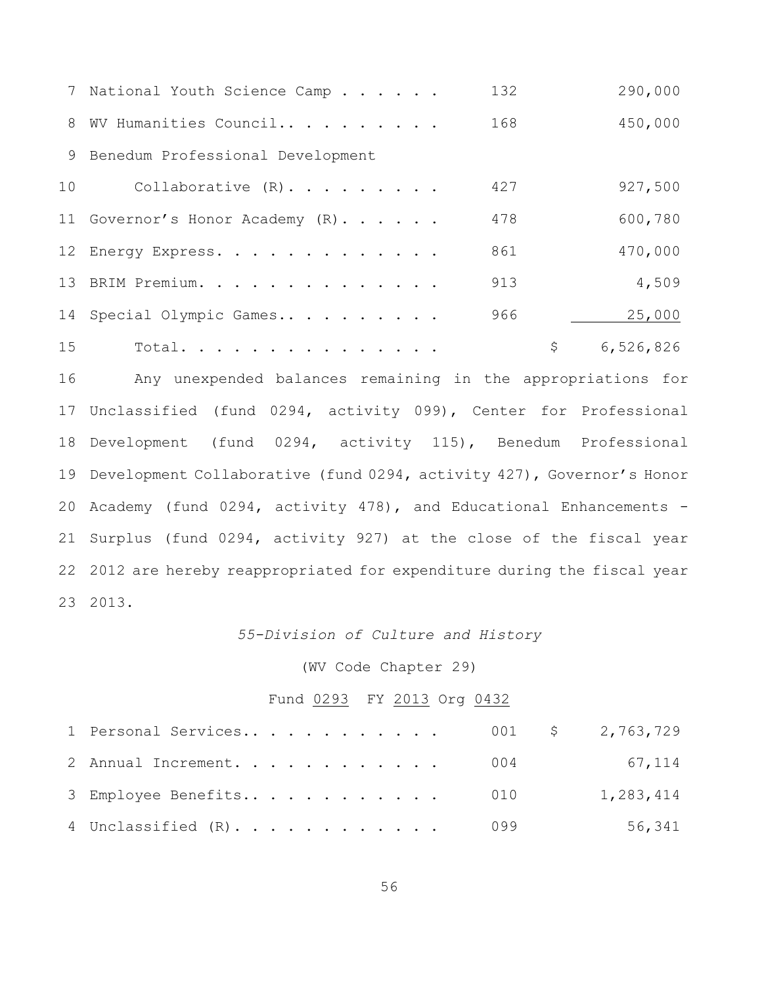|                 | 7 National Youth Science Camp      | 132 | 290,000   |
|-----------------|------------------------------------|-----|-----------|
|                 | 8 WV Humanities Council            | 168 | 450,000   |
|                 | 9 Benedum Professional Development |     |           |
| 10 <sub>1</sub> | Collaborative $(R)$ .              | 427 | 927,500   |
|                 | 11 Governor's Honor Academy (R).   | 478 | 600,780   |
|                 | 12 Energy Express.                 | 861 | 470,000   |
|                 | 13 BRIM Premium.                   | 913 | 4,509     |
|                 | 14 Special Olympic Games           | 966 | 25,000    |
| 15              | Total.                             | \$  | 6,526,826 |

 Any unexpended balances remaining in the appropriations for Unclassified (fund 0294, activity 099), Center for Professional Development (fund 0294, activity 115), Benedum Professional Development Collaborative (fund 0294, activity 427), Governor's Honor Academy (fund 0294, activity 478), and Educational Enhancements - Surplus (fund 0294, activity 927) at the close of the fiscal year 2012 are hereby reappropriated for expenditure during the fiscal year 2013.

### *55-Division of Culture and History*

### (WV Code Chapter 29)

### Fund 0293 FY 2013 Org 0432

| 1 Personal Services 001 \$ 2,763,729 |  |           |
|--------------------------------------|--|-----------|
| 2 Annual Increment. 004              |  | 67,114    |
| 3 Employee Benefits 010              |  | 1,283,414 |
| 4 Unclassified (R). 099              |  | 56,341    |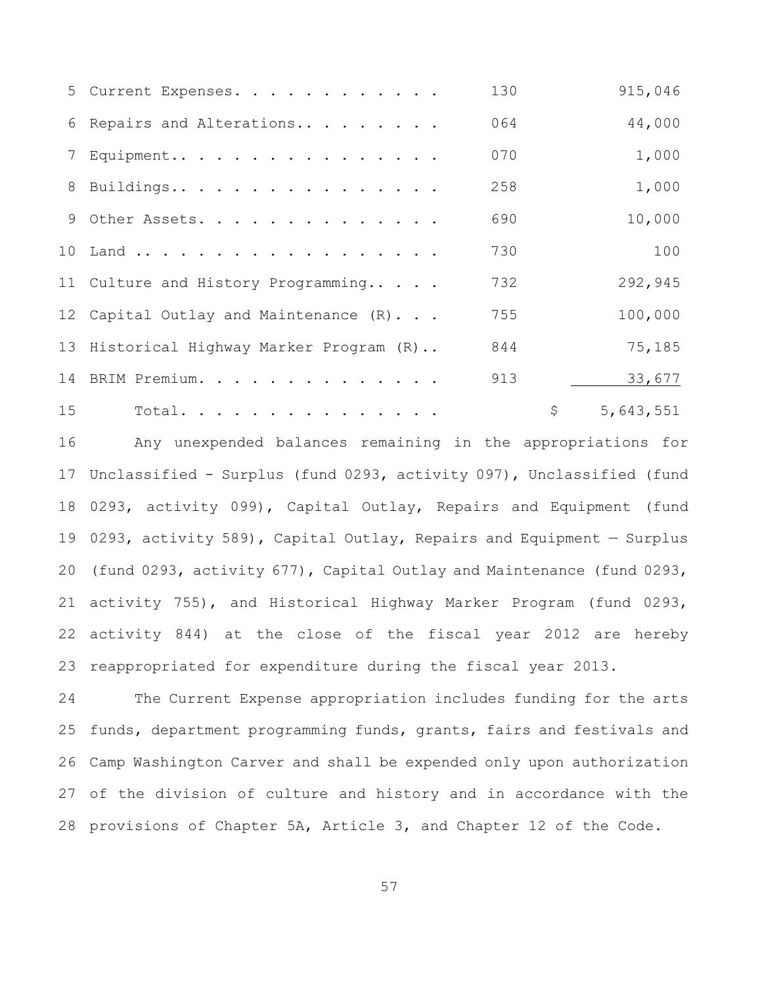|    | 5 Current Expenses.                      | 130 | 915,046         |
|----|------------------------------------------|-----|-----------------|
|    | 6 Repairs and Alterations                | 064 | 44,000          |
|    | 7 Equipment                              | 070 | 1,000           |
|    | 8 Buildings                              | 258 | 1,000           |
|    | 9 Other Assets.                          | 690 | 10,000          |
|    | 10 Land                                  | 730 | 100             |
|    | 11 Culture and History Programming       | 732 | 292,945         |
|    | 12 Capital Outlay and Maintenance (R)    | 755 | 100,000         |
|    | 13 Historical Highway Marker Program (R) | 844 | 75,185          |
|    | 14 BRIM Premium.                         | 913 | 33,677          |
| 15 | Total.                                   |     | \$<br>5,643,551 |

 Any unexpended balances remaining in the appropriations for Unclassified - Surplus (fund 0293, activity 097), Unclassified (fund 0293, activity 099), Capital Outlay, Repairs and Equipment (fund 0293, activity 589), Capital Outlay, Repairs and Equipment — Surplus (fund 0293, activity 677), Capital Outlay and Maintenance (fund 0293, activity 755), and Historical Highway Marker Program (fund 0293, activity 844) at the close of the fiscal year 2012 are hereby reappropriated for expenditure during the fiscal year 2013.

 The Current Expense appropriation includes funding for the arts funds, department programming funds, grants, fairs and festivals and Camp Washington Carver and shall be expended only upon authorization of the division of culture and history and in accordance with the provisions of Chapter 5A, Article 3, and Chapter 12 of the Code.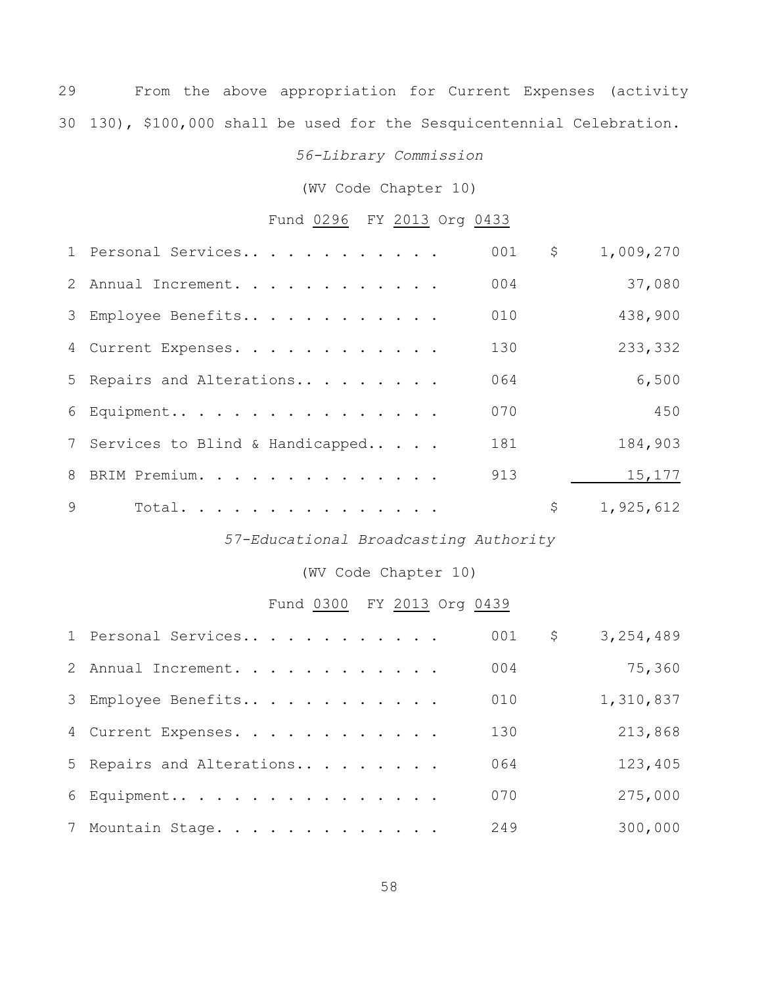From the above appropriation for Current Expenses (activity 130), \$100,000 shall be used for the Sesquicentennial Celebration.

### *56-Library Commission*

(WV Code Chapter 10)

### Fund 0296 FY 2013 Org 0433

|              | 1 Personal Services               | 001 | $\varsigma$ | 1,009,270 |
|--------------|-----------------------------------|-----|-------------|-----------|
|              | 2 Annual Increment.               | 004 |             | 37,080    |
|              | 3 Employee Benefits               | 010 |             | 438,900   |
|              | 4 Current Expenses.               | 130 |             | 233,332   |
|              | 5 Repairs and Alterations         | 064 |             | 6,500     |
|              | 6 Equipment                       | 070 |             | 450       |
|              | 7 Services to Blind & Handicapped | 181 |             | 184,903   |
|              | 8 BRIM Premium.                   | 913 |             | 15,177    |
| $\mathsf{Q}$ | Total.                            |     | \$          | 1,925,612 |

### *57-Educational Broadcasting Authority*

### (WV Code Chapter 10)

# Fund 0300 FY 2013 Org 0439

| 1 Personal Services       | 001 | \$<br>3,254,489 |
|---------------------------|-----|-----------------|
| 2 Annual Increment.       | 004 | 75,360          |
| 3 Employee Benefits       | 010 | 1,310,837       |
| 4 Current Expenses.       | 130 | 213,868         |
| 5 Repairs and Alterations | 064 | 123,405         |
| $6$ Equipment             | 070 | 275,000         |
| 7 Mountain Stage.         | 249 | 300,000         |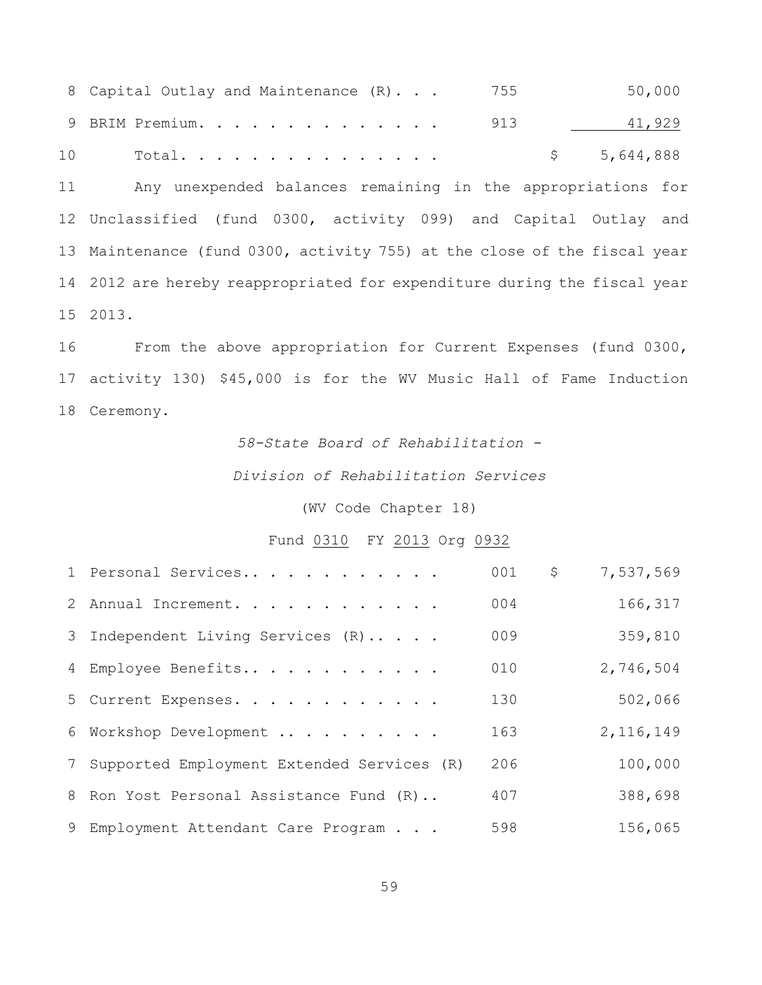8 Capital Outlay and Maintenance (R)... 755 50,000 9 BRIM Premium. . . . . . . . . . . . . . 913 41,929 10 Total............... \$ 5,644,888 Any unexpended balances remaining in the appropriations for Unclassified (fund 0300, activity 099) and Capital Outlay and Maintenance (fund 0300, activity 755) at the close of the fiscal year 2012 are hereby reappropriated for expenditure during the fiscal year 2013.

 From the above appropriation for Current Expenses (fund 0300, activity 130) \$45,000 is for the WV Music Hall of Fame Induction Ceremony.

## *58-State Board of Rehabilitation -*

### *Division of Rehabilitation Services*

(WV Code Chapter 18)

### Fund 0310 FY 2013 Org 0932

| 1 Personal Services                          | 001 | $\mathsf{S}$ | 7,537,569   |
|----------------------------------------------|-----|--------------|-------------|
| 2 Annual Increment.                          | 004 |              | 166,317     |
| 3 Independent Living Services (R)            | 009 |              | 359,810     |
| 4 Employee Benefits                          | 010 |              | 2,746,504   |
| 5 Current Expenses.                          | 130 |              | 502,066     |
| 6 Workshop Development                       | 163 |              | 2, 116, 149 |
| 7 Supported Employment Extended Services (R) | 206 |              | 100,000     |
| 8 Ron Yost Personal Assistance Fund (R)      | 407 |              | 388,698     |
| 9 Employment Attendant Care Program          | 598 |              | 156,065     |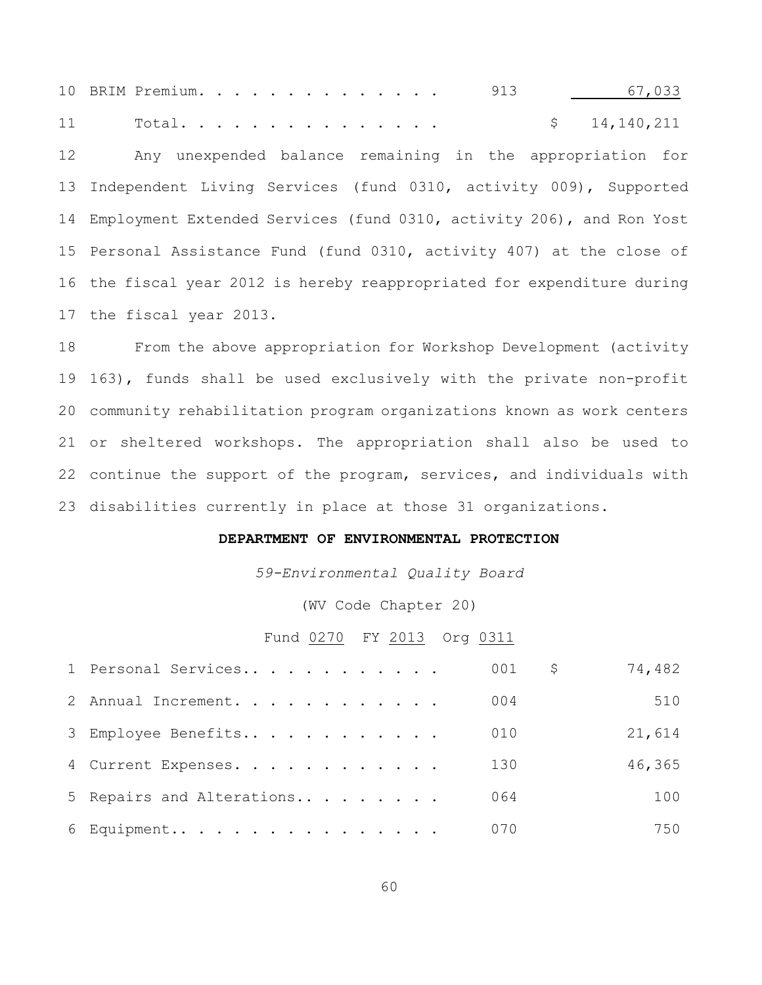10 BRIM Premium. . . . . . . . . . . . . 913 18 17,033 11 Total............... \$ 14,140,211 Any unexpended balance remaining in the appropriation for Independent Living Services (fund 0310, activity 009), Supported Employment Extended Services (fund 0310, activity 206), and Ron Yost Personal Assistance Fund (fund 0310, activity 407) at the close of the fiscal year 2012 is hereby reappropriated for expenditure during the fiscal year 2013.

 From the above appropriation for Workshop Development (activity 163), funds shall be used exclusively with the private non-profit community rehabilitation program organizations known as work centers or sheltered workshops. The appropriation shall also be used to continue the support of the program, services, and individuals with disabilities currently in place at those 31 organizations.

#### **DEPARTMENT OF ENVIRONMENTAL PROTECTION**

*59-Environmental Quality Board*

(WV Code Chapter 20)

#### Fund 0270 FY 2013 Org 0311

| 1 Personal Services       | 001 | \$. | 74,482 |
|---------------------------|-----|-----|--------|
| 2 Annual Increment.       | 004 |     | 510    |
| 3 Employee Benefits       | 010 |     | 21,614 |
| 4 Current Expenses.       | 130 |     | 46,365 |
| 5 Repairs and Alterations | 064 |     | 100    |
| 6 Equipment               | 070 |     | 750    |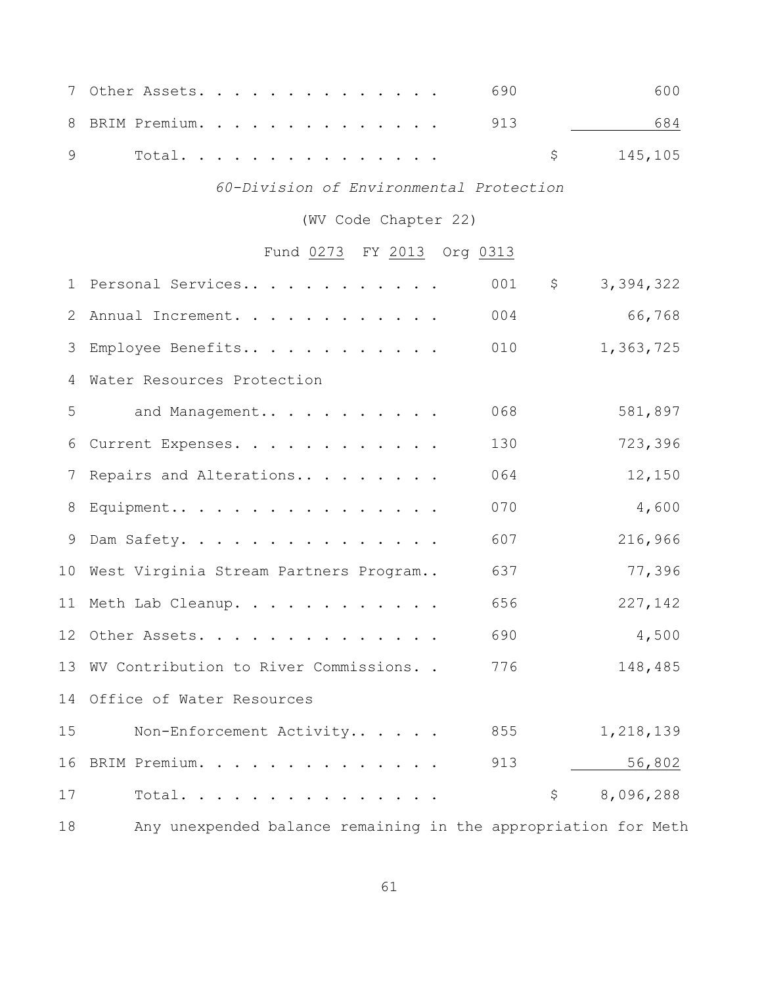|  |  |  |  |  |  |  |  | $7$ Other Assets. 690 | 600        |
|--|--|--|--|--|--|--|--|-----------------------|------------|
|  |  |  |  |  |  |  |  | 8 BRIM Premium. 913   | 684        |
|  |  |  |  |  |  |  |  |                       | \$145, 105 |

# *60-Division of Environmental Protection*

(WV Code Chapter 22)

# Fund 0273 FY 2013 Org 0313

|        | 1 Personal Services                      | 001 | \$<br>3,394,322                                                                                                 |
|--------|------------------------------------------|-----|-----------------------------------------------------------------------------------------------------------------|
| 2      | Annual Increment.                        | 004 | 66,768                                                                                                          |
| 3      | Employee Benefits                        | 010 | 1,363,725                                                                                                       |
| 4      | Water Resources Protection               |     |                                                                                                                 |
| 5      | and Management                           | 068 | 581,897                                                                                                         |
| 6      | Current Expenses.                        | 130 | 723,396                                                                                                         |
| 7      | Repairs and Alterations                  | 064 | 12,150                                                                                                          |
| 8      | Equipment                                | 070 | 4,600                                                                                                           |
| 9      | Dam Safety.                              | 607 | 216,966                                                                                                         |
|        | 10 West Virginia Stream Partners Program | 637 | 77,396                                                                                                          |
|        | 11 Meth Lab Cleanup.                     | 656 | 227,142                                                                                                         |
|        | 12 Other Assets.                         | 690 | 4,500                                                                                                           |
|        | 13 WV Contribution to River Commissions  | 776 | 148,485                                                                                                         |
|        | 14 Office of Water Resources             |     |                                                                                                                 |
| 15     | Non-Enforcement Activity                 | 855 | 1,218,139                                                                                                       |
| 16     | BRIM Premium.                            | 913 | 56,802                                                                                                          |
| 17     | Total.                                   |     | \$<br>8,096,288                                                                                                 |
| $\sim$ |                                          |     | the contract of the contract of the contract of the contract of the contract of the contract of the contract of |

Any unexpended balance remaining in the appropriation for Meth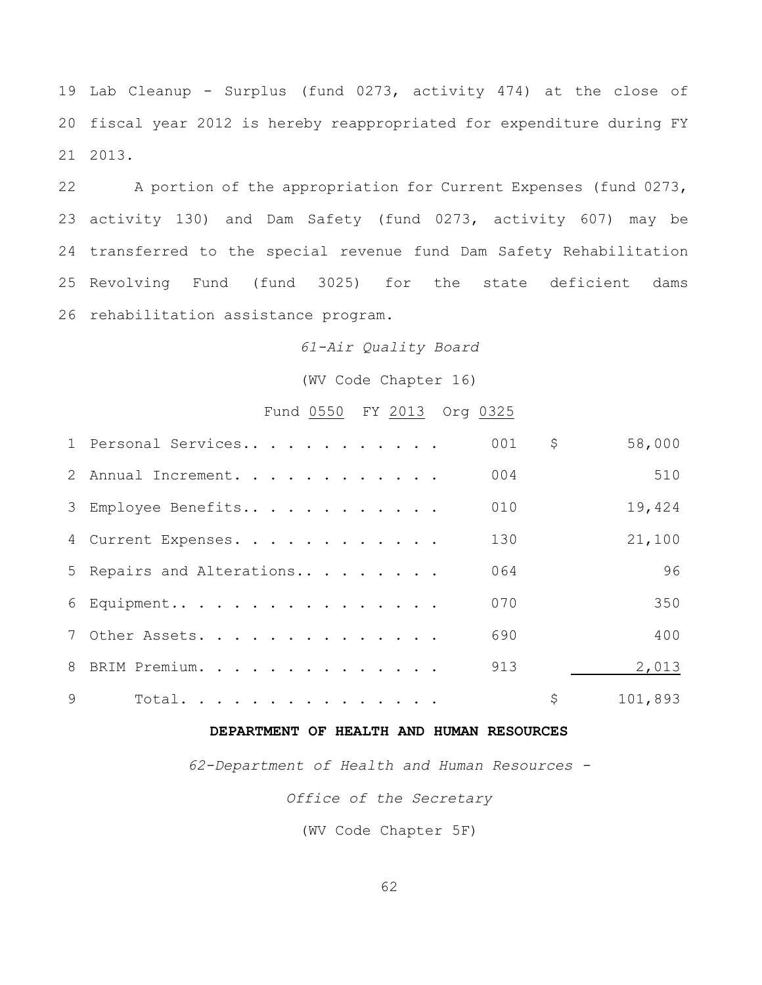Lab Cleanup - Surplus (fund 0273, activity 474) at the close of fiscal year 2012 is hereby reappropriated for expenditure during FY 2013.

 A portion of the appropriation for Current Expenses (fund 0273, activity 130) and Dam Safety (fund 0273, activity 607) may be transferred to the special revenue fund Dam Safety Rehabilitation Revolving Fund (fund 3025) for the state deficient dams rehabilitation assistance program.

#### *61-Air Quality Board*

(WV Code Chapter 16)

### Fund 0550 FY 2013 Org 0325

|          | 1 Personal Services       | 001 | \$<br>58,000  |
|----------|---------------------------|-----|---------------|
|          | 2 Annual Increment.       | 004 | 510           |
|          | 3 Employee Benefits       | 010 | 19,424        |
|          | 4 Current Expenses.       | 130 | 21,100        |
|          | 5 Repairs and Alterations | 064 | 96            |
|          | 6 Equipment               | 070 | 350           |
|          | 7 Other Assets.           | 690 | 400           |
|          | 8 BRIM Premium.           | 913 | 2,013         |
| $\Theta$ | Total.                    |     | \$<br>101,893 |

### **DEPARTMENT OF HEALTH AND HUMAN RESOURCES**

*62-Department of Health and Human Resources -*

*Office of the Secretary*

(WV Code Chapter 5F)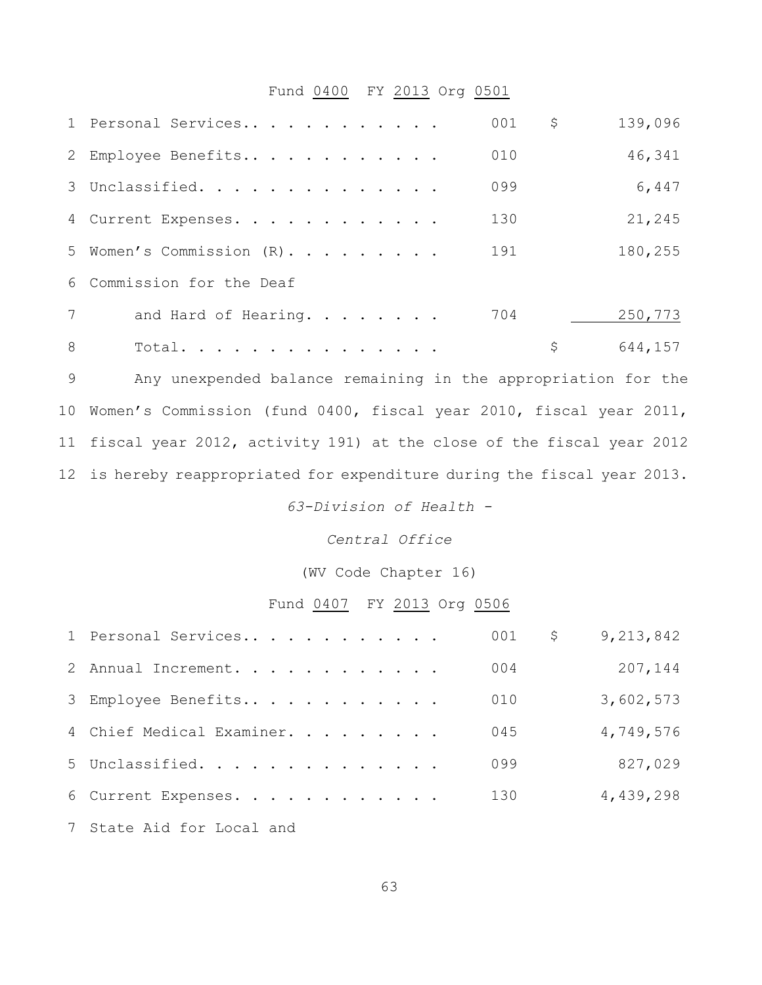### Fund 0400 FY 2013 Org 0501

|   | 1 Personal Services       | 001 | \$ | 139,096 |
|---|---------------------------|-----|----|---------|
|   | 2 Employee Benefits       | 010 |    | 46,341  |
|   | 3 Unclassified.           | 099 |    | 6,447   |
|   | 4 Current Expenses.       | 130 |    | 21,245  |
|   | 5 Women's Commission (R). | 191 |    | 180,255 |
|   | 6 Commission for the Deaf |     |    |         |
| 7 | and Hard of Hearing.      | 704 |    | 250,773 |
| 8 | Total.                    |     | Ş  | 644,157 |

 Any unexpended balance remaining in the appropriation for the Women's Commission (fund 0400, fiscal year 2010, fiscal year 2011, fiscal year 2012, activity 191) at the close of the fiscal year 2012 is hereby reappropriated for expenditure during the fiscal year 2013.

*63-Division of Health -*

*Central Office*

(WV Code Chapter 16)

### Fund 0407 FY 2013 Org 0506

| 1 Personal Services       | 001 | \$<br>9,213,842 |
|---------------------------|-----|-----------------|
| 2 Annual Increment.       | 004 | 207,144         |
| 3 Employee Benefits       | 010 | 3,602,573       |
| 4 Chief Medical Examiner. | 045 | 4,749,576       |
| 5 Unclassified.           | 099 | 827,029         |
| 6 Current Expenses.       | 130 | 4,439,298       |
|                           |     |                 |

State Aid for Local and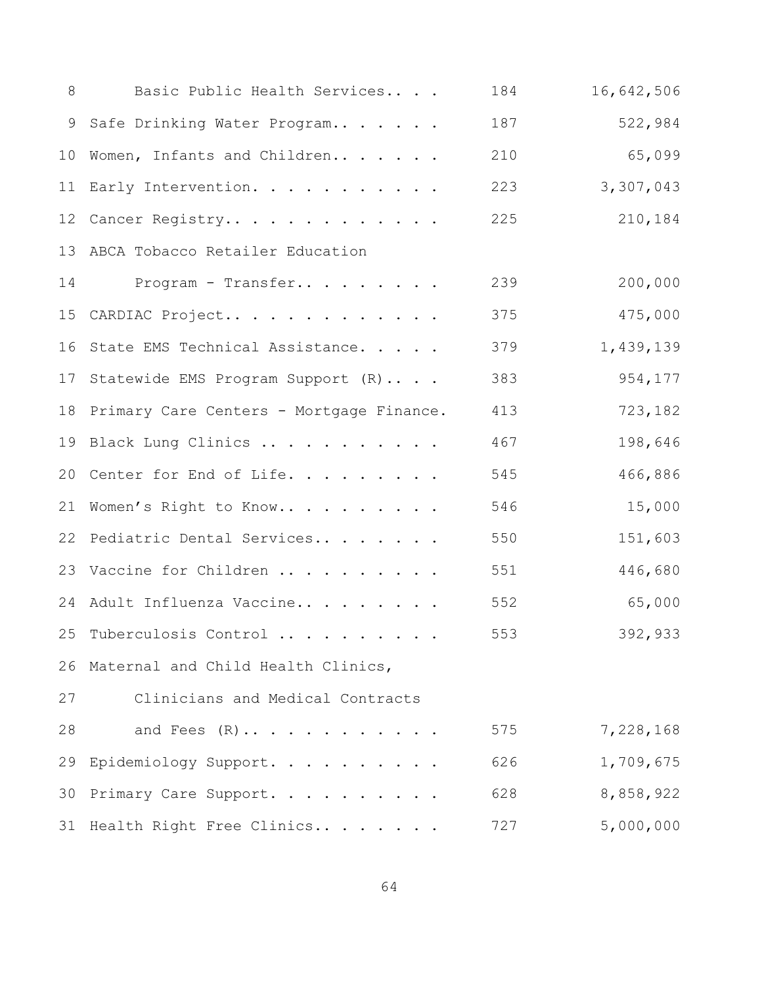| 8  | Basic Public Health Services                | 184 | 16,642,506 |
|----|---------------------------------------------|-----|------------|
| 9  | Safe Drinking Water Program                 | 187 | 522,984    |
|    | 10 Women, Infants and Children              | 210 | 65,099     |
|    | 11 Early Intervention.                      | 223 | 3,307,043  |
|    | 12 Cancer Registry                          | 225 | 210,184    |
|    | 13 ABCA Tobacco Retailer Education          |     |            |
| 14 | Program - Transfer                          | 239 | 200,000    |
| 15 | CARDIAC Project                             | 375 | 475,000    |
|    | 16 State EMS Technical Assistance.          | 379 | 1,439,139  |
|    | 17 Statewide EMS Program Support (R)        | 383 | 954,177    |
|    | 18 Primary Care Centers - Mortgage Finance. | 413 | 723,182    |
|    | 19 Black Lung Clinics                       | 467 | 198,646    |
|    | 20 Center for End of Life.                  | 545 | 466,886    |
| 21 | Women's Right to Know                       | 546 | 15,000     |
|    | 22 Pediatric Dental Services                | 550 | 151,603    |
|    | 23 Vaccine for Children                     | 551 | 446,680    |
|    | 24 Adult Influenza Vaccine                  | 552 | 65,000     |
|    | 25 Tuberculosis Control                     | 553 | 392,933    |
|    | 26 Maternal and Child Health Clinics,       |     |            |
| 27 | Clinicians and Medical Contracts            |     |            |
| 28 | and Fees $(R) \ldots \ldots \ldots \ldots$  | 575 | 7,228,168  |
| 29 | Epidemiology Support.                       | 626 | 1,709,675  |
| 30 | Primary Care Support.                       | 628 | 8,858,922  |
|    | 31 Health Right Free Clinics                | 727 | 5,000,000  |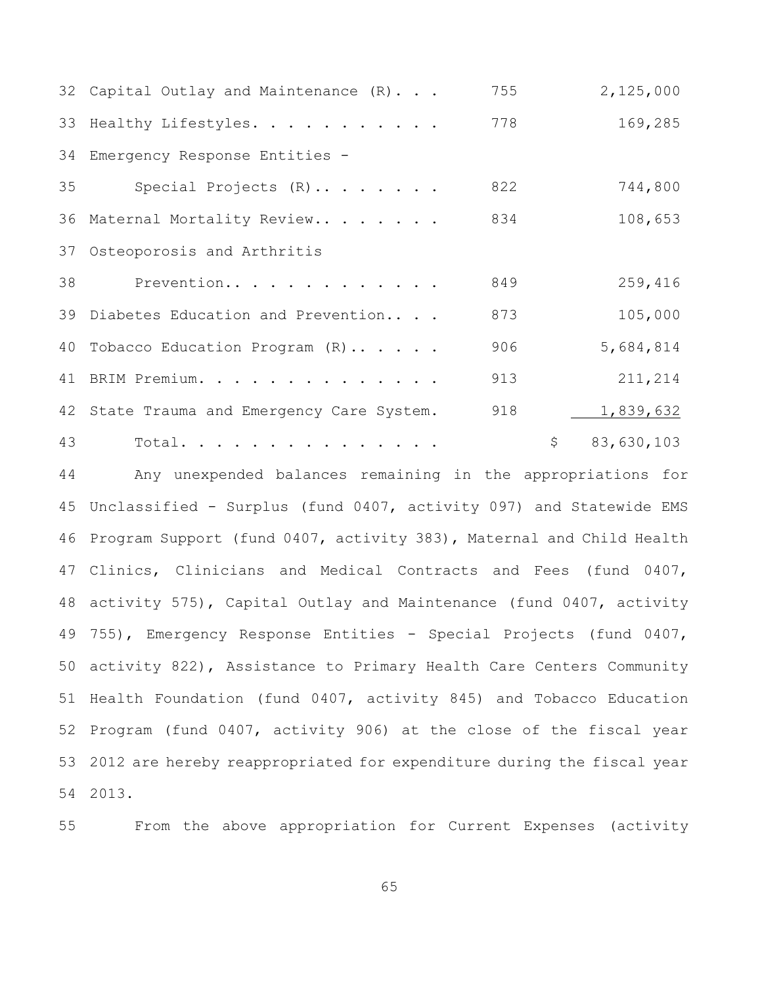|    | 32 Capital Outlay and Maintenance (R)      | 755 | 2,125,000                         |
|----|--------------------------------------------|-----|-----------------------------------|
|    | 33 Healthy Lifestyles.                     | 778 | 169,285                           |
|    | 34 Emergency Response Entities -           |     |                                   |
| 35 | Special Projects (R)                       | 822 | 744,800                           |
|    | 36 Maternal Mortality Review               | 834 | 108,653                           |
|    | 37 Osteoporosis and Arthritis              |     |                                   |
| 38 | Prevention                                 | 849 | 259,416                           |
|    | 39 Diabetes Education and Prevention       | 873 | 105,000                           |
|    | 40 Tobacco Education Program (R)           | 906 | 5,684,814                         |
|    | 41 BRIM Premium.                           | 913 | 211,214                           |
|    | 42 State Trauma and Emergency Care System. | 918 | 1,839,632                         |
| 43 | Total.                                     |     | $\ddot{\mathsf{S}}$<br>83,630,103 |

 Any unexpended balances remaining in the appropriations for Unclassified - Surplus (fund 0407, activity 097) and Statewide EMS Program Support (fund 0407, activity 383), Maternal and Child Health Clinics, Clinicians and Medical Contracts and Fees (fund 0407, activity 575), Capital Outlay and Maintenance (fund 0407, activity 755), Emergency Response Entities - Special Projects (fund 0407, activity 822), Assistance to Primary Health Care Centers Community Health Foundation (fund 0407, activity 845) and Tobacco Education Program (fund 0407, activity 906) at the close of the fiscal year 2012 are hereby reappropriated for expenditure during the fiscal year 2013.

From the above appropriation for Current Expenses (activity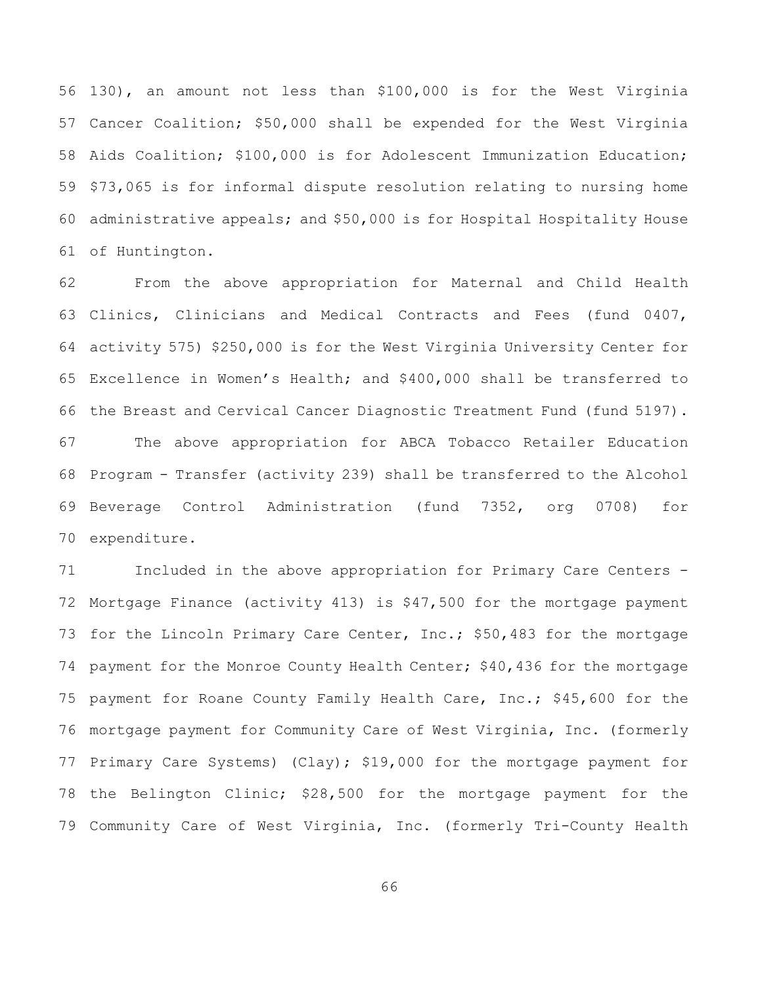130), an amount not less than \$100,000 is for the West Virginia Cancer Coalition; \$50,000 shall be expended for the West Virginia Aids Coalition; \$100,000 is for Adolescent Immunization Education; \$73,065 is for informal dispute resolution relating to nursing home administrative appeals; and \$50,000 is for Hospital Hospitality House of Huntington.

 From the above appropriation for Maternal and Child Health Clinics, Clinicians and Medical Contracts and Fees (fund 0407, activity 575) \$250,000 is for the West Virginia University Center for Excellence in Women's Health; and \$400,000 shall be transferred to the Breast and Cervical Cancer Diagnostic Treatment Fund (fund 5197). The above appropriation for ABCA Tobacco Retailer Education Program - Transfer (activity 239) shall be transferred to the Alcohol Beverage Control Administration (fund 7352, org 0708) for expenditure.

 Included in the above appropriation for Primary Care Centers - Mortgage Finance (activity 413) is \$47,500 for the mortgage payment 73 for the Lincoln Primary Care Center, Inc.; \$50,483 for the mortgage 74 payment for the Monroe County Health Center; \$40,436 for the mortgage payment for Roane County Family Health Care, Inc.; \$45,600 for the mortgage payment for Community Care of West Virginia, Inc. (formerly Primary Care Systems) (Clay); \$19,000 for the mortgage payment for the Belington Clinic; \$28,500 for the mortgage payment for the Community Care of West Virginia, Inc. (formerly Tri-County Health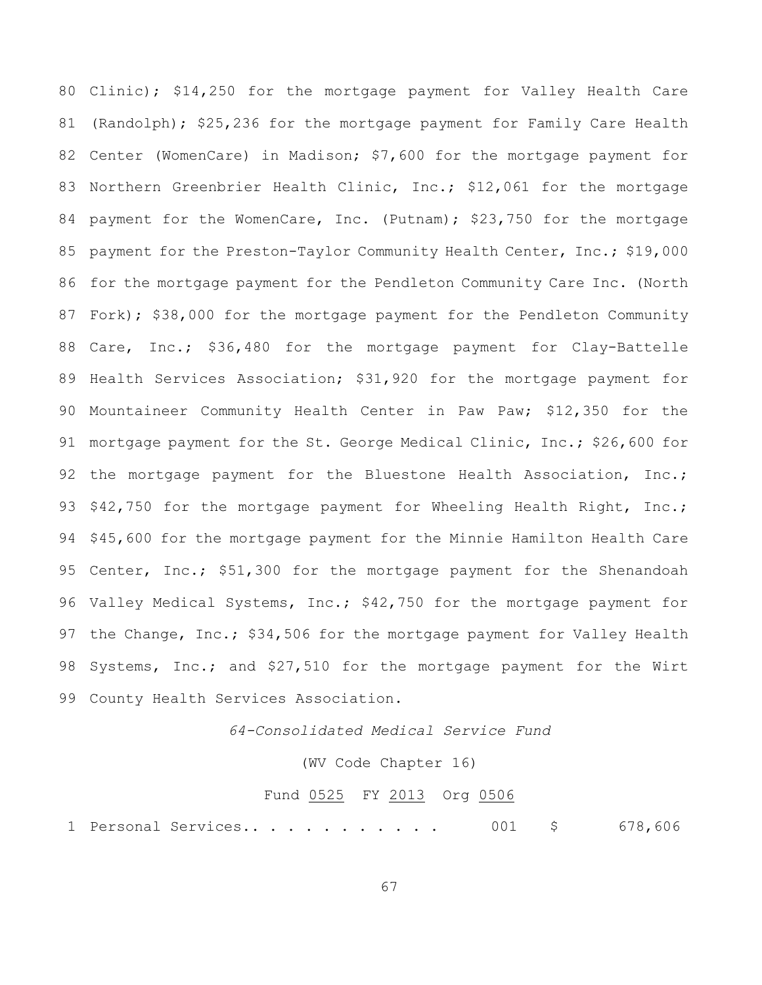Clinic); \$14,250 for the mortgage payment for Valley Health Care (Randolph); \$25,236 for the mortgage payment for Family Care Health Center (WomenCare) in Madison; \$7,600 for the mortgage payment for Northern Greenbrier Health Clinic, Inc.; \$12,061 for the mortgage 84 payment for the WomenCare, Inc. (Putnam); \$23,750 for the mortgage payment for the Preston-Taylor Community Health Center, Inc.; \$19,000 for the mortgage payment for the Pendleton Community Care Inc. (North Fork); \$38,000 for the mortgage payment for the Pendleton Community Care, Inc.; \$36,480 for the mortgage payment for Clay-Battelle Health Services Association; \$31,920 for the mortgage payment for Mountaineer Community Health Center in Paw Paw; \$12,350 for the mortgage payment for the St. George Medical Clinic, Inc.; \$26,600 for 92 the mortgage payment for the Bluestone Health Association, Inc.; 93 \$42,750 for the mortgage payment for Wheeling Health Right, Inc.; \$45,600 for the mortgage payment for the Minnie Hamilton Health Care Center, Inc.; \$51,300 for the mortgage payment for the Shenandoah 96 Valley Medical Systems, Inc.; \$42,750 for the mortgage payment for 97 the Change, Inc.; \$34,506 for the mortgage payment for Valley Health Systems, Inc.; and \$27,510 for the mortgage payment for the Wirt County Health Services Association.

*64-Consolidated Medical Service Fund*

(WV Code Chapter 16)

#### Fund 0525 FY 2013 Org 0506

1 Personal Services.. . . . . . . . . . 001 \$ 678,606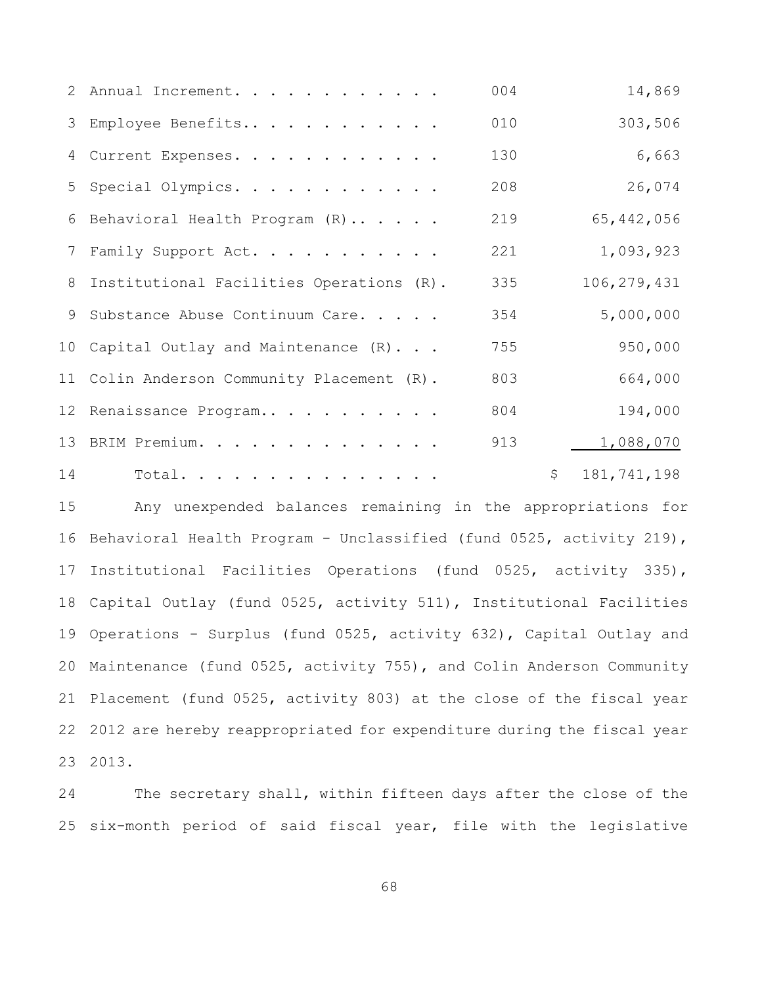|    | 2 Annual Increment.                        | 004 | 14,869            |
|----|--------------------------------------------|-----|-------------------|
|    | 3 Employee Benefits                        | 010 | 303,506           |
|    | 4 Current Expenses.                        | 130 | 6,663             |
|    | 5 Special Olympics.                        | 208 | 26,074            |
|    | 6 Behavioral Health Program (R)            | 219 | 65, 442, 056      |
|    | 7 Family Support Act.                      | 221 | 1,093,923         |
|    | 8 Institutional Facilities Operations (R). | 335 | 106, 279, 431     |
| 9  | Substance Abuse Continuum Care.            | 354 | 5,000,000         |
|    | 10 Capital Outlay and Maintenance (R)      | 755 | 950,000           |
|    | 11 Colin Anderson Community Placement (R). | 803 | 664,000           |
|    | 12 Renaissance Program                     | 804 | 194,000           |
|    | 13 BRIM Premium.                           | 913 | 1,088,070         |
| 14 | Total.                                     |     | \$<br>181,741,198 |

 Any unexpended balances remaining in the appropriations for Behavioral Health Program - Unclassified (fund 0525, activity 219), Institutional Facilities Operations (fund 0525, activity 335), Capital Outlay (fund 0525, activity 511), Institutional Facilities Operations - Surplus (fund 0525, activity 632), Capital Outlay and Maintenance (fund 0525, activity 755), and Colin Anderson Community Placement (fund 0525, activity 803) at the close of the fiscal year 2012 are hereby reappropriated for expenditure during the fiscal year 2013.

 The secretary shall, within fifteen days after the close of the six-month period of said fiscal year, file with the legislative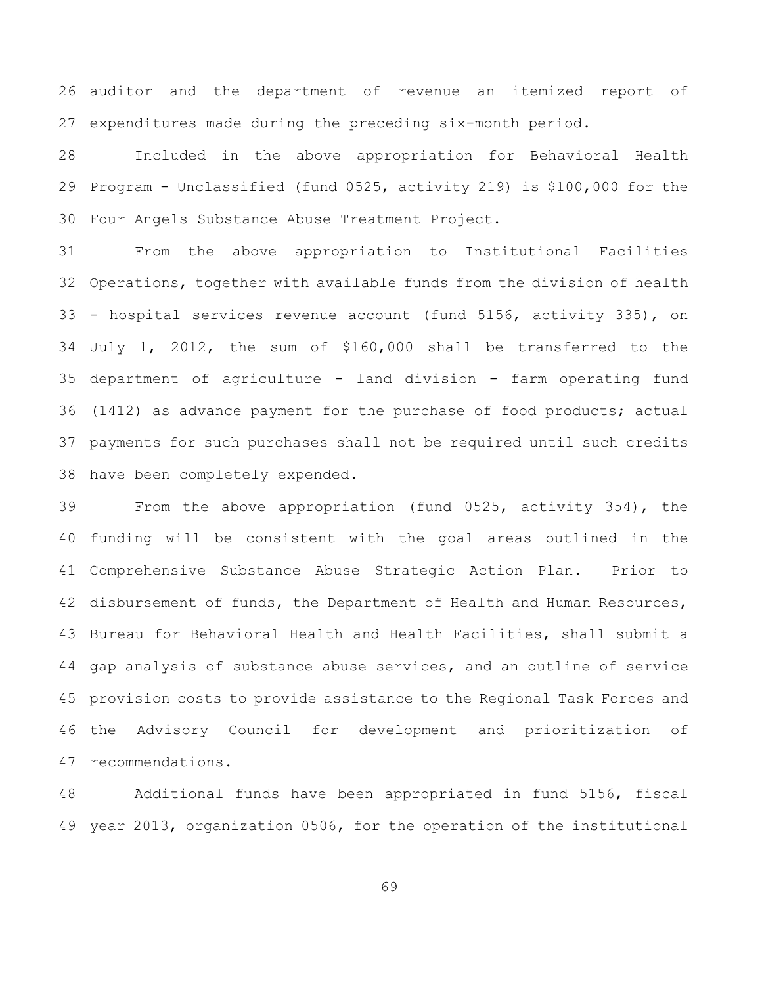auditor and the department of revenue an itemized report of expenditures made during the preceding six-month period.

 Included in the above appropriation for Behavioral Health Program - Unclassified (fund 0525, activity 219) is \$100,000 for the Four Angels Substance Abuse Treatment Project.

 From the above appropriation to Institutional Facilities Operations, together with available funds from the division of health - hospital services revenue account (fund 5156, activity 335), on July 1, 2012, the sum of \$160,000 shall be transferred to the department of agriculture - land division - farm operating fund (1412) as advance payment for the purchase of food products; actual payments for such purchases shall not be required until such credits have been completely expended.

 From the above appropriation (fund 0525, activity 354), the funding will be consistent with the goal areas outlined in the Comprehensive Substance Abuse Strategic Action Plan. Prior to disbursement of funds, the Department of Health and Human Resources, Bureau for Behavioral Health and Health Facilities, shall submit a gap analysis of substance abuse services, and an outline of service provision costs to provide assistance to the Regional Task Forces and the Advisory Council for development and prioritization of recommendations.

 Additional funds have been appropriated in fund 5156, fiscal year 2013, organization 0506, for the operation of the institutional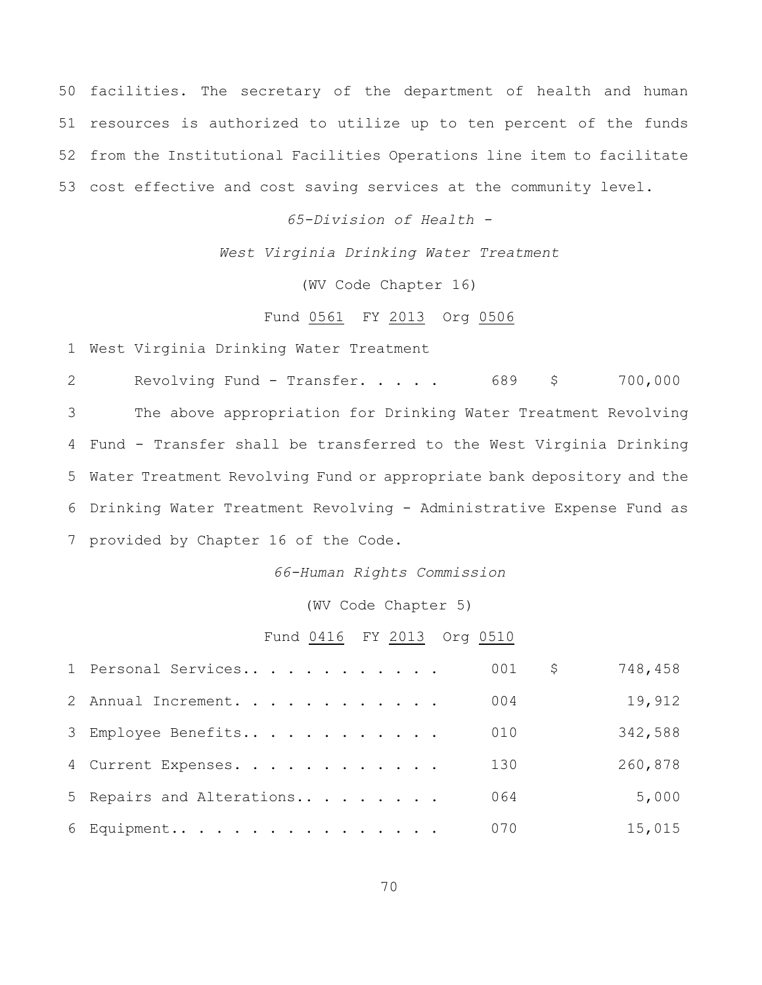facilities. The secretary of the department of health and human resources is authorized to utilize up to ten percent of the funds from the Institutional Facilities Operations line item to facilitate cost effective and cost saving services at the community level.

*65-Division of Health -*

*West Virginia Drinking Water Treatment*

(WV Code Chapter 16)

### Fund 0561 FY 2013 Org 0506

West Virginia Drinking Water Treatment

 Revolving Fund - Transfer. . . . . 689 \$ 700,000 The above appropriation for Drinking Water Treatment Revolving Fund - Transfer shall be transferred to the West Virginia Drinking Water Treatment Revolving Fund or appropriate bank depository and the Drinking Water Treatment Revolving - Administrative Expense Fund as provided by Chapter 16 of the Code.

*66-Human Rights Commission*

(WV Code Chapter 5)

### Fund 0416 FY 2013 Org 0510

| 1 Personal Services       | 001 | \$. | 748,458 |
|---------------------------|-----|-----|---------|
| 2 Annual Increment.       | 004 |     | 19,912  |
| 3 Employee Benefits       | 010 |     | 342,588 |
| 4 Current Expenses.       | 130 |     | 260,878 |
| 5 Repairs and Alterations | 064 |     | 5,000   |
| 6 Equipment               | 070 |     | 15,015  |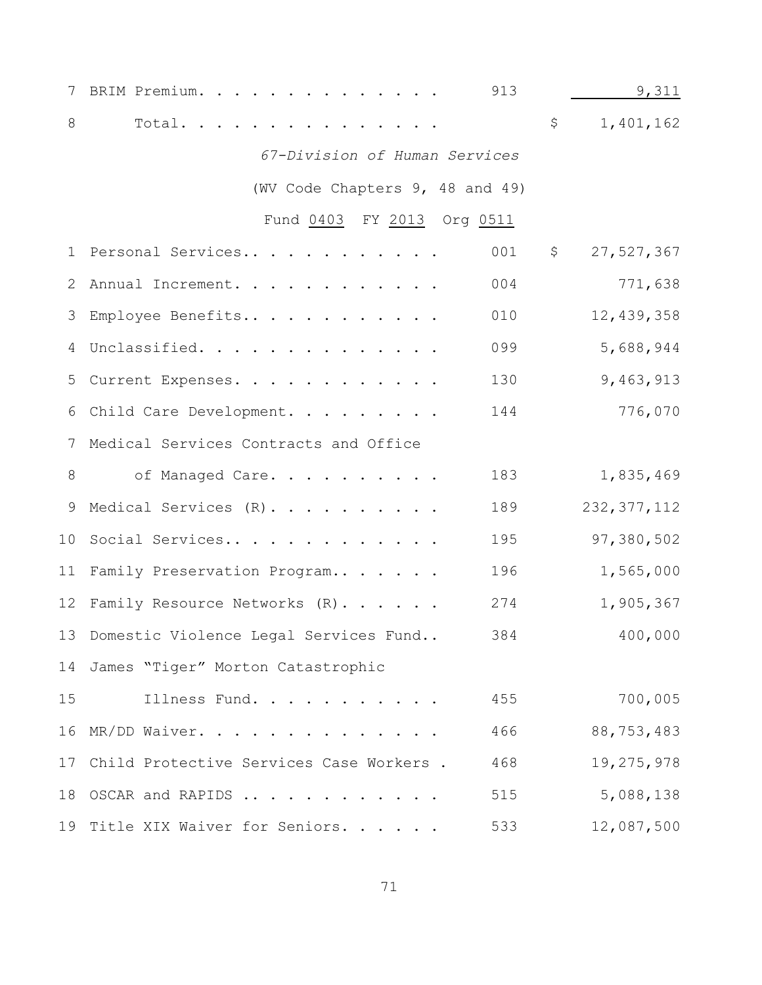| 7            | 913<br>BRIM Premium.                            | 9,311            |
|--------------|-------------------------------------------------|------------------|
| 8            | Total.                                          | \$<br>1,401,162  |
|              | 67-Division of Human Services                   |                  |
|              | (WV Code Chapters 9, 48 and 49)                 |                  |
|              | Fund 0403 FY 2013 Org 0511                      |                  |
| $\mathbf{1}$ | 001<br>Personal Services                        | \$<br>27,527,367 |
|              | 004<br>2 Annual Increment.                      | 771,638          |
| 3            | 010<br>Employee Benefits                        | 12,439,358       |
| 4            | 099<br>Unclassified.                            | 5,688,944        |
| 5            | 130<br>Current Expenses.                        | 9,463,913        |
|              | 144<br>6 Child Care Development.                | 776,070          |
|              | 7 Medical Services Contracts and Office         |                  |
| 8            | 183<br>of Managed Care.                         | 1,835,469        |
| 9            | Medical Services (R).<br>189                    | 232, 377, 112    |
| 10           | Social Services<br>195                          | 97,380,502       |
|              | 11 Family Preservation Program<br>196           | 1,565,000        |
|              | 12 Family Resource Networks (R)<br>274          | 1,905,367        |
|              | 13 Domestic Violence Legal Services Fund<br>384 | 400,000          |
|              | 14 James "Tiger" Morton Catastrophic            |                  |
| 15           | Illness Fund.<br>455                            | 700,005          |
|              | 466<br>16 MR/DD Waiver.                         | 88,753,483       |
| 17           | Child Protective Services Case Workers .<br>468 | 19,275,978       |
|              | 18 OSCAR and RAPIDS<br>515                      | 5,088,138        |
|              | 533<br>19 Title XIX Waiver for Seniors.         | 12,087,500       |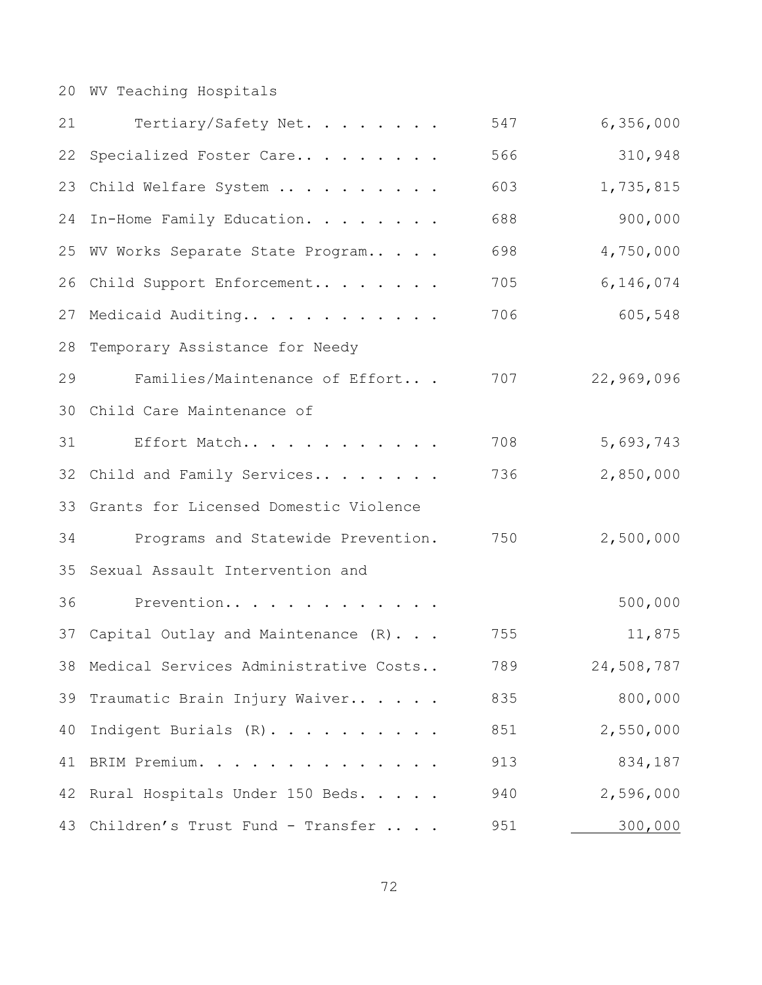# WV Teaching Hospitals

| 21 | Tertiary/Safety Net.                     | 547 | 6,356,000  |
|----|------------------------------------------|-----|------------|
| 22 | Specialized Foster Care                  | 566 | 310,948    |
| 23 | Child Welfare System                     | 603 | 1,735,815  |
| 24 | In-Home Family Education.                | 688 | 900,000    |
| 25 | WV Works Separate State Program          | 698 | 4,750,000  |
| 26 | Child Support Enforcement                | 705 | 6,146,074  |
| 27 | Medicaid Auditing                        | 706 | 605,548    |
| 28 | Temporary Assistance for Needy           |     |            |
| 29 | Families/Maintenance of Effort           | 707 | 22,969,096 |
| 30 | Child Care Maintenance of                |     |            |
| 31 | Effort Match                             | 708 | 5,693,743  |
| 32 | Child and Family Services                | 736 | 2,850,000  |
| 33 | Grants for Licensed Domestic Violence    |     |            |
| 34 | Programs and Statewide Prevention.       | 750 | 2,500,000  |
| 35 | Sexual Assault Intervention and          |     |            |
| 36 | Prevention                               |     | 500,000    |
| 37 | Capital Outlay and Maintenance (R).      | 755 | 11,875     |
|    | 38 Medical Services Administrative Costs | 789 | 24,508,787 |
| 39 | Traumatic Brain Injury Waiver            | 835 | 800,000    |
| 40 | Indigent Burials (R).                    | 851 | 2,550,000  |
| 41 | BRIM Premium.                            | 913 | 834,187    |
| 42 | Rural Hospitals Under 150 Beds.          | 940 | 2,596,000  |
| 43 | Children's Trust Fund - Transfer         | 951 | 300,000    |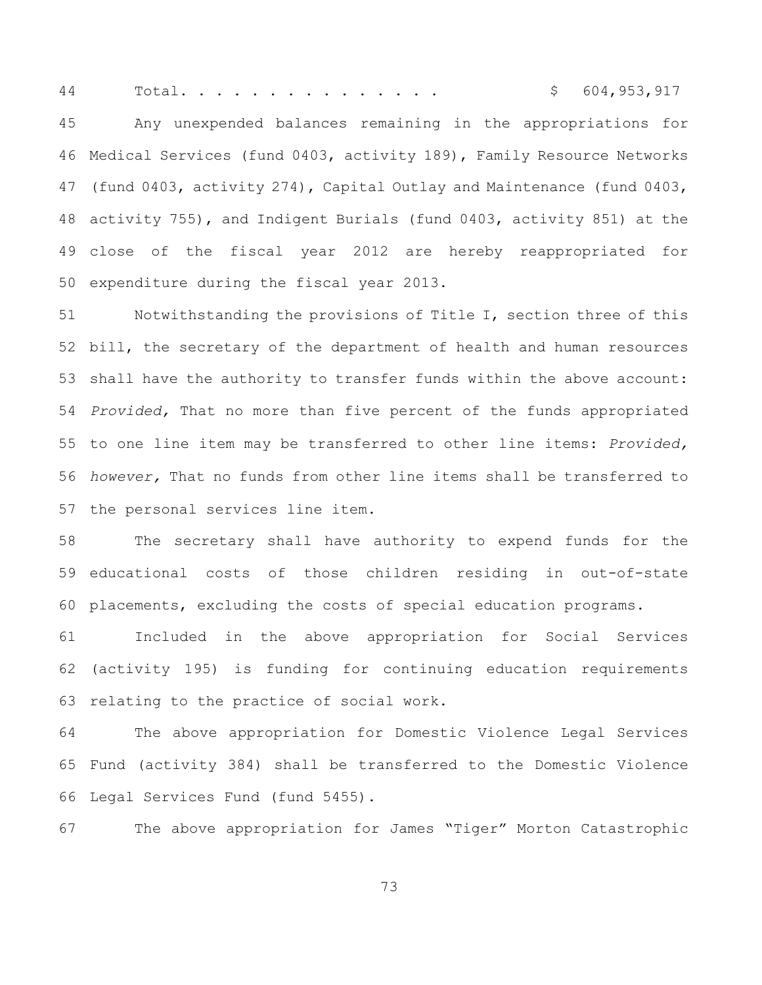Total. . . . . . . . . . . . . . . \$ 604,953,917

 Any unexpended balances remaining in the appropriations for Medical Services (fund 0403, activity 189), Family Resource Networks (fund 0403, activity 274), Capital Outlay and Maintenance (fund 0403, activity 755), and Indigent Burials (fund 0403, activity 851) at the close of the fiscal year 2012 are hereby reappropriated for expenditure during the fiscal year 2013.

 Notwithstanding the provisions of Title I, section three of this bill, the secretary of the department of health and human resources shall have the authority to transfer funds within the above account: *Provided,* That no more than five percent of the funds appropriated to one line item may be transferred to other line items: *Provided, however,* That no funds from other line items shall be transferred to the personal services line item.

 The secretary shall have authority to expend funds for the educational costs of those children residing in out-of-state placements, excluding the costs of special education programs.

 Included in the above appropriation for Social Services (activity 195) is funding for continuing education requirements relating to the practice of social work.

 The above appropriation for Domestic Violence Legal Services Fund (activity 384) shall be transferred to the Domestic Violence Legal Services Fund (fund 5455).

The above appropriation for James "Tiger" Morton Catastrophic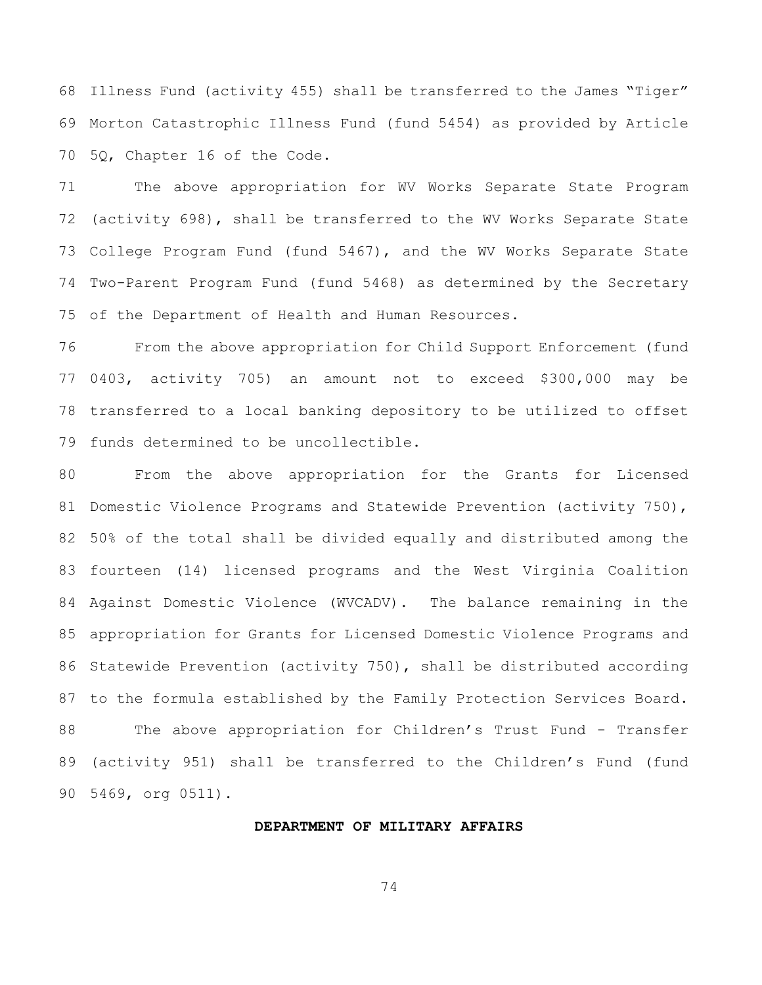Illness Fund (activity 455) shall be transferred to the James "Tiger" Morton Catastrophic Illness Fund (fund 5454) as provided by Article 5Q, Chapter 16 of the Code.

 The above appropriation for WV Works Separate State Program (activity 698), shall be transferred to the WV Works Separate State College Program Fund (fund 5467), and the WV Works Separate State Two-Parent Program Fund (fund 5468) as determined by the Secretary of the Department of Health and Human Resources.

 From the above appropriation for Child Support Enforcement (fund 0403, activity 705) an amount not to exceed \$300,000 may be transferred to a local banking depository to be utilized to offset funds determined to be uncollectible.

 From the above appropriation for the Grants for Licensed 81 Domestic Violence Programs and Statewide Prevention (activity 750), 50% of the total shall be divided equally and distributed among the fourteen (14) licensed programs and the West Virginia Coalition Against Domestic Violence (WVCADV). The balance remaining in the appropriation for Grants for Licensed Domestic Violence Programs and Statewide Prevention (activity 750), shall be distributed according to the formula established by the Family Protection Services Board. The above appropriation for Children's Trust Fund - Transfer (activity 951) shall be transferred to the Children's Fund (fund 5469, org 0511).

#### **DEPARTMENT OF MILITARY AFFAIRS**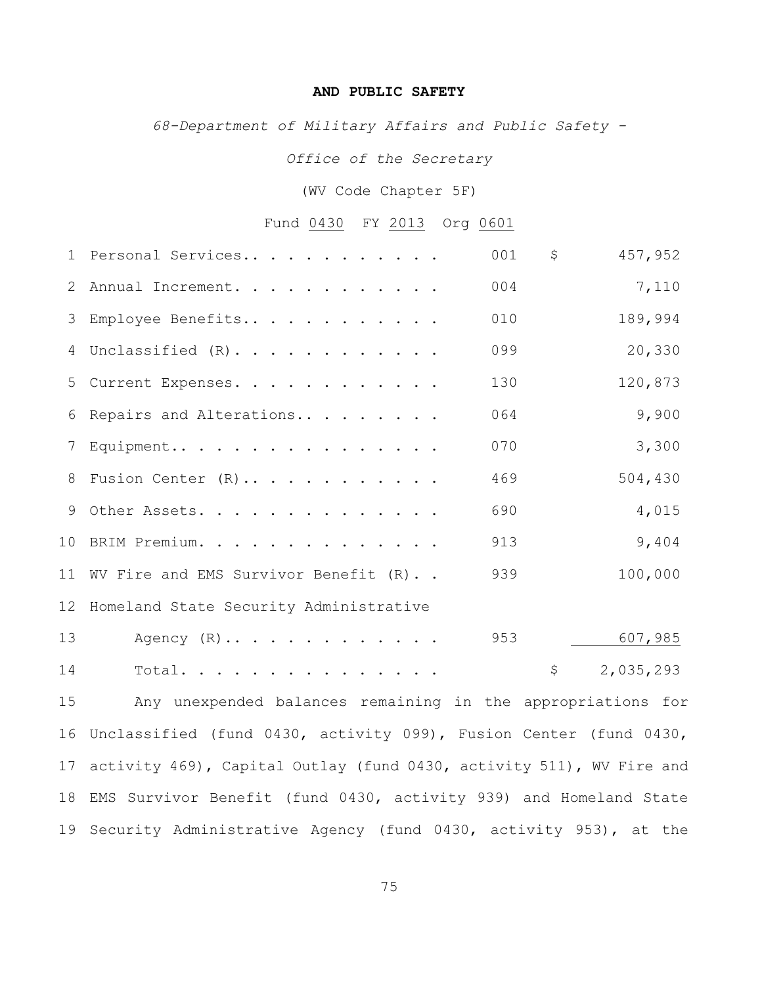## **AND PUBLIC SAFETY**

*68-Department of Military Affairs and Public Safety -*

*Office of the Secretary*

(WV Code Chapter 5F)

## Fund 0430 FY 2013 Org 0601

|    | 1 Personal Services                       | 001 | \$          | 457,952   |
|----|-------------------------------------------|-----|-------------|-----------|
|    | 2 Annual Increment.                       | 004 |             | 7,110     |
|    | 3 Employee Benefits                       | 010 |             | 189,994   |
|    | 4 Unclassified (R).                       | 099 |             | 20,330    |
|    | 5 Current Expenses.                       | 130 |             | 120,873   |
|    | 6 Repairs and Alterations                 | 064 |             | 9,900     |
|    | 7 Equipment                               | 070 |             | 3,300     |
|    | 8 Fusion Center (R)                       | 469 |             | 504,430   |
|    | 9 Other Assets.                           | 690 |             | 4,015     |
|    | 10 BRIM Premium.                          | 913 |             | 9,404     |
|    | 11 WV Fire and EMS Survivor Benefit (R)   | 939 |             | 100,000   |
|    | 12 Homeland State Security Administrative |     |             |           |
| 13 | Agency $(R)$                              | 953 |             | 607,985   |
| 14 | Total.                                    |     | $\varsigma$ | 2,035,293 |
|    |                                           |     |             |           |

 Any unexpended balances remaining in the appropriations for Unclassified (fund 0430, activity 099), Fusion Center (fund 0430, activity 469), Capital Outlay (fund 0430, activity 511), WV Fire and EMS Survivor Benefit (fund 0430, activity 939) and Homeland State Security Administrative Agency (fund 0430, activity 953), at the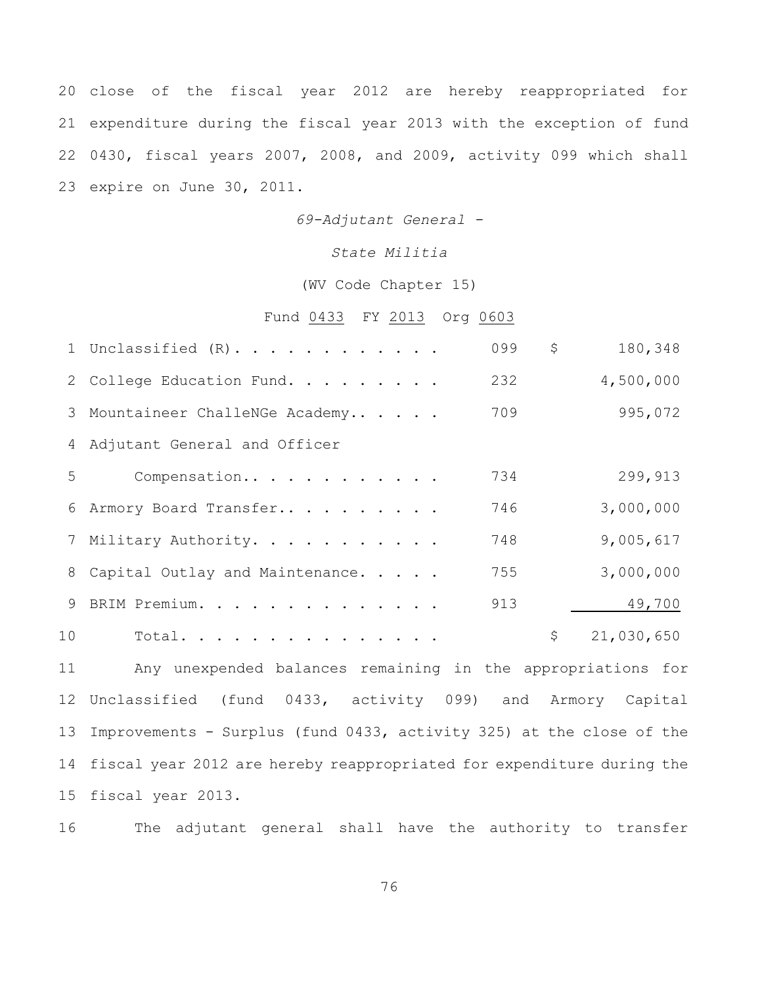close of the fiscal year 2012 are hereby reappropriated for expenditure during the fiscal year 2013 with the exception of fund 0430, fiscal years 2007, 2008, and 2009, activity 099 which shall expire on June 30, 2011.

*69-Adjutant General -*

#### *State Militia*

#### (WV Code Chapter 15)

# Fund 0433 FY 2013 Org 0603

|    | 1 Unclassified $(R)$ .            | 099 | \$<br>180,348    |
|----|-----------------------------------|-----|------------------|
|    | 2 College Education Fund.         | 232 | 4,500,000        |
|    | 3 Mountaineer ChalleNGe Academy   | 709 | 995,072          |
|    | 4 Adjutant General and Officer    |     |                  |
| 5  | Compensation                      | 734 | 299,913          |
|    | 6 Armory Board Transfer           | 746 | 3,000,000        |
|    | 7 Military Authority.             | 748 | 9,005,617        |
|    | 8 Capital Outlay and Maintenance. | 755 | 3,000,000        |
| 9  | BRIM Premium.                     | 913 | 49,700           |
| 10 | Total.                            |     | \$<br>21,030,650 |
|    |                                   |     |                  |

 Any unexpended balances remaining in the appropriations for Unclassified (fund 0433, activity 099) and Armory Capital Improvements - Surplus (fund 0433, activity 325) at the close of the fiscal year 2012 are hereby reappropriated for expenditure during the fiscal year 2013.

The adjutant general shall have the authority to transfer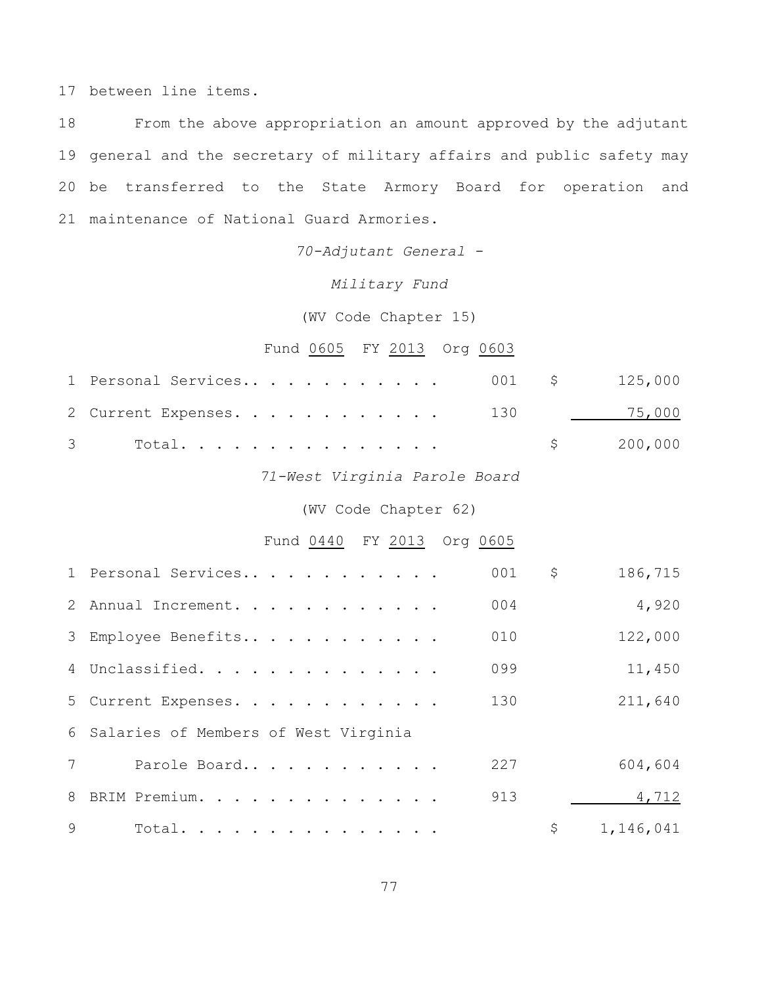between line items.

 From the above appropriation an amount approved by the adjutant general and the secretary of military affairs and public safety may be transferred to the State Armory Board for operation and maintenance of National Guard Armories.

*70-Adjutant General -*

*Military Fund*

(WV Code Chapter 15)

Fund 0605 FY 2013 Org 0603

| 2 Current Expenses. 130 15,000 |  |           |
|--------------------------------|--|-----------|
|                                |  | \$200,000 |

*71-West Virginia Parole Board*

# (WV Code Chapter 62)

# Fund 0440 FY 2013 Org 0605

|              | 1 Personal Services                    | 001 | \$<br>186,715   |
|--------------|----------------------------------------|-----|-----------------|
|              | 2 Annual Increment.                    | 004 | 4,920           |
|              | 3 Employee Benefits                    | 010 | 122,000         |
|              | 4 Unclassified.                        | 099 | 11,450          |
|              | 5 Current Expenses.                    | 130 | 211,640         |
|              | 6 Salaries of Members of West Virginia |     |                 |
|              | 7<br>Parole Board                      | 227 | 604,604         |
|              | 8 BRIM Premium.                        | 913 | 4,712           |
| $\mathsf{Q}$ | Total.                                 |     | \$<br>1,146,041 |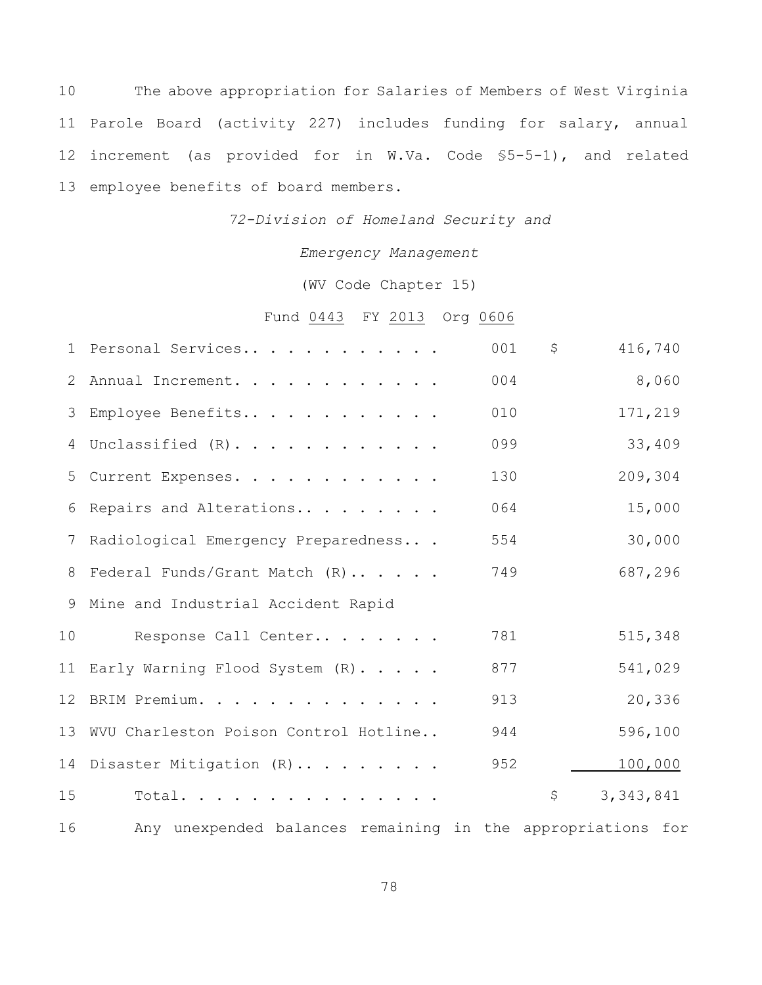The above appropriation for Salaries of Members of West Virginia Parole Board (activity 227) includes funding for salary, annual increment (as provided for in W.Va. Code §5-5-1), and related employee benefits of board members.

*72-Division of Homeland Security and*

*Emergency Management*

(WV Code Chapter 15)

Fund 0443 FY 2013 Org 0606

|        | 1 Personal Services                                                                                                                                                                                                            | 001 | \$<br>416,740     |
|--------|--------------------------------------------------------------------------------------------------------------------------------------------------------------------------------------------------------------------------------|-----|-------------------|
| 2      | Annual Increment.                                                                                                                                                                                                              | 004 | 8,060             |
|        | 3 Employee Benefits                                                                                                                                                                                                            | 010 | 171,219           |
|        | 4 Unclassified (R).                                                                                                                                                                                                            | 099 | 33,409            |
|        | 5 Current Expenses.                                                                                                                                                                                                            | 130 | 209,304           |
| 6      | Repairs and Alterations                                                                                                                                                                                                        | 064 | 15,000            |
| 7      | Radiological Emergency Preparedness                                                                                                                                                                                            | 554 | 30,000            |
| 8      | Federal Funds/Grant Match (R)                                                                                                                                                                                                  | 749 | 687,296           |
| 9      | Mine and Industrial Accident Rapid                                                                                                                                                                                             |     |                   |
| 10     | Response Call Center                                                                                                                                                                                                           | 781 | 515,348           |
|        | 11 Early Warning Flood System (R).                                                                                                                                                                                             | 877 | 541,029           |
|        | 12 BRIM Premium.                                                                                                                                                                                                               | 913 | 20,336            |
|        | 13 WVU Charleston Poison Control Hotline                                                                                                                                                                                       | 944 | 596,100           |
|        | 14 Disaster Mitigation (R)                                                                                                                                                                                                     | 952 | 100,000           |
| 15     | Total.                                                                                                                                                                                                                         |     | \$<br>3, 343, 841 |
| $\sim$ | which are concluded to the transportation of the state of the concentration of the concentration of the concentration of the concentration of the concentration of the concentration of the concentration of the concentration |     |                   |

Any unexpended balances remaining in the appropriations for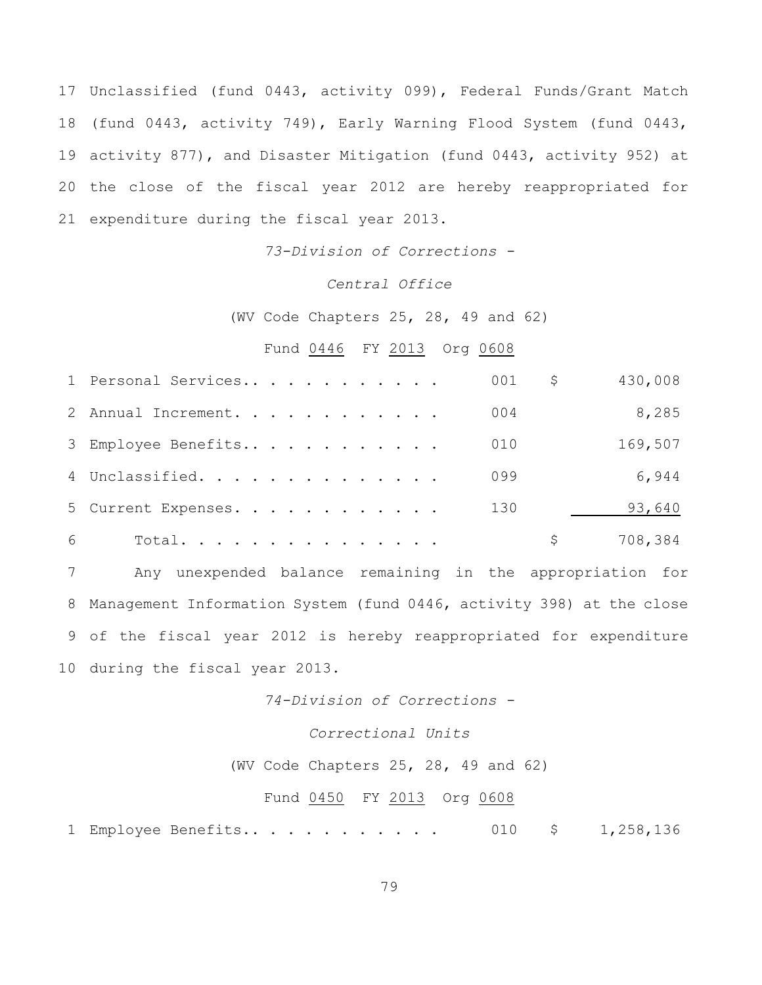Unclassified (fund 0443, activity 099), Federal Funds/Grant Match (fund 0443, activity 749), Early Warning Flood System (fund 0443, activity 877), and Disaster Mitigation (fund 0443, activity 952) at the close of the fiscal year 2012 are hereby reappropriated for expenditure during the fiscal year 2013.

*73-Division of Corrections -*

### *Central Office*

(WV Code Chapters 25, 28, 49 and 62)

# Fund 0446 FY 2013 Org 0608

|   | 1 Personal Services |  | 001 | \$. | 430,008 |
|---|---------------------|--|-----|-----|---------|
|   | 2 Annual Increment. |  | 004 |     | 8,285   |
|   | 3 Employee Benefits |  | 010 |     | 169,507 |
|   | 4 Unclassified.     |  | 099 |     | 6,944   |
|   | 5 Current Expenses. |  | 130 |     | 93,640  |
| 6 | Total.              |  |     |     | 708,384 |

 Any unexpended balance remaining in the appropriation for Management Information System (fund 0446, activity 398) at the close of the fiscal year 2012 is hereby reappropriated for expenditure during the fiscal year 2013.

*74-Division of Corrections -*

# *Correctional Units*

(WV Code Chapters 25, 28, 49 and 62)

#### Fund 0450 FY 2013 Org 0608

Employee Benefits.. . . . . . . . . . . 010 \$ 1,258,136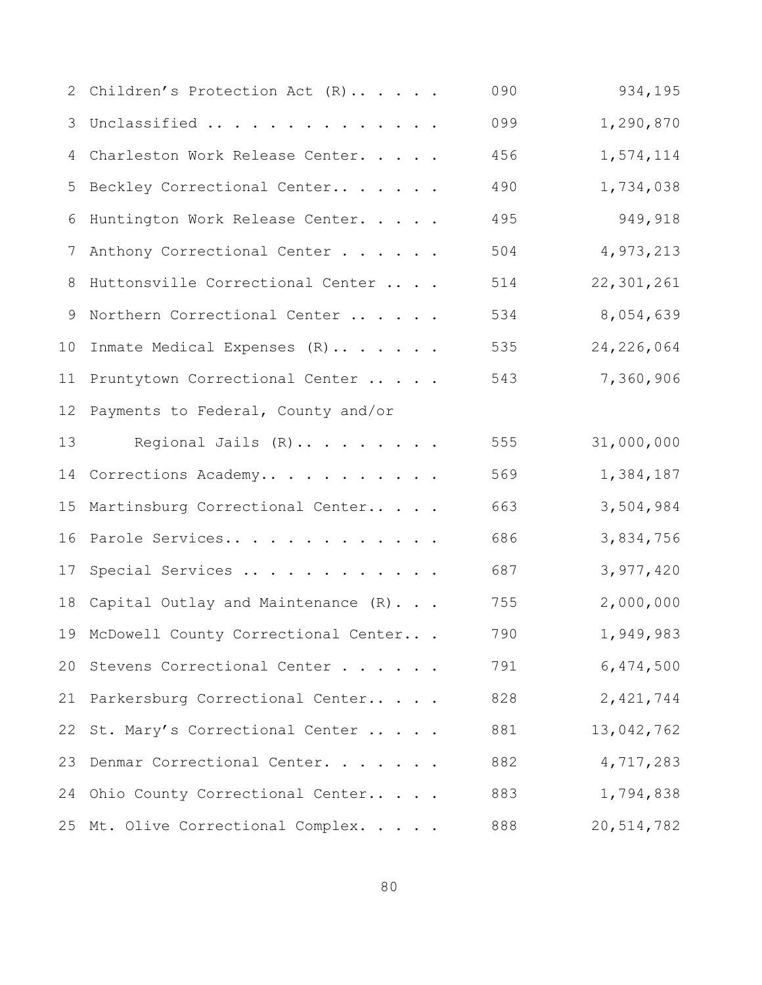|                 | 2 Children's Protection Act (R)        | 090 | 934,195      |
|-----------------|----------------------------------------|-----|--------------|
| 3               | Unclassified                           | 099 | 1,290,870    |
| 4               | Charleston Work Release Center.        | 456 | 1,574,114    |
| 5               | Beckley Correctional Center            | 490 | 1,734,038    |
| 6               | Huntington Work Release Center.        | 495 | 949,918      |
| 7               | Anthony Correctional Center            | 504 | 4,973,213    |
| 8               | Huttonsville Correctional Center       | 514 | 22,301,261   |
| 9               | Northern Correctional Center           | 534 | 8,054,639    |
| 10 <sub>o</sub> | Inmate Medical Expenses (R)            | 535 | 24, 226, 064 |
|                 | 11 Pruntytown Correctional Center      | 543 | 7,360,906    |
| 12              | Payments to Federal, County and/or     |     |              |
| 13              | Regional Jails (R)                     | 555 | 31,000,000   |
|                 | 14 Corrections Academy                 | 569 | 1,384,187    |
| 15              | Martinsburg Correctional Center        | 663 | 3,504,984    |
| 16              | Parole Services                        | 686 | 3,834,756    |
| 17              | Special Services                       | 687 | 3,977,420    |
|                 | 18 Capital Outlay and Maintenance (R)  | 755 | 2,000,000    |
|                 | 19 McDowell County Correctional Center | 790 | 1,949,983    |
| 20              | Stevens Correctional Center            | 791 | 6,474,500    |
|                 | 21 Parkersburg Correctional Center     | 828 | 2,421,744    |
| 22              | St. Mary's Correctional Center         | 881 | 13,042,762   |
| 23              | Denmar Correctional Center.            | 882 | 4,717,283    |
|                 | 24 Ohio County Correctional Center     | 883 | 1,794,838    |
|                 | 25 Mt. Olive Correctional Complex.     | 888 | 20,514,782   |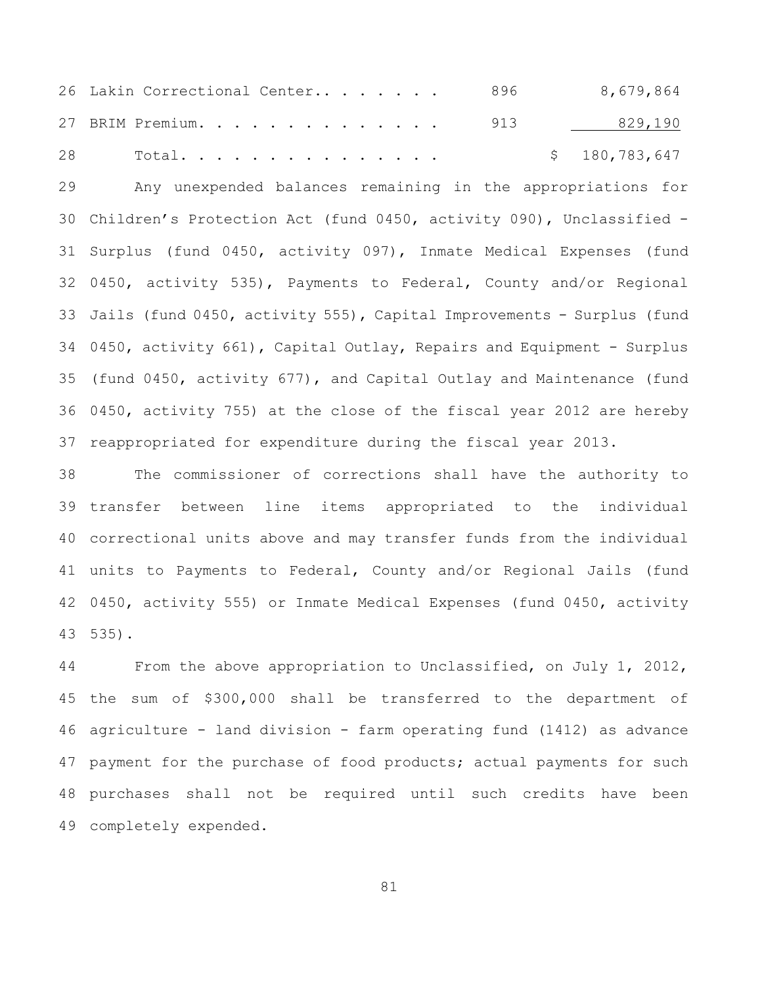| 26 Lakin Correctional Center 896 |  | 8,679,864     |
|----------------------------------|--|---------------|
| 27 BRIM Premium. 913 829,190     |  |               |
| 28 Total                         |  | \$180,783,647 |

 Any unexpended balances remaining in the appropriations for Children's Protection Act (fund 0450, activity 090), Unclassified - Surplus (fund 0450, activity 097), Inmate Medical Expenses (fund 0450, activity 535), Payments to Federal, County and/or Regional Jails (fund 0450, activity 555), Capital Improvements - Surplus (fund 0450, activity 661), Capital Outlay, Repairs and Equipment - Surplus (fund 0450, activity 677), and Capital Outlay and Maintenance (fund 0450, activity 755) at the close of the fiscal year 2012 are hereby reappropriated for expenditure during the fiscal year 2013.

 The commissioner of corrections shall have the authority to transfer between line items appropriated to the individual correctional units above and may transfer funds from the individual units to Payments to Federal, County and/or Regional Jails (fund 0450, activity 555) or Inmate Medical Expenses (fund 0450, activity 535).

 From the above appropriation to Unclassified, on July 1, 2012, the sum of \$300,000 shall be transferred to the department of agriculture - land division - farm operating fund (1412) as advance 47 payment for the purchase of food products; actual payments for such purchases shall not be required until such credits have been completely expended.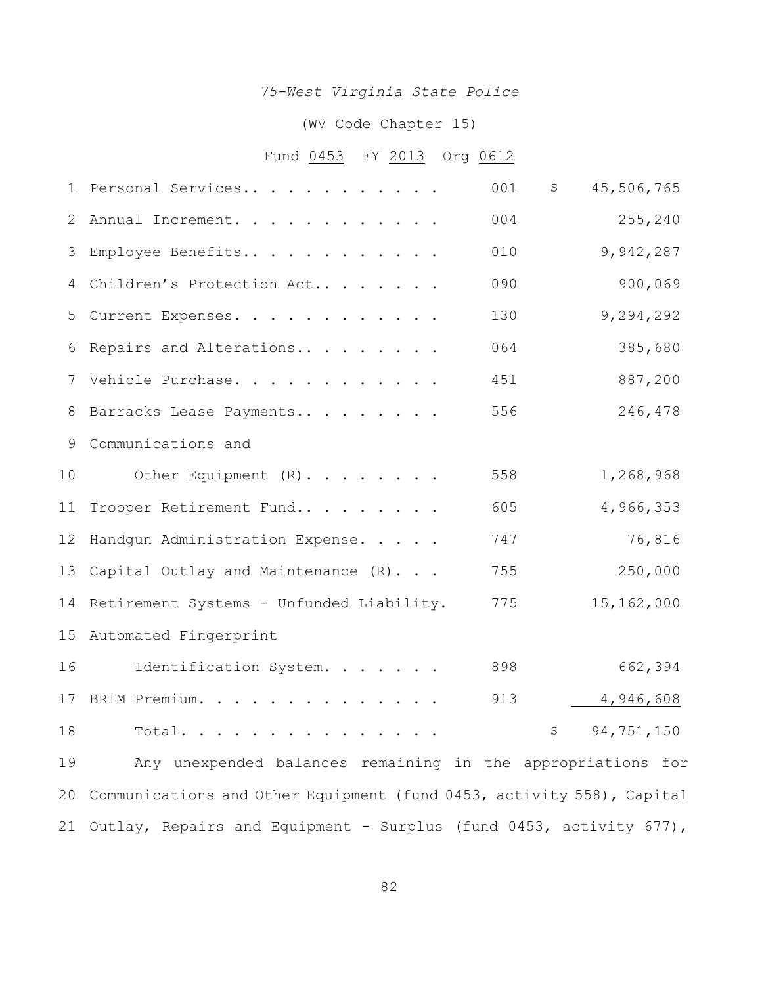# *75-West Virginia State Police*

# (WV Code Chapter 15)

# Fund 0453 FY 2013 Org 0612

| 1  | Personal Services                                                     | 001 | \$<br>45,506,765 |  |
|----|-----------------------------------------------------------------------|-----|------------------|--|
| 2  | Annual Increment.                                                     | 004 | 255,240          |  |
| 3  | Employee Benefits                                                     | 010 | 9,942,287        |  |
| 4  | Children's Protection Act                                             | 090 | 900,069          |  |
| 5  | Current Expenses.                                                     | 130 | 9,294,292        |  |
| 6  | Repairs and Alterations                                               | 064 | 385,680          |  |
| 7  | Vehicle Purchase.                                                     | 451 | 887,200          |  |
| 8  | Barracks Lease Payments                                               | 556 | 246,478          |  |
| 9  | Communications and                                                    |     |                  |  |
| 10 | Other Equipment (R).                                                  | 558 | 1,268,968        |  |
| 11 | Trooper Retirement Fund                                               | 605 | 4,966,353        |  |
| 12 | Handgun Administration Expense.                                       | 747 | 76,816           |  |
| 13 | Capital Outlay and Maintenance (R)                                    | 755 | 250,000          |  |
| 14 | Retirement Systems - Unfunded Liability.                              | 775 | 15,162,000       |  |
| 15 | Automated Fingerprint                                                 |     |                  |  |
| 16 | Identification System.                                                | 898 | 662,394          |  |
| 17 | BRIM Premium.                                                         | 913 | 4,946,608        |  |
| 18 | Total. $\ldots$                                                       |     | \$<br>94,751,150 |  |
| 19 | Any unexpended balances remaining in the appropriations for           |     |                  |  |
| 20 | Communications and Other Equipment (fund 0453, activity 558), Capital |     |                  |  |
| 21 | Outlay, Repairs and Equipment - Surplus (fund 0453, activity 677),    |     |                  |  |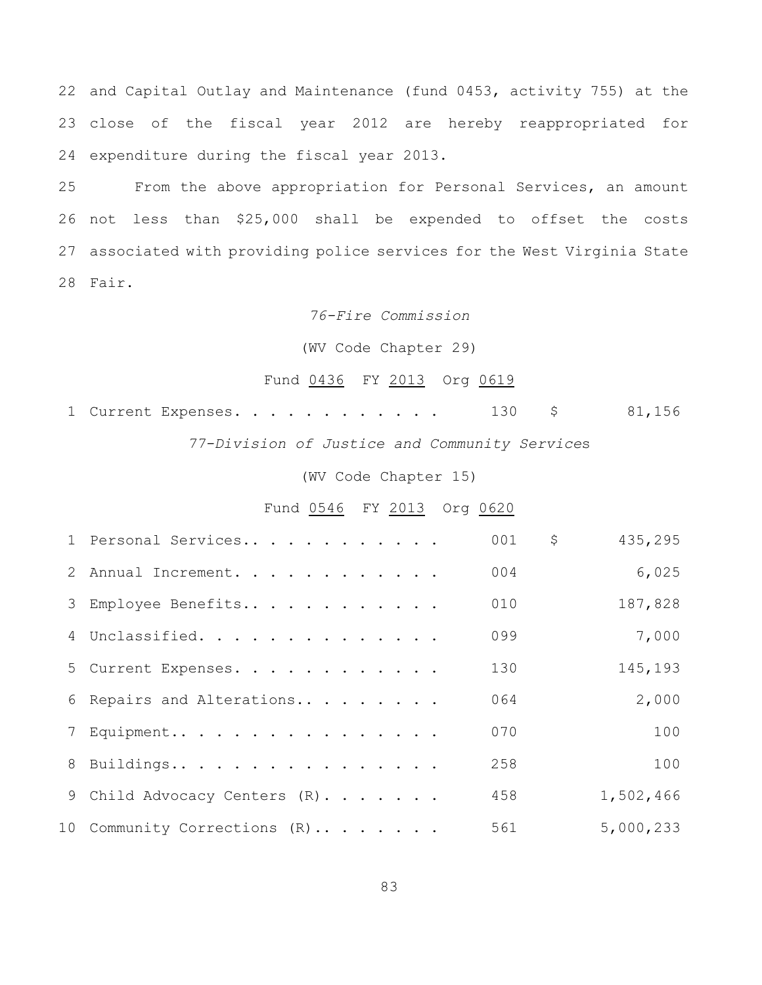and Capital Outlay and Maintenance (fund 0453, activity 755) at the close of the fiscal year 2012 are hereby reappropriated for expenditure during the fiscal year 2013.

 From the above appropriation for Personal Services, an amount not less than \$25,000 shall be expended to offset the costs associated with providing police services for the West Virginia State Fair.

*76-Fire Commission*

(WV Code Chapter 29)

# Fund 0436 FY 2013 Org 0619

|  |                                                                                                                                                                                                                                                                                                                                                                                      |  |  |  |  |  |  |  | 1 Current Expenses. 130 \$ 81,156 |
|--|--------------------------------------------------------------------------------------------------------------------------------------------------------------------------------------------------------------------------------------------------------------------------------------------------------------------------------------------------------------------------------------|--|--|--|--|--|--|--|-----------------------------------|
|  | $\overline{a}$ $\overline{a}$ $\overline{b}$ $\overline{c}$ $\overline{c}$ $\overline{c}$ $\overline{c}$ $\overline{c}$ $\overline{c}$ $\overline{c}$ $\overline{c}$ $\overline{c}$ $\overline{c}$ $\overline{c}$ $\overline{c}$ $\overline{c}$ $\overline{c}$ $\overline{c}$ $\overline{c}$ $\overline{c}$ $\overline{c}$ $\overline{c}$ $\overline{c}$ $\overline{c}$ $\overline{$ |  |  |  |  |  |  |  |                                   |

*77-Division of Justice and Community Service*s

(WV Code Chapter 15)

# Fund 0546 FY 2013 Org 0620

| 1 Personal Services           | 001 | \$<br>435,295 |
|-------------------------------|-----|---------------|
| 2 Annual Increment.           | 004 | 6,025         |
| 3 Employee Benefits           | 010 | 187,828       |
| 4 Unclassified.               | 099 | 7,000         |
| 5 Current Expenses.           | 130 | 145,193       |
| 6 Repairs and Alterations     | 064 | 2,000         |
| 7 Equipment                   | 070 | 100           |
| 8 Buildings                   | 258 | 100           |
| 9 Child Advocacy Centers (R). | 458 | 1,502,466     |
| 10 Community Corrections (R)  | 561 | 5,000,233     |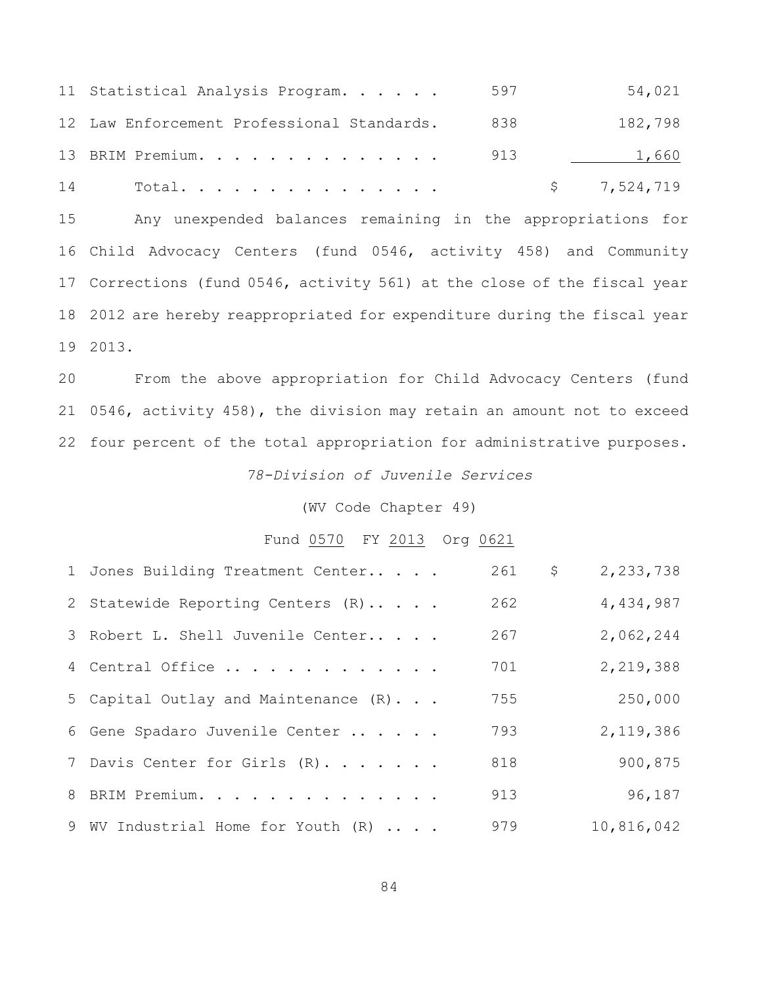|    | 11 Statistical Analysis Program.           | 597 | 54,021      |
|----|--------------------------------------------|-----|-------------|
|    | 12 Law Enforcement Professional Standards. | 838 | 182,798     |
|    | 13 BRIM Premium.                           | 913 | 1,660       |
| 14 | Total.                                     |     | \$7,524,719 |

 Any unexpended balances remaining in the appropriations for Child Advocacy Centers (fund 0546, activity 458) and Community Corrections (fund 0546, activity 561) at the close of the fiscal year 2012 are hereby reappropriated for expenditure during the fiscal year 2013.

 From the above appropriation for Child Advocacy Centers (fund 0546, activity 458), the division may retain an amount not to exceed four percent of the total appropriation for administrative purposes.

*78-Division of Juvenile Services*

(WV Code Chapter 49)

#### Fund 0570 FY 2013 Org 0621

| 1 Jones Building Treatment Center    | 261 | \$<br>2,233,738 |
|--------------------------------------|-----|-----------------|
| 2 Statewide Reporting Centers (R)    | 262 | 4,434,987       |
| 3 Robert L. Shell Juvenile Center    | 267 | 2,062,244       |
| 4 Central Office                     | 701 | 2,219,388       |
| 5 Capital Outlay and Maintenance (R) | 755 | 250,000         |
| 6 Gene Spadaro Juvenile Center       | 793 | 2,119,386       |
| 7 Davis Center for Girls (R).        | 818 | 900,875         |
| 8 BRIM Premium.                      | 913 | 96,187          |
| 9 WV Industrial Home for Youth (R)   | 979 | 10,816,042      |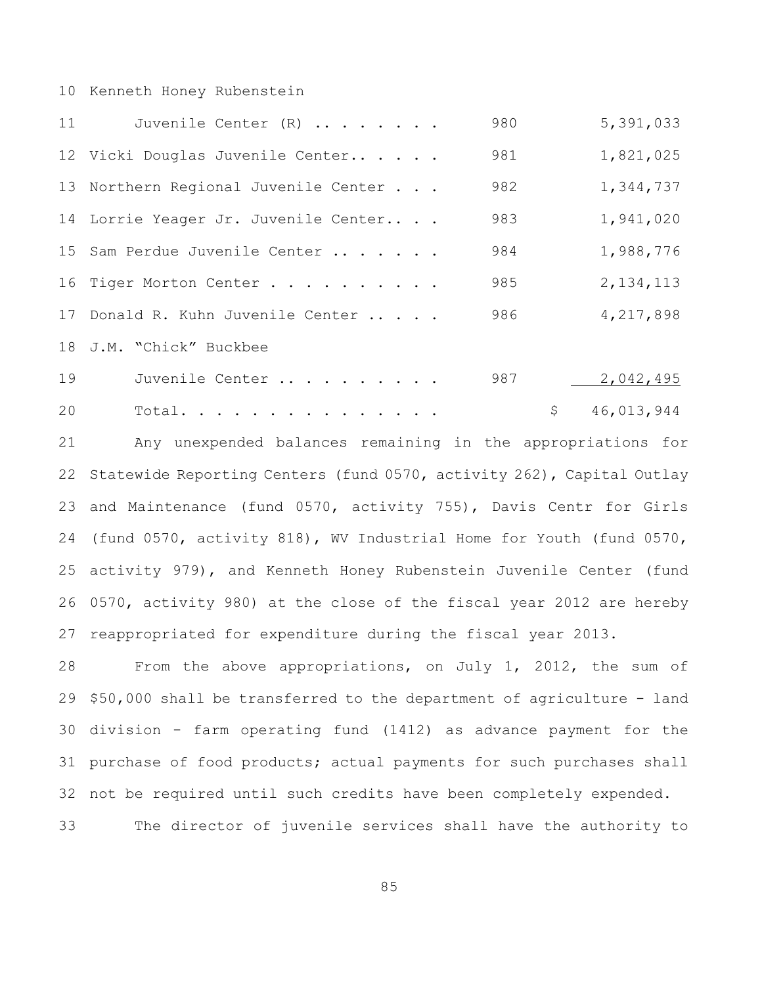#### Kenneth Honey Rubenstein

| 11 | Juvenile Center (R)                  | 980 | 5,391,033        |
|----|--------------------------------------|-----|------------------|
|    | 12 Vicki Douglas Juvenile Center     | 981 | 1,821,025        |
|    | 13 Northern Regional Juvenile Center | 982 | 1,344,737        |
|    | 14 Lorrie Yeager Jr. Juvenile Center | 983 | 1,941,020        |
|    | 15 Sam Perdue Juvenile Center        | 984 | 1,988,776        |
|    | 16 Tiger Morton Center               | 985 | 2, 134, 113      |
|    | 17 Donald R. Kuhn Juvenile Center    | 986 | 4,217,898        |
|    | 18 J.M. "Chick" Buckbee              |     |                  |
| 19 | Juvenile Center                      | 987 | 2,042,495        |
| 20 | Total.                               |     | \$<br>46,013,944 |

 Any unexpended balances remaining in the appropriations for Statewide Reporting Centers (fund 0570, activity 262), Capital Outlay and Maintenance (fund 0570, activity 755), Davis Centr for Girls (fund 0570, activity 818), WV Industrial Home for Youth (fund 0570, activity 979), and Kenneth Honey Rubenstein Juvenile Center (fund 0570, activity 980) at the close of the fiscal year 2012 are hereby reappropriated for expenditure during the fiscal year 2013.

 From the above appropriations, on July 1, 2012, the sum of \$50,000 shall be transferred to the department of agriculture - land division - farm operating fund (1412) as advance payment for the purchase of food products; actual payments for such purchases shall not be required until such credits have been completely expended.

The director of juvenile services shall have the authority to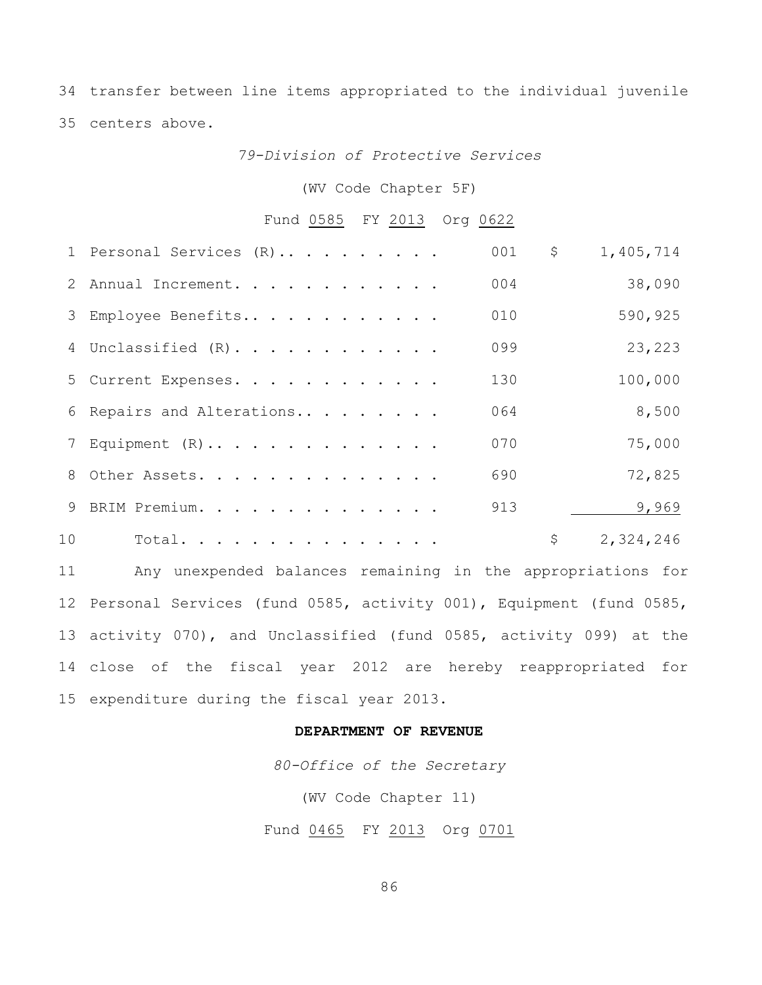transfer between line items appropriated to the individual juvenile centers above.

*79-Division of Protective Services*

(WV Code Chapter 5F)

# Fund 0585 FY 2013 Org 0622

|    | 1 Personal Services (R)   | 001 | \$<br>1,405,714 |
|----|---------------------------|-----|-----------------|
|    | 2 Annual Increment.       | 004 | 38,090          |
|    | 3 Employee Benefits       | 010 | 590,925         |
|    | 4 Unclassified (R).       | 099 | 23,223          |
|    | 5 Current Expenses.       | 130 | 100,000         |
|    | 6 Repairs and Alterations | 064 | 8,500           |
|    | 7 Equipment (R)           | 070 | 75,000          |
|    | 8 Other Assets.           | 690 | 72,825          |
|    | 9 BRIM Premium.           | 913 | 9,969           |
| 10 | Total.                    |     | \$<br>2,324,246 |

 Any unexpended balances remaining in the appropriations for Personal Services (fund 0585, activity 001), Equipment (fund 0585, activity 070), and Unclassified (fund 0585, activity 099) at the close of the fiscal year 2012 are hereby reappropriated for expenditure during the fiscal year 2013.

#### **DEPARTMENT OF REVENUE**

*80-Office of the Secretary*

(WV Code Chapter 11)

Fund 0465 FY 2013 Org 0701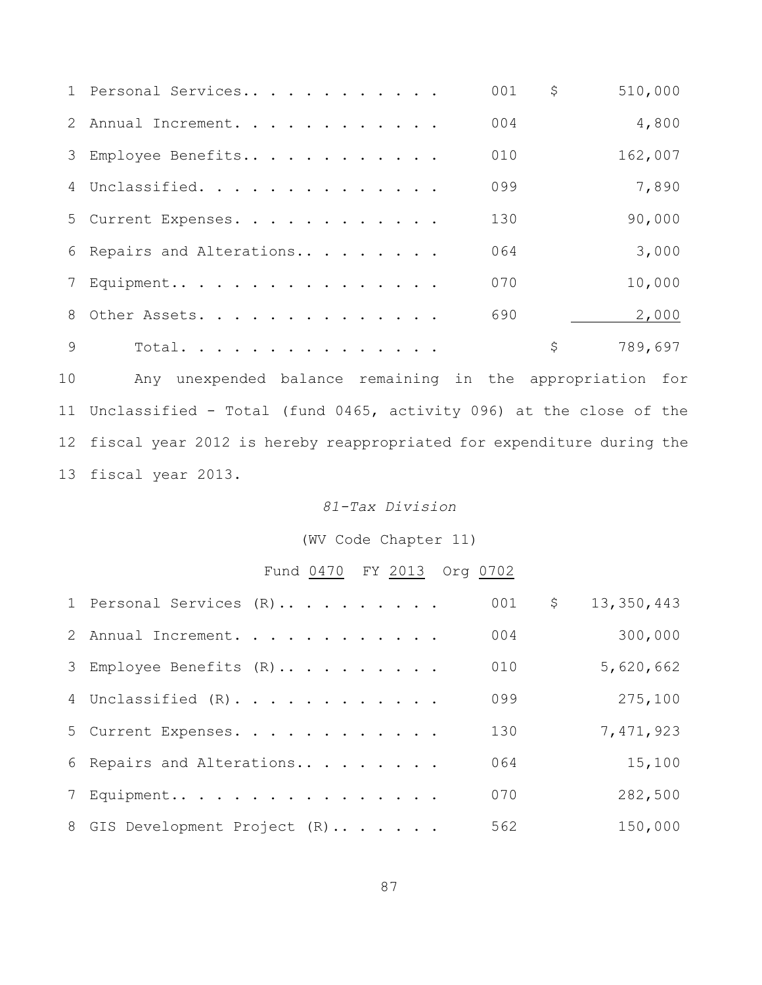|              | 1 Personal Services       | 001 | \$<br>510,000 |
|--------------|---------------------------|-----|---------------|
|              | 2 Annual Increment.       | 004 | 4,800         |
|              | 3 Employee Benefits       | 010 | 162,007       |
|              | 4 Unclassified.           | 099 | 7,890         |
|              | 5 Current Expenses.       | 130 | 90,000        |
|              | 6 Repairs and Alterations | 064 | 3,000         |
|              | 7 Equipment               | 070 | 10,000        |
|              | 8 Other Assets.           | 690 | 2,000         |
| $\mathsf{Q}$ | Total.                    |     | \$<br>789,697 |

 Any unexpended balance remaining in the appropriation for Unclassified - Total (fund 0465, activity 096) at the close of the fiscal year 2012 is hereby reappropriated for expenditure during the fiscal year 2013.

# *81-Tax Division*

(WV Code Chapter 11)

# Fund 0470 FY 2013 Org 0702

| 1 Personal Services (R)       | 001 | $\zeta$<br>13,350,443 |
|-------------------------------|-----|-----------------------|
| 2 Annual Increment.           | 004 | 300,000               |
| 3 Employee Benefits (R)       | 010 | 5,620,662             |
| 4 Unclassified (R).           | 099 | 275,100               |
| 5 Current Expenses.           | 130 | 7,471,923             |
| 6 Repairs and Alterations     | 064 | 15,100                |
| 7 Equipment                   | 070 | 282,500               |
| 8 GIS Development Project (R) | 562 | 150,000               |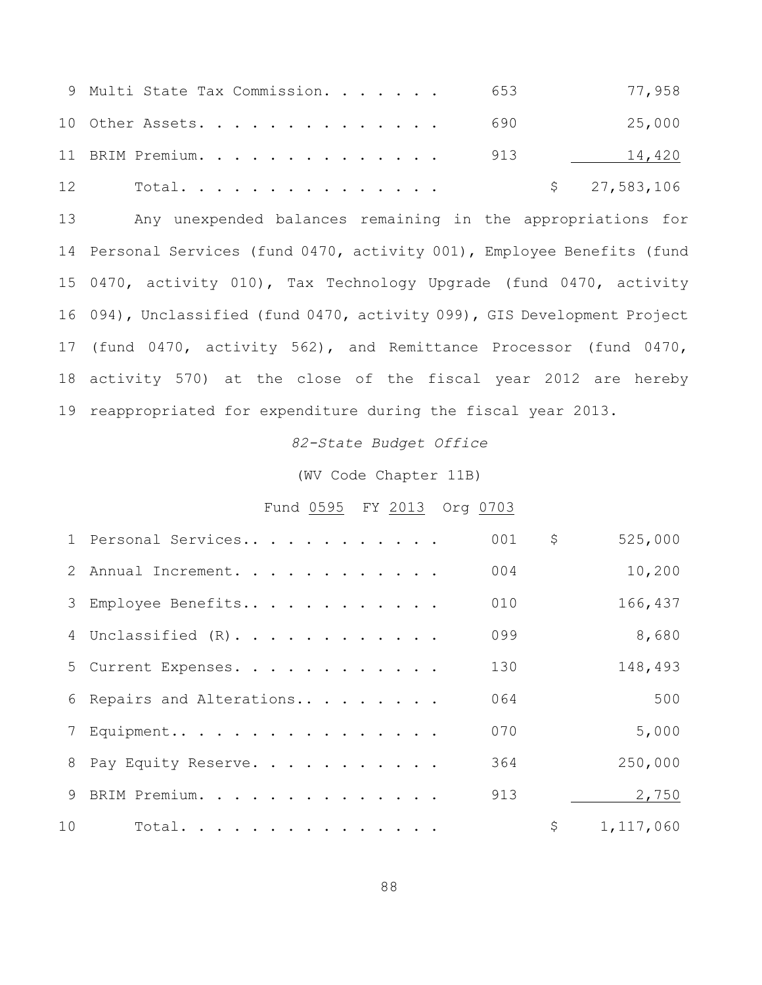| 9 Multi State Tax Commission. 653 | 77,958       |
|-----------------------------------|--------------|
| 10 Other Assets. 690              | 25,000       |
| 11 BRIM Premium. 913              | 14,420       |
| 12 Total                          | \$27,583,106 |

 Any unexpended balances remaining in the appropriations for Personal Services (fund 0470, activity 001), Employee Benefits (fund 0470, activity 010), Tax Technology Upgrade (fund 0470, activity 094), Unclassified (fund 0470, activity 099), GIS Development Project (fund 0470, activity 562), and Remittance Processor (fund 0470, activity 570) at the close of the fiscal year 2012 are hereby reappropriated for expenditure during the fiscal year 2013.

#### *82-State Budget Office*

#### (WV Code Chapter 11B)

## Fund 0595 FY 2013 Org 0703

|    | 1 Personal Services       | 001 | \$<br>525,000   |
|----|---------------------------|-----|-----------------|
|    | 2 Annual Increment.       | 004 | 10,200          |
|    | 3 Employee Benefits       | 010 | 166,437         |
|    | 4 Unclassified (R).       | 099 | 8,680           |
|    | 5 Current Expenses.       | 130 | 148,493         |
|    | 6 Repairs and Alterations | 064 | 500             |
|    | 7 Equipment               | 070 | 5,000           |
|    | 8 Pay Equity Reserve.     | 364 | 250,000         |
|    | 9 BRIM Premium.           | 913 | 2,750           |
| 10 | Total.                    |     | \$<br>1,117,060 |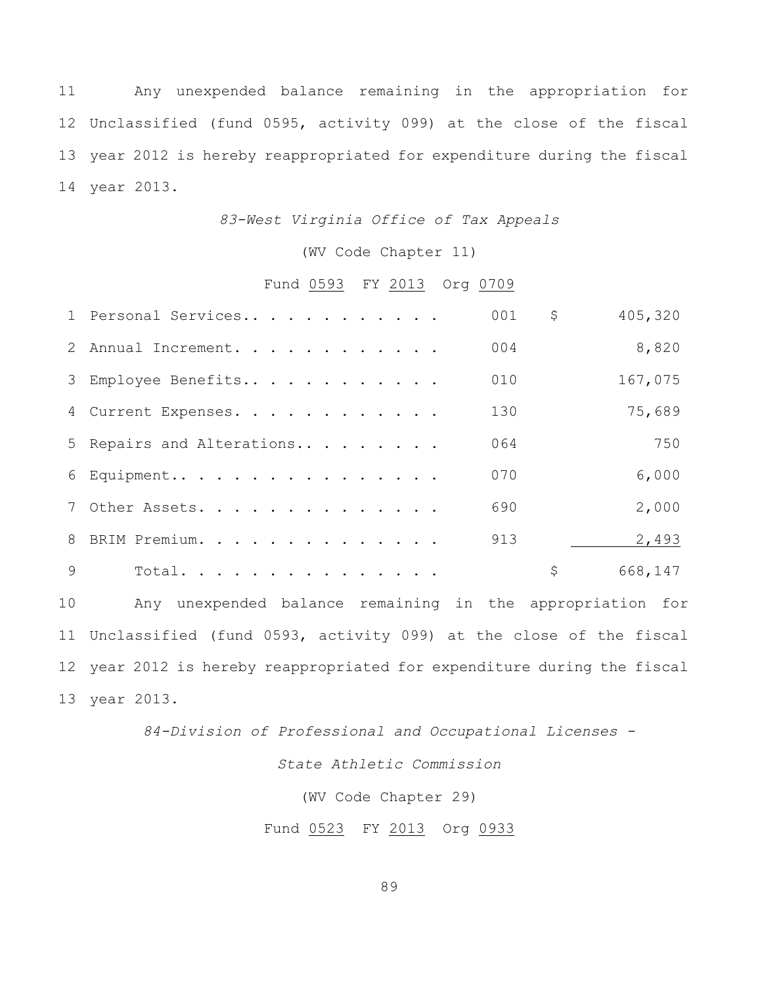Any unexpended balance remaining in the appropriation for Unclassified (fund 0595, activity 099) at the close of the fiscal year 2012 is hereby reappropriated for expenditure during the fiscal year 2013.

## *83-West Virginia Office of Tax Appeals*

(WV Code Chapter 11)

# Fund 0593 FY 2013 Org 0709

|   | 1 Personal Services       | 001 | \$<br>405,320 |
|---|---------------------------|-----|---------------|
|   | 2 Annual Increment.       | 004 | 8,820         |
|   | 3 Employee Benefits       | 010 | 167,075       |
|   | 4 Current Expenses.       | 130 | 75,689        |
|   | 5 Repairs and Alterations | 064 | 750           |
|   | 6 Equipment               | 070 | 6,000         |
|   | 7 Other Assets.           | 690 | 2,000         |
|   | 8 BRIM Premium.           | 913 | 2,493         |
| 9 | Total.                    |     | \$<br>668,147 |
|   |                           |     |               |

 Any unexpended balance remaining in the appropriation for Unclassified (fund 0593, activity 099) at the close of the fiscal year 2012 is hereby reappropriated for expenditure during the fiscal year 2013.

*84-Division of Professional and Occupational Licenses -*

## *State Athletic Commission*

(WV Code Chapter 29)

Fund 0523 FY 2013 Org 0933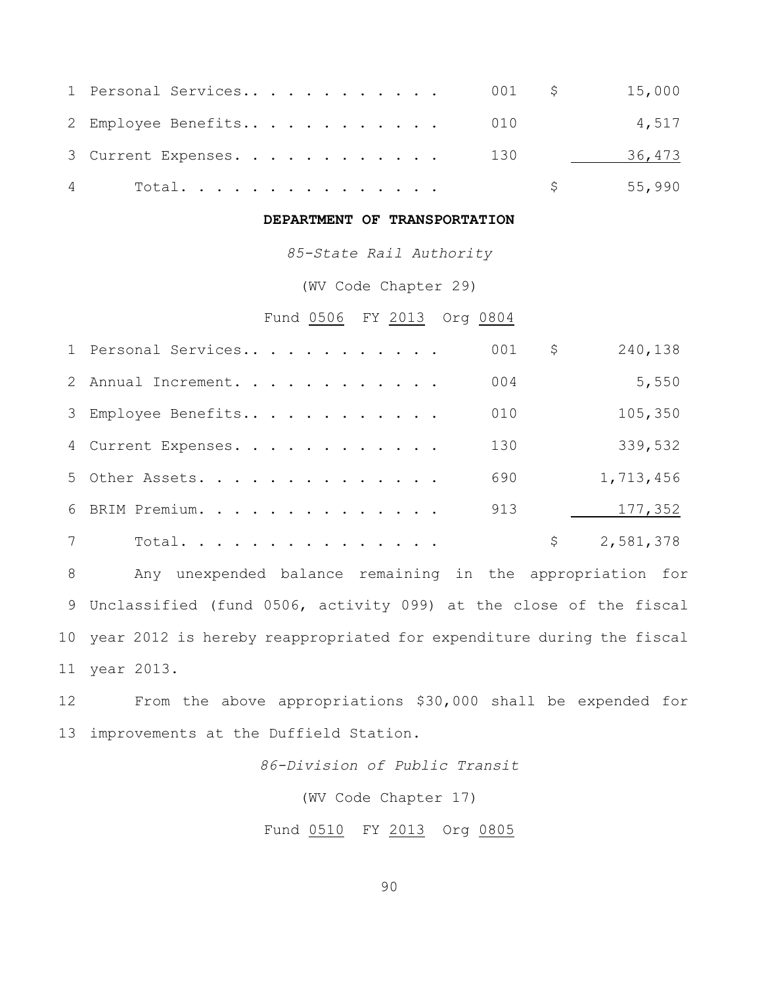| 4 Total.                |  |  |  |  |  |  | 55,990 |        |
|-------------------------|--|--|--|--|--|--|--------|--------|
| 3 Current Expenses. 130 |  |  |  |  |  |  |        | 36,473 |
| 2 Employee Benefits 010 |  |  |  |  |  |  |        | 4,517  |
|                         |  |  |  |  |  |  |        |        |

# **DEPARTMENT OF TRANSPORTATION**

*85-State Rail Authority*

(WV Code Chapter 29)

Fund 0506 FY 2013 Org 0804

| 1 Personal Services | 001 | \$<br>240,138   |
|---------------------|-----|-----------------|
| 2 Annual Increment. | 004 | 5,550           |
| 3 Employee Benefits | 010 | 105,350         |
| 4 Current Expenses. | 130 | 339,532         |
| 5 Other Assets.     | 690 | 1,713,456       |
| 6 BRIM Premium.     | 913 | 177,352         |
| Total.              |     | \$<br>2,581,378 |

 Any unexpended balance remaining in the appropriation for Unclassified (fund 0506, activity 099) at the close of the fiscal year 2012 is hereby reappropriated for expenditure during the fiscal year 2013.

 From the above appropriations \$30,000 shall be expended for improvements at the Duffield Station.

*86-Division of Public Transit*

(WV Code Chapter 17)

Fund 0510 FY 2013 Org 0805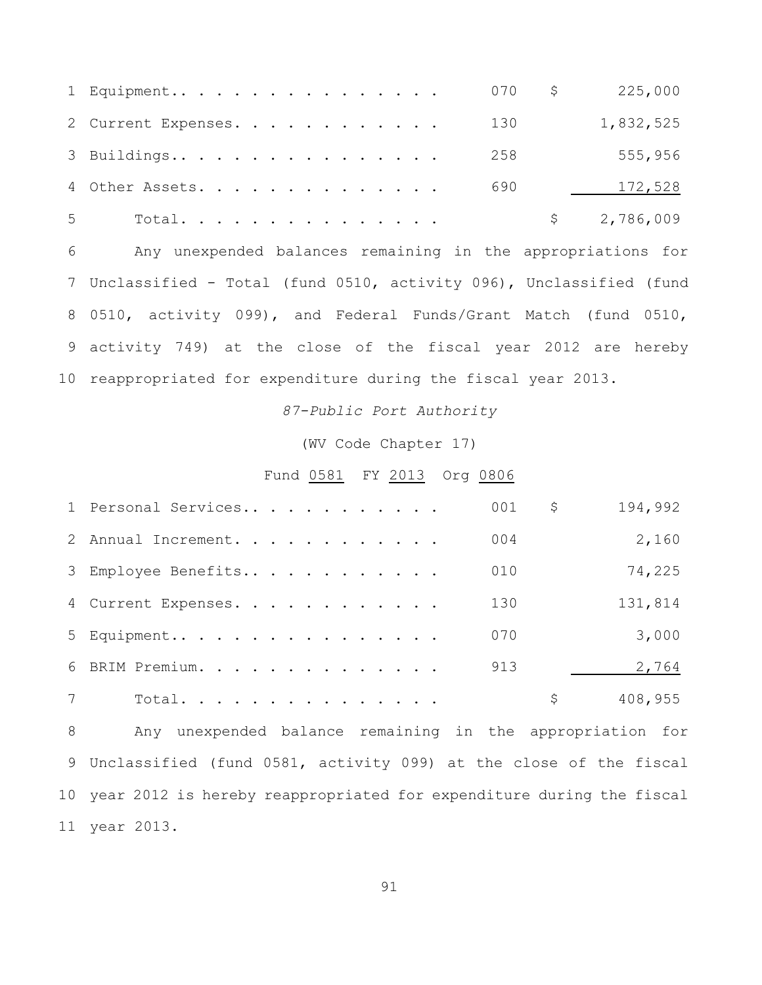|                | 1 Equipment 070 \$ 225,000 |  |  |  |  |  |  |     |             |
|----------------|----------------------------|--|--|--|--|--|--|-----|-------------|
|                | 2 Current Expenses.        |  |  |  |  |  |  | 130 | 1,832,525   |
|                | 3 Buildings                |  |  |  |  |  |  | 258 | 555,956     |
|                | 4 Other Assets.            |  |  |  |  |  |  | 690 | 172,528     |
| 5 <sup>7</sup> | Total.                     |  |  |  |  |  |  |     | \$2,786,009 |

 Any unexpended balances remaining in the appropriations for Unclassified - Total (fund 0510, activity 096), Unclassified (fund 0510, activity 099), and Federal Funds/Grant Match (fund 0510, activity 749) at the close of the fiscal year 2012 are hereby reappropriated for expenditure during the fiscal year 2013.

*87-Public Port Authority*

(WV Code Chapter 17)

#### Fund 0581 FY 2013 Org 0806

| 1 Personal Services | 001 | \$<br>194,992 |
|---------------------|-----|---------------|
| 2 Annual Increment. | 004 | 2,160         |
| 3 Employee Benefits | 010 | 74,225        |
| 4 Current Expenses. | 130 | 131,814       |
| 5 Equipment         | 070 | 3,000         |
| 6 BRIM Premium.     | 913 | 2,764         |
| Total.              |     | \$<br>408,955 |

 Any unexpended balance remaining in the appropriation for Unclassified (fund 0581, activity 099) at the close of the fiscal year 2012 is hereby reappropriated for expenditure during the fiscal year 2013.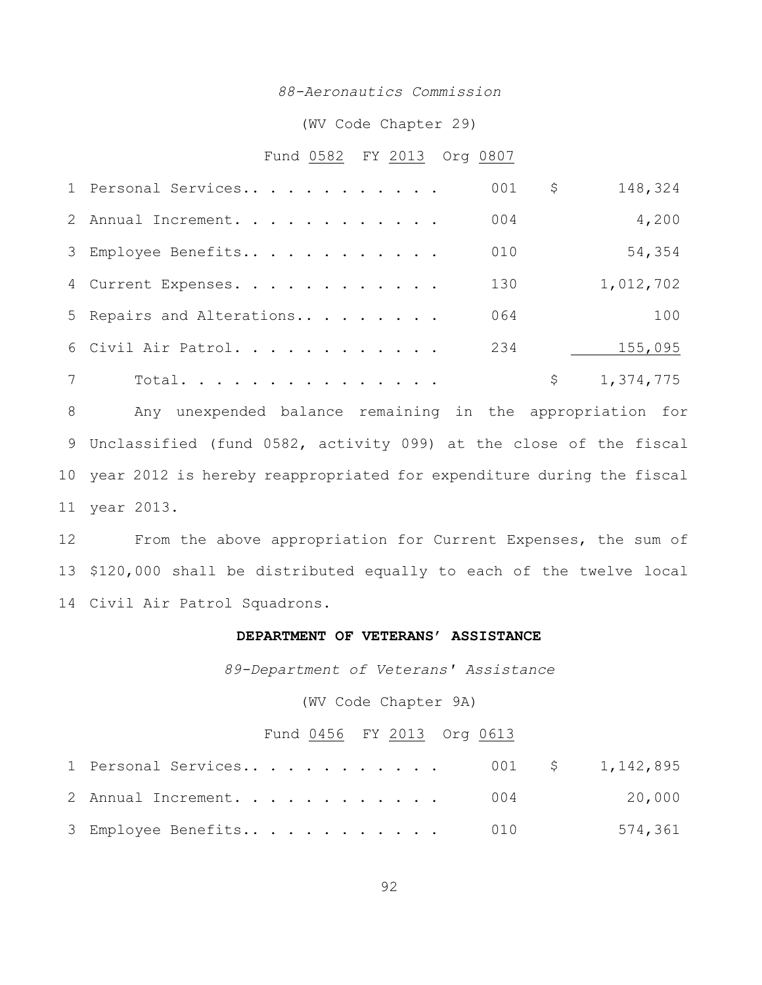## *88-Aeronautics Commission*

(WV Code Chapter 29)

#### Fund 0582 FY 2013 Org 0807

| 1 Personal Services       | 001 | \$<br>148,324   |
|---------------------------|-----|-----------------|
| 2 Annual Increment.       | 004 | 4,200           |
| 3 Employee Benefits       | 010 | 54,354          |
| 4 Current Expenses.       | 130 | 1,012,702       |
| 5 Repairs and Alterations | 064 | 100             |
| 6 Civil Air Patrol.       | 234 | 155,095         |
| Total.                    |     | \$<br>1,374,775 |

 Any unexpended balance remaining in the appropriation for Unclassified (fund 0582, activity 099) at the close of the fiscal year 2012 is hereby reappropriated for expenditure during the fiscal year 2013.

 From the above appropriation for Current Expenses, the sum of \$120,000 shall be distributed equally to each of the twelve local Civil Air Patrol Squadrons.

#### **DEPARTMENT OF VETERANS' ASSISTANCE**

*89-Department of Veterans' Assistance*

(WV Code Chapter 9A)

# Fund 0456 FY 2013 Org 0613

| 1 Personal Services 001 \$ 1,142,895 |  |         |
|--------------------------------------|--|---------|
| 2 Annual Increment. 004              |  | 20,000  |
| 3 Employee Benefits 010              |  | 574,361 |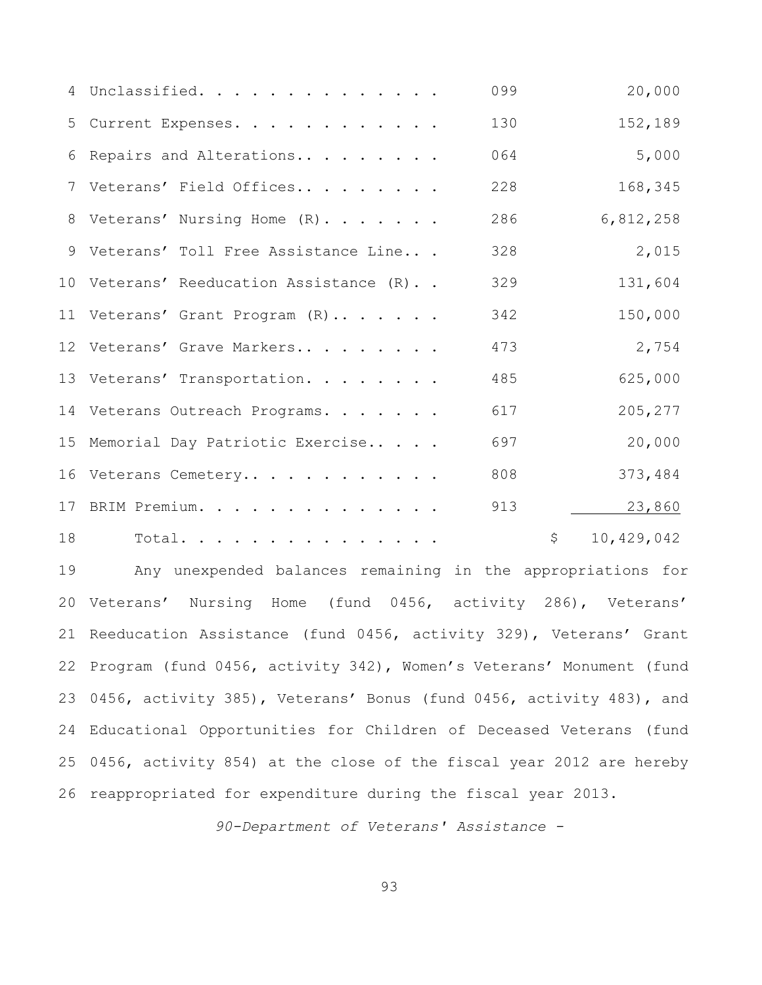|    | 4 Unclassified.                         | 099 | 20,000           |
|----|-----------------------------------------|-----|------------------|
|    | 5 Current Expenses.                     | 130 | 152,189          |
| 6  | Repairs and Alterations                 | 064 | 5,000            |
|    | 7 Veterans' Field Offices               | 228 | 168,345          |
|    | 8 Veterans' Nursing Home (R).           | 286 | 6,812,258        |
|    | 9 Veterans' Toll Free Assistance Line   | 328 | 2,015            |
|    | 10 Veterans' Reeducation Assistance (R) | 329 | 131,604          |
|    | 11 Veterans' Grant Program (R)          | 342 | 150,000          |
|    | 12 Veterans' Grave Markers              | 473 | 2,754            |
|    | 13 Veterans' Transportation.            | 485 | 625,000          |
|    | 14 Veterans Outreach Programs.          | 617 | 205,277          |
|    | 15 Memorial Day Patriotic Exercise      | 697 | 20,000           |
|    | 16 Veterans Cemetery                    | 808 | 373,484          |
|    | 17 BRIM Premium.                        | 913 | 23,860           |
| 18 | Total.                                  |     | \$<br>10,429,042 |

 Any unexpended balances remaining in the appropriations for Veterans' Nursing Home (fund 0456, activity 286), Veterans' Reeducation Assistance (fund 0456, activity 329), Veterans' Grant Program (fund 0456, activity 342), Women's Veterans' Monument (fund 0456, activity 385), Veterans' Bonus (fund 0456, activity 483), and Educational Opportunities for Children of Deceased Veterans (fund 0456, activity 854) at the close of the fiscal year 2012 are hereby reappropriated for expenditure during the fiscal year 2013.

*90-Department of Veterans' Assistance -*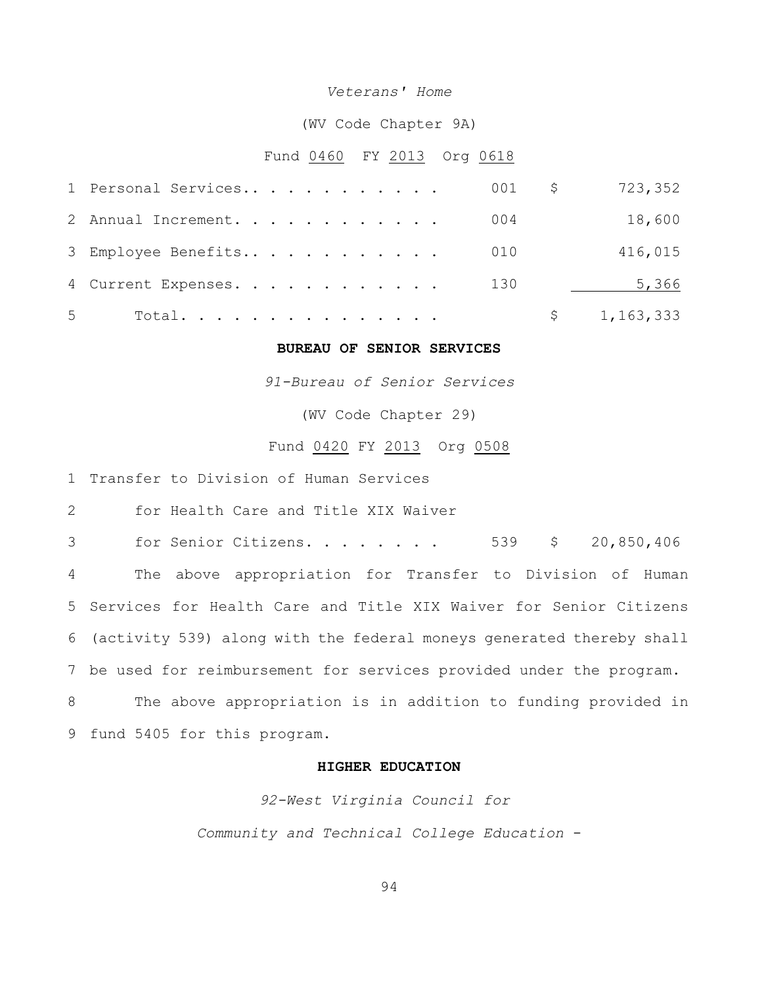#### *Veterans' Home*

(WV Code Chapter 9A)

#### Fund 0460 FY 2013 Org 0618

|       | 1 Personal Services |  |  |  |  |  | 001 | Ş. | 723,352     |
|-------|---------------------|--|--|--|--|--|-----|----|-------------|
|       | 2 Annual Increment. |  |  |  |  |  | 004 |    | 18,600      |
|       | 3 Employee Benefits |  |  |  |  |  | 010 |    | 416,015     |
|       | 4 Current Expenses. |  |  |  |  |  | 130 |    | 5,366       |
| $5 -$ | Total.              |  |  |  |  |  |     |    | \$1,163,333 |

#### **BUREAU OF SENIOR SERVICES**

*91-Bureau of Senior Services*

(WV Code Chapter 29)

### Fund 0420 FY 2013 Org 0508

1 Transfer to Division of Human Services

2 for Health Care and Title XIX Waiver

 for Senior Citizens. . . . . . . . 539 \$ 20,850,406 The above appropriation for Transfer to Division of Human Services for Health Care and Title XIX Waiver for Senior Citizens (activity 539) along with the federal moneys generated thereby shall be used for reimbursement for services provided under the program. The above appropriation is in addition to funding provided in fund 5405 for this program.

## **HIGHER EDUCATION**

*92-West Virginia Council for* 

*Community and Technical College Education* -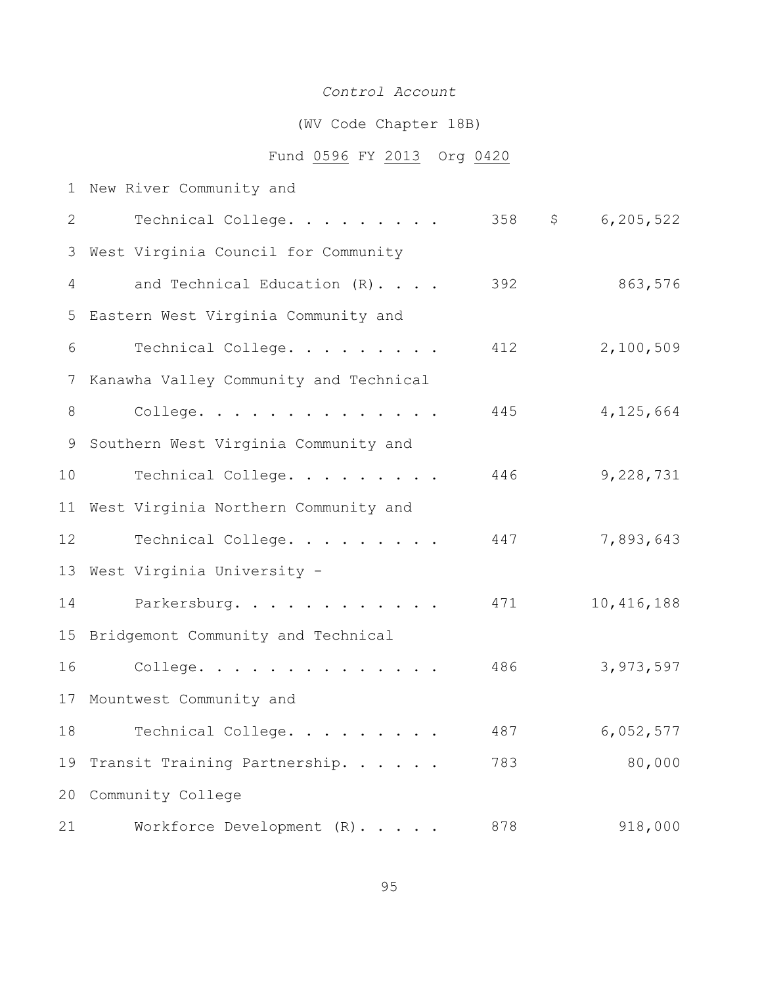# *Control Account*

# (WV Code Chapter 18B)

# Fund 0596 FY 2013 Org 0420

| $\mathbf 1$ | New River Community and                |     |              |              |
|-------------|----------------------------------------|-----|--------------|--------------|
| 2           | Technical College.                     | 358 | $\mathsf{S}$ | 6,205,522    |
| 3           | West Virginia Council for Community    |     |              |              |
| 4           | and Technical Education (R).           | 392 |              | 863,576      |
| 5           | Eastern West Virginia Community and    |     |              |              |
| 6           | Technical College.                     | 412 |              | 2,100,509    |
| 7           | Kanawha Valley Community and Technical |     |              |              |
| 8           | College.                               | 445 |              | 4,125,664    |
| 9           | Southern West Virginia Community and   |     |              |              |
| 10          | Technical College.                     | 446 |              | 9,228,731    |
| 11          | West Virginia Northern Community and   |     |              |              |
| 12          | Technical College.                     | 447 |              | 7,893,643    |
| 13          | West Virginia University -             |     |              |              |
| 14          | Parkersburg.                           | 471 |              | 10, 416, 188 |
| 15          | Bridgemont Community and Technical     |     |              |              |
| 16          | College.                               | 486 |              | 3,973,597    |
|             | 17 Mountwest Community and             |     |              |              |
| 18          | Technical College.                     | 487 |              | 6,052,577    |
| 19          | Transit Training Partnership.          | 783 |              | 80,000       |
| 20          | Community College                      |     |              |              |
| 21          | Workforce Development (R).             | 878 |              | 918,000      |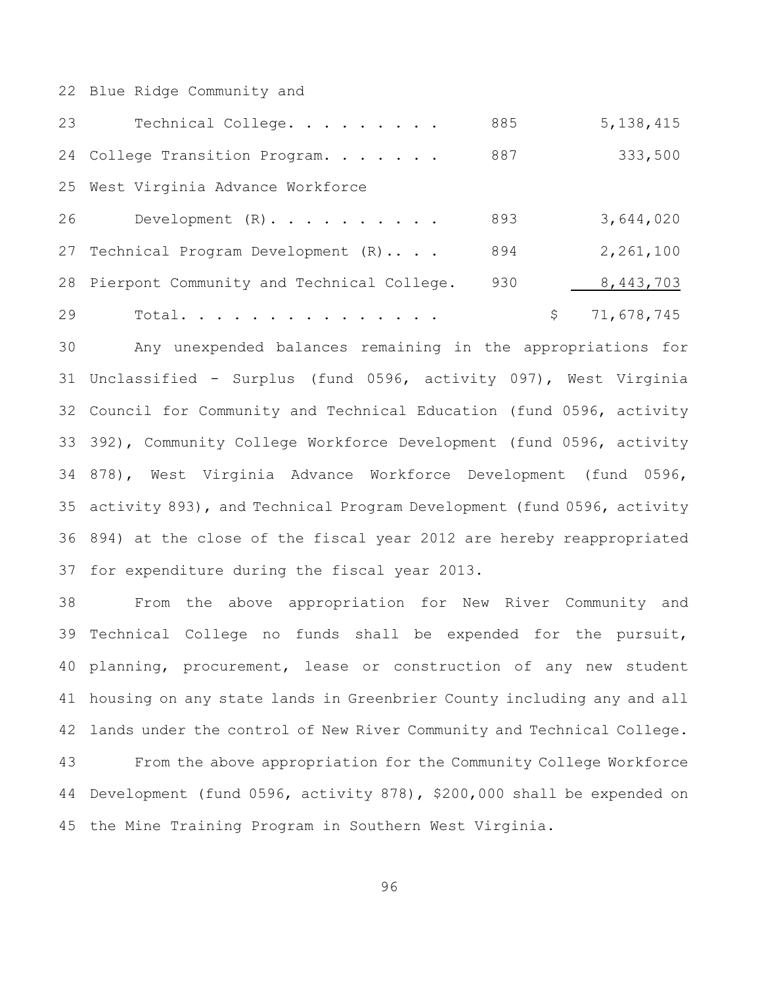Blue Ridge Community and

| 23 | Technical College.                           | 885 | 5, 138, 415      |
|----|----------------------------------------------|-----|------------------|
|    | 24 College Transition Program.               | 887 | 333,500          |
|    | 25 West Virginia Advance Workforce           |     |                  |
| 26 | Development $(R)$ .                          | 893 | 3,644,020        |
|    | 27 Technical Program Development (R)         | 894 | 2,261,100        |
|    | 28 Pierpont Community and Technical College. | 930 | 8,443,703        |
| 29 | Total.                                       |     | \$<br>71,678,745 |

 Any unexpended balances remaining in the appropriations for Unclassified - Surplus (fund 0596, activity 097), West Virginia Council for Community and Technical Education (fund 0596, activity 392), Community College Workforce Development (fund 0596, activity 878), West Virginia Advance Workforce Development (fund 0596, activity 893), and Technical Program Development (fund 0596, activity 894) at the close of the fiscal year 2012 are hereby reappropriated for expenditure during the fiscal year 2013.

 From the above appropriation for New River Community and Technical College no funds shall be expended for the pursuit, planning, procurement, lease or construction of any new student housing on any state lands in Greenbrier County including any and all lands under the control of New River Community and Technical College. From the above appropriation for the Community College Workforce Development (fund 0596, activity 878), \$200,000 shall be expended on the Mine Training Program in Southern West Virginia.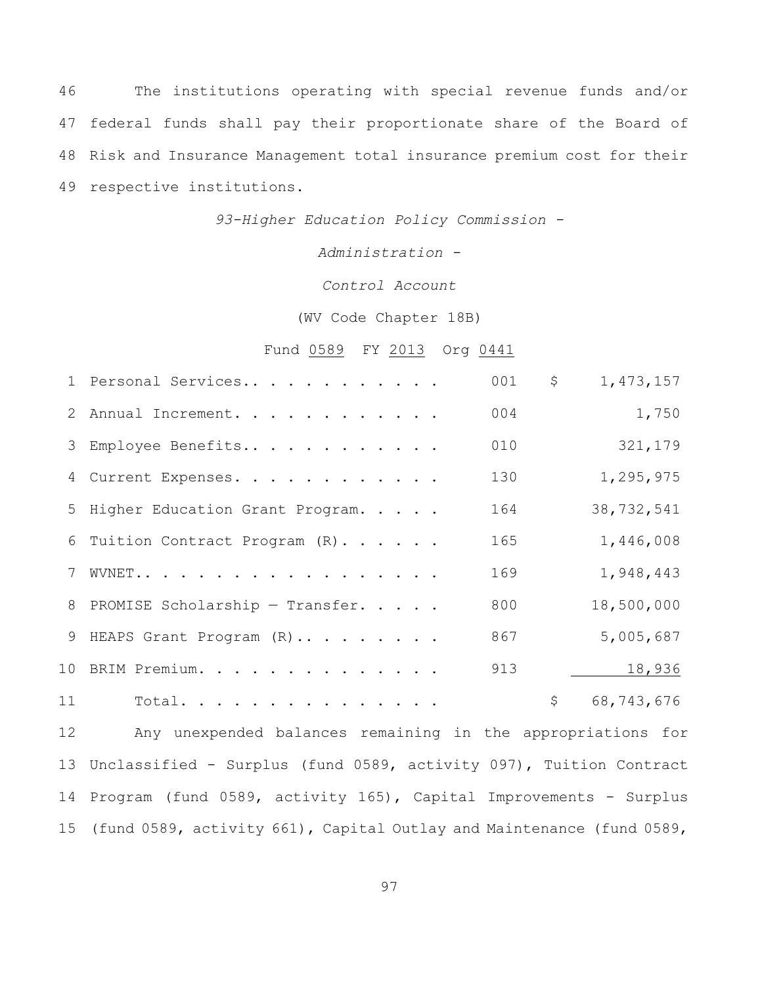The institutions operating with special revenue funds and/or federal funds shall pay their proportionate share of the Board of Risk and Insurance Management total insurance premium cost for their respective institutions.

*93-Higher Education Policy Commission -*

*Administration -*

*Control Account*

(WV Code Chapter 18B)

Fund 0589 FY 2013 Org 0441

|    | 1 Personal Services               | 001 | \$<br>1,473,157  |
|----|-----------------------------------|-----|------------------|
|    | 2 Annual Increment.               | 004 | 1,750            |
|    | 3 Employee Benefits               | 010 | 321,179          |
|    | 4 Current Expenses.               | 130 | 1,295,975        |
|    | 5 Higher Education Grant Program. | 164 | 38,732,541       |
|    | 6 Tuition Contract Program (R).   | 165 | 1,446,008        |
|    | 7 WVNET                           | 169 | 1,948,443        |
|    | 8 PROMISE Scholarship - Transfer. | 800 | 18,500,000       |
|    | 9 HEAPS Grant Program (R)         | 867 | 5,005,687        |
|    | 10 BRIM Premium.                  | 913 | 18,936           |
| 11 | Total.                            |     | \$<br>68,743,676 |
|    |                                   |     |                  |

 Any unexpended balances remaining in the appropriations for Unclassified - Surplus (fund 0589, activity 097), Tuition Contract Program (fund 0589, activity 165), Capital Improvements - Surplus (fund 0589, activity 661), Capital Outlay and Maintenance (fund 0589,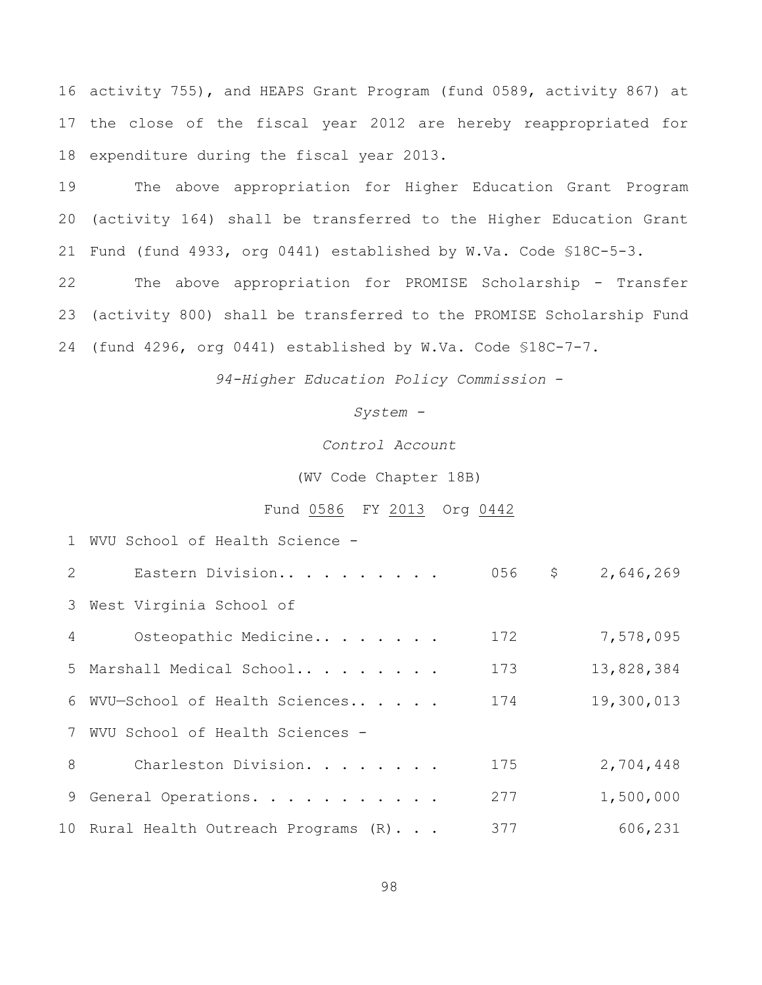activity 755), and HEAPS Grant Program (fund 0589, activity 867) at the close of the fiscal year 2012 are hereby reappropriated for expenditure during the fiscal year 2013.

 The above appropriation for Higher Education Grant Program (activity 164) shall be transferred to the Higher Education Grant Fund (fund 4933, org 0441) established by W.Va. Code §18C-5-3.

 The above appropriation for PROMISE Scholarship - Transfer (activity 800) shall be transferred to the PROMISE Scholarship Fund (fund 4296, org 0441) established by W.Va. Code §18C-7-7.

*94-Higher Education Policy Commission* -

*System -*

*Control Account*

(WV Code Chapter 18B)

#### Fund 0586 FY 2013 Org 0442

Eastern Division.. . . . . . . . . 056 \$ 2,646,269

|  | 1 WVU School of Health Science - |                  |  |  |  |  |  |
|--|----------------------------------|------------------|--|--|--|--|--|
|  |                                  | Eastern Division |  |  |  |  |  |

|   | 3 West Virginia School of             |     |            |
|---|---------------------------------------|-----|------------|
| 4 | Osteopathic Medicine                  | 172 | 7,578,095  |
|   | 5 Marshall Medical School             | 173 | 13,828,384 |
|   | 6 WVU-School of Health Sciences       | 174 | 19,300,013 |
|   | 7 WVU School of Health Sciences -     |     |            |
| 8 | Charleston Division.                  | 175 | 2,704,448  |
|   | 9 General Operations.                 | 277 | 1,500,000  |
|   | 10 Rural Health Outreach Programs (R) | 377 | 606,231    |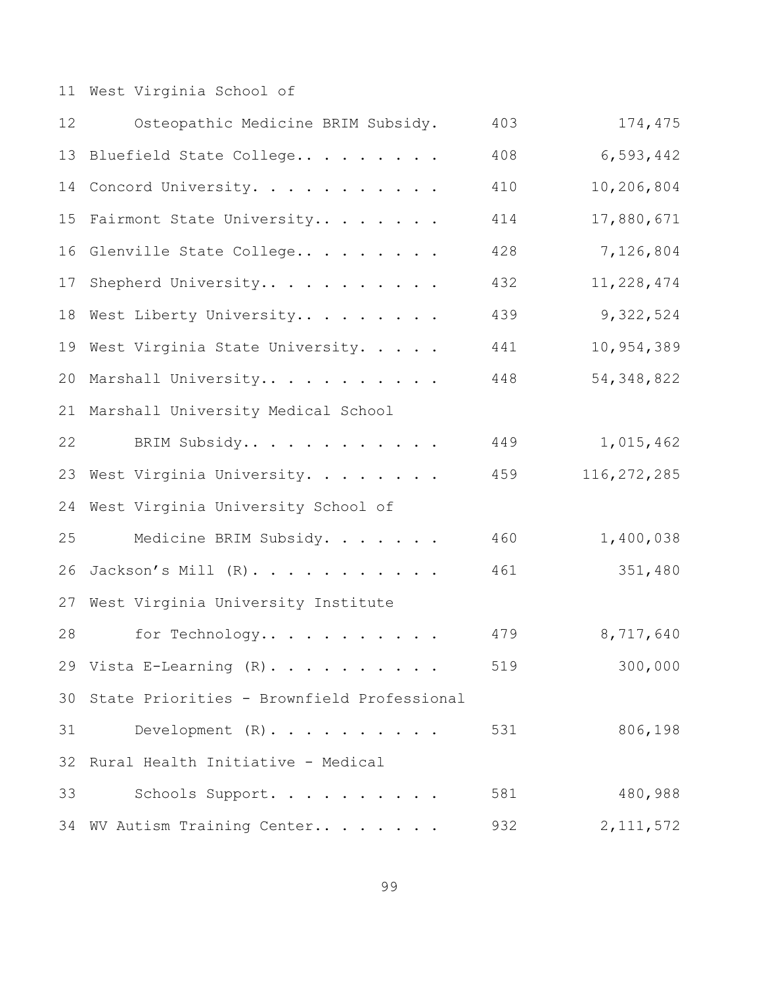West Virginia School of

| 12 | Osteopathic Medicine BRIM Subsidy.         | 403 | 174,475       |
|----|--------------------------------------------|-----|---------------|
| 13 | Bluefield State College                    | 408 | 6,593,442     |
| 14 | Concord University.                        | 410 | 10,206,804    |
| 15 | Fairmont State University                  | 414 | 17,880,671    |
| 16 | Glenville State College                    | 428 | 7,126,804     |
| 17 | Shepherd University                        | 432 | 11,228,474    |
| 18 | West Liberty University                    | 439 | 9,322,524     |
|    | 19 West Virginia State University.         | 441 | 10,954,389    |
| 20 | Marshall University                        | 448 | 54, 348, 822  |
|    | 21 Marshall University Medical School      |     |               |
| 22 | BRIM Subsidy                               | 449 | 1,015,462     |
| 23 | West Virginia University.                  | 459 | 116, 272, 285 |
| 24 | West Virginia University School of         |     |               |
| 25 | Medicine BRIM Subsidy.                     | 460 | 1,400,038     |
| 26 | Jackson's Mill (R).                        | 461 | 351,480       |
| 27 | West Virginia University Institute         |     |               |
| 28 | for Technology                             | 479 | 8,717,640     |
|    | 29 Vista E-Learning $(R)$ .                | 519 | 300,000       |
| 30 | State Priorities - Brownfield Professional |     |               |
| 31 | Development $(R)$ .                        | 531 | 806,198       |
| 32 | Rural Health Initiative - Medical          |     |               |
| 33 | Schools Support.                           | 581 | 480,988       |
| 34 | WV Autism Training Center                  | 932 | 2, 111, 572   |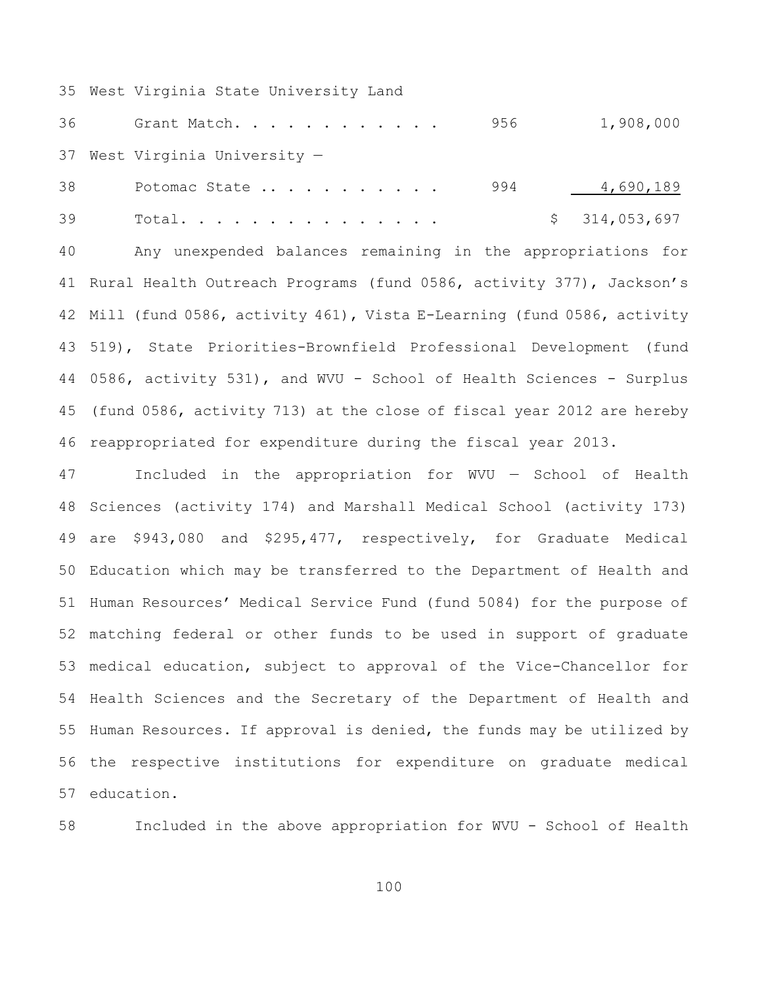West Virginia State University Land

36 Grant Match. . . . . . . . . . . 956 1,908,000 West Virginia University —

38 Potomac State .... ... ... 994 1,690,189 39 Total............... \$ 314,053,697

 Any unexpended balances remaining in the appropriations for Rural Health Outreach Programs (fund 0586, activity 377), Jackson's Mill (fund 0586, activity 461), Vista E-Learning (fund 0586, activity 519), State Priorities-Brownfield Professional Development (fund 0586, activity 531), and WVU - School of Health Sciences - Surplus (fund 0586, activity 713) at the close of fiscal year 2012 are hereby reappropriated for expenditure during the fiscal year 2013.

 Included in the appropriation for WVU — School of Health Sciences (activity 174) and Marshall Medical School (activity 173) are \$943,080 and \$295,477, respectively, for Graduate Medical Education which may be transferred to the Department of Health and Human Resources' Medical Service Fund (fund 5084) for the purpose of matching federal or other funds to be used in support of graduate medical education, subject to approval of the Vice-Chancellor for Health Sciences and the Secretary of the Department of Health and Human Resources. If approval is denied, the funds may be utilized by the respective institutions for expenditure on graduate medical education.

Included in the above appropriation for WVU - School of Health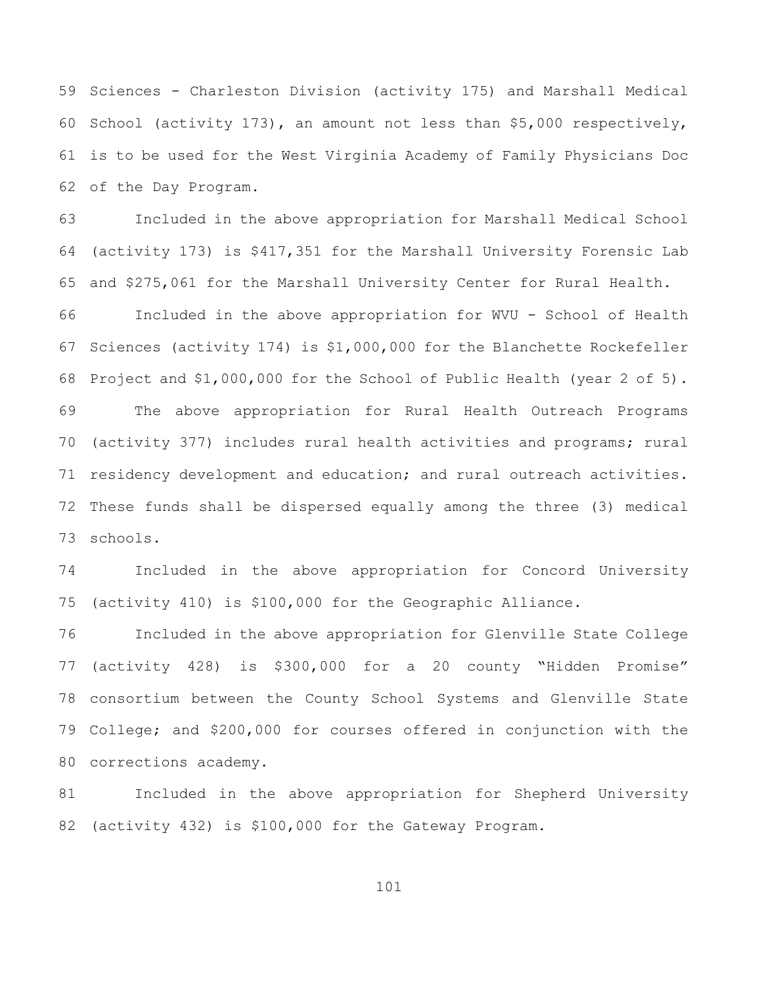Sciences - Charleston Division (activity 175) and Marshall Medical School (activity 173), an amount not less than \$5,000 respectively, is to be used for the West Virginia Academy of Family Physicians Doc of the Day Program.

 Included in the above appropriation for Marshall Medical School (activity 173) is \$417,351 for the Marshall University Forensic Lab and \$275,061 for the Marshall University Center for Rural Health. Included in the above appropriation for WVU - School of Health Sciences (activity 174) is \$1,000,000 for the Blanchette Rockefeller Project and \$1,000,000 for the School of Public Health (year 2 of 5). The above appropriation for Rural Health Outreach Programs (activity 377) includes rural health activities and programs; rural residency development and education; and rural outreach activities. These funds shall be dispersed equally among the three (3) medical schools.

 Included in the above appropriation for Concord University (activity 410) is \$100,000 for the Geographic Alliance.

 Included in the above appropriation for Glenville State College (activity 428) is \$300,000 for a 20 county "Hidden Promise" consortium between the County School Systems and Glenville State College; and \$200,000 for courses offered in conjunction with the corrections academy.

 Included in the above appropriation for Shepherd University (activity 432) is \$100,000 for the Gateway Program.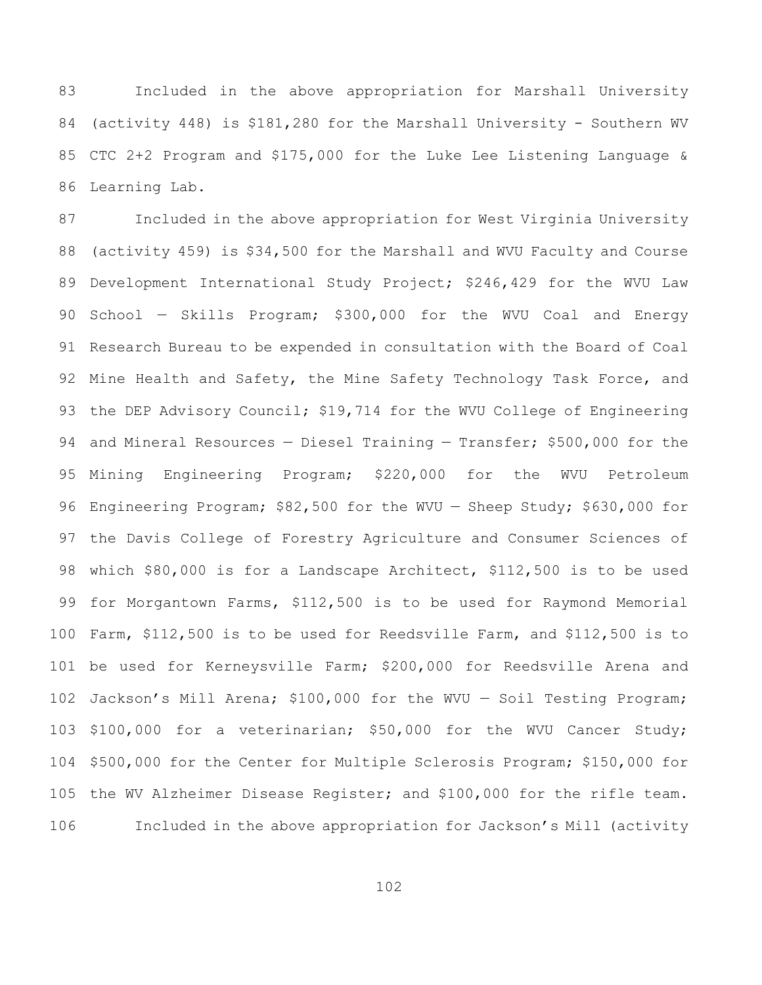Included in the above appropriation for Marshall University (activity 448) is \$181,280 for the Marshall University - Southern WV CTC 2+2 Program and \$175,000 for the Luke Lee Listening Language & Learning Lab.

 Included in the above appropriation for West Virginia University (activity 459) is \$34,500 for the Marshall and WVU Faculty and Course Development International Study Project; \$246,429 for the WVU Law School — Skills Program; \$300,000 for the WVU Coal and Energy Research Bureau to be expended in consultation with the Board of Coal 92 Mine Health and Safety, the Mine Safety Technology Task Force, and 93 the DEP Advisory Council; \$19,714 for the WVU College of Engineering and Mineral Resources — Diesel Training — Transfer; \$500,000 for the Mining Engineering Program; \$220,000 for the WVU Petroleum Engineering Program; \$82,500 for the WVU — Sheep Study; \$630,000 for the Davis College of Forestry Agriculture and Consumer Sciences of which \$80,000 is for a Landscape Architect, \$112,500 is to be used for Morgantown Farms, \$112,500 is to be used for Raymond Memorial Farm, \$112,500 is to be used for Reedsville Farm, and \$112,500 is to be used for Kerneysville Farm; \$200,000 for Reedsville Arena and Jackson's Mill Arena; \$100,000 for the WVU — Soil Testing Program; \$100,000 for a veterinarian; \$50,000 for the WVU Cancer Study; \$500,000 for the Center for Multiple Sclerosis Program; \$150,000 for the WV Alzheimer Disease Register; and \$100,000 for the rifle team. Included in the above appropriation for Jackson's Mill (activity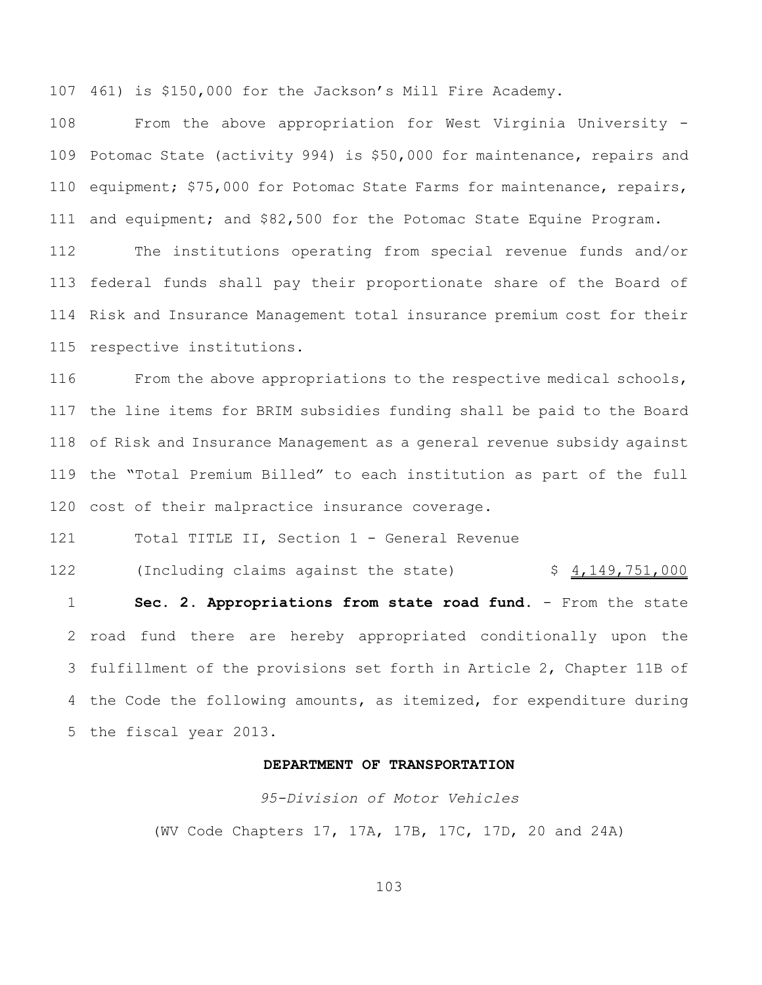461) is \$150,000 for the Jackson's Mill Fire Academy.

 From the above appropriation for West Virginia University - Potomac State (activity 994) is \$50,000 for maintenance, repairs and 110 equipment; \$75,000 for Potomac State Farms for maintenance, repairs, and equipment; and \$82,500 for the Potomac State Equine Program.

 The institutions operating from special revenue funds and/or federal funds shall pay their proportionate share of the Board of Risk and Insurance Management total insurance premium cost for their respective institutions.

 From the above appropriations to the respective medical schools, the line items for BRIM subsidies funding shall be paid to the Board of Risk and Insurance Management as a general revenue subsidy against the "Total Premium Billed" to each institution as part of the full cost of their malpractice insurance coverage.

Total TITLE II, Section 1 - General Revenue

122 (Including claims against the state) \$ 4,149,751,000 **Sec. 2. Appropriations from state road fund.** - From the state road fund there are hereby appropriated conditionally upon the fulfillment of the provisions set forth in Article 2, Chapter 11B of the Code the following amounts, as itemized, for expenditure during the fiscal year 2013.

#### **DEPARTMENT OF TRANSPORTATION**

*95-Division of Motor Vehicles* (WV Code Chapters 17, 17A, 17B, 17C, 17D, 20 and 24A)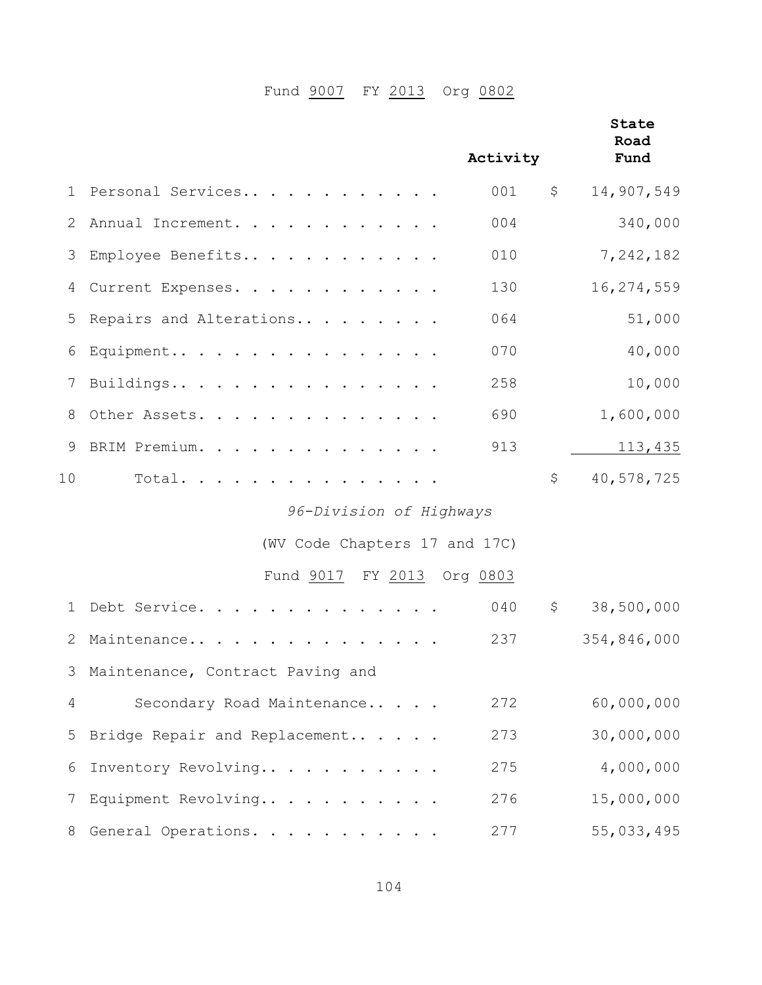# Fund **9007** FY 2013 Org 0802

|                 |                                    | Activity | State<br>Road<br>Fund |
|-----------------|------------------------------------|----------|-----------------------|
| $\mathbf{1}$    | Personal Services                  | 001      | \$<br>14,907,549      |
| 2               | Annual Increment.                  | 004      | 340,000               |
| 3               | Employee Benefits                  | 010      | 7,242,182             |
| 4               | Current Expenses.                  | 130      | 16,274,559            |
| 5               | Repairs and Alterations            | 064      | 51,000                |
| 6               | Equipment                          | 070      | 40,000                |
| 7               | Buildings                          | 258      | 10,000                |
| 8               | Other Assets.                      | 690      | 1,600,000             |
| 9               | BRIM Premium.                      | 913      | 113,435               |
| 10 <sub>o</sub> | Total.                             |          | \$<br>40,578,725      |
|                 | 96-Division of Highways            |          |                       |
|                 | (WV Code Chapters 17 and 17C)      |          |                       |
|                 | Fund 9017 FY 2013 Org 0803         |          |                       |
| 1               | Debt Service.                      | 040      | \$<br>38,500,000      |
| 2               | Maintenance                        | 237      | 354,846,000           |
|                 | 3 Maintenance, Contract Paving and |          |                       |
| 4               | Secondary Road Maintenance         | 272      | 60,000,000            |
| 5               | Bridge Repair and Replacement      | 273      | 30,000,000            |
| 6               | Inventory Revolving                | 275      | 4,000,000             |
| 7               | Equipment Revolving                | 276      | 15,000,000            |
| 8               | General Operations.                | 277      | 55,033,495            |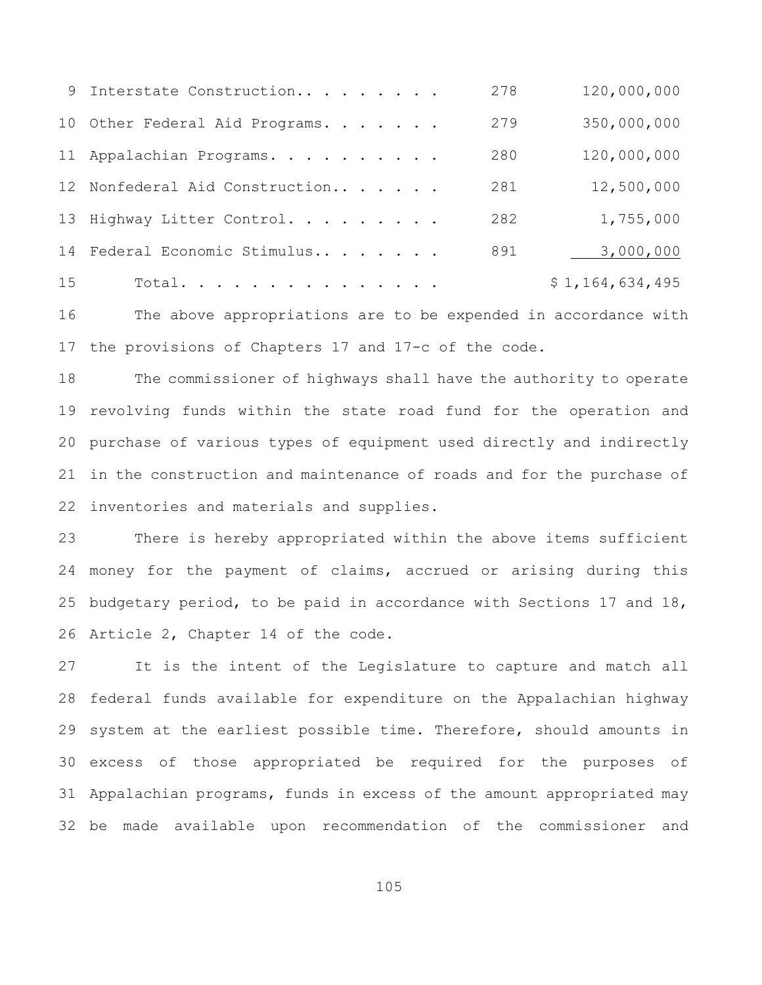|    | 9 Interstate Construction      | 278 | 120,000,000     |
|----|--------------------------------|-----|-----------------|
|    | 10 Other Federal Aid Programs. | 279 | 350,000,000     |
|    | 11 Appalachian Programs.       | 280 | 120,000,000     |
|    | 12 Nonfederal Aid Construction | 281 | 12,500,000      |
|    | 13 Highway Litter Control.     | 282 | 1,755,000       |
| 14 | Federal Economic Stimulus      | 891 | 3,000,000       |
| 15 | Total.                         |     | \$1,164,634,495 |

 The above appropriations are to be expended in accordance with the provisions of Chapters 17 and 17-c of the code.

 The commissioner of highways shall have the authority to operate revolving funds within the state road fund for the operation and purchase of various types of equipment used directly and indirectly in the construction and maintenance of roads and for the purchase of inventories and materials and supplies.

 There is hereby appropriated within the above items sufficient money for the payment of claims, accrued or arising during this budgetary period, to be paid in accordance with Sections 17 and 18, Article 2, Chapter 14 of the code.

 It is the intent of the Legislature to capture and match all federal funds available for expenditure on the Appalachian highway system at the earliest possible time. Therefore, should amounts in excess of those appropriated be required for the purposes of Appalachian programs, funds in excess of the amount appropriated may be made available upon recommendation of the commissioner and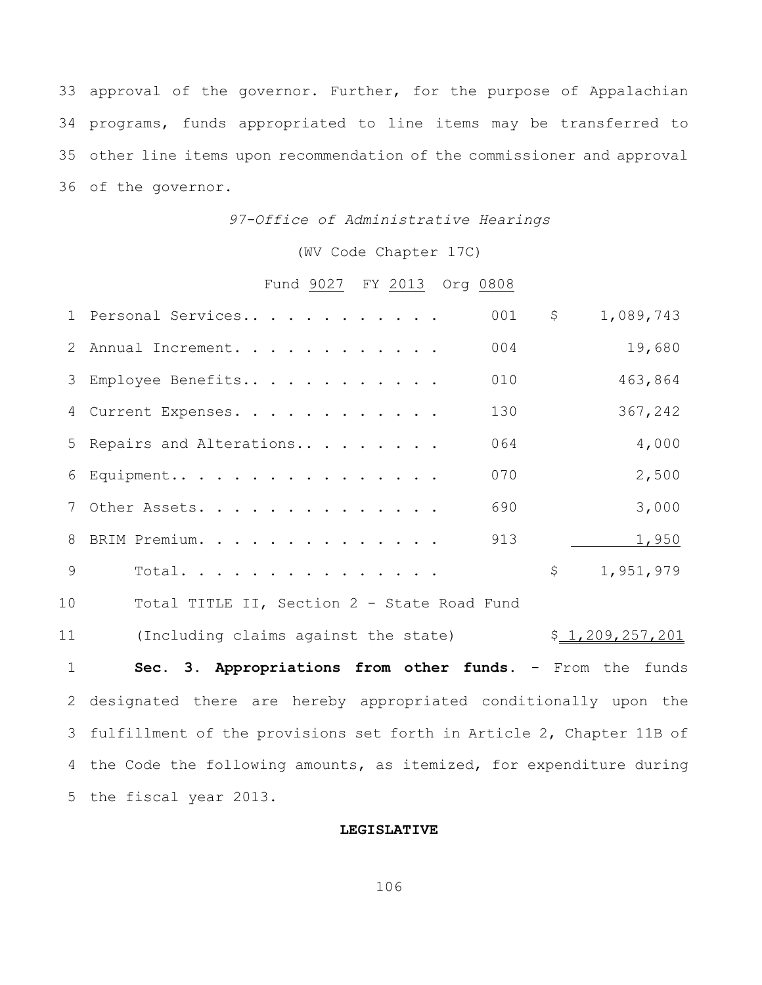approval of the governor. Further, for the purpose of Appalachian programs, funds appropriated to line items may be transferred to other line items upon recommendation of the commissioner and approval of the governor.

## *97-Office of Administrative Hearings*

(WV Code Chapter 17C)

# Fund 9027 FY 2013 Org 0808

|   | 1 Personal Services       | 001 | $\mathsf{S}$ | 1,089,743 |
|---|---------------------------|-----|--------------|-----------|
|   | 2 Annual Increment.       | 004 |              | 19,680    |
|   | 3 Employee Benefits       | 010 |              | 463,864   |
|   | 4 Current Expenses.       | 130 |              | 367,242   |
|   | 5 Repairs and Alterations | 064 |              | 4,000     |
|   | 6 Equipment               | 070 |              | 2,500     |
|   | 7 Other Assets.           | 690 |              | 3,000     |
|   | 8 BRIM Premium.           | 913 |              | 1,950     |
| Q | Total.                    |     | \$           | 1,951,979 |
|   |                           |     |              |           |

Total TITLE II, Section 2 - State Road Fund

11 (Including claims against the state) \$ 1,209,257,201

 **Sec. 3. Appropriations from other funds.** - From the funds designated there are hereby appropriated conditionally upon the fulfillment of the provisions set forth in Article 2, Chapter 11B of the Code the following amounts, as itemized, for expenditure during the fiscal year 2013.

### **LEGISLATIVE**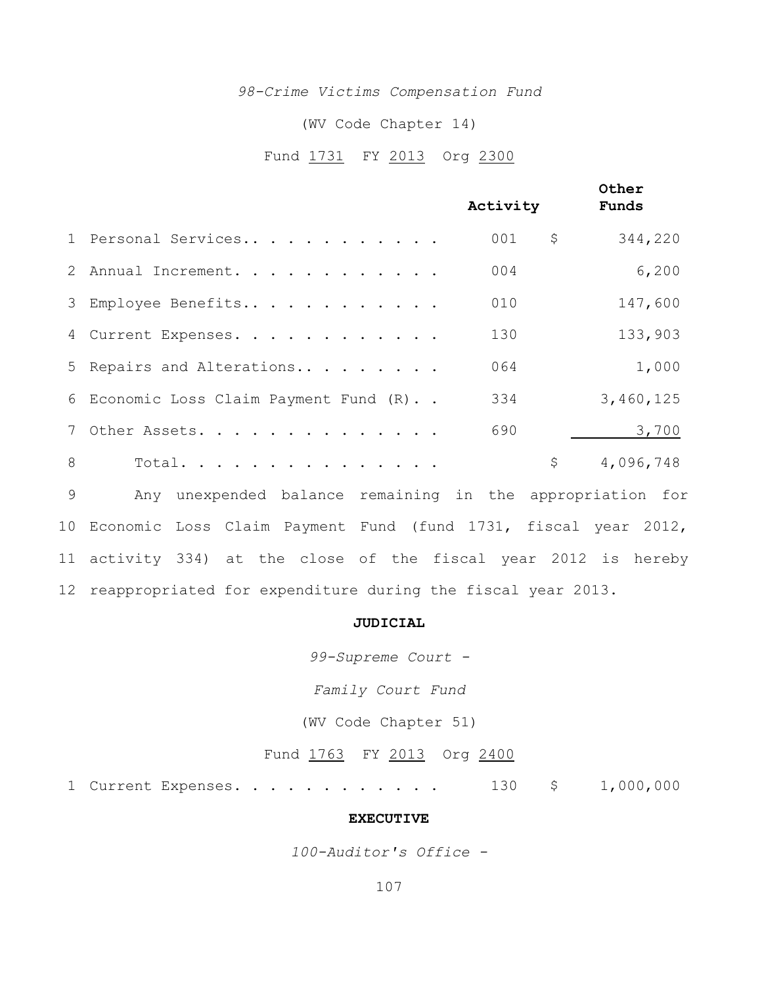### *98-Crime Victims Compensation Fund*

#### (WV Code Chapter 14)

## Fund 1731 FY 2013 Org 2300

|   |                                        | Activity  | Other<br>Funds |
|---|----------------------------------------|-----------|----------------|
|   | 1 Personal Services                    | \$<br>001 | 344,220        |
|   | 2 Annual Increment.                    | 004       | 6,200          |
|   | 3 Employee Benefits                    | 010       | 147,600        |
|   | 4 Current Expenses.                    | 130       | 133,903        |
|   | 5 Repairs and Alterations              | 064       | 1,000          |
|   | 6 Economic Loss Claim Payment Fund (R) | 334       | 3,460,125      |
|   | 7 Other Assets.                        | 690       | 3,700          |
| 8 | Total.                                 | \$        | 4,096,748      |
|   |                                        |           |                |

 Any unexpended balance remaining in the appropriation for Economic Loss Claim Payment Fund (fund 1731, fiscal year 2012, activity 334) at the close of the fiscal year 2012 is hereby reappropriated for expenditure during the fiscal year 2013.

# **JUDICIAL**

*99-Supreme Court -*

*Family Court Fund*

(WV Code Chapter 51)

Fund 1763 FY 2013 Org 2400

1 Current Expenses. . . . . . . . . . . . 130 \$ 1,000,000

#### **EXECUTIVE**

*100-Auditor's Office -*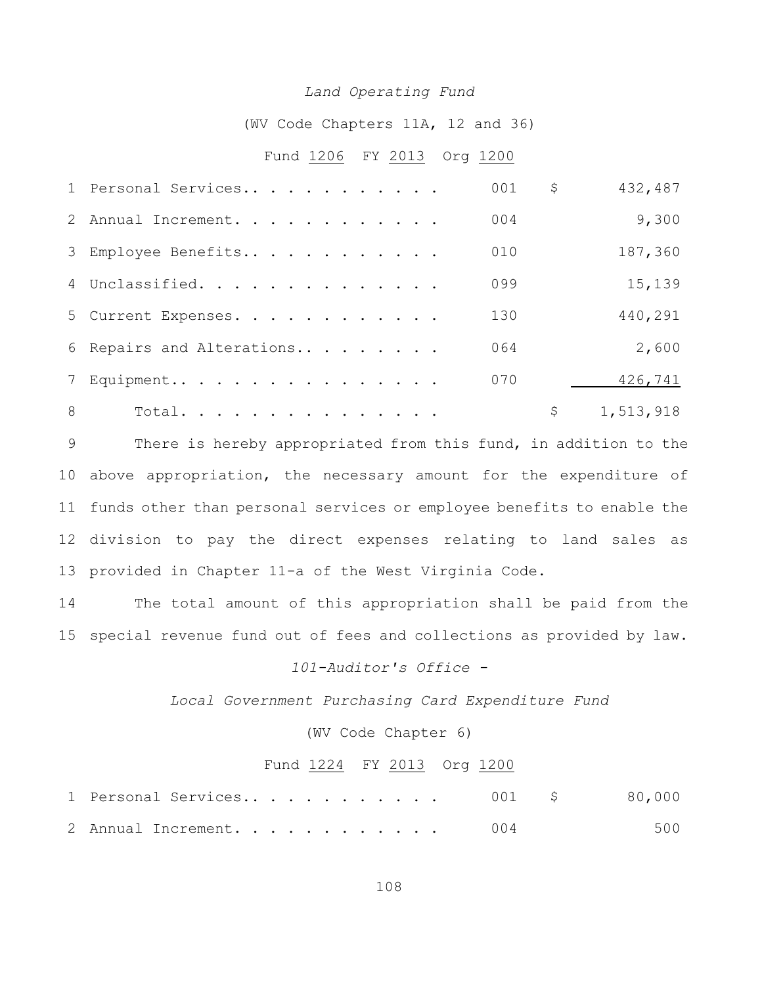#### *Land Operating Fund*

(WV Code Chapters 11A, 12 and 36)

## Fund 1206 FY 2013 Org 1200

|   | 1 Personal Services       | 001 | \$<br>432,487   |
|---|---------------------------|-----|-----------------|
|   | 2 Annual Increment.       | 004 | 9,300           |
|   | 3 Employee Benefits       | 010 | 187,360         |
|   | 4 Unclassified.           | 099 | 15,139          |
|   | 5 Current Expenses.       | 130 | 440,291         |
|   | 6 Repairs and Alterations | 064 | 2,600           |
|   | 7 Equipment               | 070 | 426,741         |
| 8 | Total.                    |     | \$<br>1,513,918 |

 There is hereby appropriated from this fund, in addition to the above appropriation, the necessary amount for the expenditure of funds other than personal services or employee benefits to enable the division to pay the direct expenses relating to land sales as provided in Chapter 11-a of the West Virginia Code.

 The total amount of this appropriation shall be paid from the special revenue fund out of fees and collections as provided by law.

# *101-Auditor's Office -*

*Local Government Purchasing Card Expenditure Fund*

(WV Code Chapter 6)

#### Fund FY 2013 Org 1200

| 1 Personal Services 001 \$ 80,000 |     |     |
|-----------------------------------|-----|-----|
| 2 Annual Increment.               | 004 | 500 |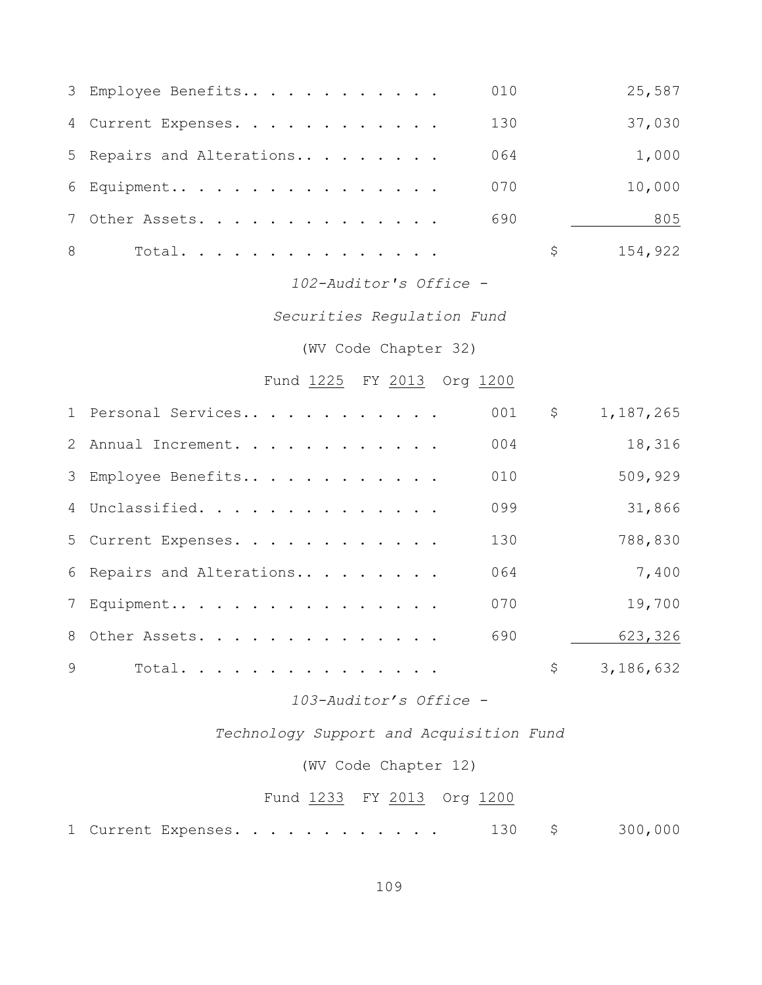|   | 3 Employee Benefits       | 010 | 25,587  |
|---|---------------------------|-----|---------|
|   | 4 Current Expenses.       | 130 | 37,030  |
|   | 5 Repairs and Alterations | 064 | 1,000   |
|   | $6$ Equipment             | 070 | 10,000  |
|   | 7 Other Assets.           | 690 | 805     |
| 8 | Total.                    | S.  | 154,922 |

### *102-Auditor's Office -*

*Securities Regulation Fund*

(WV Code Chapter 32)

# Fund 1225 FY 2013 Org 1200

|   | 1 Personal Services       | 001 | $\mathsf{S}$ | 1,187,265 |
|---|---------------------------|-----|--------------|-----------|
|   | 2 Annual Increment.       | 004 |              | 18,316    |
|   | 3 Employee Benefits       | 010 |              | 509,929   |
|   | 4 Unclassified.           | 099 |              | 31,866    |
|   | 5 Current Expenses.       | 130 |              | 788,830   |
|   | 6 Repairs and Alterations | 064 |              | 7,400     |
|   | 7 Equipment               | 070 |              | 19,700    |
|   | 8 Other Assets.           | 690 |              | 623,326   |
| 9 | Total.                    |     | \$           | 3,186,632 |

# *103-Auditor's Office -*

*Technology Support and Acquisition Fund*

### (WV Code Chapter 12)

# Fund 1233 FY 2013 Org 1200

| 1 Current Expenses. |  |  | 300,000 |
|---------------------|--|--|---------|
|---------------------|--|--|---------|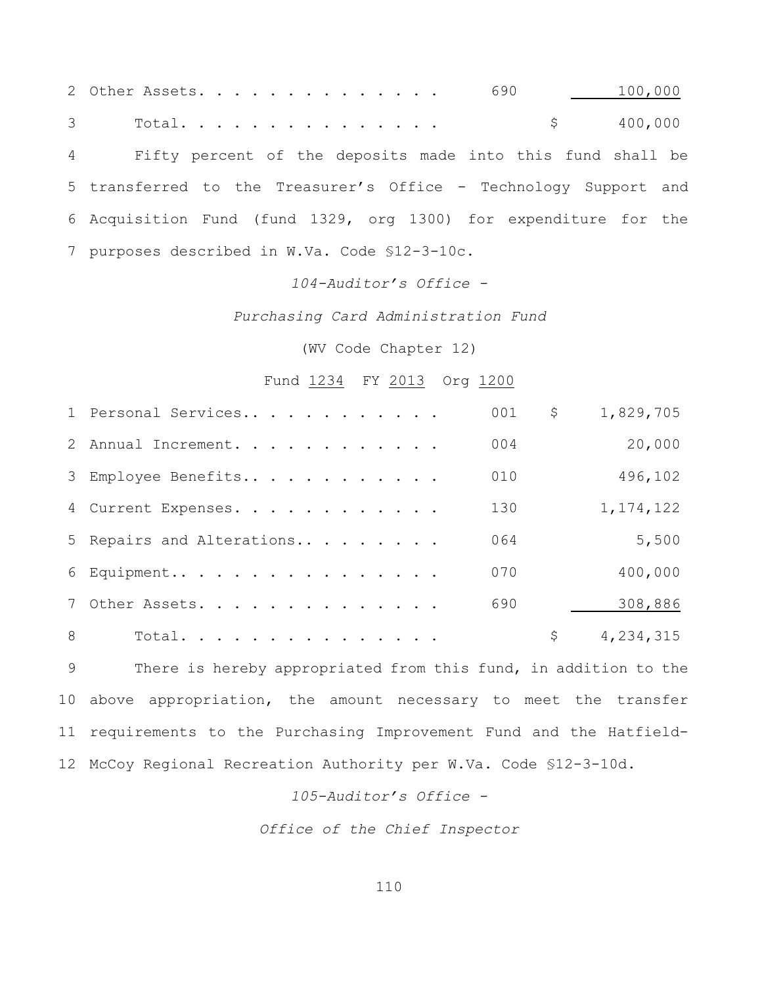2 Other Assets. . . . . . . . . . . . . . 690 100,000 3 Total............... \$ 400,000 Fifty percent of the deposits made into this fund shall be transferred to the Treasurer's Office - Technology Support and Acquisition Fund (fund 1329, org 1300) for expenditure for the purposes described in W.Va. Code §12-3-10c.

#### *104-Auditor's Office -*

*Purchasing Card Administration Fund*

(WV Code Chapter 12)

#### Fund FY 2013 Org 1200

|   | 1 Personal Services       | 001 | $\mathsf{S}$ | 1,829,705   |
|---|---------------------------|-----|--------------|-------------|
|   | 2 Annual Increment.       | 004 |              | 20,000      |
|   | 3 Employee Benefits       | 010 |              | 496,102     |
|   | 4 Current Expenses.       | 130 |              | 1, 174, 122 |
|   | 5 Repairs and Alterations | 064 |              | 5,500       |
|   | 6 Equipment               | 070 |              | 400,000     |
|   | 7 Other Assets.           | 690 |              | 308,886     |
| 8 | Total.                    |     | \$           | 4,234,315   |

 There is hereby appropriated from this fund, in addition to the above appropriation, the amount necessary to meet the transfer requirements to the Purchasing Improvement Fund and the Hatfield-McCoy Regional Recreation Authority per W.Va. Code §12-3-10d.

#### *105-Auditor's Office -*

*Office of the Chief Inspector*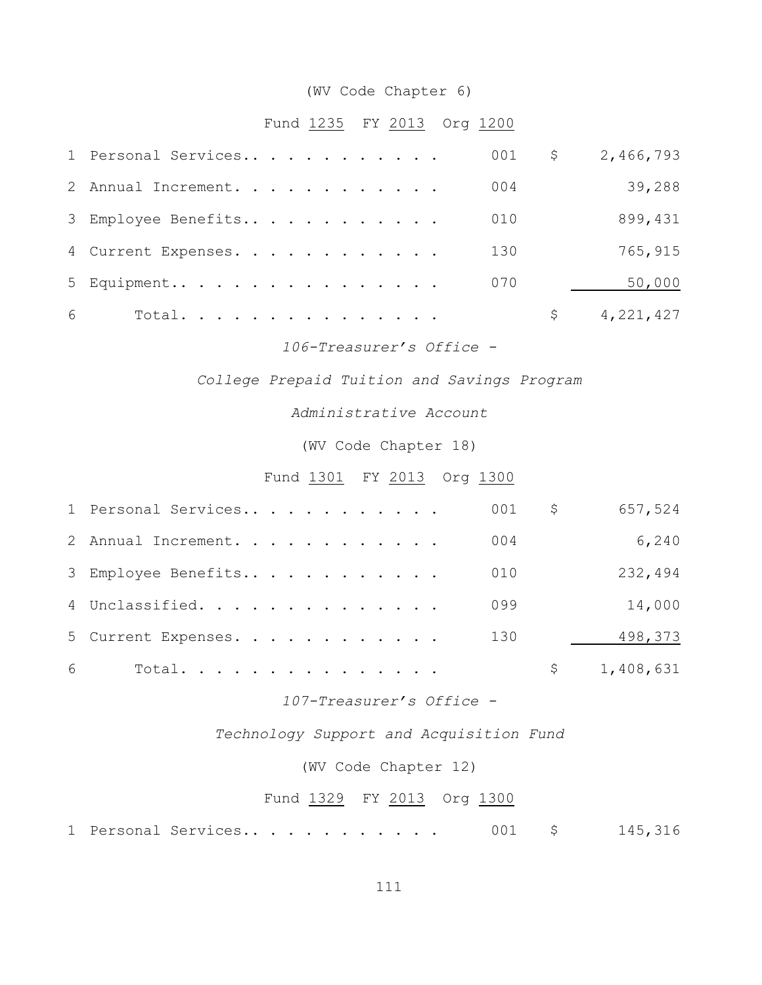# (WV Code Chapter 6)

### Fund 1235 FY 2013 Org 1200

|   | 1 Personal Services | 001 | $\mathsf{S}$ | 2,466,793 |
|---|---------------------|-----|--------------|-----------|
|   | 2 Annual Increment. | 004 |              | 39,288    |
|   | 3 Employee Benefits | 010 |              | 899,431   |
|   | 4 Current Expenses. | 130 |              | 765,915   |
|   | 5 Equipment         | 070 |              | 50,000    |
| 6 | Total.              |     |              | 4,221,427 |

*106-Treasurer's Office -*

*College Prepaid Tuition and Savings Program*

*Administrative Account*

(WV Code Chapter 18)

Fund 1301 FY 2013 Org 1300

|   | 1 Personal Services |  |  |  |  |  | 001 | \$  | 657,524   |
|---|---------------------|--|--|--|--|--|-----|-----|-----------|
|   | 2 Annual Increment. |  |  |  |  |  | 004 |     | 6,240     |
|   | 3 Employee Benefits |  |  |  |  |  | 010 |     | 232,494   |
|   | 4 Unclassified.     |  |  |  |  |  | 099 |     | 14,000    |
|   | 5 Current Expenses. |  |  |  |  |  | 130 |     | 498,373   |
| 6 | Total.              |  |  |  |  |  |     | \$. | 1,408,631 |

*107-Treasurer's Office -*

*Technology Support and Acquisition Fund*

(WV Code Chapter 12)

#### Fund 1329 FY 2013 Org 1300

1 Personal Services.. . . . . . . . . . 001 \$ 145,316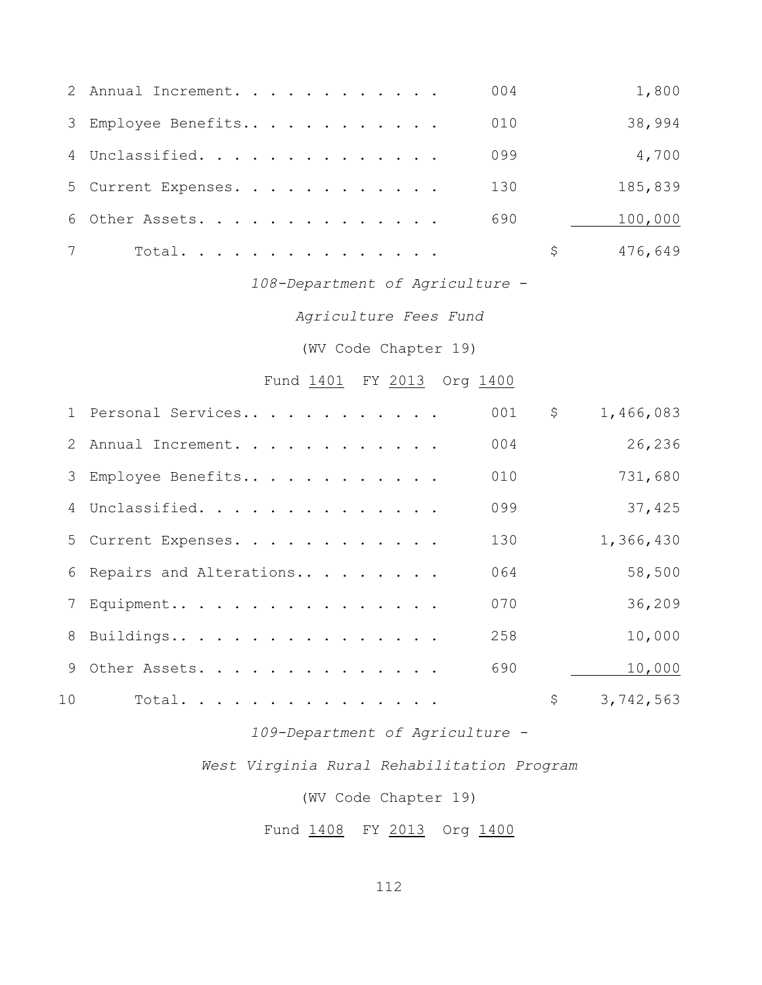|   | 2 Annual Increment. |  |  |  |  |  | 004 | 1,800   |
|---|---------------------|--|--|--|--|--|-----|---------|
|   | 3 Employee Benefits |  |  |  |  |  | 010 | 38,994  |
|   | 4 Unclassified.     |  |  |  |  |  | 099 | 4,700   |
|   | 5 Current Expenses. |  |  |  |  |  | 130 | 185,839 |
|   | 6 Other Assets.     |  |  |  |  |  | 690 | 100,000 |
| 7 | Total.              |  |  |  |  |  |     | 476,649 |

# *108-Department of Agriculture* -

*Agriculture Fees Fund*

(WV Code Chapter 19)

# Fund 1401 FY 2013 Org 1400

|                 | 1 Personal Services       | 001 | \$<br>1,466,083 |
|-----------------|---------------------------|-----|-----------------|
|                 | 2 Annual Increment.       | 004 | 26,236          |
|                 | 3 Employee Benefits       | 010 | 731,680         |
|                 | 4 Unclassified.           | 099 | 37,425          |
|                 | 5 Current Expenses.       | 130 | 1,366,430       |
|                 | 6 Repairs and Alterations | 064 | 58,500          |
|                 | 7 Equipment               | 070 | 36,209          |
|                 | 8 Buildings               | 258 | 10,000          |
|                 | 9 Other Assets.           | 690 | 10,000          |
| 10 <sup>°</sup> | Total.                    |     | \$<br>3,742,563 |

### *109-Department of Agriculture -*

### *West Virginia Rural Rehabilitation Program*

(WV Code Chapter 19)

Fund 1408 FY 2013 Org 1400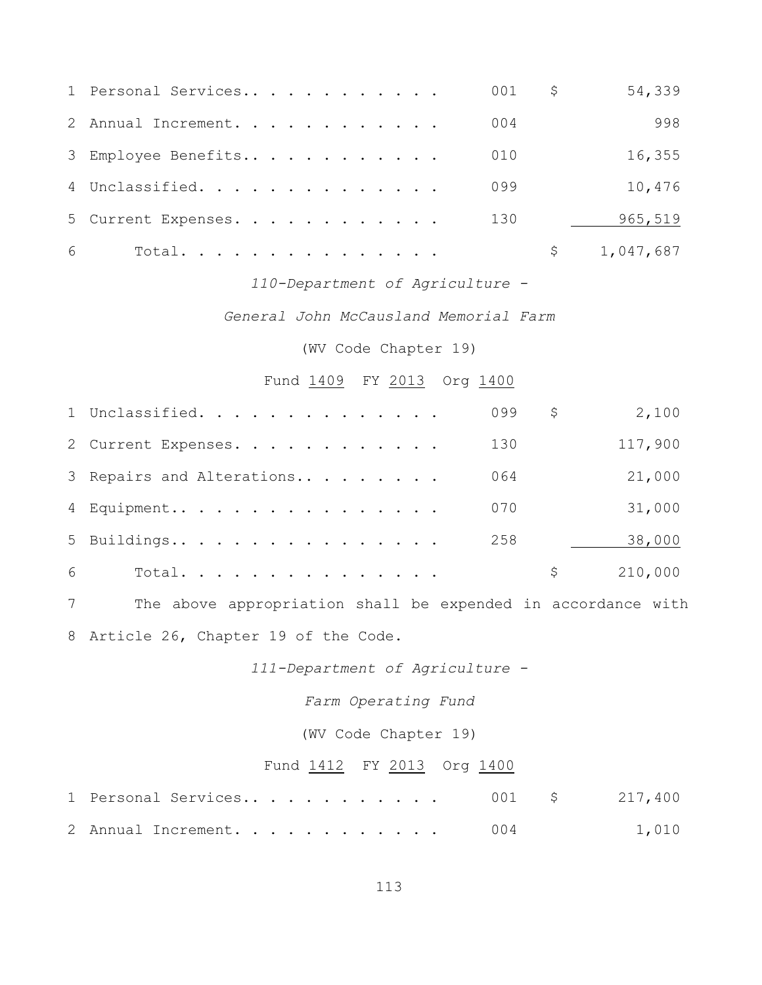|   | 1 Personal Services |  |  |  |  |  | 001 | \$<br>54,339 |
|---|---------------------|--|--|--|--|--|-----|--------------|
|   | 2 Annual Increment. |  |  |  |  |  | 004 | 998          |
|   | 3 Employee Benefits |  |  |  |  |  | 010 | 16,355       |
|   | 4 Unclassified.     |  |  |  |  |  | 099 | 10,476       |
|   | 5 Current Expenses. |  |  |  |  |  | 130 | 965,519      |
| 6 | Total.              |  |  |  |  |  |     | 1,047,687    |

### *110-Department of Agriculture -*

*General John McCausland Memorial Farm*

(WV Code Chapter 19)

### Fund 1409 FY 2013 Org 1400

|   | 1 Unclassified.           | 099 | S   | 2,100   |
|---|---------------------------|-----|-----|---------|
|   | 2 Current Expenses.       | 130 |     | 117,900 |
|   | 3 Repairs and Alterations | 064 |     | 21,000  |
|   | 4 Equipment               | 070 |     | 31,000  |
|   | 5 Buildings               | 258 |     | 38,000  |
| 6 | Total.                    |     | \$. | 210,000 |

 The above appropriation shall be expended in accordance with Article 26, Chapter 19 of the Code.

*111-Department of Agriculture -*

*Farm Operating Fund*

(WV Code Chapter 19)

### Fund 1412 FY 2013 Org 1400

|  |                     |  |  |  |  |  |  |     | 1 Personal Services 001 \$ 217,400 |
|--|---------------------|--|--|--|--|--|--|-----|------------------------------------|
|  | 2 Annual Increment. |  |  |  |  |  |  | 004 | 1,010                              |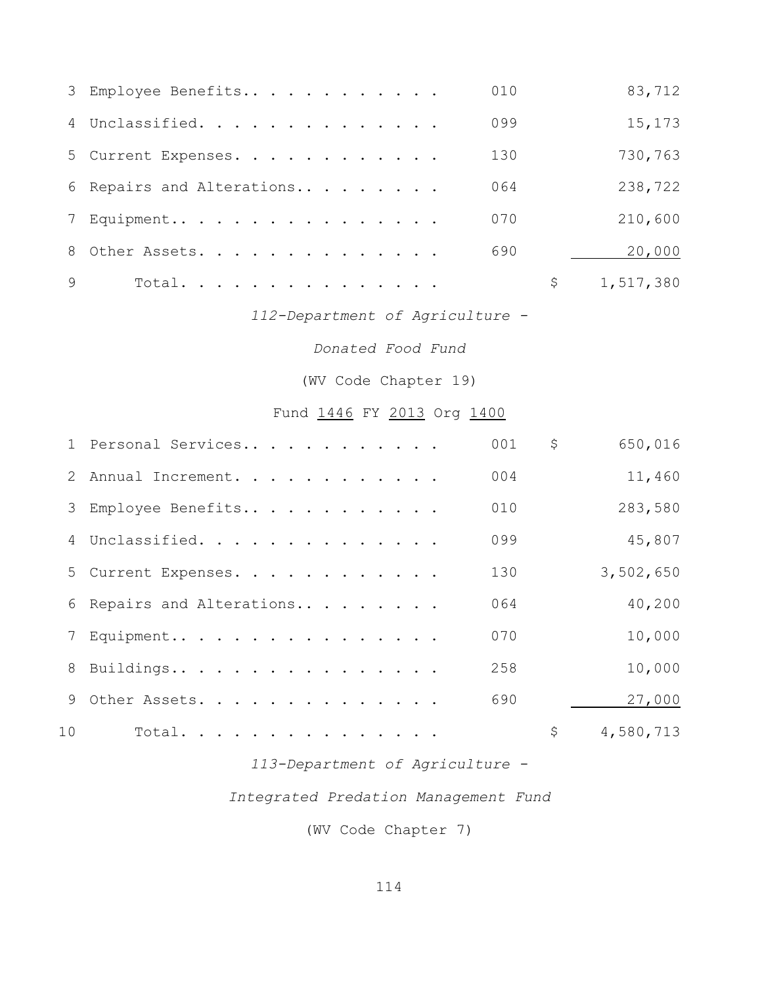|   | 3 Employee Benefits       | 010 | 83,712    |
|---|---------------------------|-----|-----------|
|   | 4 Unclassified.           | 099 | 15,173    |
|   | 5 Current Expenses.       | 130 | 730,763   |
|   | 6 Repairs and Alterations | 064 | 238,722   |
|   | 7 Equipment               | 070 | 210,600   |
|   | 8 Other Assets.           | 690 | 20,000    |
| 9 | Total.                    | \$  | 1,517,380 |

*112-Department of Agriculture -*

*Donated Food Fund*

(WV Code Chapter 19)

Fund 1446 FY 2013 Org 1400

|    | 1 Personal Services       | 001 | \$<br>650,016   |
|----|---------------------------|-----|-----------------|
|    | 2 Annual Increment.       | 004 | 11,460          |
|    | 3 Employee Benefits       | 010 | 283,580         |
|    | 4 Unclassified.           | 099 | 45,807          |
|    | 5 Current Expenses.       | 130 | 3,502,650       |
|    | 6 Repairs and Alterations | 064 | 40,200          |
|    | 7 Equipment               | 070 | 10,000          |
|    | 8 Buildings               | 258 | 10,000          |
|    | 9 Other Assets.           | 690 | 27,000          |
| 10 | Total.                    |     | \$<br>4,580,713 |

*113-Department of Agriculture -*

*Integrated Predation Management Fund*

(WV Code Chapter 7)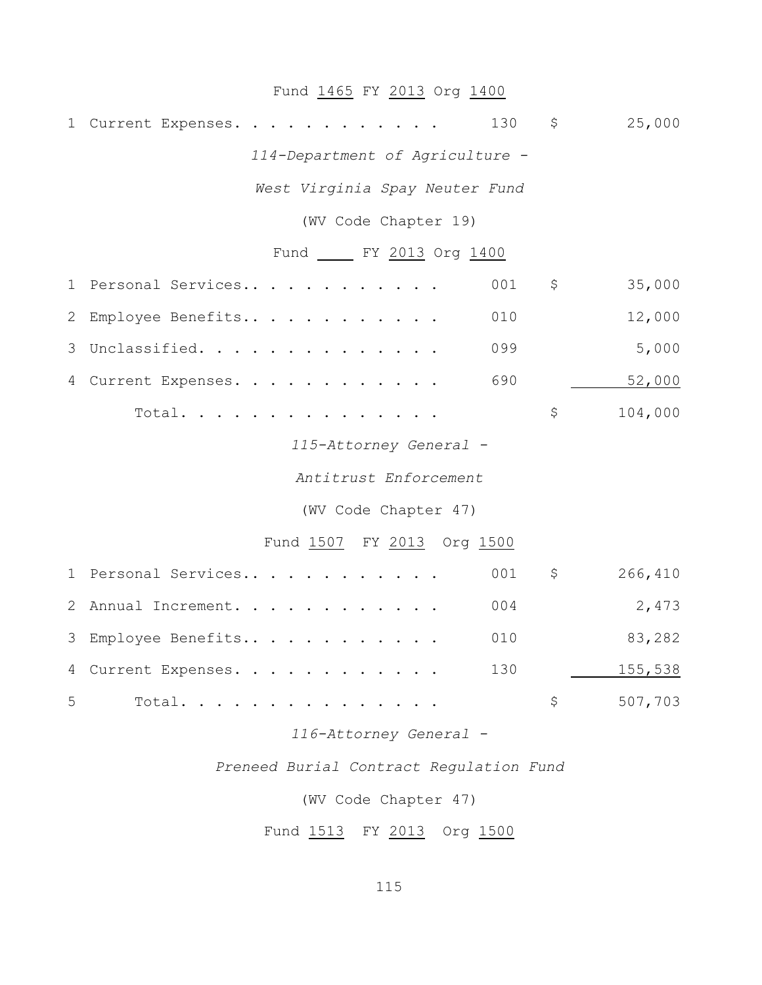# Fund 1465 FY 2013 Org 1400

| 1              | Current Expenses.               | 130 | \$          | 25,000  |
|----------------|---------------------------------|-----|-------------|---------|
|                | 114-Department of Agriculture - |     |             |         |
|                | West Virginia Spay Neuter Fund  |     |             |         |
|                | (WV Code Chapter 19)            |     |             |         |
|                | Fund ______ FY 2013 Org 1400    |     |             |         |
| 1              | Personal Services               | 001 | $\varsigma$ | 35,000  |
| $\mathbf{2}$   | Employee Benefits               | 010 |             | 12,000  |
| 3              | Unclassified.                   | 099 |             | 5,000   |
| 4              | Current Expenses.               | 690 |             | 52,000  |
|                | Total.                          |     | \$          | 104,000 |
|                | 115-Attorney General -          |     |             |         |
|                | Antitrust Enforcement           |     |             |         |
|                | (WV Code Chapter 47)            |     |             |         |
|                | Fund 1507 FY 2013 Org 1500      |     |             |         |
| $\mathbf 1$    | Personal Services               | 001 | \$          | 266,410 |
| 2              | Annual Increment.               | 004 |             | 2,473   |
| 3              | Employee Benefits               | 010 |             | 83,282  |
| $\overline{4}$ | Current Expenses.               | 130 |             | 155,538 |
| 5              | Total.                          |     | \$          | 507,703 |
|                |                                 |     |             |         |

*116-Attorney General -*

*Preneed Burial Contract Regulation Fund*

(WV Code Chapter 47)

Fund 1513 FY 2013 Org 1500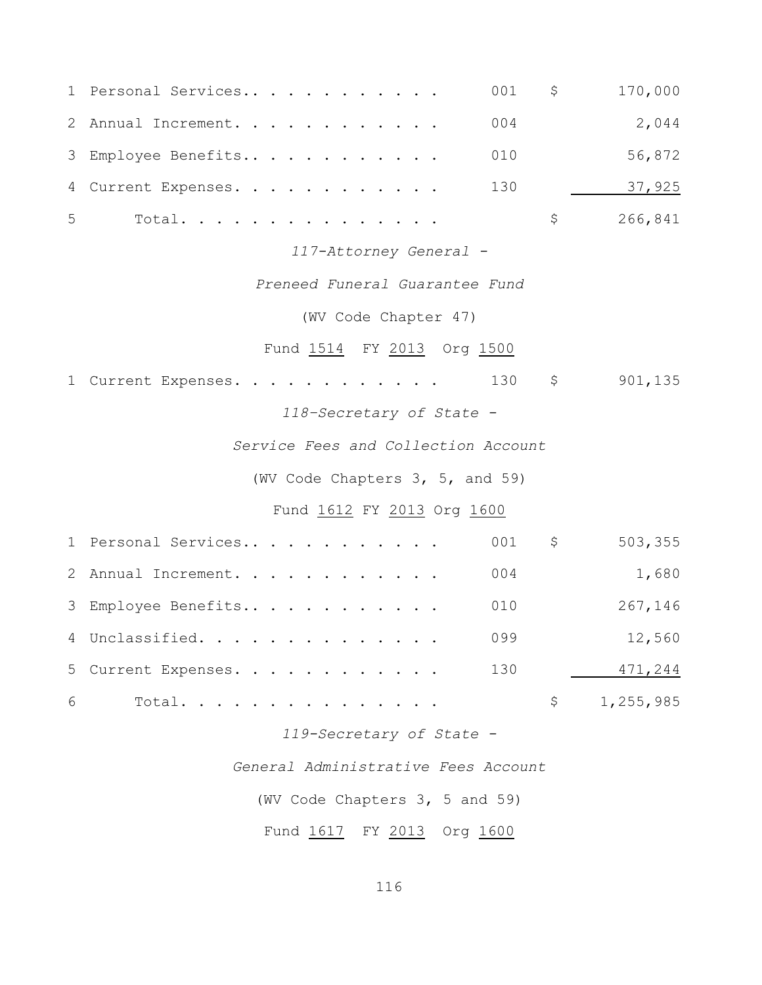| $\mathbf 1$ | Personal Services                   | 001 | \$           | 170,000   |
|-------------|-------------------------------------|-----|--------------|-----------|
|             | 2 Annual Increment.                 | 004 |              | 2,044     |
|             | 3 Employee Benefits                 | 010 |              | 56,872    |
|             | 4 Current Expenses.                 | 130 |              | 37,925    |
| 5           | Total.                              |     | \$           | 266,841   |
|             | 117-Attorney General -              |     |              |           |
|             | Preneed Funeral Guarantee Fund      |     |              |           |
|             | (WV Code Chapter 47)                |     |              |           |
|             | Fund 1514 FY 2013 Org 1500          |     |              |           |
|             | 1 Current Expenses.                 | 130 | \$           | 901,135   |
|             | 118-Secretary of State -            |     |              |           |
|             | Service Fees and Collection Account |     |              |           |
|             | (WV Code Chapters 3, 5, and 59)     |     |              |           |
|             | Fund 1612 FY 2013 Org 1600          |     |              |           |
|             | 1 Personal Services                 | 001 | $\varsigma$  | 503,355   |
|             | 2 Annual Increment.                 | 004 |              | 1,680     |
|             | 3 Employee Benefits                 | 010 |              | 267,146   |
| 4           | Unclassified.                       | 099 |              | 12,560    |
|             | 5 Current Expenses.                 | 130 |              | 471,244   |
| 6           | Total. .                            |     | $\mathsf{S}$ | 1,255,985 |
|             | 119-Secretary of State -            |     |              |           |

*General Administrative Fees Account*

(WV Code Chapters 3, 5 and 59)

Fund 1617 FY 2013 Org 1600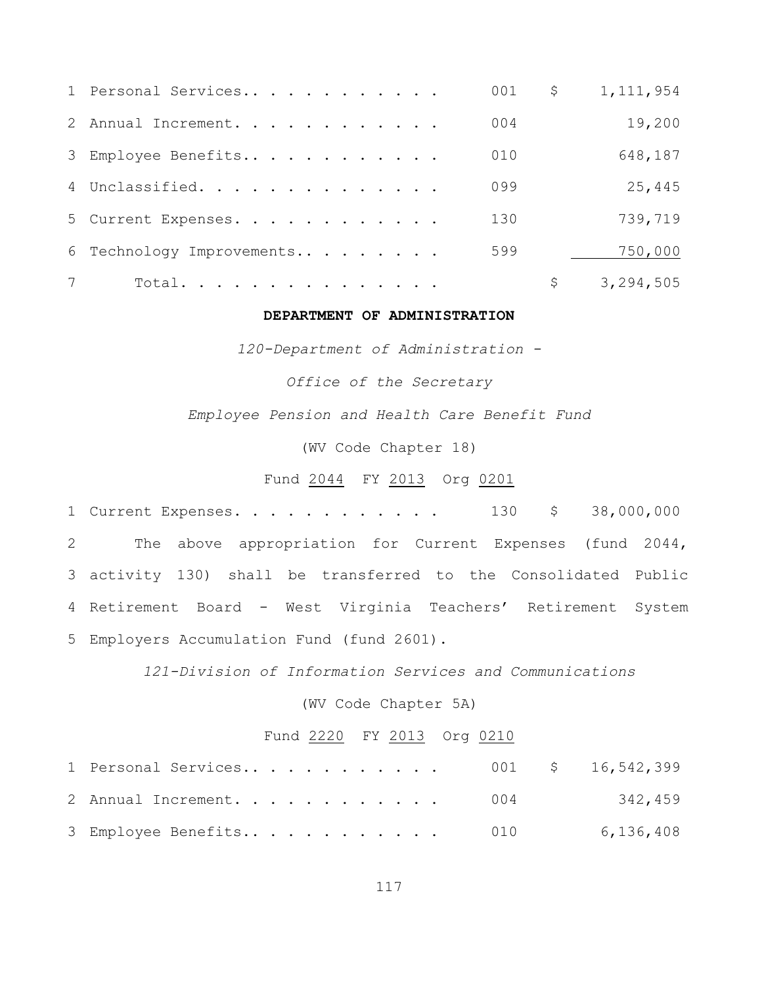|                | 1 Personal Services       | 001 | \$<br>1, 111, 954 |
|----------------|---------------------------|-----|-------------------|
|                | 2 Annual Increment.       | 004 | 19,200            |
|                | 3 Employee Benefits       | 010 | 648,187           |
|                | 4 Unclassified.           | 099 | 25,445            |
|                | 5 Current Expenses.       | 130 | 739,719           |
|                | 6 Technology Improvements | 599 | 750,000           |
| $7\phantom{0}$ | Total.                    |     | \$<br>3,294,505   |

#### **DEPARTMENT OF ADMINISTRATION**

*120-Department of Administration -*

*Office of the Secretary*

*Employee Pension and Health Care Benefit Fund*

(WV Code Chapter 18)

Fund 2044 FY 2013 Org 0201

 Current Expenses. . . . . . . . . . . . 130 \$ 38,000,000 The above appropriation for Current Expenses (fund 2044, activity 130) shall be transferred to the Consolidated Public Retirement Board - West Virginia Teachers' Retirement System Employers Accumulation Fund (fund 2601).

*121-Division of Information Services and Communications*

(WV Code Chapter 5A)

#### Fund 2220 FY 2013 Org 0210

| 1 Personal Services 001 \$ 16,542,399 |  |           |
|---------------------------------------|--|-----------|
| 2 Annual Increment. 004 342,459       |  |           |
| 3 Employee Benefits 010               |  | 6,136,408 |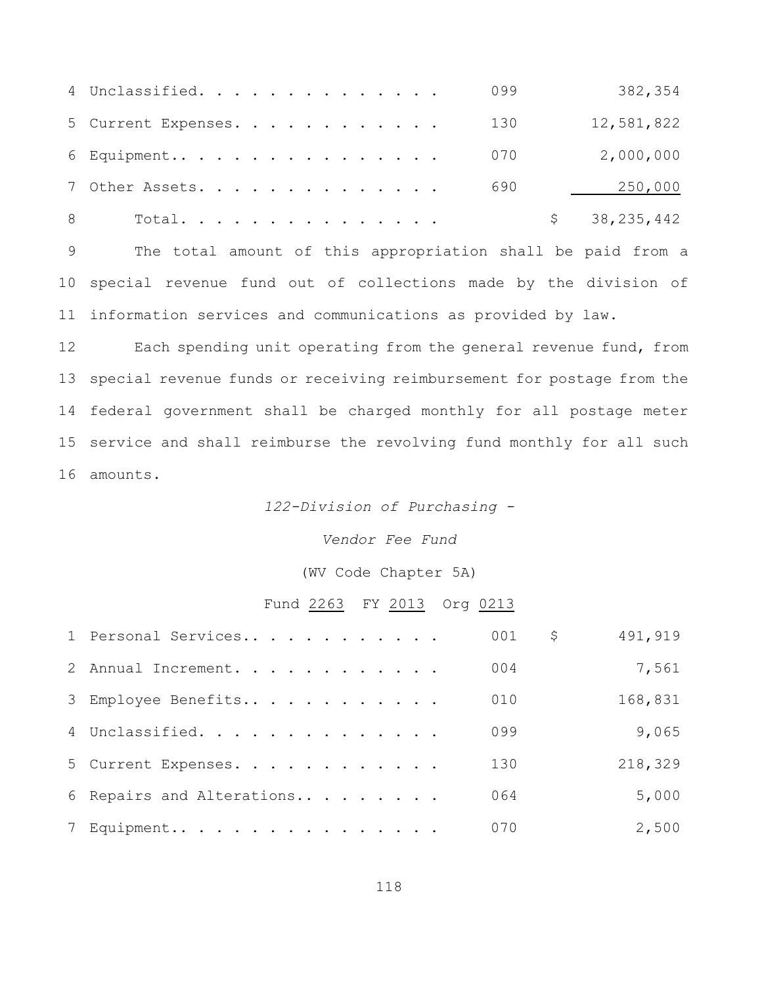|   | 4 Unclassified.     |  |  |  |  |  | 099 | 382,354        |
|---|---------------------|--|--|--|--|--|-----|----------------|
|   | 5 Current Expenses. |  |  |  |  |  | 130 | 12,581,822     |
|   | 6 Equipment         |  |  |  |  |  | 070 | 2,000,000      |
|   | 7 Other Assets.     |  |  |  |  |  | 690 | 250,000        |
| 8 | Total.              |  |  |  |  |  |     | \$38, 235, 442 |

 The total amount of this appropriation shall be paid from a special revenue fund out of collections made by the division of information services and communications as provided by law.

12 Each spending unit operating from the general revenue fund, from special revenue funds or receiving reimbursement for postage from the federal government shall be charged monthly for all postage meter service and shall reimburse the revolving fund monthly for all such amounts.

#### *122-Division of Purchasing -*

*Vendor Fee Fund*

(WV Code Chapter 5A)

#### Fund 2263 FY 2013 Org 0213

| 1 Personal Services       | 001 | \$<br>491,919 |
|---------------------------|-----|---------------|
| 2 Annual Increment.       | 004 | 7,561         |
| 3 Employee Benefits       | 010 | 168,831       |
| 4 Unclassified.           | 099 | 9,065         |
| 5 Current Expenses.       | 130 | 218,329       |
| 6 Repairs and Alterations | 064 | 5,000         |
| 7 Equipment               | 070 | 2,500         |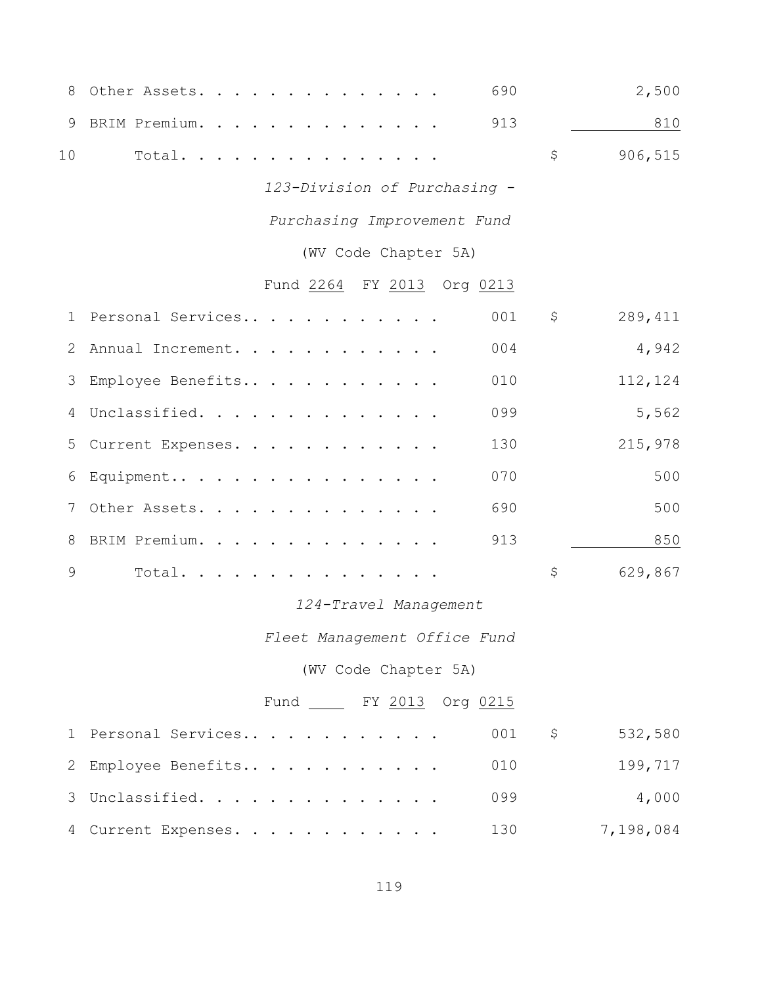| 8           | 690<br>Other Assets.         |             | 2,500     |
|-------------|------------------------------|-------------|-----------|
| 9           | BRIM Premium.<br>913         |             | 810       |
| 10          | Total.                       | \$          | 906,515   |
|             | 123-Division of Purchasing - |             |           |
|             | Purchasing Improvement Fund  |             |           |
|             | (WV Code Chapter 5A)         |             |           |
|             | Fund 2264 FY 2013 Org 0213   |             |           |
|             | 001<br>1 Personal Services   | \$          | 289,411   |
| 2           | 004<br>Annual Increment.     |             | 4,942     |
| 3           | Employee Benefits<br>010     |             | 112,124   |
| 4           | Unclassified.<br>099         |             | 5,562     |
| 5           | 130<br>Current Expenses.     |             | 215,978   |
| 6           | 070<br>Equipment             |             | 500       |
| 7           | 690<br>Other Assets.         |             | 500       |
| 8           | 913<br>BRIM Premium.         |             | 850       |
| 9           | Total.                       | \$          | 629,867   |
|             | 124-Travel Management        |             |           |
|             | Fleet Management Office Fund |             |           |
|             | (WV Code Chapter 5A)         |             |           |
|             | Fund FY 2013 Org 0215        |             |           |
| $\mathbf 1$ | Personal Services<br>001     | $\varsigma$ | 532,580   |
| 2           | Employee Benefits<br>010     |             | 199,717   |
| 3           | Unclassified.<br>099         |             | 4,000     |
|             | 130<br>4 Current Expenses.   |             | 7,198,084 |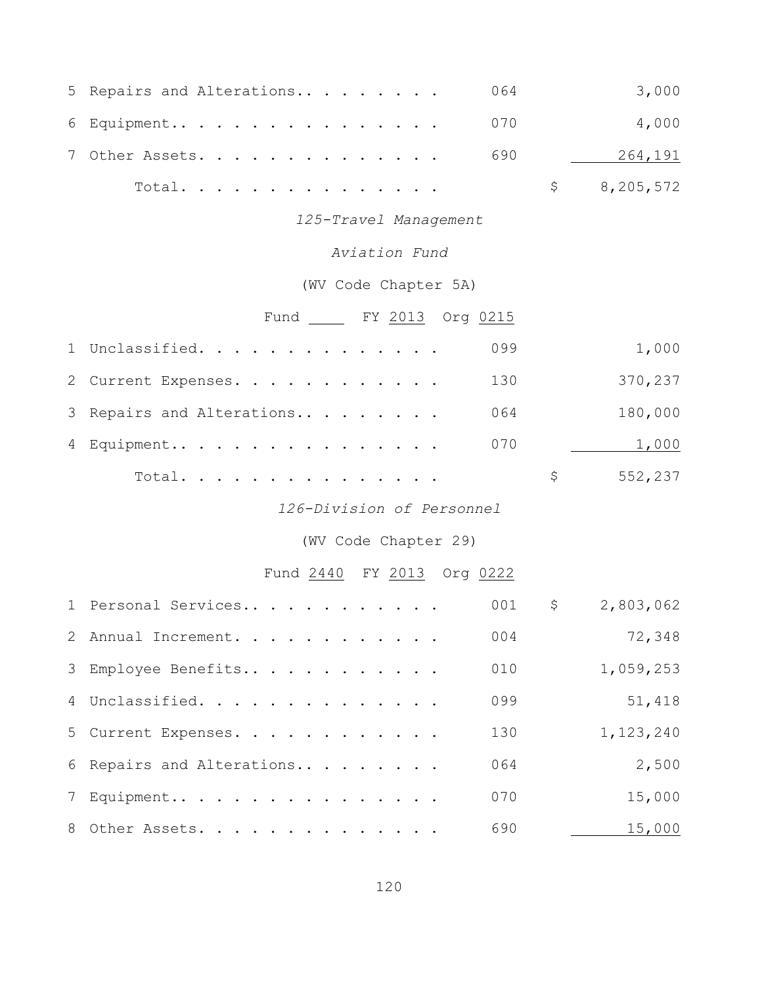|                | 5 Repairs and Alterations   | 064 |              | 3,000     |
|----------------|-----------------------------|-----|--------------|-----------|
|                | 6 Equipment                 | 070 |              | 4,000     |
| 7 <sup>7</sup> | Other Assets.               | 690 |              | 264,191   |
|                | Total.                      |     | $\mathsf{S}$ | 8,205,572 |
|                | 125-Travel Management       |     |              |           |
|                | Aviation Fund               |     |              |           |
|                | (WV Code Chapter 5A)        |     |              |           |
|                | Fund _____ FY 2013 Org 0215 |     |              |           |
|                | 1 Unclassified.             | 099 |              | 1,000     |
|                | 2 Current Expenses.         | 130 |              | 370,237   |
| 3              | Repairs and Alterations     | 064 |              | 180,000   |
|                | 4 Equipment                 | 070 |              | 1,000     |
|                | Total.                      |     | \$           | 552,237   |
|                | 126-Division of Personnel   |     |              |           |
|                | (WV Code Chapter 29)        |     |              |           |
|                | Fund 2440 FY 2013 Org 0222  |     |              |           |
|                | 1 Personal Services         | 001 | $\mathsf{S}$ | 2,803,062 |
|                | 2 Annual Increment.         |     | 004          | 72,348    |
|                | 3 Employee Benefits         | 010 |              | 1,059,253 |
| $\overline{4}$ | Unclassified.               | 099 |              | 51,418    |
| 5              | Current Expenses.           | 130 |              | 1,123,240 |
| 6              | Repairs and Alterations     | 064 |              | 2,500     |
| $7\phantom{.}$ | Equipment                   | 070 |              | 15,000    |
| 8              | Other Assets.               | 690 |              | 15,000    |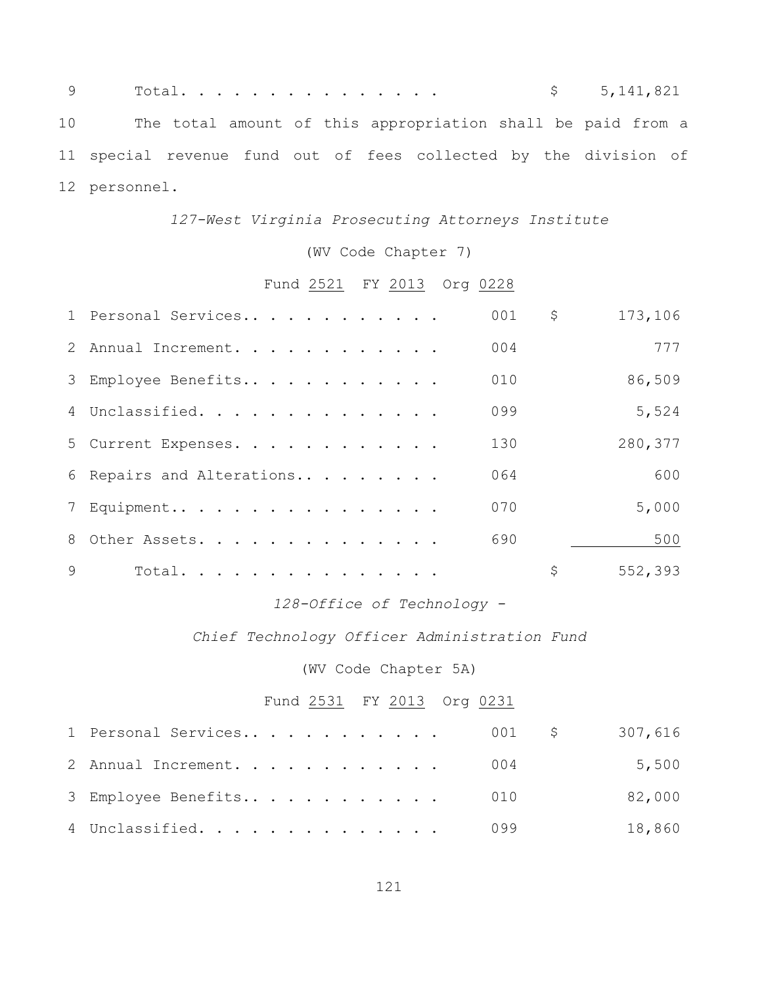|               |  |  |                                                                  |  | \$5,141,821 |  |
|---------------|--|--|------------------------------------------------------------------|--|-------------|--|
|               |  |  | 10 The total amount of this appropriation shall be paid from a   |  |             |  |
|               |  |  | 11 special revenue fund out of fees collected by the division of |  |             |  |
| 12 personnel. |  |  |                                                                  |  |             |  |

### *127-West Virginia Prosecuting Attorneys Institute*

(WV Code Chapter 7)

# Fund 2521 FY 2013 Org 0228

|              | 1 Personal Services       | 001 | \$<br>173,106 |
|--------------|---------------------------|-----|---------------|
|              | 2 Annual Increment.       | 004 | 777           |
|              | 3 Employee Benefits       | 010 | 86,509        |
|              | 4 Unclassified.           | 099 | 5,524         |
|              | 5 Current Expenses.       | 130 | 280,377       |
|              | 6 Repairs and Alterations | 064 | 600           |
|              | 7 Equipment               | 070 | 5,000         |
|              | 8 Other Assets.           | 690 | 500           |
| $\mathsf{Q}$ | Total.                    |     | \$<br>552,393 |

# *128-Office of Technology -*

#### *Chief Technology Officer Administration Fund*

(WV Code Chapter 5A)

# Fund 2531 FY 2013 Org 0231

| 1 Personal Services 001 \$ 307,616 |  |        |
|------------------------------------|--|--------|
| 2 Annual Increment. 004            |  | 5,500  |
| 3 Employee Benefits 010            |  | 82,000 |
| 4 Unclassified. 099                |  | 18,860 |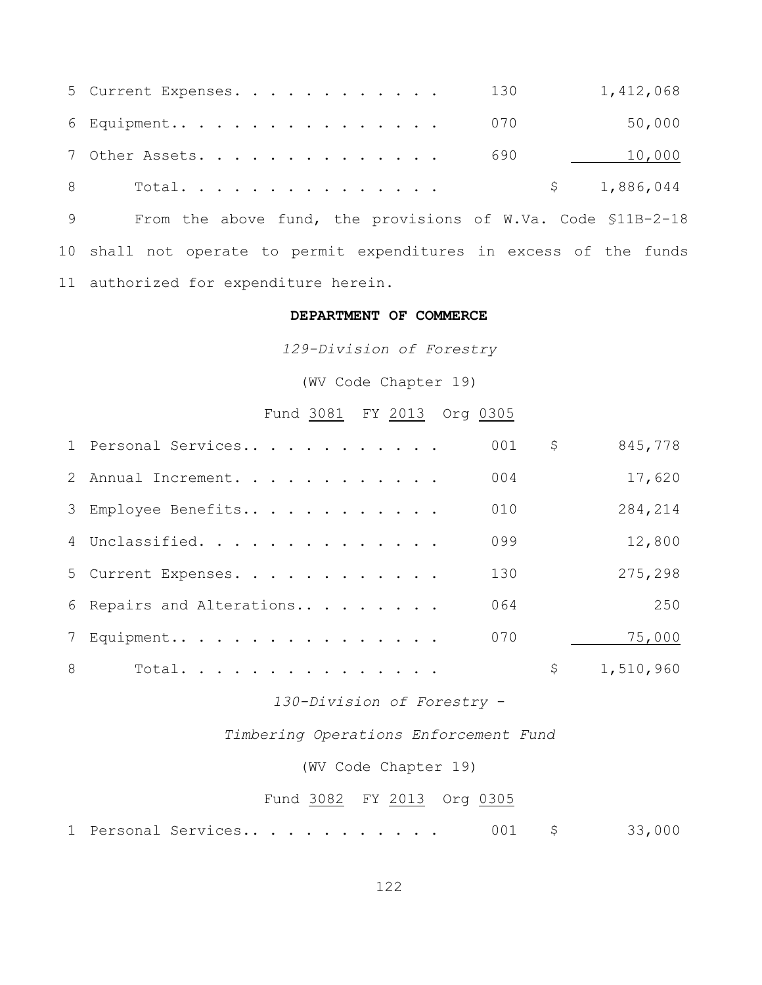| 5 Current Expenses. 130 |  |  |  |  |  |  | 1,412,068   |
|-------------------------|--|--|--|--|--|--|-------------|
| 6 Equipment 070         |  |  |  |  |  |  | 50,000      |
| 7 Other Assets. 690     |  |  |  |  |  |  | 10,000      |
|                         |  |  |  |  |  |  | \$1,886,044 |

9 From the above fund, the provisions of W.Va. Code \$11B-2-18 10 shall not operate to permit expenditures in excess of the funds 11 authorized for expenditure herein.

#### **DEPARTMENT OF COMMERCE**

*129-Division of Forestry*

(WV Code Chapter 19)

# Fund 3081 FY 2013 Org 0305

|   | 1 Personal Services       | 001 | \$<br>845,778   |
|---|---------------------------|-----|-----------------|
|   | 2 Annual Increment.       | 004 | 17,620          |
|   | 3 Employee Benefits       | 010 | 284,214         |
|   | 4 Unclassified.           | 099 | 12,800          |
|   | 5 Current Expenses.       | 130 | 275,298         |
|   | 6 Repairs and Alterations | 064 | 250             |
|   | 7 Equipment               | 070 | 75,000          |
| 8 | Total.                    |     | \$<br>1,510,960 |

*130-Division of Forestry* -

*Timbering Operations Enforcement Fund*

(WV Code Chapter 19)

#### Fund 3082 FY 2013 Org 0305

1 Personal Services.. . . . . . . . . . 001 \$ 33,000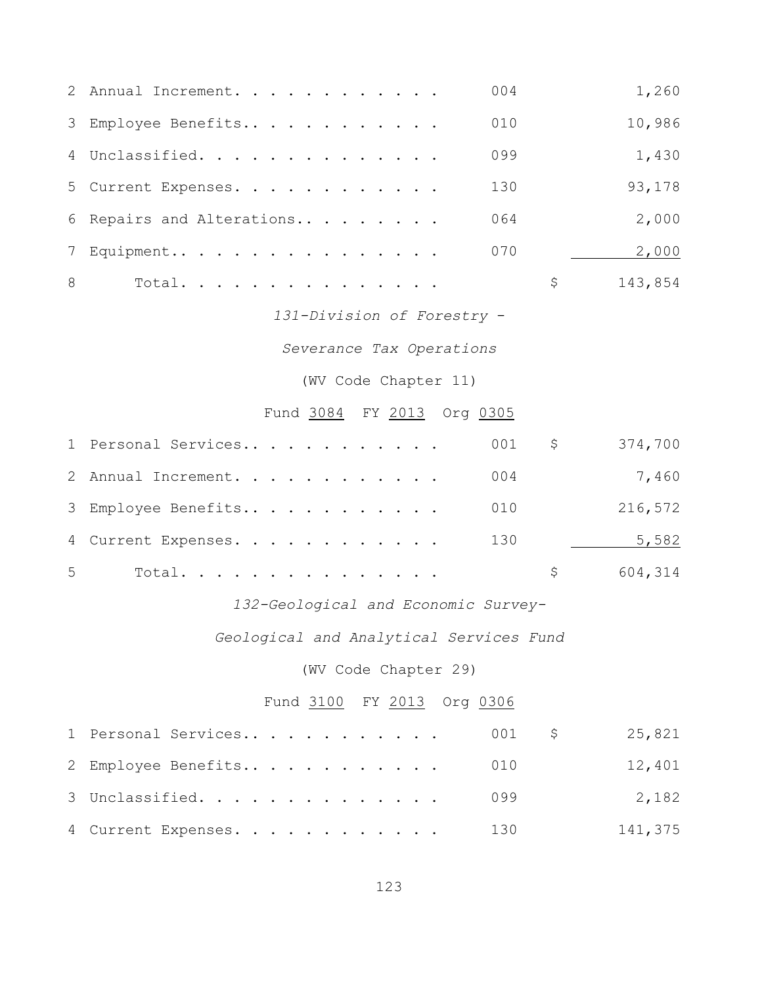|   | 2 Annual Increment.       | 004 | 1,260   |
|---|---------------------------|-----|---------|
|   | 3 Employee Benefits       | 010 | 10,986  |
|   | 4 Unclassified.           | 099 | 1,430   |
|   | 5 Current Expenses.       | 130 | 93,178  |
|   | 6 Repairs and Alterations | 064 | 2,000   |
|   | 7 Equipment               | 070 | 2,000   |
| 8 | Total.                    | \$. | 143,854 |

*131-Division of Forestry* -

*Severance Tax Operations*

(WV Code Chapter 11)

# Fund 3084 FY 2013 Org 0305

|   | 1 Personal Services | 001 | $\ddot{\varsigma}$ | 374,700 |
|---|---------------------|-----|--------------------|---------|
|   | 2 Annual Increment. | 004 |                    | 7,460   |
|   | 3 Employee Benefits | 010 |                    | 216,572 |
|   | 4 Current Expenses. | 130 |                    | 5,582   |
| 5 | Total.              |     | S –                | 604,314 |

### *132-Geological and Economic Survey-*

*Geological and Analytical Services Fund*

(WV Code Chapter 29)

# Fund 3100 FY 2013 Org 0306

| 2 Employee Benefits 010 |  | 12,401  |
|-------------------------|--|---------|
| 3 Unclassified. 099     |  | 2,182   |
| 4 Current Expenses. 130 |  | 141,375 |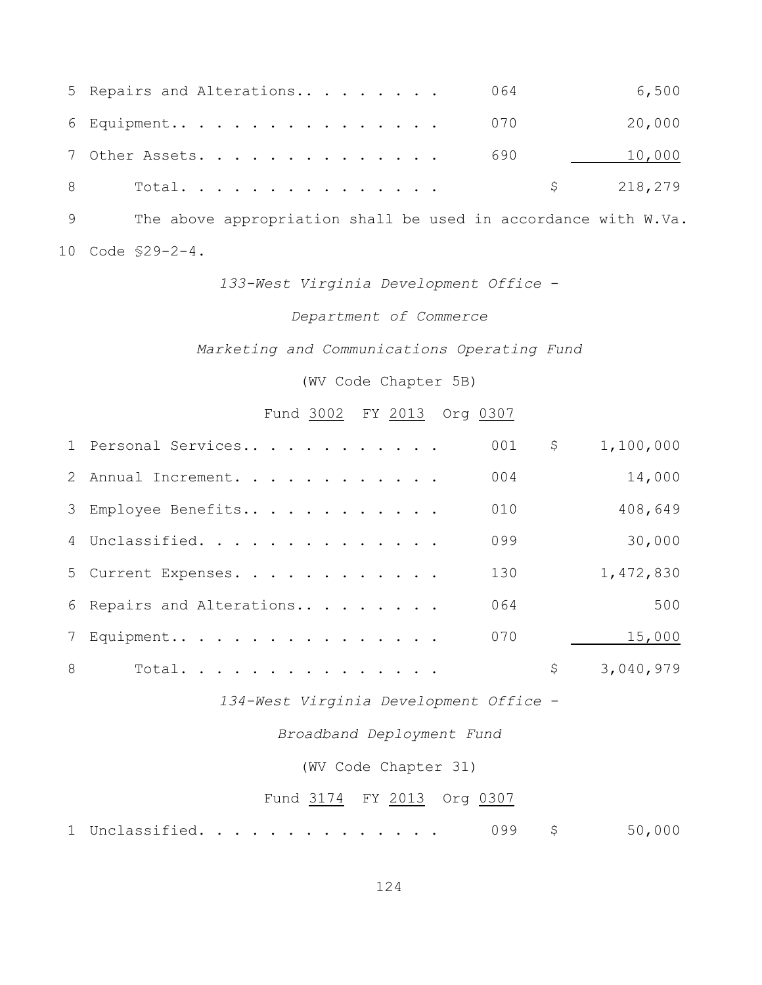| 5 Repairs and Alterations 064 | 6,500     |
|-------------------------------|-----------|
| 6 Equipment 070               | 20,000    |
| 7 Other Assets. 690           | 10,000    |
| 8 Total.                      | \$218,279 |

9 The above appropriation shall be used in accordance with W.Va. 10 Code §29-2-4.

*133-West Virginia Development Office* -

#### *Department of Commerce*

*Marketing and Communications Operating Fund*

(WV Code Chapter 5B)

Fund 3002 FY 2013 Org 0307

|   | 1 Personal Services       | 001 | \$<br>1,100,000 |
|---|---------------------------|-----|-----------------|
|   | 2 Annual Increment.       | 004 | 14,000          |
|   | 3 Employee Benefits       | 010 | 408,649         |
|   | 4 Unclassified.           | 099 | 30,000          |
|   | 5 Current Expenses.       | 130 | 1,472,830       |
|   | 6 Repairs and Alterations | 064 | 500             |
|   | 7 Equipment               | 070 | 15,000          |
| 8 | Total.                    |     | \$<br>3,040,979 |

*134-West Virginia Development Office* -

*Broadband Deployment Fund*

(WV Code Chapter 31)

#### Fund 3174 FY 2013 Org 0307

1 Unclassified. . . . . . . . . . . . . 099 \$ 50,000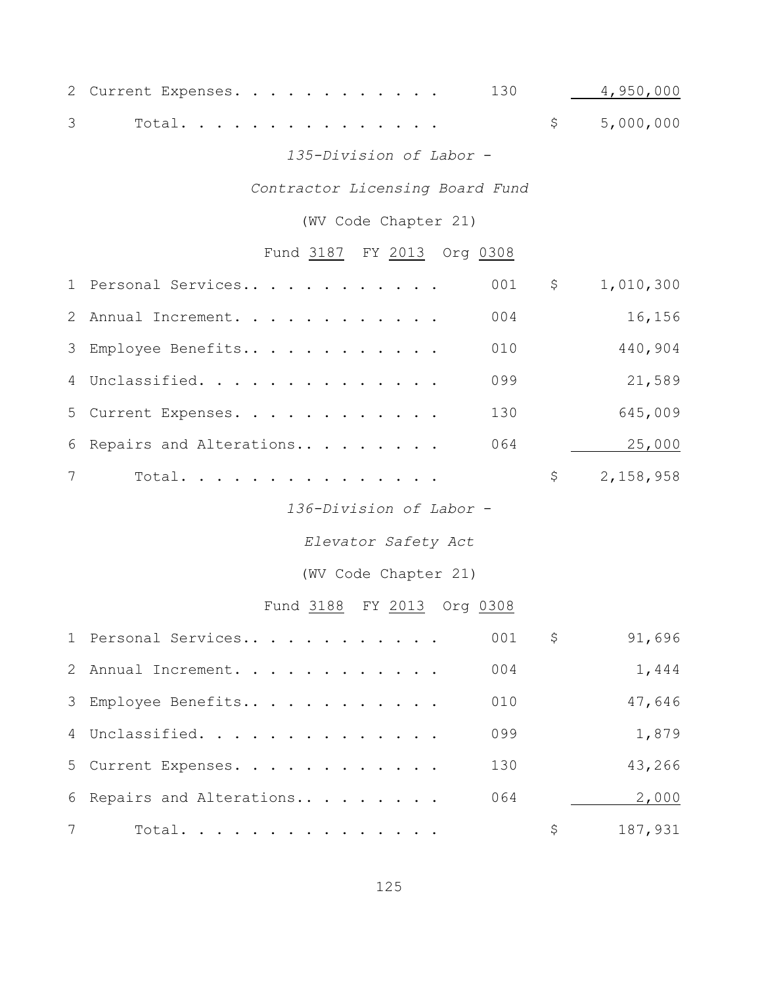| 2 Current Expenses. 130 4,950,000 |  |  |  |  |  |  |             |
|-----------------------------------|--|--|--|--|--|--|-------------|
| 3 Total.                          |  |  |  |  |  |  | \$5,000,000 |

#### *135-Division of Labor* -

# *Contractor Licensing Board Fund*

(WV Code Chapter 21)

### Fund 3187 FY 2013 Org 0308

|                | 1 Personal Services       | 001 | \$<br>1,010,300 |
|----------------|---------------------------|-----|-----------------|
|                | 2 Annual Increment.       | 004 | 16,156          |
|                | 3 Employee Benefits       | 010 | 440,904         |
|                | 4 Unclassified.           | 099 | 21,589          |
|                | 5 Current Expenses.       | 130 | 645,009         |
|                | 6 Repairs and Alterations | 064 | 25,000          |
| $7\phantom{0}$ | Total.                    |     | \$<br>2,158,958 |
|                |                           |     |                 |

*136-Division of Labor* -

*Elevator Safety Act*

(WV Code Chapter 21)

# Fund 3188 FY 2013 Org 0308

|                 | 1 Personal Services       | 001 | \$<br>91,696  |
|-----------------|---------------------------|-----|---------------|
|                 | 2 Annual Increment.       | 004 | 1,444         |
|                 | 3 Employee Benefits       | 010 | 47,646        |
|                 | 4 Unclassified.           | 099 | 1,879         |
|                 | 5 Current Expenses.       | 130 | 43,266        |
|                 | 6 Repairs and Alterations | 064 | 2,000         |
| $7\overline{ }$ | Total.                    |     | \$<br>187,931 |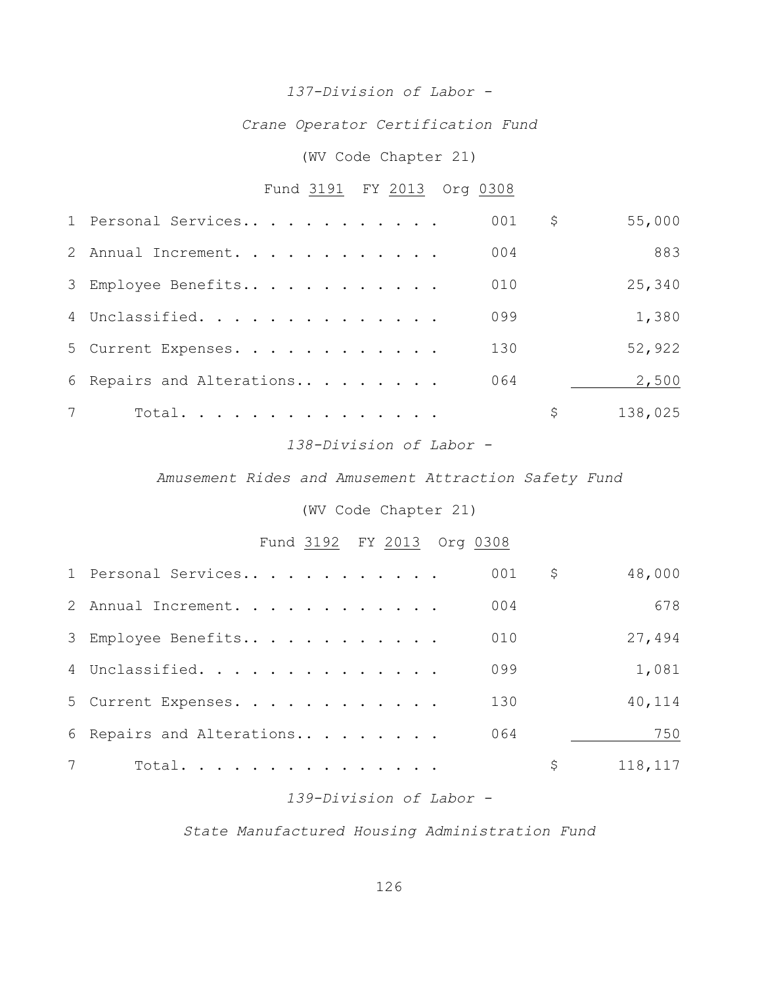### *137-Division of Labor -*

*Crane Operator Certification Fund*

### (WV Code Chapter 21)

# Fund 3191 FY 2013 Org 0308

|                | 1 Personal Services       | 001 | \$<br>55,000  |
|----------------|---------------------------|-----|---------------|
|                | 2 Annual Increment.       | 004 | 883           |
|                | 3 Employee Benefits       | 010 | 25,340        |
|                | 4 Unclassified.           | 099 | 1,380         |
|                | 5 Current Expenses.       | 130 | 52,922        |
|                | 6 Repairs and Alterations | 064 | 2,500         |
| $7\phantom{0}$ | Total.                    |     | \$<br>138,025 |
|                |                           |     |               |

#### *138-Division of Labor -*

#### *Amusement Rides and Amusement Attraction Safety Fund*

#### (WV Code Chapter 21)

# Fund 3192 FY 2013 Org 0308

|                 | 1 Personal Services       | 001 | \$<br>48,000  |
|-----------------|---------------------------|-----|---------------|
|                 | 2 Annual Increment.       | 004 | 678           |
|                 | 3 Employee Benefits       | 010 | 27,494        |
|                 | 4 Unclassified.           | 099 | 1,081         |
|                 | 5 Current Expenses.       | 130 | 40,114        |
|                 | 6 Repairs and Alterations | 064 | 750           |
| $7\phantom{.0}$ | Total.                    |     | \$<br>118,117 |

### *139-Division of Labor -*

#### *State Manufactured Housing Administration Fund*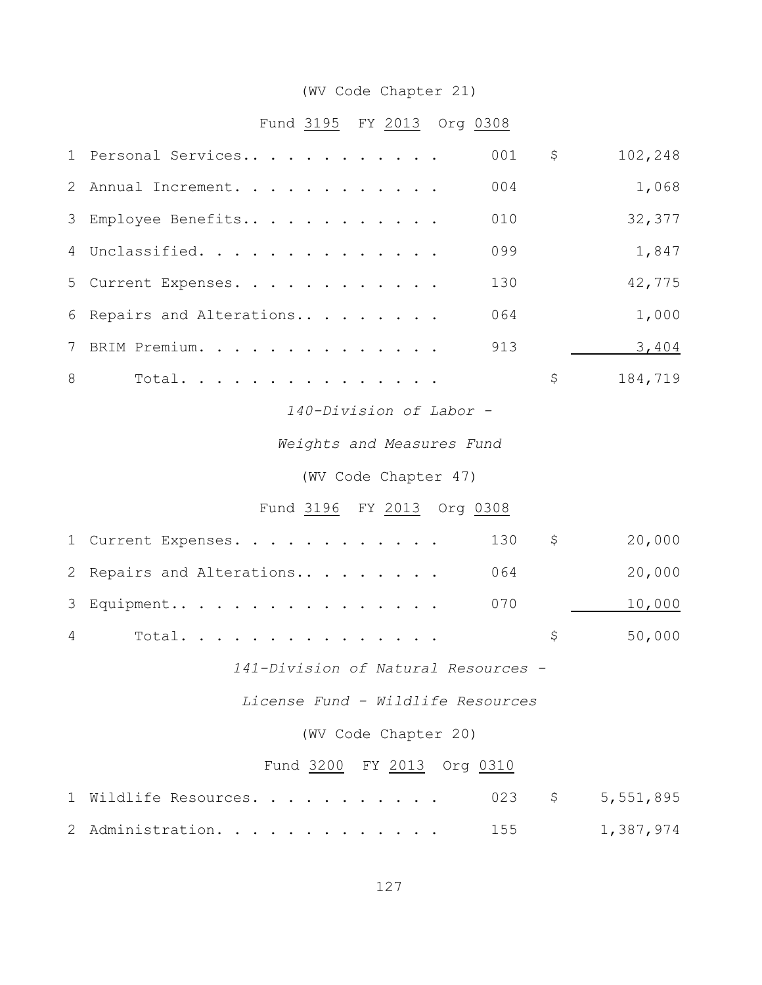# (WV Code Chapter 21)

# Fund 3195 FY 2013 Org 0308

|   | 1 Personal Services                 | 001 | \$      | 102,248   |  |  |  |  |  |
|---|-------------------------------------|-----|---------|-----------|--|--|--|--|--|
| 2 | Annual Increment.                   | 004 |         | 1,068     |  |  |  |  |  |
| 3 | Employee Benefits                   | 010 |         | 32,377    |  |  |  |  |  |
| 4 | Unclassified.                       | 099 |         | 1,847     |  |  |  |  |  |
| 5 | Current Expenses.                   | 130 |         | 42,775    |  |  |  |  |  |
| 6 | Repairs and Alterations             | 064 |         | 1,000     |  |  |  |  |  |
| 7 | BRIM Premium.                       | 913 |         | 3,404     |  |  |  |  |  |
| 8 | Total.                              |     | \$      | 184,719   |  |  |  |  |  |
|   | 140-Division of Labor -             |     |         |           |  |  |  |  |  |
|   | Weights and Measures Fund           |     |         |           |  |  |  |  |  |
|   | (WV Code Chapter 47)                |     |         |           |  |  |  |  |  |
|   | Fund 3196 FY 2013 Org 0308          |     |         |           |  |  |  |  |  |
|   | 1 Current Expenses.                 | 130 | \$      | 20,000    |  |  |  |  |  |
| 2 | Repairs and Alterations             | 064 |         | 20,000    |  |  |  |  |  |
| 3 | Equipment                           | 070 |         | 10,000    |  |  |  |  |  |
| 4 | Total.                              |     | \$      | 50,000    |  |  |  |  |  |
|   | 141-Division of Natural Resources - |     |         |           |  |  |  |  |  |
|   | License Fund - Wildlife Resources   |     |         |           |  |  |  |  |  |
|   | (WV Code Chapter 20)                |     |         |           |  |  |  |  |  |
|   | Fund 3200 FY 2013 Org 0310          |     |         |           |  |  |  |  |  |
| 1 | Wildlife Resources.                 | 023 | $\zeta$ | 5,551,895 |  |  |  |  |  |
| 2 | Administration.                     | 155 |         | 1,387,974 |  |  |  |  |  |
|   |                                     |     |         |           |  |  |  |  |  |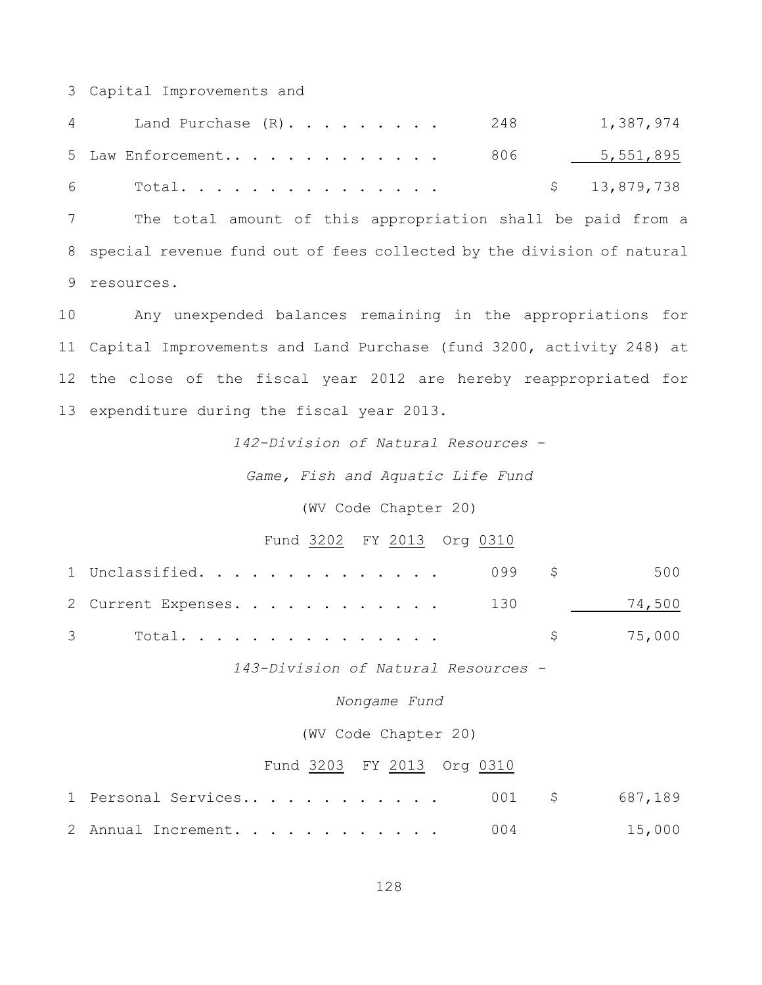Capital Improvements and

| Land Purchase $(R)$ 248<br>$4\degree$ | 1,387,974    |
|---------------------------------------|--------------|
|                                       |              |
| $6$ Total                             | \$13,879,738 |

 The total amount of this appropriation shall be paid from a special revenue fund out of fees collected by the division of natural resources.

 Any unexpended balances remaining in the appropriations for Capital Improvements and Land Purchase (fund 3200, activity 248) at the close of the fiscal year 2012 are hereby reappropriated for expenditure during the fiscal year 2013.

*142-Division of Natural Resources* -

*Game, Fish and Aquatic Life Fund*

(WV Code Chapter 20)

#### Fund 3202 FY 2013 Org 0310

| 1 Unclassified. 099 \$ 500     |          |  |
|--------------------------------|----------|--|
| 2 Current Expenses. 130 74,500 |          |  |
|                                | \$75,000 |  |

*143-Division of Natural Resources -*

*Nongame Fund*

(WV Code Chapter 20)

#### Fund 3203 FY 2013 Org 0310

|  | 2 Annual Increment. 004 |  |  |  |  |  |  |  | 15,000 |
|--|-------------------------|--|--|--|--|--|--|--|--------|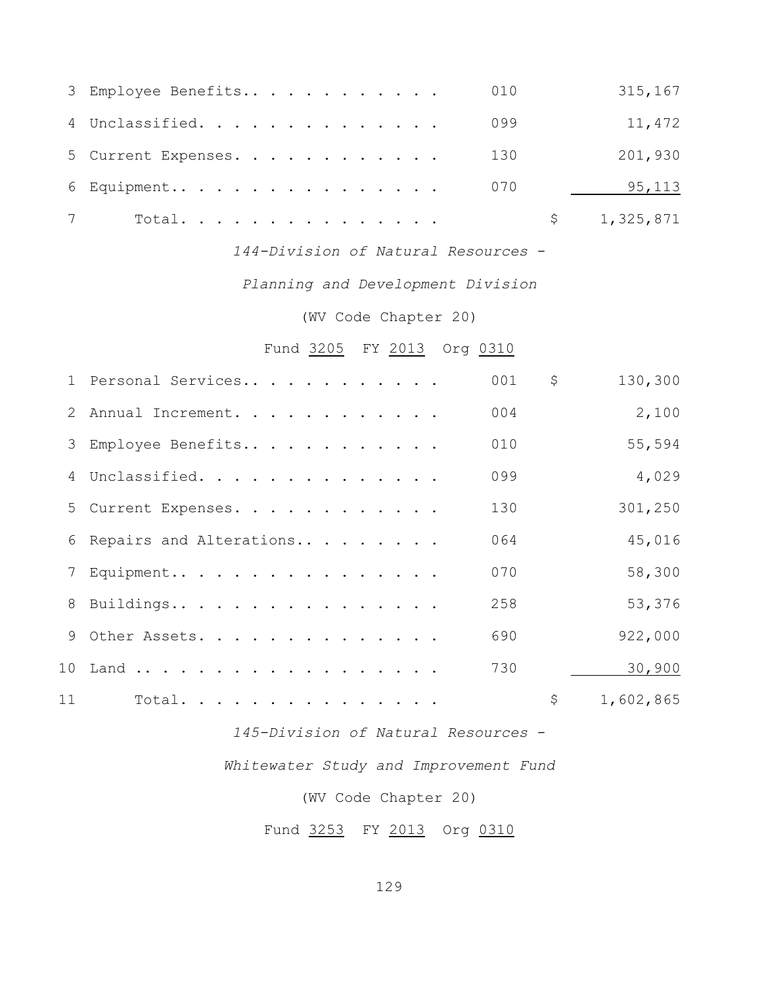| 3 Employee Benefits | 010 | 315,167     |
|---------------------|-----|-------------|
| 4 Unclassified.     | 099 | 11,472      |
| 5 Current Expenses. | 130 | 201,930     |
| 6 Equipment         | 070 | 95,113      |
| Total.              |     | \$1,325,871 |

*144-Division of Natural Resources* -

*Planning and Development Division*

(WV Code Chapter 20)

Fund 3205 FY 2013 Org 0310

|    | 1 Personal Services       | 001 | \$<br>130,300   |
|----|---------------------------|-----|-----------------|
|    | 2 Annual Increment.       | 004 | 2,100           |
|    | 3 Employee Benefits       | 010 | 55,594          |
|    | 4 Unclassified.           | 099 | 4,029           |
|    | 5 Current Expenses.       | 130 | 301,250         |
|    | 6 Repairs and Alterations | 064 | 45,016          |
|    | 7 Equipment               | 070 | 58,300          |
|    | 8 Buildings               | 258 | 53,376          |
|    | 9 Other Assets.           | 690 | 922,000         |
|    | 10 Land                   | 730 | 30,900          |
| 11 | Total.                    |     | \$<br>1,602,865 |

*145-Division of Natural Resources* -

*Whitewater Study and Improvement Fund*

(WV Code Chapter 20)

Fund 3253 FY 2013 Org 0310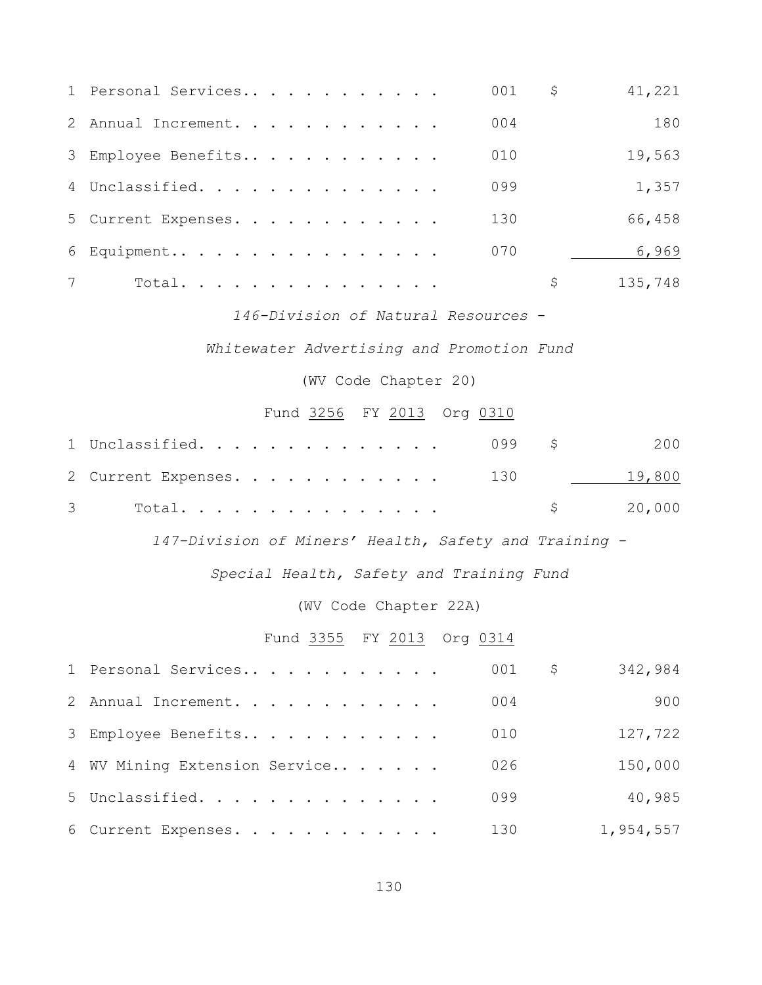|                 | 1 Personal Services | 001<br>\$ | 41,221  |
|-----------------|---------------------|-----------|---------|
|                 | 2 Annual Increment. | 004       | 180     |
|                 | 3 Employee Benefits | 010       | 19,563  |
|                 | 4 Unclassified.     | 099       | 1,357   |
|                 | 5 Current Expenses. | 130       | 66,458  |
|                 | 6 Equipment         | 070       | 6,969   |
| $7\overline{ }$ | Total.              | \$        | 135,748 |

*146-Division of Natural Resources* -

*Whitewater Advertising and Promotion Fund*

(WV Code Chapter 20)

# Fund 3256 FY 2013 Org 0310

| 1 Unclassified. 099 \$ 200     |  |  |  |  |  |  |  |                      |
|--------------------------------|--|--|--|--|--|--|--|----------------------|
| 2 Current Expenses. 130 19,800 |  |  |  |  |  |  |  |                      |
| $3$ Total                      |  |  |  |  |  |  |  | $\frac{1}{20}$ , 000 |

*147-Division of Miners' Health, Safety and Training -*

*Special Health, Safety and Training Fund*

#### (WV Code Chapter 22A)

### Fund 3355 FY 2013 Org 0314

| 1 Personal Services           | 001 | \$. | 342,984   |
|-------------------------------|-----|-----|-----------|
| 2 Annual Increment.           | 004 |     | 900       |
| 3 Employee Benefits           | 010 |     | 127,722   |
| 4 WV Mining Extension Service | 026 |     | 150,000   |
| 5 Unclassified.               | 099 |     | 40,985    |
| 6 Current Expenses.           | 130 |     | 1,954,557 |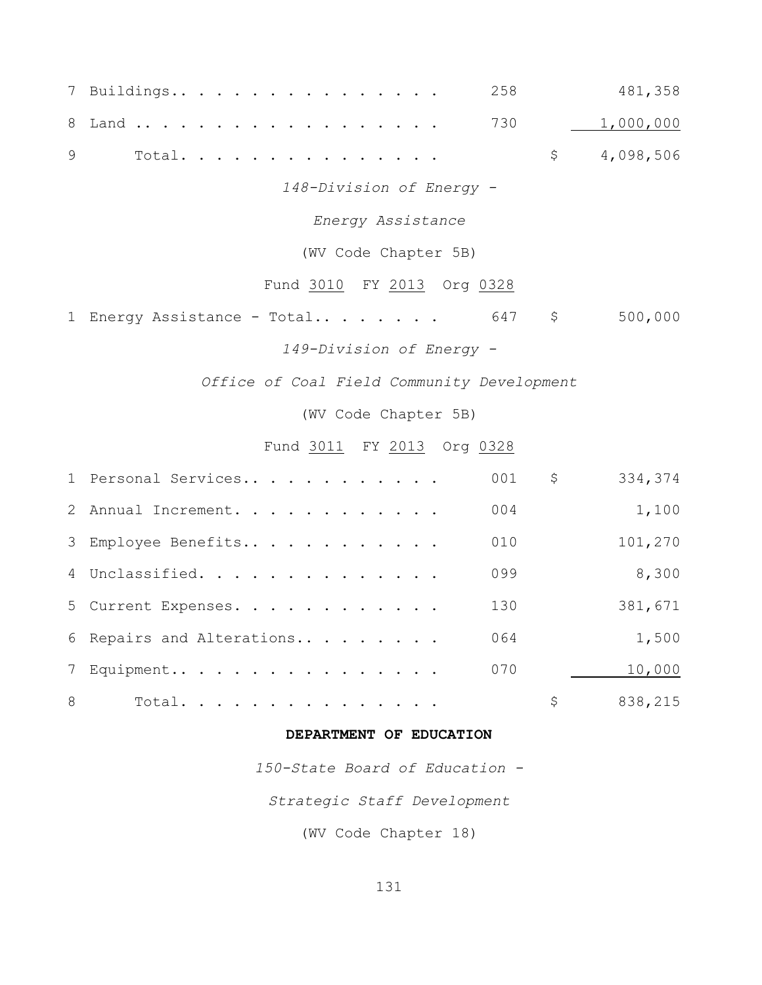| 7             | 258<br>Buildings                                | 481,358   |
|---------------|-------------------------------------------------|-----------|
| 8             | 730<br>Land                                     | 1,000,000 |
| $\mathcal{G}$ | $\varsigma$<br>Total.                           | 4,098,506 |
|               | 148-Division of Energy -                        |           |
|               | Energy Assistance                               |           |
|               | (WV Code Chapter 5B)                            |           |
|               | Fund 3010 FY 2013 Org 0328                      |           |
| $\mathbf 1$   | $\varsigma$<br>Energy Assistance - Total<br>647 | 500,000   |
|               | 149-Division of Energy -                        |           |
|               | Office of Coal Field Community Development      |           |
|               | (WV Code Chapter 5B)                            |           |
|               | Fund 3011 FY 2013 Org 0328                      |           |
| $\mathbf 1$   | $\varsigma$<br>Personal Services<br>001         | 334,374   |
| 2             | 004<br>Annual Increment.                        | 1,100     |
| 3             | Employee Benefits<br>010                        | 101,270   |
|               | 4 Unclassified.<br>099                          | 8,300     |
| 5             | Current Expenses.<br>130                        | 381,671   |
| 6             | Repairs and Alterations<br>064                  | 1,500     |
|               | 7 Equipment<br>070                              | 10,000    |
| 8             | \$<br>Total.                                    | 838,215   |

## **DEPARTMENT OF EDUCATION**

*150-State Board of Education -*

*Strategic Staff Development*

(WV Code Chapter 18)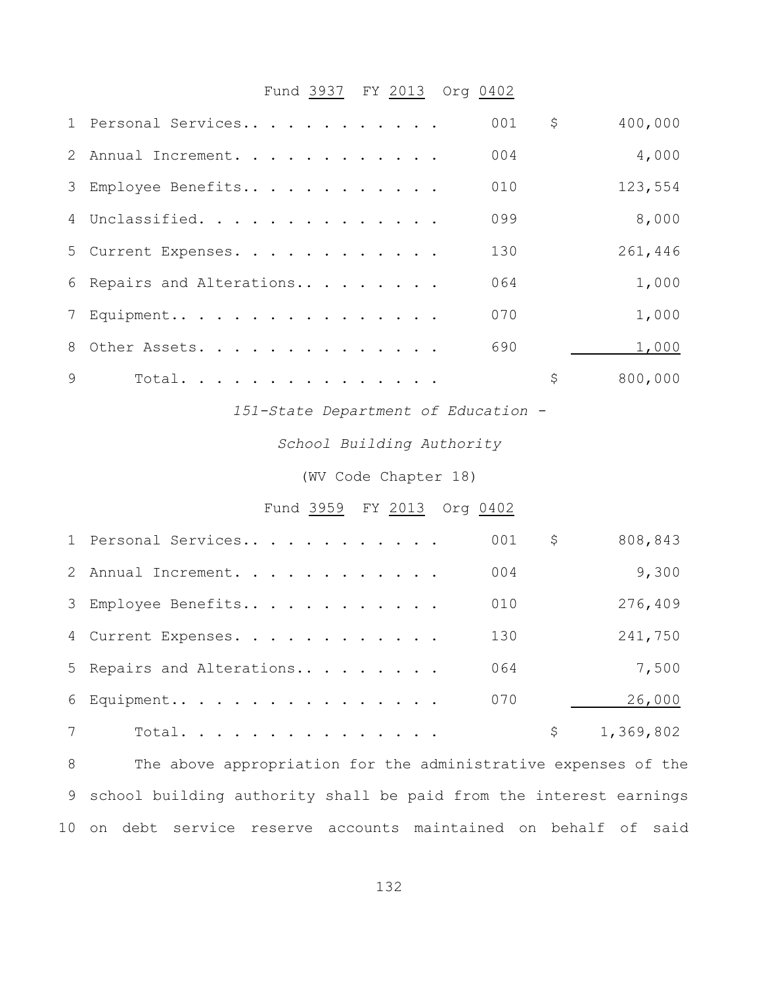# Fund 3937 FY 2013 Org 0402

|              | 1 Personal Services       | 001 | \$<br>400,000 |
|--------------|---------------------------|-----|---------------|
|              | 2 Annual Increment.       | 004 | 4,000         |
|              | 3 Employee Benefits       | 010 | 123,554       |
|              | 4 Unclassified.           | 099 | 8,000         |
|              | 5 Current Expenses.       | 130 | 261,446       |
|              | 6 Repairs and Alterations | 064 | 1,000         |
|              | 7 Equipment               | 070 | 1,000         |
|              | 8 Other Assets.           | 690 | 1,000         |
| $\mathsf{Q}$ | Total.                    |     | \$<br>800,000 |

*151-State Department of Education -*

*School Building Authority*

(WV Code Chapter 18)

### Fund 3959 FY 2013 Org 0402

|                | 1 Personal Services       | 001 | \$<br>808,843 |
|----------------|---------------------------|-----|---------------|
|                | 2 Annual Increment.       | 004 | 9,300         |
|                | 3 Employee Benefits       | 010 | 276,409       |
|                | 4 Current Expenses.       | 130 | 241,750       |
|                | 5 Repairs and Alterations | 064 | 7,500         |
|                | 6 Equipment               | 070 | 26,000        |
| $7\phantom{0}$ | Total.                    |     | 1,369,802     |

 The above appropriation for the administrative expenses of the school building authority shall be paid from the interest earnings on debt service reserve accounts maintained on behalf of said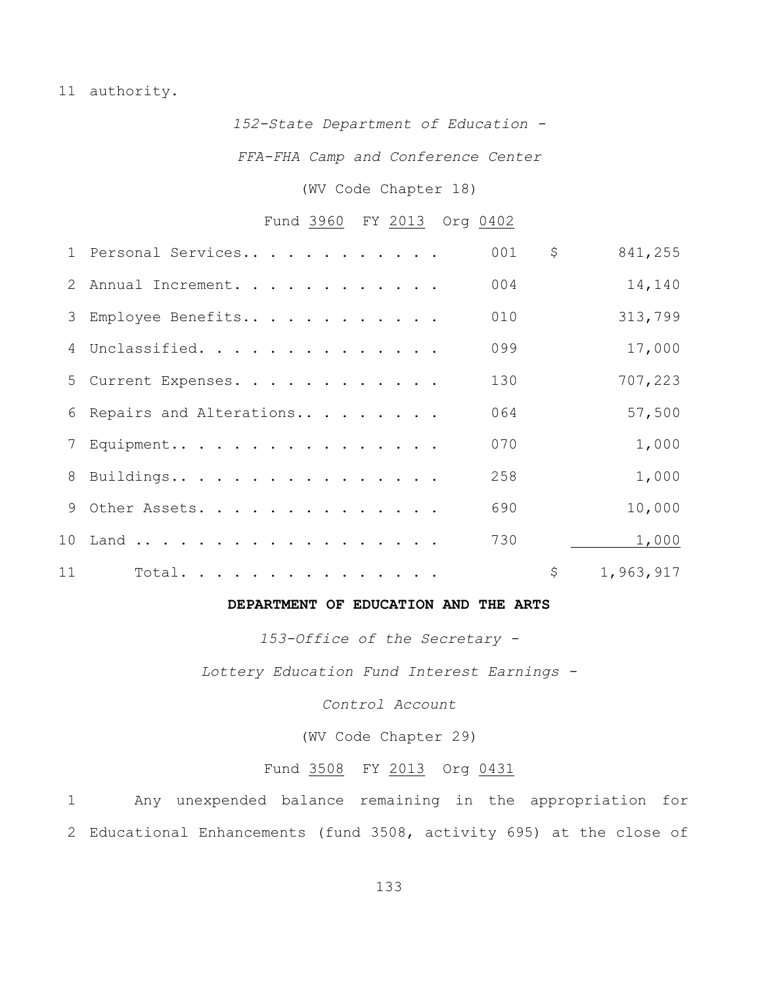#### 11 authority.

*152-State Department of Education -*

*FFA-FHA Camp and Conference Center*

#### (WV Code Chapter 18)

#### Fund 3960 FY 2013 Org 0402

|    | 1 Personal Services       | 001 | \$<br>841,255   |
|----|---------------------------|-----|-----------------|
|    | 2 Annual Increment.       | 004 | 14,140          |
|    | 3 Employee Benefits       | 010 | 313,799         |
|    | 4 Unclassified.           | 099 | 17,000          |
|    | 5 Current Expenses.       | 130 | 707,223         |
|    | 6 Repairs and Alterations | 064 | 57,500          |
|    | 7 Equipment               | 070 | 1,000           |
|    | 8 Buildings               | 258 | 1,000           |
|    | 9 Other Assets.           | 690 | 10,000          |
|    |                           | 730 | 1,000           |
| 11 | Total.                    |     | \$<br>1,963,917 |

#### **DEPARTMENT OF EDUCATION AND THE ARTS**

*153-Office of the Secretary -*

*Lottery Education Fund Interest Earnings -*

*Control Account*

(WV Code Chapter 29)

#### Fund 3508 FY 2013 Org 0431

1 Any unexpended balance remaining in the appropriation for 2 Educational Enhancements (fund 3508, activity 695) at the close of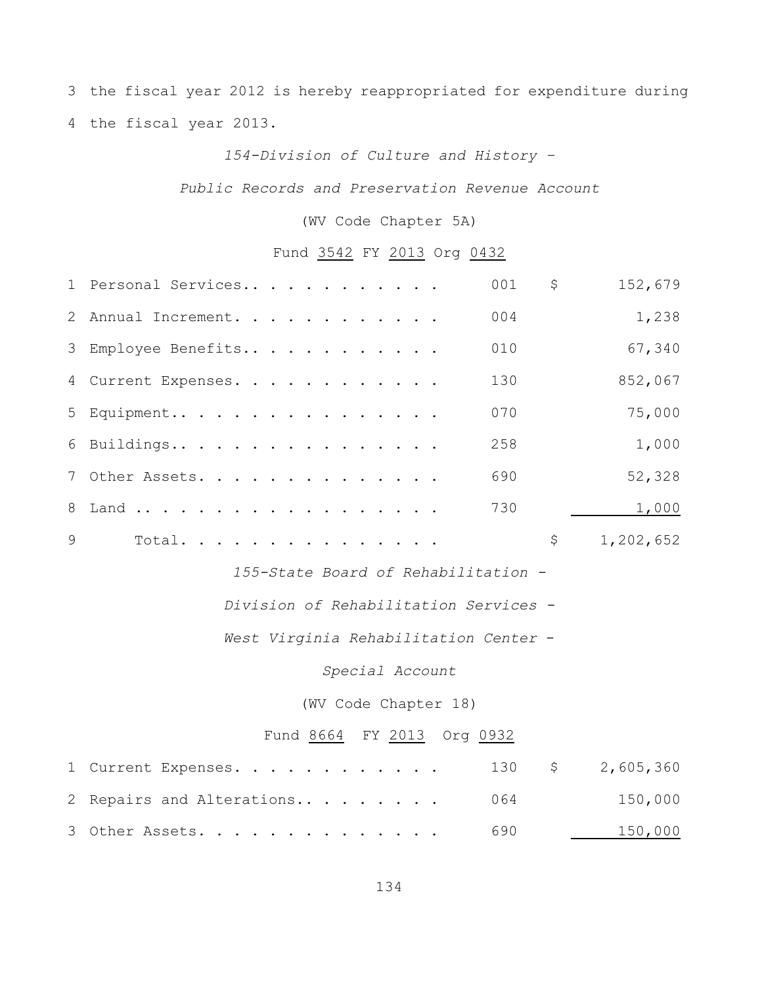3 the fiscal year 2012 is hereby reappropriated for expenditure during 4 the fiscal year 2013.

# *154-Division of Culture and History –*

#### *Public Records and Preservation Revenue Account*

### (WV Code Chapter 5A)

# Fund 3542 FY 2013 Org 0432

| 1 Personal Services     | 001 | \$                                                 | 152,679                                                                                                                          |
|-------------------------|-----|----------------------------------------------------|----------------------------------------------------------------------------------------------------------------------------------|
| Annual Increment.       | 004 |                                                    | 1,238                                                                                                                            |
| Employee Benefits       | 010 |                                                    | 67,340                                                                                                                           |
| Current Expenses.       | 130 |                                                    | 852,067                                                                                                                          |
| Equipment               | 070 |                                                    | 75,000                                                                                                                           |
| Buildings               | 258 |                                                    | 1,000                                                                                                                            |
| Other Assets.           | 690 |                                                    | 52,328                                                                                                                           |
| Land                    | 730 |                                                    | 1,000                                                                                                                            |
| Total.                  |     | $\varsigma$                                        | 1,202,652                                                                                                                        |
|                         |     |                                                    |                                                                                                                                  |
|                         |     |                                                    |                                                                                                                                  |
|                         |     |                                                    |                                                                                                                                  |
| Special Account         |     |                                                    |                                                                                                                                  |
|                         |     |                                                    |                                                                                                                                  |
|                         |     |                                                    |                                                                                                                                  |
| Current Expenses.       | 130 |                                                    | 2,605,360                                                                                                                        |
| Repairs and Alterations | 064 |                                                    | 150,000                                                                                                                          |
| Other Assets.           | 690 |                                                    | 150,000                                                                                                                          |
|                         |     | (WV Code Chapter 18)<br>Fund 8664 FY 2013 Org 0932 | 155-State Board of Rehabilitation -<br>Division of Rehabilitation Services -<br>West Virginia Rehabilitation Center -<br>$\zeta$ |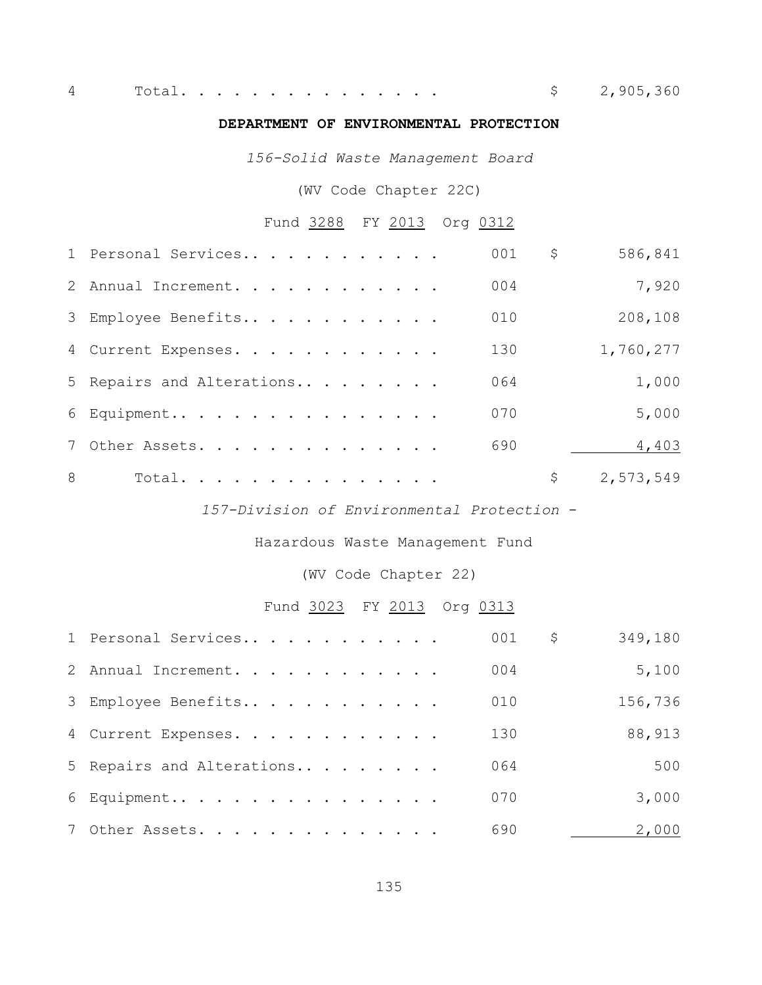Total. . . . . . . . . . . . . . . \$ 2,905,360

#### **DEPARTMENT OF ENVIRONMENTAL PROTECTION**

*156-Solid Waste Management Board*

(WV Code Chapter 22C)

# Fund 3288 FY 2013 Org 0312

|   | 1 Personal Services       | 001 | \$<br>586,841   |
|---|---------------------------|-----|-----------------|
|   | 2 Annual Increment.       | 004 | 7,920           |
|   | 3 Employee Benefits       | 010 | 208,108         |
|   | 4 Current Expenses.       | 130 | 1,760,277       |
|   | 5 Repairs and Alterations | 064 | 1,000           |
|   | 6 Equipment               | 070 | 5,000           |
|   | 7 Other Assets.           | 690 | 4,403           |
| 8 | Total.                    |     | \$<br>2,573,549 |

*157-Division of Environmental Protection* -

Hazardous Waste Management Fund

(WV Code Chapter 22)

### Fund 3023 FY 2013 Org 0313

| 1 Personal Services       | 001 | 349,180<br>\$ |
|---------------------------|-----|---------------|
| 2 Annual Increment.       | 004 | 5,100         |
| 3 Employee Benefits       | 010 | 156,736       |
| 4 Current Expenses.       | 130 | 88,913        |
| 5 Repairs and Alterations | 064 | 500           |
| 6 Equipment               | 070 | 3,000         |
| 7 Other Assets.           | 690 | 2,000         |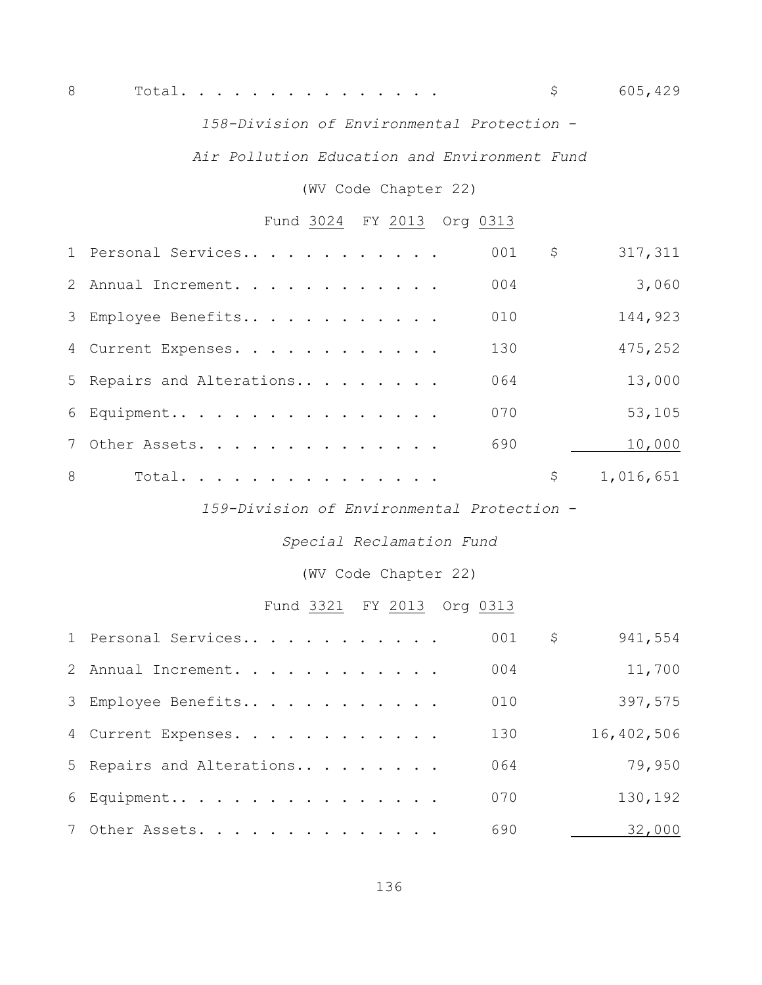*158-Division of Environmental Protection* -

*Air Pollution Education and Environment Fund*

(WV Code Chapter 22)

# Fund 3024 FY 2013 Org 0313

|   | 1 Personal Services       | 001 | \$<br>317,311   |
|---|---------------------------|-----|-----------------|
|   | 2 Annual Increment.       | 004 | 3,060           |
|   | 3 Employee Benefits       | 010 | 144,923         |
|   | 4 Current Expenses.       | 130 | 475,252         |
|   | 5 Repairs and Alterations | 064 | 13,000          |
|   | 6 Equipment               | 070 | 53,105          |
|   | 7 Other Assets.           | 690 | 10,000          |
| 8 | Total.                    |     | \$<br>1,016,651 |

*159-Division of Environmental Protection* -

*Special Reclamation Fund*

(WV Code Chapter 22)

# Fund 3321 FY 2013 Org 0313

| 1 Personal Services       | 001 | 941,554<br>\$ |
|---------------------------|-----|---------------|
| 2 Annual Increment.       | 004 | 11,700        |
| 3 Employee Benefits       | 010 | 397,575       |
| 4 Current Expenses.       | 130 | 16,402,506    |
| 5 Repairs and Alterations | 064 | 79,950        |
| 6 Equipment               | 070 | 130,192       |
| 7 Other Assets.           | 690 | 32,000        |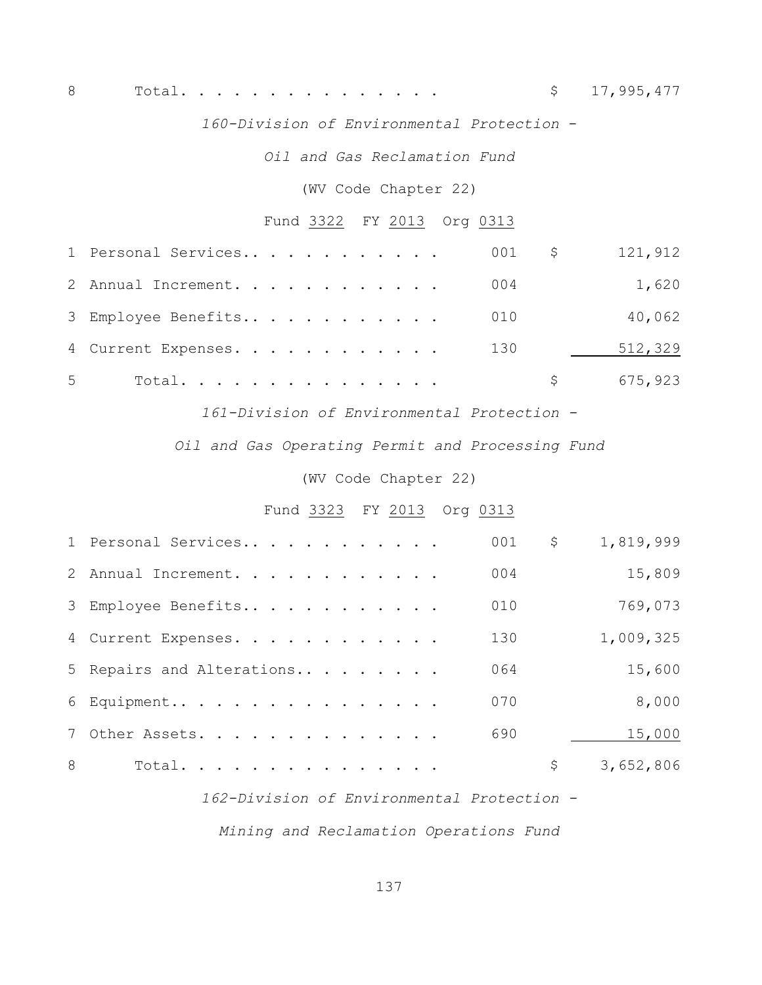8 Total............... \$ 17,995,477

*160-Division of Environmental Protection* -

*Oil and Gas Reclamation Fund*

(WV Code Chapter 22)

## Fund 3322 FY 2013 Org 0313

|                | 1 Personal Services | 001 \$ |     | 121,912 |
|----------------|---------------------|--------|-----|---------|
|                | 2 Annual Increment. | 004    |     | 1,620   |
|                | 3 Employee Benefits | 010    |     | 40,062  |
|                | 4 Current Expenses. | 130    |     | 512,329 |
| 5 <sup>5</sup> | Total.              |        | S – | 675,923 |

*161-Division of Environmental Protection -*

*Oil and Gas Operating Permit and Processing Fund*

(WV Code Chapter 22)

#### Fund 3323 FY 2013 Org 0313

|   | 1 Personal Services       | 001 | \$<br>1,819,999 |
|---|---------------------------|-----|-----------------|
|   | 2 Annual Increment.       | 004 | 15,809          |
|   | 3 Employee Benefits       | 010 | 769,073         |
|   | 4 Current Expenses.       | 130 | 1,009,325       |
|   | 5 Repairs and Alterations | 064 | 15,600          |
|   | 6 Equipment               | 070 | 8,000           |
|   | 7 Other Assets.           | 690 | 15,000          |
| 8 | Total.                    |     | \$<br>3,652,806 |

*162-Division of Environmental Protection -*

*Mining and Reclamation Operations Fund*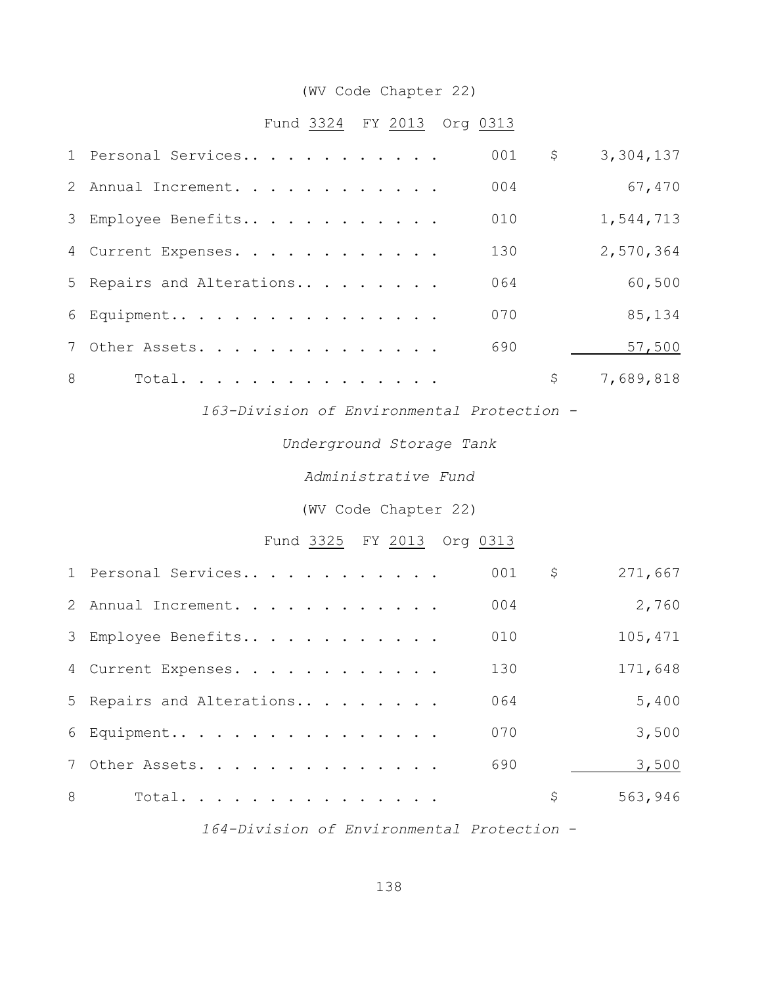### (WV Code Chapter 22)

### Fund 3324 FY 2013 Org 0313

|   | 1 Personal Services       | 001 | \$<br>3,304,137 |
|---|---------------------------|-----|-----------------|
|   | 2 Annual Increment.       | 004 | 67,470          |
|   | 3 Employee Benefits       | 010 | 1,544,713       |
|   | 4 Current Expenses.       | 130 | 2,570,364       |
|   | 5 Repairs and Alterations | 064 | 60,500          |
|   | 6 Equipment               | 070 | 85,134          |
|   | 7 Other Assets.           | 690 | 57,500          |
| 8 | Total.                    |     | \$<br>7,689,818 |

*163-Division of Environmental Protection -*

#### *Underground Storage Tank*

#### *Administrative Fund*

### (WV Code Chapter 22)

# Fund 3325 FY 2013 Org 0313

|   | 1 Personal Services       | 001 | \$<br>271,667 |
|---|---------------------------|-----|---------------|
|   | 2 Annual Increment.       | 004 | 2,760         |
|   | 3 Employee Benefits       | 010 | 105,471       |
|   | 4 Current Expenses.       | 130 | 171,648       |
|   | 5 Repairs and Alterations | 064 | 5,400         |
|   | 6 Equipment               | 070 | 3,500         |
|   | 7 Other Assets.           | 690 | 3,500         |
| 8 | Total.                    |     | \$<br>563,946 |

*164-Division of Environmental Protection* -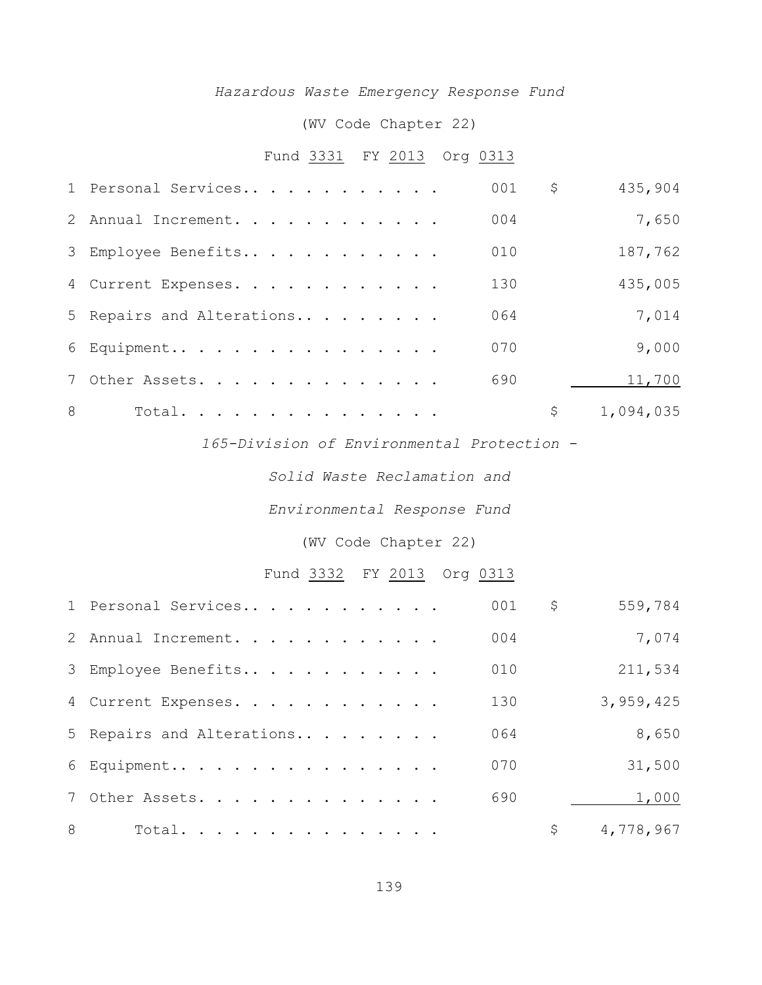### *Hazardous Waste Emergency Response Fund*

### (WV Code Chapter 22)

### Fund 3331 FY 2013 Org 0313

|   | 1 Personal Services       | 001             | \$<br>435,904   |
|---|---------------------------|-----------------|-----------------|
|   | 2 Annual Increment.       | 0 <sub>04</sub> | 7,650           |
|   | 3 Employee Benefits       | 010             | 187,762         |
|   | 4 Current Expenses.       | 130             | 435,005         |
|   | 5 Repairs and Alterations | 064             | 7,014           |
|   | 6 Equipment               | 070             | 9,000           |
|   | 7 Other Assets.           | 690             | 11,700          |
| 8 | Total.                    |                 | \$<br>1,094,035 |

*165-Division of Environmental Protection -*

*Solid Waste Reclamation and*

*Environmental Response Fund*

(WV Code Chapter 22)

# Fund 3332 FY 2013 Org 0313

|   | 1 Personal Services       | 001 | \$<br>559,784   |
|---|---------------------------|-----|-----------------|
|   | 2 Annual Increment.       | 004 | 7,074           |
|   | 3 Employee Benefits       | 010 | 211,534         |
|   | 4 Current Expenses.       | 130 | 3,959,425       |
|   | 5 Repairs and Alterations | 064 | 8,650           |
|   | 6 Equipment               | 070 | 31,500          |
|   | 7 Other Assets.           | 690 | 1,000           |
| 8 | Total.                    |     | \$<br>4,778,967 |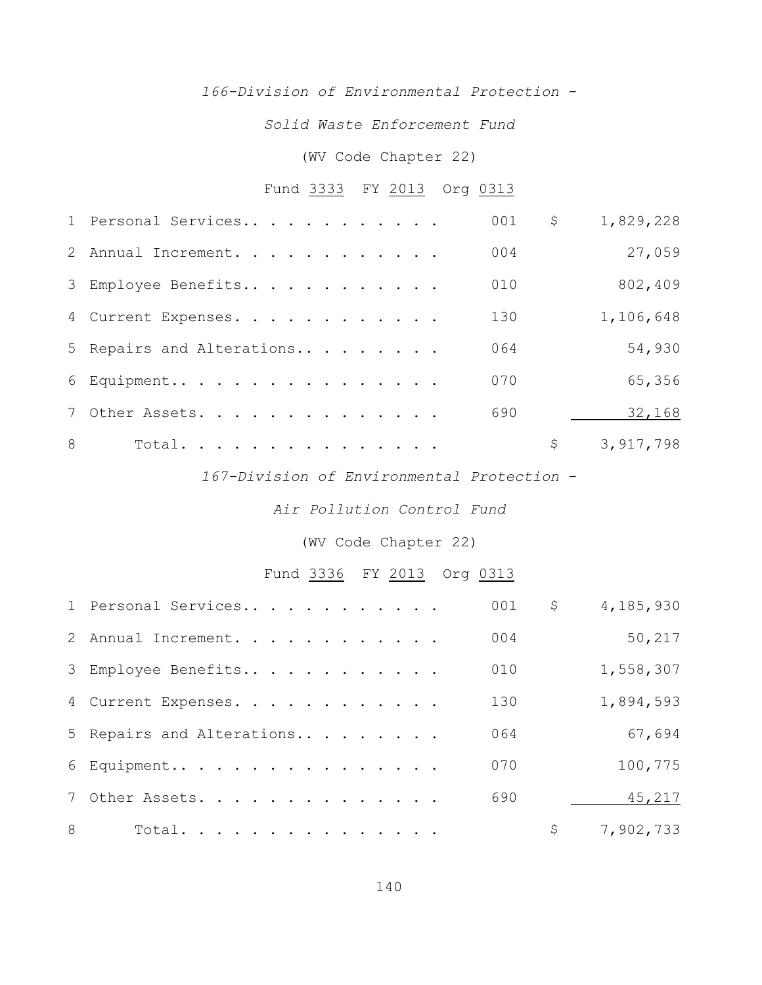### *166-Division of Environmental Protection* -

*Solid Waste Enforcement Fund*

### (WV Code Chapter 22)

# Fund 3333 FY 2013 Org 0313

|   | 1 Personal Services       | 001 | \$<br>1,829,228 |
|---|---------------------------|-----|-----------------|
|   | 2 Annual Increment.       | 004 | 27,059          |
|   | 3 Employee Benefits       | 010 | 802,409         |
|   | 4 Current Expenses.       | 130 | 1,106,648       |
|   | 5 Repairs and Alterations | 064 | 54,930          |
|   | 6 Equipment               | 070 | 65,356          |
|   | 7 Other Assets.           | 690 | 32,168          |
| 8 | Total.                    |     | \$<br>3,917,798 |

*167-Division of Environmental Protection* -

*Air Pollution Control Fund*

(WV Code Chapter 22)

# Fund 3336 FY 2013 Org 0313

|   | 1 Personal Services       | 001 | \$<br>4,185,930 |
|---|---------------------------|-----|-----------------|
|   | 2 Annual Increment.       | 004 | 50,217          |
|   | 3 Employee Benefits       | 010 | 1,558,307       |
|   | 4 Current Expenses.       | 130 | 1,894,593       |
|   | 5 Repairs and Alterations | 064 | 67,694          |
|   | 6 Equipment               | 070 | 100,775         |
|   | 7 Other Assets.           | 690 | 45,217          |
| 8 | Total.                    |     | \$<br>7,902,733 |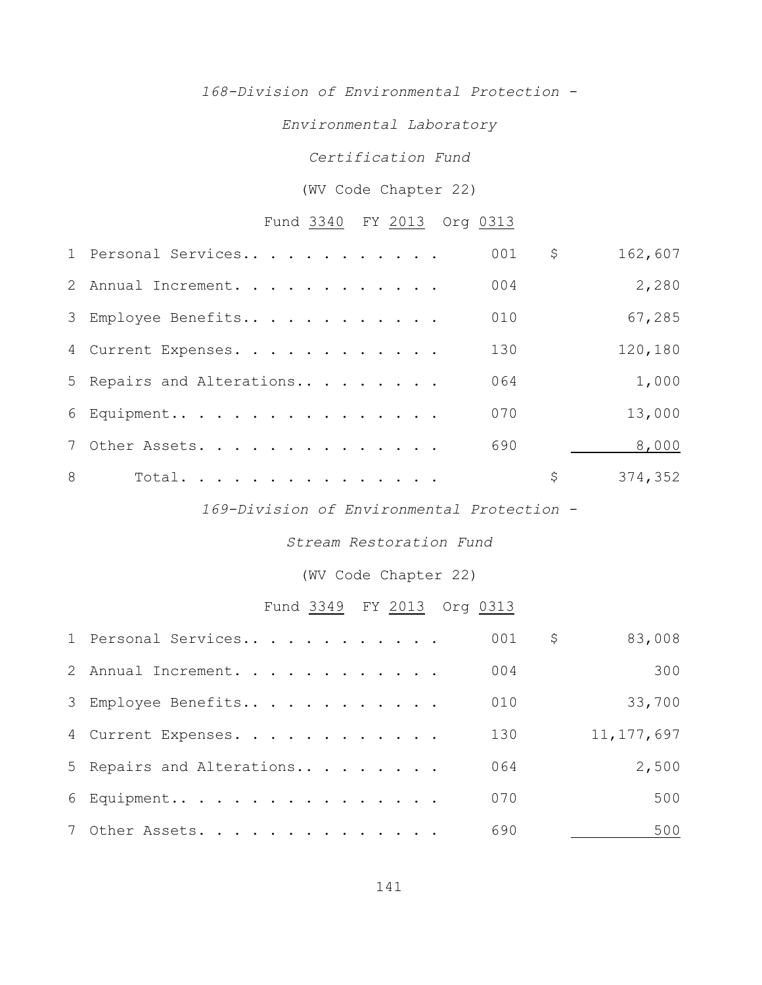*168-Division of Environmental Protection -*

*Environmental Laboratory*

*Certification Fund*

#### (WV Code Chapter 22)

# Fund 3340 FY 2013 Org 0313

|   | 1 Personal Services       | 001 | \$<br>162,607 |
|---|---------------------------|-----|---------------|
|   | 2 Annual Increment.       | 004 | 2,280         |
|   | 3 Employee Benefits       | 010 | 67,285        |
|   | 4 Current Expenses.       | 130 | 120,180       |
|   | 5 Repairs and Alterations | 064 | 1,000         |
|   | 6 Equipment               | 070 | 13,000        |
|   | 7 Other Assets.           | 690 | 8,000         |
| 8 | Total.                    |     | \$<br>374,352 |

*169-Division of Environmental Protection -*

*Stream Restoration Fund*

(WV Code Chapter 22)

# Fund 3349 FY 2013 Org 0313

| 1 Personal Services       | 001 | 83,008<br>\$ |
|---------------------------|-----|--------------|
| 2 Annual Increment.       | 004 | 300          |
| 3 Employee Benefits       | 010 | 33,700       |
| 4 Current Expenses.       | 130 | 11, 177, 697 |
| 5 Repairs and Alterations | 064 | 2,500        |
| 6 Equipment               | 070 | 500          |
| 7 Other Assets.           | 690 | 500          |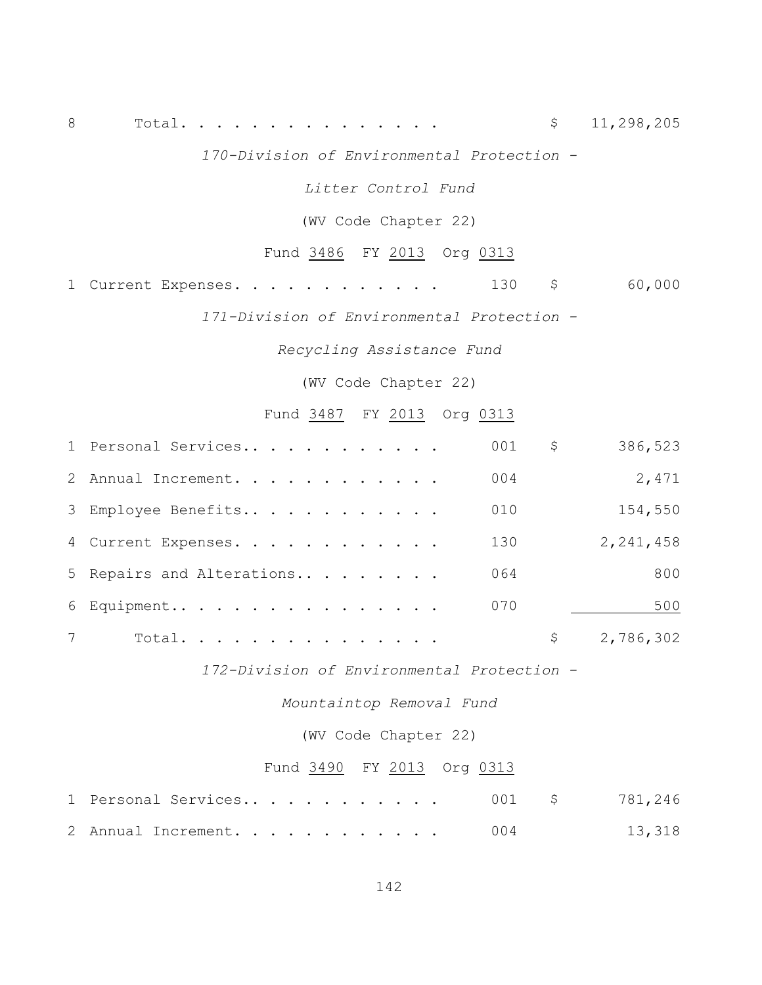8 Total. . . . . . . . . . . . . . . \$ 11,298,205

*170-Division of Environmental Protection -*

*Litter Control Fund*

(WV Code Chapter 22)

Fund 3486 FY 2013 Org 0313

1 Current Expenses. . . . . . . . . . . . 130 \$ 60,000

*171-Division of Environmental Protection -*

*Recycling Assistance Fund*

(WV Code Chapter 22)

Fund 3487 FY 2013 Org 0313

|   | 1 Personal Services       | 001 | \$<br>386,523 |
|---|---------------------------|-----|---------------|
|   | 2 Annual Increment.       | 004 | 2,471         |
|   | 3 Employee Benefits       | 010 | 154,550       |
|   | 4 Current Expenses.       | 130 | 2, 241, 458   |
|   | 5 Repairs and Alterations | 064 | 800           |
|   | 6 Equipment               | 070 | 500           |
| 7 | Total.                    |     | 2,786,302     |

*172-Division of Environmental Protection -*

*Mountaintop Removal Fund*

(WV Code Chapter 22)

### Fund 3490 FY 2013 Org 0313

|  | 1 Personal Services 001 \$ 781,246 |  |  |  |  |  |  |  |        |
|--|------------------------------------|--|--|--|--|--|--|--|--------|
|  | 2 Annual Increment. 004            |  |  |  |  |  |  |  | 13,318 |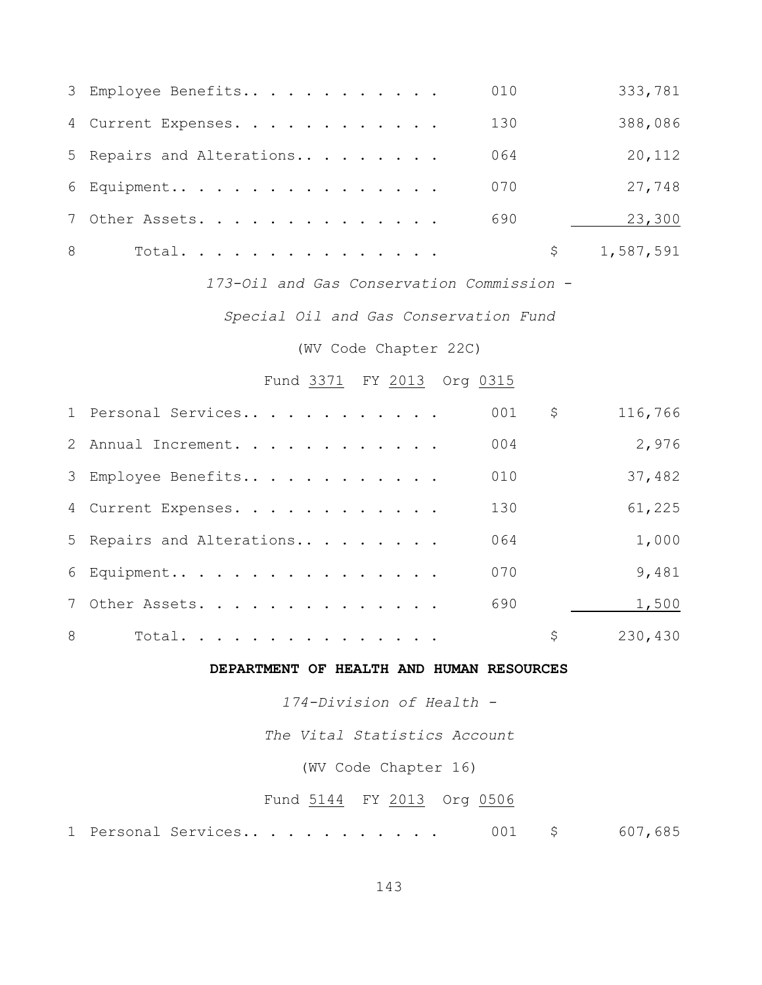|   | 3 Employee Benefits       | 010 | 333,781   |
|---|---------------------------|-----|-----------|
|   | 4 Current Expenses.       | 130 | 388,086   |
|   | 5 Repairs and Alterations | 064 | 20,112    |
|   | 6 Equipment               | 070 | 27,748    |
|   | 7 Other Assets.           | 690 | 23,300    |
| 8 | Total.                    | Ş.  | 1,587,591 |

*173-Oil and Gas Conservation Commission* -

*Special Oil and Gas Conservation Fund*

(WV Code Chapter 22C)

### Fund 3371 FY 2013 Org 0315

|   | 1 Personal Services       | 001 | \$<br>116,766 |
|---|---------------------------|-----|---------------|
|   | 2 Annual Increment.       | 004 | 2,976         |
|   | 3 Employee Benefits       | 010 | 37,482        |
|   | 4 Current Expenses.       | 130 | 61,225        |
|   | 5 Repairs and Alterations | 064 | 1,000         |
|   | 6 Equipment               | 070 | 9,481         |
|   | 7 Other Assets.           | 690 | 1,500         |
| 8 | Total.                    |     | \$<br>230,430 |

#### **DEPARTMENT OF HEALTH AND HUMAN RESOURCES**

*174-Division of Health -*

*The Vital Statistics Account*

(WV Code Chapter 16)

### Fund 5144 FY 2013 Org 0506

1 Personal Services.. . . . . . . . . . 001 \$ 607,685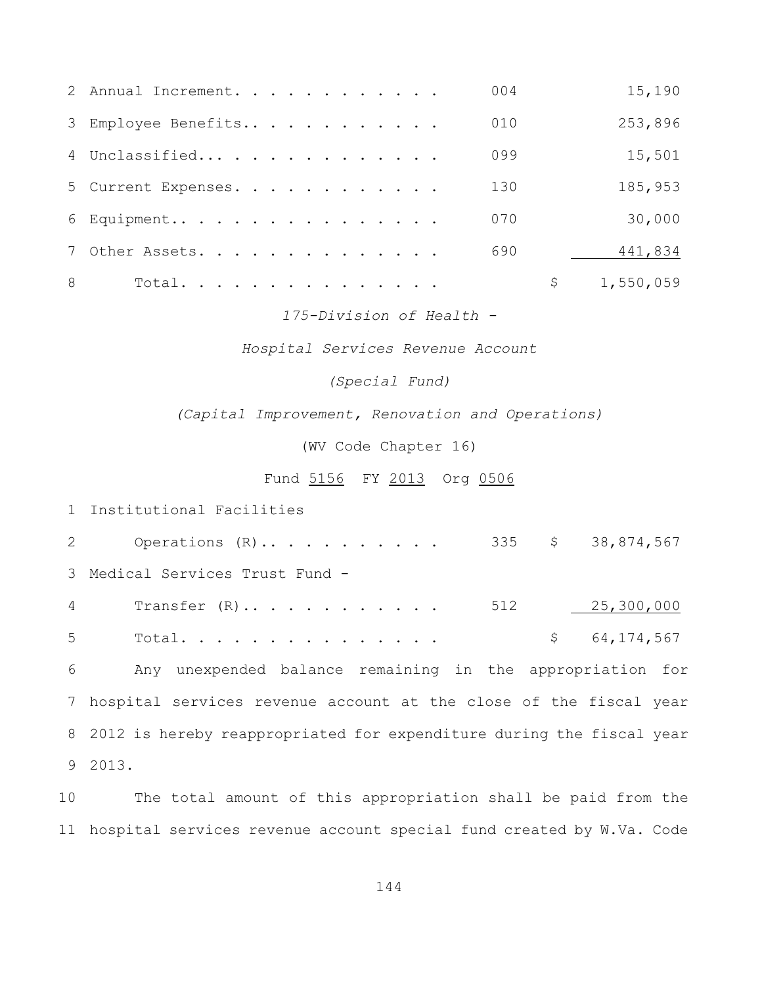|   | 2 Annual Increment. | 004 | 15,190    |
|---|---------------------|-----|-----------|
|   | 3 Employee Benefits | 010 | 253,896   |
|   | 4 Unclassified      | 099 | 15,501    |
|   | 5 Current Expenses. | 130 | 185,953   |
|   | $6$ Equipment       | 070 | 30,000    |
|   | 7 Other Assets.     | 690 | 441,834   |
| 8 | Total.              | \$  | 1,550,059 |

*175-Division of Health -*

*Hospital Services Revenue Account*

*(Special Fund)*

*(Capital Improvement, Renovation and Operations)*

(WV Code Chapter 16)

Fund 5156 FY 2013 Org 0506

Institutional Facilities

2 Operations (R)........... 335 \$ 38,874,567 Medical Services Trust Fund - Transfer (R).. . . . . . . . . . . 512 25,300,000 Total. . . . . . . . . . . . . . . \$ 64,174,567 Any unexpended balance remaining in the appropriation for hospital services revenue account at the close of the fiscal year 2012 is hereby reappropriated for expenditure during the fiscal year 2013.

 The total amount of this appropriation shall be paid from the hospital services revenue account special fund created by W.Va. Code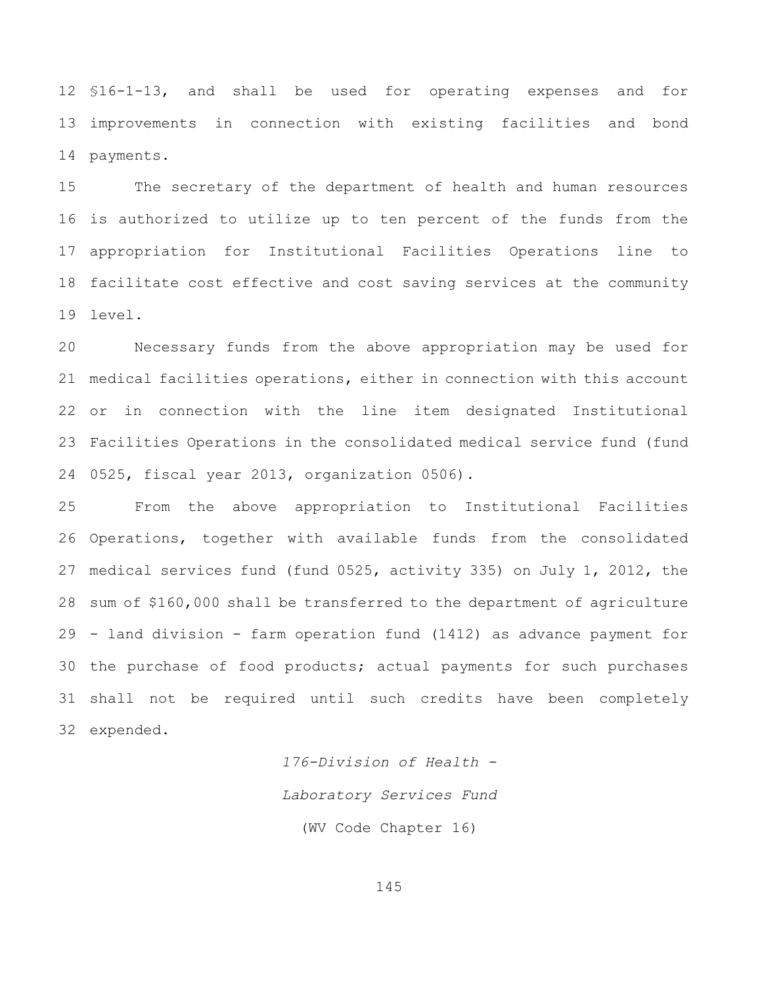§16-1-13, and shall be used for operating expenses and for improvements in connection with existing facilities and bond payments.

 The secretary of the department of health and human resources is authorized to utilize up to ten percent of the funds from the appropriation for Institutional Facilities Operations line to facilitate cost effective and cost saving services at the community level.

 Necessary funds from the above appropriation may be used for medical facilities operations, either in connection with this account or in connection with the line item designated Institutional Facilities Operations in the consolidated medical service fund (fund 0525, fiscal year 2013, organization 0506).

 From the above appropriation to Institutional Facilities Operations, together with available funds from the consolidated medical services fund (fund 0525, activity 335) on July 1, 2012, the sum of \$160,000 shall be transferred to the department of agriculture - land division - farm operation fund (1412) as advance payment for the purchase of food products; actual payments for such purchases shall not be required until such credits have been completely expended.

> *176-Division of Health - Laboratory Services Fund* (WV Code Chapter 16)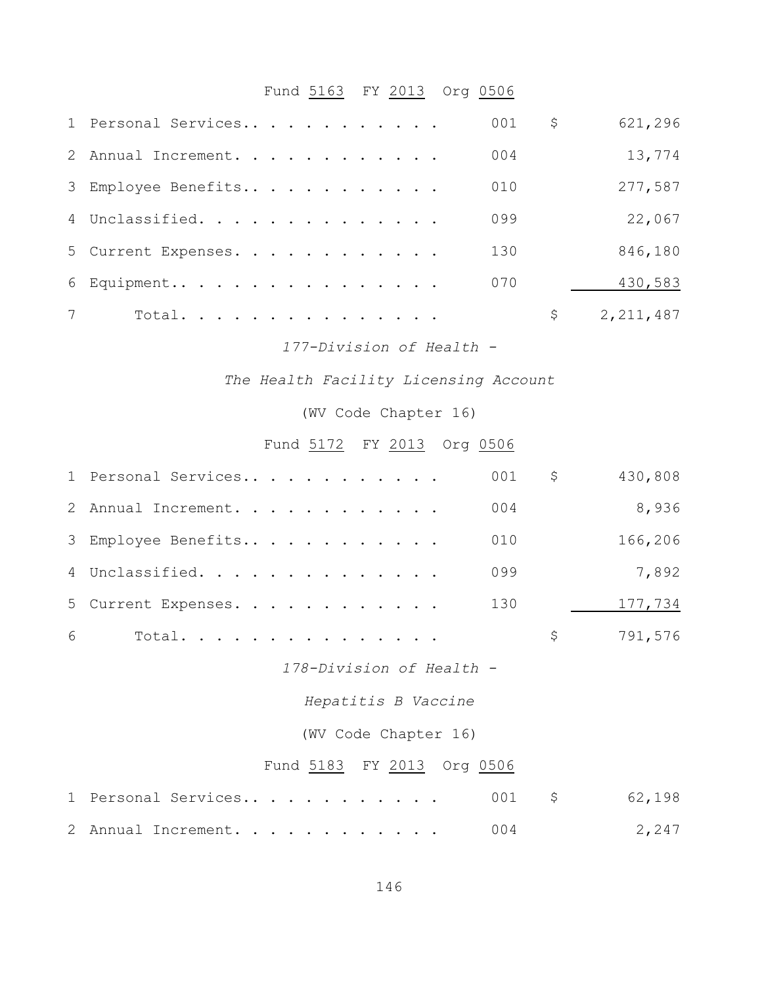# Fund 5163 FY 2013 Org 0506

|                | 1 Personal Services | 001 | \$<br>621,296     |
|----------------|---------------------|-----|-------------------|
|                | 2 Annual Increment. | 004 | 13,774            |
|                | 3 Employee Benefits | 010 | 277,587           |
|                | 4 Unclassified.     | 099 | 22,067            |
|                | 5 Current Expenses. | 130 | 846,180           |
|                | 6 Equipment         | 070 | 430,583           |
| $7\phantom{0}$ | Total.              |     | \$<br>2, 211, 487 |

*177-Division of Health -*

*The Health Facility Licensing Account*

(WV Code Chapter 16)

# Fund 5172 FY 2013 Org 0506

|   | 1 Personal Services        | $\varsigma$<br>001 | 430,808 |
|---|----------------------------|--------------------|---------|
|   | 2 Annual Increment.<br>004 |                    | 8,936   |
|   | 010<br>3 Employee Benefits |                    | 166,206 |
|   | 099<br>4 Unclassified.     |                    | 7,892   |
|   | 5 Current Expenses. 130    |                    | 177,734 |
| 6 | Total.                     | \$                 | 791,576 |
|   | 178-Division of Health -   |                    |         |
|   | Hepatitis B Vaccine        |                    |         |
|   | (WV Code Chapter 16)       |                    |         |
|   | Fund 5183 FY 2013 Org 0506 |                    |         |
|   | 001<br>1 Personal Services | \$                 | 62,198  |
|   | 004<br>2 Annual Increment. |                    | 2,247   |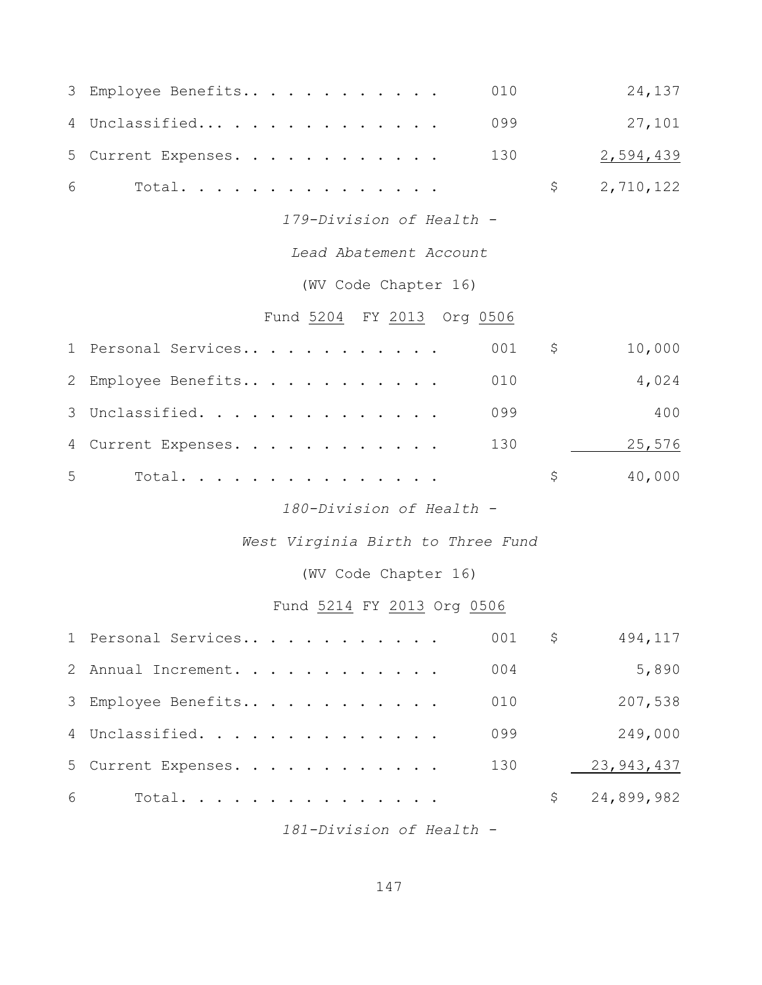| 3 | Employee Benefits                 | 010 | 24,137                  |
|---|-----------------------------------|-----|-------------------------|
| 4 | Unclassified                      | 099 | 27,101                  |
| 5 | Current Expenses.                 | 130 | 2,594,439               |
| 6 | Total.                            |     | \$<br>2,710,122         |
|   | 179-Division of Health -          |     |                         |
|   | Lead Abatement Account            |     |                         |
|   | (WV Code Chapter 16)              |     |                         |
|   | Fund 5204 FY 2013 Org 0506        |     |                         |
|   | 1 Personal Services               | 001 | \$<br>10,000            |
| 2 | Employee Benefits                 | 010 | 4,024                   |
| 3 | Unclassified.                     | 099 | 400                     |
| 4 | Current Expenses.                 | 130 | 25,576                  |
| 5 | Total.                            |     | \$<br>40,000            |
|   | 180-Division of Health -          |     |                         |
|   | West Virginia Birth to Three Fund |     |                         |
|   | (WV Code Chapter 16)              |     |                         |
|   | Fund 5214 FY 2013 Org 0506        |     |                         |
|   | 1 Personal Services               | 001 | 494,117<br>$\mathsf{S}$ |
|   | 2 Annual Increment.               | 004 | 5,890                   |
| 3 | Employee Benefits                 | 010 | 207,538                 |
| 4 | Unclassified.                     | 099 | 249,000                 |
| 5 | Current Expenses.                 | 130 | 23, 943, 437            |
| 6 | Total.                            |     | \$<br>24,899,982        |

*181-Division of Health -*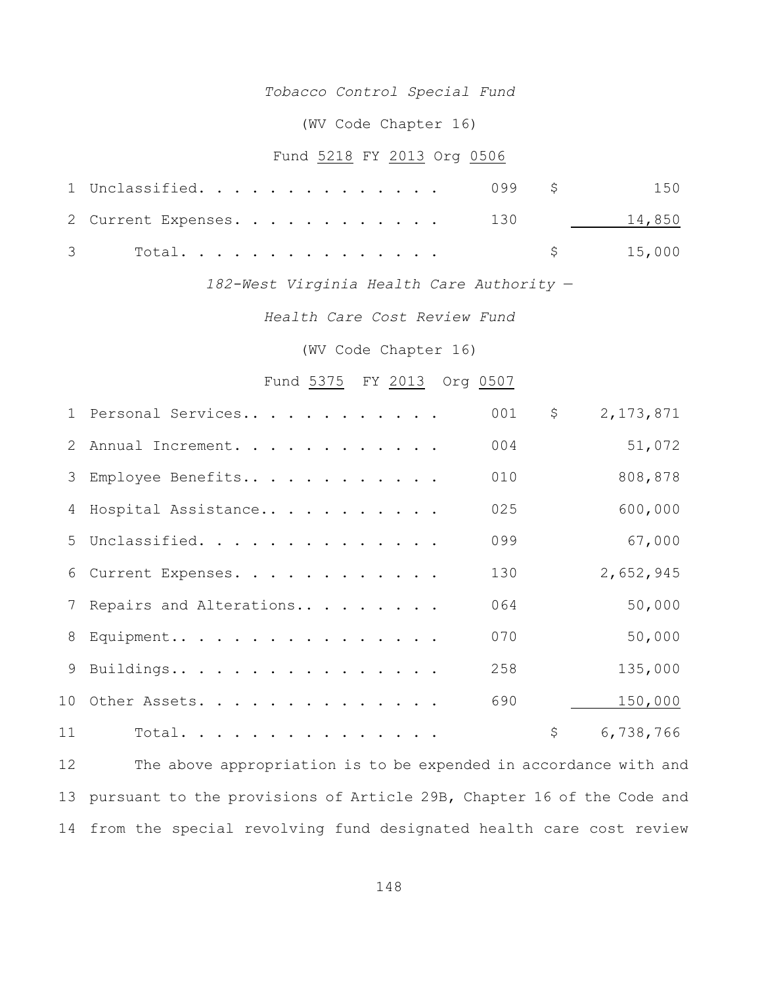## *Tobacco Control Special Fund*

## (WV Code Chapter 16)

# Fund 5218 FY 2013 Org 0506

| 1 Unclassified. 099 \$ 150     |          |  |
|--------------------------------|----------|--|
| 2 Current Expenses. 130 14,850 |          |  |
| 3 Total.                       | \$15,000 |  |

*182-West Virginia Health Care Authority* —

*Health Care Cost Review Fund*

(WV Code Chapter 16)

# Fund 5375 FY 2013 Org 0507

|    | 1 Personal Services       | 001 | \$<br>2, 173, 871 |
|----|---------------------------|-----|-------------------|
|    | 2 Annual Increment.       | 004 | 51,072            |
|    | 3 Employee Benefits       | 010 | 808,878           |
|    | 4 Hospital Assistance     | 025 | 600,000           |
|    | 5 Unclassified.           | 099 | 67,000            |
|    | 6 Current Expenses.       | 130 | 2,652,945         |
|    | 7 Repairs and Alterations | 064 | 50,000            |
|    | 8 Equipment               | 070 | 50,000            |
|    | 9 Buildings               | 258 | 135,000           |
|    | 10 Other Assets.          | 690 | 150,000           |
| 11 | Total.                    |     | \$<br>6,738,766   |

 The above appropriation is to be expended in accordance with and pursuant to the provisions of Article 29B, Chapter 16 of the Code and from the special revolving fund designated health care cost review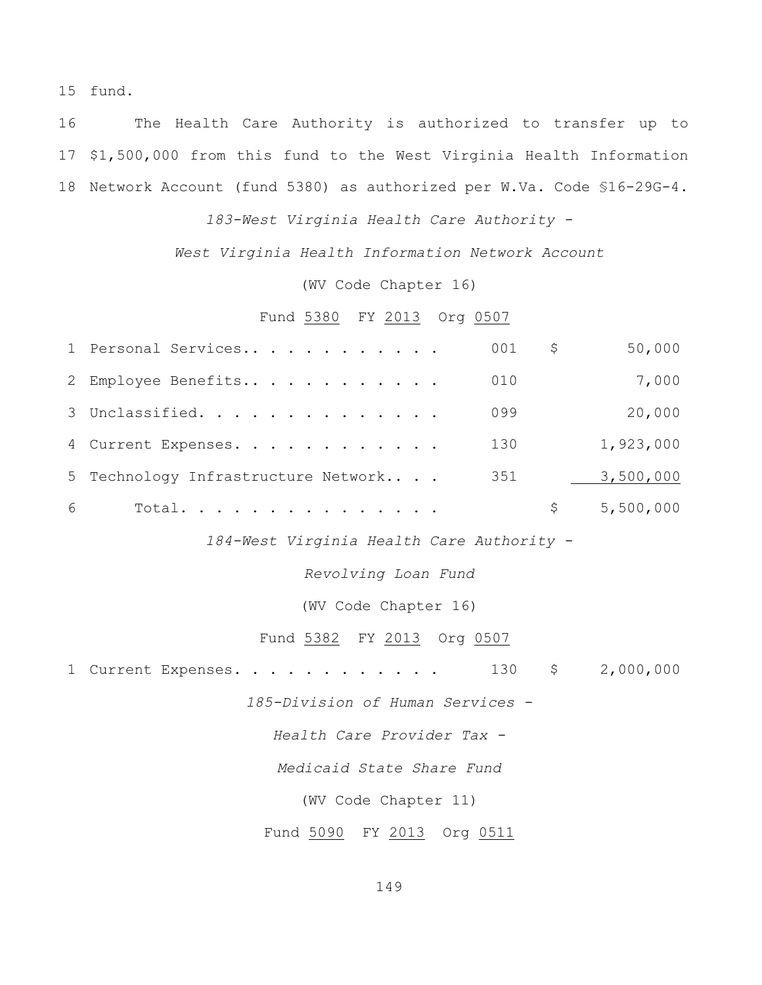15 fund.

16 The Health Care Authority is authorized to transfer up to 17 \$1,500,000 from this fund to the West Virginia Health Information 18 Network Account (fund 5380) as authorized per W.Va. Code §16-29G-4.

*183-West Virginia Health Care Authority -*

*West Virginia Health Information Network Account*

(WV Code Chapter 16)

## Fund 5380 FY 2013 Org 0507

|   | 1 Personal Services                 | 001 | \$. | 50,000    |
|---|-------------------------------------|-----|-----|-----------|
|   | 2 Employee Benefits                 | 010 |     | 7,000     |
|   | 3 Unclassified.                     | 099 |     | 20,000    |
|   | 4 Current Expenses.                 | 130 |     | 1,923,000 |
|   | 5 Technology Infrastructure Network | 351 |     | 3,500,000 |
| 6 | Total.                              |     |     | 5,500,000 |

*184-West Virginia Health Care Authority -*

*Revolving Loan Fund*

(WV Code Chapter 16)

#### Fund 5382 FY 2013 Org 0507

1 Current Expenses. . . . . . . . . . . 130 \$ 2,000,000

*185-Division of Human Services -*

*Health Care Provider Tax -*

*Medicaid State Share Fund*

(WV Code Chapter 11)

Fund 5090 FY 2013 Org 0511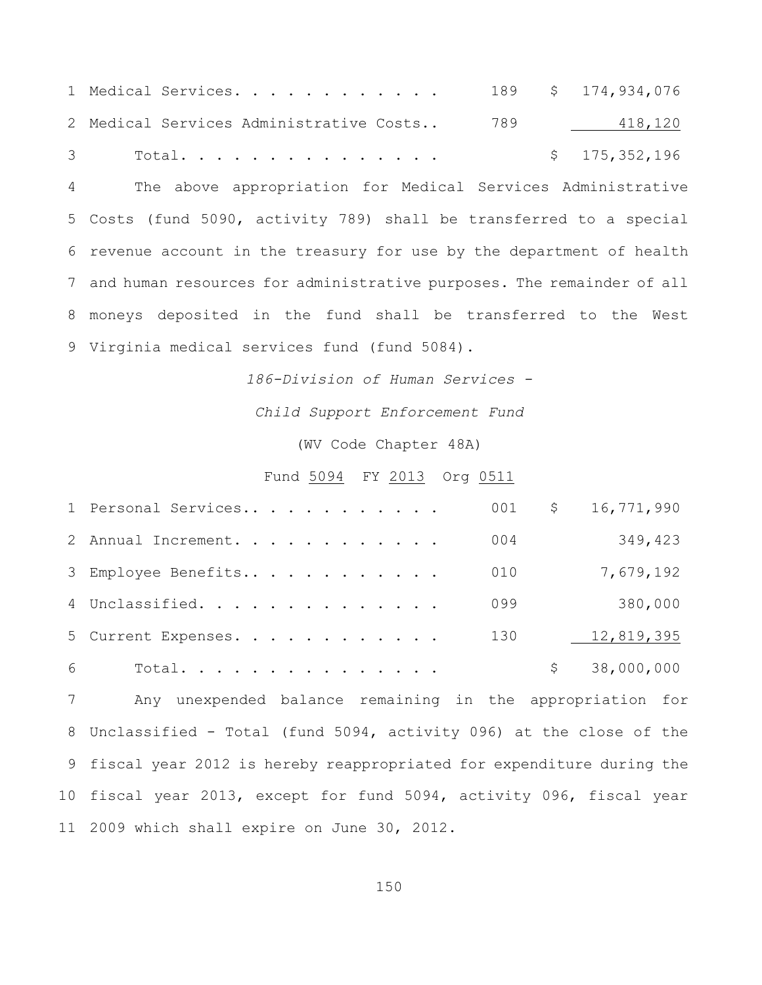| 1 Medical Services.                         |  | 189 \$ 174,934,076 |
|---------------------------------------------|--|--------------------|
| 2 Medical Services Administrative Costs 789 |  | 418,120            |
| 3 Total.                                    |  | \$175,352,196      |

 The above appropriation for Medical Services Administrative Costs (fund 5090, activity 789) shall be transferred to a special revenue account in the treasury for use by the department of health and human resources for administrative purposes. The remainder of all moneys deposited in the fund shall be transferred to the West Virginia medical services fund (fund 5084).

*186-Division of Human Services -*

*Child Support Enforcement Fund*

(WV Code Chapter 48A)

#### Fund 5094 FY 2013 Org 0511

|   | 1 Personal Services |  | 001 | Ş. | 16,771,990 |
|---|---------------------|--|-----|----|------------|
|   | 2 Annual Increment. |  | 004 |    | 349,423    |
|   | 3 Employee Benefits |  | 010 |    | 7,679,192  |
|   | 4 Unclassified.     |  | 099 |    | 380,000    |
|   | 5 Current Expenses. |  | 130 |    | 12,819,395 |
| 6 | Total.              |  |     |    | 38,000,000 |

 Any unexpended balance remaining in the appropriation for Unclassified - Total (fund 5094, activity 096) at the close of the fiscal year 2012 is hereby reappropriated for expenditure during the fiscal year 2013, except for fund 5094, activity 096, fiscal year 2009 which shall expire on June 30, 2012.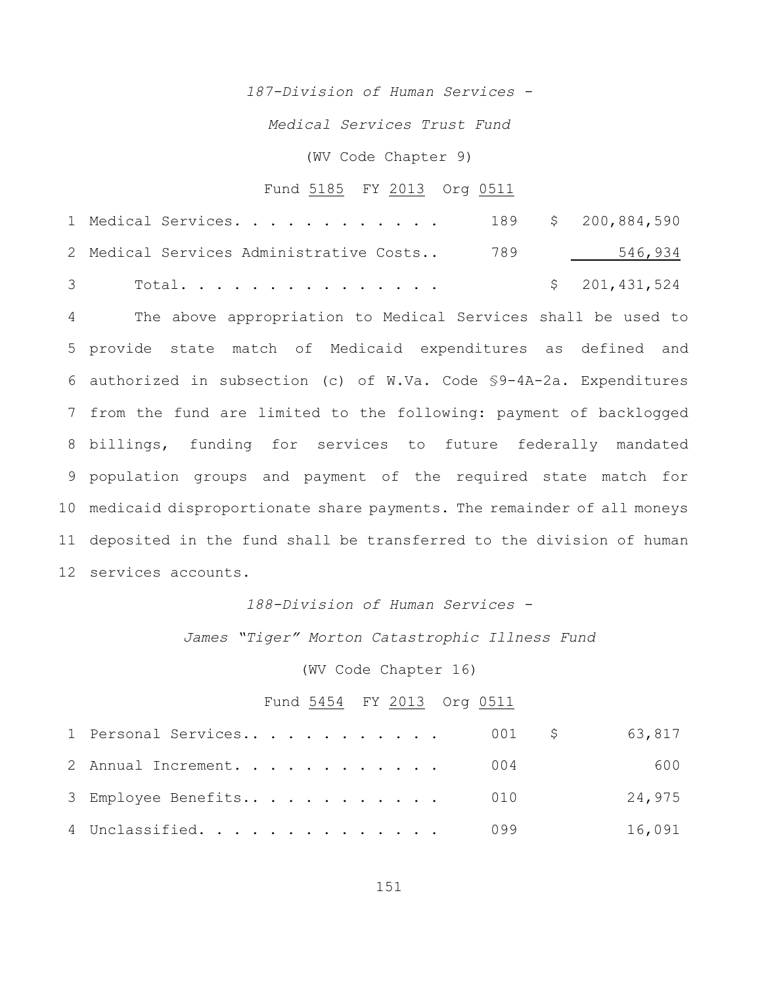*187-Division of Human Services -*

*Medical Services Trust Fund*

(WV Code Chapter 9)

#### Fund 5185 FY 2013 Org 0511

|  | 1 Medical Services.<br>2 Medical Services Administrative Costs 789 |  | 189 \$ 200,884,590       |
|--|--------------------------------------------------------------------|--|--------------------------|
|  | 3 Total.                                                           |  | 546,934<br>\$201,431,524 |

 The above appropriation to Medical Services shall be used to provide state match of Medicaid expenditures as defined and authorized in subsection (c) of W.Va. Code §9-4A-2a. Expenditures from the fund are limited to the following: payment of backlogged billings, funding for services to future federally mandated population groups and payment of the required state match for medicaid disproportionate share payments. The remainder of all moneys deposited in the fund shall be transferred to the division of human services accounts.

## *188-Division of Human Services -*

*James "Tiger" Morton Catastrophic Illness Fund*

(WV Code Chapter 16)

#### Fund 5454 FY 2013 Org 0511

| 1 Personal Services 001 \$ |  | 63,817 |
|----------------------------|--|--------|
| 2 Annual Increment. 004    |  | 600    |
| 3 Employee Benefits 010    |  | 24,975 |
| 4 Unclassified. 099        |  | 16,091 |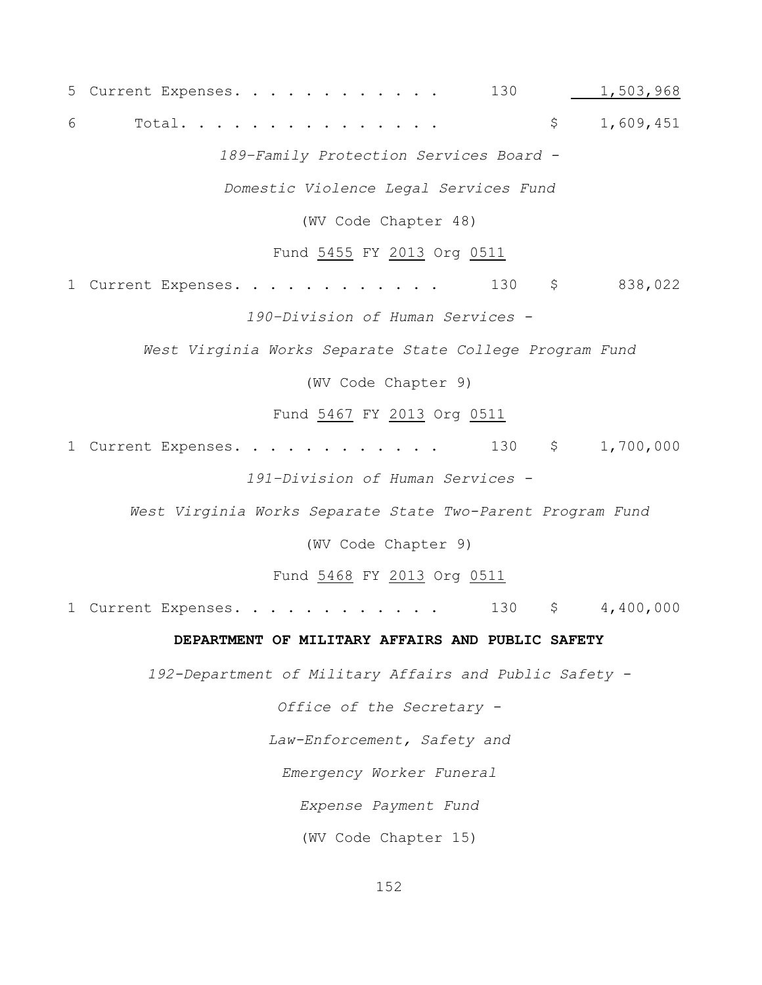5 Current Expenses. . . . . . . . . . . . 130 1,503,968 6 Total. . . . . . . . . . . . . . . \$ 1,609,451 *189–Family Protection Services Board - Domestic Violence Legal Services Fund* (WV Code Chapter 48) Fund 5455 FY 2013 Org 0511 1 Current Expenses. . . . . . . . . . . . 130 \$ 838,022 *190–Division of Human Services - West Virginia Works Separate State College Program Fund* (WV Code Chapter 9) Fund 5467 FY 2013 Org 0511 1 Current Expenses. . . . . . . . . . . 130 \$ 1,700,000 *191–Division of Human Services - West Virginia Works Separate State Two-Parent Program Fund* (WV Code Chapter 9) Fund 5468 FY 2013 Org 0511 1 Current Expenses. . . . . . . . . . . . 130 \$ 4,400,000 **DEPARTMENT OF MILITARY AFFAIRS AND PUBLIC SAFETY** *192-Department of Military Affairs and Public Safety - Office of the Secretary - Law-Enforcement, Safety and Emergency Worker Funeral Expense Payment Fund*

(WV Code Chapter 15)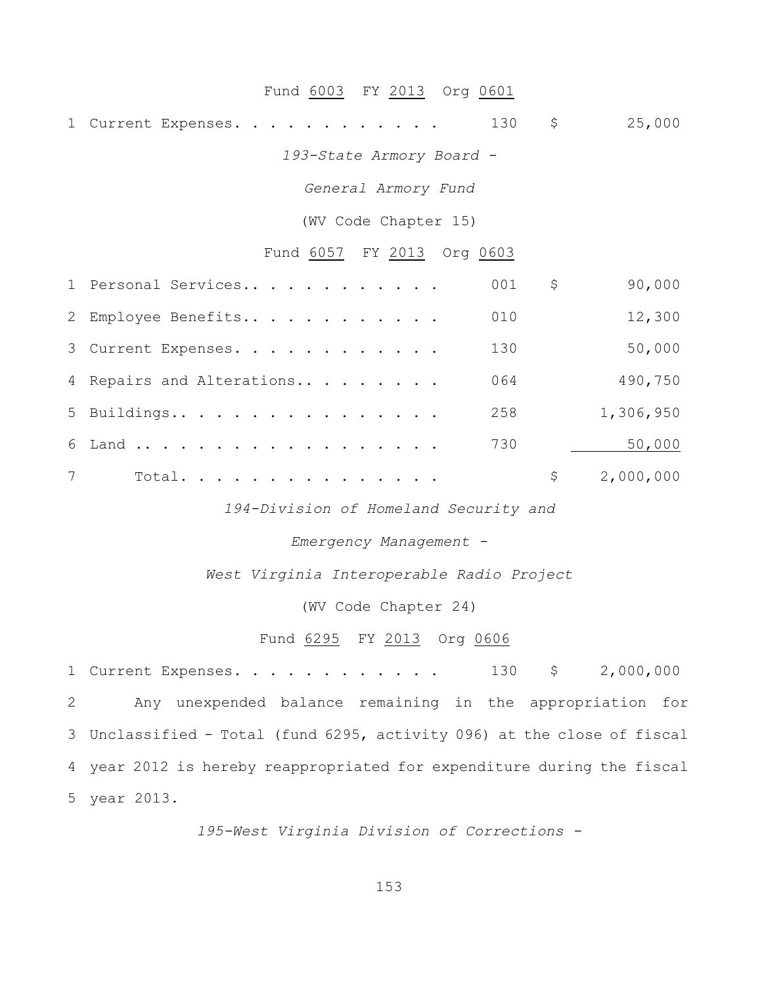## Fund 6003 FY 2013 Org 0601

1 Current Expenses. . . . . . . . . . . . 130 \$ 25,000

*193-State Armory Board -*

*General Armory Fund*

(WV Code Chapter 15)

## Fund 6057 FY 2013 Org 0603

|   | 1 Personal Services       | 001 | \$<br>90,000    |
|---|---------------------------|-----|-----------------|
|   | 2 Employee Benefits       | 010 | 12,300          |
|   | 3 Current Expenses.       | 130 | 50,000          |
|   | 4 Repairs and Alterations | 064 | 490,750         |
|   | 5 Buildings               | 258 | 1,306,950       |
|   | 6 Land                    | 730 | 50,000          |
| 7 | Total.                    |     | \$<br>2,000,000 |

*194-Division of Homeland Security and*

*Emergency Management -*

*West Virginia Interoperable Radio Project*

(WV Code Chapter 24)

## Fund 6295 FY 2013 Org 0606

 Current Expenses. . . . . . . . . . . . 130 \$ 2,000,000 Any unexpended balance remaining in the appropriation for Unclassified - Total (fund 6295, activity 096) at the close of fiscal year 2012 is hereby reappropriated for expenditure during the fiscal year 2013.

*195-West Virginia Division of Corrections -*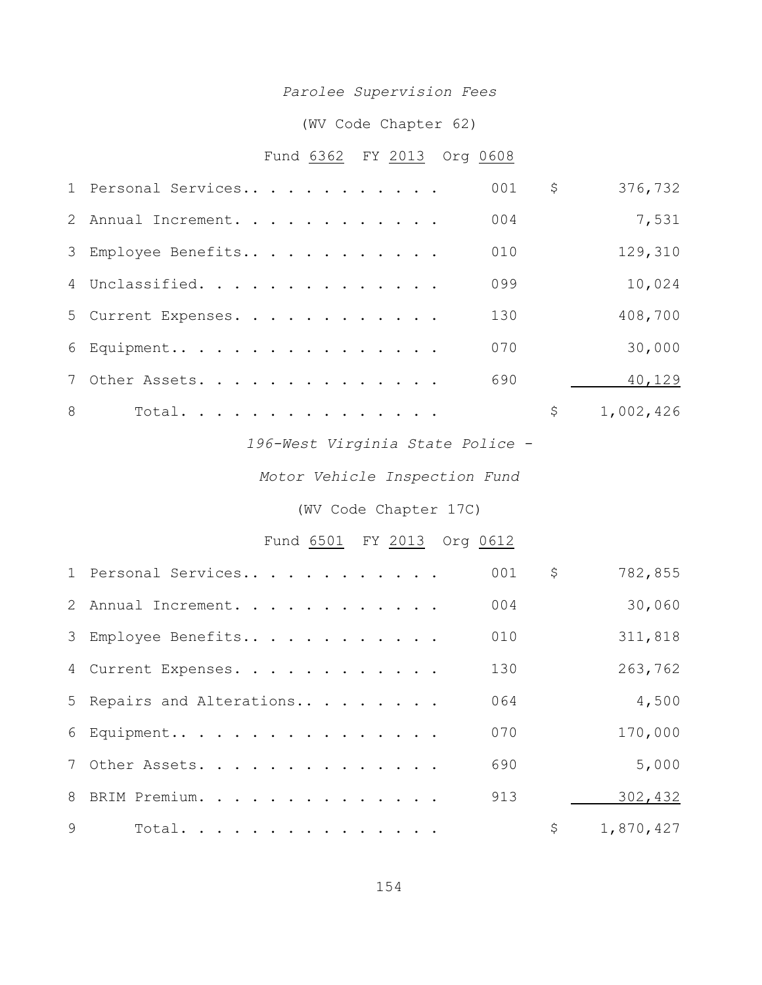# *Parolee Supervision Fees*

# (WV Code Chapter 62)

# Fund 6362 FY 2013 Org 0608

|   | 1 Personal Services | 001 | \$<br>376,732   |
|---|---------------------|-----|-----------------|
|   | 2 Annual Increment. | 004 | 7,531           |
|   | 3 Employee Benefits | 010 | 129,310         |
|   | 4 Unclassified.     | 099 | 10,024          |
|   | 5 Current Expenses. | 130 | 408,700         |
|   | 6 Equipment         | 070 | 30,000          |
|   | 7 Other Assets.     | 690 | 40,129          |
| 8 | Total.              |     | \$<br>1,002,426 |

*196-West Virginia State Police -*

*Motor Vehicle Inspection Fund*

# (WV Code Chapter 17C)

# Fund 6501 FY 2013 Org 0612

|              | 1 Personal Services       | 001 | \$<br>782,855   |
|--------------|---------------------------|-----|-----------------|
|              | 2 Annual Increment.       | 004 | 30,060          |
|              | 3 Employee Benefits       | 010 | 311,818         |
|              | 4 Current Expenses.       | 130 | 263,762         |
|              | 5 Repairs and Alterations | 064 | 4,500           |
|              | 6 Equipment               | 070 | 170,000         |
|              | 7 Other Assets.           | 690 | 5,000           |
|              | 8 BRIM Premium.           | 913 | 302,432         |
| $\mathsf{Q}$ | Total.                    |     | \$<br>1,870,427 |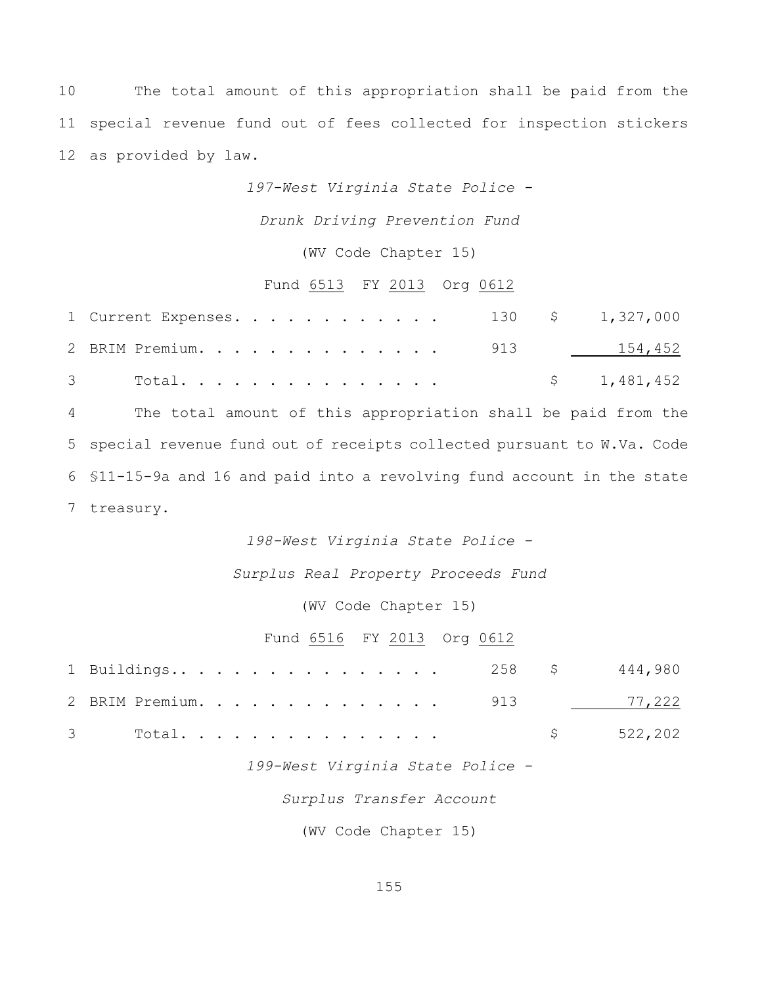10 The total amount of this appropriation shall be paid from the 11 special revenue fund out of fees collected for inspection stickers 12 as provided by law.

*197-West Virginia State Police -*

*Drunk Driving Prevention Fund*

(WV Code Chapter 15)

## Fund 6513 FY 2013 Org 0612

| 1 Current Expenses. 130 \$ 1,327,000 |  |  |  |  |  |  |  |             |
|--------------------------------------|--|--|--|--|--|--|--|-------------|
| 2 BRIM Premium. 913 154,452          |  |  |  |  |  |  |  |             |
|                                      |  |  |  |  |  |  |  | \$1,481,452 |

 The total amount of this appropriation shall be paid from the special revenue fund out of receipts collected pursuant to W.Va. Code §11-15-9a and 16 and paid into a revolving fund account in the state treasury.

*198-West Virginia State Police -*

*Surplus Real Property Proceeds Fund*

(WV Code Chapter 15)

## Fund 6516 FY 2013 Org 0612

|  |  |  |  |  |  |  |  |  | 1 Buildings 258 \$444,980  |
|--|--|--|--|--|--|--|--|--|----------------------------|
|  |  |  |  |  |  |  |  |  | 2 BRIM Premium. 913 17,222 |
|  |  |  |  |  |  |  |  |  | 3 Total \$522,202          |

*199-West Virginia State Police -*

*Surplus Transfer Account*

(WV Code Chapter 15)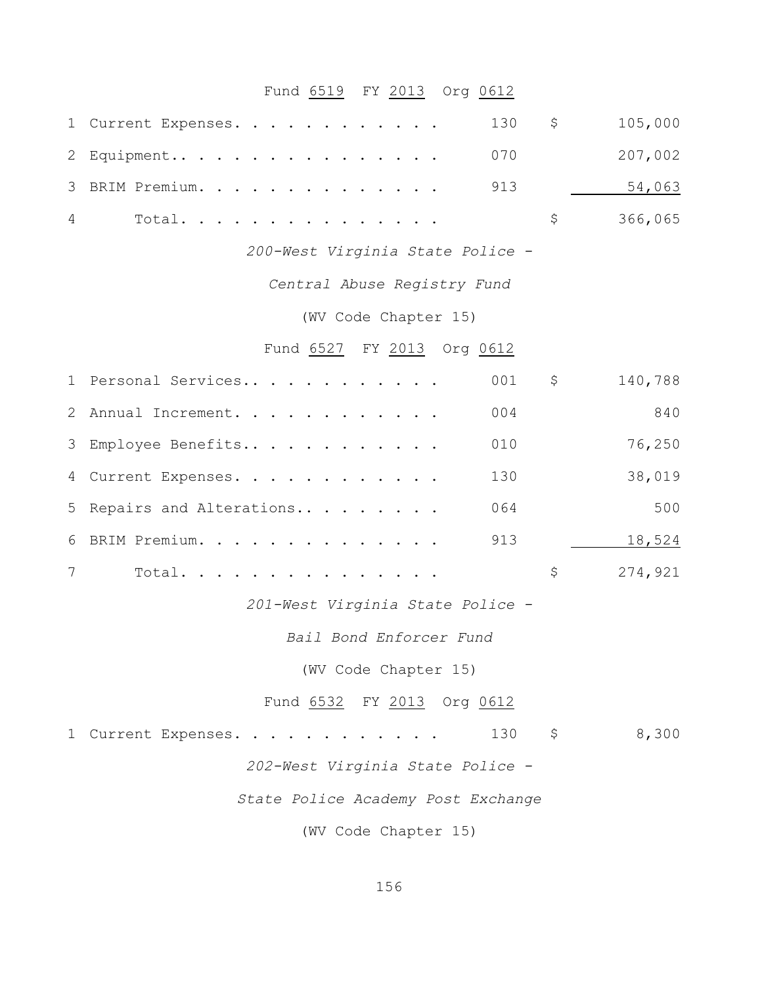# Fund 6519 FY 2013 Org 0612

|                | 130<br>1 Current Expenses.         | $\varsigma$ | 105,000 |
|----------------|------------------------------------|-------------|---------|
| 2              | 070<br>Equipment                   |             | 207,002 |
| 3              | 913<br>BRIM Premium.               |             | 54,063  |
| 4              | Total.                             | \$          | 366,065 |
|                | 200-West Virginia State Police -   |             |         |
|                | Central Abuse Registry Fund        |             |         |
|                | (WV Code Chapter 15)               |             |         |
|                | Fund 6527 FY 2013 Org 0612         |             |         |
|                | 001<br>1 Personal Services         | \$          | 140,788 |
| $\overline{2}$ | 004<br>Annual Increment.           |             | 840     |
| 3              | 010<br>Employee Benefits           |             | 76,250  |
| 4              | 130<br>Current Expenses.           |             | 38,019  |
| 5              | 064<br>Repairs and Alterations     |             | 500     |
| 6              | 913<br>BRIM Premium.               |             | 18,524  |
| 7              | Total.                             | \$          | 274,921 |
|                | 201-West Virginia State Police -   |             |         |
|                | Bail Bond Enforcer Fund            |             |         |
|                | (WV Code Chapter 15)               |             |         |
|                | Fund 6532 FY 2013 Org 0612         |             |         |
|                | 130<br>1 Current Expenses.         | \$          | 8,300   |
|                | 202-West Virginia State Police -   |             |         |
|                | State Police Academy Post Exchange |             |         |
|                | (WV Code Chapter 15)               |             |         |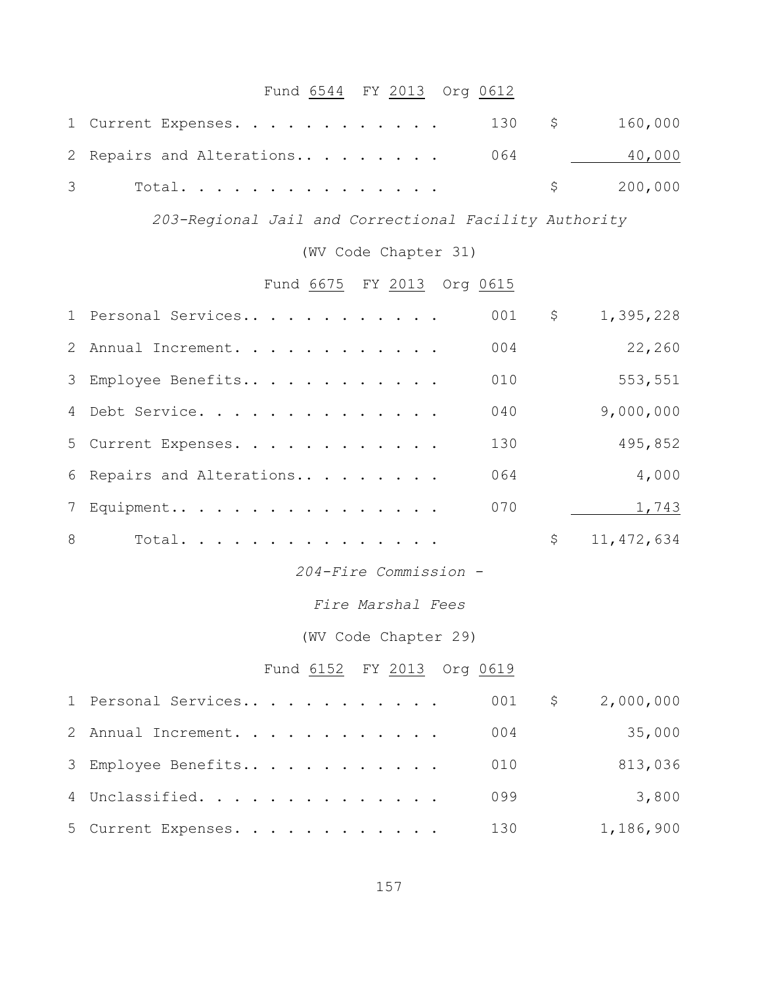# Fund 6544 FY 2013 Org 0612

| 1 Current Expenses. 130 \$ 160,000 |  |           |
|------------------------------------|--|-----------|
| 2 Repairs and Alterations 064      |  | 40,000    |
| 3 Total.                           |  | \$200,000 |

*203-Regional Jail and Correctional Facility Authority*

(WV Code Chapter 31)

# Fund 6675 FY 2013 Org 0615

|   | 1 Personal Services       | 001 | \$<br>1,395,228    |
|---|---------------------------|-----|--------------------|
|   | 2 Annual Increment.       | 004 | 22,260             |
|   | 3 Employee Benefits       | 010 | 553,551            |
|   | 4 Debt Service.           | 040 | 9,000,000          |
|   | 5 Current Expenses.       | 130 | 495,852            |
|   | 6 Repairs and Alterations | 064 | 4,000              |
|   | 7 Equipment               | 070 | 1,743              |
| 8 | Total.                    |     | \$<br>11, 472, 634 |

*204-Fire Commission -*

*Fire Marshal Fees*

(WV Code Chapter 29)

Fund 6152 FY 2013 Org 0619

| 1 Personal Services |  |  |  |  |  | $001$ \$ | 2,000,000 |
|---------------------|--|--|--|--|--|----------|-----------|
| 2 Annual Increment. |  |  |  |  |  | 004      | 35,000    |
| 3 Employee Benefits |  |  |  |  |  | 010      | 813,036   |
| 4 Unclassified.     |  |  |  |  |  | 099      | 3,800     |
| 5 Current Expenses. |  |  |  |  |  | 130      | 1,186,900 |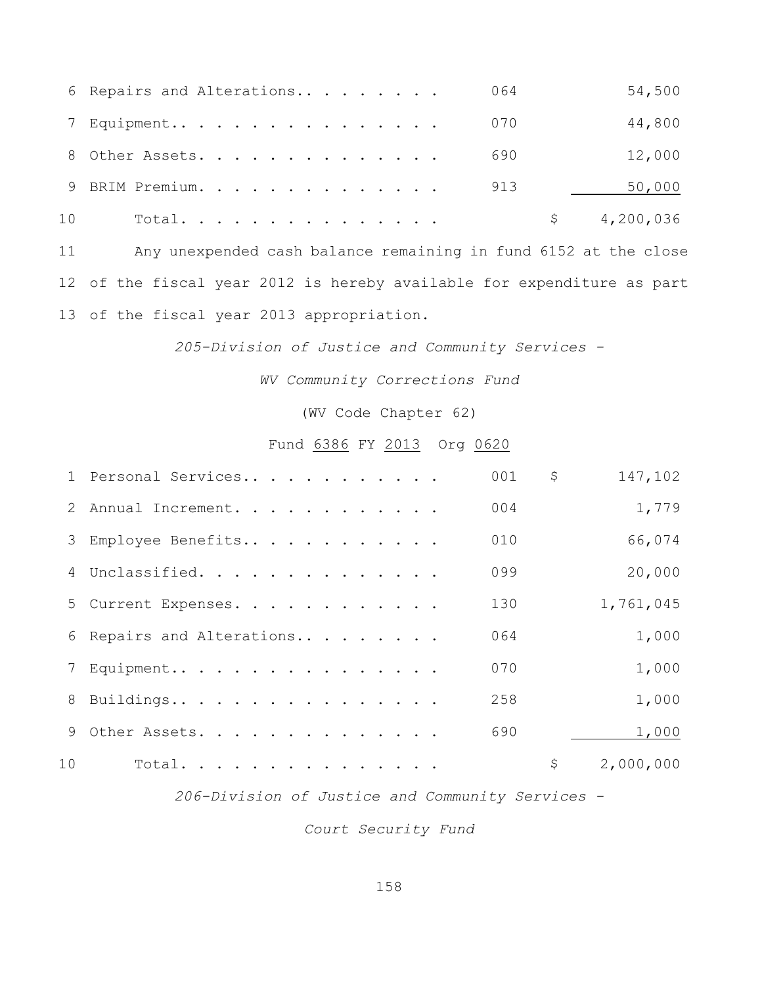|    | 6 Repairs and Alterations | 064 | 54,500    |
|----|---------------------------|-----|-----------|
|    | 7 Equipment               | 070 | 44,800    |
|    | 8 Other Assets.           | 690 | 12,000    |
|    | 9 BRIM Premium.           | 913 | 50,000    |
| 10 | Total.                    |     | 4,200,036 |

 Any unexpended cash balance remaining in fund 6152 at the close of the fiscal year 2012 is hereby available for expenditure as part of the fiscal year 2013 appropriation.

*205-Division of Justice and Community Services -*

*WV Community Corrections Fund*

(WV Code Chapter 62)

## Fund 6386 FY 2013 Org 0620

|    | 1 Personal Services       | 001 | \$<br>147,102   |
|----|---------------------------|-----|-----------------|
|    | 2 Annual Increment.       | 004 | 1,779           |
|    | 3 Employee Benefits       | 010 | 66,074          |
|    | 4 Unclassified.           | 099 | 20,000          |
|    | 5 Current Expenses.       | 130 | 1,761,045       |
|    | 6 Repairs and Alterations | 064 | 1,000           |
|    | 7 Equipment               | 070 | 1,000           |
|    | 8 Buildings               | 258 | 1,000           |
|    | 9 Other Assets.           | 690 | 1,000           |
| 10 | Total.                    |     | \$<br>2,000,000 |

*206-Division of Justice and Community Services -*

*Court Security Fund*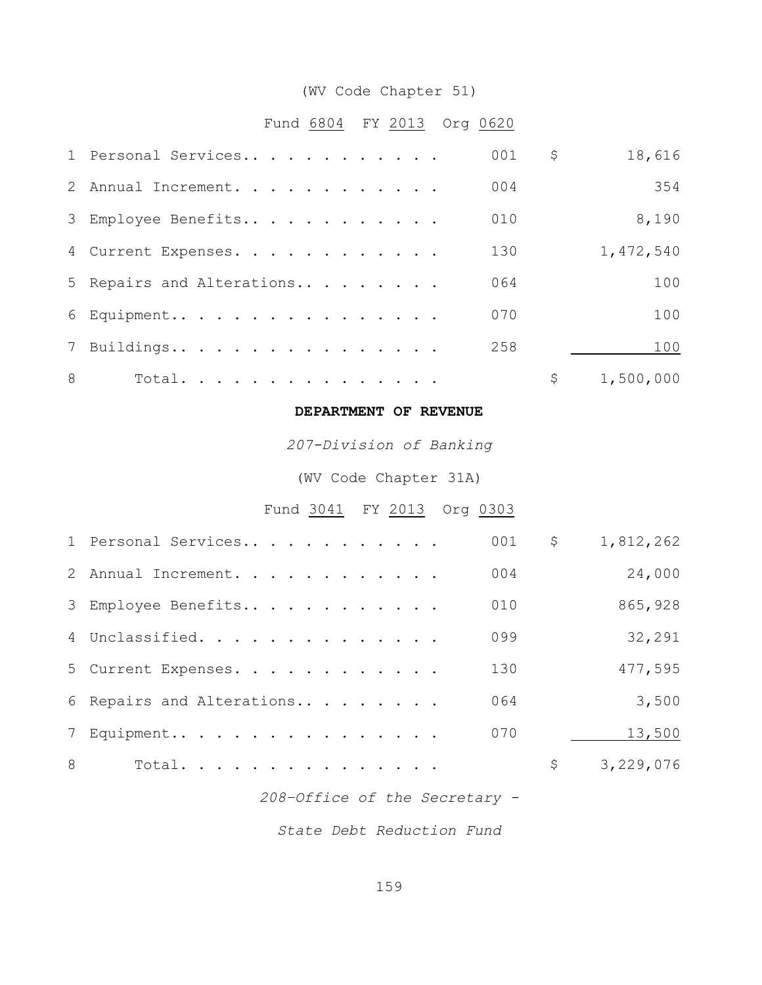# (WV Code Chapter 51)

# Fund 6804 FY 2013 Org 0620

|   | 1 Personal Services       | 001 | \$<br>18,616    |
|---|---------------------------|-----|-----------------|
|   | 2 Annual Increment.       | 004 | 354             |
|   | 3 Employee Benefits       | 010 | 8,190           |
|   | 4 Current Expenses.       | 130 | 1,472,540       |
|   | 5 Repairs and Alterations | 064 | 100             |
|   | 6 Equipment               | 070 | 100             |
|   | 7 Buildings               | 258 | 100             |
| 8 | Total.                    |     | \$<br>1,500,000 |

## **DEPARTMENT OF REVENUE**

*207-Division of Banking*

(WV Code Chapter 31A)

Fund 3041 FY 2013 Org 0303

|   | 1 Personal Services       | 001 | \$<br>1,812,262 |
|---|---------------------------|-----|-----------------|
|   | 2 Annual Increment.       | 004 | 24,000          |
|   | 3 Employee Benefits       | 010 | 865,928         |
|   | 4 Unclassified.           | 099 | 32,291          |
|   | 5 Current Expenses.       | 130 | 477,595         |
|   | 6 Repairs and Alterations | 064 | 3,500           |
|   | 7 Equipment               | 070 | 13,500          |
| 8 | Total.                    |     | \$<br>3,229,076 |

*208–Office of the Secretary -*

*State Debt Reduction Fund*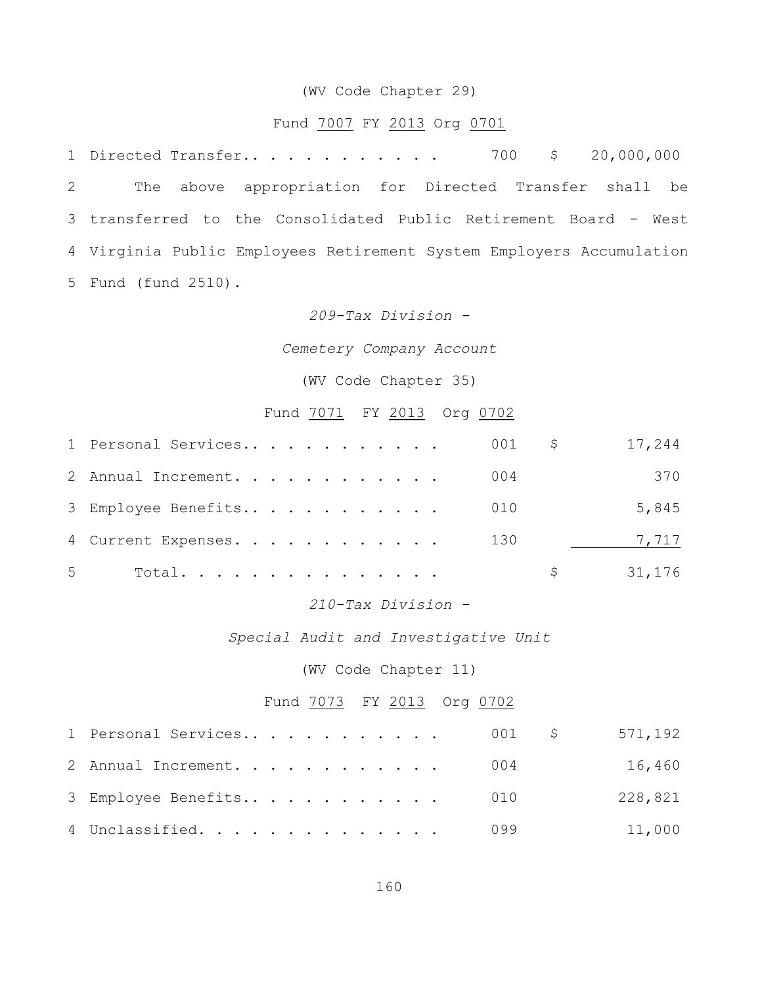#### (WV Code Chapter 29)

## Fund 7007 FY 2013 Org 0701

1 Directed Transfer.. . . . . . . . . . . 700 \$ 20,000,000 The above appropriation for Directed Transfer shall be transferred to the Consolidated Public Retirement Board - West Virginia Public Employees Retirement System Employers Accumulation Fund (fund 2510).

## *209-Tax Division -*

## *Cemetery Company Account*

## (WV Code Chapter 35)

## Fund 7071 FY 2013 Org 0702

|   | 1 Personal Services |  |  |  |  |  | $001$ \$ |   | 17,244 |
|---|---------------------|--|--|--|--|--|----------|---|--------|
|   | 2 Annual Increment. |  |  |  |  |  | 004      |   | 370    |
|   | 3 Employee Benefits |  |  |  |  |  | 010      |   | 5,845  |
|   | 4 Current Expenses. |  |  |  |  |  | 130      |   | 7,717  |
| 5 | Total.              |  |  |  |  |  |          | S | 31,176 |

## *210-Tax Division -*

#### *Special Audit and Investigative Unit*

## (WV Code Chapter 11)

# Fund 7073 FY 2013 Org 0702

| 1 Personal Services     | 001 \$ 571,192 |         |
|-------------------------|----------------|---------|
| 2 Annual Increment. 004 |                | 16,460  |
| 3 Employee Benefits 010 |                | 228,821 |
| 4 Unclassified. 099     |                | 11,000  |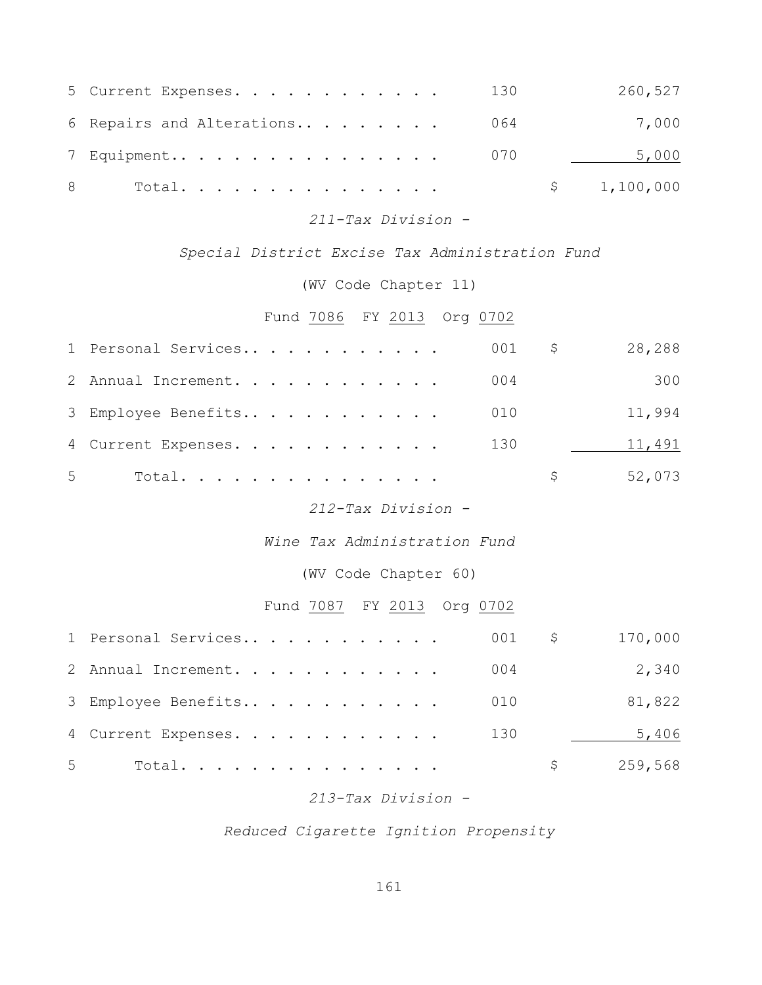| 5 Current Expenses.       | 130 | 260,527     |
|---------------------------|-----|-------------|
| 6 Repairs and Alterations | 064 | 7,000       |
| 7 Equipment               | 070 | 5,000       |
| 8<br>Total.               |     | \$1,100,000 |

*211-Tax Division -*

*Special District Excise Tax Administration Fund*

(WV Code Chapter 11)

Fund 7086 FY 2013 Org 0702

|   | 001<br>1 Personal Services   | $\varsigma$  | 28,288  |
|---|------------------------------|--------------|---------|
|   | 004<br>2 Annual Increment.   |              | 300     |
|   | 010<br>3 Employee Benefits   |              | 11,994  |
|   | 130<br>4 Current Expenses.   |              | 11,491  |
| 5 | Total.                       | \$           | 52,073  |
|   | 212-Tax Division -           |              |         |
|   | Wine Tax Administration Fund |              |         |
|   | (WV Code Chapter 60)         |              |         |
|   | Fund 7087 FY 2013 Org 0702   |              |         |
|   | 1 Personal Services<br>001   | $\mathsf{S}$ | 170,000 |
|   | 004<br>2 Annual Increment.   |              | 2,340   |
|   | 3 Employee Benefits<br>010   |              | 81,822  |
|   | 130<br>4 Current Expenses.   |              | 5,406   |
| 5 | Total.                       | \$           | 259,568 |

*213-Tax Division -*

*Reduced Cigarette Ignition Propensity*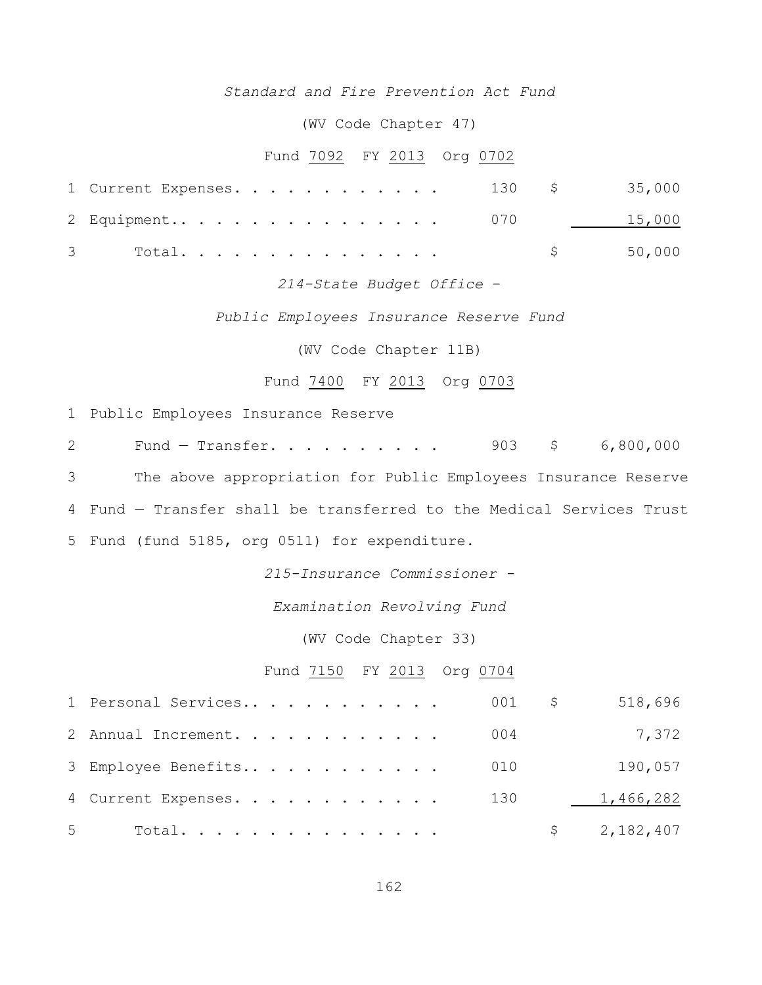## *Standard and Fire Prevention Act Fund*

(WV Code Chapter 47)

## Fund 7092 FY 2013 Org 0702

| 1 Current Expenses. 130 \$ 35,000 |  |  |  |  |  |  |          |
|-----------------------------------|--|--|--|--|--|--|----------|
| 2 Equipment 070 15,000            |  |  |  |  |  |  |          |
|                                   |  |  |  |  |  |  | \$50,000 |

## *214-State Budget Office* -

*Public Employees Insurance Reserve Fund*

(WV Code Chapter 11B)

## Fund 7400 FY 2013 Org 0703

1 Public Employees Insurance Reserve

 Fund — Transfer. . . . . . . . . . 903 \$ 6,800,000 The above appropriation for Public Employees Insurance Reserve Fund — Transfer shall be transferred to the Medical Services Trust Fund (fund 5185, org 0511) for expenditure.

*215-Insurance Commissioner -*

*Examination Revolving Fund*

(WV Code Chapter 33)

## Fund 7150 FY 2013 Org 0704

|   | 1 Personal Services     | 001 \$ | 518,696     |
|---|-------------------------|--------|-------------|
|   | 2 Annual Increment.     | 004    | 7,372       |
|   | 3 Employee Benefits     | 010    | 190,057     |
|   | 4 Current Expenses. 130 |        | 1,466,282   |
| 5 | Total.                  |        | \$2,182,407 |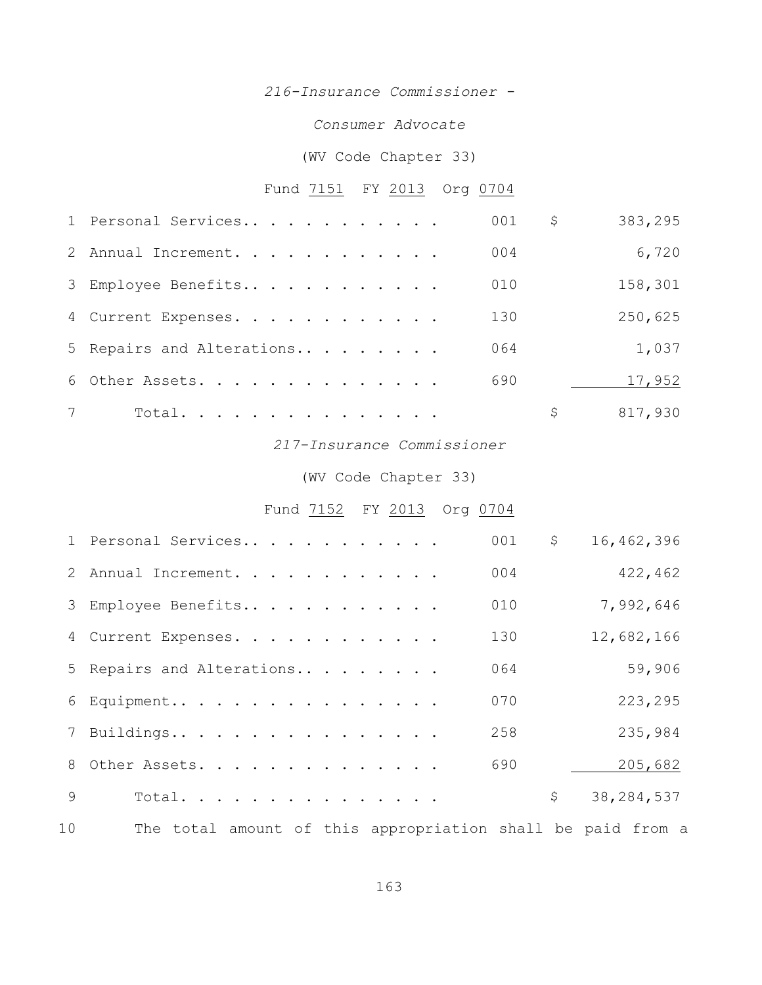## *216-Insurance Commissioner -*

## *Consumer Advocate*

# (WV Code Chapter 33)

# Fund 7151 FY 2013 Org 0704

|   | 1 Personal Services       | 001 | \$<br>383,295 |
|---|---------------------------|-----|---------------|
|   | 2 Annual Increment.       | 004 | 6,720         |
|   | 3 Employee Benefits       | 010 | 158,301       |
|   | 4 Current Expenses.       | 130 | 250,625       |
|   | 5 Repairs and Alterations | 064 | 1,037         |
|   | 6 Other Assets.           | 690 | 17,952        |
| 7 | Total.                    |     | \$<br>817,930 |

## *217-Insurance Commissioner*

## (WV Code Chapter 33)

# Fund 7152 FY 2013 Org 0704

|    | 1 Personal Services                                         | 001 | \$           | 16,462,396   |
|----|-------------------------------------------------------------|-----|--------------|--------------|
|    | 2 Annual Increment.                                         | 004 |              | 422,462      |
|    | 3 Employee Benefits                                         | 010 |              | 7,992,646    |
|    | 4 Current Expenses.                                         | 130 |              | 12,682,166   |
|    | 5 Repairs and Alterations                                   | 064 |              | 59,906       |
|    | 6 Equipment                                                 | 070 |              | 223,295      |
|    | 7 Buildings                                                 | 258 |              | 235,984      |
|    | 8 Other Assets.                                             | 690 |              | 205,682      |
| 9  | Total.                                                      |     | $\mathsf{S}$ | 38, 284, 537 |
| 10 | The total amount of this appropriation shall be paid from a |     |              |              |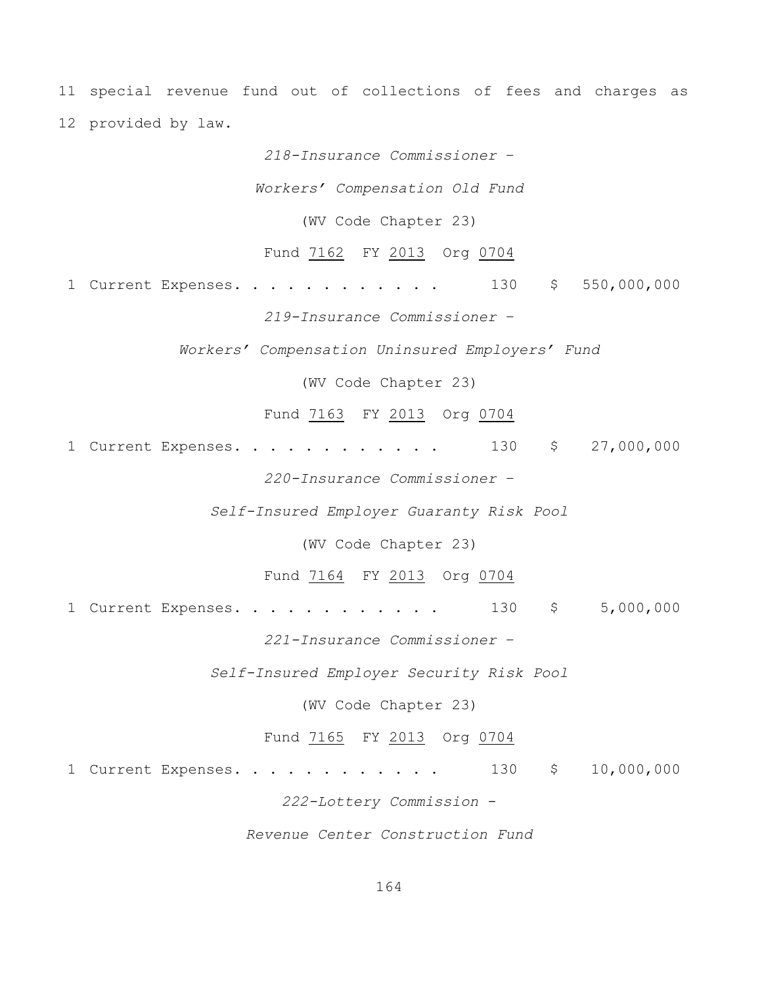11 special revenue fund out of collections of fees and charges as 12 provided by law.

*218-Insurance Commissioner* –

*Workers' Compensation Old Fund*

(WV Code Chapter 23)

Fund 7162 FY 2013 Org 0704

1 Current Expenses. . . . . . . . . . . . 130 \$ 550,000,000

*219-Insurance Commissioner* –

*Workers' Compensation Uninsured Employers' Fund*

(WV Code Chapter 23)

Fund 7163 FY 2013 Org 0704

1 Current Expenses. . . . . . . . . . . . 130 \$ 27,000,000

*220-Insurance Commissioner* –

*Self-Insured Employer Guaranty Risk Pool*

(WV Code Chapter 23)

Fund 7164 FY 2013 Org 0704

1 Current Expenses. . . . . . . . . . . . 130 \$ 5,000,000

*221-Insurance Commissioner* –

*Self-Insured Employer Security Risk Pool*

(WV Code Chapter 23)

Fund 7165 FY 2013 Org 0704

1 Current Expenses. . . . . . . . . . . . 130 \$ 10,000,000

*222-Lottery Commission* -

*Revenue Center Construction Fund*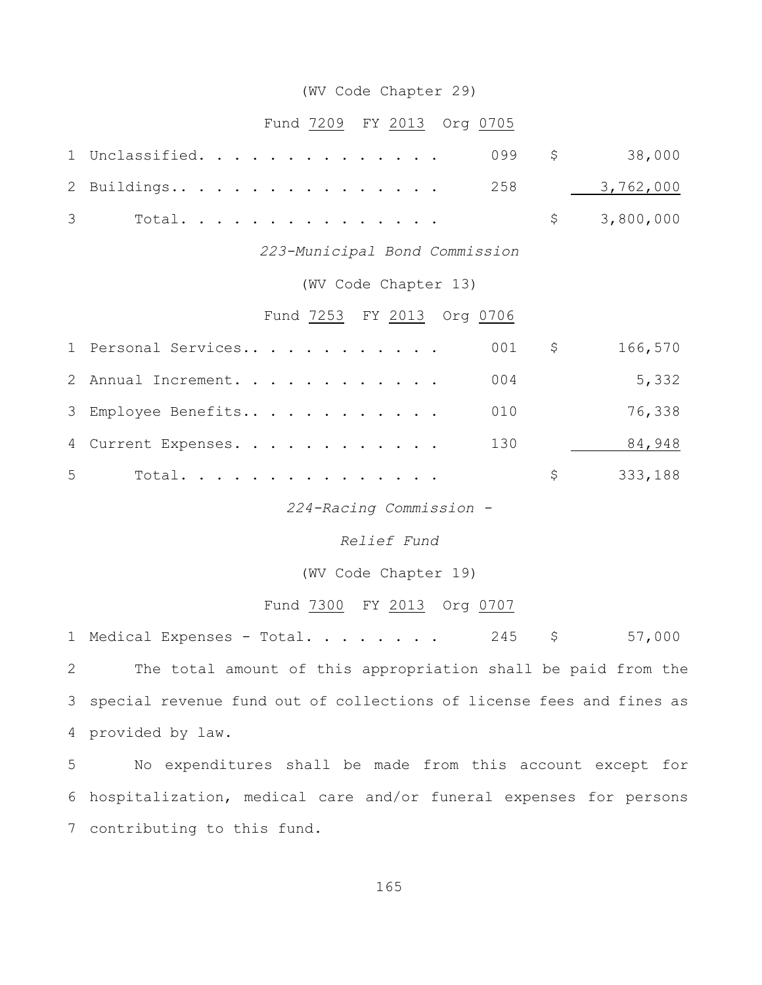## (WV Code Chapter 29)

## Fund 7209 FY 2013 Org 0705

| 1 Unclassified. 099 \$ 38,000 |  |  |  |  |  |  |  |  |             |
|-------------------------------|--|--|--|--|--|--|--|--|-------------|
| 2 Buildings 258 3,762,000     |  |  |  |  |  |  |  |  |             |
|                               |  |  |  |  |  |  |  |  | \$3,800,000 |

*223-Municipal Bond Commission*

## (WV Code Chapter 13)

## Fund 7253 FY 2013 Org 0706

|   | 1 Personal Services |  |  |  |  |  | 001 | S. | 166,570 |
|---|---------------------|--|--|--|--|--|-----|----|---------|
|   | 2 Annual Increment. |  |  |  |  |  | 004 |    | 5,332   |
|   | 3 Employee Benefits |  |  |  |  |  | 010 |    | 76,338  |
|   | 4 Current Expenses. |  |  |  |  |  | 130 |    | 84,948  |
| 5 | Total.              |  |  |  |  |  |     | S. | 333,188 |

*224-Racing Commission -*

#### *Relief Fund*

(WV Code Chapter 19)

## Fund 7300 FY 2013 Org 0707

1 Medical Expenses - Total. . . . . . . 245 \$ 57,000

2 The total amount of this appropriation shall be paid from the 3 special revenue fund out of collections of license fees and fines as 4 provided by law.

5 No expenditures shall be made from this account except for 6 hospitalization, medical care and/or funeral expenses for persons 7 contributing to this fund.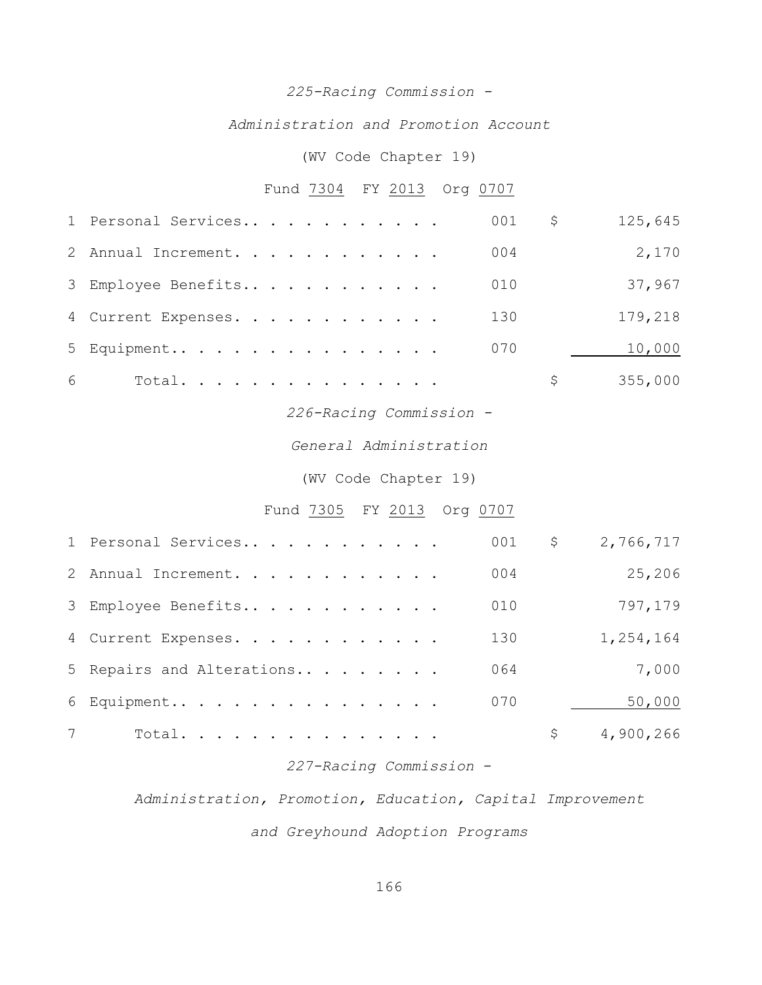# *225-Racing Commission -*

## *Administration and Promotion Account*

## (WV Code Chapter 19)

# Fund 7304 FY 2013 Org 0707

|   | 1 Personal Services |  |  |  |  |  | 001 | \$  | 125,645 |
|---|---------------------|--|--|--|--|--|-----|-----|---------|
|   | 2 Annual Increment. |  |  |  |  |  | 004 |     | 2,170   |
|   | 3 Employee Benefits |  |  |  |  |  | 010 |     | 37,967  |
|   | 4 Current Expenses. |  |  |  |  |  | 130 |     | 179,218 |
|   | 5 Equipment         |  |  |  |  |  | 070 |     | 10,000  |
| 6 | Total.              |  |  |  |  |  |     | \$. | 355,000 |

# *226-Racing Commission -*

# *General Administration*

## (WV Code Chapter 19)

## Fund 7305 FY 2013 Org 0707

| 1 Personal Services       | 001 | \$ | 2,766,717 |
|---------------------------|-----|----|-----------|
| 2 Annual Increment.       | 004 |    | 25,206    |
| 3 Employee Benefits       | 010 |    | 797,179   |
| 4 Current Expenses.       | 130 |    | 1,254,164 |
| 5 Repairs and Alterations | 064 |    | 7,000     |
| 6 Equipment               | 070 |    | 50,000    |
| Total.                    |     | S  | 4,900,266 |

## *227-Racing Commission* -

*Administration, Promotion, Education, Capital Improvement*

*and Greyhound Adoption Programs*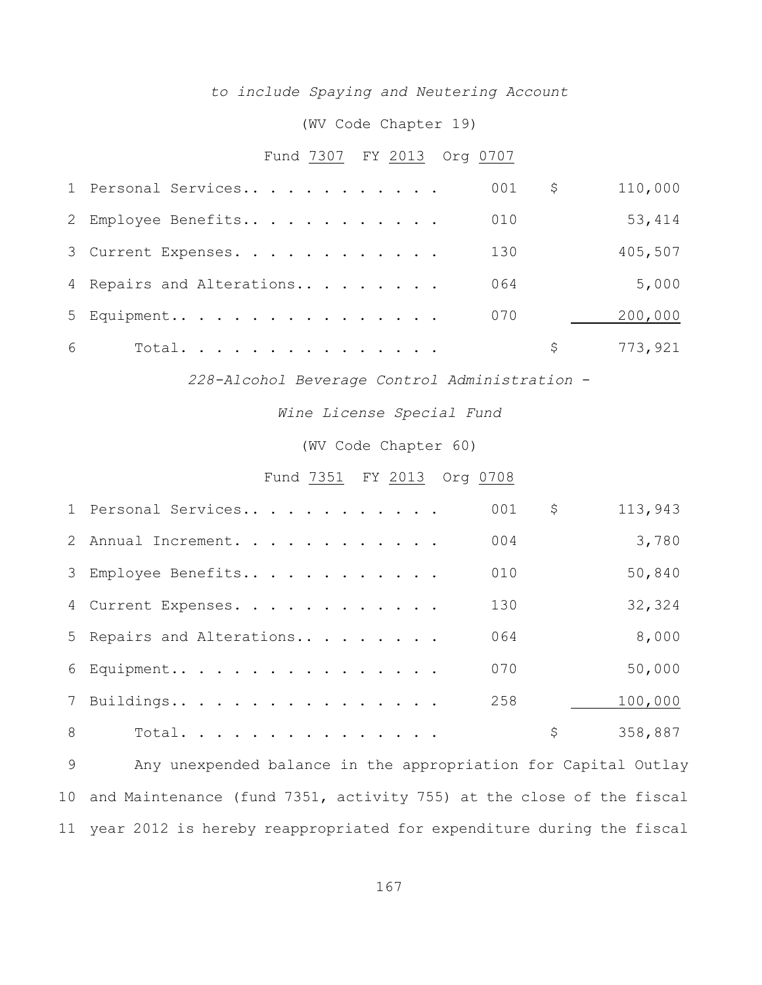## *to include Spaying and Neutering Account*

## (WV Code Chapter 19)

# Fund 7307 FY 2013 Org 0707

|   | 1 Personal Services       | 001 | S. | 110,000 |
|---|---------------------------|-----|----|---------|
|   | 2 Employee Benefits       | 010 |    | 53,414  |
|   | 3 Current Expenses.       | 130 |    | 405,507 |
|   | 4 Repairs and Alterations | 064 |    | 5,000   |
|   | 5 Equipment               | 070 |    | 200,000 |
| 6 | Total.                    |     | S. | 773,921 |

*228-Alcohol Beverage Control Administration* -

*Wine License Special Fund*

(WV Code Chapter 60)

#### Fund 7351 FY 2013 Org 0708

|   | 1 Personal Services       | 001 | \$<br>113,943 |
|---|---------------------------|-----|---------------|
|   | 2 Annual Increment.       | 004 | 3,780         |
|   | 3 Employee Benefits       | 010 | 50,840        |
|   | 4 Current Expenses.       | 130 | 32,324        |
|   | 5 Repairs and Alterations | 064 | 8,000         |
|   | 6 Equipment               | 070 | 50,000        |
|   | 7 Buildings               | 258 | 100,000       |
| 8 | Total.                    |     | \$<br>358,887 |

 Any unexpended balance in the appropriation for Capital Outlay and Maintenance (fund 7351, activity 755) at the close of the fiscal year 2012 is hereby reappropriated for expenditure during the fiscal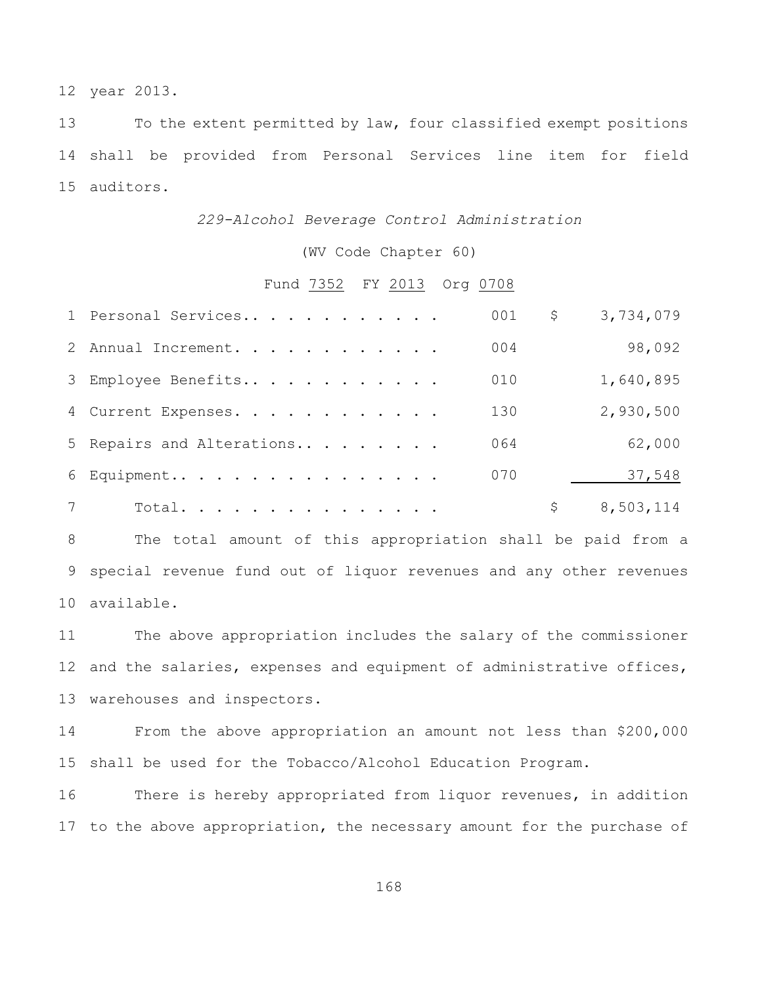year 2013.

 To the extent permitted by law, four classified exempt positions shall be provided from Personal Services line item for field auditors.

## *229-Alcohol Beverage Control Administration*

(WV Code Chapter 60)

## Fund 7352 FY 2013 Org 0708

|                | 1 Personal Services       | 001 | \$<br>3,734,079 |
|----------------|---------------------------|-----|-----------------|
|                | 2 Annual Increment.       | 004 | 98,092          |
|                | 3 Employee Benefits       | 010 | 1,640,895       |
|                | 4 Current Expenses.       | 130 | 2,930,500       |
|                | 5 Repairs and Alterations | 064 | 62,000          |
|                | 6 Equipment               | 070 | 37,548          |
| $7\phantom{0}$ | Total.                    |     | 8,503,114       |

 The total amount of this appropriation shall be paid from a special revenue fund out of liquor revenues and any other revenues available.

 The above appropriation includes the salary of the commissioner and the salaries, expenses and equipment of administrative offices, warehouses and inspectors.

 From the above appropriation an amount not less than \$200,000 shall be used for the Tobacco/Alcohol Education Program.

 There is hereby appropriated from liquor revenues, in addition to the above appropriation, the necessary amount for the purchase of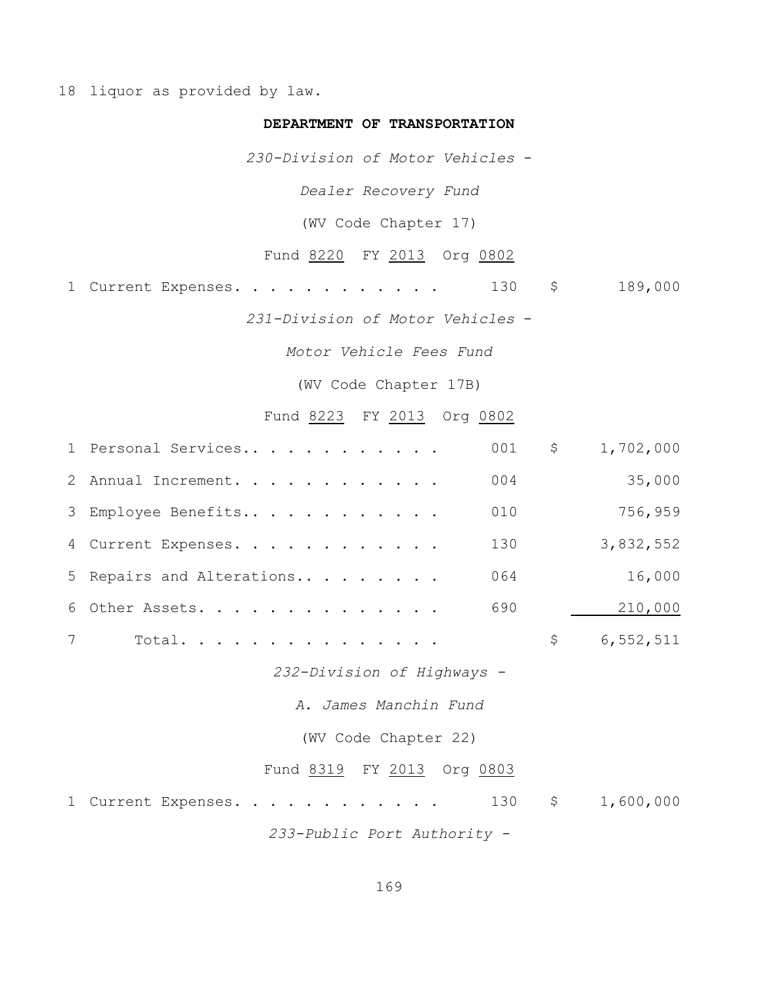18 liquor as provided by law.

## **DEPARTMENT OF TRANSPORTATION**

*230-Division of Motor Vehicles* -

*Dealer Recovery Fund*

(WV Code Chapter 17)

Fund 8220 FY 2013 Org 0802

1 Current Expenses. . . . . . . . . . . . 130 \$ 189,000

*231-Division of Motor Vehicles* -

*Motor Vehicle Fees Fund*

(WV Code Chapter 17B)

## Fund 8223 FY 2013 Org 0802

|   | 1 Personal Services              |             | 001 \$ 1,702,000 |  |  |  |  |  |  |  |  |  |  |
|---|----------------------------------|-------------|------------------|--|--|--|--|--|--|--|--|--|--|
|   | 004<br>2 Annual Increment.       |             | 35,000           |  |  |  |  |  |  |  |  |  |  |
|   | 010<br>3 Employee Benefits       |             | 756,959          |  |  |  |  |  |  |  |  |  |  |
|   | 130<br>4 Current Expenses.       |             | 3,832,552        |  |  |  |  |  |  |  |  |  |  |
|   | 064<br>5 Repairs and Alterations |             | 16,000           |  |  |  |  |  |  |  |  |  |  |
|   | 690<br>6 Other Assets.           |             | 210,000          |  |  |  |  |  |  |  |  |  |  |
| 7 | Total.                           | $\varsigma$ | 6,552,511        |  |  |  |  |  |  |  |  |  |  |
|   | 232-Division of Highways -       |             |                  |  |  |  |  |  |  |  |  |  |  |
|   | A. James Manchin Fund            |             |                  |  |  |  |  |  |  |  |  |  |  |
|   | (WV Code Chapter 22)             |             |                  |  |  |  |  |  |  |  |  |  |  |
|   | Fund 8319 FY 2013 Org 0803       |             |                  |  |  |  |  |  |  |  |  |  |  |

1 Current Expenses. . . . . . . . . . . . 130 \$ 1,600,000 *233-Public Port Authority -*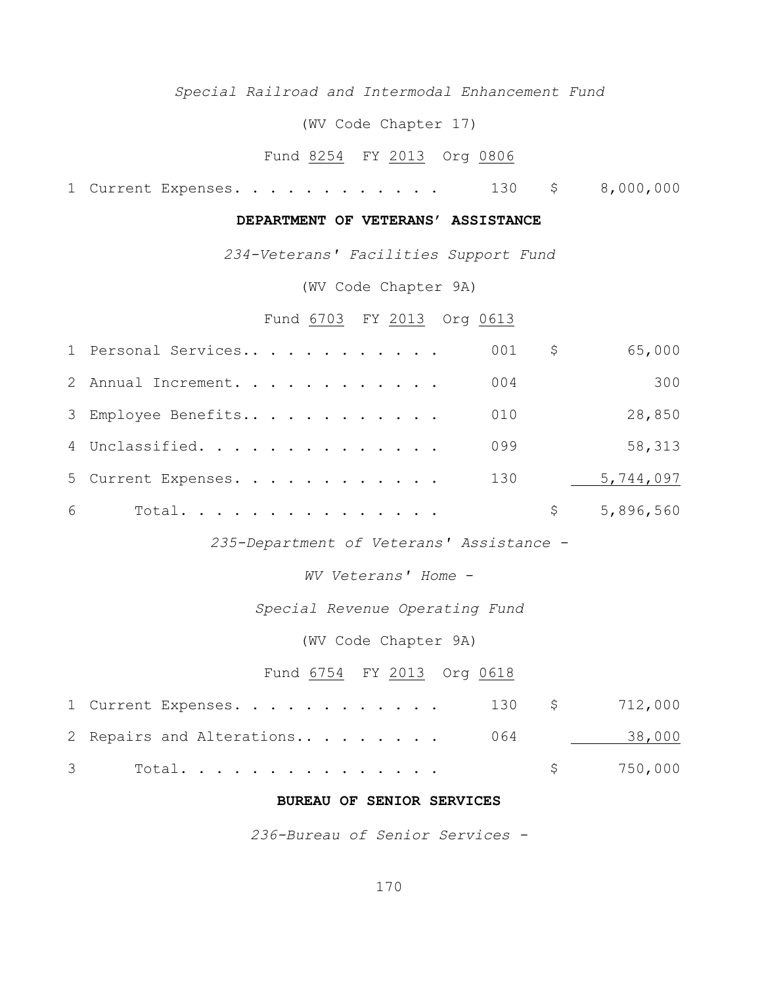## *Special Railroad and Intermodal Enhancement Fund*

(WV Code Chapter 17)

# Fund 8254 FY 2013 Org 0806

1 Current Expenses. . . . . . . . . . . . 130 \$ 8,000,000

## **DEPARTMENT OF VETERANS' ASSISTANCE**

*234-Veterans' Facilities Support Fund*

(WV Code Chapter 9A)

#### Fund 6703 FY 2013 Org 0613

|   | 1 Personal Services | 001 | Ş. | 65,000    |
|---|---------------------|-----|----|-----------|
|   | 2 Annual Increment. | 004 |    | 300       |
|   | 3 Employee Benefits | 010 |    | 28,850    |
|   | 4 Unclassified.     | 099 |    | 58,313    |
|   | 5 Current Expenses. | 130 |    | 5,744,097 |
| 6 | Total.              |     |    | 5,896,560 |

*235-Department of Veterans' Assistance -*

*WV Veterans' Home* -

## *Special Revenue Operating Fund*

## (WV Code Chapter 9A)

## Fund 6754 FY 2013 Org 0618

| 1 Current Expenses. 130 \$ 712,000 |  |           |
|------------------------------------|--|-----------|
| 2 Repairs and Alterations 064      |  | 38,000    |
| 3 Total.                           |  | \$750,000 |

#### **BUREAU OF SENIOR SERVICES**

*236-Bureau of Senior Services -*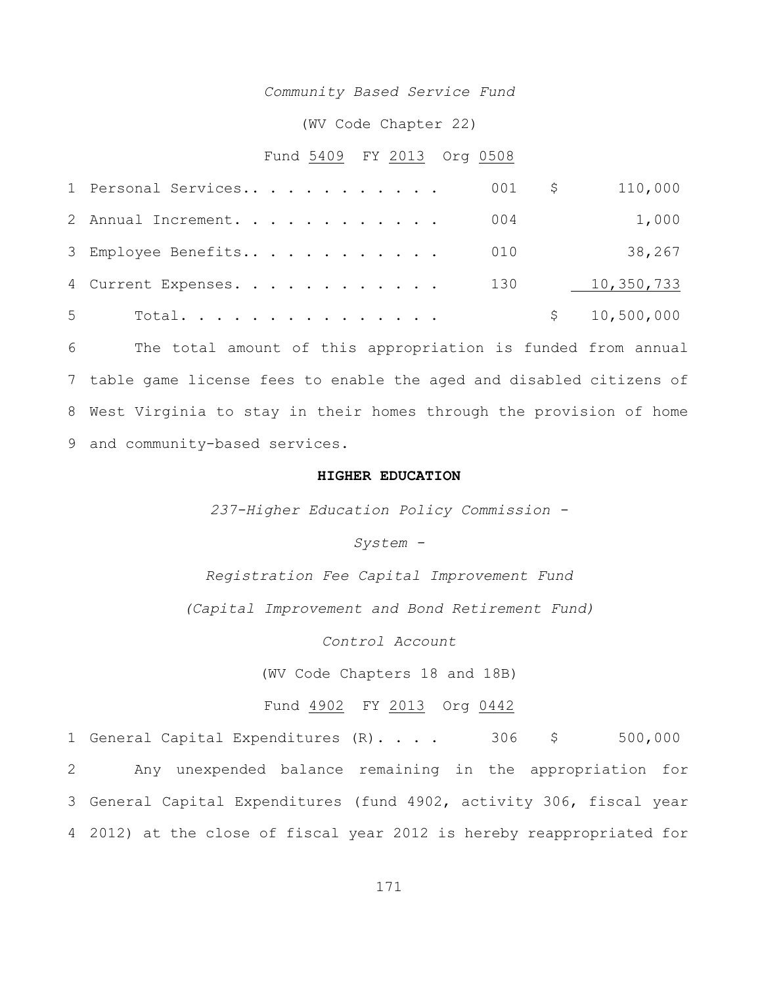#### *Community Based Service Fund*

(WV Code Chapter 22)

#### Fund 5409 FY 2013 Org 0508

|                | 1 Personal Services |  |  |  |  |  | 001 \$ | 110,000      |
|----------------|---------------------|--|--|--|--|--|--------|--------------|
|                | 2 Annual Increment. |  |  |  |  |  | 004    | 1,000        |
|                | 3 Employee Benefits |  |  |  |  |  | 010    | 38,267       |
|                | 4 Current Expenses. |  |  |  |  |  | 130    | 10,350,733   |
| 5 <sup>5</sup> | Total.              |  |  |  |  |  |        | \$10,500,000 |

 The total amount of this appropriation is funded from annual table game license fees to enable the aged and disabled citizens of West Virginia to stay in their homes through the provision of home and community-based services.

#### **HIGHER EDUCATION**

*237-Higher Education Policy Commission -*

*System -*

*Registration Fee Capital Improvement Fund*

*(Capital Improvement and Bond Retirement Fund)*

*Control Account*

(WV Code Chapters 18 and 18B)

## Fund 4902 FY 2013 Org 0442

1 General Capital Expenditures (R) . . . . 306 \$ 500,000 Any unexpended balance remaining in the appropriation for General Capital Expenditures (fund 4902, activity 306, fiscal year 2012) at the close of fiscal year 2012 is hereby reappropriated for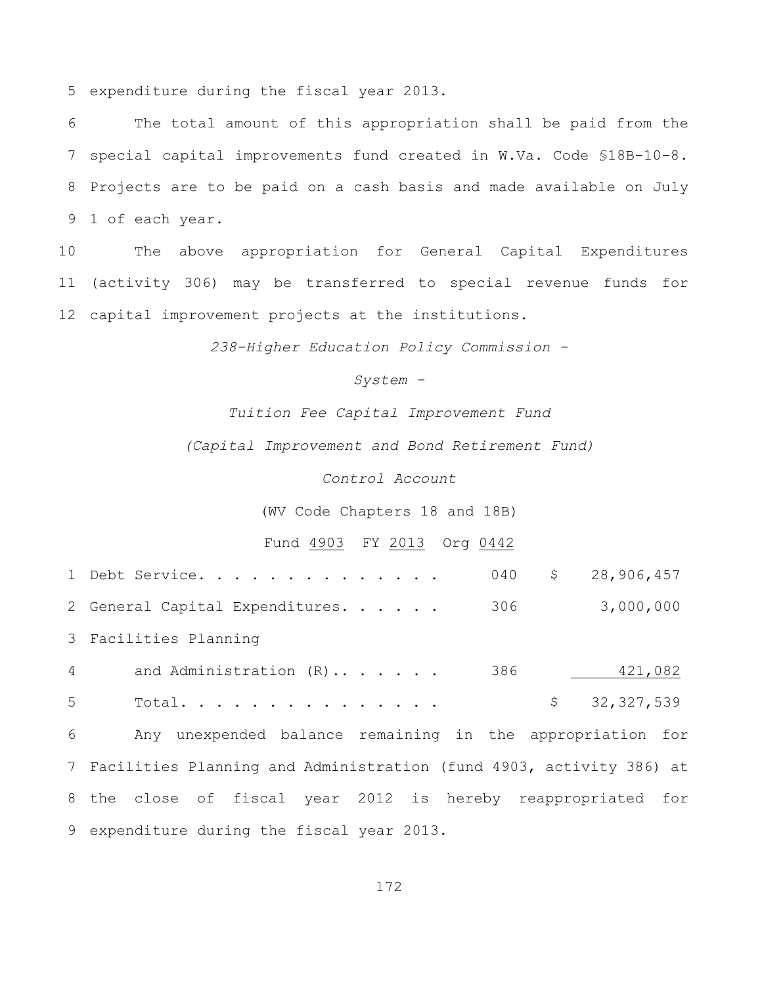expenditure during the fiscal year 2013.

 The total amount of this appropriation shall be paid from the special capital improvements fund created in W.Va. Code §18B-10-8. Projects are to be paid on a cash basis and made available on July 1 of each year.

 The above appropriation for General Capital Expenditures (activity 306) may be transferred to special revenue funds for capital improvement projects at the institutions.

*238-Higher Education Policy Commission -*

*System -*

*Tuition Fee Capital Improvement Fund*

*(Capital Improvement and Bond Retirement Fund)*

*Control Account*

(WV Code Chapters 18 and 18B)

## Fund 4903 FY 2013 Org 0442

|       | 040<br>\$28,906,457<br>1 Debt Service.                                |
|-------|-----------------------------------------------------------------------|
|       | 306<br>3,000,000<br>2 General Capital Expenditures.                   |
|       | 3 Facilities Planning                                                 |
| $4 -$ | 386<br>421,082<br>and Administration (R)                              |
| 5     | Total.<br>\$32,327,539                                                |
| 6     | Any unexpended balance remaining in the appropriation for             |
|       | 7 Facilities Planning and Administration (fund 4903, activity 386) at |
|       | 8 the close of fiscal year 2012 is hereby reappropriated for          |
|       | 9 expenditure during the fiscal year 2013.                            |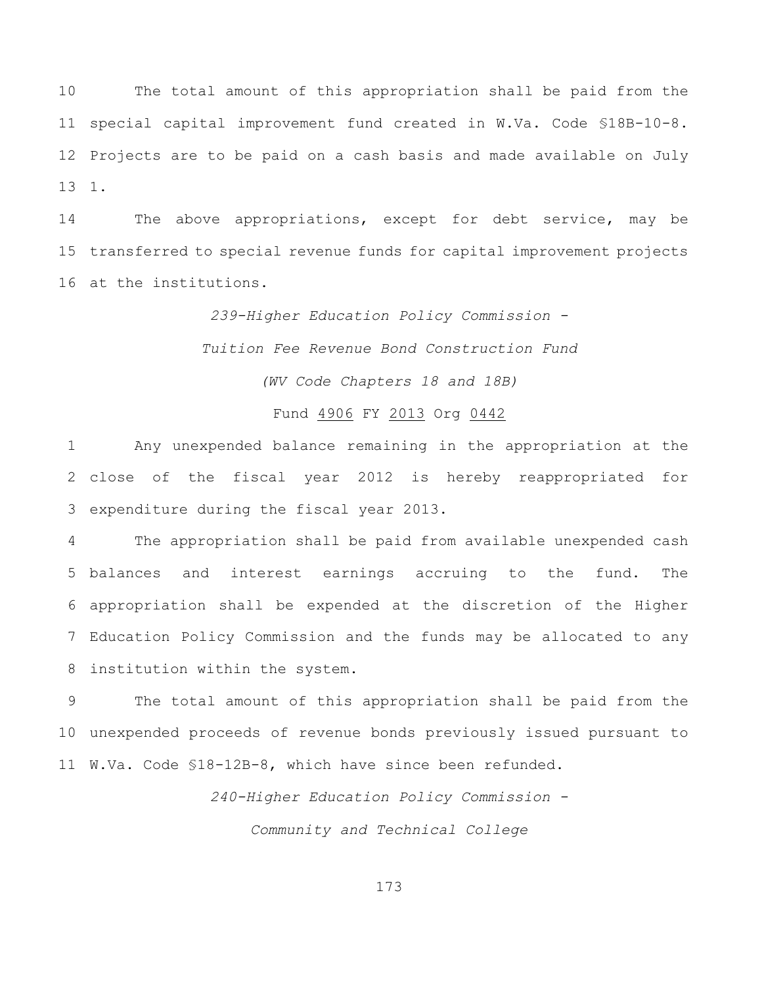The total amount of this appropriation shall be paid from the special capital improvement fund created in W.Va. Code §18B-10-8. Projects are to be paid on a cash basis and made available on July 1.

 The above appropriations, except for debt service, may be transferred to special revenue funds for capital improvement projects at the institutions.

> *239-Higher Education Policy Commission - Tuition Fee Revenue Bond Construction Fund (WV Code Chapters 18 and 18B)*

#### Fund 4906 FY 2013 Org 0442

 Any unexpended balance remaining in the appropriation at the close of the fiscal year 2012 is hereby reappropriated for expenditure during the fiscal year 2013.

 The appropriation shall be paid from available unexpended cash balances and interest earnings accruing to the fund. The appropriation shall be expended at the discretion of the Higher Education Policy Commission and the funds may be allocated to any institution within the system.

 The total amount of this appropriation shall be paid from the unexpended proceeds of revenue bonds previously issued pursuant to W.Va. Code §18-12B-8, which have since been refunded.

> *240-Higher Education Policy Commission - Community and Technical College*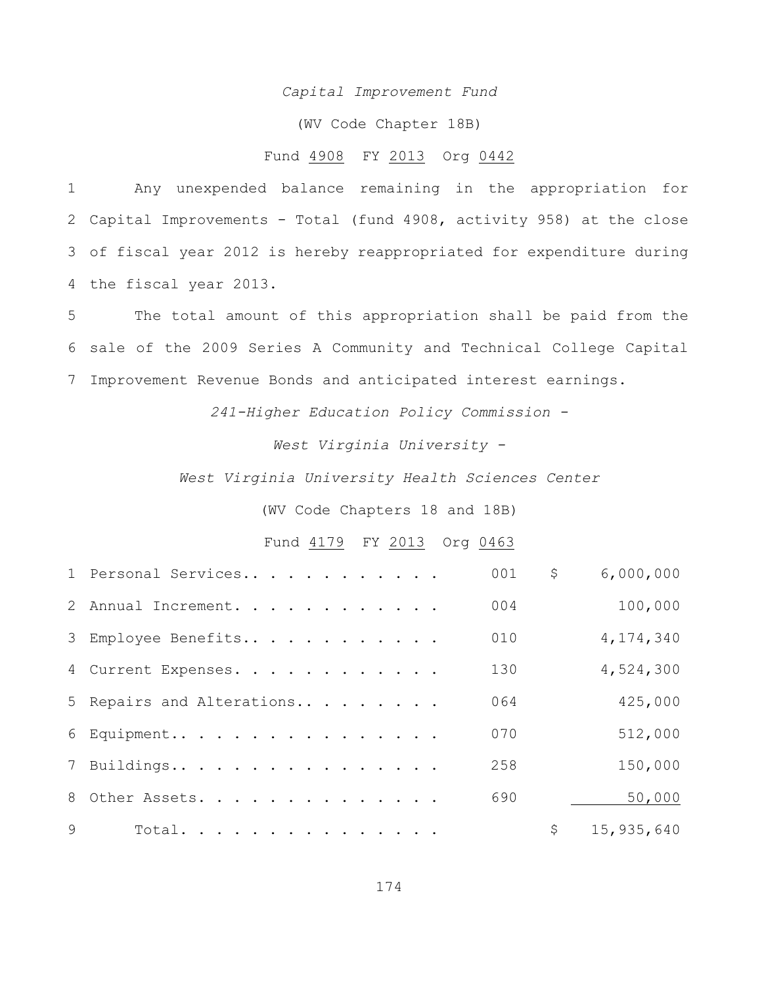#### *Capital Improvement Fund*

(WV Code Chapter 18B)

#### Fund 4908 FY 2013 Org 0442

 Any unexpended balance remaining in the appropriation for Capital Improvements - Total (fund 4908, activity 958) at the close of fiscal year 2012 is hereby reappropriated for expenditure during the fiscal year 2013.

 The total amount of this appropriation shall be paid from the sale of the 2009 Series A Community and Technical College Capital Improvement Revenue Bonds and anticipated interest earnings.

*241-Higher Education Policy Commission -*

*West Virginia University -*

*West Virginia University Health Sciences Center*

(WV Code Chapters 18 and 18B)

Fund 4179 FY 2013 Org 0463

|              | 1 Personal Services       | 001 | \$<br>6,000,000  |
|--------------|---------------------------|-----|------------------|
|              | 2 Annual Increment.       | 004 | 100,000          |
|              | 3 Employee Benefits       | 010 | 4,174,340        |
|              | 4 Current Expenses.       | 130 | 4,524,300        |
|              | 5 Repairs and Alterations | 064 | 425,000          |
|              | 6 Equipment               | 070 | 512,000          |
|              | 7 Buildings               | 258 | 150,000          |
|              | 8 Other Assets.           | 690 | 50,000           |
| $\mathsf{Q}$ | Total.                    |     | \$<br>15,935,640 |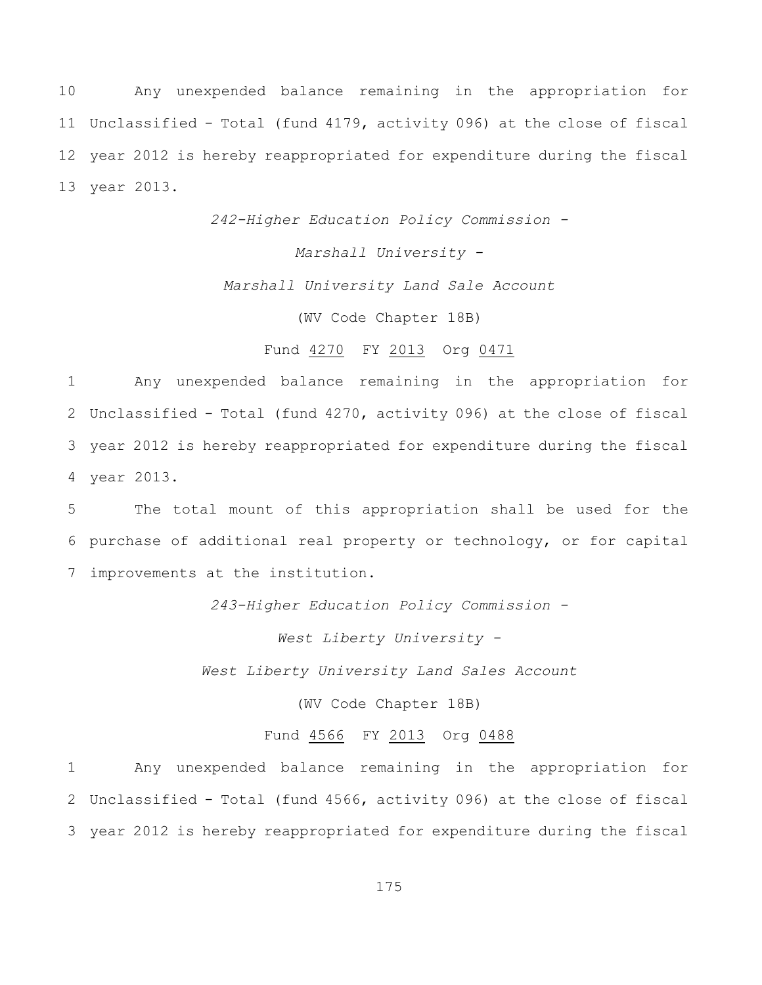Any unexpended balance remaining in the appropriation for Unclassified - Total (fund 4179, activity 096) at the close of fiscal year 2012 is hereby reappropriated for expenditure during the fiscal year 2013.

*242-Higher Education Policy Commission -*

*Marshall University -*

*Marshall University Land Sale Account*

(WV Code Chapter 18B)

## Fund 4270 FY 2013 Org 0471

 Any unexpended balance remaining in the appropriation for Unclassified - Total (fund 4270, activity 096) at the close of fiscal year 2012 is hereby reappropriated for expenditure during the fiscal year 2013.

5 The total mount of this appropriation shall be used for the 6 purchase of additional real property or technology, or for capital 7 improvements at the institution.

*243-Higher Education Policy Commission -*

*West Liberty University -*

*West Liberty University Land Sales Account*

(WV Code Chapter 18B)

#### Fund 4566 FY 2013 Org 0488

1 Any unexpended balance remaining in the appropriation for 2 Unclassified - Total (fund 4566, activity 096) at the close of fiscal 3 year 2012 is hereby reappropriated for expenditure during the fiscal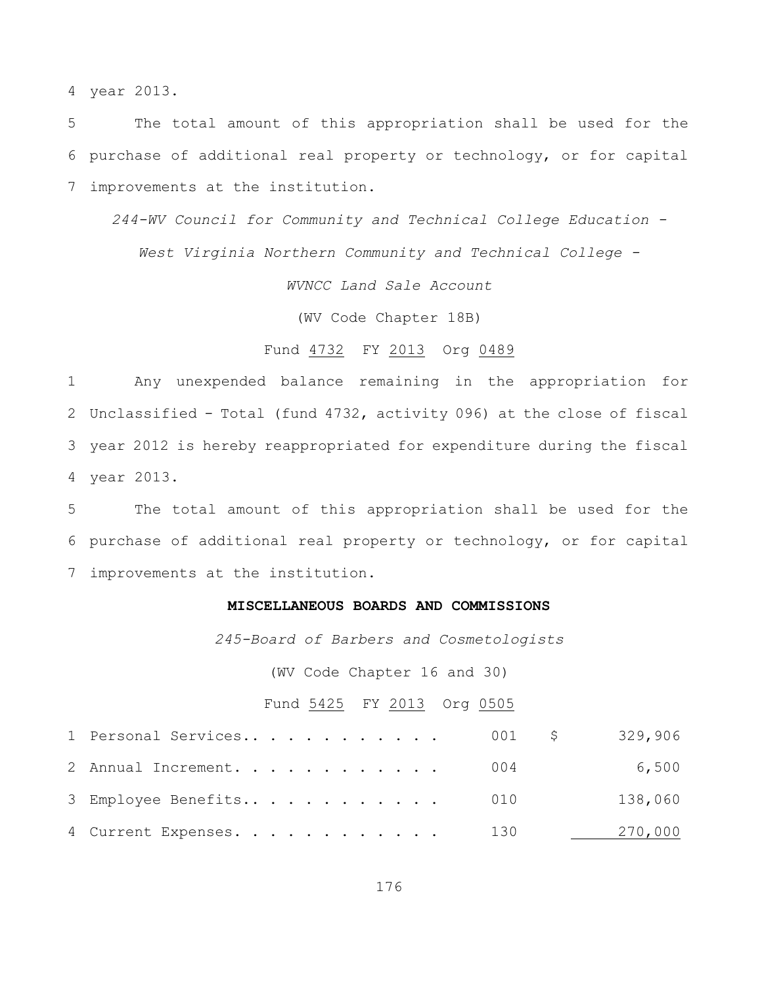year 2013.

 The total amount of this appropriation shall be used for the purchase of additional real property or technology, or for capital improvements at the institution.

*244-WV Council for Community and Technical College Education -*

*West Virginia Northern Community and Technical College -*

*WVNCC Land Sale Account*

(WV Code Chapter 18B)

## Fund 4732 FY 2013 Org 0489

 Any unexpended balance remaining in the appropriation for Unclassified - Total (fund 4732, activity 096) at the close of fiscal year 2012 is hereby reappropriated for expenditure during the fiscal year 2013.

 The total amount of this appropriation shall be used for the purchase of additional real property or technology, or for capital improvements at the institution.

#### **MISCELLANEOUS BOARDS AND COMMISSIONS**

*245-Board of Barbers and Cosmetologists*

(WV Code Chapter 16 and 30)

## Fund 5425 FY 2013 Org 0505

| 1 Personal Services     | 001 \$ | 329,906 |
|-------------------------|--------|---------|
| 2 Annual Increment. 004 |        | 6,500   |
| 3 Employee Benefits 010 |        | 138,060 |
| 4 Current Expenses. 130 |        | 270,000 |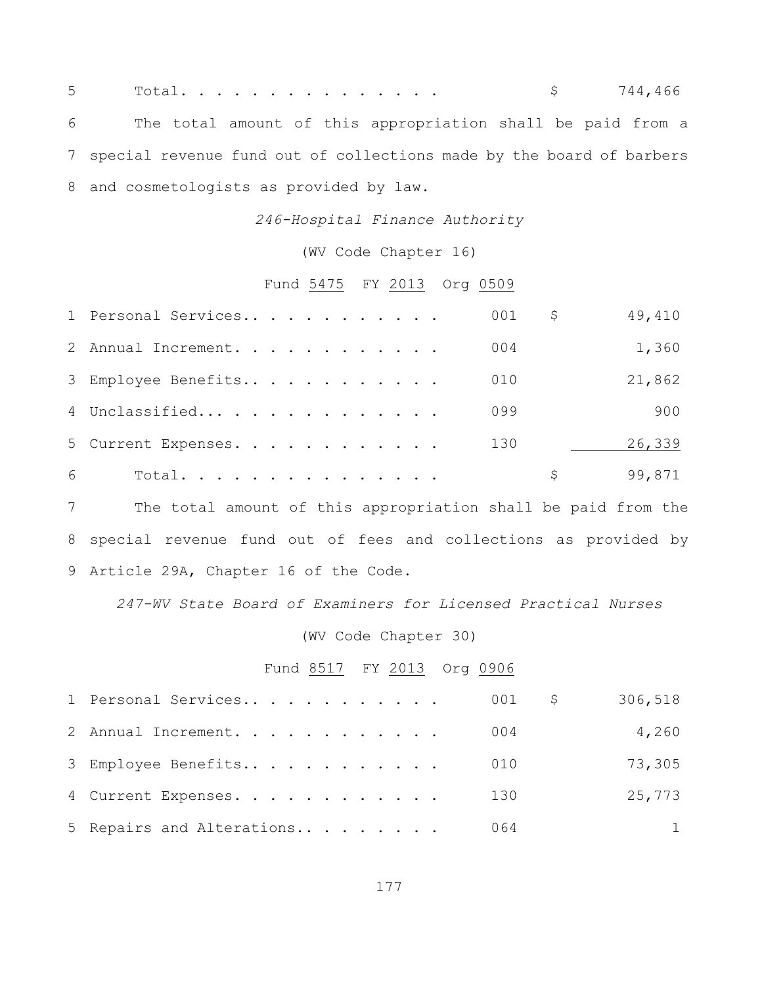5 Total............... \$ 744,466 The total amount of this appropriation shall be paid from a special revenue fund out of collections made by the board of barbers and cosmetologists as provided by law.

*246-Hospital Finance Authority*

(WV Code Chapter 16)

## Fund 5475 FY 2013 Org 0509

|   | 1 Personal Services |  |  |  |  |  | 001 | \$. | 49,410 |
|---|---------------------|--|--|--|--|--|-----|-----|--------|
|   | 2 Annual Increment. |  |  |  |  |  | 004 |     | 1,360  |
|   | 3 Employee Benefits |  |  |  |  |  | 010 |     | 21,862 |
|   | 4 Unclassified      |  |  |  |  |  | 099 |     | 900    |
|   | 5 Current Expenses. |  |  |  |  |  | 130 |     | 26,339 |
| 6 | Total.              |  |  |  |  |  |     | S.  | 99,871 |

 The total amount of this appropriation shall be paid from the special revenue fund out of fees and collections as provided by Article 29A, Chapter 16 of the Code.

*247-WV State Board of Examiners for Licensed Practical Nurses*

## (WV Code Chapter 30)

## Fund 8517 FY 2013 Org 0906

| 1 Personal Services       | 001 | 306,518<br>$\mathcal{S}$ |
|---------------------------|-----|--------------------------|
| 2 Annual Increment.       | 004 | 4,260                    |
| 3 Employee Benefits       | 010 | 73,305                   |
| 4 Current Expenses.       | 130 | 25,773                   |
| 5 Repairs and Alterations | 064 | 1                        |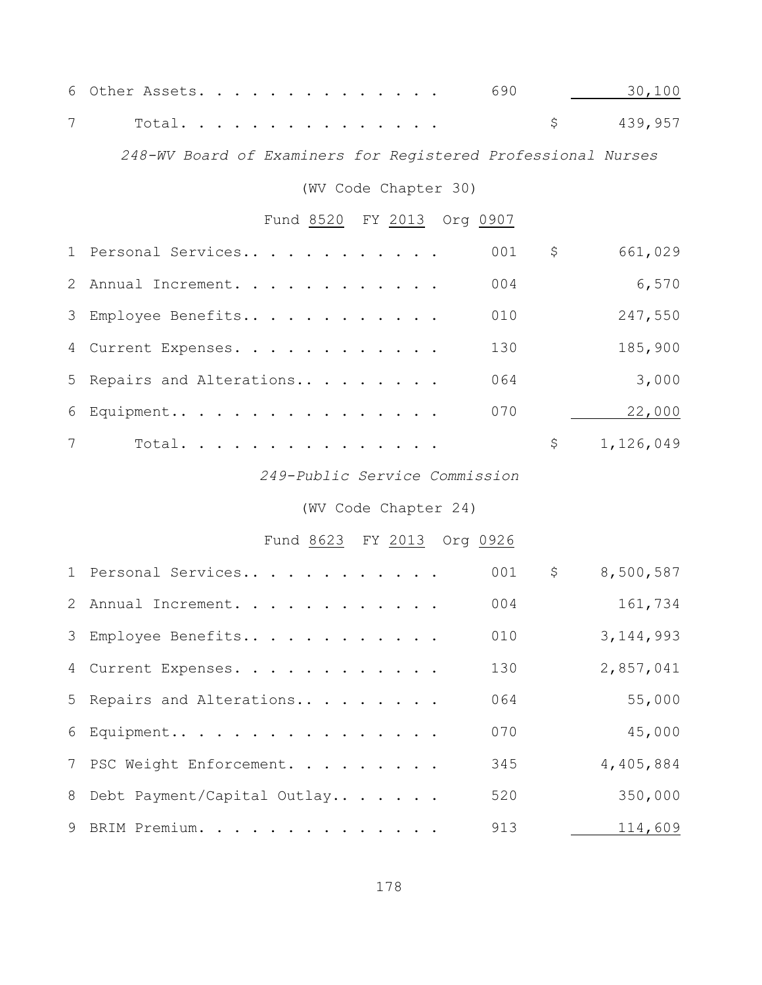| 6 Other Assets. 690 30,100 |  |  |  |  |  |  |  |            |
|----------------------------|--|--|--|--|--|--|--|------------|
| 7 Total                    |  |  |  |  |  |  |  | \$ 439,957 |

*248-WV Board of Examiners for Registered Professional Nurses*

(WV Code Chapter 30)

# Fund 8520 FY 2013 Org 0907

|                 | 1 Personal Services       | 001 | \$  | 661,029   |
|-----------------|---------------------------|-----|-----|-----------|
|                 | 2 Annual Increment.       | 004 |     | 6,570     |
|                 | 3 Employee Benefits       | 010 |     | 247,550   |
|                 | 4 Current Expenses.       | 130 |     | 185,900   |
|                 | 5 Repairs and Alterations | 064 |     | 3,000     |
|                 | 6 Equipment               | 070 |     | 22,000    |
| $7\overline{ }$ | Total.                    |     | \$. | 1,126,049 |

## *249-Public Service Commission*

# (WV Code Chapter 24)

# Fund 8623 FY 2013 Org 0926

| 1 Personal Services           | 001 | $\mathsf{S}$ | 8,500,587   |
|-------------------------------|-----|--------------|-------------|
| 2 Annual Increment.           | 004 |              | 161,734     |
| 3 Employee Benefits           | 010 |              | 3, 144, 993 |
| 4 Current Expenses.           | 130 |              | 2,857,041   |
| 5 Repairs and Alterations     | 064 |              | 55,000      |
| 6 Equipment                   | 070 |              | 45,000      |
| 7 PSC Weight Enforcement.     | 345 |              | 4,405,884   |
| 8 Debt Payment/Capital Outlay | 520 |              | 350,000     |
| 9 BRIM Premium.               | 913 |              | 114,609     |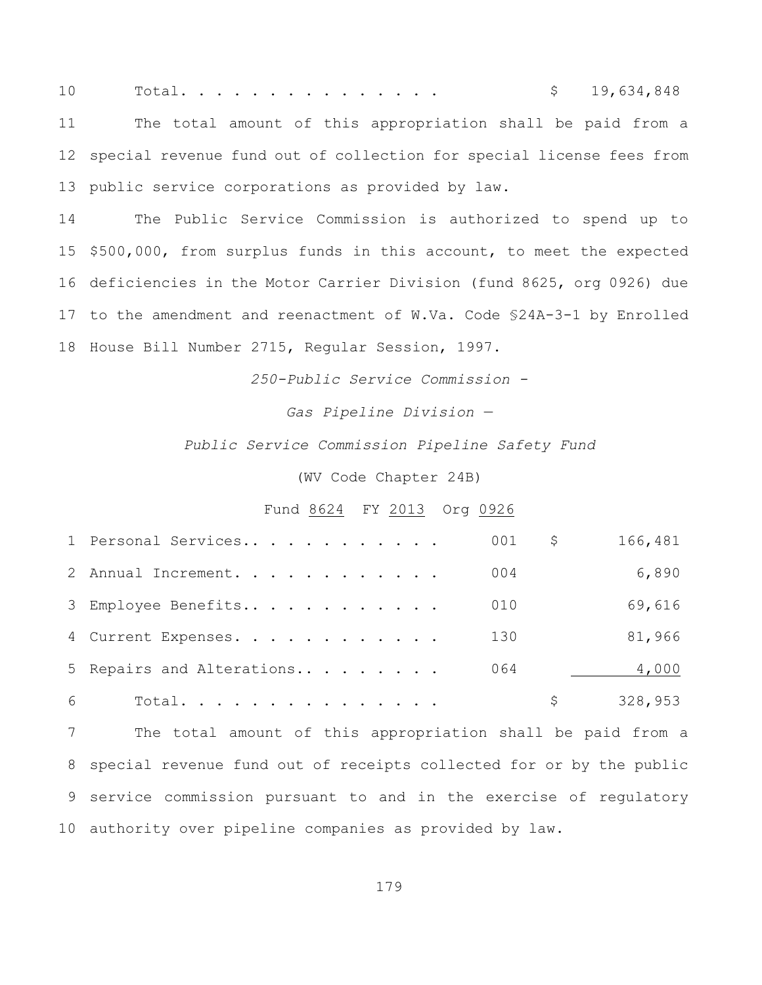Total. . . . . . . . . . . . . . . \$ 19,634,848 The total amount of this appropriation shall be paid from a special revenue fund out of collection for special license fees from public service corporations as provided by law.

 The Public Service Commission is authorized to spend up to \$500,000, from surplus funds in this account, to meet the expected deficiencies in the Motor Carrier Division (fund 8625, org 0926) due to the amendment and reenactment of W.Va. Code §24A-3-1 by Enrolled House Bill Number 2715, Regular Session, 1997.

*250-Public Service Commission -*

*Gas Pipeline Division —*

*Public Service Commission Pipeline Safety Fund*

(WV Code Chapter 24B)

#### Fund 8624 FY 2013 Org 0926

|   | 1 Personal Services       | 001 | \$. | 166,481 |
|---|---------------------------|-----|-----|---------|
|   | 2 Annual Increment.       | 004 |     | 6,890   |
|   | 3 Employee Benefits       | 010 |     | 69,616  |
|   | 4 Current Expenses.       | 130 |     | 81,966  |
|   | 5 Repairs and Alterations | 064 |     | 4,000   |
| 6 | Total.                    |     |     | 328,953 |

 The total amount of this appropriation shall be paid from a special revenue fund out of receipts collected for or by the public service commission pursuant to and in the exercise of regulatory authority over pipeline companies as provided by law.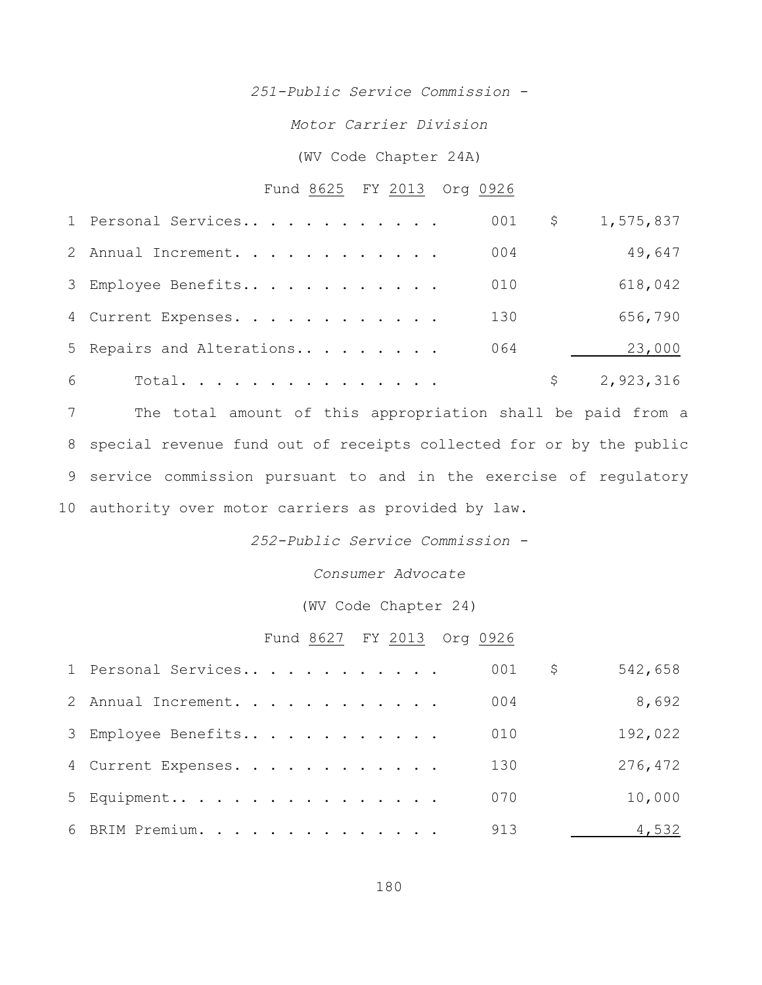*251-Public Service Commission -*

*Motor Carrier Division*

## (WV Code Chapter 24A)

# Fund 8625 FY 2013 Org 0926

|   | 1 Personal Services       | 001 | $\mathsf{S}$ | 1,575,837 |
|---|---------------------------|-----|--------------|-----------|
|   | 2 Annual Increment.       | 004 |              | 49,647    |
|   | 3 Employee Benefits       | 010 |              | 618,042   |
|   | 4 Current Expenses.       | 130 |              | 656,790   |
|   | 5 Repairs and Alterations | 064 |              | 23,000    |
| 6 | Total.                    |     |              | 2,923,316 |

 The total amount of this appropriation shall be paid from a special revenue fund out of receipts collected for or by the public service commission pursuant to and in the exercise of regulatory authority over motor carriers as provided by law.

*252-Public Service Commission -*

*Consumer Advocate*

(WV Code Chapter 24)

# Fund 8627 FY 2013 Org 0926

| 1 Personal Services | 001<br>\$. | 542,658 |
|---------------------|------------|---------|
| 2 Annual Increment. | 004        | 8,692   |
| 3 Employee Benefits | 010        | 192,022 |
| 4 Current Expenses. | 130        | 276,472 |
| 5 Equipment         | 070        | 10,000  |
| 6 BRIM Premium.     | 913        | 4,532   |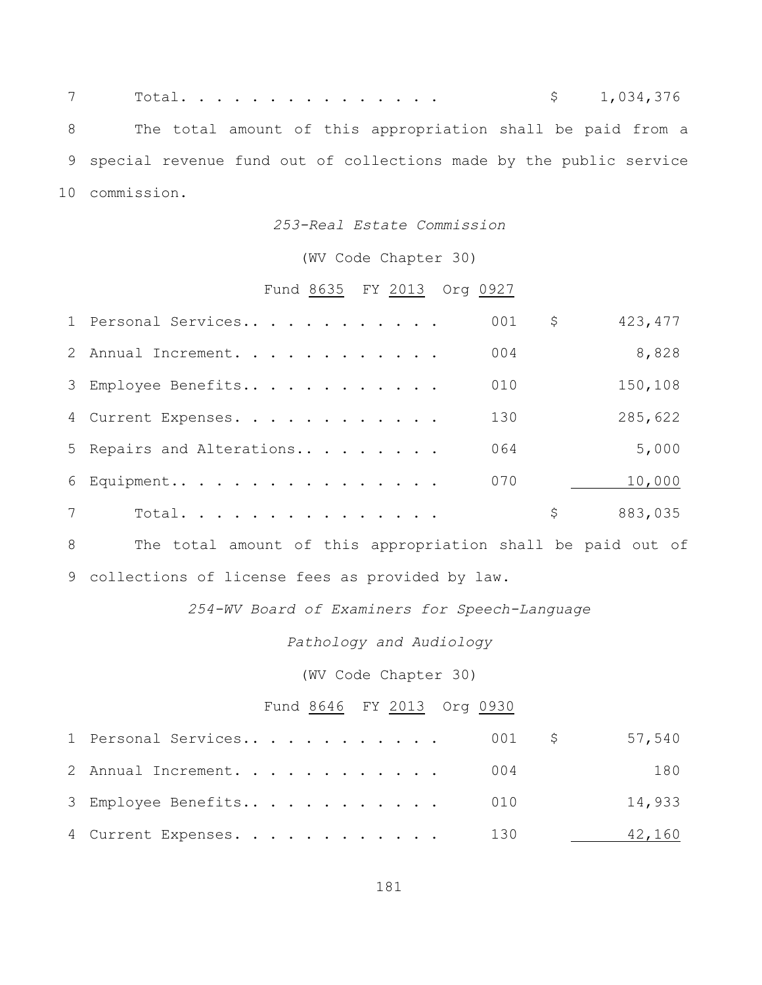| 7 |                                                                      | Total. $\blacksquare$                                       | \$1,034,376 |
|---|----------------------------------------------------------------------|-------------------------------------------------------------|-------------|
|   | 8                                                                    | The total amount of this appropriation shall be paid from a |             |
|   | 9 special revenue fund out of collections made by the public service |                                                             |             |
|   | 10 commission.                                                       |                                                             |             |

### *253-Real Estate Commission*

## (WV Code Chapter 30)

# Fund 8635 FY 2013 Org 0927

|   | 1 Personal Services       | 001 | \$<br>423, 477 |
|---|---------------------------|-----|----------------|
|   | 2 Annual Increment.       | 004 | 8,828          |
|   | 3 Employee Benefits       | 010 | 150,108        |
|   | 4 Current Expenses.       | 130 | 285,622        |
|   | 5 Repairs and Alterations | 064 | 5,000          |
|   | 6 Equipment               | 070 | 10,000         |
| 7 | Total.                    |     | \$<br>883,035  |

 The total amount of this appropriation shall be paid out of collections of license fees as provided by law.

## *254-WV Board of Examiners for Speech-Language*

## *Pathology and Audiology*

(WV Code Chapter 30)

# Fund 8646 FY 2013 Org 0930

| 2 Annual Increment. 004 | 180    |
|-------------------------|--------|
| 3 Employee Benefits 010 | 14,933 |
| 4 Current Expenses. 130 | 42,160 |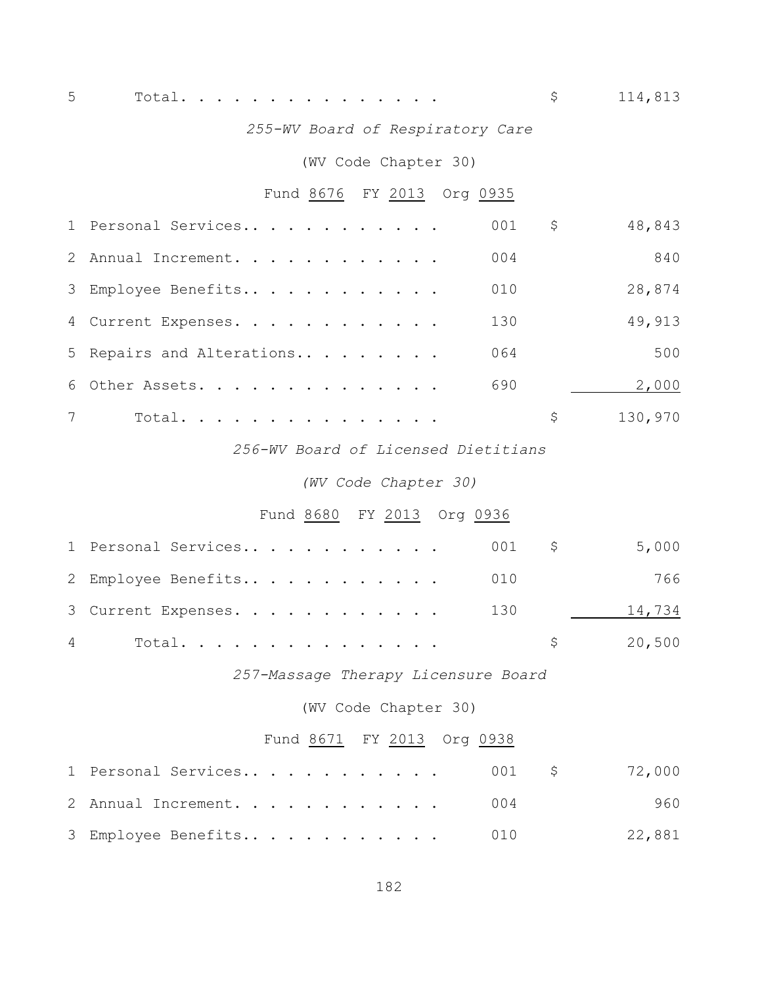Total. . . . . . . . . . . . . . . \$ 114,813

## *255-WV Board of Respiratory Care*

## (WV Code Chapter 30)

# Fund 8676 FY 2013 Org 0935

|                | 1 Personal Services       | 001              | \$  | 48,843  |
|----------------|---------------------------|------------------|-----|---------|
|                | 2 Annual Increment.       | 0 <sub>0</sub> 4 |     | 840     |
|                | 3 Employee Benefits       | 010              |     | 28,874  |
|                | 4 Current Expenses.       | 130              |     | 49,913  |
|                | 5 Repairs and Alterations | 064              |     | 500     |
|                | 6 Other Assets.           | 690              |     | 2,000   |
| $7\phantom{0}$ | Total.                    |                  | \$. | 130,970 |

## *256-WV Board of Licensed Dietitians*

## *(WV Code Chapter 30)*

# Fund 8680 FY 2013 Org 0936

| 1 Personal Services 001 \$ |                      | 5,000  |
|----------------------------|----------------------|--------|
| 2 Employee Benefits 010    |                      | 766    |
| 3 Current Expenses. 130    |                      | 14,734 |
| 4 Total                    | $\frac{1}{20}$ , 500 |        |

*257-Massage Therapy Licensure Board*

(WV Code Chapter 30)

# Fund 8671 FY 2013 Org 0938

| 1 Personal Services 001 \$ 72,000 |  |        |
|-----------------------------------|--|--------|
| 2 Annual Increment. 004           |  | 960    |
| 3 Employee Benefits 010           |  | 22,881 |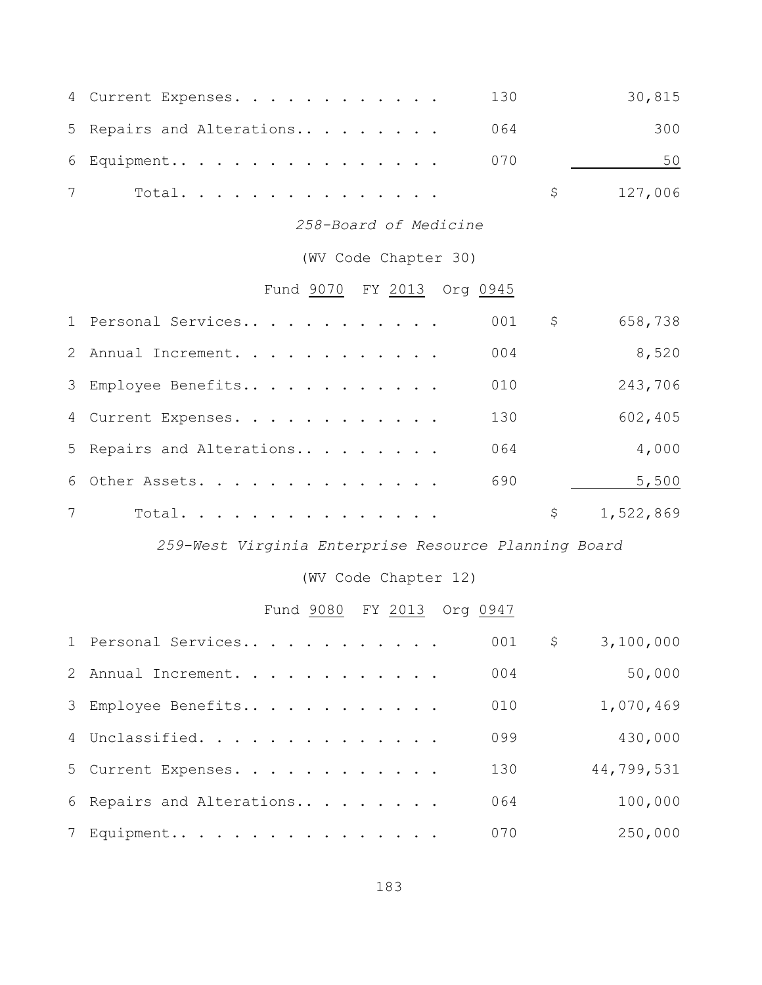| 4 Current Expenses.           | 130 | 30,815    |
|-------------------------------|-----|-----------|
| 5 Repairs and Alterations 064 |     | 300       |
| 6 Equipment 070               |     | 50        |
| Total.                        |     | \$127,006 |

*258-Board of Medicine*

(WV Code Chapter 30)

# Fund 9070 FY 2013 Org 0945

|                | 1 Personal Services       | 001 | \$ | 658,738   |
|----------------|---------------------------|-----|----|-----------|
|                | 2 Annual Increment.       | 004 |    | 8,520     |
|                | 3 Employee Benefits       | 010 |    | 243,706   |
|                | 4 Current Expenses.       | 130 |    | 602,405   |
|                | 5 Repairs and Alterations | 064 |    | 4,000     |
|                | 6 Other Assets.           | 690 |    | 5,500     |
| $7\phantom{0}$ | Total.                    |     | S  | 1,522,869 |

*259-West Virginia Enterprise Resource Planning Board*

(WV Code Chapter 12)

# Fund 9080 FY 2013 Org 0947

| 1 Personal Services       | 001 | \$<br>3,100,000 |
|---------------------------|-----|-----------------|
| 2 Annual Increment.       | 004 | 50,000          |
| 3 Employee Benefits       | 010 | 1,070,469       |
| 4 Unclassified.           | 099 | 430,000         |
| 5 Current Expenses.       | 130 | 44,799,531      |
| 6 Repairs and Alterations | 064 | 100,000         |
| 7 Equipment               | 070 | 250,000         |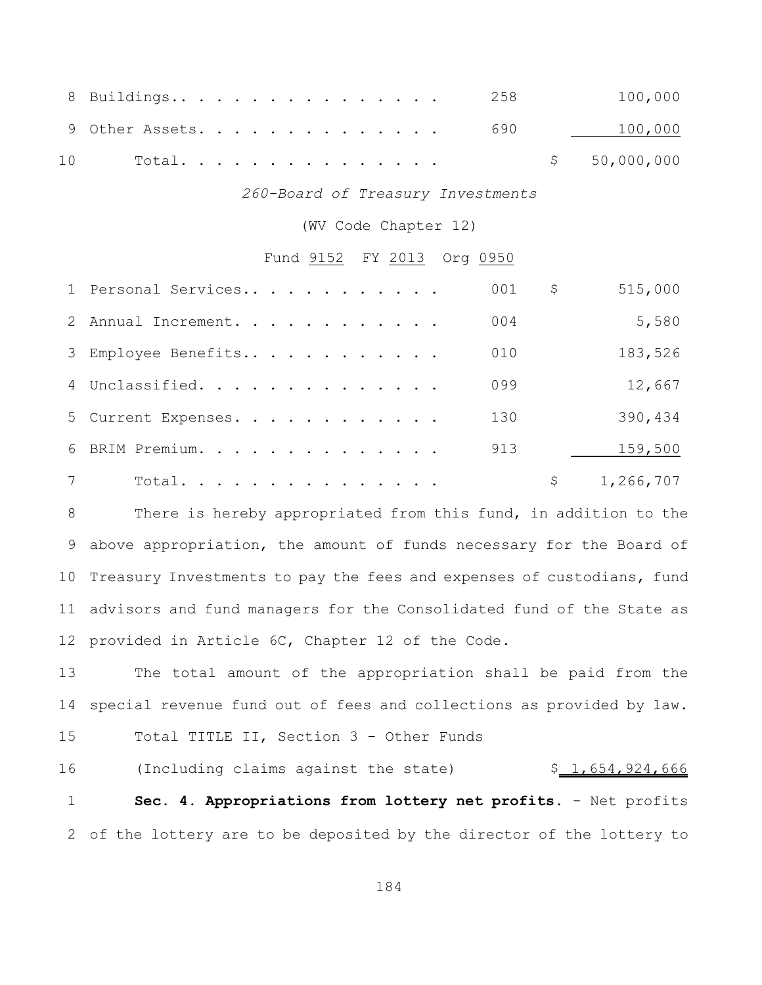|    | 8 Buildings 258            |  |  |  |  |  |  |  | 100,000      |
|----|----------------------------|--|--|--|--|--|--|--|--------------|
|    | $9$ Other Assets. 690 $\,$ |  |  |  |  |  |  |  | 100,000      |
| 10 | Total.                     |  |  |  |  |  |  |  | \$50,000,000 |

*260-Board of Treasury Investments*

(WV Code Chapter 12)

## Fund 9152 FY 2013 Org 0950

| 1 Personal Services | 001 | \$<br>515,000 |
|---------------------|-----|---------------|
| 2 Annual Increment. | 004 | 5,580         |
| 3 Employee Benefits | 010 | 183,526       |
| 4 Unclassified.     | 099 | 12,667        |
| 5 Current Expenses. | 130 | 390,434       |
| 6 BRIM Premium.     | 913 | 159,500       |
| Total.              |     | 1,266,707     |

 There is hereby appropriated from this fund, in addition to the 9 above appropriation, the amount of funds necessary for the Board of Treasury Investments to pay the fees and expenses of custodians, fund advisors and fund managers for the Consolidated fund of the State as provided in Article 6C, Chapter 12 of the Code.

 The total amount of the appropriation shall be paid from the special revenue fund out of fees and collections as provided by law.

Total TITLE II, Section 3 - Other Funds

16 (Including claims against the state)  $$1,654,924,666$  **Sec. 4. Appropriations from lottery net profits.** - Net profits of the lottery are to be deposited by the director of the lottery to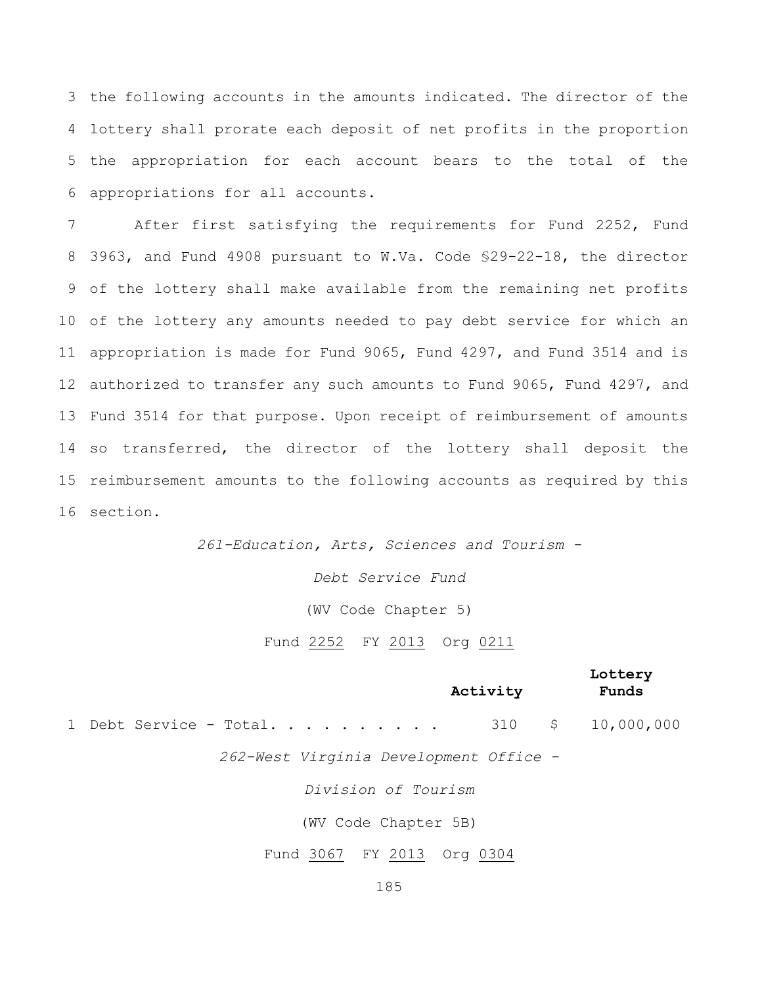the following accounts in the amounts indicated. The director of the lottery shall prorate each deposit of net profits in the proportion the appropriation for each account bears to the total of the appropriations for all accounts.

 After first satisfying the requirements for Fund 2252, Fund 3963, and Fund 4908 pursuant to W.Va. Code §29-22-18, the director of the lottery shall make available from the remaining net profits of the lottery any amounts needed to pay debt service for which an appropriation is made for Fund 9065, Fund 4297, and Fund 3514 and is authorized to transfer any such amounts to Fund 9065, Fund 4297, and Fund 3514 for that purpose. Upon receipt of reimbursement of amounts so transferred, the director of the lottery shall deposit the reimbursement amounts to the following accounts as required by this section.

> *261-Education, Arts, Sciences and Tourism - Debt Service Fund* (WV Code Chapter 5) Fund 2252 FY 2013 Org 0211

> > **Lottery**

| Activity                                 |  | <b>TOCCETA</b><br>Funds |
|------------------------------------------|--|-------------------------|
| 1 Debt Service - Total 310 \$ 10,000,000 |  |                         |
| 262-West Virginia Development Office -   |  |                         |
| Division of Tourism                      |  |                         |
| (WV Code Chapter 5B)                     |  |                         |
| Fund 3067 FY 2013 Org 0304               |  |                         |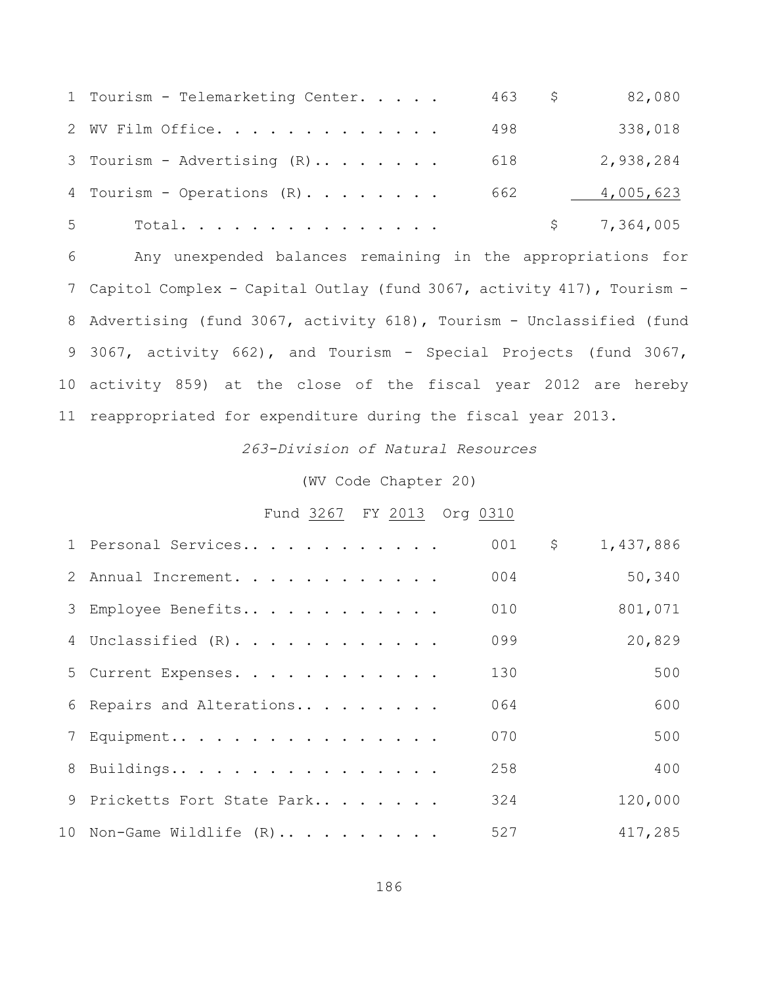|       | 1 Tourism - Telemarketing Center. | $463$ \$ | 82,080      |
|-------|-----------------------------------|----------|-------------|
|       | 2 WV Film Office.                 | 498      | 338,018     |
|       | 3 Tourism - Advertising $(R)$     | 618      | 2,938,284   |
|       | 4 Tourism - Operations (R)        | 662      | 4,005,623   |
| $5 -$ | Total.                            |          | \$7,364,005 |

 Any unexpended balances remaining in the appropriations for Capitol Complex - Capital Outlay (fund 3067, activity 417), Tourism - Advertising (fund 3067, activity 618), Tourism - Unclassified (fund 3067, activity 662), and Tourism - Special Projects (fund 3067, activity 859) at the close of the fiscal year 2012 are hereby reappropriated for expenditure during the fiscal year 2013.

*263-Division of Natural Resources*

(WV Code Chapter 20)

Fund 3267 FY 2013 Org 0310

| 1 Personal Services         | 001 | \$<br>1,437,886 |
|-----------------------------|-----|-----------------|
| 2 Annual Increment.         | 004 | 50,340          |
| 3 Employee Benefits         | 010 | 801,071         |
| 4 Unclassified (R).         | 099 | 20,829          |
| 5 Current Expenses.         | 130 | 500             |
| 6 Repairs and Alterations   | 064 | 600             |
| 7 Equipment                 | 070 | 500             |
| 8 Buildings                 | 258 | 400             |
| 9 Pricketts Fort State Park | 324 | 120,000         |
| 10 Non-Game Wildlife $(R)$  | 527 | 417,285         |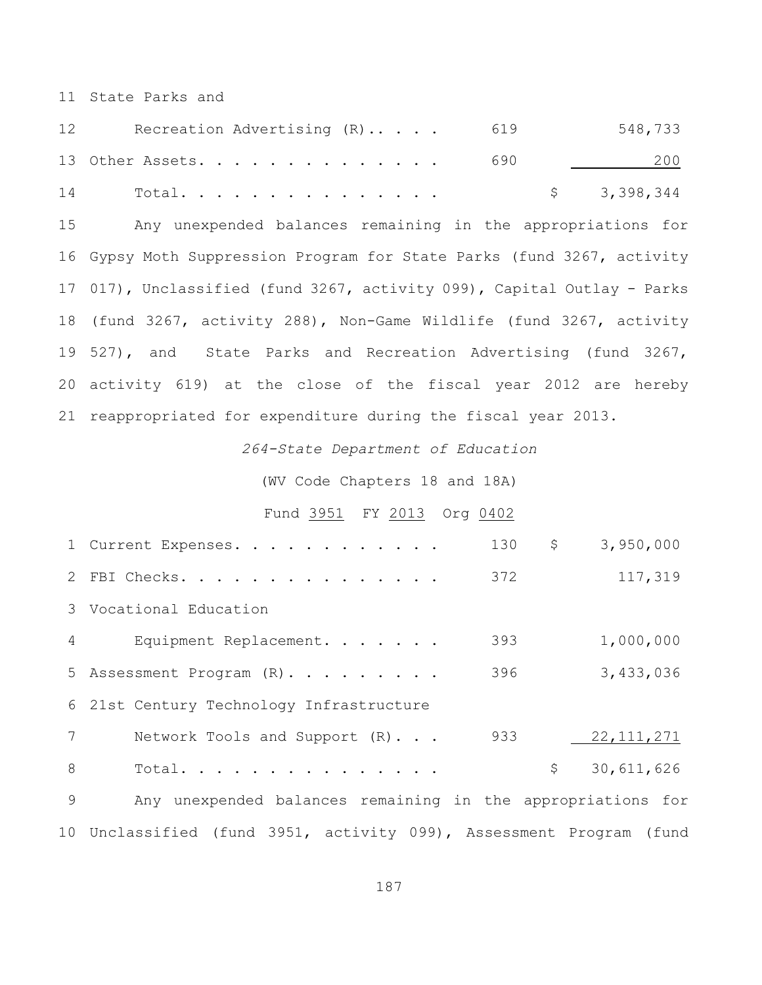State Parks and

| 12 | Recreation Advertising (R) 619 |     | 548,733     |
|----|--------------------------------|-----|-------------|
|    | 13 Other Assets.               | 690 | 200         |
| 14 | Total.                         |     | \$3,398,344 |

 Any unexpended balances remaining in the appropriations for Gypsy Moth Suppression Program for State Parks (fund 3267, activity 017), Unclassified (fund 3267, activity 099), Capital Outlay - Parks (fund 3267, activity 288), Non-Game Wildlife (fund 3267, activity 527), and State Parks and Recreation Advertising (fund 3267, activity 619) at the close of the fiscal year 2012 are hereby reappropriated for expenditure during the fiscal year 2013.

*264-State Department of Education*

(WV Code Chapters 18 and 18A)

## Fund 3951 FY 2013 Org 0402

|   | 1 Current Expenses.                                                 | 130 | \$                  | 3,950,000    |
|---|---------------------------------------------------------------------|-----|---------------------|--------------|
|   | 2 FBI Checks.                                                       | 372 |                     | 117,319      |
|   | 3 Vocational Education                                              |     |                     |              |
| 4 | Equipment Replacement.                                              | 393 |                     | 1,000,000    |
|   | 5 Assessment Program (R).                                           | 396 |                     | 3,433,036    |
|   | 6 21st Century Technology Infrastructure                            |     |                     |              |
| 7 | Network Tools and Support (R)                                       | 933 |                     | 22, 111, 271 |
| 8 | Total.                                                              |     | $\ddot{\mathsf{S}}$ | 30,611,626   |
| 9 | Any unexpended balances remaining in the appropriations for         |     |                     |              |
|   | 10 Unclassified (fund 3951, activity 099), Assessment Program (fund |     |                     |              |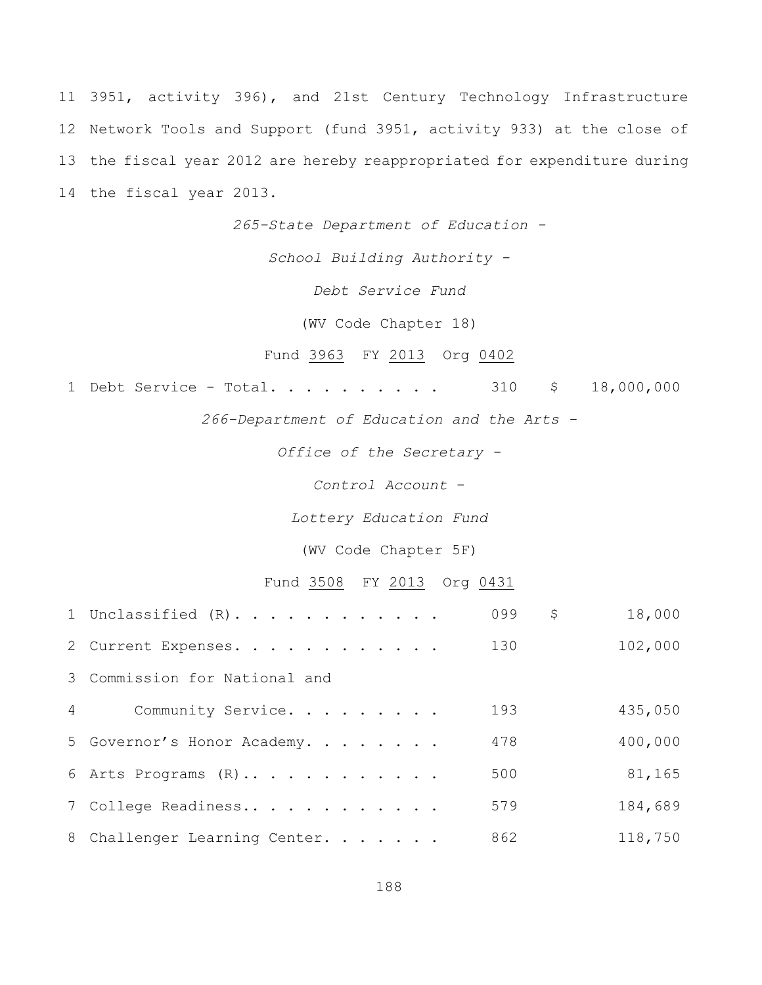3951, activity 396), and 21st Century Technology Infrastructure Network Tools and Support (fund 3951, activity 933) at the close of the fiscal year 2012 are hereby reappropriated for expenditure during the fiscal year 2013.

*265-State Department of Education -*

*School Building Authority -*

*Debt Service Fund*

(WV Code Chapter 18)

## Fund 3963 FY 2013 Org 0402

1 Debt Service - Total. . . . . . . . . 310 \$ 18,000,000

*266-Department of Education and the Arts -*

*Office of the Secretary -*

*Control Account* -

*Lottery Education Fund*

(WV Code Chapter 5F)

Fund 3508 FY 2013 Org 0431

|                | 1 Unclassified (R).           | 099 | \$<br>18,000 |
|----------------|-------------------------------|-----|--------------|
|                | 2 Current Expenses.           | 130 | 102,000      |
|                | 3 Commission for National and |     |              |
| $\overline{4}$ | Community Service.            | 193 | 435,050      |
|                | 5 Governor's Honor Academy.   | 478 | 400,000      |
|                | 6 Arts Programs (R)           | 500 | 81,165       |
|                | 7 College Readiness           | 579 | 184,689      |
|                | 8 Challenger Learning Center. | 862 | 118,750      |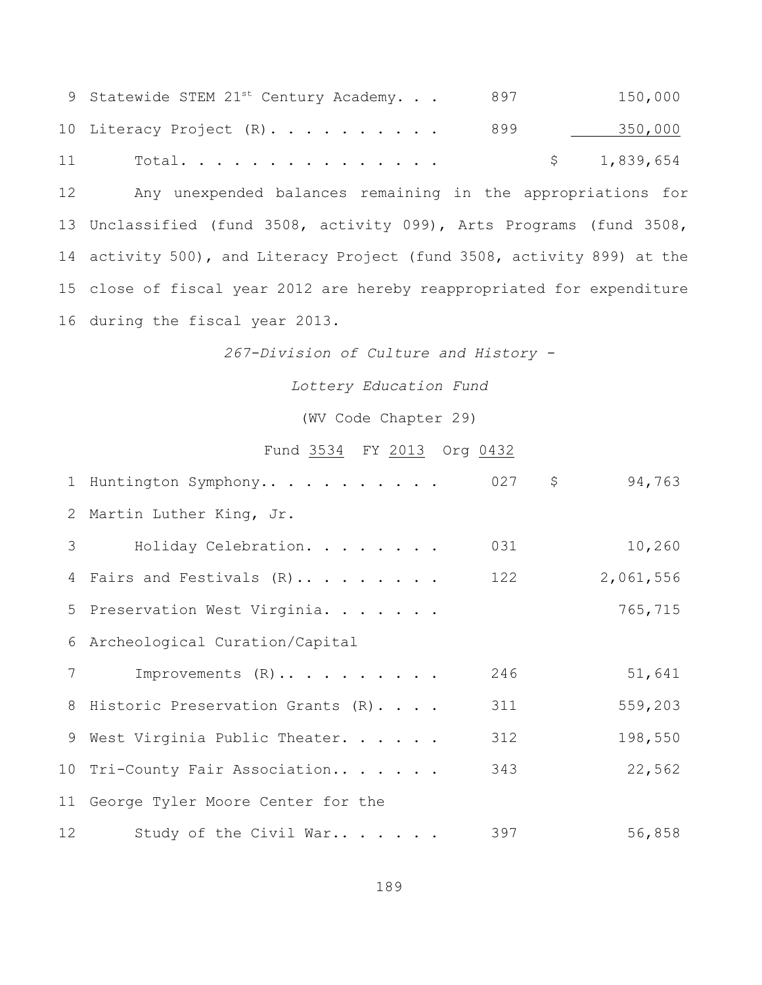|    | 9 Statewide STEM 21st Century Academy. | 897 | 150,000     |
|----|----------------------------------------|-----|-------------|
|    | 10 Literacy Project $(R)$ 899          |     | 350,000     |
| 11 | Total.                                 |     | \$1,839,654 |

 Any unexpended balances remaining in the appropriations for Unclassified (fund 3508, activity 099), Arts Programs (fund 3508, activity 500), and Literacy Project (fund 3508, activity 899) at the close of fiscal year 2012 are hereby reappropriated for expenditure during the fiscal year 2013.

*267-Division of Culture and History -*

*Lottery Education Fund*

(WV Code Chapter 29)

## Fund 3534 FY 2013 Org 0432

|                | 1 Huntington Symphony                   | $027$ \$ | 94,763    |
|----------------|-----------------------------------------|----------|-----------|
|                | 2 Martin Luther King, Jr.               |          |           |
| 3 <sup>7</sup> | Holiday Celebration.                    | 031      | 10,260    |
|                | 4 Fairs and Festivals (R)               | 122      | 2,061,556 |
|                | 5 Preservation West Virginia.           |          | 765,715   |
|                | 6 Archeological Curation/Capital        |          |           |
| 7              | Improvements $(R) \ldots \ldots \ldots$ | 246      | 51,641    |
|                | 8 Historic Preservation Grants (R)      | 311      | 559,203   |
|                | 9 West Virginia Public Theater.         | 312      | 198,550   |
|                | 10 Tri-County Fair Association          | 343      | 22,562    |
|                | 11 George Tyler Moore Center for the    |          |           |
| 12             | Study of the Civil War                  | 397      | 56,858    |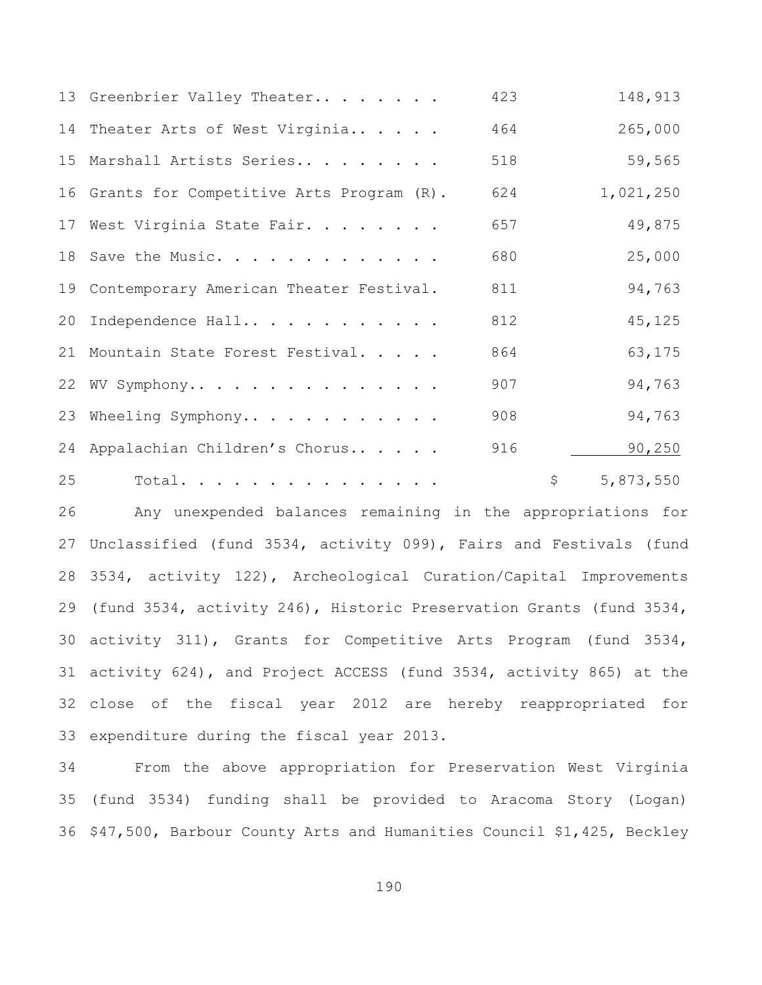|    | 13 Greenbrier Valley Theater                | 423 |                     | 148,913   |
|----|---------------------------------------------|-----|---------------------|-----------|
|    | 14 Theater Arts of West Virginia            | 464 |                     | 265,000   |
|    | 15 Marshall Artists Series                  | 518 |                     | 59,565    |
|    | 16 Grants for Competitive Arts Program (R). | 624 |                     | 1,021,250 |
|    | 17 West Virginia State Fair.                | 657 |                     | 49,875    |
|    | 18 Save the Music.                          | 680 |                     | 25,000    |
|    | 19 Contemporary American Theater Festival.  | 811 |                     | 94,763    |
|    | 20 Independence Hall                        | 812 |                     | 45,125    |
|    | 21 Mountain State Forest Festival.          | 864 |                     | 63,175    |
|    | 22 WV Symphony                              | 907 |                     | 94,763    |
|    | 23 Wheeling Symphony                        | 908 |                     | 94,763    |
|    | 24 Appalachian Children's Chorus            | 916 |                     | 90, 250   |
| 25 | Total.                                      |     | $\ddot{\mathsf{S}}$ | 5,873,550 |

 Any unexpended balances remaining in the appropriations for Unclassified (fund 3534, activity 099), Fairs and Festivals (fund 3534, activity 122), Archeological Curation/Capital Improvements (fund 3534, activity 246), Historic Preservation Grants (fund 3534, activity 311), Grants for Competitive Arts Program (fund 3534, activity 624), and Project ACCESS (fund 3534, activity 865) at the close of the fiscal year 2012 are hereby reappropriated for expenditure during the fiscal year 2013.

 From the above appropriation for Preservation West Virginia (fund 3534) funding shall be provided to Aracoma Story (Logan) \$47,500, Barbour County Arts and Humanities Council \$1,425, Beckley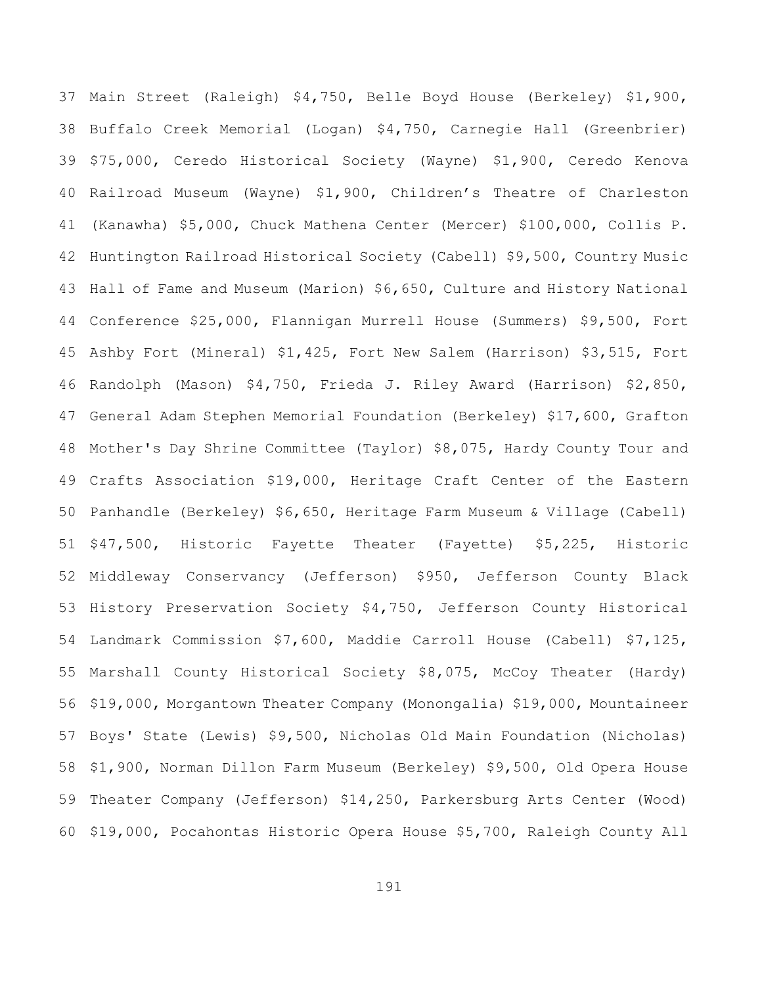Main Street (Raleigh) \$4,750, Belle Boyd House (Berkeley) \$1,900, Buffalo Creek Memorial (Logan) \$4,750, Carnegie Hall (Greenbrier) \$75,000, Ceredo Historical Society (Wayne) \$1,900, Ceredo Kenova Railroad Museum (Wayne) \$1,900, Children's Theatre of Charleston (Kanawha) \$5,000, Chuck Mathena Center (Mercer) \$100,000, Collis P. Huntington Railroad Historical Society (Cabell) \$9,500, Country Music Hall of Fame and Museum (Marion) \$6,650, Culture and History National Conference \$25,000, Flannigan Murrell House (Summers) \$9,500, Fort Ashby Fort (Mineral) \$1,425, Fort New Salem (Harrison) \$3,515, Fort Randolph (Mason) \$4,750, Frieda J. Riley Award (Harrison) \$2,850, General Adam Stephen Memorial Foundation (Berkeley) \$17,600, Grafton Mother's Day Shrine Committee (Taylor) \$8,075, Hardy County Tour and Crafts Association \$19,000, Heritage Craft Center of the Eastern Panhandle (Berkeley) \$6,650, Heritage Farm Museum & Village (Cabell) \$47,500, Historic Fayette Theater (Fayette) \$5,225, Historic Middleway Conservancy (Jefferson) \$950, Jefferson County Black History Preservation Society \$4,750, Jefferson County Historical Landmark Commission \$7,600, Maddie Carroll House (Cabell) \$7,125, Marshall County Historical Society \$8,075, McCoy Theater (Hardy) \$19,000, Morgantown Theater Company (Monongalia) \$19,000, Mountaineer Boys' State (Lewis) \$9,500, Nicholas Old Main Foundation (Nicholas) \$1,900, Norman Dillon Farm Museum (Berkeley) \$9,500, Old Opera House Theater Company (Jefferson) \$14,250, Parkersburg Arts Center (Wood) \$19,000, Pocahontas Historic Opera House \$5,700, Raleigh County All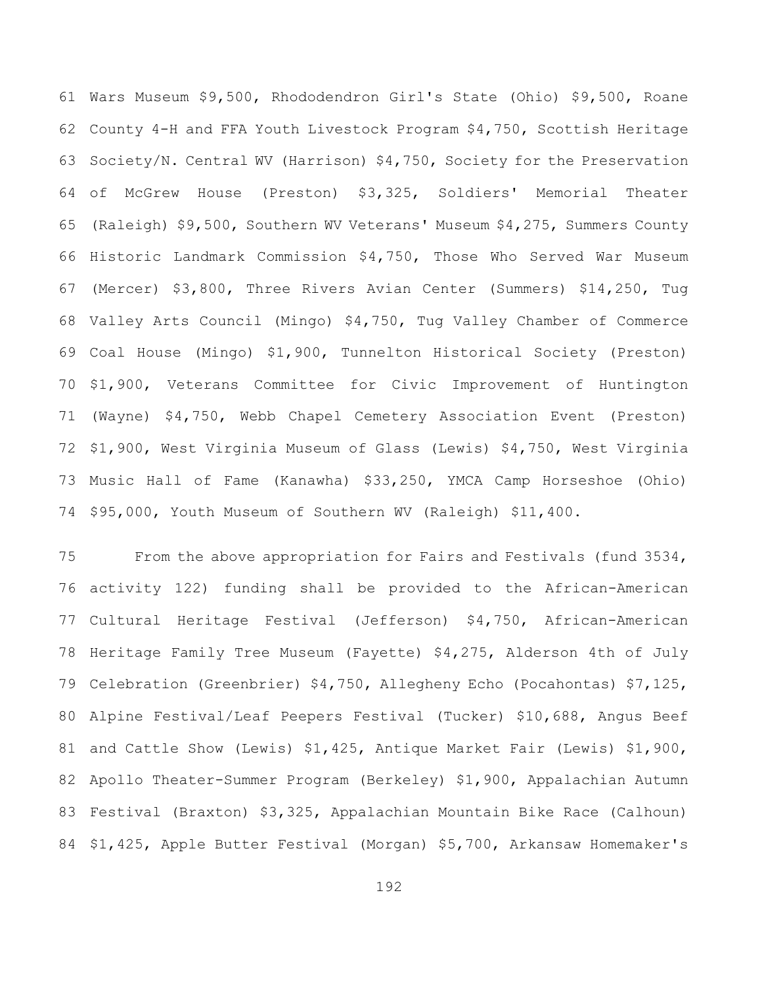Wars Museum \$9,500, Rhododendron Girl's State (Ohio) \$9,500, Roane County 4-H and FFA Youth Livestock Program \$4,750, Scottish Heritage Society/N. Central WV (Harrison) \$4,750, Society for the Preservation of McGrew House (Preston) \$3,325, Soldiers' Memorial Theater (Raleigh) \$9,500, Southern WV Veterans' Museum \$4,275, Summers County Historic Landmark Commission \$4,750, Those Who Served War Museum (Mercer) \$3,800, Three Rivers Avian Center (Summers) \$14,250, Tug Valley Arts Council (Mingo) \$4,750, Tug Valley Chamber of Commerce Coal House (Mingo) \$1,900, Tunnelton Historical Society (Preston) \$1,900, Veterans Committee for Civic Improvement of Huntington (Wayne) \$4,750, Webb Chapel Cemetery Association Event (Preston) \$1,900, West Virginia Museum of Glass (Lewis) \$4,750, West Virginia Music Hall of Fame (Kanawha) \$33,250, YMCA Camp Horseshoe (Ohio) \$95,000, Youth Museum of Southern WV (Raleigh) \$11,400.

 From the above appropriation for Fairs and Festivals (fund 3534, activity 122) funding shall be provided to the African-American Cultural Heritage Festival (Jefferson) \$4,750, African-American Heritage Family Tree Museum (Fayette) \$4,275, Alderson 4th of July Celebration (Greenbrier) \$4,750, Allegheny Echo (Pocahontas) \$7,125, Alpine Festival/Leaf Peepers Festival (Tucker) \$10,688, Angus Beef and Cattle Show (Lewis) \$1,425, Antique Market Fair (Lewis) \$1,900, Apollo Theater-Summer Program (Berkeley) \$1,900, Appalachian Autumn Festival (Braxton) \$3,325, Appalachian Mountain Bike Race (Calhoun) \$1,425, Apple Butter Festival (Morgan) \$5,700, Arkansaw Homemaker's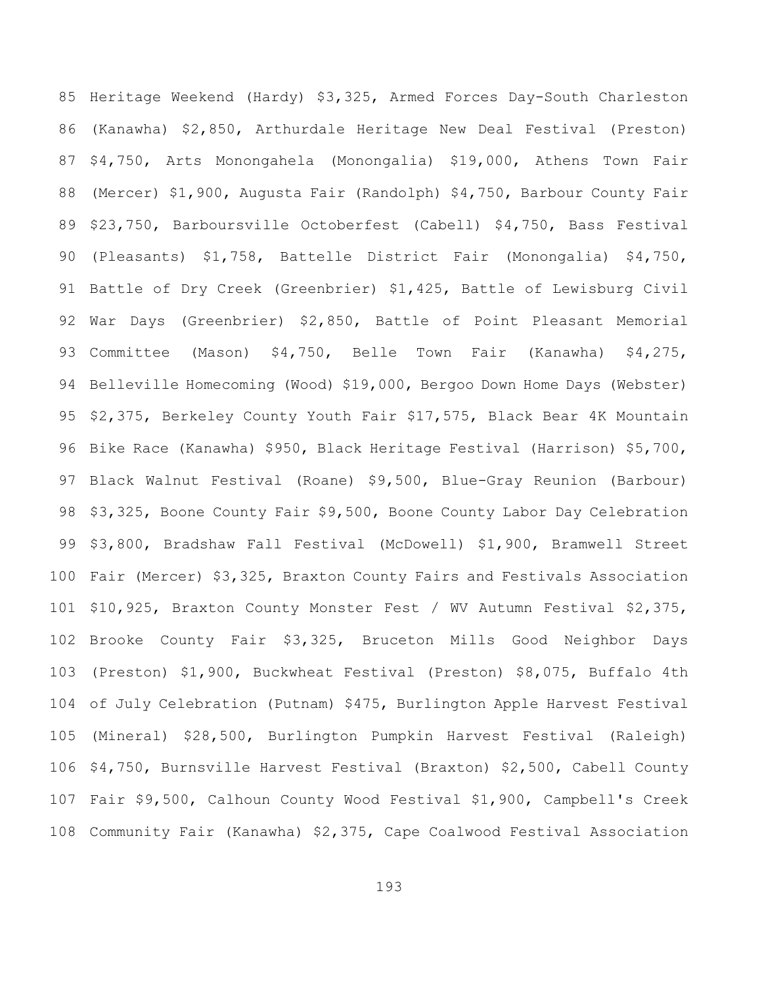Heritage Weekend (Hardy) \$3,325, Armed Forces Day-South Charleston (Kanawha) \$2,850, Arthurdale Heritage New Deal Festival (Preston) \$4,750, Arts Monongahela (Monongalia) \$19,000, Athens Town Fair (Mercer) \$1,900, Augusta Fair (Randolph) \$4,750, Barbour County Fair \$23,750, Barboursville Octoberfest (Cabell) \$4,750, Bass Festival (Pleasants) \$1,758, Battelle District Fair (Monongalia) \$4,750, Battle of Dry Creek (Greenbrier) \$1,425, Battle of Lewisburg Civil War Days (Greenbrier) \$2,850, Battle of Point Pleasant Memorial Committee (Mason) \$4,750, Belle Town Fair (Kanawha) \$4,275, Belleville Homecoming (Wood) \$19,000, Bergoo Down Home Days (Webster) \$2,375, Berkeley County Youth Fair \$17,575, Black Bear 4K Mountain Bike Race (Kanawha) \$950, Black Heritage Festival (Harrison) \$5,700, Black Walnut Festival (Roane) \$9,500, Blue-Gray Reunion (Barbour) \$3,325, Boone County Fair \$9,500, Boone County Labor Day Celebration \$3,800, Bradshaw Fall Festival (McDowell) \$1,900, Bramwell Street Fair (Mercer) \$3,325, Braxton County Fairs and Festivals Association \$10,925, Braxton County Monster Fest / WV Autumn Festival \$2,375, Brooke County Fair \$3,325, Bruceton Mills Good Neighbor Days (Preston) \$1,900, Buckwheat Festival (Preston) \$8,075, Buffalo 4th of July Celebration (Putnam) \$475, Burlington Apple Harvest Festival (Mineral) \$28,500, Burlington Pumpkin Harvest Festival (Raleigh) \$4,750, Burnsville Harvest Festival (Braxton) \$2,500, Cabell County Fair \$9,500, Calhoun County Wood Festival \$1,900, Campbell's Creek Community Fair (Kanawha) \$2,375, Cape Coalwood Festival Association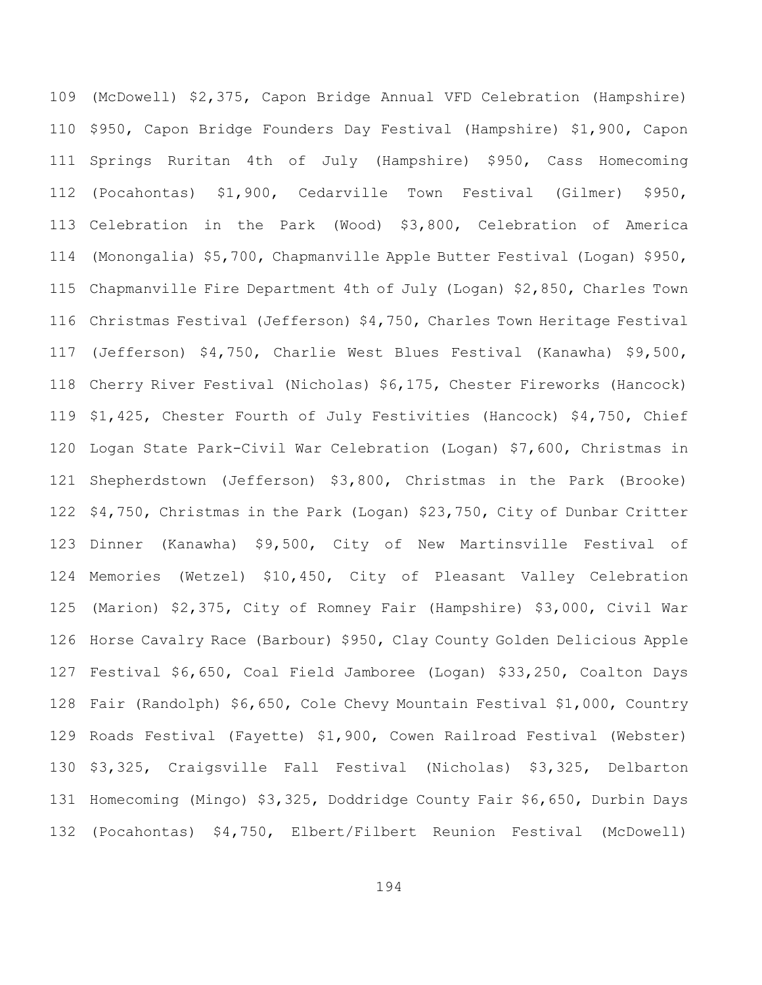(McDowell) \$2,375, Capon Bridge Annual VFD Celebration (Hampshire) \$950, Capon Bridge Founders Day Festival (Hampshire) \$1,900, Capon Springs Ruritan 4th of July (Hampshire) \$950, Cass Homecoming (Pocahontas) \$1,900, Cedarville Town Festival (Gilmer) \$950, Celebration in the Park (Wood) \$3,800, Celebration of America (Monongalia) \$5,700, Chapmanville Apple Butter Festival (Logan) \$950, Chapmanville Fire Department 4th of July (Logan) \$2,850, Charles Town Christmas Festival (Jefferson) \$4,750, Charles Town Heritage Festival (Jefferson) \$4,750, Charlie West Blues Festival (Kanawha) \$9,500, Cherry River Festival (Nicholas) \$6,175, Chester Fireworks (Hancock) \$1,425, Chester Fourth of July Festivities (Hancock) \$4,750, Chief Logan State Park-Civil War Celebration (Logan) \$7,600, Christmas in Shepherdstown (Jefferson) \$3,800, Christmas in the Park (Brooke) \$4,750, Christmas in the Park (Logan) \$23,750, City of Dunbar Critter Dinner (Kanawha) \$9,500, City of New Martinsville Festival of Memories (Wetzel) \$10,450, City of Pleasant Valley Celebration (Marion) \$2,375, City of Romney Fair (Hampshire) \$3,000, Civil War Horse Cavalry Race (Barbour) \$950, Clay County Golden Delicious Apple Festival \$6,650, Coal Field Jamboree (Logan) \$33,250, Coalton Days Fair (Randolph) \$6,650, Cole Chevy Mountain Festival \$1,000, Country Roads Festival (Fayette) \$1,900, Cowen Railroad Festival (Webster) \$3,325, Craigsville Fall Festival (Nicholas) \$3,325, Delbarton Homecoming (Mingo) \$3,325, Doddridge County Fair \$6,650, Durbin Days (Pocahontas) \$4,750, Elbert/Filbert Reunion Festival (McDowell)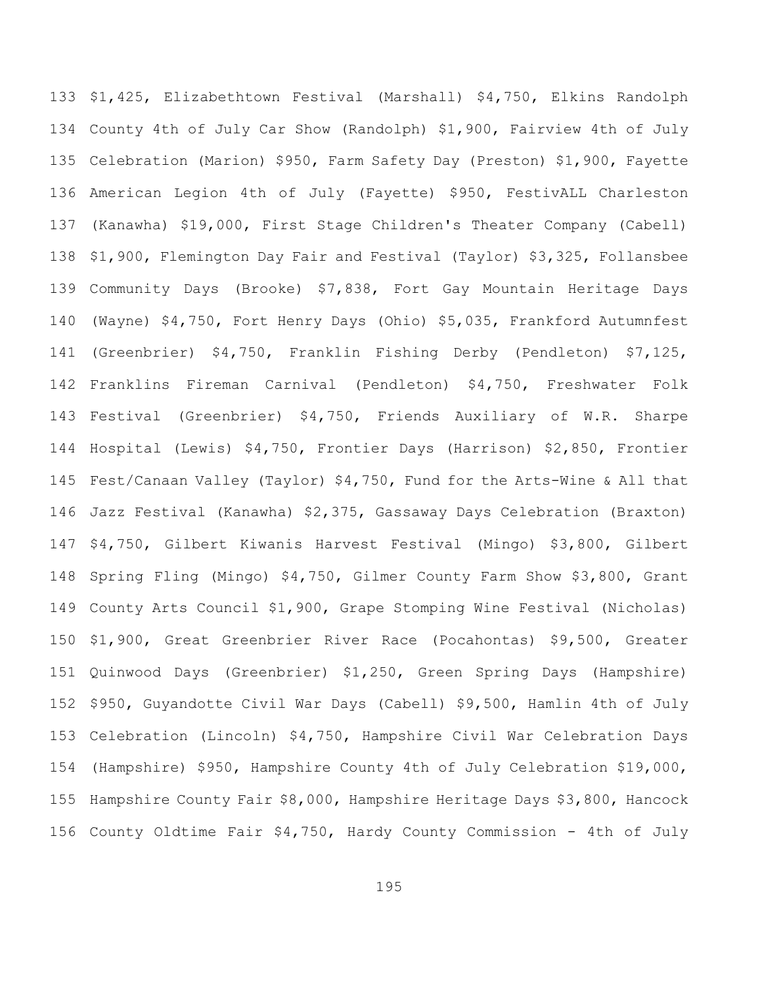\$1,425, Elizabethtown Festival (Marshall) \$4,750, Elkins Randolph County 4th of July Car Show (Randolph) \$1,900, Fairview 4th of July Celebration (Marion) \$950, Farm Safety Day (Preston) \$1,900, Fayette American Legion 4th of July (Fayette) \$950, FestivALL Charleston (Kanawha) \$19,000, First Stage Children's Theater Company (Cabell) \$1,900, Flemington Day Fair and Festival (Taylor) \$3,325, Follansbee Community Days (Brooke) \$7,838, Fort Gay Mountain Heritage Days (Wayne) \$4,750, Fort Henry Days (Ohio) \$5,035, Frankford Autumnfest (Greenbrier) \$4,750, Franklin Fishing Derby (Pendleton) \$7,125, Franklins Fireman Carnival (Pendleton) \$4,750, Freshwater Folk Festival (Greenbrier) \$4,750, Friends Auxiliary of W.R. Sharpe Hospital (Lewis) \$4,750, Frontier Days (Harrison) \$2,850, Frontier Fest/Canaan Valley (Taylor) \$4,750, Fund for the Arts-Wine & All that Jazz Festival (Kanawha) \$2,375, Gassaway Days Celebration (Braxton) \$4,750, Gilbert Kiwanis Harvest Festival (Mingo) \$3,800, Gilbert Spring Fling (Mingo) \$4,750, Gilmer County Farm Show \$3,800, Grant County Arts Council \$1,900, Grape Stomping Wine Festival (Nicholas) \$1,900, Great Greenbrier River Race (Pocahontas) \$9,500, Greater Quinwood Days (Greenbrier) \$1,250, Green Spring Days (Hampshire) \$950, Guyandotte Civil War Days (Cabell) \$9,500, Hamlin 4th of July Celebration (Lincoln) \$4,750, Hampshire Civil War Celebration Days (Hampshire) \$950, Hampshire County 4th of July Celebration \$19,000, Hampshire County Fair \$8,000, Hampshire Heritage Days \$3,800, Hancock County Oldtime Fair \$4,750, Hardy County Commission - 4th of July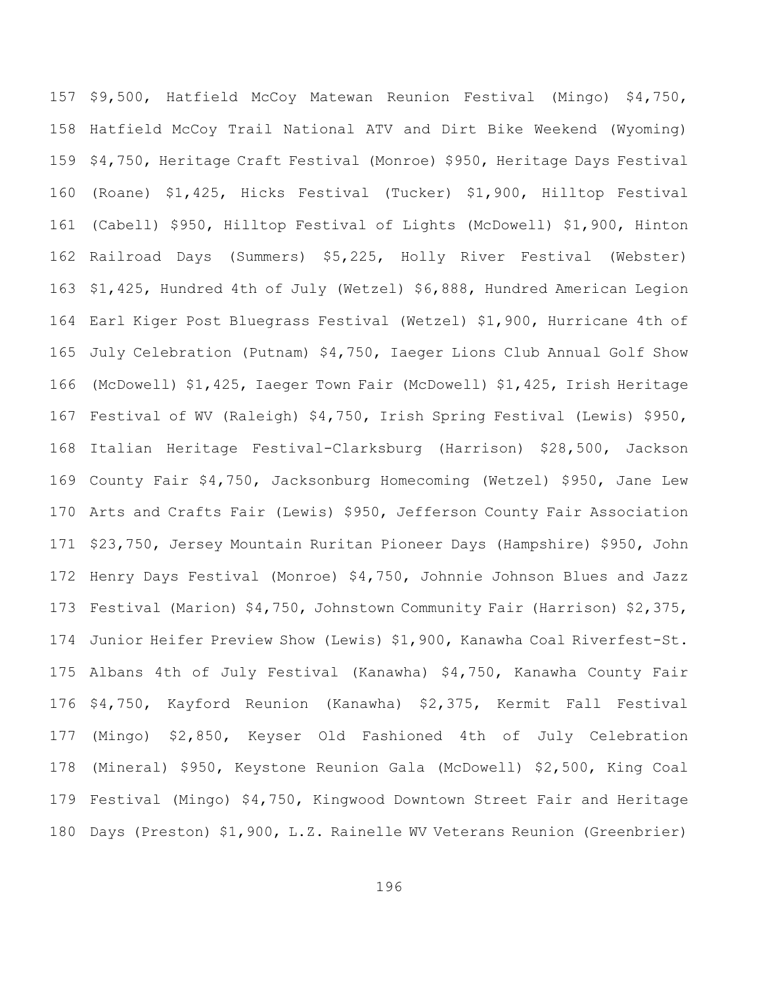\$9,500, Hatfield McCoy Matewan Reunion Festival (Mingo) \$4,750, Hatfield McCoy Trail National ATV and Dirt Bike Weekend (Wyoming) \$4,750, Heritage Craft Festival (Monroe) \$950, Heritage Days Festival (Roane) \$1,425, Hicks Festival (Tucker) \$1,900, Hilltop Festival (Cabell) \$950, Hilltop Festival of Lights (McDowell) \$1,900, Hinton Railroad Days (Summers) \$5,225, Holly River Festival (Webster) \$1,425, Hundred 4th of July (Wetzel) \$6,888, Hundred American Legion Earl Kiger Post Bluegrass Festival (Wetzel) \$1,900, Hurricane 4th of July Celebration (Putnam) \$4,750, Iaeger Lions Club Annual Golf Show (McDowell) \$1,425, Iaeger Town Fair (McDowell) \$1,425, Irish Heritage Festival of WV (Raleigh) \$4,750, Irish Spring Festival (Lewis) \$950, Italian Heritage Festival-Clarksburg (Harrison) \$28,500, Jackson County Fair \$4,750, Jacksonburg Homecoming (Wetzel) \$950, Jane Lew Arts and Crafts Fair (Lewis) \$950, Jefferson County Fair Association \$23,750, Jersey Mountain Ruritan Pioneer Days (Hampshire) \$950, John Henry Days Festival (Monroe) \$4,750, Johnnie Johnson Blues and Jazz Festival (Marion) \$4,750, Johnstown Community Fair (Harrison) \$2,375, Junior Heifer Preview Show (Lewis) \$1,900, Kanawha Coal Riverfest-St. Albans 4th of July Festival (Kanawha) \$4,750, Kanawha County Fair \$4,750, Kayford Reunion (Kanawha) \$2,375, Kermit Fall Festival (Mingo) \$2,850, Keyser Old Fashioned 4th of July Celebration (Mineral) \$950, Keystone Reunion Gala (McDowell) \$2,500, King Coal Festival (Mingo) \$4,750, Kingwood Downtown Street Fair and Heritage Days (Preston) \$1,900, L.Z. Rainelle WV Veterans Reunion (Greenbrier)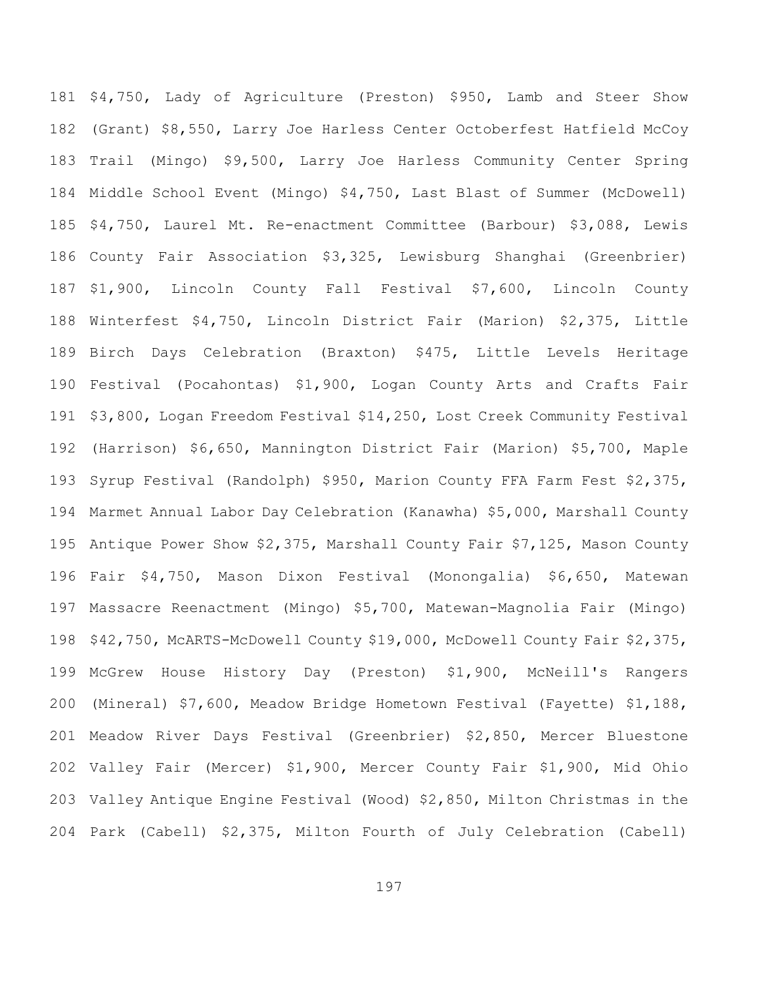\$4,750, Lady of Agriculture (Preston) \$950, Lamb and Steer Show (Grant) \$8,550, Larry Joe Harless Center Octoberfest Hatfield McCoy Trail (Mingo) \$9,500, Larry Joe Harless Community Center Spring Middle School Event (Mingo) \$4,750, Last Blast of Summer (McDowell) \$4,750, Laurel Mt. Re-enactment Committee (Barbour) \$3,088, Lewis County Fair Association \$3,325, Lewisburg Shanghai (Greenbrier) \$1,900, Lincoln County Fall Festival \$7,600, Lincoln County Winterfest \$4,750, Lincoln District Fair (Marion) \$2,375, Little Birch Days Celebration (Braxton) \$475, Little Levels Heritage Festival (Pocahontas) \$1,900, Logan County Arts and Crafts Fair \$3,800, Logan Freedom Festival \$14,250, Lost Creek Community Festival (Harrison) \$6,650, Mannington District Fair (Marion) \$5,700, Maple Syrup Festival (Randolph) \$950, Marion County FFA Farm Fest \$2,375, Marmet Annual Labor Day Celebration (Kanawha) \$5,000, Marshall County Antique Power Show \$2,375, Marshall County Fair \$7,125, Mason County Fair \$4,750, Mason Dixon Festival (Monongalia) \$6,650, Matewan Massacre Reenactment (Mingo) \$5,700, Matewan-Magnolia Fair (Mingo) \$42,750, McARTS-McDowell County \$19,000, McDowell County Fair \$2,375, McGrew House History Day (Preston) \$1,900, McNeill's Rangers (Mineral) \$7,600, Meadow Bridge Hometown Festival (Fayette) \$1,188, Meadow River Days Festival (Greenbrier) \$2,850, Mercer Bluestone Valley Fair (Mercer) \$1,900, Mercer County Fair \$1,900, Mid Ohio Valley Antique Engine Festival (Wood) \$2,850, Milton Christmas in the Park (Cabell) \$2,375, Milton Fourth of July Celebration (Cabell)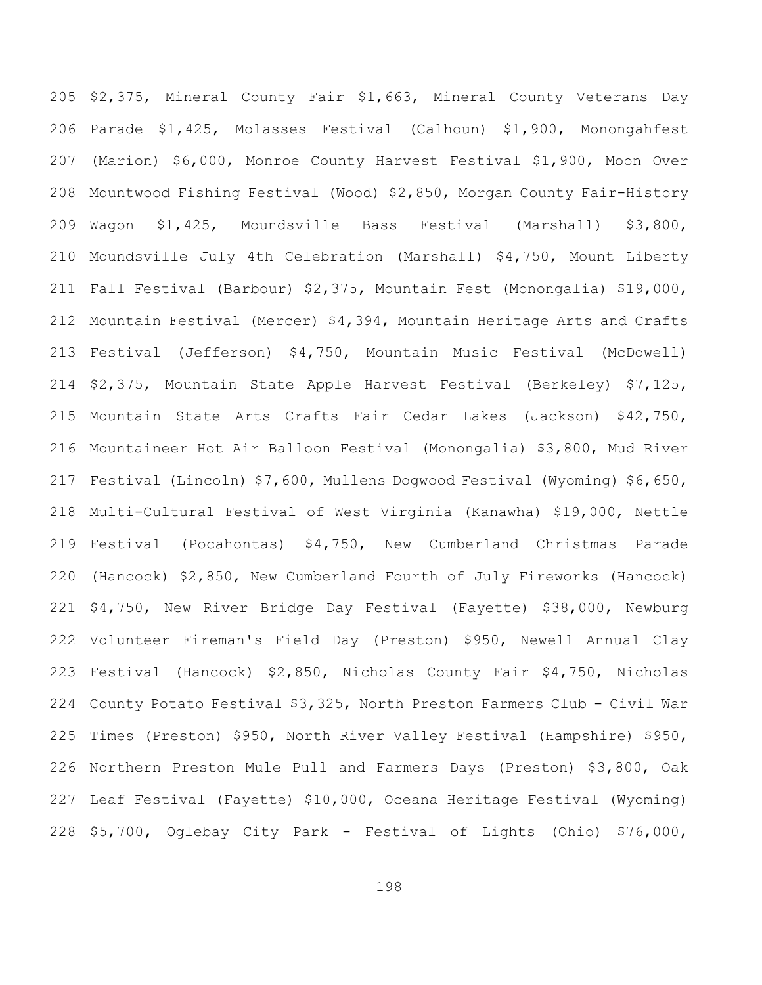\$2,375, Mineral County Fair \$1,663, Mineral County Veterans Day Parade \$1,425, Molasses Festival (Calhoun) \$1,900, Monongahfest (Marion) \$6,000, Monroe County Harvest Festival \$1,900, Moon Over Mountwood Fishing Festival (Wood) \$2,850, Morgan County Fair-History Wagon \$1,425, Moundsville Bass Festival (Marshall) \$3,800, Moundsville July 4th Celebration (Marshall) \$4,750, Mount Liberty Fall Festival (Barbour) \$2,375, Mountain Fest (Monongalia) \$19,000, Mountain Festival (Mercer) \$4,394, Mountain Heritage Arts and Crafts Festival (Jefferson) \$4,750, Mountain Music Festival (McDowell) \$2,375, Mountain State Apple Harvest Festival (Berkeley) \$7,125, Mountain State Arts Crafts Fair Cedar Lakes (Jackson) \$42,750, Mountaineer Hot Air Balloon Festival (Monongalia) \$3,800, Mud River Festival (Lincoln) \$7,600, Mullens Dogwood Festival (Wyoming) \$6,650, Multi-Cultural Festival of West Virginia (Kanawha) \$19,000, Nettle Festival (Pocahontas) \$4,750, New Cumberland Christmas Parade (Hancock) \$2,850, New Cumberland Fourth of July Fireworks (Hancock) \$4,750, New River Bridge Day Festival (Fayette) \$38,000, Newburg Volunteer Fireman's Field Day (Preston) \$950, Newell Annual Clay Festival (Hancock) \$2,850, Nicholas County Fair \$4,750, Nicholas County Potato Festival \$3,325, North Preston Farmers Club - Civil War Times (Preston) \$950, North River Valley Festival (Hampshire) \$950, Northern Preston Mule Pull and Farmers Days (Preston) \$3,800, Oak Leaf Festival (Fayette) \$10,000, Oceana Heritage Festival (Wyoming) \$5,700, Oglebay City Park - Festival of Lights (Ohio) \$76,000,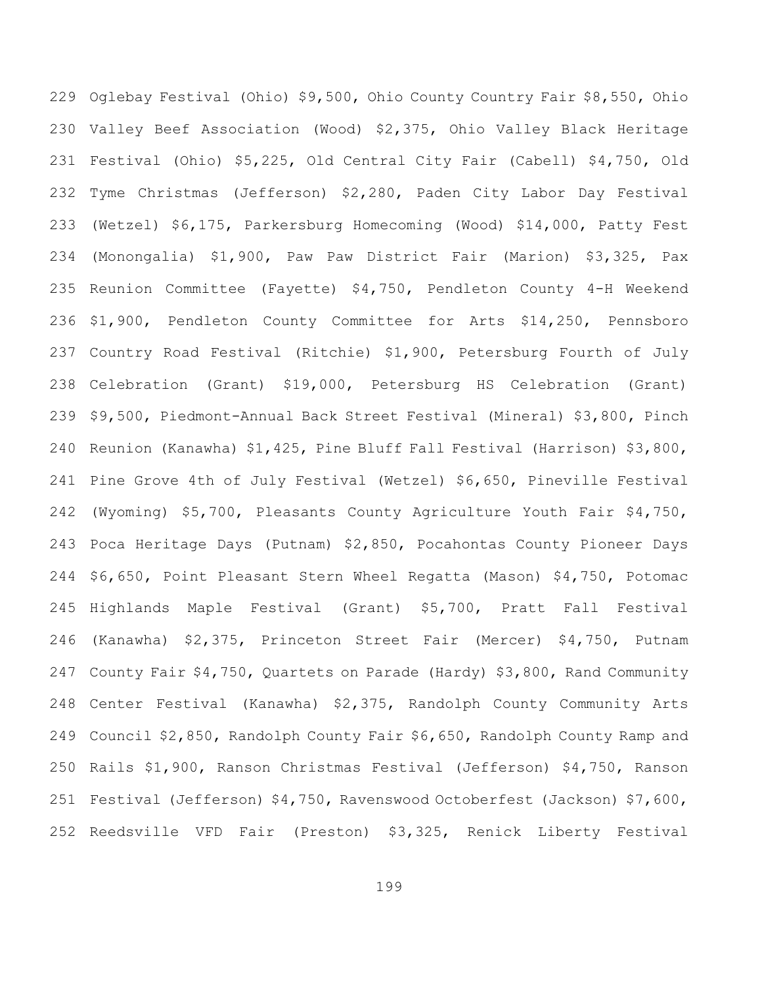Oglebay Festival (Ohio) \$9,500, Ohio County Country Fair \$8,550, Ohio Valley Beef Association (Wood) \$2,375, Ohio Valley Black Heritage Festival (Ohio) \$5,225, Old Central City Fair (Cabell) \$4,750, Old Tyme Christmas (Jefferson) \$2,280, Paden City Labor Day Festival (Wetzel) \$6,175, Parkersburg Homecoming (Wood) \$14,000, Patty Fest (Monongalia) \$1,900, Paw Paw District Fair (Marion) \$3,325, Pax Reunion Committee (Fayette) \$4,750, Pendleton County 4-H Weekend \$1,900, Pendleton County Committee for Arts \$14,250, Pennsboro Country Road Festival (Ritchie) \$1,900, Petersburg Fourth of July Celebration (Grant) \$19,000, Petersburg HS Celebration (Grant) \$9,500, Piedmont-Annual Back Street Festival (Mineral) \$3,800, Pinch Reunion (Kanawha) \$1,425, Pine Bluff Fall Festival (Harrison) \$3,800, Pine Grove 4th of July Festival (Wetzel) \$6,650, Pineville Festival (Wyoming) \$5,700, Pleasants County Agriculture Youth Fair \$4,750, Poca Heritage Days (Putnam) \$2,850, Pocahontas County Pioneer Days \$6,650, Point Pleasant Stern Wheel Regatta (Mason) \$4,750, Potomac Highlands Maple Festival (Grant) \$5,700, Pratt Fall Festival (Kanawha) \$2,375, Princeton Street Fair (Mercer) \$4,750, Putnam County Fair \$4,750, Quartets on Parade (Hardy) \$3,800, Rand Community Center Festival (Kanawha) \$2,375, Randolph County Community Arts Council \$2,850, Randolph County Fair \$6,650, Randolph County Ramp and Rails \$1,900, Ranson Christmas Festival (Jefferson) \$4,750, Ranson Festival (Jefferson) \$4,750, Ravenswood Octoberfest (Jackson) \$7,600, Reedsville VFD Fair (Preston) \$3,325, Renick Liberty Festival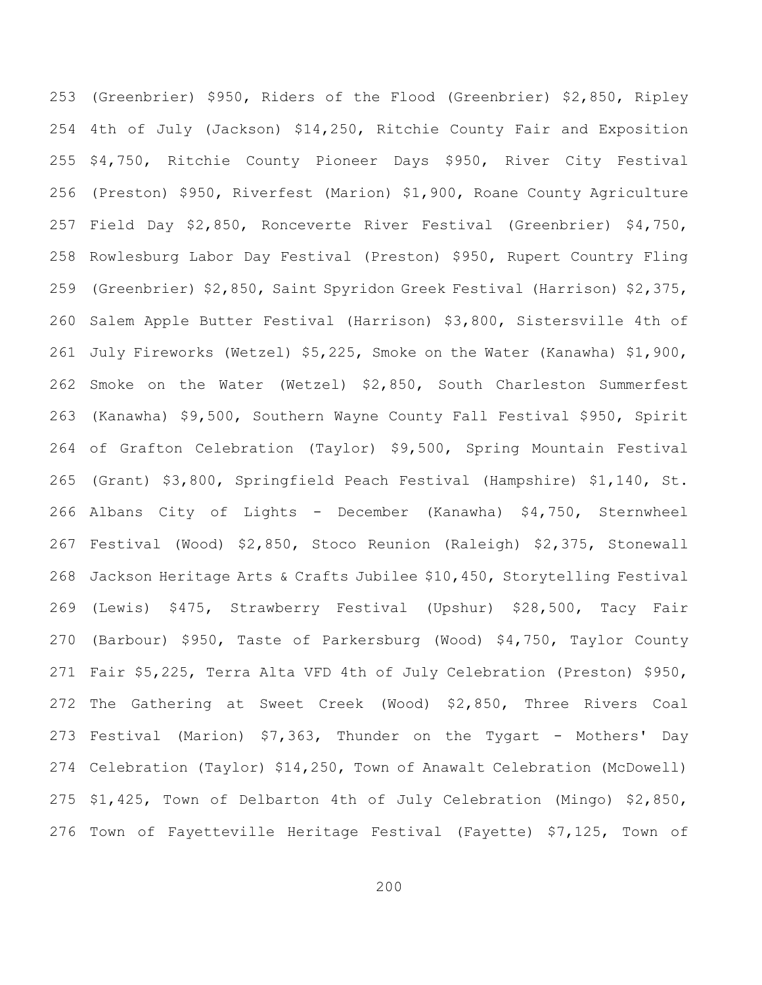(Greenbrier) \$950, Riders of the Flood (Greenbrier) \$2,850, Ripley 4th of July (Jackson) \$14,250, Ritchie County Fair and Exposition \$4,750, Ritchie County Pioneer Days \$950, River City Festival (Preston) \$950, Riverfest (Marion) \$1,900, Roane County Agriculture Field Day \$2,850, Ronceverte River Festival (Greenbrier) \$4,750, Rowlesburg Labor Day Festival (Preston) \$950, Rupert Country Fling (Greenbrier) \$2,850, Saint Spyridon Greek Festival (Harrison) \$2,375, Salem Apple Butter Festival (Harrison) \$3,800, Sistersville 4th of July Fireworks (Wetzel) \$5,225, Smoke on the Water (Kanawha) \$1,900, Smoke on the Water (Wetzel) \$2,850, South Charleston Summerfest (Kanawha) \$9,500, Southern Wayne County Fall Festival \$950, Spirit of Grafton Celebration (Taylor) \$9,500, Spring Mountain Festival (Grant) \$3,800, Springfield Peach Festival (Hampshire) \$1,140, St. Albans City of Lights - December (Kanawha) \$4,750, Sternwheel Festival (Wood) \$2,850, Stoco Reunion (Raleigh) \$2,375, Stonewall Jackson Heritage Arts & Crafts Jubilee \$10,450, Storytelling Festival (Lewis) \$475, Strawberry Festival (Upshur) \$28,500, Tacy Fair (Barbour) \$950, Taste of Parkersburg (Wood) \$4,750, Taylor County Fair \$5,225, Terra Alta VFD 4th of July Celebration (Preston) \$950, The Gathering at Sweet Creek (Wood) \$2,850, Three Rivers Coal Festival (Marion) \$7,363, Thunder on the Tygart - Mothers' Day Celebration (Taylor) \$14,250, Town of Anawalt Celebration (McDowell) \$1,425, Town of Delbarton 4th of July Celebration (Mingo) \$2,850, Town of Fayetteville Heritage Festival (Fayette) \$7,125, Town of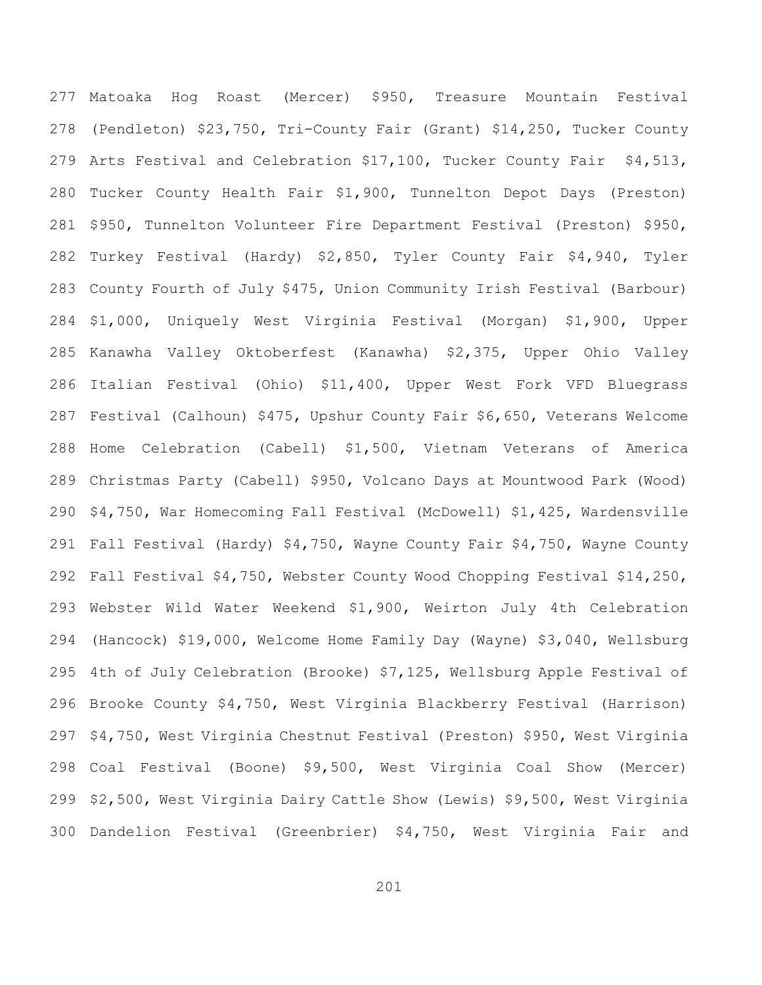Matoaka Hog Roast (Mercer) \$950, Treasure Mountain Festival (Pendleton) \$23,750, Tri-County Fair (Grant) \$14,250, Tucker County Arts Festival and Celebration \$17,100, Tucker County Fair \$4,513, Tucker County Health Fair \$1,900, Tunnelton Depot Days (Preston) \$950, Tunnelton Volunteer Fire Department Festival (Preston) \$950, Turkey Festival (Hardy) \$2,850, Tyler County Fair \$4,940, Tyler County Fourth of July \$475, Union Community Irish Festival (Barbour) \$1,000, Uniquely West Virginia Festival (Morgan) \$1,900, Upper Kanawha Valley Oktoberfest (Kanawha) \$2,375, Upper Ohio Valley Italian Festival (Ohio) \$11,400, Upper West Fork VFD Bluegrass Festival (Calhoun) \$475, Upshur County Fair \$6,650, Veterans Welcome Home Celebration (Cabell) \$1,500, Vietnam Veterans of America Christmas Party (Cabell) \$950, Volcano Days at Mountwood Park (Wood) \$4,750, War Homecoming Fall Festival (McDowell) \$1,425, Wardensville Fall Festival (Hardy) \$4,750, Wayne County Fair \$4,750, Wayne County Fall Festival \$4,750, Webster County Wood Chopping Festival \$14,250, Webster Wild Water Weekend \$1,900, Weirton July 4th Celebration (Hancock) \$19,000, Welcome Home Family Day (Wayne) \$3,040, Wellsburg 4th of July Celebration (Brooke) \$7,125, Wellsburg Apple Festival of Brooke County \$4,750, West Virginia Blackberry Festival (Harrison) \$4,750, West Virginia Chestnut Festival (Preston) \$950, West Virginia Coal Festival (Boone) \$9,500, West Virginia Coal Show (Mercer) \$2,500, West Virginia Dairy Cattle Show (Lewis) \$9,500, West Virginia Dandelion Festival (Greenbrier) \$4,750, West Virginia Fair and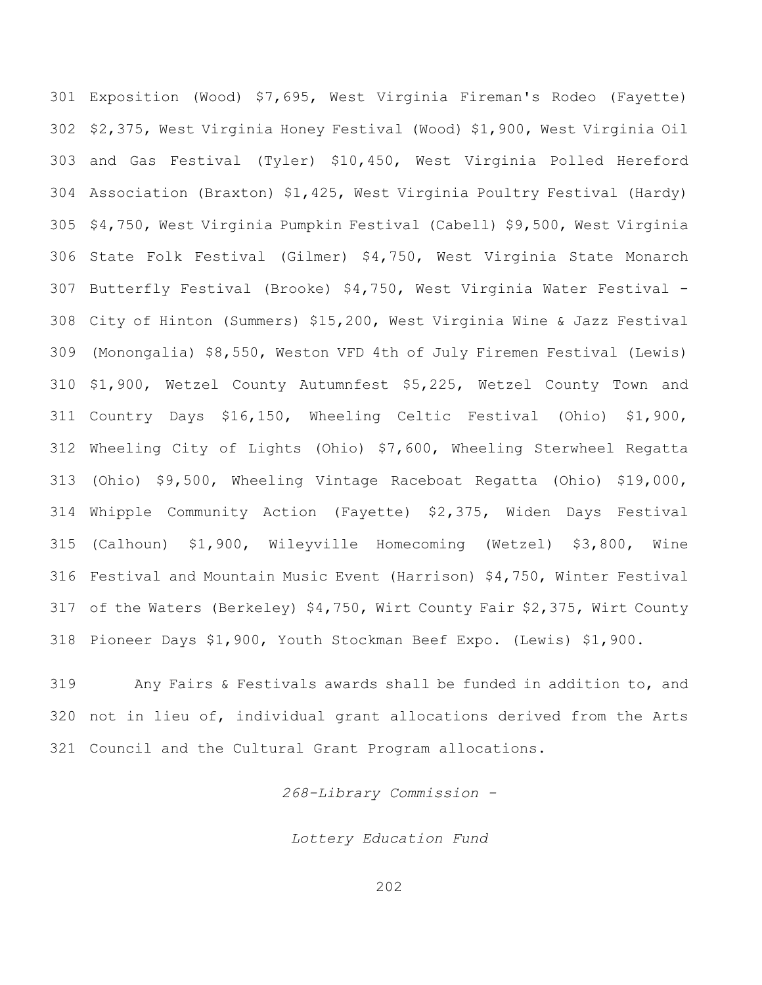Exposition (Wood) \$7,695, West Virginia Fireman's Rodeo (Fayette) \$2,375, West Virginia Honey Festival (Wood) \$1,900, West Virginia Oil and Gas Festival (Tyler) \$10,450, West Virginia Polled Hereford Association (Braxton) \$1,425, West Virginia Poultry Festival (Hardy) \$4,750, West Virginia Pumpkin Festival (Cabell) \$9,500, West Virginia State Folk Festival (Gilmer) \$4,750, West Virginia State Monarch Butterfly Festival (Brooke) \$4,750, West Virginia Water Festival - City of Hinton (Summers) \$15,200, West Virginia Wine & Jazz Festival (Monongalia) \$8,550, Weston VFD 4th of July Firemen Festival (Lewis) \$1,900, Wetzel County Autumnfest \$5,225, Wetzel County Town and Country Days \$16,150, Wheeling Celtic Festival (Ohio) \$1,900, Wheeling City of Lights (Ohio) \$7,600, Wheeling Sterwheel Regatta (Ohio) \$9,500, Wheeling Vintage Raceboat Regatta (Ohio) \$19,000, Whipple Community Action (Fayette) \$2,375, Widen Days Festival (Calhoun) \$1,900, Wileyville Homecoming (Wetzel) \$3,800, Wine Festival and Mountain Music Event (Harrison) \$4,750, Winter Festival of the Waters (Berkeley) \$4,750, Wirt County Fair \$2,375, Wirt County Pioneer Days \$1,900, Youth Stockman Beef Expo. (Lewis) \$1,900.

 Any Fairs & Festivals awards shall be funded in addition to, and not in lieu of, individual grant allocations derived from the Arts Council and the Cultural Grant Program allocations.

*268-Library Commission -*

*Lottery Education Fund*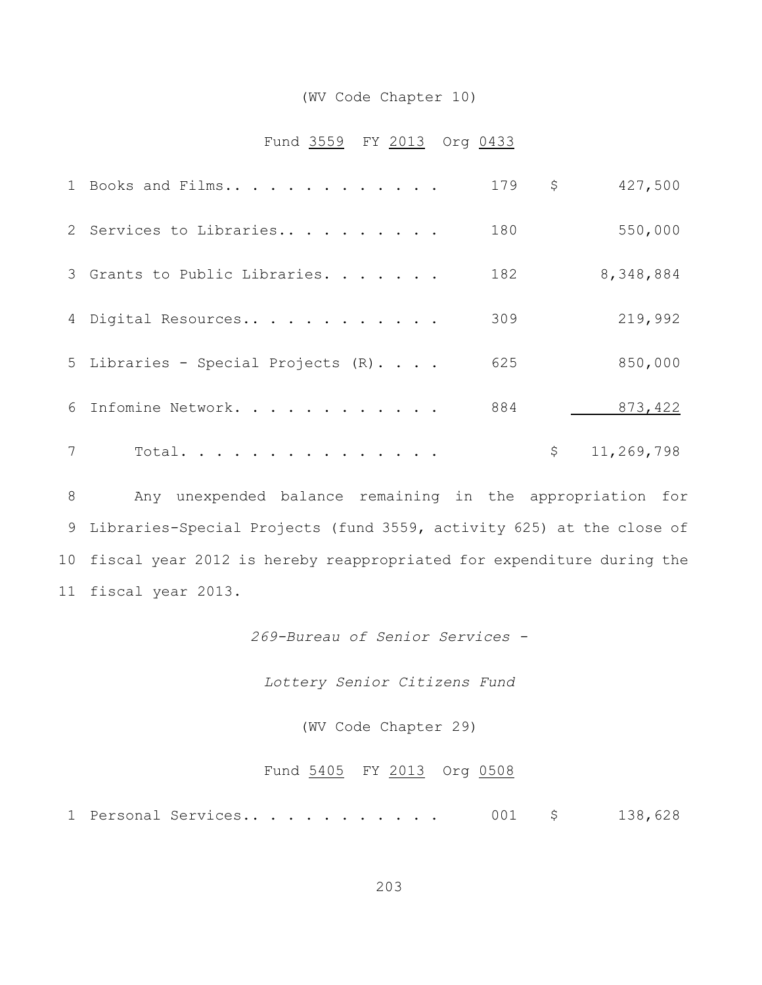### (WV Code Chapter 10)

## Fund 3559 FY 2013 Org 0433

|   | 1 Books and Films                  | 179 | \$<br>427,500    |
|---|------------------------------------|-----|------------------|
|   | 2 Services to Libraries            | 180 | 550,000          |
|   | 3 Grants to Public Libraries.      | 182 | 8,348,884        |
|   | 4 Digital Resources                | 309 | 219,992          |
|   | 5 Libraries - Special Projects (R) | 625 | 850,000          |
|   | 6 Infomine Network.                | 884 | 873, 422         |
| 7 | Total.                             |     | \$<br>11,269,798 |

 Any unexpended balance remaining in the appropriation for Libraries-Special Projects (fund 3559, activity 625) at the close of fiscal year 2012 is hereby reappropriated for expenditure during the fiscal year 2013.

*269-Bureau of Senior Services -*

*Lottery Senior Citizens Fund*

(WV Code Chapter 29)

# Fund 5405 FY 2013 Org 0508

Personal Services.. . . . . . . . . . . 001 \$ 138,628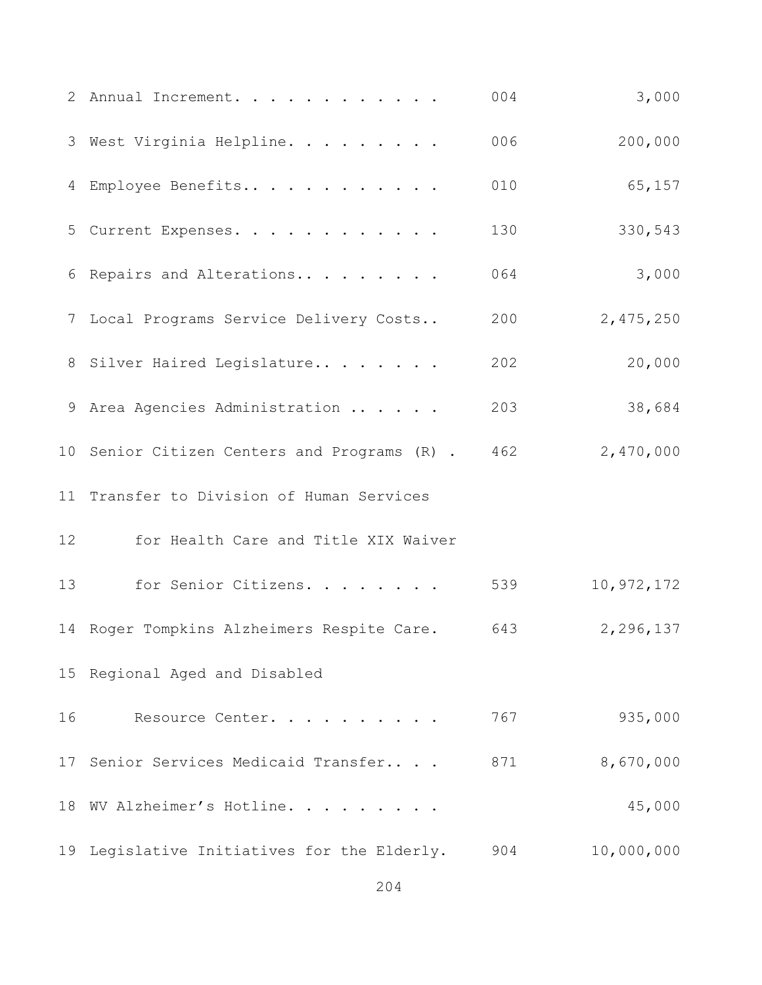|    | 2 Annual Increment.                          | 004 | 3,000      |
|----|----------------------------------------------|-----|------------|
|    | 3 West Virginia Helpline.                    | 006 | 200,000    |
| 4  | Employee Benefits                            | 010 | 65,157     |
|    | 5 Current Expenses.                          | 130 | 330,543    |
|    | 6 Repairs and Alterations                    | 064 | 3,000      |
|    | 7 Local Programs Service Delivery Costs      | 200 | 2,475,250  |
|    | 8 Silver Haired Legislature                  | 202 | 20,000     |
|    | 9 Area Agencies Administration               | 203 | 38,684     |
|    | 10 Senior Citizen Centers and Programs (R) . | 462 | 2,470,000  |
| 11 | Transfer to Division of Human Services       |     |            |
| 12 | for Health Care and Title XIX Waiver         |     |            |
| 13 | for Senior Citizens.                         | 539 | 10,972,172 |
|    | 14 Roger Tompkins Alzheimers Respite Care.   | 643 | 2,296,137  |
|    | 15 Regional Aged and Disabled                |     |            |
| 16 | Resource Center.                             | 767 | 935,000    |
|    | 17 Senior Services Medicaid Transfer         | 871 | 8,670,000  |
|    | 18 WV Alzheimer's Hotline.                   |     | 45,000     |
|    | 19 Legislative Initiatives for the Elderly.  | 904 | 10,000,000 |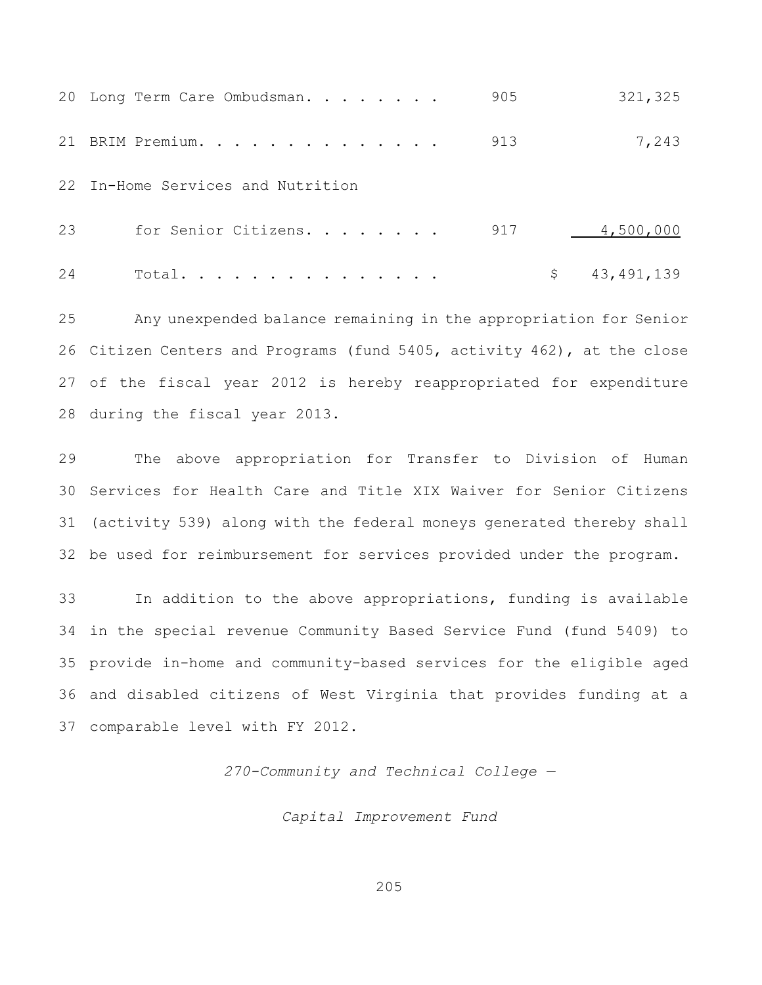|    | 20 Long Term Care Ombudsman.      | 905 | 321,325            |
|----|-----------------------------------|-----|--------------------|
|    | 21 BRIM Premium.                  | 913 | 7,243              |
|    | 22 In-Home Services and Nutrition |     |                    |
| 23 | for Senior Citizens.              | 917 | 4,500,000          |
| 24 | Total.                            |     | 43, 491, 139<br>\$ |

 Any unexpended balance remaining in the appropriation for Senior Citizen Centers and Programs (fund 5405, activity 462), at the close of the fiscal year 2012 is hereby reappropriated for expenditure during the fiscal year 2013.

 The above appropriation for Transfer to Division of Human Services for Health Care and Title XIX Waiver for Senior Citizens (activity 539) along with the federal moneys generated thereby shall be used for reimbursement for services provided under the program.

 In addition to the above appropriations, funding is available in the special revenue Community Based Service Fund (fund 5409) to provide in-home and community-based services for the eligible aged and disabled citizens of West Virginia that provides funding at a comparable level with FY 2012.

*270-Community and Technical College —*

*Capital Improvement Fund*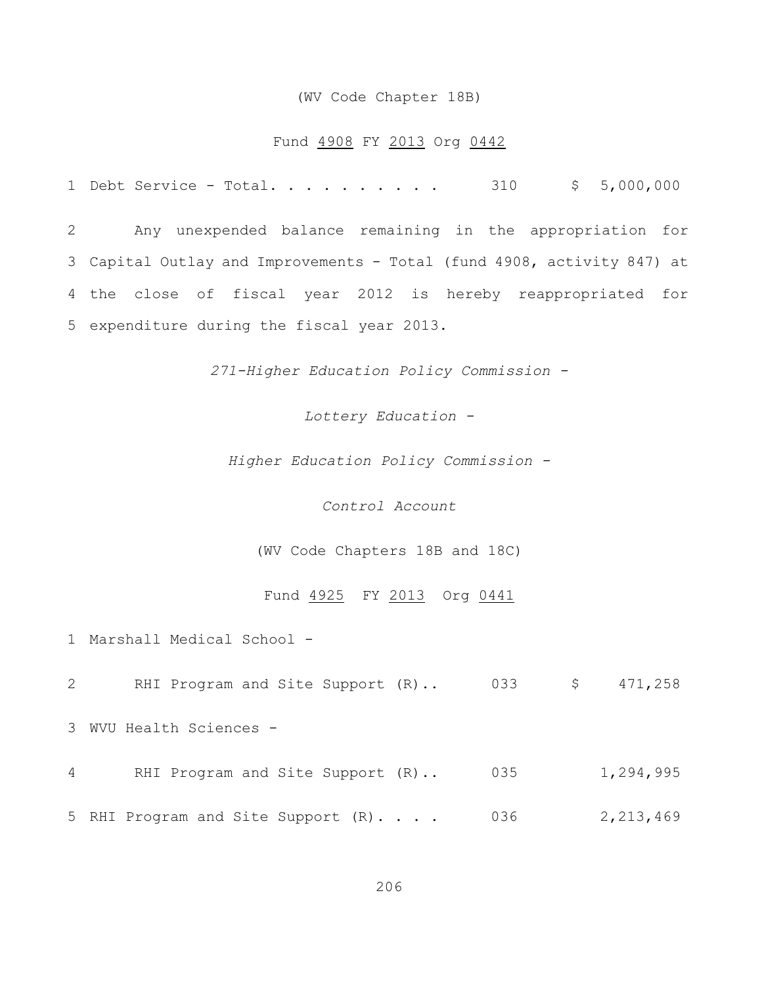### (WV Code Chapter 18B)

### Fund 4908 FY 2013 Org 0442

1 Debt Service - Total. . . . . . . . . 310 \$ 5,000,000

 Any unexpended balance remaining in the appropriation for Capital Outlay and Improvements - Total (fund 4908, activity 847) at the close of fiscal year 2012 is hereby reappropriated for expenditure during the fiscal year 2013.

*271-Higher Education Policy Commission -*

*Lottery Education -*

*Higher Education Policy Commission -*

*Control Account*

(WV Code Chapters 18B and 18C)

## Fund 4925 FY 2013 Org 0441

1 Marshall Medical School -

2 RHI Program and Site Support (R).. 033 \$ 471,258

3 WVU Health Sciences -

4 RHI Program and Site Support (R).. 035 1,294,995

5 RHI Program and Site Support (R). . . . 036 2,213,469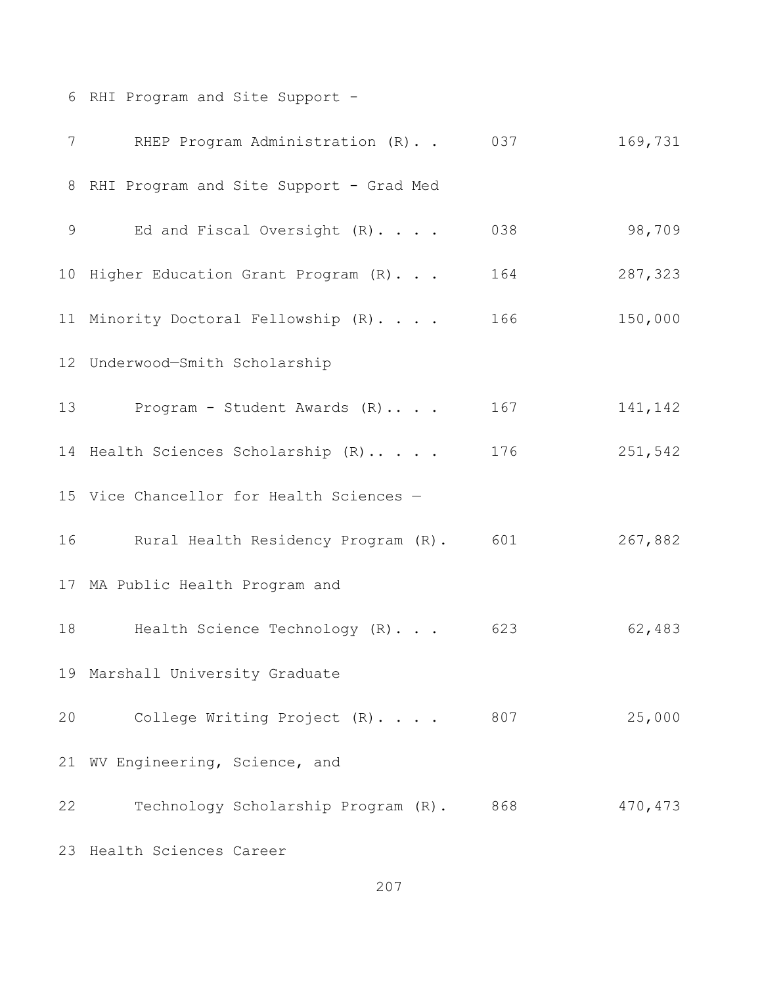RHI Program and Site Support -

| $7\overline{ }$ | RHEP Program Administration (R)           | 037 | 169,731 |
|-----------------|-------------------------------------------|-----|---------|
|                 | 8 RHI Program and Site Support - Grad Med |     |         |
| 9               | Ed and Fiscal Oversight (R).              | 038 | 98,709  |
|                 | 10 Higher Education Grant Program (R).    | 164 | 287,323 |
|                 | 11 Minority Doctoral Fellowship (R).      | 166 | 150,000 |
|                 | 12 Underwood-Smith Scholarship            |     |         |
|                 | 13 Program - Student Awards (R)           | 167 | 141,142 |
|                 | 14 Health Sciences Scholarship (R)        | 176 | 251,542 |
|                 | 15 Vice Chancellor for Health Sciences -  |     |         |
|                 | 16 Rural Health Residency Program (R).    | 601 | 267,882 |
|                 | 17 MA Public Health Program and           |     |         |
| 18              | Health Science Technology (R)             | 623 | 62,483  |
|                 | 19 Marshall University Graduate           |     |         |
| 20              | College Writing Project (R)               | 807 | 25,000  |
| 21              | WV Engineering, Science, and              |     |         |
| 22              | Technology Scholarship Program (R).       | 868 | 470,473 |
|                 | 23 Health Sciences Career                 |     |         |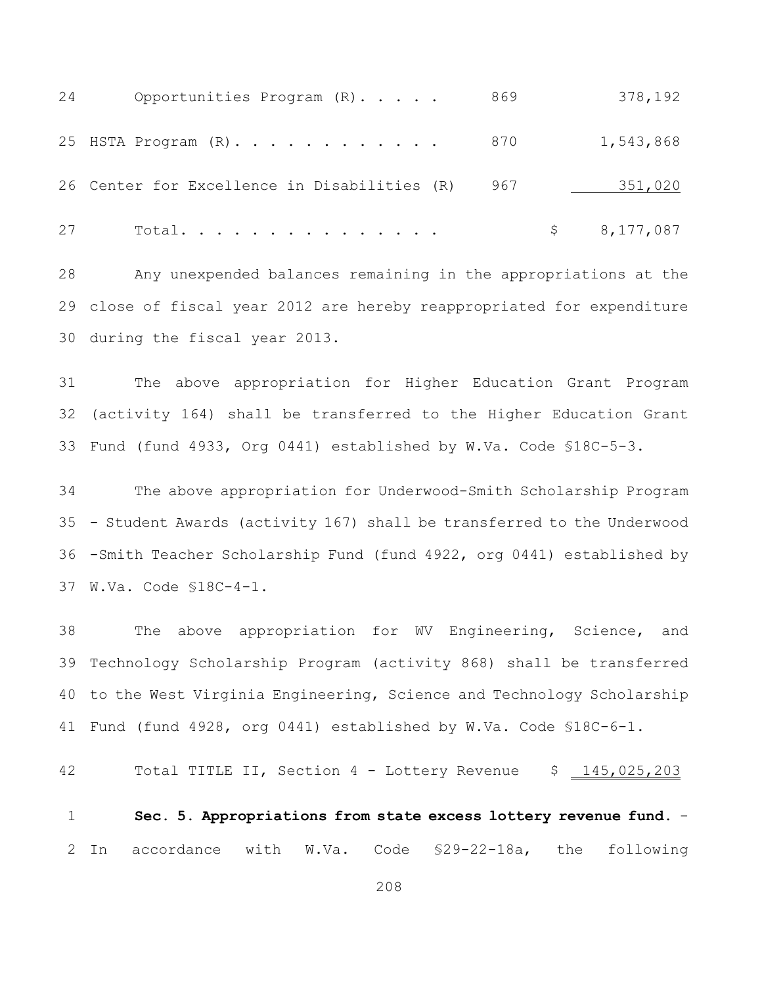| 24 | Opportunities Program (R).                   | 869 | 378,192     |
|----|----------------------------------------------|-----|-------------|
|    | 25 HSTA Program $(R)$ 870                    |     | 1,543,868   |
|    | 26 Center for Excellence in Disabilities (R) | 967 | 351,020     |
| 27 | Total.                                       |     | \$8,177,087 |

 Any unexpended balances remaining in the appropriations at the close of fiscal year 2012 are hereby reappropriated for expenditure during the fiscal year 2013.

 The above appropriation for Higher Education Grant Program (activity 164) shall be transferred to the Higher Education Grant Fund (fund 4933, Org 0441) established by W.Va. Code §18C-5-3.

 The above appropriation for Underwood-Smith Scholarship Program - Student Awards (activity 167) shall be transferred to the Underwood -Smith Teacher Scholarship Fund (fund 4922, org 0441) established by W.Va. Code §18C-4-1.

 The above appropriation for WV Engineering, Science, and Technology Scholarship Program (activity 868) shall be transferred to the West Virginia Engineering, Science and Technology Scholarship Fund (fund 4928, org 0441) established by W.Va. Code §18C-6-1.

42 Total TITLE II, Section 4 - Lottery Revenue \$ 145,025,203

 **Sec. 5. Appropriations from state excess lottery revenue fund.** - In accordance with W.Va. Code §29-22-18a, the following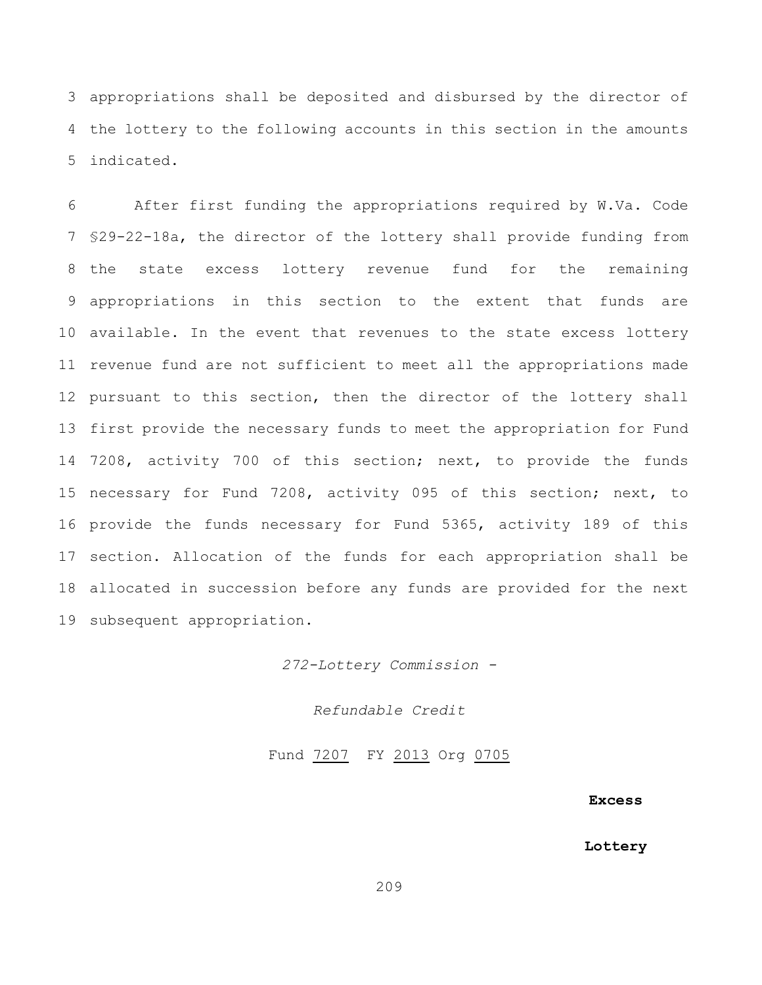appropriations shall be deposited and disbursed by the director of the lottery to the following accounts in this section in the amounts indicated.

 After first funding the appropriations required by W.Va. Code §29-22-18a, the director of the lottery shall provide funding from the state excess lottery revenue fund for the remaining appropriations in this section to the extent that funds are available. In the event that revenues to the state excess lottery revenue fund are not sufficient to meet all the appropriations made 12 pursuant to this section, then the director of the lottery shall first provide the necessary funds to meet the appropriation for Fund 7208, activity 700 of this section; next, to provide the funds necessary for Fund 7208, activity 095 of this section; next, to provide the funds necessary for Fund 5365, activity 189 of this section. Allocation of the funds for each appropriation shall be allocated in succession before any funds are provided for the next subsequent appropriation.

*272-Lottery Commission -*

*Refundable Credit*

Fund 7207 FY 2013 Org 0705

### **Excess**

#### **Lottery**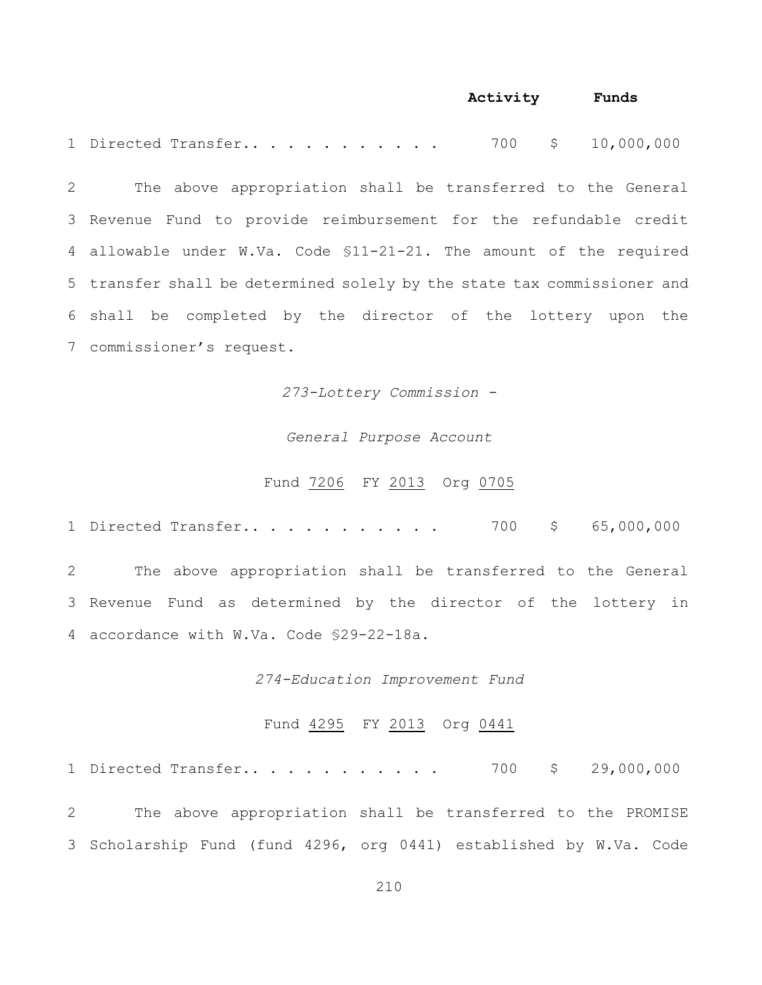## **Activity Funds**

1 Directed Transfer.. . . . . . . . . . 700 \$ 10,000,000

 The above appropriation shall be transferred to the General Revenue Fund to provide reimbursement for the refundable credit allowable under W.Va. Code §11-21-21. The amount of the required transfer shall be determined solely by the state tax commissioner and shall be completed by the director of the lottery upon the commissioner's request.

*273-Lottery Commission -*

## *General Purpose Account*

### Fund 7206 FY 2013 Org 0705

1 Directed Transfer.. . . . . . . . . . . 700 \$ 65,000,000

2 The above appropriation shall be transferred to the General 3 Revenue Fund as determined by the director of the lottery in 4 accordance with W.Va. Code §29-22-18a.

### *274-Education Improvement Fund*

### Fund 4295 FY 2013 Org 0441

1 Directed Transfer.. . . . . . . . . . . 700 \$ 29,000,000

2 The above appropriation shall be transferred to the PROMISE 3 Scholarship Fund (fund 4296, org 0441) established by W.Va. Code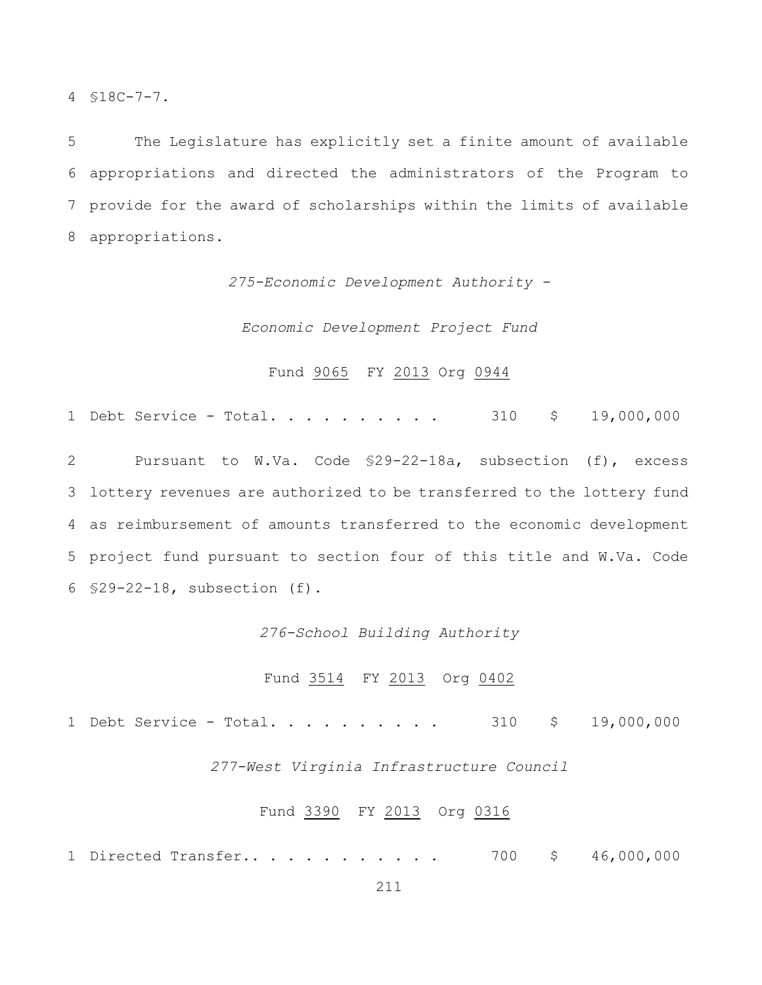4 §18C-7-7.

 The Legislature has explicitly set a finite amount of available appropriations and directed the administrators of the Program to provide for the award of scholarships within the limits of available appropriations.

*275-Economic Development Authority -*

*Economic Development Project Fund*

## Fund 9065 FY 2013 Org 0944

1 Debt Service - Total. . . . . . . . . 310 \$ 19,000,000

 Pursuant to W.Va. Code §29-22-18a, subsection (f), excess lottery revenues are authorized to be transferred to the lottery fund as reimbursement of amounts transferred to the economic development project fund pursuant to section four of this title and W.Va. Code §29-22-18, subsection (f).

### *276-School Building Authority*

## Fund 3514 FY 2013 Org 0402

1 Debt Service - Total. . . . . . . . . 310 \$ 19,000,000

*277-West Virginia Infrastructure Council*

### Fund 3390 FY 2013 Org 0316

1 Directed Transfer.. . . . . . . . . . . 700 \$ 46,000,000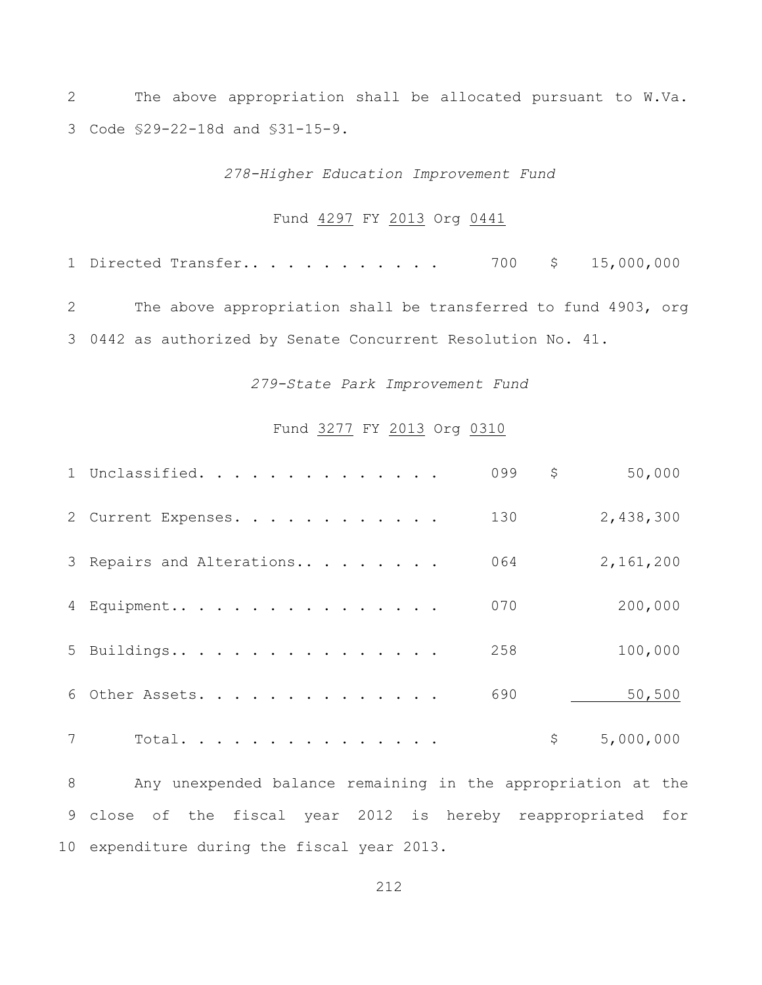The above appropriation shall be allocated pursuant to W.Va. Code §29-22-18d and §31-15-9.

*278-Higher Education Improvement Fund*

## Fund 4297 FY 2013 Org 0441

1 Directed Transfer.............. 700 \$ 15,000,000 The above appropriation shall be transferred to fund 4903, org 0442 as authorized by Senate Concurrent Resolution No. 41.

## *279-State Park Improvement Fund*

## Fund 3277 FY 2013 Org 0310

|   | 1 Unclassified.           | 099 | \$<br>50,000    |
|---|---------------------------|-----|-----------------|
|   | 2 Current Expenses.       | 130 | 2,438,300       |
|   | 3 Repairs and Alterations | 064 | 2,161,200       |
|   | 4 Equipment               | 070 | 200,000         |
|   | 5 Buildings               | 258 | 100,000         |
|   | 6 Other Assets.           | 690 | 50,500          |
| 7 | Total.                    |     | \$<br>5,000,000 |

 Any unexpended balance remaining in the appropriation at the close of the fiscal year 2012 is hereby reappropriated for expenditure during the fiscal year 2013.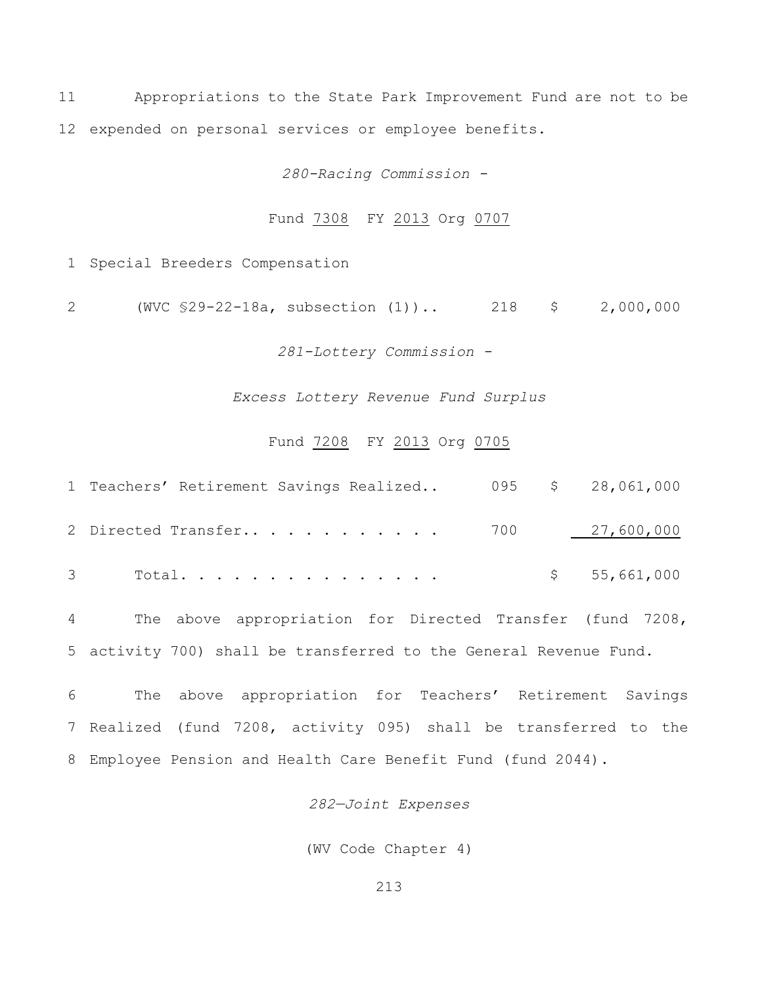Appropriations to the State Park Improvement Fund are not to be expended on personal services or employee benefits.

*280-Racing Commission -* 

## Fund 7308 FY 2013 Org 0707

Special Breeders Compensation

(WVC §29-22-18a, subsection (1)).. 218 \$ 2,000,000

*281-Lottery Commission -* 

*Excess Lottery Revenue Fund Surplus*

## Fund 7208 FY 2013 Org 0705

| 1 Teachers' Retirement Savings Realized 095 \$ 28,061,000 |  |             |
|-----------------------------------------------------------|--|-------------|
|                                                           |  |             |
| 3 Total.                                                  |  | \$5,661,000 |

 The above appropriation for Directed Transfer (fund 7208, activity 700) shall be transferred to the General Revenue Fund.

 The above appropriation for Teachers' Retirement Savings Realized (fund 7208, activity 095) shall be transferred to the Employee Pension and Health Care Benefit Fund (fund 2044).

## *282—Joint Expenses*

(WV Code Chapter 4)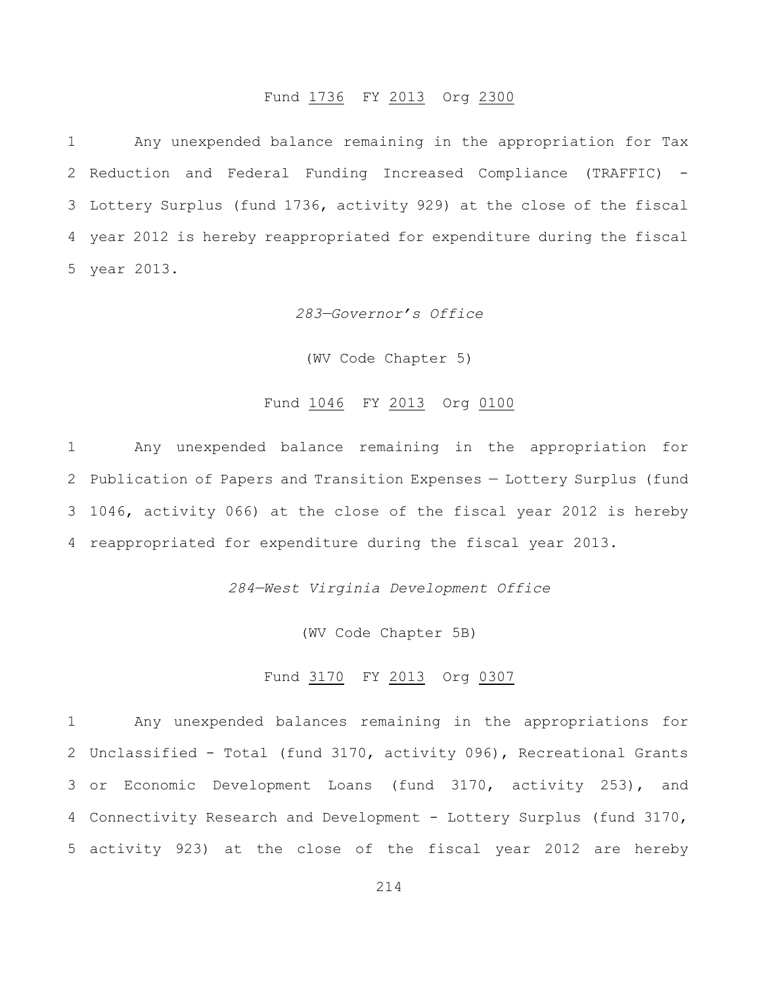# Fund 1736 FY 2013 Org 2300

 Any unexpended balance remaining in the appropriation for Tax Reduction and Federal Funding Increased Compliance (TRAFFIC) - Lottery Surplus (fund 1736, activity 929) at the close of the fiscal year 2012 is hereby reappropriated for expenditure during the fiscal year 2013.

## *283—Governor's Office*

(WV Code Chapter 5)

## Fund 1046 FY 2013 Org 0100

 Any unexpended balance remaining in the appropriation for Publication of Papers and Transition Expenses — Lottery Surplus (fund 1046, activity 066) at the close of the fiscal year 2012 is hereby reappropriated for expenditure during the fiscal year 2013.

*284—West Virginia Development Office*

(WV Code Chapter 5B)

## Fund 3170 FY 2013 Org 0307

 Any unexpended balances remaining in the appropriations for Unclassified - Total (fund 3170, activity 096), Recreational Grants or Economic Development Loans (fund 3170, activity 253), and Connectivity Research and Development - Lottery Surplus (fund 3170, activity 923) at the close of the fiscal year 2012 are hereby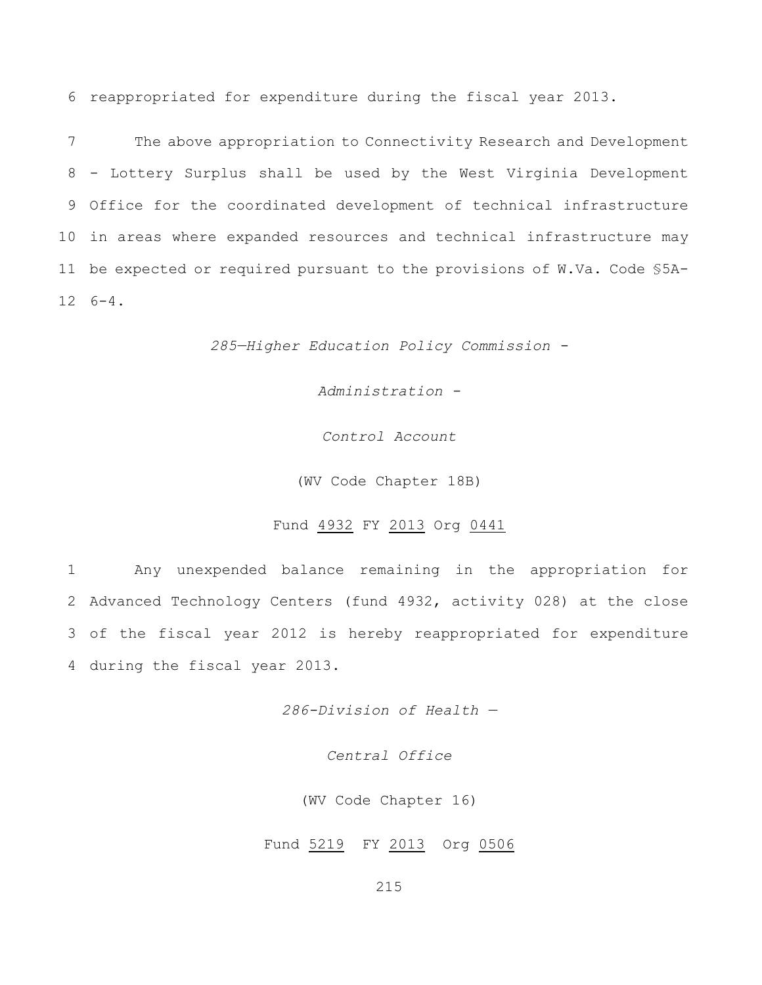6 reappropriated for expenditure during the fiscal year 2013.

 The above appropriation to Connectivity Research and Development - Lottery Surplus shall be used by the West Virginia Development Office for the coordinated development of technical infrastructure in areas where expanded resources and technical infrastructure may be expected or required pursuant to the provisions of W.Va. Code §5A-12 6-4.

*285—Higher Education Policy Commission -*

*Administration -*

*Control Account*

(WV Code Chapter 18B)

### Fund 4932 FY 2013 Org 0441

 Any unexpended balance remaining in the appropriation for Advanced Technology Centers (fund 4932, activity 028) at the close of the fiscal year 2012 is hereby reappropriated for expenditure during the fiscal year 2013.

*286-Division of Health —*

*Central Office*

(WV Code Chapter 16)

Fund 5219 FY 2013 Org 0506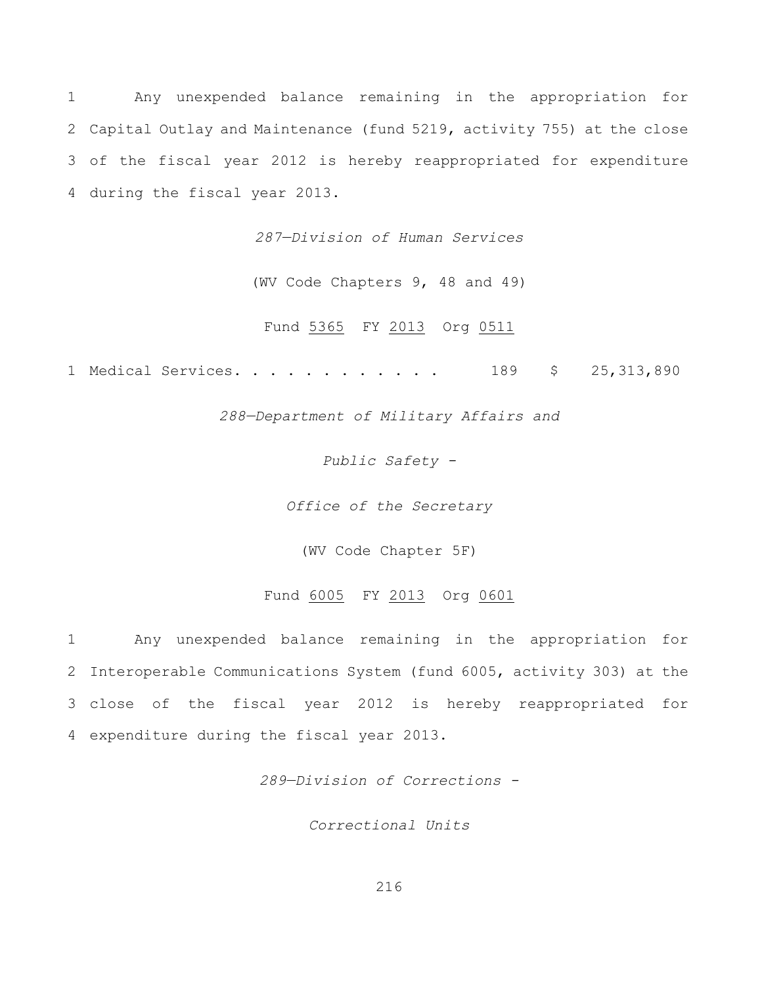Any unexpended balance remaining in the appropriation for Capital Outlay and Maintenance (fund 5219, activity 755) at the close of the fiscal year 2012 is hereby reappropriated for expenditure during the fiscal year 2013.

*287—Division of Human Services*

(WV Code Chapters 9, 48 and 49)

Fund 5365 FY 2013 Org 0511

1 Medical Services. . . . . . . . . . . . 189 \$ 25,313,890

*288—Department of Military Affairs and*

*Public Safety -*

*Office of the Secretary*

(WV Code Chapter 5F)

## Fund 6005 FY 2013 Org 0601

 Any unexpended balance remaining in the appropriation for Interoperable Communications System (fund 6005, activity 303) at the close of the fiscal year 2012 is hereby reappropriated for expenditure during the fiscal year 2013.

*289—Division of Corrections -*

*Correctional Units*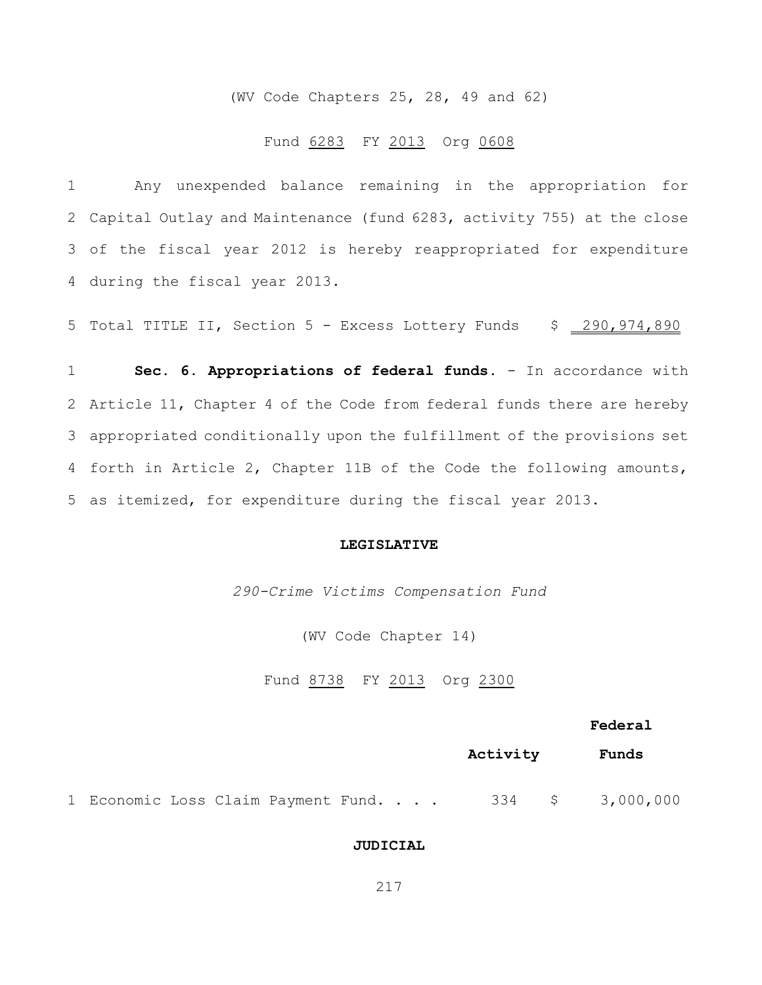(WV Code Chapters 25, 28, 49 and 62)

#### Fund 6283 FY 2013 Org 0608

 Any unexpended balance remaining in the appropriation for Capital Outlay and Maintenance (fund 6283, activity 755) at the close of the fiscal year 2012 is hereby reappropriated for expenditure during the fiscal year 2013.

5 Total TITLE II, Section 5 - Excess Lottery Funds \$ 290,974,890

 **Sec. 6. Appropriations of federal funds.** - In accordance with Article 11, Chapter 4 of the Code from federal funds there are hereby appropriated conditionally upon the fulfillment of the provisions set forth in Article 2, Chapter 11B of the Code the following amounts, as itemized, for expenditure during the fiscal year 2013.

#### **LEGISLATIVE**

*290-Crime Victims Compensation Fund*

(WV Code Chapter 14)

Fund 8738 FY 2013 Org 2300

#### **Federal**

|                                     |  |  |  |  | Activity | Funds            |
|-------------------------------------|--|--|--|--|----------|------------------|
| 1 Economic Loss Claim Payment Fund. |  |  |  |  |          | 334 \$ 3,000,000 |

#### **JUDICIAL**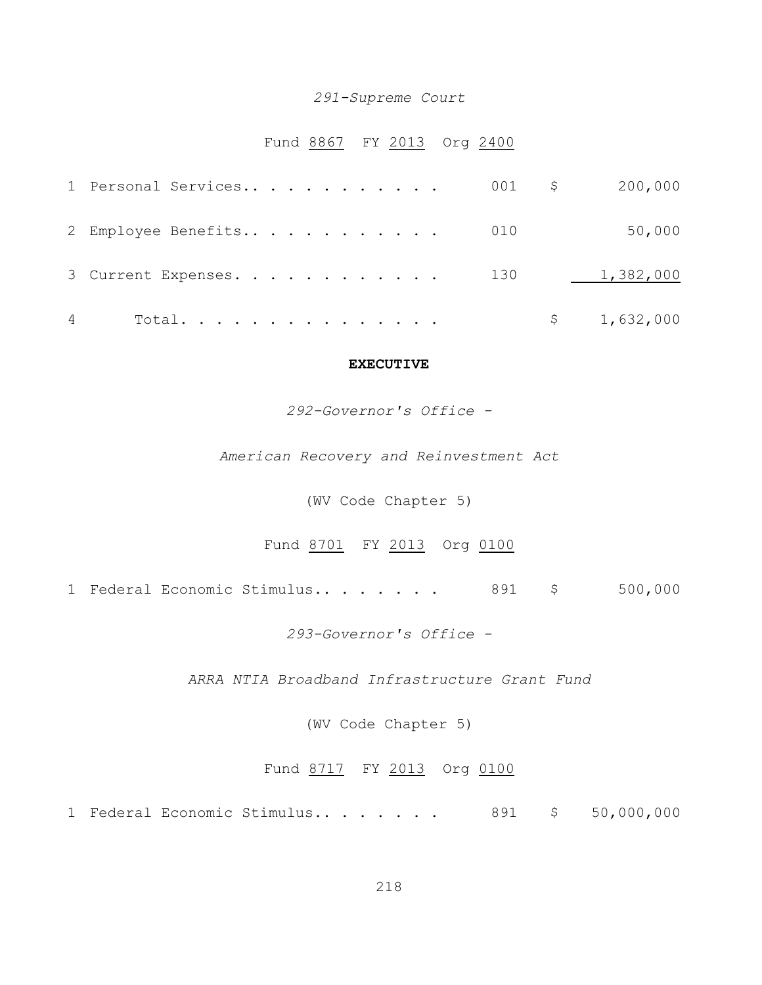#### *291-Supreme Court*

## Fund 8867 FY 2013 Org 2400

|   | 1 Personal Services 001 \$ |  | 200,000     |
|---|----------------------------|--|-------------|
|   | 2 Employee Benefits 010    |  | 50,000      |
|   | 3 Current Expenses. 130    |  | 1,382,000   |
| 4 | Total. $\cdot$             |  | \$1,632,000 |

#### **EXECUTIVE**

#### *292-Governor's Office -*

*American Recovery and Reinvestment Act*

(WV Code Chapter 5)

Fund 8701 FY 2013 Org 0100

1 Federal Economic Stimulus.. . . . . . 891 \$ 500,000

*293-Governor's Office -*

*ARRA NTIA Broadband Infrastructure Grant Fund*

(WV Code Chapter 5)

#### Fund 8717 FY 2013 Org 0100

1 Federal Economic Stimulus........ 891 \$ 50,000,000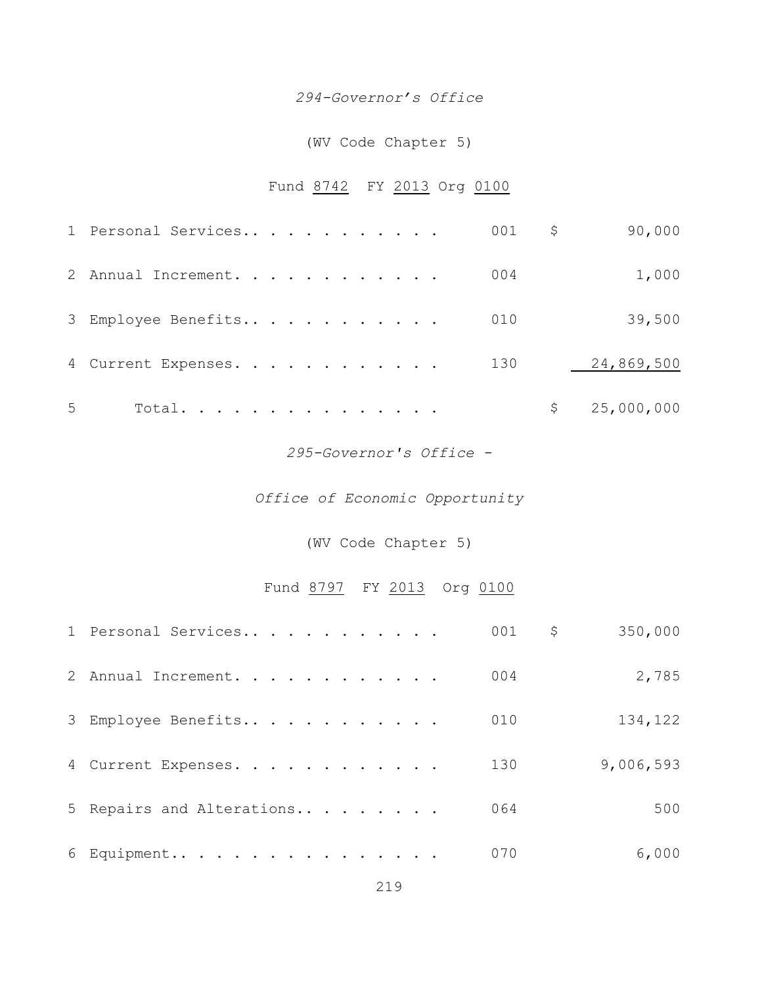### *294-Governor's Office*

## (WV Code Chapter 5)

## Fund 8742 FY 2013 Org 0100

|   | 1 Personal Services |  |  |  | $001$ \$ | 90,000       |
|---|---------------------|--|--|--|----------|--------------|
|   | 2 Annual Increment. |  |  |  | 004      | 1,000        |
|   | 3 Employee Benefits |  |  |  | 010      | 39,500       |
|   | 4 Current Expenses. |  |  |  | 130      | 24,869,500   |
| 5 | Total.              |  |  |  |          | \$25,000,000 |

#### *295-Governor's Office -*

## *Office of Economic Opportunity*

(WV Code Chapter 5)

## Fund 8797 FY 2013 Org 0100

| 1 Personal Services       | 001 | \$<br>350,000 |
|---------------------------|-----|---------------|
| 2 Annual Increment.       | 004 | 2,785         |
| 3 Employee Benefits       | 010 | 134,122       |
| 4 Current Expenses.       | 130 | 9,006,593     |
| 5 Repairs and Alterations | 064 | 500           |
| 6 Equipment               | 070 | 6,000         |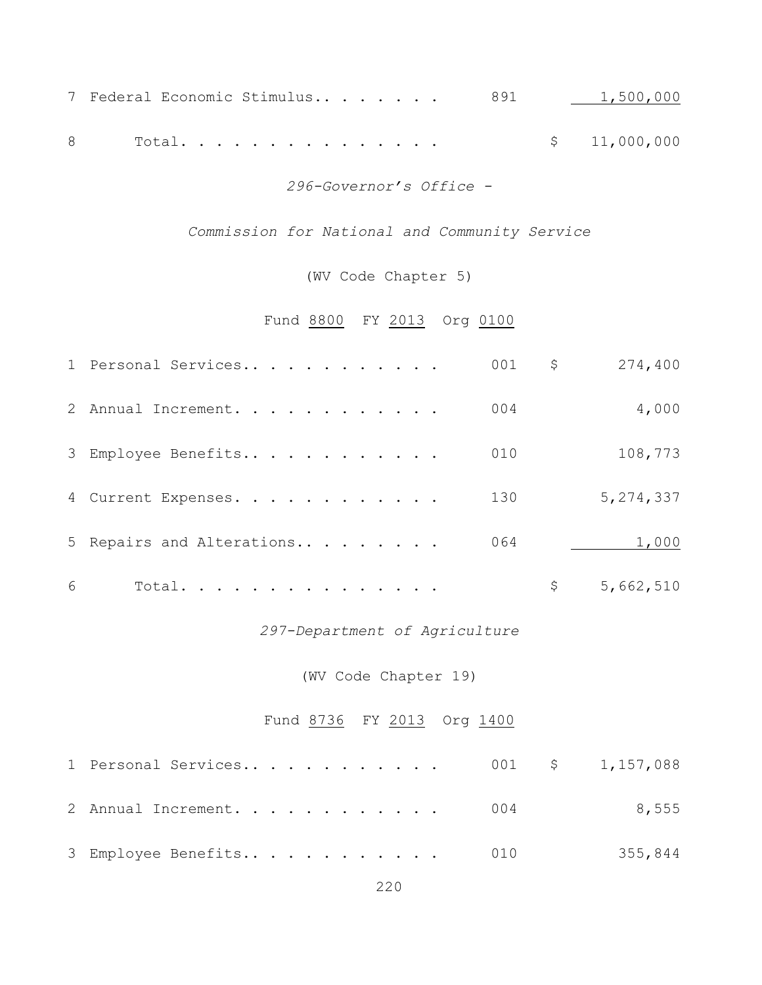|  |          |  |  |  |  | 7 Federal Economic Stimulus 891 1,500,000 |
|--|----------|--|--|--|--|-------------------------------------------|
|  |          |  |  |  |  |                                           |
|  | 8 Total. |  |  |  |  | \$11,000,000                              |

*296-Governor's Office -*

*Commission for National and Community Service*

(WV Code Chapter 5)

Fund 8800 FY 2013 Org 0100

|   | 1 Personal Services       | 001 | \$<br>274,400 |
|---|---------------------------|-----|---------------|
|   | 2 Annual Increment.       | 004 | 4,000         |
|   | 3 Employee Benefits       | 010 | 108,773       |
|   | 4 Current Expenses.       | 130 | 5,274,337     |
|   | 5 Repairs and Alterations | 064 | 1,000         |
| 6 | Total.                    |     | 5,662,510     |

## *297-Department of Agriculture*

(WV Code Chapter 19)

## Fund 8736 FY 2013 Org 1400

| 1 Personal Services 001 \$ 1,157,088 |  |         |
|--------------------------------------|--|---------|
| 2 Annual Increment. 004              |  | 8,555   |
| 3 Employee Benefits 010              |  | 355,844 |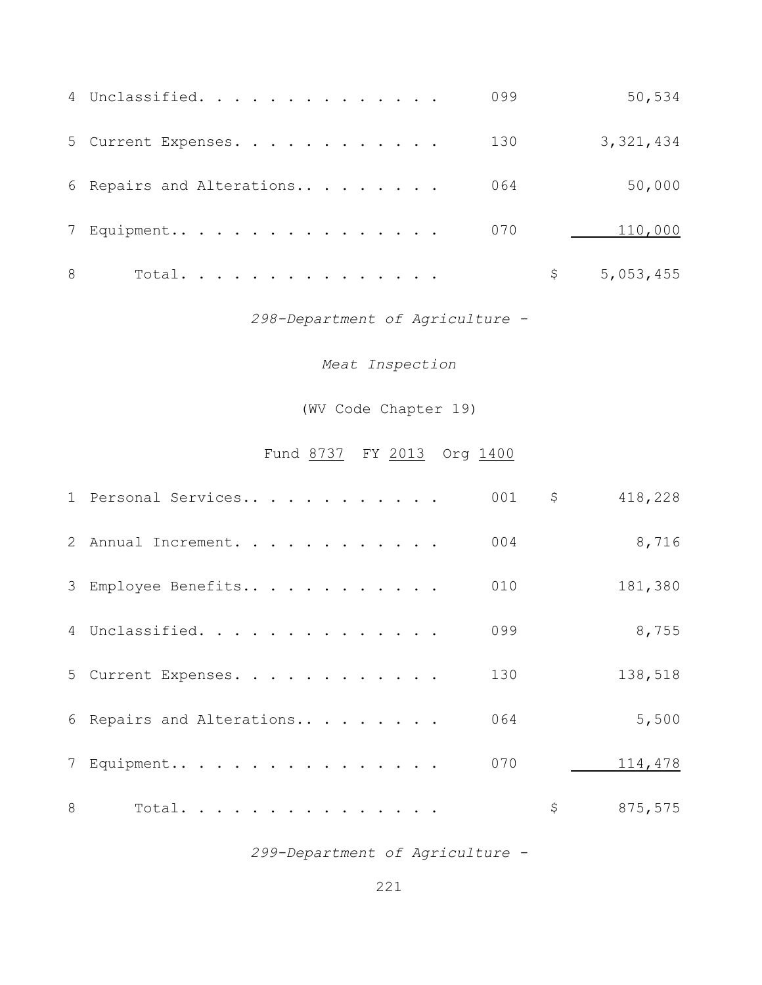|   | 4 Unclassified.           | 099 | 50,534      |
|---|---------------------------|-----|-------------|
|   | 5 Current Expenses.       | 130 | 3, 321, 434 |
|   | 6 Repairs and Alterations | 064 | 50,000      |
|   | 7 Equipment               | 070 | 110,000     |
| 8 | Total.                    |     | 5,053,455   |

*298-Department of Agriculture -*

*Meat Inspection*

(WV Code Chapter 19)

## Fund 8737 FY 2013 Org 1400

|   | 1 Personal Services       | 001 | \$<br>418,228 |
|---|---------------------------|-----|---------------|
|   | 2 Annual Increment.       | 004 | 8,716         |
|   | 3 Employee Benefits       | 010 | 181,380       |
|   | 4 Unclassified.           | 099 | 8,755         |
|   | 5 Current Expenses.       | 130 | 138,518       |
|   | 6 Repairs and Alterations | 064 | 5,500         |
|   | 7 Equipment               | 070 | 114,478       |
| 8 | Total.                    |     | \$<br>875,575 |

*299-Department of Agriculture -*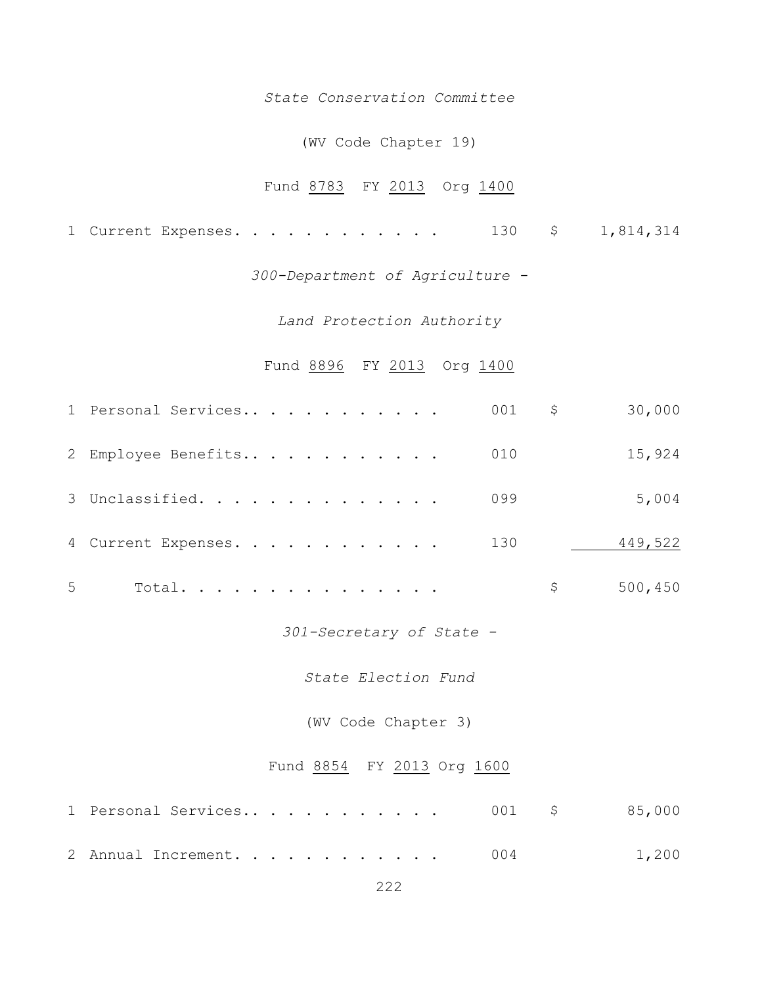#### *State Conservation Committee*

#### (WV Code Chapter 19)

## Fund 8783 FY 2013 Org 1400

1 Current Expenses. . . . . . . . . . . . 130 \$ 1,814,314

*300-Department of Agriculture -*

*Land Protection Authority*

#### Fund 8896 FY 2013 Org 1400

|   | 1 Personal Services | $001$ \$ | 30,000  |
|---|---------------------|----------|---------|
|   | 2 Employee Benefits | 010      | 15,924  |
|   | 3 Unclassified.     | 099      | 5,004   |
|   | 4 Current Expenses. | 130      | 449,522 |
| 5 | Total.              |          | 500,450 |

*301-Secretary of State -*

*State Election Fund*

(WV Code Chapter 3)

#### Fund 8854 FY 2013 Org 1600

| 2 Annual Increment. 004 |  | 1,200 |
|-------------------------|--|-------|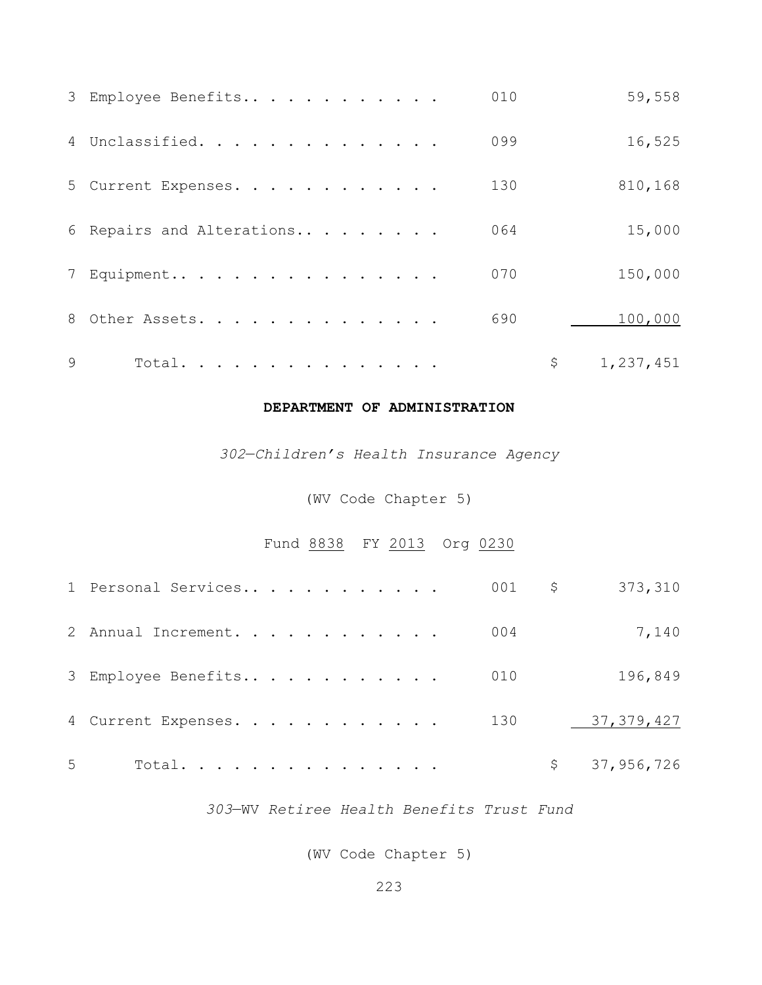|              | 3 Employee Benefits       | 010 | 59,558    |
|--------------|---------------------------|-----|-----------|
|              | 4 Unclassified.           | 099 | 16,525    |
|              | 5 Current Expenses.       | 130 | 810,168   |
|              | 6 Repairs and Alterations | 064 | 15,000    |
|              | 7 Equipment               | 070 | 150,000   |
|              | 8 Other Assets.           | 690 | 100,000   |
| $\mathsf{Q}$ | Total.                    |     | 1,237,451 |

## **DEPARTMENT OF ADMINISTRATION**

—*Children's Health Insurance Agency*

(WV Code Chapter 5)

Fund 8838 FY 2013 Org 0230

|   | 1 Personal Services |  |  | $001$ \$ | 373,310          |
|---|---------------------|--|--|----------|------------------|
|   | 2 Annual Increment. |  |  | 004      | 7,140            |
|   | 3 Employee Benefits |  |  | 010      | 196,849          |
|   | 4 Current Expenses. |  |  | 130      | 37, 379, 427     |
| 5 | Total.              |  |  |          | \$<br>37,956,726 |

—WV *Retiree Health Benefits Trust Fund*

(WV Code Chapter 5)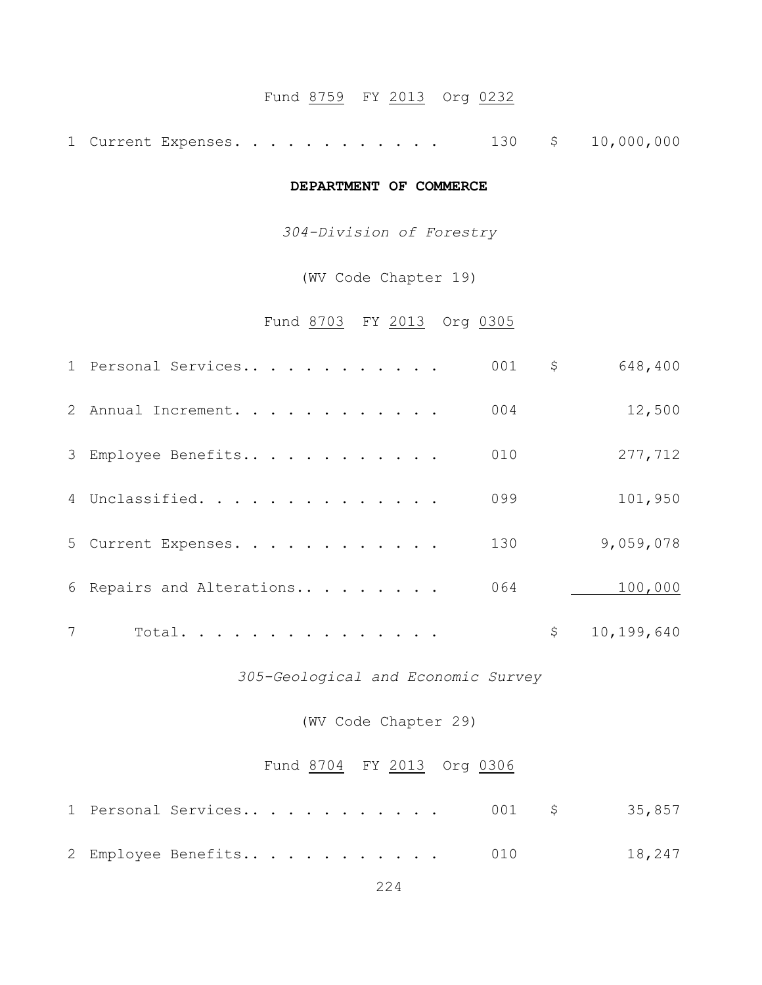## Fund 8759 FY 2013 Org 0232

1 Current Expenses. . . . . . . . . . . . 130 \$ 10,000,000

#### **DEPARTMENT OF COMMERCE**

*304-Division of Forestry*

(WV Code Chapter 19)

Fund 8703 FY 2013 Org 0305

|   | 1 Personal Services       | 001 | \$<br>648,400    |
|---|---------------------------|-----|------------------|
|   | 2 Annual Increment.       | 004 | 12,500           |
|   | 3 Employee Benefits       | 010 | 277,712          |
|   | 4 Unclassified.           | 099 | 101,950          |
|   | 5 Current Expenses.       | 130 | 9,059,078        |
|   | 6 Repairs and Alterations | 064 | 100,000          |
| 7 | Total.                    |     | \$<br>10,199,640 |

*305-Geological and Economic Survey*

(WV Code Chapter 29)

#### Fund 8704 FY 2013 Org 0306

|  | 2 Employee Benefits 010 |  |  |  |  |  |  | 18,247 |
|--|-------------------------|--|--|--|--|--|--|--------|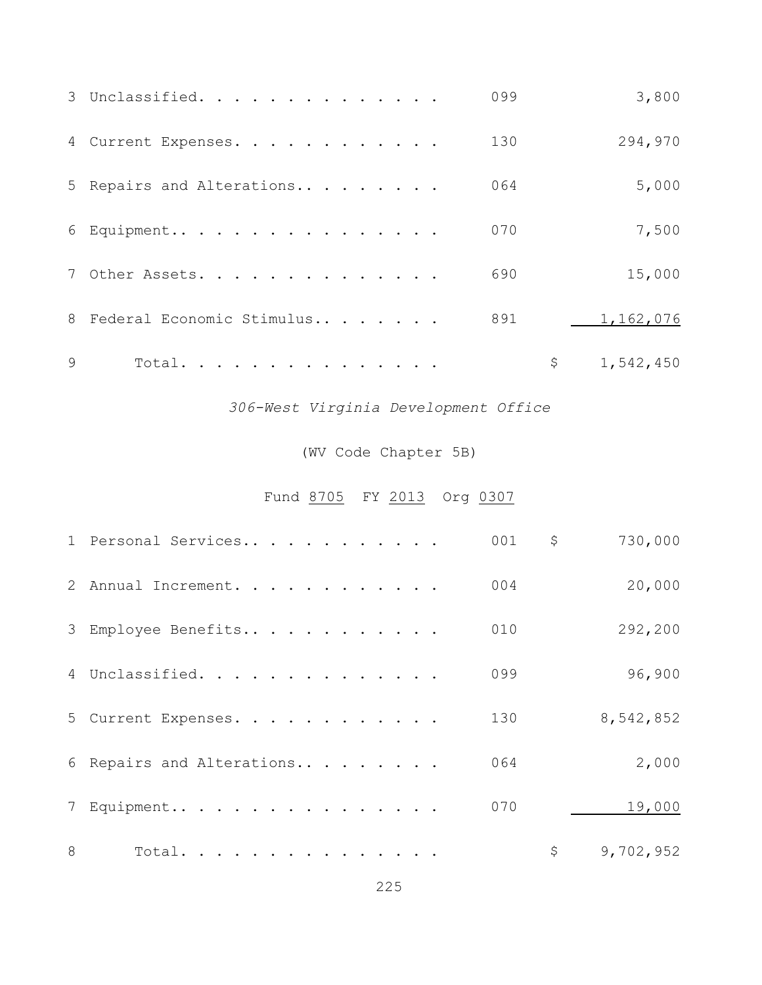|   | 3 Unclassified.             | 099 | 3,800           |
|---|-----------------------------|-----|-----------------|
|   | 4 Current Expenses.         | 130 | 294,970         |
|   | 5 Repairs and Alterations   | 064 | 5,000           |
|   | 6 Equipment                 | 070 | 7,500           |
|   | 7 Other Assets.             | 690 | 15,000          |
|   | 8 Federal Economic Stimulus | 891 | 1,162,076       |
| Q | Total.                      |     | \$<br>1,542,450 |

*306-West Virginia Development Office*

## (WV Code Chapter 5B)

Fund 8705 FY 2013 Org 0307

|   | 1 Personal Services       | 001 | \$<br>730,000   |
|---|---------------------------|-----|-----------------|
|   | 2 Annual Increment.       | 004 | 20,000          |
|   | 3 Employee Benefits       | 010 | 292,200         |
|   | 4 Unclassified.           | 099 | 96,900          |
|   | 5 Current Expenses.       | 130 | 8,542,852       |
|   | 6 Repairs and Alterations | 064 | 2,000           |
|   | 7 Equipment               | 070 | 19,000          |
| 8 | Total.                    |     | \$<br>9,702,952 |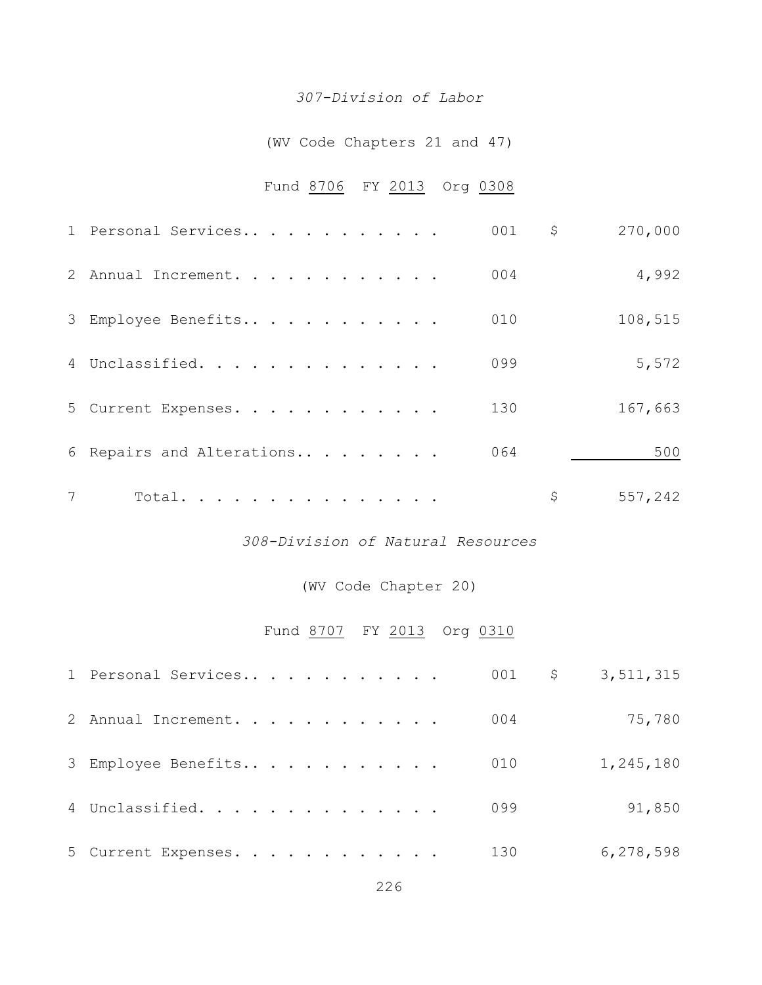#### *307-Division of Labor*

## (WV Code Chapters 21 and 47)

## Fund 8706 FY 2013 Org 0308

|   | 1 Personal Services       | 001 | \$<br>270,000 |
|---|---------------------------|-----|---------------|
|   | 2 Annual Increment.       | 004 | 4,992         |
|   | 3 Employee Benefits       | 010 | 108,515       |
|   | 4 Unclassified.           | 099 | 5,572         |
|   | 5 Current Expenses.       | 130 | 167,663       |
|   | 6 Repairs and Alterations | 064 | 500           |
| 7 | Total.                    |     | \$<br>557,242 |

### *308-Division of Natural Resources*

## (WV Code Chapter 20)

## Fund 8707 FY 2013 Org 0310

| 1 Personal Services |     | 001 $\frac{1}{5}$ 3,511,315 |
|---------------------|-----|-----------------------------|
| 2 Annual Increment. | 004 | 75,780                      |
| 3 Employee Benefits | 010 | 1,245,180                   |
| 4 Unclassified.     | 099 | 91,850                      |
| 5 Current Expenses. | 130 | 6,278,598                   |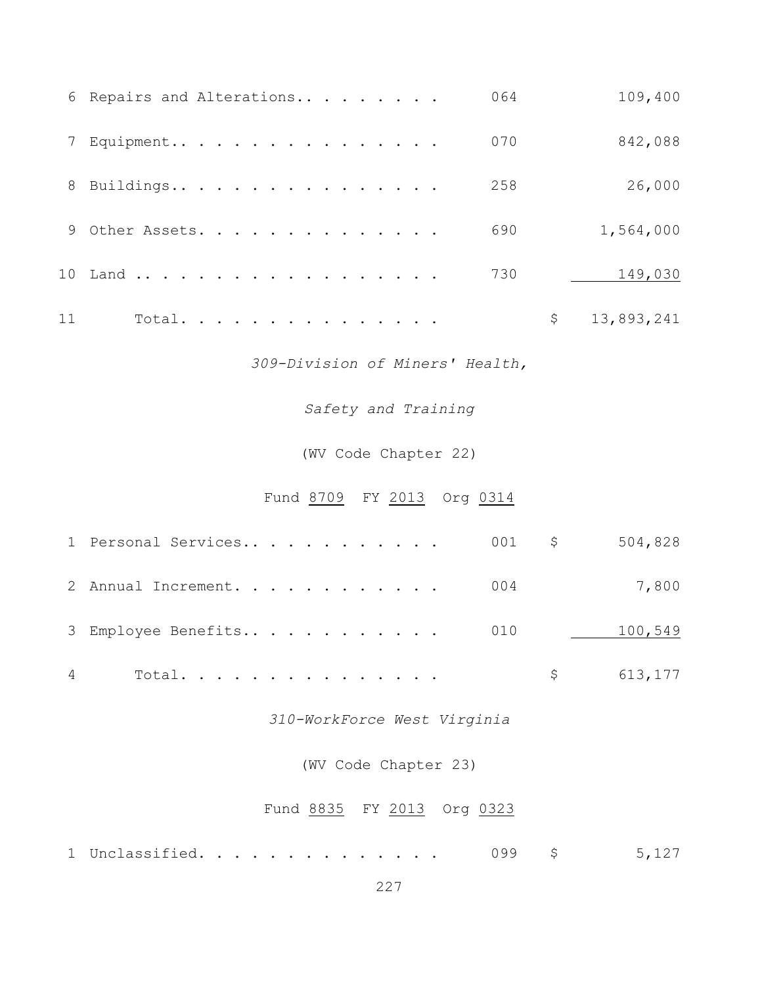|    | 6 Repairs and Alterations | 064 | 109,400          |
|----|---------------------------|-----|------------------|
|    | 7 Equipment               | 070 | 842,088          |
|    | 8 Buildings               | 258 | 26,000           |
|    | 9 Other Assets.           | 690 | 1,564,000        |
|    | 10 Land                   | 730 | 149,030          |
| 11 | Total.                    |     | \$<br>13,893,241 |

*309-Division of Miners' Health,*

*Safety and Training*

(WV Code Chapter 22)

Fund 8709 FY 2013 Org 0314

| 1 Personal Services 001 \$ |  |  |  |  |  |  | 504,828     |
|----------------------------|--|--|--|--|--|--|-------------|
| 2 Annual Increment. 004    |  |  |  |  |  |  | 7,800       |
| 3 Employee Benefits 010    |  |  |  |  |  |  | 100,549     |
|                            |  |  |  |  |  |  | \$ 613, 177 |

*310-WorkForce West Virginia*

(WV Code Chapter 23)

Fund 8835 FY 2013 Org 0323

| 1 Unclassified.<br>. |  |  | 5,127 |
|----------------------|--|--|-------|
|----------------------|--|--|-------|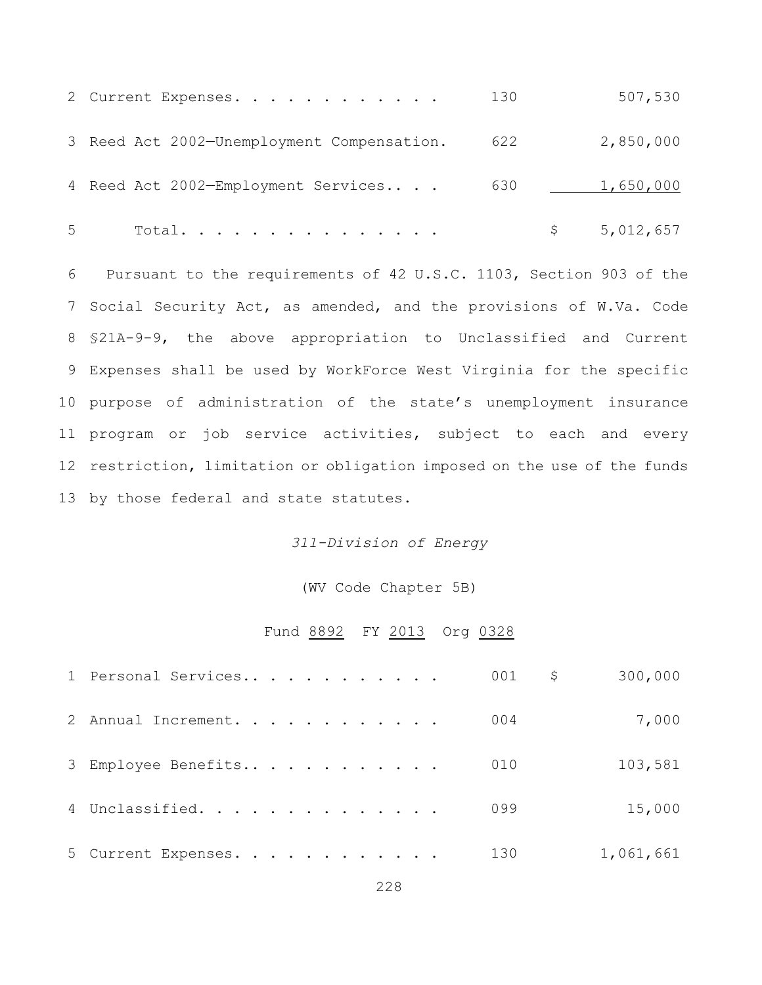|   | 2 Current Expenses.                        | 130 |   | 507,530   |
|---|--------------------------------------------|-----|---|-----------|
|   | 3 Reed Act 2002-Unemployment Compensation. | 622 |   | 2,850,000 |
|   | 4 Reed Act 2002-Employment Services        | 630 |   | 1,650,000 |
| 5 | Total.                                     |     | S | 5,012,657 |

 Pursuant to the requirements of 42 U.S.C. 1103, Section 903 of the Social Security Act, as amended, and the provisions of W.Va. Code §21A-9-9, the above appropriation to Unclassified and Current Expenses shall be used by WorkForce West Virginia for the specific purpose of administration of the state's unemployment insurance program or job service activities, subject to each and every restriction, limitation or obligation imposed on the use of the funds by those federal and state statutes.

#### *311-Division of Energy*

#### (WV Code Chapter 5B)

#### Fund 8892 FY 2013 Org 0328

| 1 Personal Services | 001 | Ş. | 300,000   |
|---------------------|-----|----|-----------|
| 2 Annual Increment. | 004 |    | 7,000     |
| 3 Employee Benefits | 010 |    | 103,581   |
| 4 Unclassified.     | 099 |    | 15,000    |
| 5 Current Expenses. | 130 |    | 1,061,661 |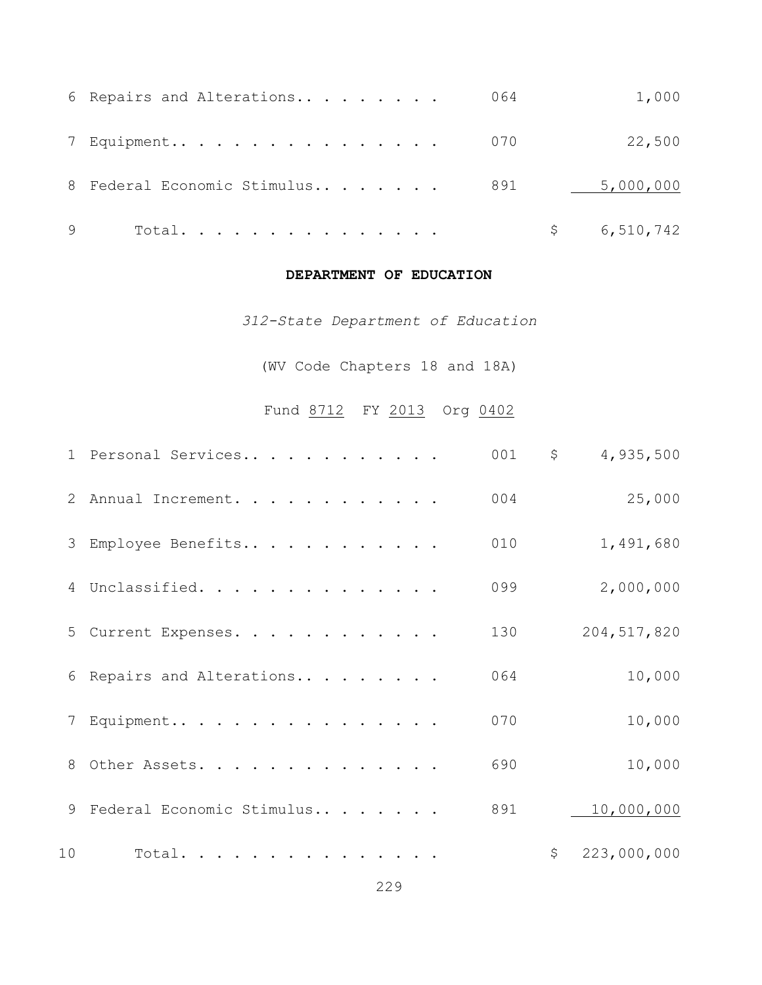| 6 Repairs and Alterations       | 064 | 1,000     |
|---------------------------------|-----|-----------|
| 7 Equipment 070                 |     | 22,500    |
| 8 Federal Economic Stimulus 891 |     | 5,000,000 |
| Total.                          |     | 6,510,742 |

#### **DEPARTMENT OF EDUCATION**

*312-State Department of Education*

(WV Code Chapters 18 and 18A)

# Fund 8712 FY 2013 Org 0402

|    | 1 Personal Services       | 001 | \$<br>4,935,500   |
|----|---------------------------|-----|-------------------|
|    | 2 Annual Increment.       | 004 | 25,000            |
|    | 3 Employee Benefits       | 010 | 1,491,680         |
|    | 4 Unclassified.           | 099 | 2,000,000         |
|    | 5 Current Expenses.       | 130 | 204, 517, 820     |
|    | 6 Repairs and Alterations | 064 | 10,000            |
|    | 7 Equipment               | 070 | 10,000            |
|    | 8 Other Assets.           | 690 | 10,000            |
| 9  | Federal Economic Stimulus | 891 | 10,000,000        |
| 10 | Total.                    |     | \$<br>223,000,000 |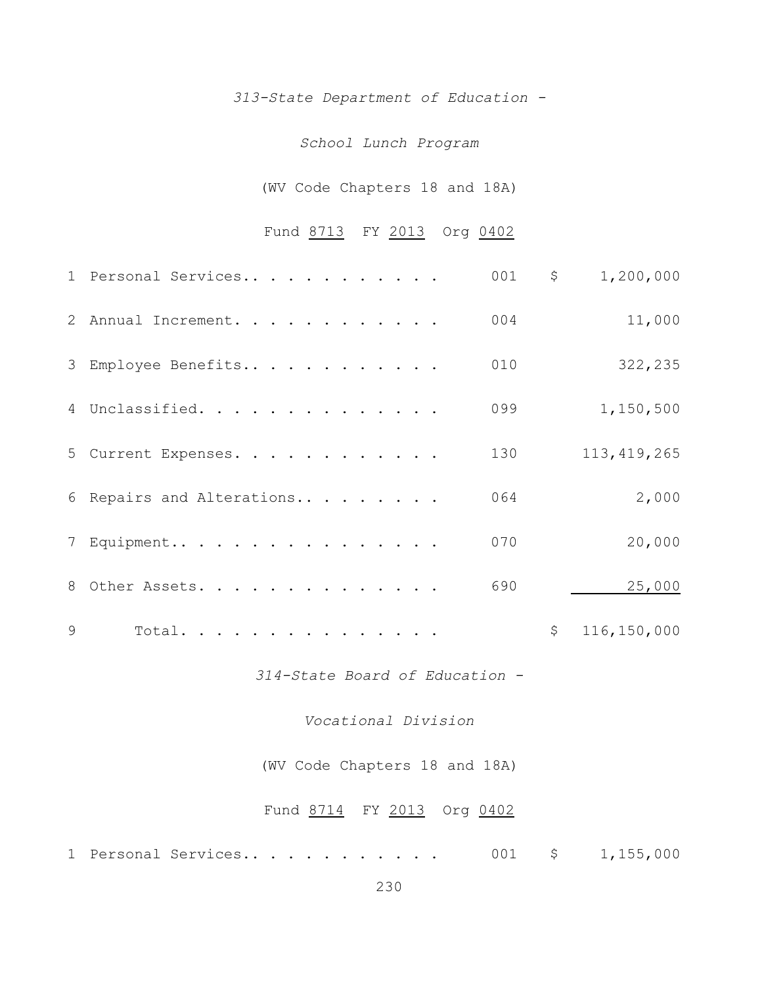*313-State Department of Education -*

#### *School Lunch Program*

## (WV Code Chapters 18 and 18A)

## Fund 8713 FY 2013 Org 0402

|   | 1 Personal Services            | 001 | $\mathsf{S}$ | 1,200,000     |
|---|--------------------------------|-----|--------------|---------------|
|   | 2 Annual Increment.            | 004 |              | 11,000        |
|   | 3 Employee Benefits            | 010 |              | 322,235       |
|   | 4 Unclassified.                | 099 |              | 1,150,500     |
|   | 5 Current Expenses.            | 130 |              | 113, 419, 265 |
|   | 6 Repairs and Alterations      | 064 |              | 2,000         |
|   | 7 Equipment                    | 070 |              | 20,000        |
|   | 8 Other Assets.                | 690 |              | 25,000        |
| 9 | Total.                         |     | $\hat{S}$    | 116,150,000   |
|   | 314-State Board of Education - |     |              |               |

*Vocational Division*

(WV Code Chapters 18 and 18A)

## Fund 8714 FY 2013 Org 0402

1 Personal Services.. . . . . . . . . . 001 \$ 1,155,000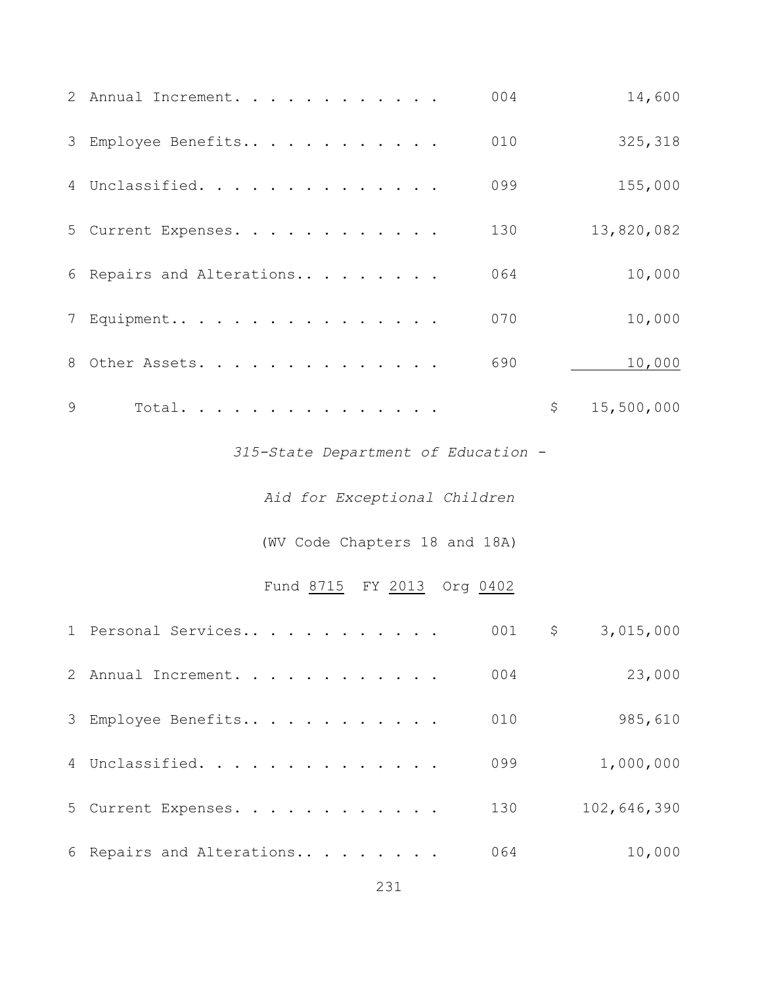|   | 2 Annual Increment.                 | 004 |            | 14,600      |  |  |  |  |  |
|---|-------------------------------------|-----|------------|-------------|--|--|--|--|--|
|   | 3 Employee Benefits                 | 010 |            | 325,318     |  |  |  |  |  |
|   | 4 Unclassified.                     | 099 |            | 155,000     |  |  |  |  |  |
|   | 5 Current Expenses.                 | 130 |            | 13,820,082  |  |  |  |  |  |
|   | 6 Repairs and Alterations           | 064 |            | 10,000      |  |  |  |  |  |
|   | 7 Equipment                         | 070 |            | 10,000      |  |  |  |  |  |
|   | 8 Other Assets.                     | 690 |            | 10,000      |  |  |  |  |  |
| 9 | Total.                              |     | $\uparrow$ | 15,500,000  |  |  |  |  |  |
|   | 315-State Department of Education - |     |            |             |  |  |  |  |  |
|   | Aid for Exceptional Children        |     |            |             |  |  |  |  |  |
|   | (WV Code Chapters 18 and 18A)       |     |            |             |  |  |  |  |  |
|   | Fund 8715 FY 2013 Org 0402          |     |            |             |  |  |  |  |  |
|   | 1 Personal Services                 | 001 | $\zeta$    | 3,015,000   |  |  |  |  |  |
|   | 2 Annual Increment.                 | 004 |            | 23,000      |  |  |  |  |  |
|   | 3 Employee Benefits                 | 010 |            | 985,610     |  |  |  |  |  |
|   | 4 Unclassified.                     | 099 |            | 1,000,000   |  |  |  |  |  |
|   | 5 Current Expenses.                 | 130 |            | 102,646,390 |  |  |  |  |  |
|   | 6 Repairs and Alterations           | 064 |            | 10,000      |  |  |  |  |  |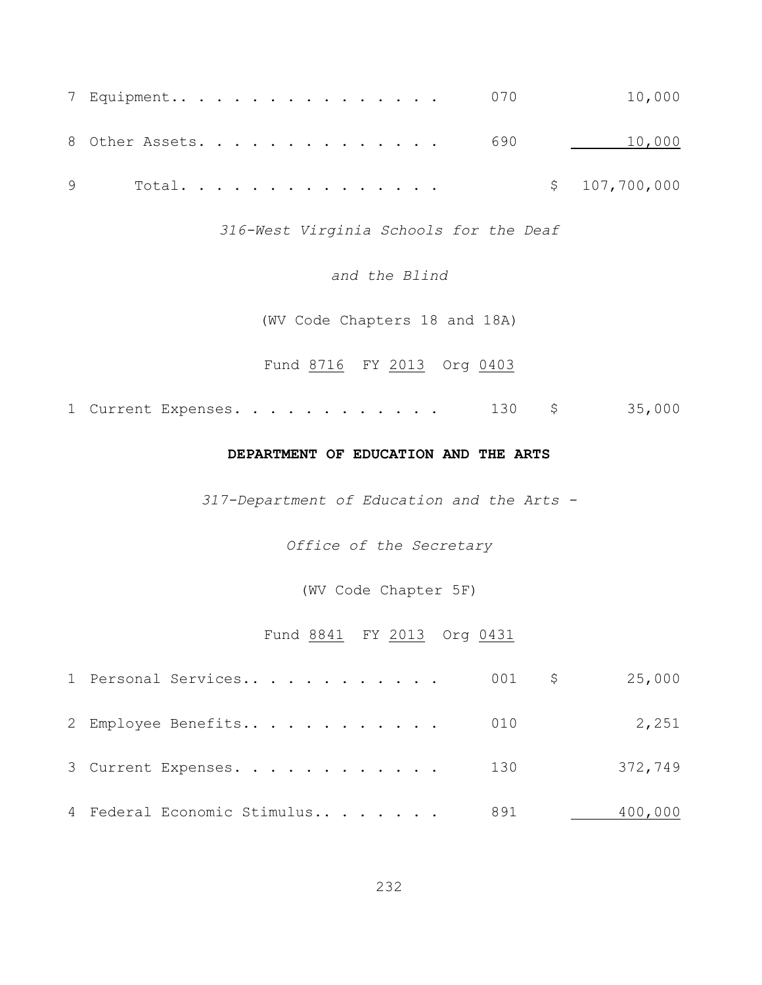| 7 Equipment 070                          |  |  |  |  |  |  |  | 10,000        |
|------------------------------------------|--|--|--|--|--|--|--|---------------|
| 8 Other Assets. 690               10,000 |  |  |  |  |  |  |  |               |
| 9 Total.                                 |  |  |  |  |  |  |  | \$107,700,000 |

*316-West Virginia Schools for the Deaf*

*and the Blind*

(WV Code Chapters 18 and 18A)

Fund 8716 FY 2013 Org 0403

1 Current Expenses. . . . . . . . . . . 130 \$ 35,000

#### **DEPARTMENT OF EDUCATION AND THE ARTS**

*317-Department of Education and the Arts -*

*Office of the Secretary*

(WV Code Chapter 5F)

## Fund 8841 FY 2013 Org 0431

| 2 Employee Benefits 010     |     | 2,251   |
|-----------------------------|-----|---------|
| 3 Current Expenses. 130     |     | 372,749 |
| 4 Federal Economic Stimulus | 891 | 400,000 |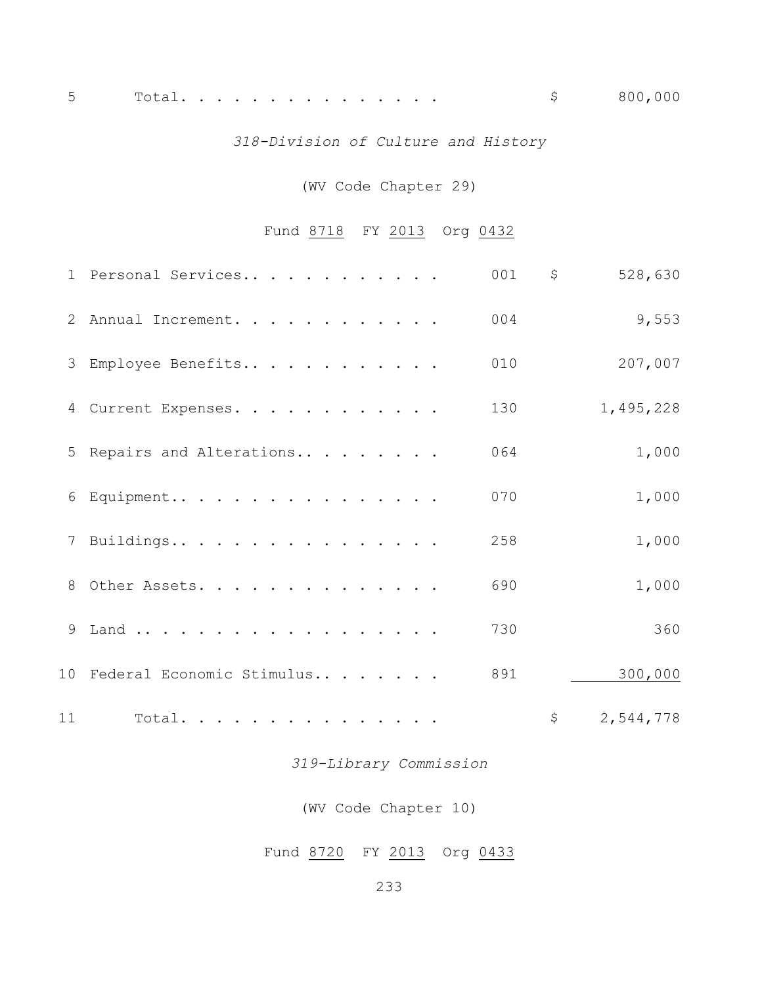## *318-Division of Culture and History*

## (WV Code Chapter 29)

## Fund 8718 FY 2013 Org 0432

|    | 1 Personal Services          | 001 | \$          | 528,630   |
|----|------------------------------|-----|-------------|-----------|
|    | 2 Annual Increment.          | 004 |             | 9,553     |
|    | 3 Employee Benefits          | 010 |             | 207,007   |
|    | 4 Current Expenses.          | 130 |             | 1,495,228 |
|    | 5 Repairs and Alterations    | 064 |             | 1,000     |
|    | 6 Equipment                  | 070 |             | 1,000     |
|    | 7 Buildings                  | 258 |             | 1,000     |
|    | 8 Other Assets.              | 690 |             | 1,000     |
|    | 9 Land                       | 730 |             | 360       |
|    | 10 Federal Economic Stimulus | 891 |             | 300,000   |
| 11 | Total.                       |     | $\varsigma$ | 2,544,778 |

*319-Library Commission*

(WV Code Chapter 10)

Fund 8720 FY 2013 Org 0433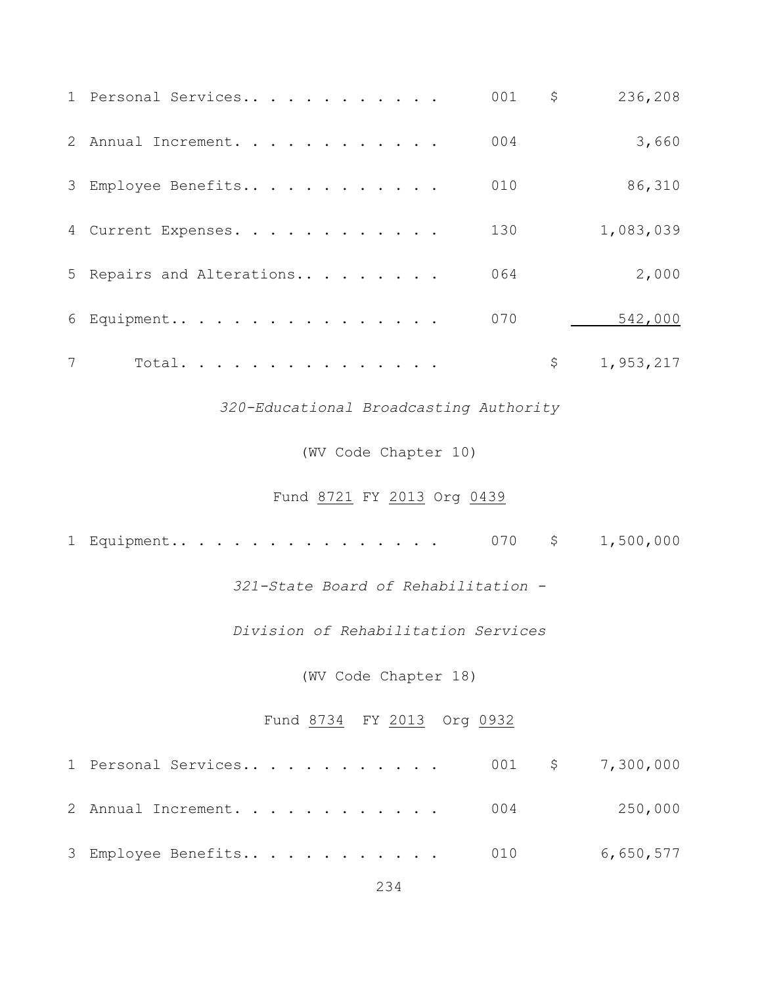|   | 1 Personal Services                    | 001      | \$          | 236,208   |
|---|----------------------------------------|----------|-------------|-----------|
|   | 2 Annual Increment.                    | 004      |             | 3,660     |
|   | 3 Employee Benefits                    | 010      |             | 86,310    |
|   | 4 Current Expenses.                    | 130      |             | 1,083,039 |
|   | 5 Repairs and Alterations              | 064      |             | 2,000     |
|   | 6 Equipment                            | 070      |             | 542,000   |
| 7 | Total.                                 |          | $\varsigma$ | 1,953,217 |
|   | 320-Educational Broadcasting Authority |          |             |           |
|   | (WV Code Chapter 10)                   |          |             |           |
|   | Fund 8721 FY 2013 Org 0439             |          |             |           |
|   | 1 Equipment                            | $070$ \$ |             | 1,500,000 |
|   | 321-State Board of Rehabilitation -    |          |             |           |
|   | Division of Rehabilitation Services    |          |             |           |
|   | (WV Code Chapter 18)                   |          |             |           |
|   | Fund 8734 FY 2013 Org 0932             |          |             |           |
|   | 1 Personal Services                    | 001      | $\uparrow$  | 7,300,000 |
|   | 2 Annual Increment.                    | 004      |             | 250,000   |
|   | 3 Employee Benefits                    | 010      |             | 6,650,577 |
|   |                                        |          |             |           |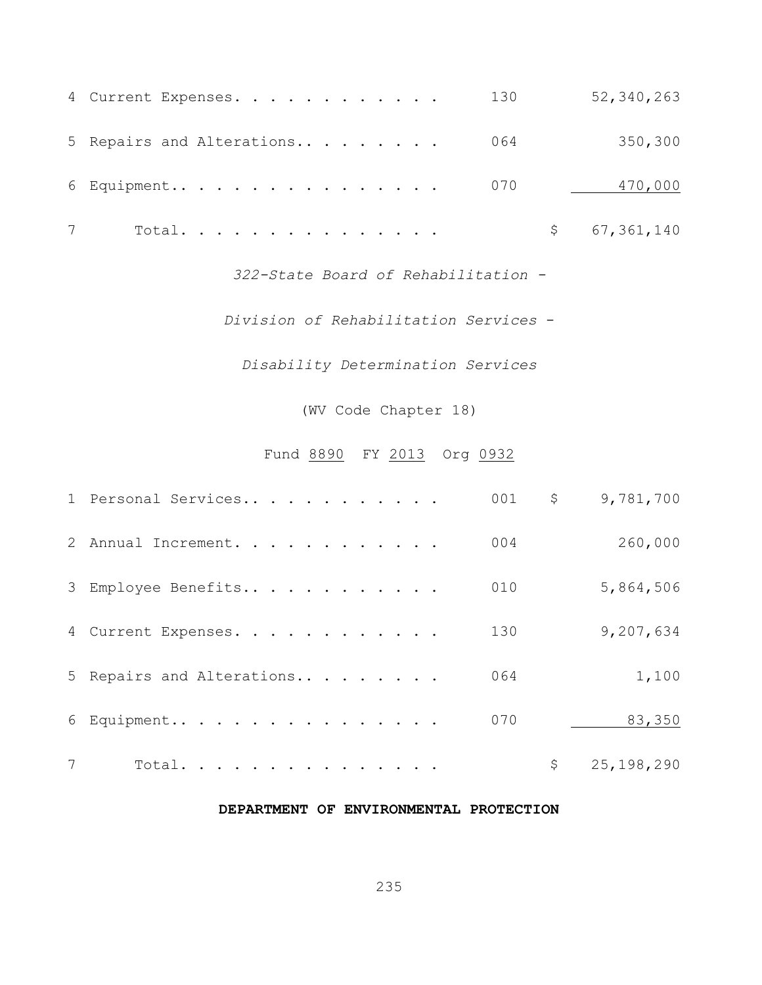| 4 Current Expenses.           | 130 | 52,340,263    |
|-------------------------------|-----|---------------|
| 5 Repairs and Alterations 064 |     | 350,300       |
| 6 Equipment 070               |     | 470,000       |
| Total.                        |     | \$ 67,361,140 |

*322-State Board of Rehabilitation -*

*Division of Rehabilitation Services* -

*Disability Determination Services*

(WV Code Chapter 18)

## Fund 8890 FY 2013 Org 0932

|   | 1 Personal Services       | 001 | $\mathsf{S}^-$ | 9,781,700  |
|---|---------------------------|-----|----------------|------------|
|   | 2 Annual Increment.       | 004 |                | 260,000    |
|   | 3 Employee Benefits       | 010 |                | 5,864,506  |
|   | 4 Current Expenses.       | 130 |                | 9,207,634  |
|   | 5 Repairs and Alterations | 064 |                | 1,100      |
|   | 6 Equipment               | 070 |                | 83,350     |
| 7 | Total.                    |     |                | 25,198,290 |

#### **DEPARTMENT OF ENVIRONMENTAL PROTECTION**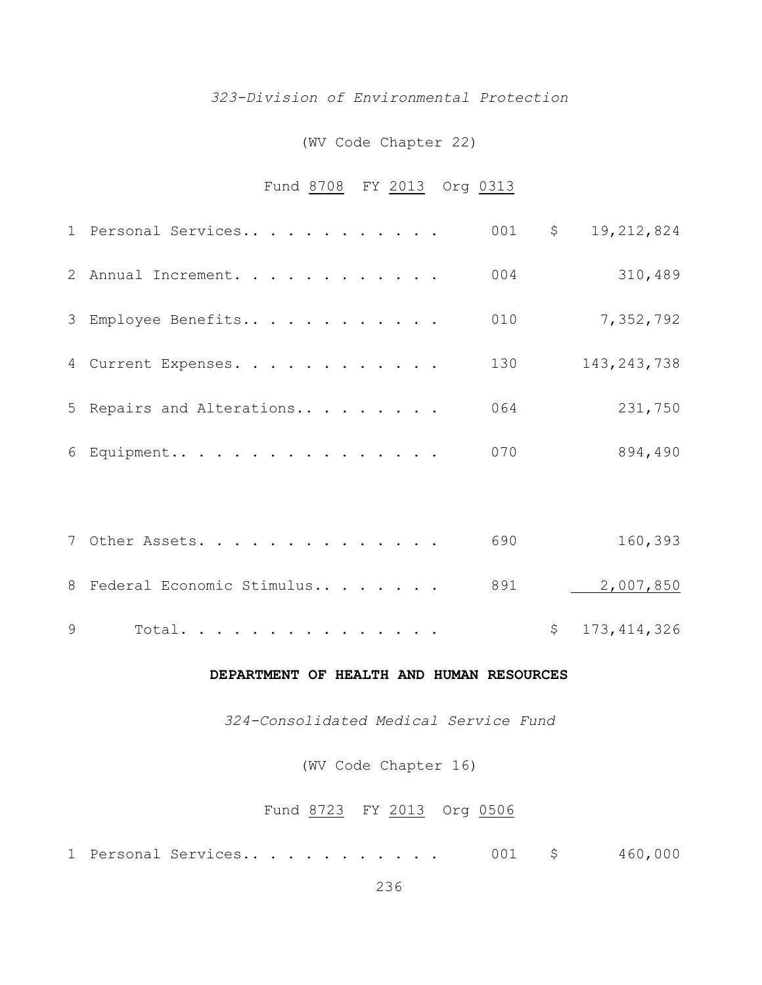#### *323-Division of Environmental Protection*

#### (WV Code Chapter 22)

## Fund 8708 FY 2013 Org 0313

| 1 Personal Services       | 001 | $\varsigma$ | 19,212,824    |
|---------------------------|-----|-------------|---------------|
| 2 Annual Increment.       | 004 |             | 310,489       |
| 3 Employee Benefits       | 010 |             | 7,352,792     |
| 4 Current Expenses.       | 130 |             | 143, 243, 738 |
| 5 Repairs and Alterations | 064 |             | 231,750       |
| 6 Equipment               | 070 |             | 894,490       |
|                           |     |             |               |

| 7 Other Assets. 690                       | 160,393       |
|-------------------------------------------|---------------|
| 8 Federal Economic Stimulus 891 2,007,850 |               |
| $9$ Total                                 | \$173,414,326 |

#### **DEPARTMENT OF HEALTH AND HUMAN RESOURCES**

*324-Consolidated Medical Service Fund*

(WV Code Chapter 16)

## Fund 8723 FY 2013 Org 0506

Personal Services.. . . . . . . . . . . 001 \$ 460,000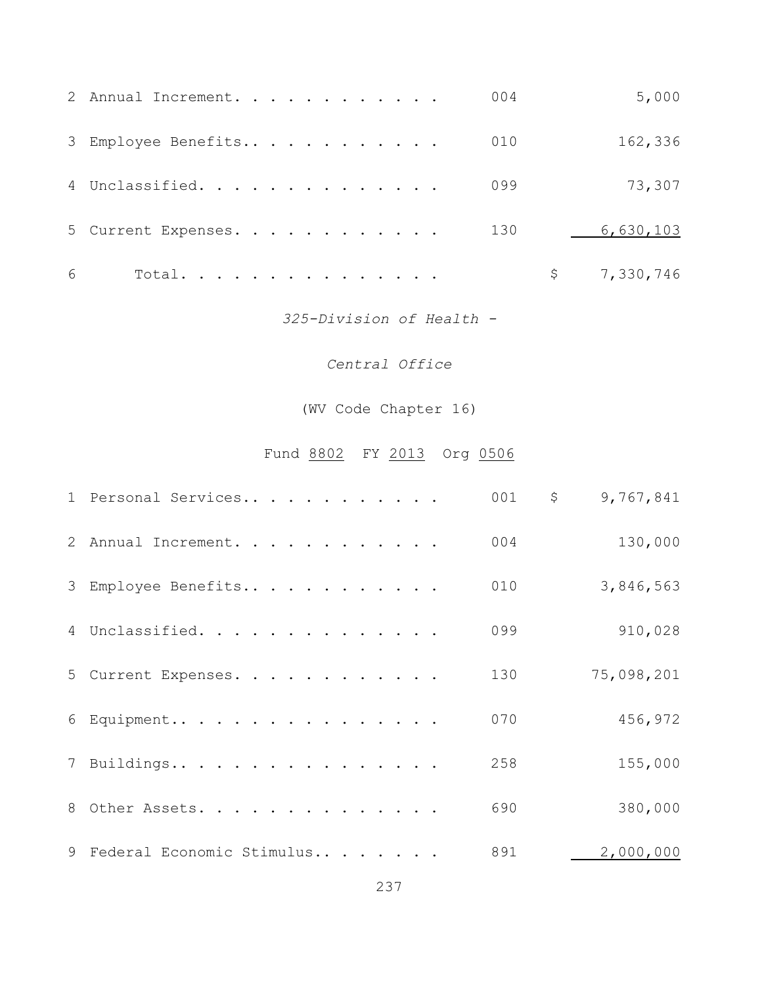|   | 2 Annual Increment. |  |  |  |  |  | 004 | 5,000     |
|---|---------------------|--|--|--|--|--|-----|-----------|
|   | 3 Employee Benefits |  |  |  |  |  | 010 | 162,336   |
|   | 4 Unclassified.     |  |  |  |  |  | 099 | 73,307    |
|   | 5 Current Expenses. |  |  |  |  |  | 130 | 6,630,103 |
| 6 | Total.              |  |  |  |  |  |     | 7,330,746 |

*325-Division of Health -*

## *Central Office*

(WV Code Chapter 16)

# Fund 8802 FY 2013 Org 0506

| 1 Personal Services         | 001 | $\mathsf{S}$<br>9,767,841 |
|-----------------------------|-----|---------------------------|
| 2 Annual Increment.         | 004 | 130,000                   |
| 3 Employee Benefits         | 010 | 3,846,563                 |
| 4 Unclassified.             | 099 | 910,028                   |
| 5 Current Expenses.         | 130 | 75,098,201                |
| 6 Equipment                 | 070 | 456,972                   |
| 7 Buildings                 | 258 | 155,000                   |
| 8 Other Assets.             | 690 | 380,000                   |
| 9 Federal Economic Stimulus | 891 | 2,000,000                 |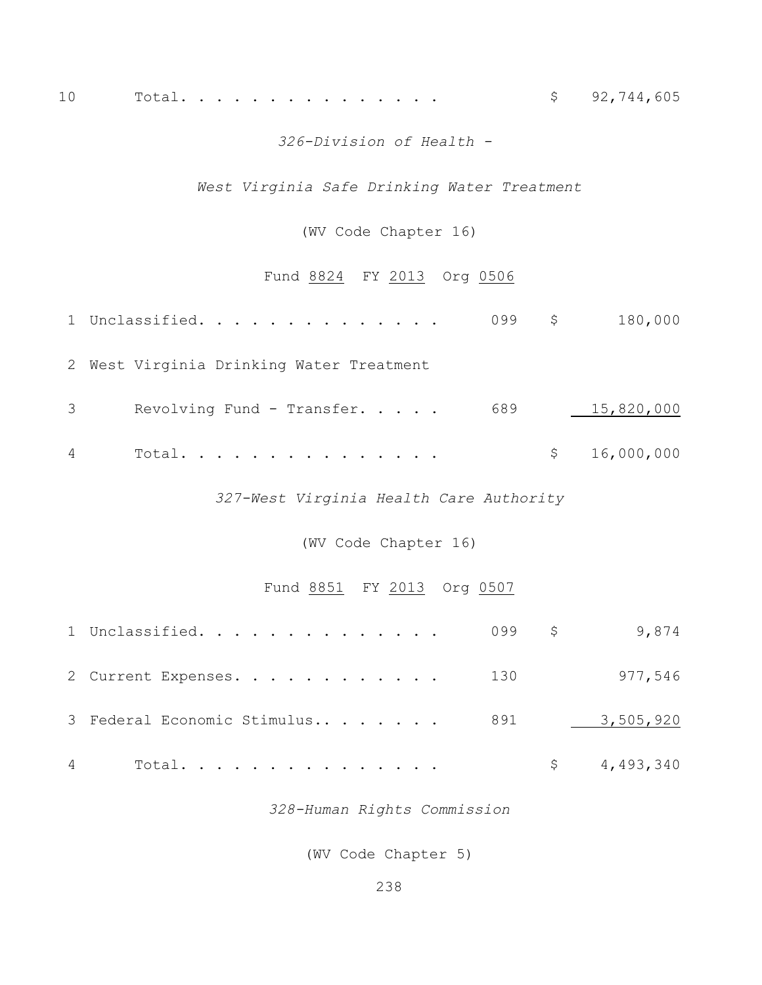## 10 Total. . . . . . . . . . . . . . . \$ 92,744,605

#### *326-Division of Health -*

## *West Virginia Safe Drinking Water Treatment*

#### (WV Code Chapter 16)

## Fund 8824 FY 2013 Org 0506

|   | 1 Unclassified.                          | 099 \$ | 180,000      |
|---|------------------------------------------|--------|--------------|
|   | 2 West Virginia Drinking Water Treatment |        |              |
| 3 | Revolving Fund - Transfer.               | 689    | 15,820,000   |
| 4 | Total.                                   |        | \$16,000,000 |

*327-West Virginia Health Care Authority*

(WV Code Chapter 16)

#### Fund 8851 FY 2013 Org 0507

| 1 Unclassified. 099 \$9,874     |  |             |
|---------------------------------|--|-------------|
| 2 Current Expenses. 130         |  | 977,546     |
| 3 Federal Economic Stimulus 891 |  | 3,505,920   |
| Total.                          |  | \$4,493,340 |

*328-Human Rights Commission*

(WV Code Chapter 5)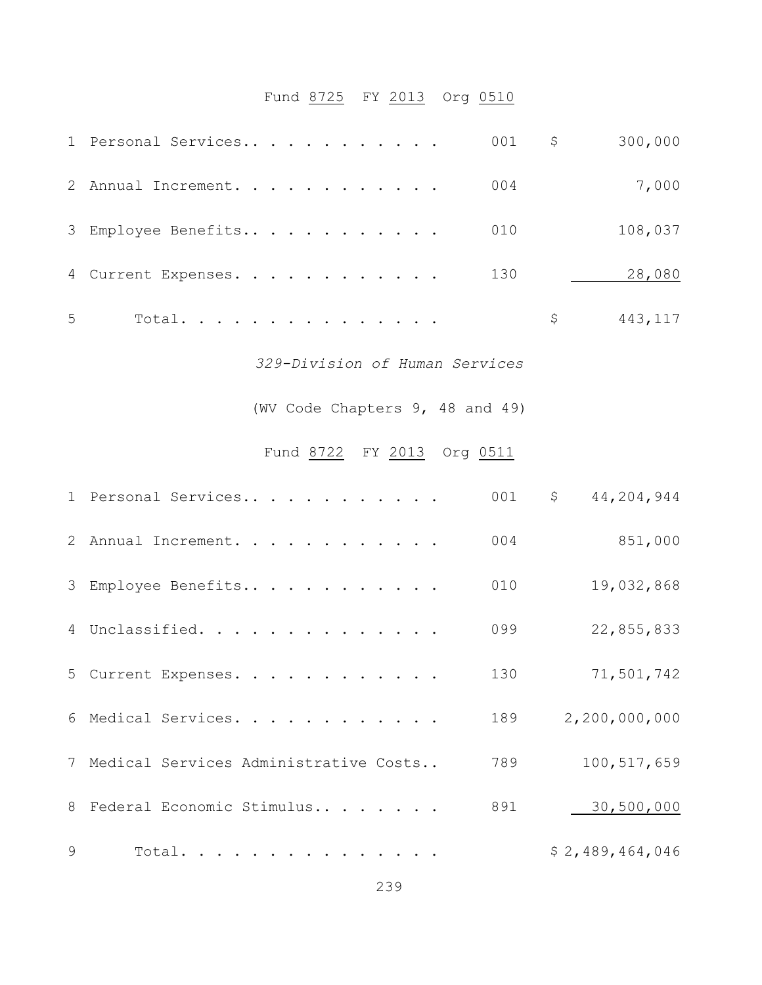# Fund 8725 FY 2013 Org 0510

|   | 1 Personal Services                     | 001<br>\$ | 300,000          |
|---|-----------------------------------------|-----------|------------------|
|   | 2 Annual Increment.                     | 004       | 7,000            |
|   | 3 Employee Benefits                     | 010       | 108,037          |
|   | 4 Current Expenses.                     | 130       | 28,080           |
| 5 | Total.                                  | \$        | 443, 117         |
|   | 329-Division of Human Services          |           |                  |
|   | (WV Code Chapters 9, 48 and 49)         |           |                  |
|   | Fund 8722 FY 2013 Org 0511              |           |                  |
|   | 1 Personal Services                     | 001<br>\$ | 44,204,944       |
|   | 2 Annual Increment.                     | 004       | 851,000          |
|   | 3 Employee Benefits                     | 010       | 19,032,868       |
|   | 4 Unclassified.                         | 099       | 22,855,833       |
|   | 5 Current Expenses.                     | 130       | 71,501,742       |
| 6 | Medical Services.                       | 189       | 2, 200, 000, 000 |
|   | 7 Medical Services Administrative Costs | 789       | 100, 517, 659    |
|   |                                         |           |                  |

9 Total. . . . . . . . . . . . . . . . . \$ 2,489,464,046

8 Federal Economic Stimulus.. . . . . . 891 130,500,000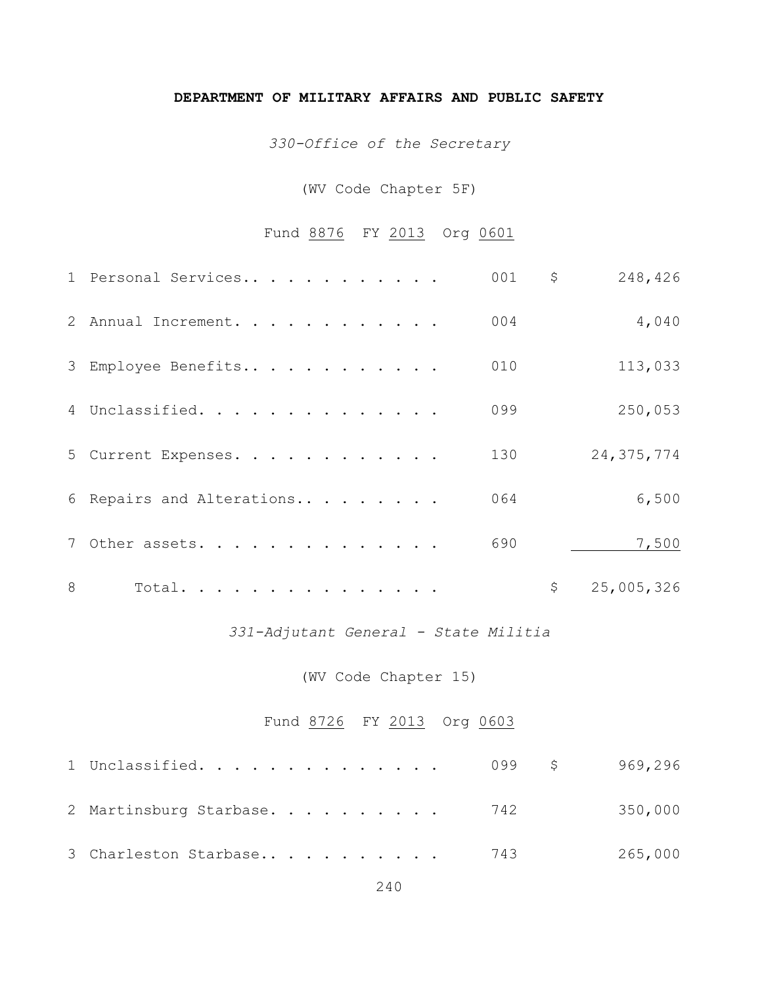#### **DEPARTMENT OF MILITARY AFFAIRS AND PUBLIC SAFETY**

*330-Office of the Secretary*

## (WV Code Chapter 5F)

## Fund 8876 FY 2013 Org 0601

|   | 1 Personal Services       | 001 | \$<br>248,426    |
|---|---------------------------|-----|------------------|
|   | 2 Annual Increment.       | 004 | 4,040            |
|   | 3 Employee Benefits       | 010 | 113,033          |
|   | 4 Unclassified.           | 099 | 250,053          |
|   | 5 Current Expenses.       | 130 | 24, 375, 774     |
|   | 6 Repairs and Alterations | 064 | 6,500            |
|   | 7 Other assets.           | 690 | 7,500            |
| 8 | Total.                    |     | \$<br>25,005,326 |

*331-Adjutant General - State Militia*

(WV Code Chapter 15)

## Fund 8726 FY 2013 Org 0603

| 1 Unclassified.            | 099 \$ | 969,296 |
|----------------------------|--------|---------|
| 2 Martinsburg Starbase 742 |        | 350,000 |
| 3 Charleston Starbase      | 743    | 265,000 |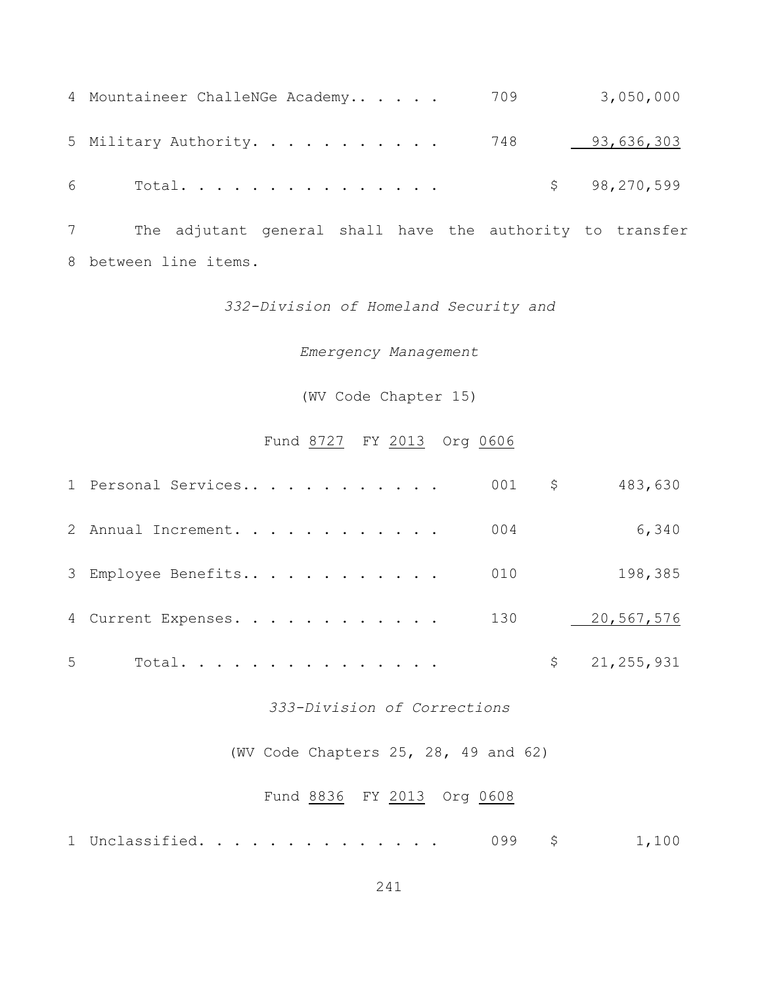|   | 4 Mountaineer ChalleNGe Academy | 709 | 3,050,000      |
|---|---------------------------------|-----|----------------|
|   | 5 Military Authority. 748       |     | 93,636,303     |
| 6 | Total.                          |     | \$98, 270, 599 |

 The adjutant general shall have the authority to transfer between line items.

#### *332-Division of Homeland Security and*

*Emergency Management*

(WV Code Chapter 15)

## Fund 8727 FY 2013 Org 0606

|   | 1 Personal Services |  |  |  | $001$ \$ | 483,630        |
|---|---------------------|--|--|--|----------|----------------|
|   | 2 Annual Increment. |  |  |  | 004      | 6,340          |
|   | 3 Employee Benefits |  |  |  | 010      | 198,385        |
|   | 4 Current Expenses. |  |  |  | 130      | 20,567,576     |
| 5 | Total.              |  |  |  |          | \$21, 255, 931 |

#### *333-Division of Corrections*

(WV Code Chapters 25, 28, 49 and 62)

## Fund 8836 FY 2013 Org 0608

|  | 1 Unclassified. |  |  |  |  |  |  |  |  |  |  |  |  |  |  |  |  |  |  | 1,100 |  |  |  |
|--|-----------------|--|--|--|--|--|--|--|--|--|--|--|--|--|--|--|--|--|--|-------|--|--|--|
|--|-----------------|--|--|--|--|--|--|--|--|--|--|--|--|--|--|--|--|--|--|-------|--|--|--|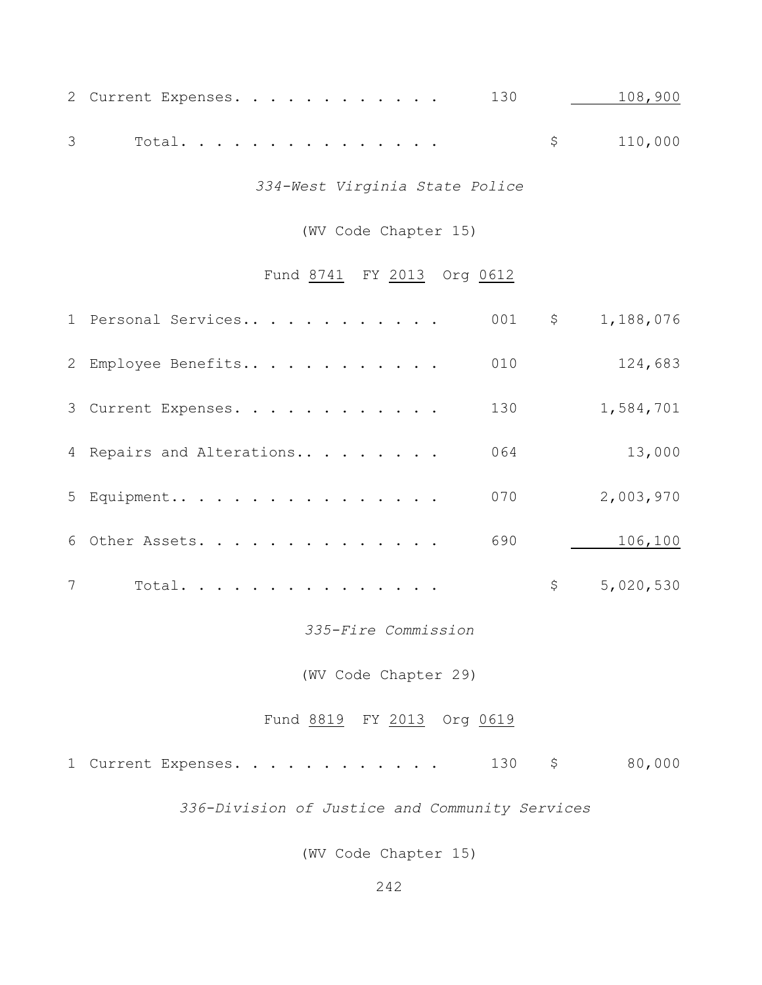| 2 Current Expenses. 130               108,900 |  |  |  |  |  |           |
|-----------------------------------------------|--|--|--|--|--|-----------|
|                                               |  |  |  |  |  | \$110,000 |

*334-West Virginia State Police*

## (WV Code Chapter 15)

## Fund 8741 FY 2013 Org 0612

|                 | 1 Personal Services       | 001 | $\varsigma$ | 1,188,076 |
|-----------------|---------------------------|-----|-------------|-----------|
|                 | 2 Employee Benefits       | 010 |             | 124,683   |
|                 | 3 Current Expenses.       | 130 |             | 1,584,701 |
|                 | 4 Repairs and Alterations | 064 |             | 13,000    |
|                 | 5 Equipment               | 070 |             | 2,003,970 |
|                 | 6 Other Assets.           | 690 |             | 106,100   |
| $7\phantom{.0}$ | Total.                    |     | \$          | 5,020,530 |
|                 |                           |     |             |           |

*335-Fire Commission*

(WV Code Chapter 29)

## Fund 8819 FY 2013 Org 0619

| 1 Current Expenses. |  | 80,000 |
|---------------------|--|--------|
|---------------------|--|--------|

*336-Division of Justice and Community Services*

(WV Code Chapter 15)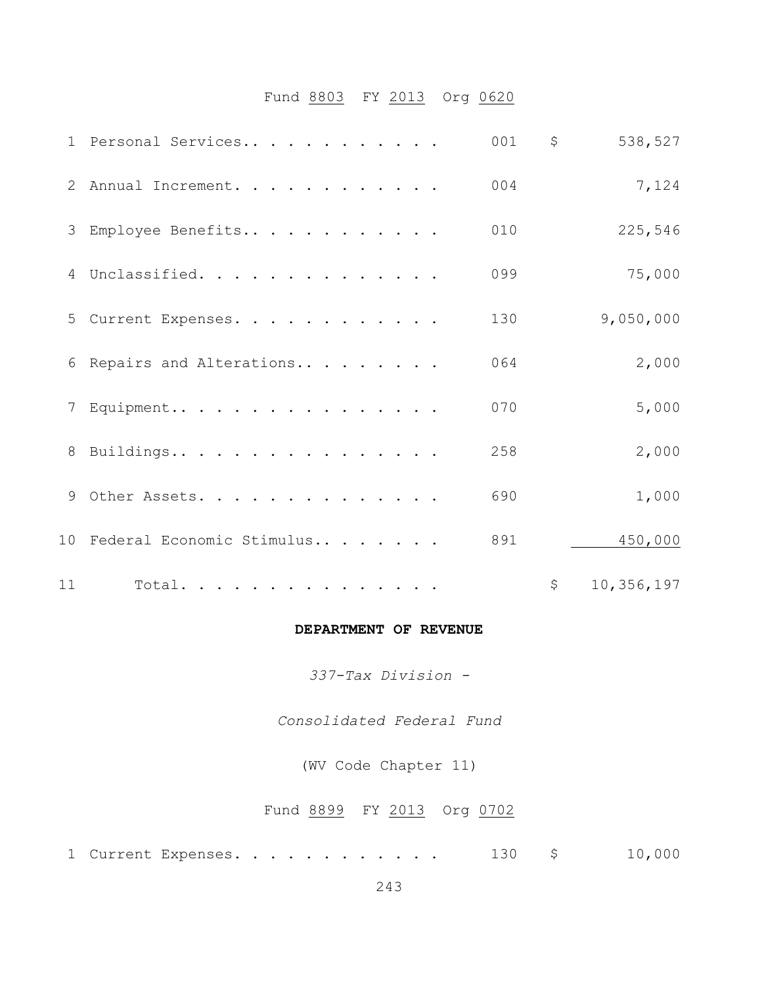## Fund 8803 FY 2013 Org 0620

|    | 1 Personal Services          | 001 | \$             | 538,527    |
|----|------------------------------|-----|----------------|------------|
|    | 2 Annual Increment.          | 004 |                | 7,124      |
|    | 3 Employee Benefits          | 010 |                | 225,546    |
|    | 4 Unclassified.              | 099 |                | 75,000     |
|    | 5 Current Expenses.          | 130 |                | 9,050,000  |
|    | 6 Repairs and Alterations    | 064 |                | 2,000      |
|    | 7 Equipment                  | 070 |                | 5,000      |
|    | 8 Buildings                  | 258 |                | 2,000      |
|    | 9 Other Assets.              | 690 |                | 1,000      |
|    | 10 Federal Economic Stimulus | 891 |                | 450,000    |
| 11 | Total.                       |     | $\mathsf{S}^-$ | 10,356,197 |

#### **DEPARTMENT OF REVENUE**

*337-Tax Division -*

*Consolidated Federal Fund*

(WV Code Chapter 11)

## Fund 8899 FY 2013 Org 0702

1 Current Expenses. . . . . . . . . . . . 130 \$ 10,000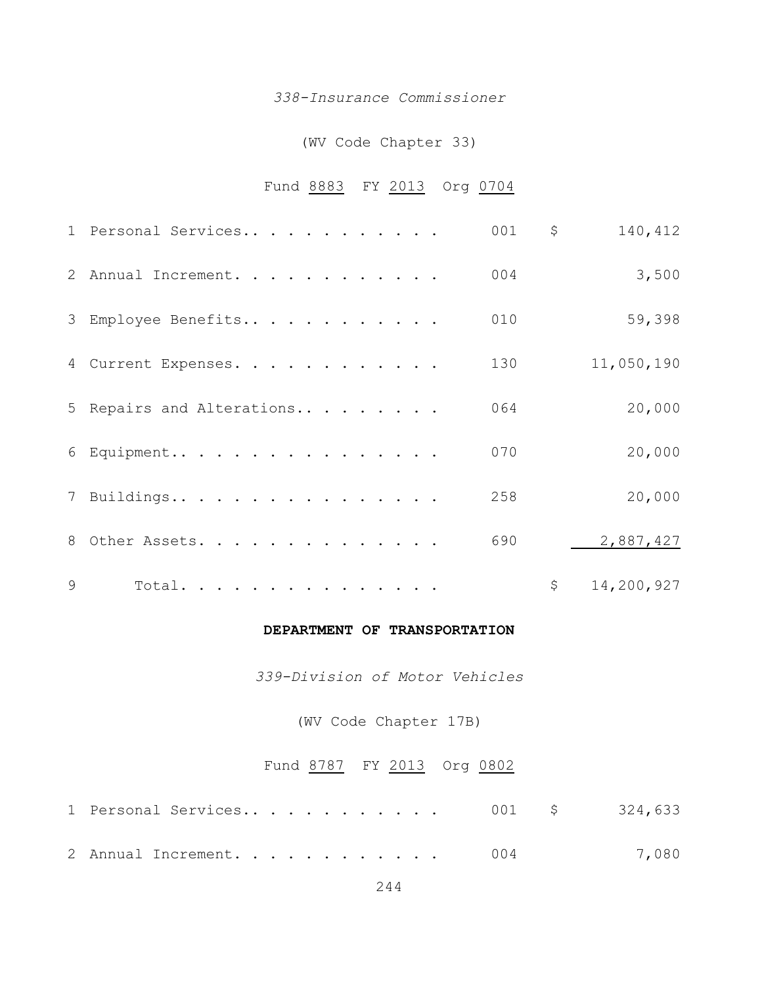#### *338-Insurance Commissioner*

#### (WV Code Chapter 33)

## Fund 8883 FY 2013 Org 0704

|               | 1 Personal Services       | 001 | \$<br>140,412    |
|---------------|---------------------------|-----|------------------|
|               | 2 Annual Increment.       | 004 | 3,500            |
|               | 3 Employee Benefits       | 010 | 59,398           |
|               | 4 Current Expenses.       | 130 | 11,050,190       |
|               | 5 Repairs and Alterations | 064 | 20,000           |
|               | 6 Equipment               | 070 | 20,000           |
|               | 7 Buildings               | 258 | 20,000           |
|               | 8 Other Assets.           | 690 | 2,887,427        |
| $\mathcal{Q}$ | Total.                    |     | \$<br>14,200,927 |

#### **DEPARTMENT OF TRANSPORTATION**

*339-Division of Motor Vehicles*

(WV Code Chapter 17B)

### Fund 8787 FY 2013 Org 0802

| 2 Annual Increment. 004 |  | 7,080 |
|-------------------------|--|-------|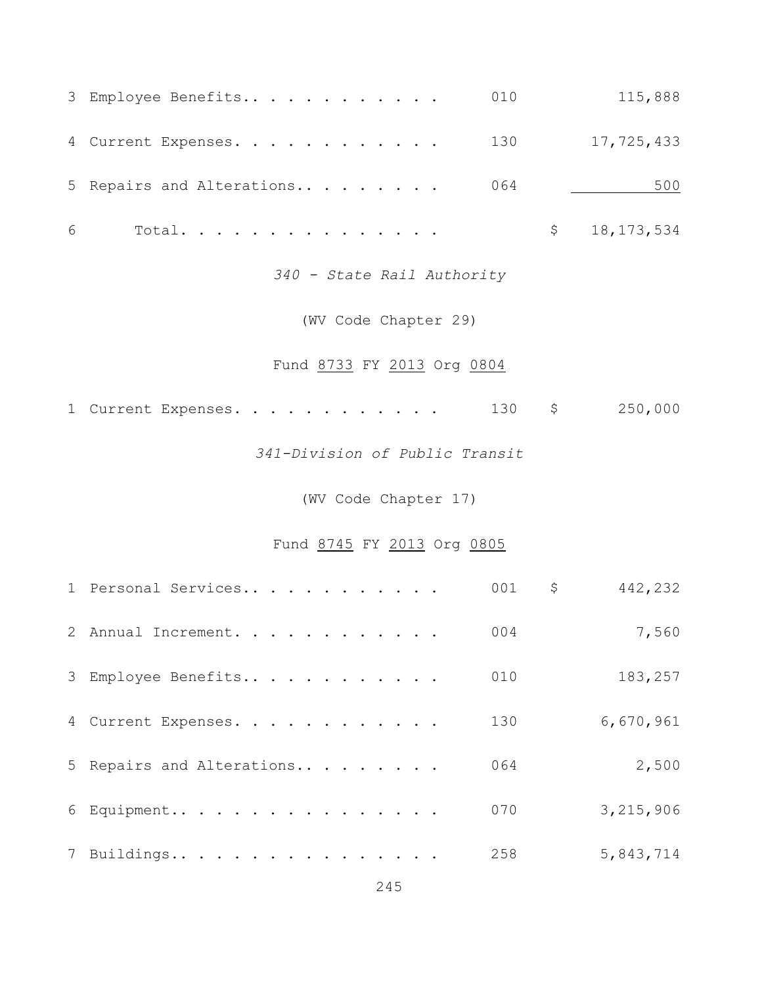|   | 3 Employee Benefits             | 010 |              | 115,888      |
|---|---------------------------------|-----|--------------|--------------|
|   | 4 Current Expenses. 130         |     |              | 17,725,433   |
|   | 5 Repairs and Alterations $064$ |     |              | 500          |
| 6 | Total.                          |     | $\mathsf{S}$ | 18, 173, 534 |
|   |                                 |     |              |              |

*340 - State Rail Authority*

(WV Code Chapter 29)

## Fund 8733 FY 2013 Org 0804

| 1 Current Expenses. |  |  | 250,000 |
|---------------------|--|--|---------|
|---------------------|--|--|---------|

*341-Division of Public Transit*

(WV Code Chapter 17)

## Fund 8745 FY 2013 Org 0805

| 1 Personal Services       | 001 | \$<br>442,232 |
|---------------------------|-----|---------------|
| 2 Annual Increment.       | 004 | 7,560         |
| 3 Employee Benefits       | 010 | 183,257       |
| 4 Current Expenses.       | 130 | 6,670,961     |
| 5 Repairs and Alterations | 064 | 2,500         |
| 6 Equipment               | 070 | 3,215,906     |
| 7 Buildings               | 258 | 5,843,714     |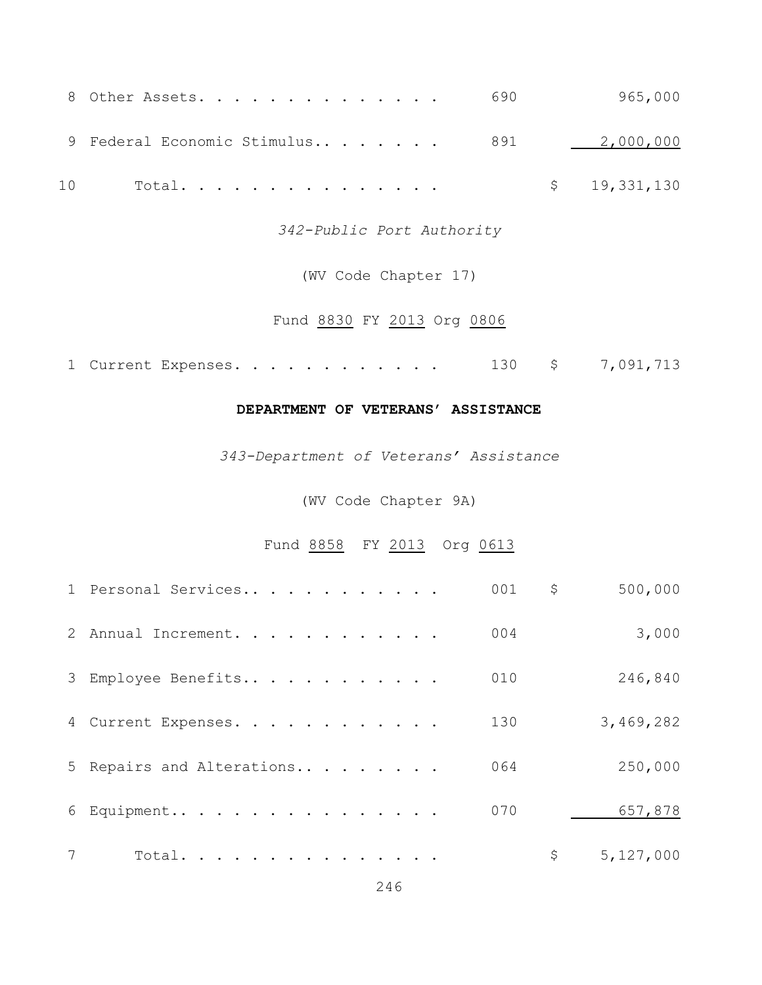|    | 8 Other Assets. 690                       |  | 965,000      |
|----|-------------------------------------------|--|--------------|
|    | 9 Federal Economic Stimulus 891 2,000,000 |  |              |
| 10 | Total.                                    |  | \$19,331,130 |

*342-Public Port Authority*

(WV Code Chapter 17)

## Fund 8830 FY 2013 Org 0806

1 Current Expenses. . . . . . . . . . . . 130 \$ 7,091,713

#### **DEPARTMENT OF VETERANS' ASSISTANCE**

*343-Department of Veterans' Assistance*

(WV Code Chapter 9A)

## Fund 8858 FY 2013 Org 0613

|   | 1 Personal Services       | 001 | \$<br>500,000   |
|---|---------------------------|-----|-----------------|
|   | 2 Annual Increment.       | 004 | 3,000           |
|   | 3 Employee Benefits       | 010 | 246,840         |
|   | 4 Current Expenses.       | 130 | 3,469,282       |
|   | 5 Repairs and Alterations | 064 | 250,000         |
|   | 6 Equipment               | 070 | 657,878         |
| 7 | Total.                    |     | \$<br>5,127,000 |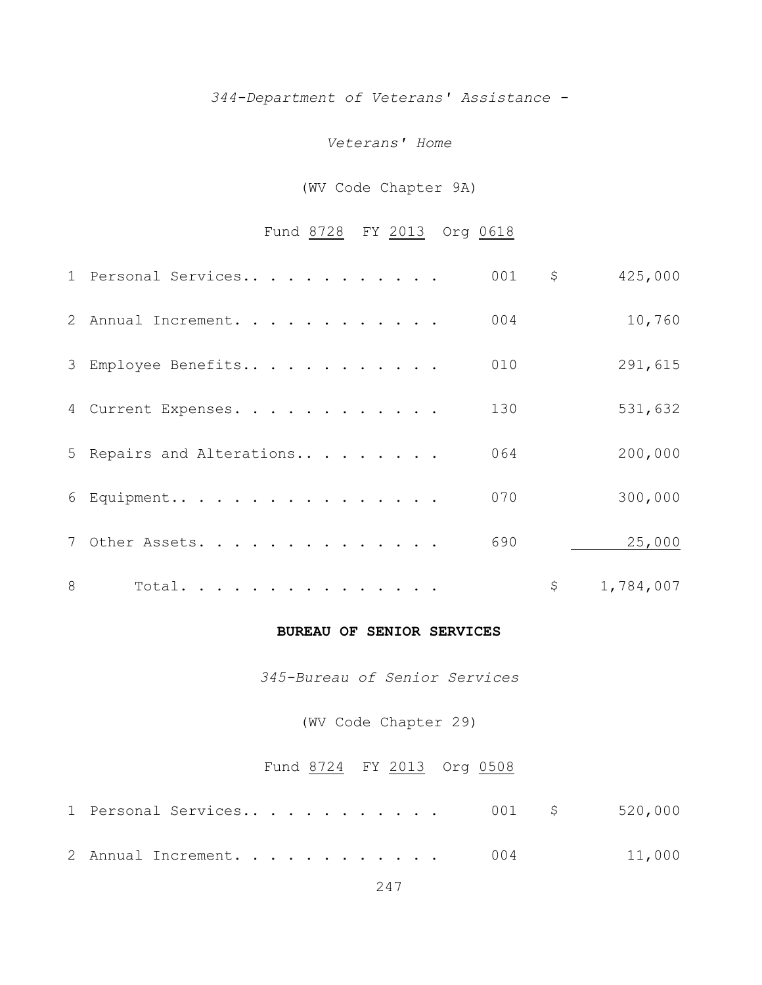# *344-Department of Veterans' Assistance -*

#### *Veterans' Home*

## (WV Code Chapter 9A)

## Fund 8728 FY 2013 Org 0618

|   | 1 Personal Services       | 001 | \$<br>425,000   |
|---|---------------------------|-----|-----------------|
|   | 2 Annual Increment.       | 004 | 10,760          |
|   | 3 Employee Benefits       | 010 | 291,615         |
|   | 4 Current Expenses.       | 130 | 531,632         |
|   | 5 Repairs and Alterations | 064 | 200,000         |
|   | 6 Equipment               | 070 | 300,000         |
|   | 7 Other Assets.           | 690 | 25,000          |
| 8 | Total.                    |     | \$<br>1,784,007 |

#### **BUREAU OF SENIOR SERVICES**

*345-Bureau of Senior Services*

(WV Code Chapter 29)

## Fund 8724 FY 2013 Org 0508

| 2 Annual Increment. 004 |  | 11,000 |
|-------------------------|--|--------|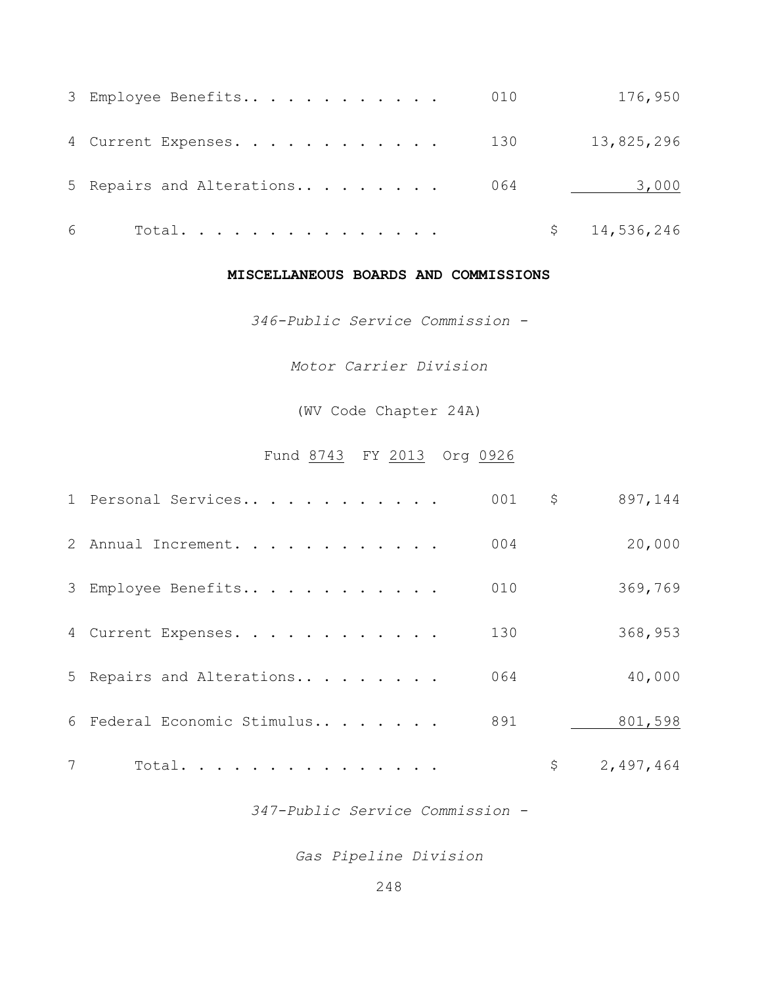|   | 3 Employee Benefits       | 010 | 176,950      |
|---|---------------------------|-----|--------------|
|   | 4 Current Expenses. 130   |     | 13,825,296   |
|   | 5 Repairs and Alterations | 064 | 3,000        |
| 6 | Total.                    |     | \$14,536,246 |

#### **MISCELLANEOUS BOARDS AND COMMISSIONS**

*346-Public Service Commission -*

*Motor Carrier Division*

(WV Code Chapter 24A)

## Fund 8743 FY 2013 Org 0926

|   | 1 Personal Services         | 001 | \$<br>897,144   |
|---|-----------------------------|-----|-----------------|
|   | 2 Annual Increment.         | 004 | 20,000          |
|   | 3 Employee Benefits         | 010 | 369,769         |
|   | 4 Current Expenses.         | 130 | 368,953         |
|   | 5 Repairs and Alterations   | 064 | 40,000          |
|   | 6 Federal Economic Stimulus | 891 | 801,598         |
| 7 | Total.                      |     | \$<br>2,497,464 |

*347-Public Service Commission -*

*Gas Pipeline Division*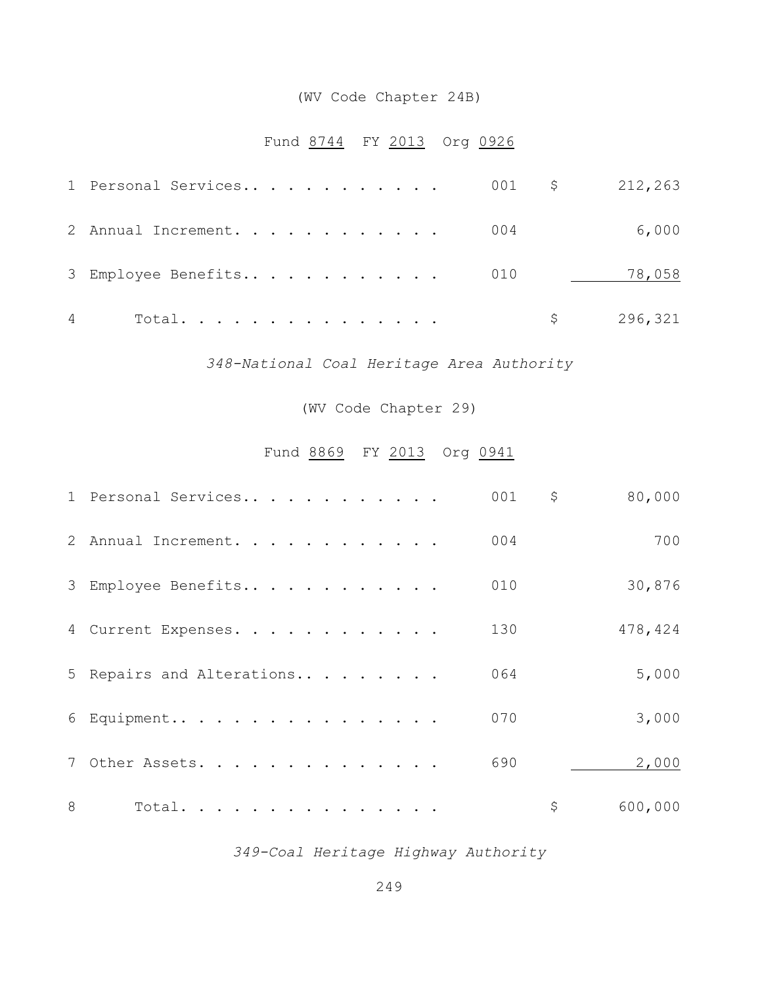## (WV Code Chapter 24B)

## Fund 8744 FY 2013 Org 0926

|   | 1 Personal Services 001 \$ 212,263 |  |  |  |  |  |  |           |
|---|------------------------------------|--|--|--|--|--|--|-----------|
|   | 2 Annual Increment. 004            |  |  |  |  |  |  | 6,000     |
|   | 3 Employee Benefits 010            |  |  |  |  |  |  | 78,058    |
| 4 | Total.                             |  |  |  |  |  |  | \$296,321 |

## *348-National Coal Heritage Area Authority*

(WV Code Chapter 29)

## Fund 8869 FY 2013 Org 0941

|   | 1 Personal Services       | 001 | \$<br>80,000  |
|---|---------------------------|-----|---------------|
|   | 2 Annual Increment.       | 004 | 700           |
|   | 3 Employee Benefits       | 010 | 30,876        |
|   | 4 Current Expenses.       | 130 | 478,424       |
|   | 5 Repairs and Alterations | 064 | 5,000         |
|   | $6$ Equipment             | 070 | 3,000         |
|   | 7 Other Assets.           | 690 | 2,000         |
| 8 | Total.                    |     | \$<br>600,000 |

## *349-Coal Heritage Highway Authority*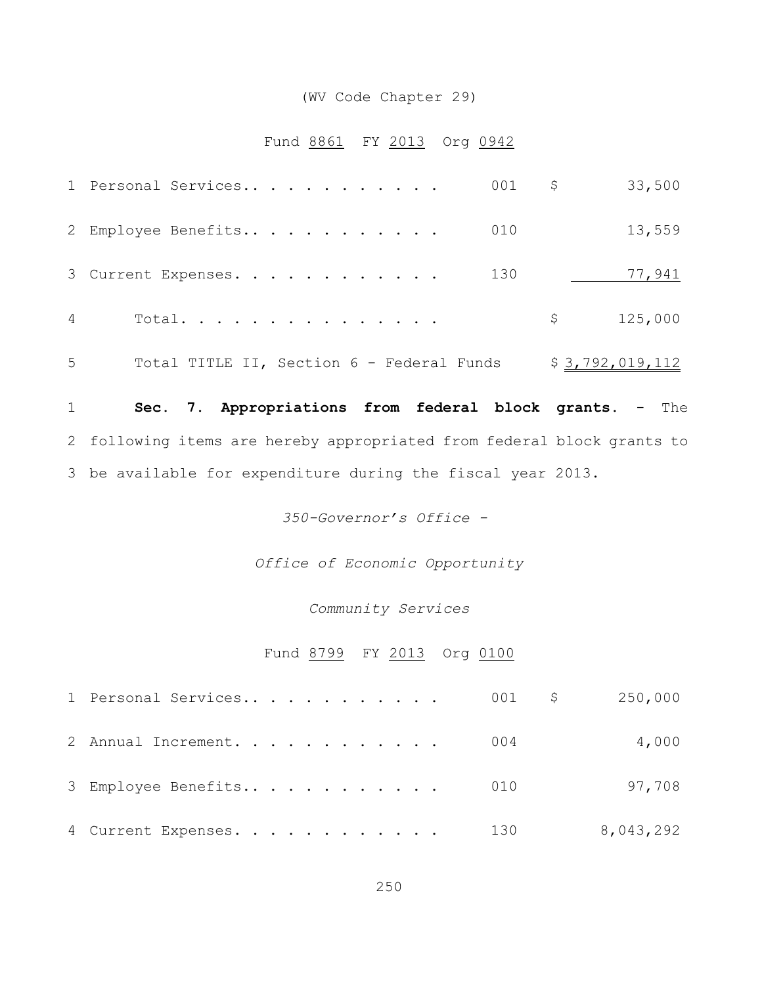## (WV Code Chapter 29)

## Fund 8861 FY 2013 Org 0942

|   | 1 Personal Services                       | $001$ \$ |         | 33,500          |
|---|-------------------------------------------|----------|---------|-----------------|
|   | 2 Employee Benefits                       | 010      |         | 13,559          |
|   | 3 Current Expenses.                       | 130      |         | 77,941          |
| 4 | Total.                                    |          | $\zeta$ | 125,000         |
| 5 | Total TITLE II, Section 6 - Federal Funds |          |         | \$3,792,019,112 |

 **Sec. 7**. **Appropriations from federal block grants.** - The following items are hereby appropriated from federal block grants to be available for expenditure during the fiscal year 2013.

*350-Governor's Office -* 

*Office of Economic Opportunity*

#### *Community Services*

## Fund 8799 FY 2013 Org 0100

| 1 Personal Services 001 $\,$ \$ 250,000 |  |  |  |  |  |  |           |
|-----------------------------------------|--|--|--|--|--|--|-----------|
| 2 Annual Increment. 004                 |  |  |  |  |  |  | 4,000     |
| 3 Employee Benefits 010                 |  |  |  |  |  |  | 97,708    |
| 4 Current Expenses. 130                 |  |  |  |  |  |  | 8,043,292 |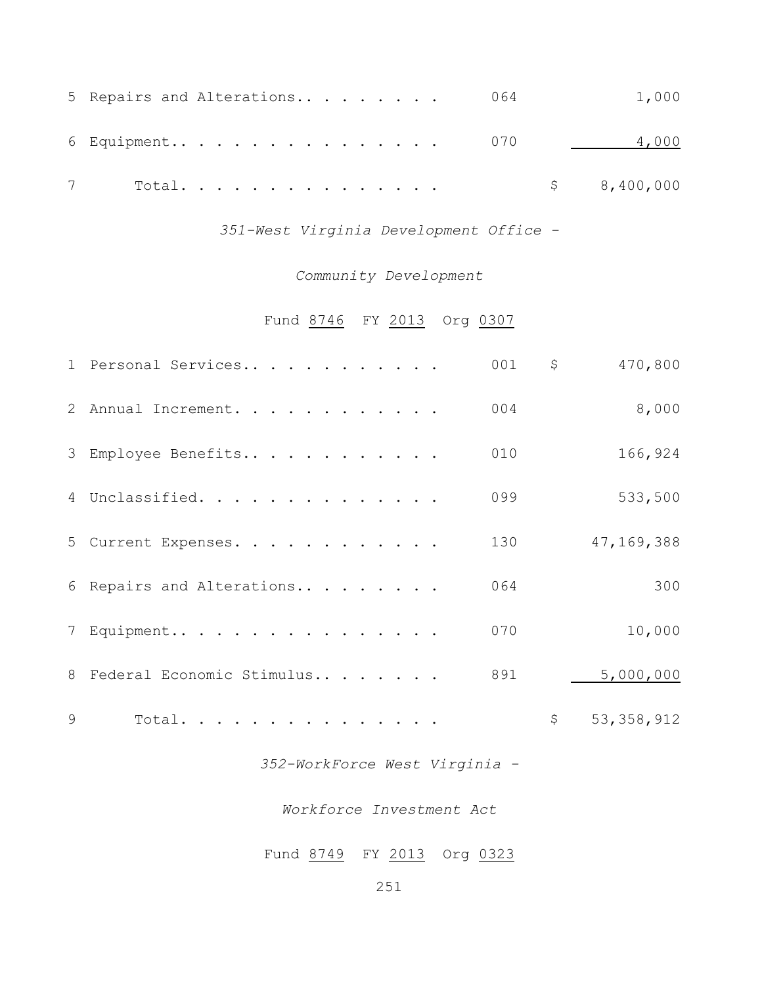|  | 5 Repairs and Alterations 064 |  |  |  |  | 1,000      |
|--|-------------------------------|--|--|--|--|------------|
|  | 6 Equipment 070               |  |  |  |  | 4,000      |
|  | Total.                        |  |  |  |  | \$,400,000 |

*351-West Virginia Development Office -*

## *Community Development*

## Fund 8746 FY 2013 Org 0307

|   | 1 Personal Services         | 001 | \$          | 470,800      |
|---|-----------------------------|-----|-------------|--------------|
|   | 2 Annual Increment.         | 004 |             | 8,000        |
|   | 3 Employee Benefits         | 010 |             | 166,924      |
|   | 4 Unclassified.             | 099 |             | 533,500      |
|   | 5 Current Expenses.         | 130 |             | 47, 169, 388 |
|   | 6 Repairs and Alterations   | 064 |             | 300          |
|   | 7 Equipment                 | 070 |             | 10,000       |
|   | 8 Federal Economic Stimulus | 891 |             | 5,000,000    |
| 9 | Total.                      |     | $\varsigma$ | 53, 358, 912 |

## *352-WorkForce West Virginia -*

### *Workforce Investment Act*

## Fund 8749 FY 2013 Org 0323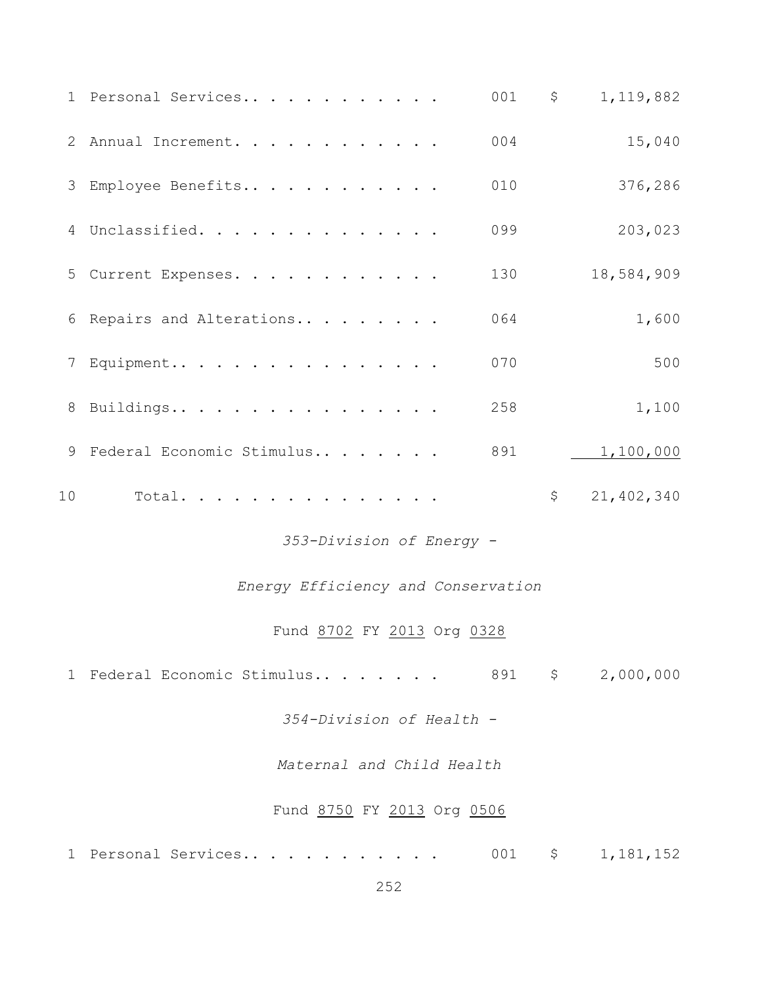|    | 1 Personal Services                | 001 | $\uparrow$ | 1,119,882        |
|----|------------------------------------|-----|------------|------------------|
|    | 2 Annual Increment.                | 004 |            | 15,040           |
|    | 3 Employee Benefits                | 010 |            | 376,286          |
|    | 4 Unclassified.                    | 099 |            | 203,023          |
|    | 5 Current Expenses.                | 130 |            | 18,584,909       |
|    | 6 Repairs and Alterations          | 064 |            | 1,600            |
|    | 7 Equipment                        | 070 |            | 500              |
|    | 8 Buildings                        | 258 |            | 1,100            |
|    | 9 Federal Economic Stimulus        | 891 |            | 1,100,000        |
|    |                                    |     |            |                  |
| 10 | Total.                             |     | $\uparrow$ | 21,402,340       |
|    | 353-Division of Energy -           |     |            |                  |
|    | Energy Efficiency and Conservation |     |            |                  |
|    | Fund 8702 FY 2013 Org 0328         |     |            |                  |
|    | 1 Federal Economic Stimulus        |     |            | 891 \$ 2,000,000 |
|    | 354-Division of Health -           |     |            |                  |
|    | Maternal and Child Health          |     |            |                  |
|    | Fund 8750 FY 2013 Org 0506         |     |            |                  |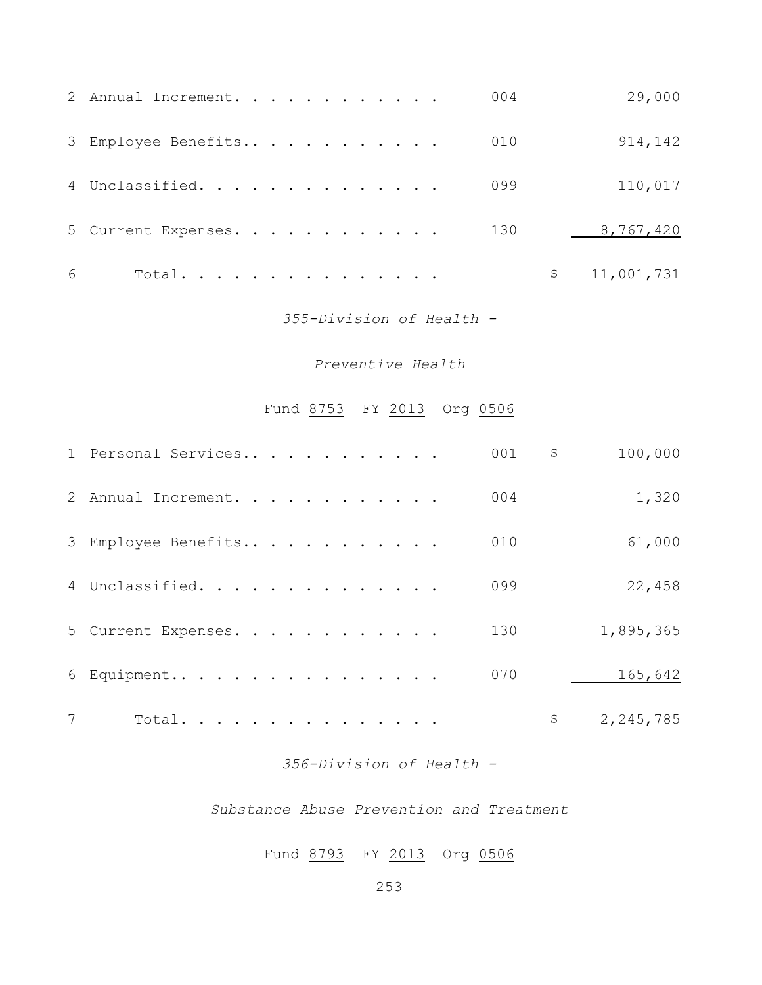|   | 2 Annual Increment. |  |  |  |  |  | 004 | 29,000       |
|---|---------------------|--|--|--|--|--|-----|--------------|
|   | 3 Employee Benefits |  |  |  |  |  | 010 | 914,142      |
|   | 4 Unclassified.     |  |  |  |  |  | 099 | 110,017      |
|   | 5 Current Expenses. |  |  |  |  |  | 130 | 8,767,420    |
| 6 | Total.              |  |  |  |  |  |     | \$11,001,731 |

### *355-Division of Health -*

## *Preventive Health*

# Fund 8753 FY 2013 Org 0506

|   | 1 Personal Services | 001 | \$<br>100,000   |
|---|---------------------|-----|-----------------|
|   | 2 Annual Increment. | 004 | 1,320           |
|   | 3 Employee Benefits | 010 | 61,000          |
|   | 4 Unclassified.     | 099 | 22,458          |
|   | 5 Current Expenses. | 130 | 1,895,365       |
|   | 6 Equipment         | 070 | 165,642         |
| 7 | Total.              |     | \$<br>2,245,785 |

### *356-Division of Health -*

#### *Substance Abuse Prevention and Treatment*

# Fund 8793 FY 2013 Org 0506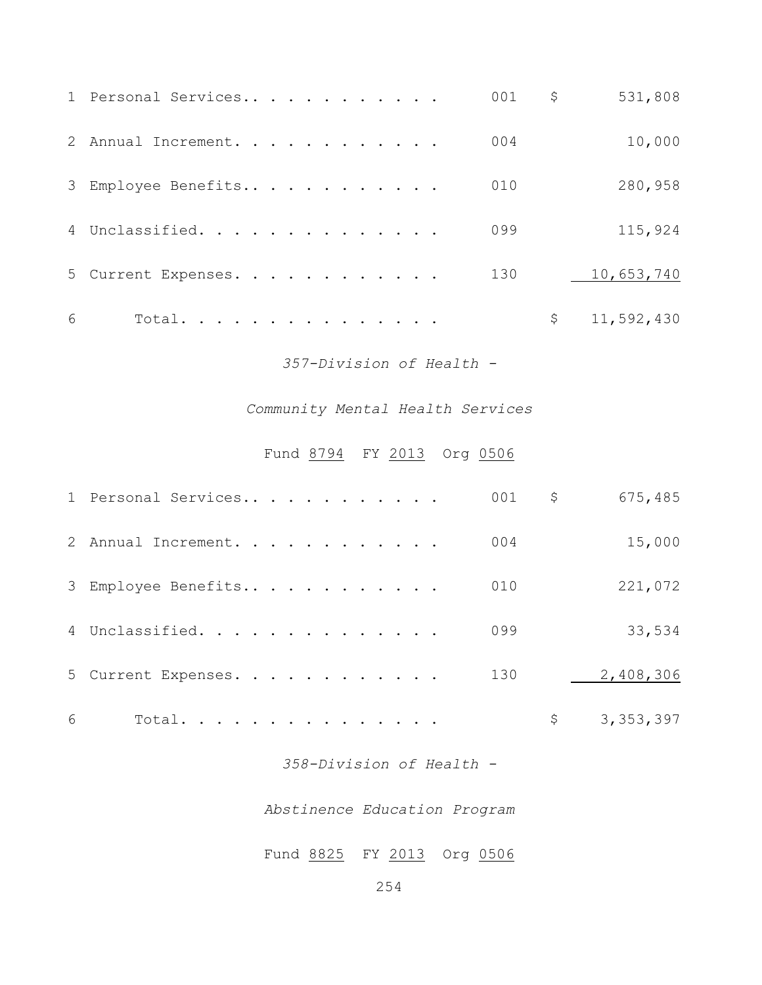|   | 1 Personal Services |  |  |  |  |  | 001 | \$<br>531,808    |
|---|---------------------|--|--|--|--|--|-----|------------------|
|   | 2 Annual Increment. |  |  |  |  |  | 004 | 10,000           |
|   | 3 Employee Benefits |  |  |  |  |  | 010 | 280,958          |
|   | 4 Unclassified.     |  |  |  |  |  | 099 | 115,924          |
|   | 5 Current Expenses. |  |  |  |  |  | 130 | 10,653,740       |
| 6 | Total.              |  |  |  |  |  |     | \$<br>11,592,430 |

*357-Division of Health -*

# *Community Mental Health Services*

# Fund 8794 FY 2013 Org 0506

|   | 1 Personal Services | 001 | \$<br>675,485     |
|---|---------------------|-----|-------------------|
|   | 2 Annual Increment. | 004 | 15,000            |
|   | 3 Employee Benefits | 010 | 221,072           |
|   | 4 Unclassified.     | 099 | 33,534            |
|   | 5 Current Expenses. | 130 | 2,408,306         |
| 6 | Total.              |     | \$<br>3, 353, 397 |

*358-Division of Health -*

*Abstinence Education Program*

Fund 8825 FY 2013 Org 0506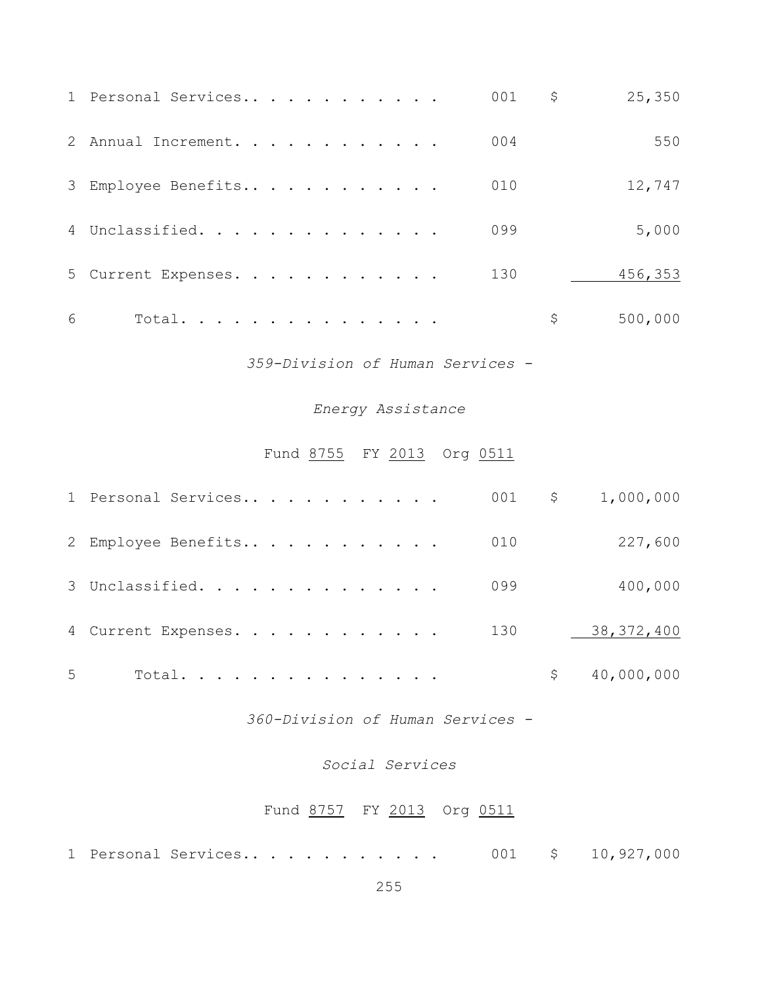|   | 1 Personal Services | 001 | \$<br>25,350 |
|---|---------------------|-----|--------------|
|   | 2 Annual Increment. | 004 | 550          |
|   | 3 Employee Benefits | 010 | 12,747       |
|   | 4 Unclassified.     | 099 | 5,000        |
|   | 5 Current Expenses. | 130 | 456,353      |
| 6 | Total.              |     | 500,000      |

*359-Division of Human Services -*

### *Energy Assistance*

# Fund 8755 FY 2013 Org 0511

|   | 1 Personal Services |  | 001 | \$ | 1,000,000    |
|---|---------------------|--|-----|----|--------------|
|   | 2 Employee Benefits |  | 010 |    | 227,600      |
|   | 3 Unclassified.     |  | 099 |    | 400,000      |
|   | 4 Current Expenses. |  | 130 |    | 38, 372, 400 |
| 5 | Total.              |  |     | S  | 40,000,000   |

*360-Division of Human Services -*

### *Social Services*

# Fund 8757 FY 2013 Org 0511

|  |  | 1 Personal Services |  |  |  |  |  |  |  |  |  |  |  |  |  | 001 $\frac{1}{2}$ 10,927,000 |
|--|--|---------------------|--|--|--|--|--|--|--|--|--|--|--|--|--|------------------------------|
|--|--|---------------------|--|--|--|--|--|--|--|--|--|--|--|--|--|------------------------------|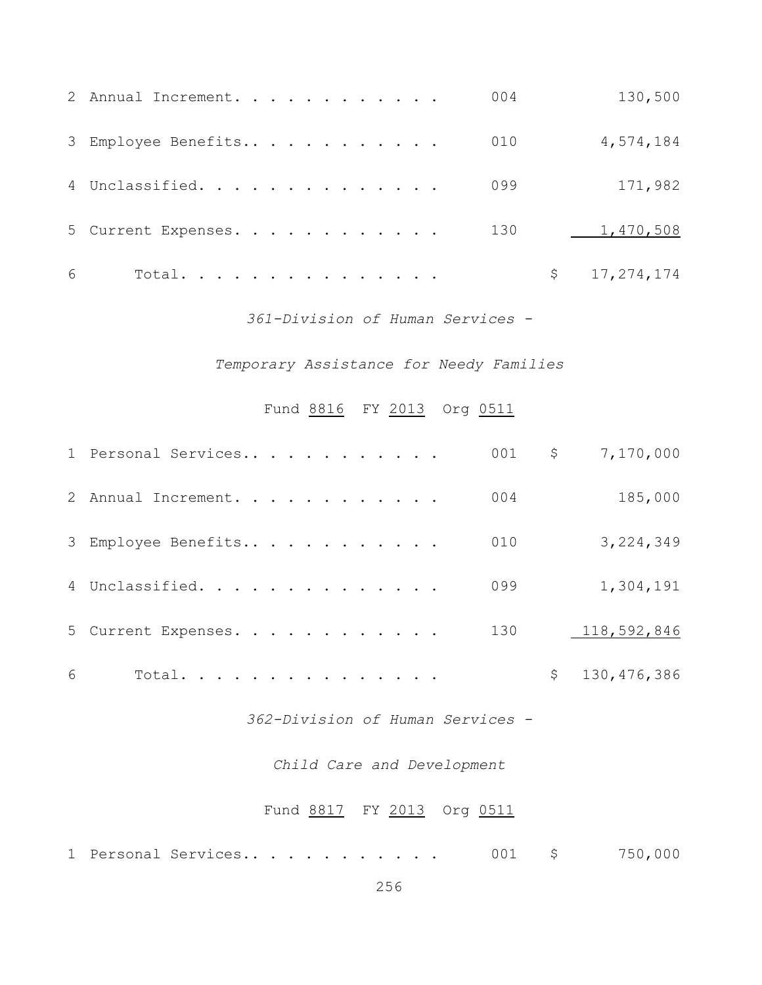|   | 2 Annual Increment. | 004 | 130,500        |
|---|---------------------|-----|----------------|
|   | 3 Employee Benefits | 010 | 4,574,184      |
|   | 4 Unclassified.     | 099 | 171,982        |
|   | 5 Current Expenses. | 130 | 1,470,508      |
| 6 | Total.              |     | \$17, 274, 174 |

*361-Division of Human Services -*

*Temporary Assistance for Needy Families*

Fund 8816 FY 2013 Org 0511

|   | 1 Personal Services |  |  | 001 | \$<br>7,170,000     |
|---|---------------------|--|--|-----|---------------------|
|   | 2 Annual Increment. |  |  | 004 | 185,000             |
|   | 3 Employee Benefits |  |  | 010 | 3,224,349           |
|   | 4 Unclassified.     |  |  | 099 | 1,304,191           |
|   | 5 Current Expenses. |  |  | 130 | 118,592,846         |
| 6 | Total.              |  |  |     | \$<br>130, 476, 386 |

*362-Division of Human Services -*

### *Child Care and Development*

# Fund 8817 FY 2013 Org 0511

|  |  | 1 Personal Services |  |  |  |  |  |  |  |  |  |  |  |  |  | 750,000 |
|--|--|---------------------|--|--|--|--|--|--|--|--|--|--|--|--|--|---------|
|--|--|---------------------|--|--|--|--|--|--|--|--|--|--|--|--|--|---------|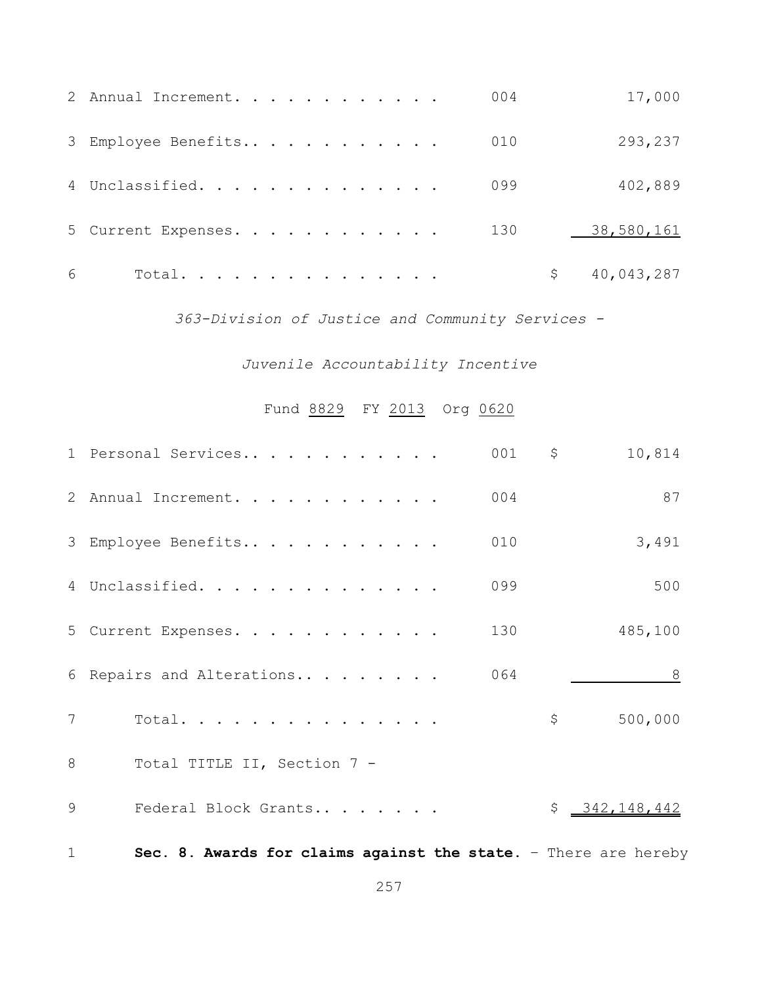|   | 2 Annual Increment. | 004 |    | 17,000     |
|---|---------------------|-----|----|------------|
|   | 3 Employee Benefits | 010 |    | 293,237    |
|   | 4 Unclassified.     | 099 |    | 402,889    |
|   | 5 Current Expenses. | 130 |    | 38,580,161 |
| 6 | Total.              |     | Ŝ. | 40,043,287 |

*363-Division of Justice and Community Services -*

# *Juvenile Accountability Incentive*

# Fund 8829 FY 2013 Org 0620

|                 | 001<br>1 Personal Services                                      | $\mathsf{S}$ | 10,814        |
|-----------------|-----------------------------------------------------------------|--------------|---------------|
|                 | 2 Annual Increment.<br>004                                      |              | 87            |
|                 | 3 Employee Benefits<br>010                                      |              | 3,491         |
|                 | 4 Unclassified.<br>099                                          |              | 500           |
|                 | 5 Current Expenses.<br>130                                      |              | 485,100       |
|                 | 6 Repairs and Alterations<br>064                                |              | 8             |
| $7\overline{ }$ | Total.                                                          | $\varsigma$  | 500,000       |
| 8               | Total TITLE II, Section 7 -                                     |              |               |
| 9               | Federal Block Grants                                            |              | \$342,148,442 |
| $\mathbf{1}$    | Sec. 8. Awards for claims against the state. - There are hereby |              |               |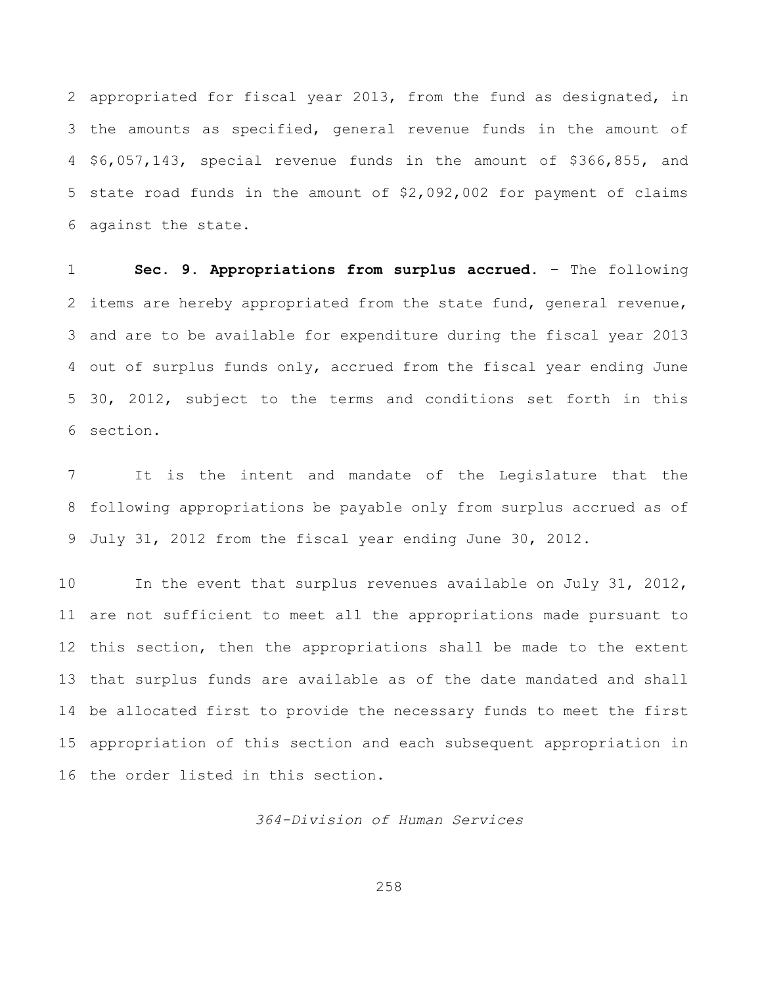appropriated for fiscal year 2013, from the fund as designated, in the amounts as specified, general revenue funds in the amount of \$6,057,143, special revenue funds in the amount of \$366,855, and state road funds in the amount of \$2,092,002 for payment of claims against the state.

 **Sec. 9. Appropriations from surplus accrued.** – The following items are hereby appropriated from the state fund, general revenue, and are to be available for expenditure during the fiscal year 2013 out of surplus funds only, accrued from the fiscal year ending June 30, 2012, subject to the terms and conditions set forth in this section.

 It is the intent and mandate of the Legislature that the following appropriations be payable only from surplus accrued as of July 31, 2012 from the fiscal year ending June 30, 2012.

 In the event that surplus revenues available on July 31, 2012, are not sufficient to meet all the appropriations made pursuant to this section, then the appropriations shall be made to the extent that surplus funds are available as of the date mandated and shall be allocated first to provide the necessary funds to meet the first appropriation of this section and each subsequent appropriation in the order listed in this section.

*364-Division of Human Services*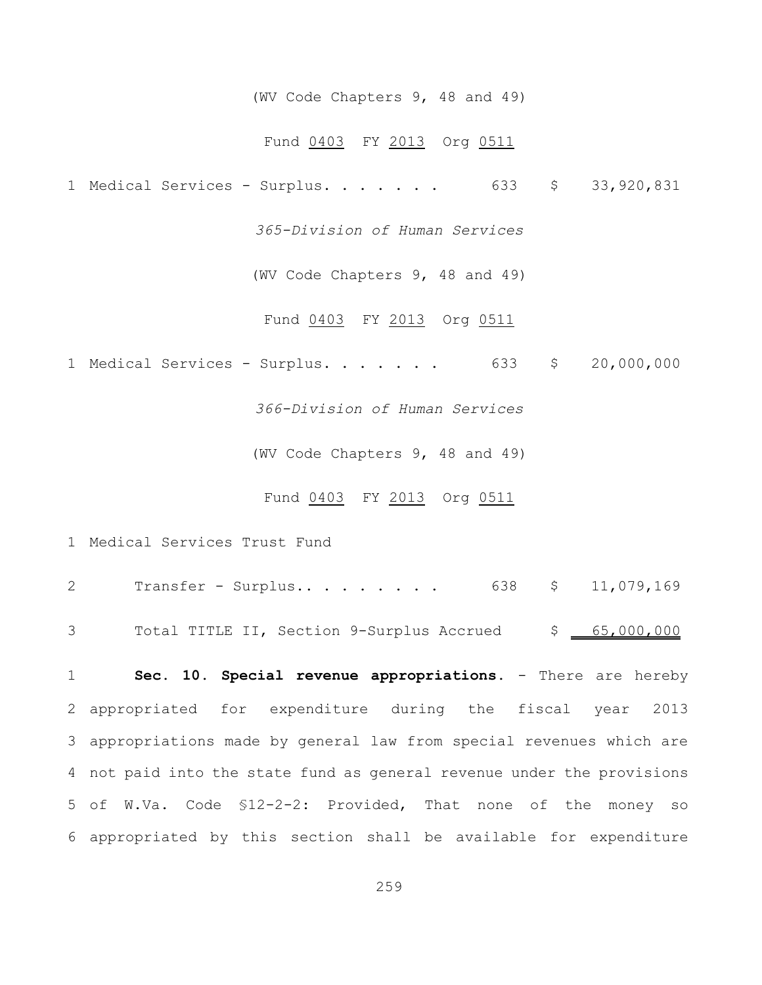#### (WV Code Chapters 9, 48 and 49)

#### Fund 0403 FY 2013 Org 0511

1 Medical Services - Surplus. . . . . . . 633 \$ 33,920,831

*365-Division of Human Services*

(WV Code Chapters 9, 48 and 49)

Fund 0403 FY 2013 Org 0511

1 Medical Services - Surplus. . . . . . . 633 \$ 20,000,000

*366-Division of Human Services*

(WV Code Chapters 9, 48 and 49)

### Fund 0403 FY 2013 Org 0511

1 Medical Services Trust Fund

| Transfer - Surplus 638 \$ 11,079,169                      |  |
|-----------------------------------------------------------|--|
| 3 Total TITLE II, Section 9-Surplus Accrued \$ 65,000,000 |  |

**Sec. 10. Special revenue appropriations.** - There are hereby appropriated for expenditure during the fiscal year 2013 appropriations made by general law from special revenues which are not paid into the state fund as general revenue under the provisions of W.Va. Code §12-2-2: Provided, That none of the money so appropriated by this section shall be available for expenditure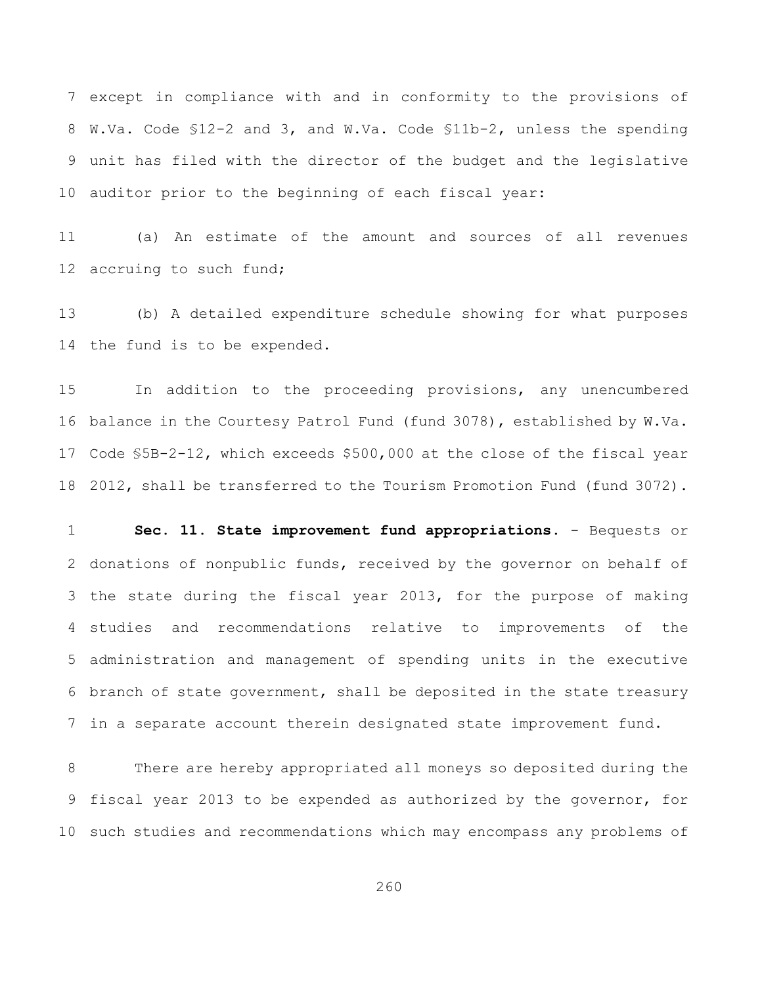except in compliance with and in conformity to the provisions of W.Va. Code §12-2 and 3, and W.Va. Code §11b-2, unless the spending unit has filed with the director of the budget and the legislative auditor prior to the beginning of each fiscal year:

 (a) An estimate of the amount and sources of all revenues 12 accruing to such fund;

 (b) A detailed expenditure schedule showing for what purposes the fund is to be expended.

 In addition to the proceeding provisions, any unencumbered balance in the Courtesy Patrol Fund (fund 3078), established by W.Va. Code §5B-2-12, which exceeds \$500,000 at the close of the fiscal year 2012, shall be transferred to the Tourism Promotion Fund (fund 3072).

 **Sec. 11. State improvement fund appropriations.** - Bequests or donations of nonpublic funds, received by the governor on behalf of the state during the fiscal year 2013, for the purpose of making studies and recommendations relative to improvements of the administration and management of spending units in the executive branch of state government, shall be deposited in the state treasury in a separate account therein designated state improvement fund.

 There are hereby appropriated all moneys so deposited during the fiscal year 2013 to be expended as authorized by the governor, for such studies and recommendations which may encompass any problems of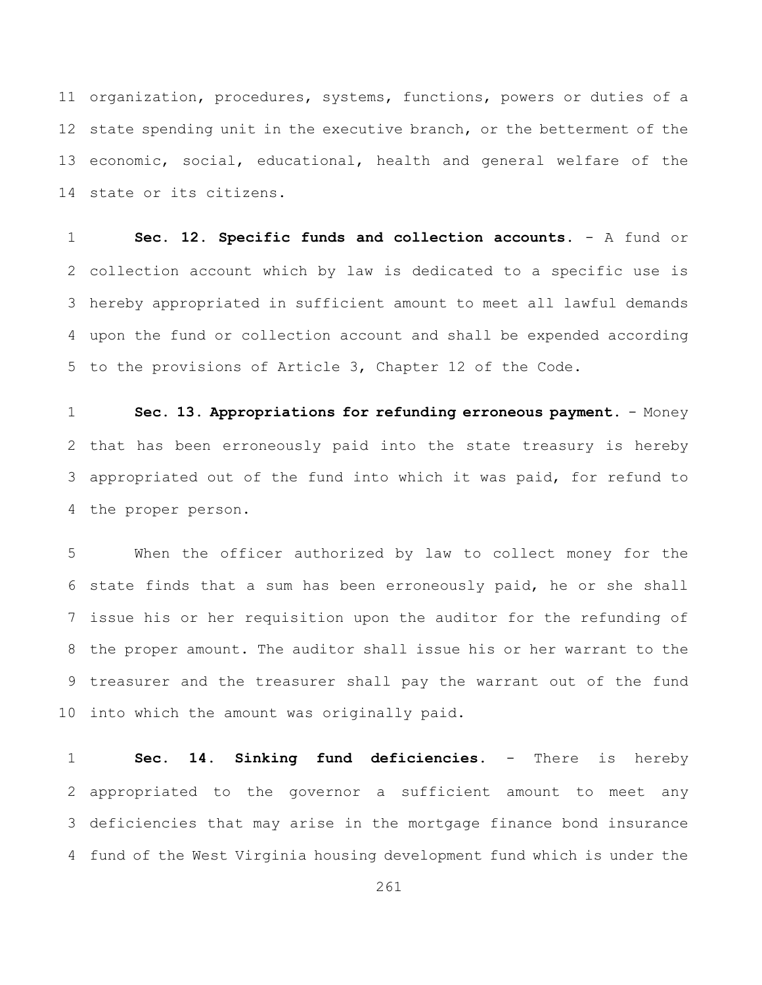organization, procedures, systems, functions, powers or duties of a state spending unit in the executive branch, or the betterment of the economic, social, educational, health and general welfare of the state or its citizens.

 **Sec. 12. Specific funds and collection accounts.** - A fund or collection account which by law is dedicated to a specific use is hereby appropriated in sufficient amount to meet all lawful demands upon the fund or collection account and shall be expended according to the provisions of Article 3, Chapter 12 of the Code.

 **Sec. 13. Appropriations for refunding erroneous payment.** - Money that has been erroneously paid into the state treasury is hereby appropriated out of the fund into which it was paid, for refund to the proper person.

 When the officer authorized by law to collect money for the state finds that a sum has been erroneously paid, he or she shall issue his or her requisition upon the auditor for the refunding of the proper amount. The auditor shall issue his or her warrant to the treasurer and the treasurer shall pay the warrant out of the fund into which the amount was originally paid.

 **Sec. 14. Sinking fund deficiencies.** - There is hereby appropriated to the governor a sufficient amount to meet any deficiencies that may arise in the mortgage finance bond insurance fund of the West Virginia housing development fund which is under the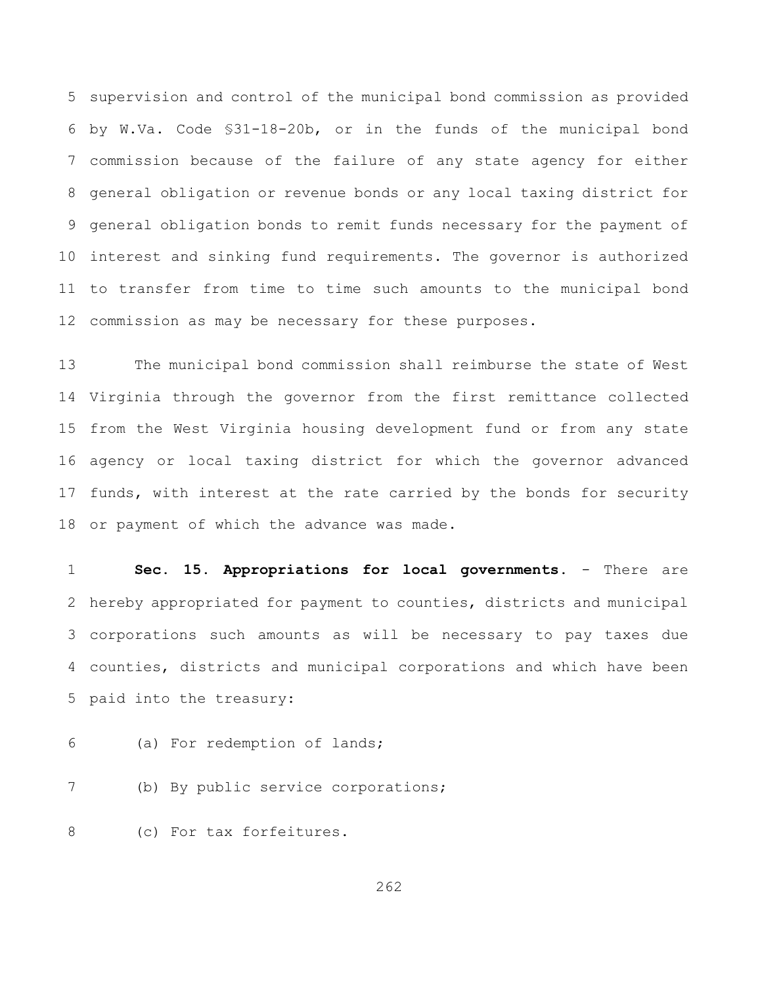supervision and control of the municipal bond commission as provided by W.Va. Code §31-18-20b, or in the funds of the municipal bond commission because of the failure of any state agency for either general obligation or revenue bonds or any local taxing district for general obligation bonds to remit funds necessary for the payment of interest and sinking fund requirements. The governor is authorized to transfer from time to time such amounts to the municipal bond commission as may be necessary for these purposes.

 The municipal bond commission shall reimburse the state of West Virginia through the governor from the first remittance collected from the West Virginia housing development fund or from any state agency or local taxing district for which the governor advanced funds, with interest at the rate carried by the bonds for security or payment of which the advance was made.

**Sec. 15. Appropriations for local governments.** - There are hereby appropriated for payment to counties, districts and municipal corporations such amounts as will be necessary to pay taxes due counties, districts and municipal corporations and which have been paid into the treasury:

(a) For redemption of lands;

(b) By public service corporations;

(c) For tax forfeitures.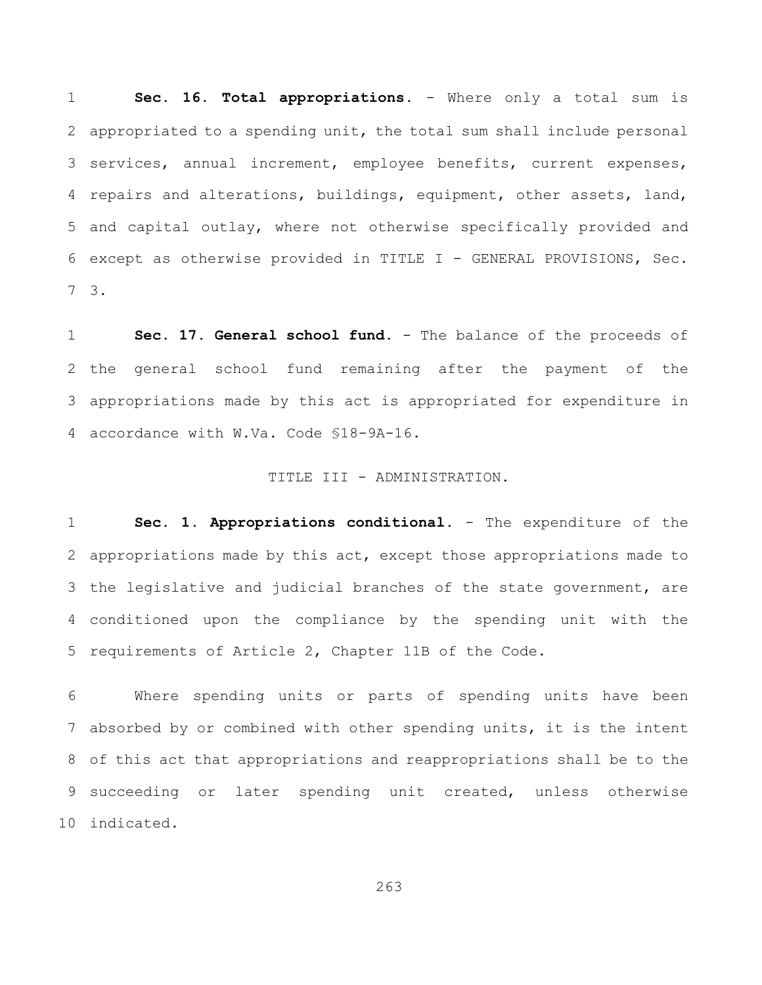**Sec. 16. Total appropriations.** - Where only a total sum is appropriated to a spending unit, the total sum shall include personal services, annual increment, employee benefits, current expenses, 4 repairs and alterations, buildings, equipment, other assets, land, and capital outlay, where not otherwise specifically provided and except as otherwise provided in TITLE I - GENERAL PROVISIONS, Sec. 3.

 **Sec. 17. General school fund.** - The balance of the proceeds of the general school fund remaining after the payment of the appropriations made by this act is appropriated for expenditure in accordance with W.Va. Code §18-9A-16.

#### TITLE III - ADMINISTRATION.

**Sec. 1. Appropriations conditional.** - The expenditure of the appropriations made by this act, except those appropriations made to the legislative and judicial branches of the state government, are conditioned upon the compliance by the spending unit with the requirements of Article 2, Chapter 11B of the Code.

 Where spending units or parts of spending units have been absorbed by or combined with other spending units, it is the intent of this act that appropriations and reappropriations shall be to the 9 succeeding or later spending unit created, unless otherwise indicated.